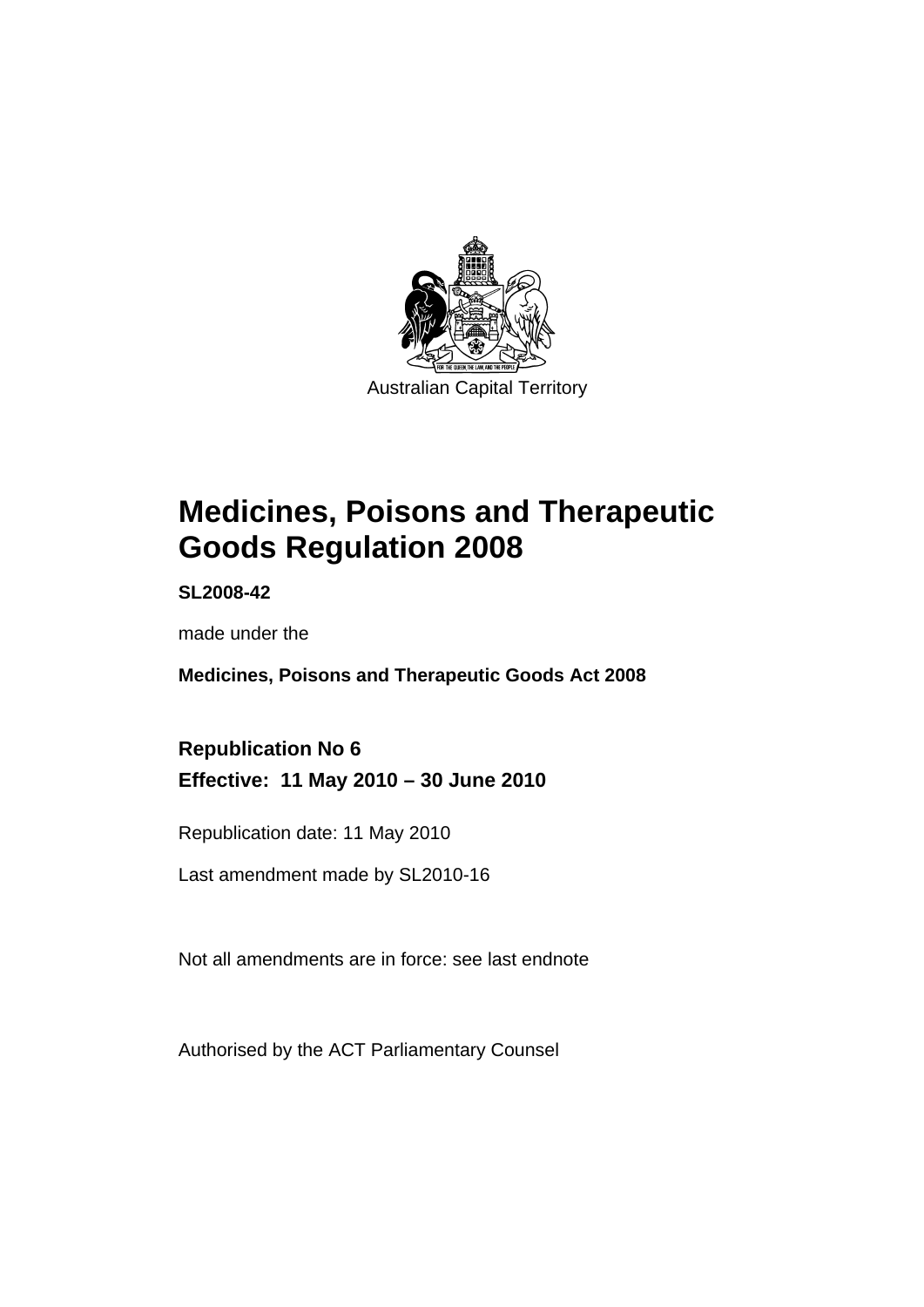

# **[Medicines, Poisons and Therapeutic](#page-24-0)  [Goods Regulation 2008](#page-24-0)**

**SL2008-42** 

made under the

**[Medicines, Poisons and Therapeutic Goods Act 2008](#page-24-0)** 

**Republication No 6 Effective: 11 May 2010 – 30 June 2010** 

Republication date: 11 May 2010

Last amendment made by SL2010-16

Not all amendments are in force: see last endnote

Authorised by the ACT Parliamentary Counsel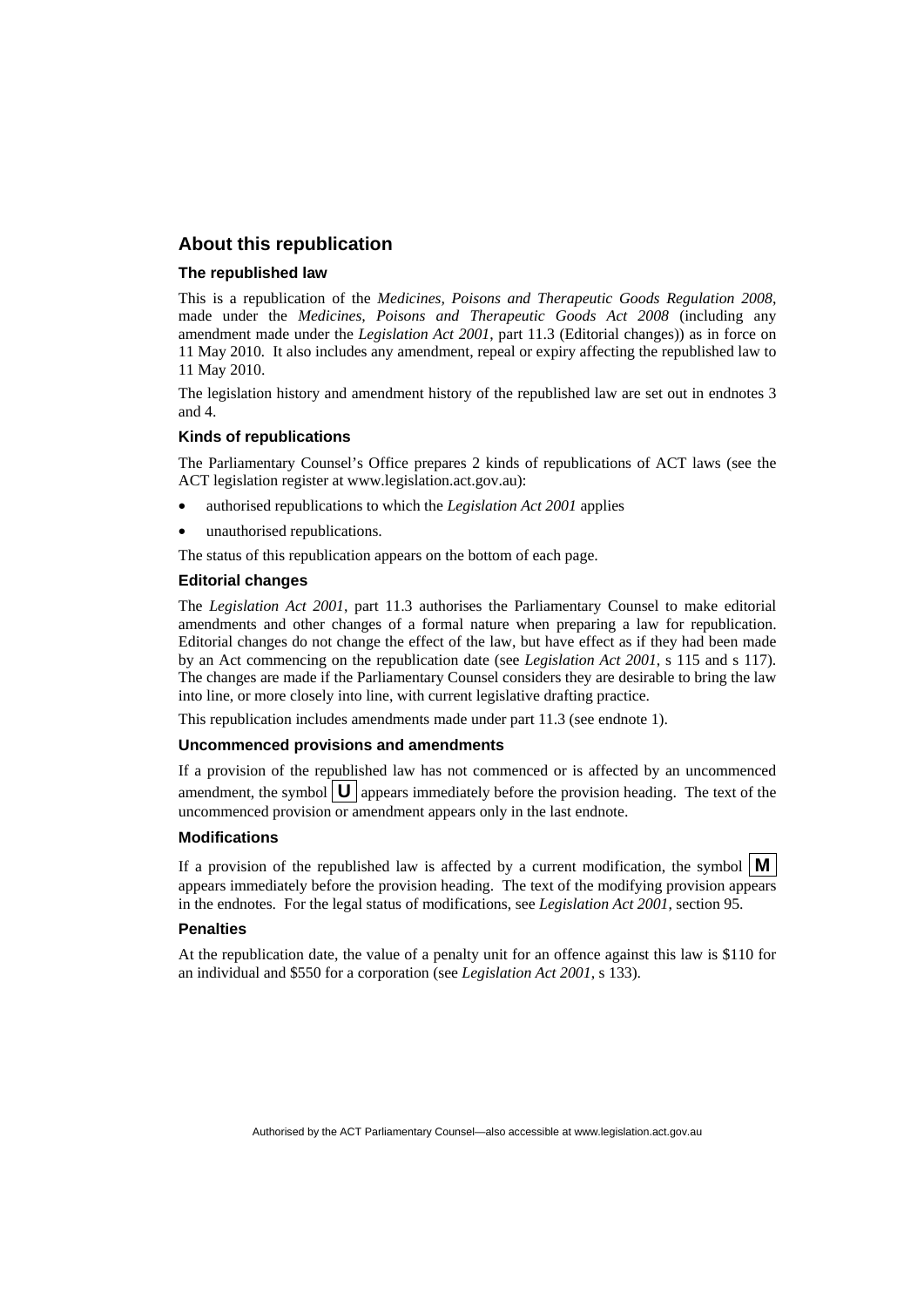#### **About this republication**

#### **The republished law**

This is a republication of the *Medicines, Poisons and Therapeutic Goods Regulation 2008*, made under the *[Medicines, Poisons and Therapeutic Goods Act 2008](#page-24-0)* (including any amendment made under the *Legislation Act 2001*, part 11.3 (Editorial changes)) as in force on 11 May 2010*.* It also includes any amendment, repeal or expiry affecting the republished law to 11 May 2010.

The legislation history and amendment history of the republished law are set out in endnotes 3 and 4.

#### **Kinds of republications**

The Parliamentary Counsel's Office prepares 2 kinds of republications of ACT laws (see the ACT legislation register at www.legislation.act.gov.au):

- authorised republications to which the *Legislation Act 2001* applies
- unauthorised republications.

The status of this republication appears on the bottom of each page.

#### **Editorial changes**

The *Legislation Act 2001*, part 11.3 authorises the Parliamentary Counsel to make editorial amendments and other changes of a formal nature when preparing a law for republication. Editorial changes do not change the effect of the law, but have effect as if they had been made by an Act commencing on the republication date (see *Legislation Act 2001*, s 115 and s 117). The changes are made if the Parliamentary Counsel considers they are desirable to bring the law into line, or more closely into line, with current legislative drafting practice.

This republication includes amendments made under part 11.3 (see endnote 1).

#### **Uncommenced provisions and amendments**

If a provision of the republished law has not commenced or is affected by an uncommenced amendment, the symbol  $\mathbf{U}$  appears immediately before the provision heading. The text of the uncommenced provision or amendment appears only in the last endnote.

#### **Modifications**

If a provision of the republished law is affected by a current modification, the symbol  $\vert \mathbf{M} \vert$ appears immediately before the provision heading. The text of the modifying provision appears in the endnotes. For the legal status of modifications, see *Legislation Act 2001*, section 95.

#### **Penalties**

At the republication date, the value of a penalty unit for an offence against this law is \$110 for an individual and \$550 for a corporation (see *Legislation Act 2001*, s 133).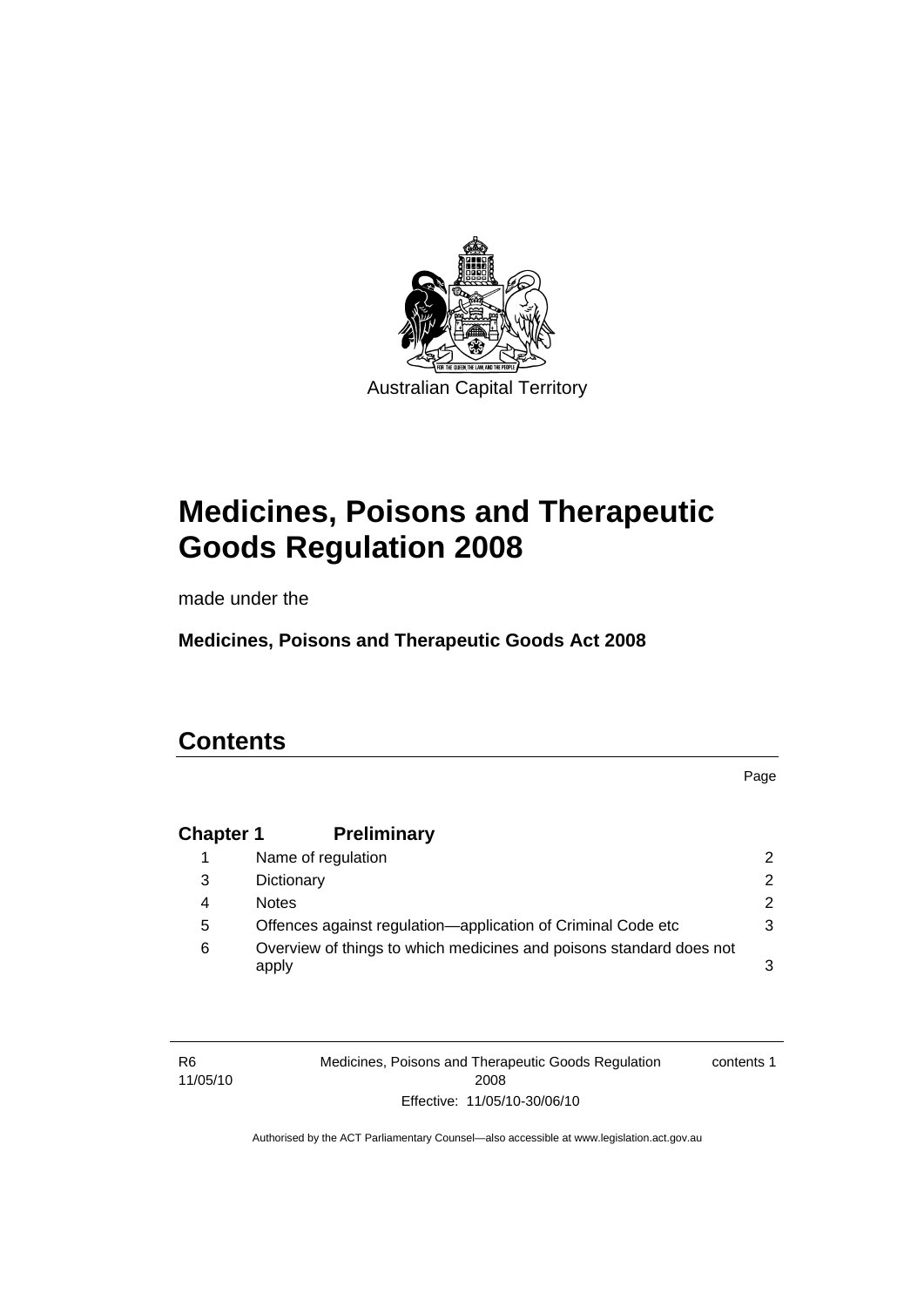

# **[Medicines, Poisons and Therapeutic](#page-24-0)  [Goods Regulation 2008](#page-24-0)**

made under the

**[Medicines, Poisons and Therapeutic Goods Act 2008](#page-24-0)** 

## **Contents**

R6

Page

## **Chapter 1 Preliminary**

|   | Name of regulation                                                           | 2             |
|---|------------------------------------------------------------------------------|---------------|
| 3 | Dictionary                                                                   | $\mathcal{P}$ |
| 4 | <b>Notes</b>                                                                 | 2             |
| 5 | Offences against regulation—application of Criminal Code etc                 | 3             |
| 6 | Overview of things to which medicines and poisons standard does not<br>apply | 3             |

11/05/10 Medicines, Poisons and Therapeutic Goods Regulation 2008 Effective: 11/05/10-30/06/10 contents 1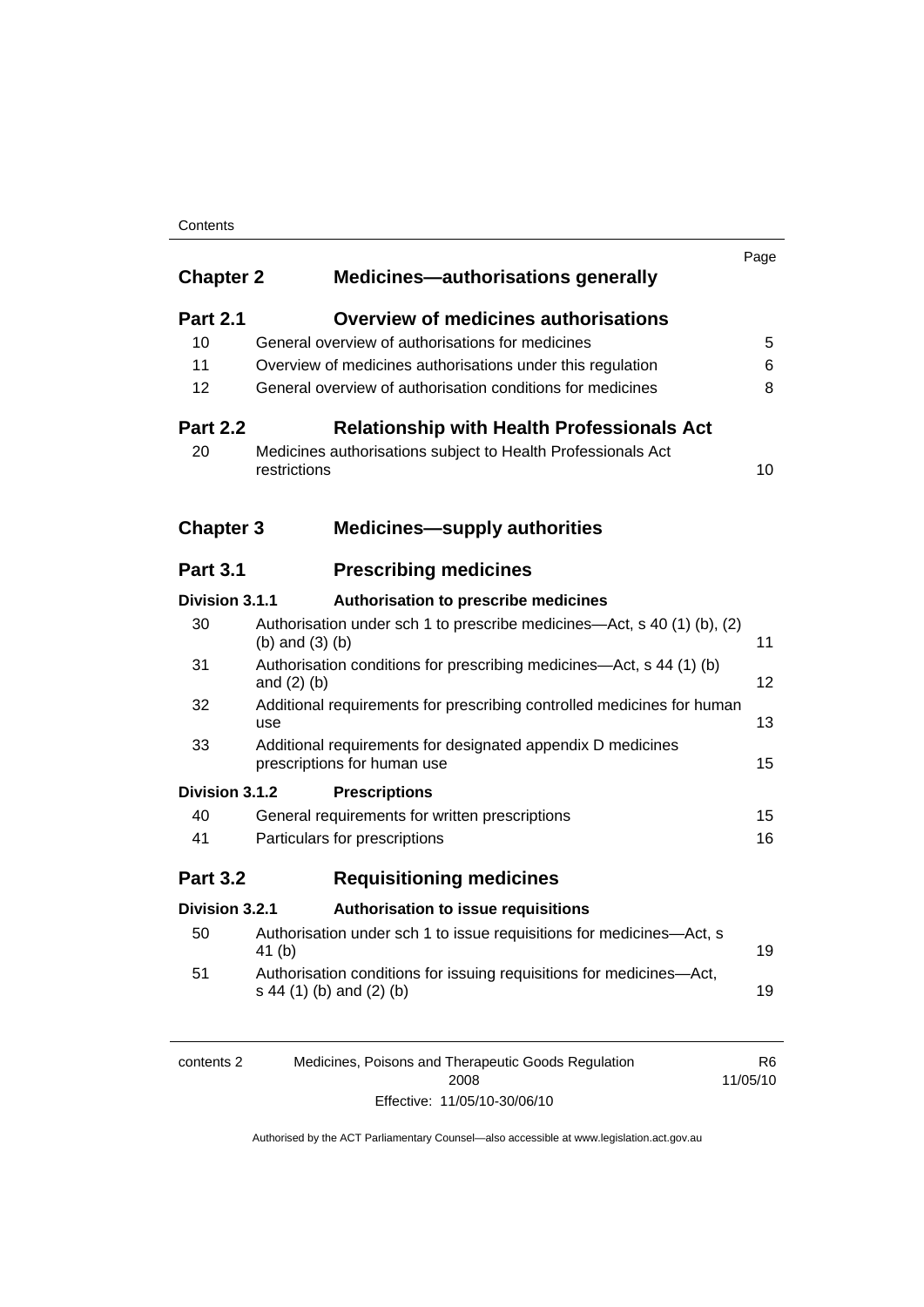#### **Contents**

| <b>Chapter 2</b> | <b>Medicines-authorisations generally</b>                                                        | Page |
|------------------|--------------------------------------------------------------------------------------------------|------|
| <b>Part 2.1</b>  | <b>Overview of medicines authorisations</b>                                                      |      |
| 10               | General overview of authorisations for medicines                                                 | 5    |
| 11               | Overview of medicines authorisations under this regulation                                       | 6    |
| 12               | General overview of authorisation conditions for medicines                                       | 8    |
| <b>Part 2.2</b>  | <b>Relationship with Health Professionals Act</b>                                                |      |
| 20               | Medicines authorisations subject to Health Professionals Act<br>restrictions                     | 10   |
| <b>Chapter 3</b> | <b>Medicines-supply authorities</b>                                                              |      |
| <b>Part 3.1</b>  | <b>Prescribing medicines</b>                                                                     |      |
| Division 3.1.1   | Authorisation to prescribe medicines                                                             |      |
| 30               | Authorisation under sch 1 to prescribe medicines—Act, s 40 (1) (b), (2)<br>$(b)$ and $(3)$ $(b)$ | 11   |
| 31               | Authorisation conditions for prescribing medicines—Act, s 44 (1) (b)<br>and $(2)$ $(b)$          | 12   |
| 32               | Additional requirements for prescribing controlled medicines for human<br>use                    | 13   |
| 33               | Additional requirements for designated appendix D medicines<br>prescriptions for human use       | 15   |
| Division 3.1.2   | <b>Prescriptions</b>                                                                             |      |
| 40               | General requirements for written prescriptions                                                   | 15   |
| 41               | Particulars for prescriptions                                                                    | 16   |
| <b>Part 3.2</b>  | <b>Requisitioning medicines</b>                                                                  |      |
| Division 3.2.1   | <b>Authorisation to issue requisitions</b>                                                       |      |
| 50               | Authorisation under sch 1 to issue requisitions for medicines-Act, s<br>41(b)                    | 19   |
| 51               | Authorisation conditions for issuing requisitions for medicines-Act,<br>s 44 (1) (b) and (2) (b) | 19   |
|                  |                                                                                                  |      |

| contents 2 | Medicines, Poisons and Therapeutic Goods Regulation | R6       |
|------------|-----------------------------------------------------|----------|
|            | 2008                                                | 11/05/10 |
|            | Effective: 11/05/10-30/06/10                        |          |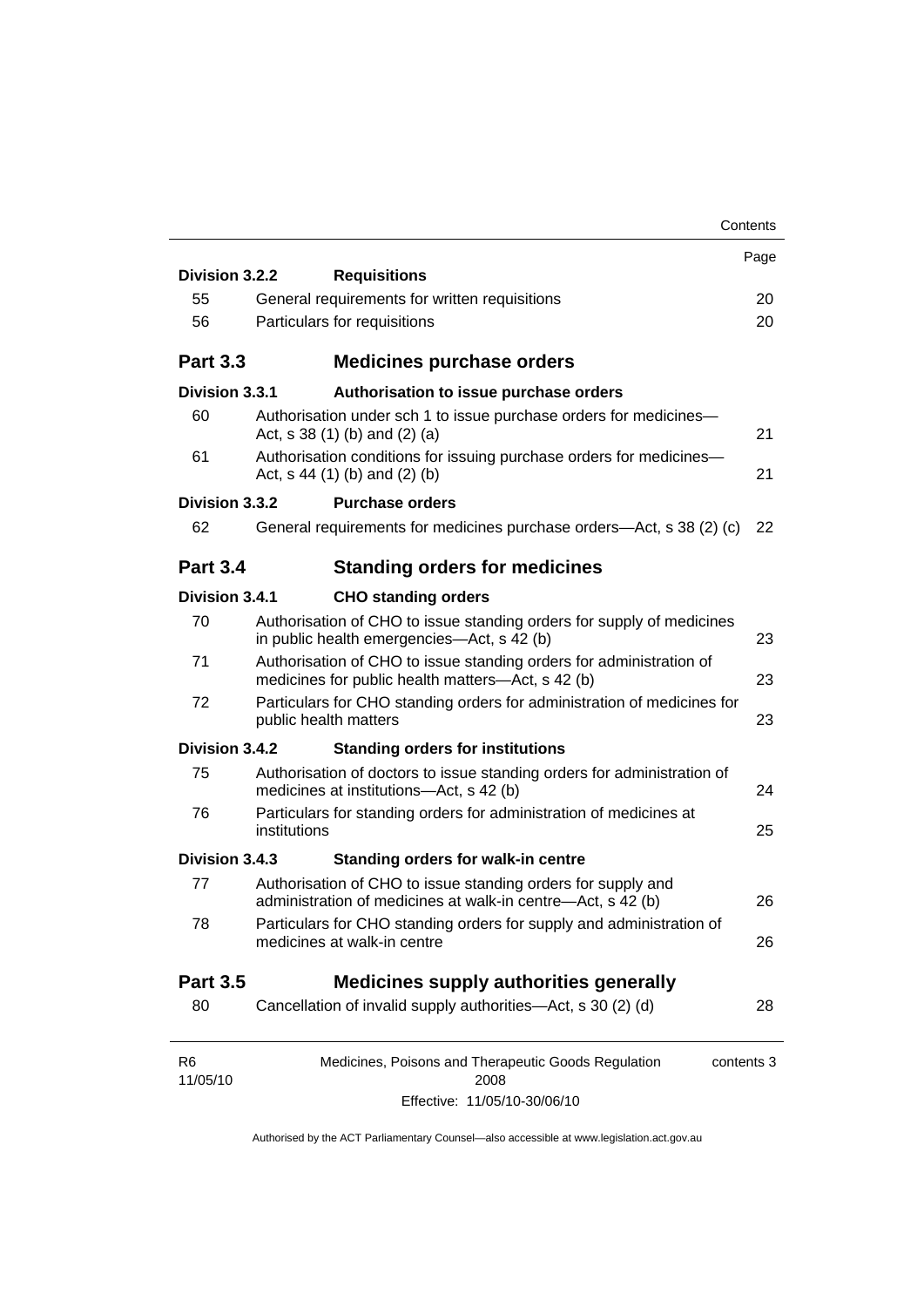|                            |                                                                                                                          | Contents   |
|----------------------------|--------------------------------------------------------------------------------------------------------------------------|------------|
|                            |                                                                                                                          | Page       |
| Division 3.2.2             | <b>Requisitions</b>                                                                                                      |            |
| 55                         | General requirements for written requisitions                                                                            | 20         |
| 56                         | Particulars for requisitions                                                                                             | 20         |
| <b>Part 3.3</b>            | <b>Medicines purchase orders</b>                                                                                         |            |
| Division 3.3.1             | Authorisation to issue purchase orders                                                                                   |            |
| 60                         | Authorisation under sch 1 to issue purchase orders for medicines-<br>Act, $s$ 38 (1) (b) and (2) (a)                     | 21         |
| 61                         | Authorisation conditions for issuing purchase orders for medicines-<br>Act, $s$ 44 (1) (b) and (2) (b)                   | 21         |
| Division 3.3.2             | <b>Purchase orders</b>                                                                                                   |            |
| 62                         | General requirements for medicines purchase orders—Act, s 38 (2) (c)                                                     | 22         |
| <b>Part 3.4</b>            | <b>Standing orders for medicines</b>                                                                                     |            |
| Division 3.4.1             | <b>CHO standing orders</b>                                                                                               |            |
| 70                         | Authorisation of CHO to issue standing orders for supply of medicines<br>in public health emergencies—Act, s 42 (b)      | 23         |
| 71                         | Authorisation of CHO to issue standing orders for administration of<br>medicines for public health matters—Act, s 42 (b) | 23         |
| 72                         | Particulars for CHO standing orders for administration of medicines for<br>public health matters                         | 23         |
| Division 3.4.2             | <b>Standing orders for institutions</b>                                                                                  |            |
| 75                         | Authorisation of doctors to issue standing orders for administration of<br>medicines at institutions-Act, s 42 (b)       | 24         |
| 76                         | Particulars for standing orders for administration of medicines at<br>institutions                                       | 25         |
| Division 3.4.3             | <b>Standing orders for walk-in centre</b>                                                                                |            |
| 77                         | Authorisation of CHO to issue standing orders for supply and                                                             |            |
|                            | administration of medicines at walk-in centre-Act, s 42 (b)                                                              | 26         |
| 78                         | Particulars for CHO standing orders for supply and administration of<br>medicines at walk-in centre                      | 26         |
| <b>Part 3.5</b>            | <b>Medicines supply authorities generally</b>                                                                            |            |
| 80                         | Cancellation of invalid supply authorities—Act, s 30 (2) (d)                                                             | 28         |
|                            |                                                                                                                          |            |
| R <sub>6</sub><br>11/05/10 | Medicines, Poisons and Therapeutic Goods Regulation<br>2008                                                              | contents 3 |
|                            | Effective: 11/05/10-30/06/10                                                                                             |            |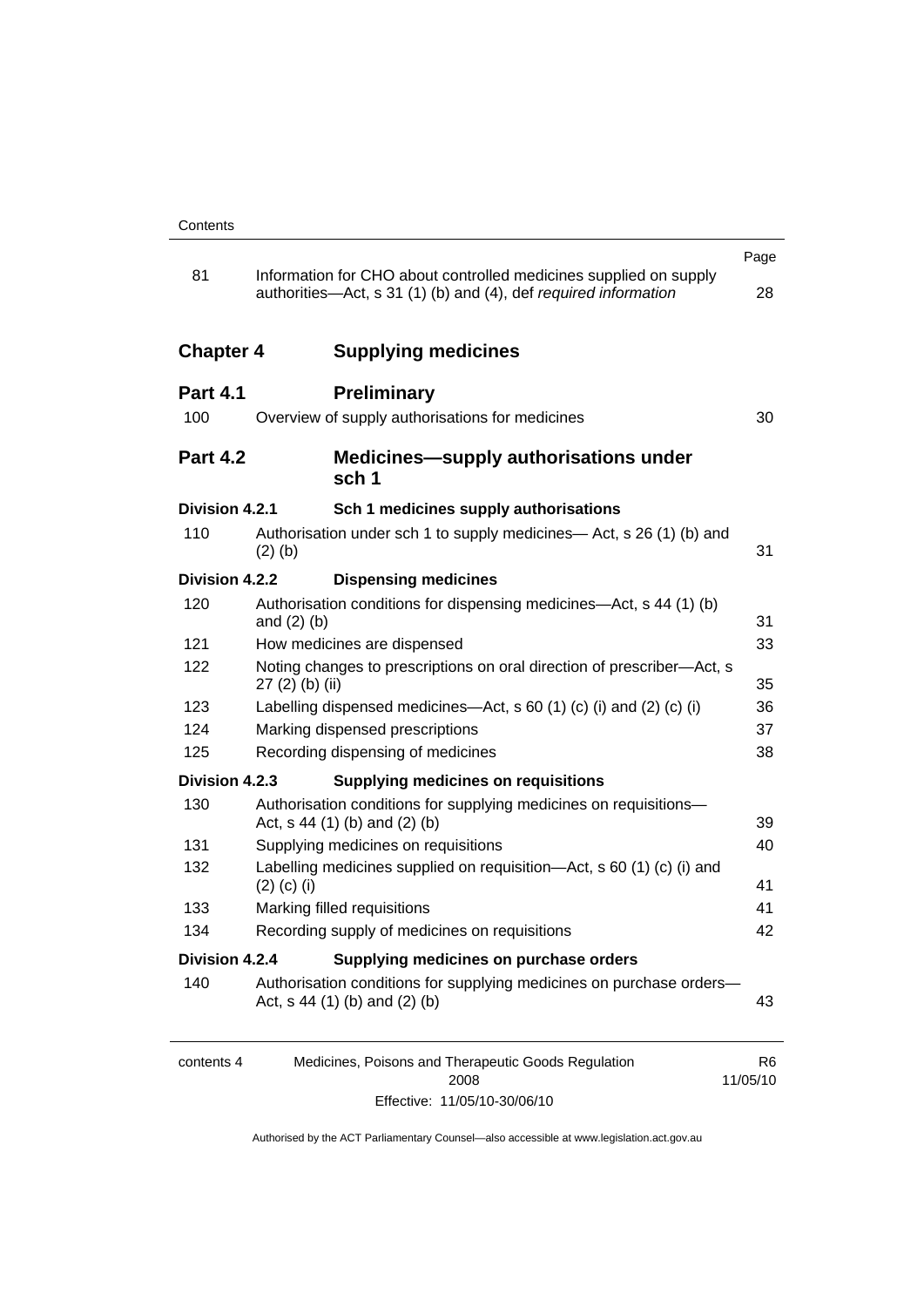|                  |                                                                                                                                      | Page           |
|------------------|--------------------------------------------------------------------------------------------------------------------------------------|----------------|
| 81               | Information for CHO about controlled medicines supplied on supply<br>authorities—Act, s 31 (1) (b) and (4), def required information | 28             |
| <b>Chapter 4</b> | <b>Supplying medicines</b>                                                                                                           |                |
| <b>Part 4.1</b>  | <b>Preliminary</b>                                                                                                                   |                |
| 100              | Overview of supply authorisations for medicines                                                                                      | 30             |
| <b>Part 4.2</b>  | Medicines-supply authorisations under<br>sch <sub>1</sub>                                                                            |                |
| Division 4.2.1   | Sch 1 medicines supply authorisations                                                                                                |                |
| 110              | Authorisation under sch 1 to supply medicines— Act, s 26 (1) (b) and<br>$(2)$ (b)                                                    | 31             |
| Division 4.2.2   | <b>Dispensing medicines</b>                                                                                                          |                |
| 120              | Authorisation conditions for dispensing medicines—Act, s 44 (1) (b)<br>and $(2)$ $(b)$                                               | 31             |
| 121              | How medicines are dispensed                                                                                                          | 33             |
| 122              | Noting changes to prescriptions on oral direction of prescriber-Act, s<br>27 (2) (b) (ii)                                            | 35             |
| 123              | Labelling dispensed medicines—Act, s 60 (1) (c) (i) and (2) (c) (i)                                                                  | 36             |
| 124              | Marking dispensed prescriptions                                                                                                      | 37             |
| 125              | Recording dispensing of medicines                                                                                                    | 38             |
| Division 4.2.3   | <b>Supplying medicines on requisitions</b>                                                                                           |                |
| 130              | Authorisation conditions for supplying medicines on requisitions-<br>Act, $s$ 44 (1) (b) and (2) (b)                                 | 39             |
| 131              | Supplying medicines on requisitions                                                                                                  | 40             |
| 132              | Labelling medicines supplied on requisition—Act, s 60 (1) (c) (i) and<br>$(2)$ (c) (i)                                               | 41             |
| 133              | Marking filled requisitions                                                                                                          | 41             |
| 134              | Recording supply of medicines on requisitions                                                                                        | 42             |
| Division 4.2.4   | Supplying medicines on purchase orders                                                                                               |                |
| 140              | Authorisation conditions for supplying medicines on purchase orders-<br>Act, $s$ 44 (1) (b) and (2) (b)                              | 43             |
| contents 4       | Medicines, Poisons and Therapeutic Goods Regulation<br>2008                                                                          | R6<br>11/05/10 |

Effective: 11/05/10-30/06/10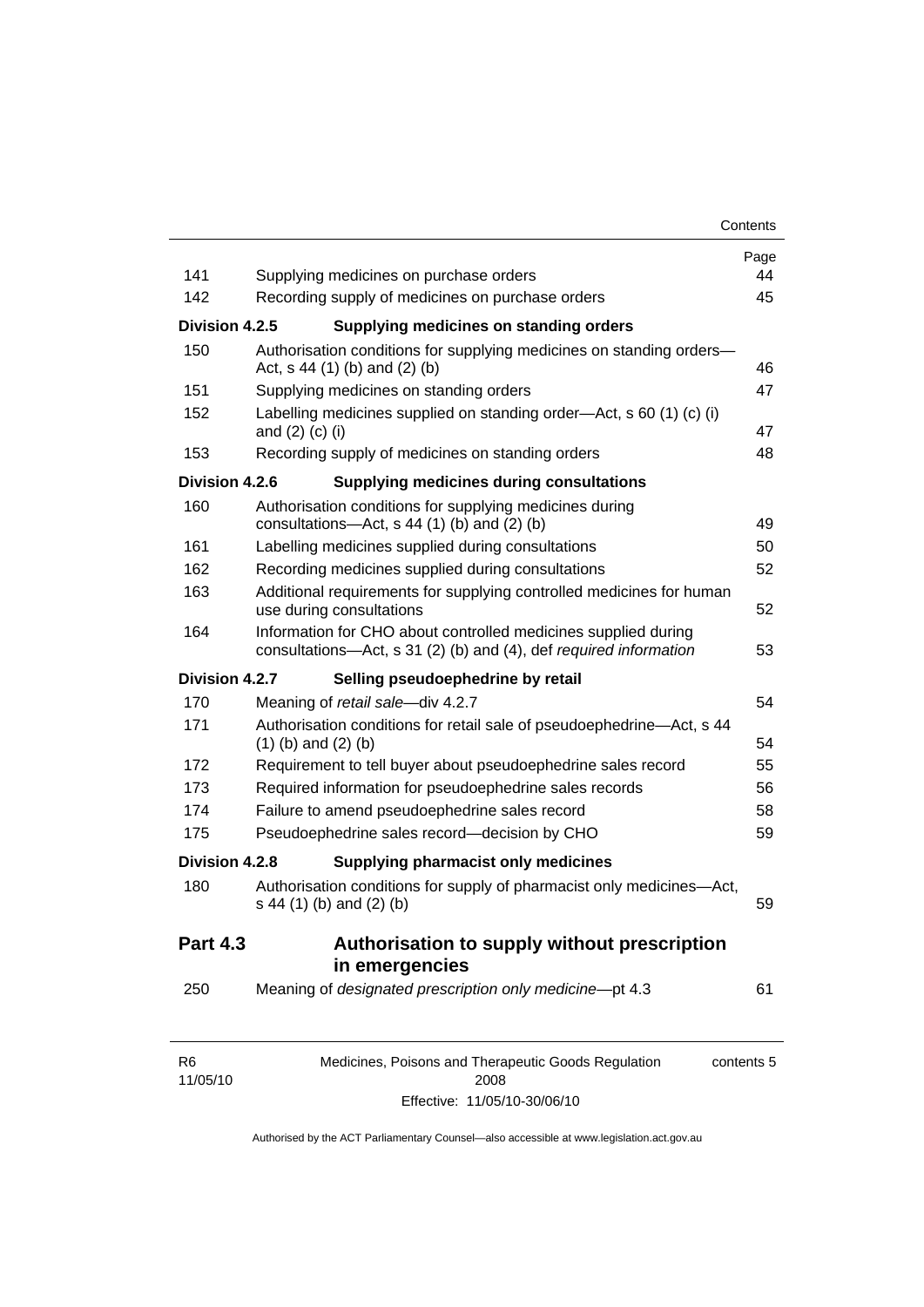| 141             | Supplying medicines on purchase orders                                                                                              | Page<br>44 |
|-----------------|-------------------------------------------------------------------------------------------------------------------------------------|------------|
| 142             | Recording supply of medicines on purchase orders                                                                                    | 45         |
| Division 4.2.5  | Supplying medicines on standing orders                                                                                              |            |
| 150             | Authorisation conditions for supplying medicines on standing orders-                                                                |            |
|                 | Act, s 44 (1) (b) and (2) (b)                                                                                                       | 46         |
| 151             | Supplying medicines on standing orders                                                                                              | 47         |
| 152             | Labelling medicines supplied on standing order—Act, s 60 (1) (c) (i)<br>and $(2)$ $(c)$ $(i)$                                       | 47         |
| 153             | Recording supply of medicines on standing orders                                                                                    | 48         |
| Division 4.2.6  | <b>Supplying medicines during consultations</b>                                                                                     |            |
| 160             | Authorisation conditions for supplying medicines during<br>consultations- $-\text{Act}$ , s 44 (1) (b) and (2) (b)                  | 49         |
| 161             | Labelling medicines supplied during consultations                                                                                   | 50         |
| 162             | Recording medicines supplied during consultations                                                                                   | 52         |
| 163             | Additional requirements for supplying controlled medicines for human<br>use during consultations                                    | 52         |
| 164             | Information for CHO about controlled medicines supplied during<br>consultations-Act, s 31 (2) (b) and (4), def required information | 53         |
| Division 4.2.7  | Selling pseudoephedrine by retail                                                                                                   |            |
| 170             | Meaning of retail sale-div 4.2.7                                                                                                    | 54         |
| 171             | Authorisation conditions for retail sale of pseudoephedrine—Act, s 44<br>$(1)$ (b) and $(2)$ (b)                                    | 54         |
| 172             | Requirement to tell buyer about pseudoephedrine sales record                                                                        | 55         |
| 173             | Required information for pseudoephedrine sales records                                                                              | 56         |
| 174             | Failure to amend pseudoephedrine sales record                                                                                       | 58         |
| 175             | Pseudoephedrine sales record-decision by CHO                                                                                        | 59         |
| Division 4.2.8  | Supplying pharmacist only medicines                                                                                                 |            |
| 180             | Authorisation conditions for supply of pharmacist only medicines-Act,<br>s 44 (1) (b) and (2) (b)                                   | 59         |
| <b>Part 4.3</b> | Authorisation to supply without prescription<br>in emergencies                                                                      |            |
| 250             | Meaning of designated prescription only medicine-pt 4.3                                                                             | 61         |
| R <sub>6</sub>  | Medicines, Poisons and Therapeutic Goods Regulation                                                                                 | contents 5 |

11/05/10 Medicines, Poisons and Therapeutic Goods Regulation contents 5 2008 Effective: 11/05/10-30/06/10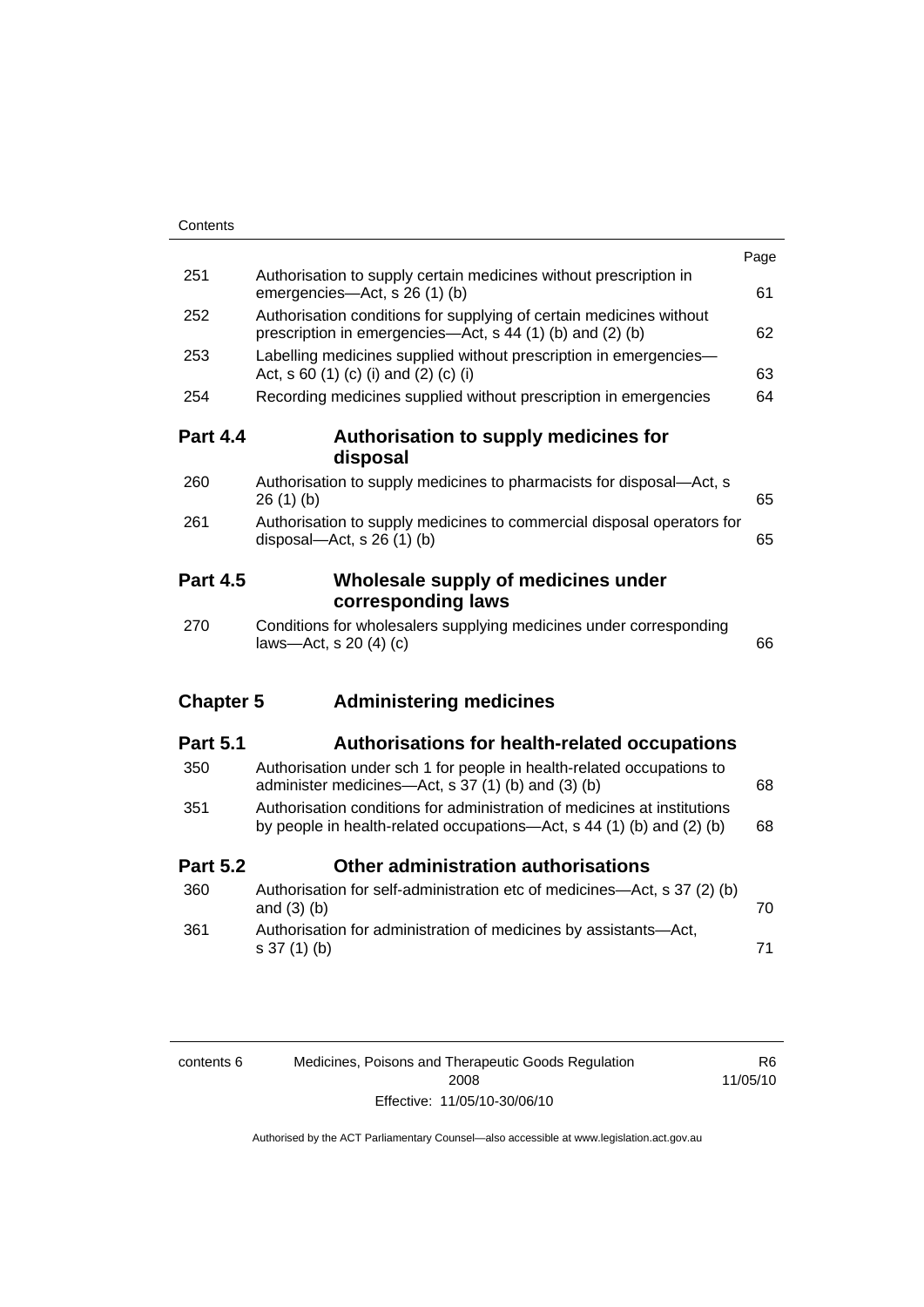| Contents         |                                                                                                                                                   |      |
|------------------|---------------------------------------------------------------------------------------------------------------------------------------------------|------|
|                  |                                                                                                                                                   | Page |
| 251              | Authorisation to supply certain medicines without prescription in<br>emergencies-Act, s 26 (1) (b)                                                | 61   |
| 252              | Authorisation conditions for supplying of certain medicines without<br>prescription in emergencies—Act, s 44 (1) (b) and (2) (b)                  | 62   |
| 253              | Labelling medicines supplied without prescription in emergencies-<br>Act, $s \, 60 \, (1) \, (c) \, (i)$ and $(2) \, (c) \, (i)$                  | 63   |
| 254              | Recording medicines supplied without prescription in emergencies                                                                                  | 64   |
| <b>Part 4.4</b>  | Authorisation to supply medicines for<br>disposal                                                                                                 |      |
| 260              | Authorisation to supply medicines to pharmacists for disposal-Act, s<br>26(1)(b)                                                                  | 65   |
| 261              | Authorisation to supply medicines to commercial disposal operators for<br>disposal-Act, s 26 (1) (b)                                              | 65   |
| <b>Part 4.5</b>  | Wholesale supply of medicines under<br>corresponding laws                                                                                         |      |
| 270              | Conditions for wholesalers supplying medicines under corresponding<br>laws-Act, s 20 (4) (c)                                                      | 66   |
| <b>Chapter 5</b> | <b>Administering medicines</b>                                                                                                                    |      |
| <b>Part 5.1</b>  | Authorisations for health-related occupations                                                                                                     |      |
| 350              | Authorisation under sch 1 for people in health-related occupations to<br>administer medicines—Act, s 37 (1) (b) and (3) (b)                       | 68   |
| 351              | Authorisation conditions for administration of medicines at institutions<br>by people in health-related occupations—Act, s 44 (1) (b) and (2) (b) | 68   |
| <b>Part 5.2</b>  | Other administration authorisations                                                                                                               |      |
| 360              | Authorisation for self-administration etc of medicines-Act, s 37 (2) (b)<br>and $(3)$ $(b)$                                                       | 70   |
| 361              | Authorisation for administration of medicines by assistants-Act,<br>$s 37(1)$ (b)                                                                 | 71   |
|                  |                                                                                                                                                   |      |

| contents 6 | Medicines, Poisons and Therapeutic Goods Regulation | R6       |
|------------|-----------------------------------------------------|----------|
|            | 2008                                                | 11/05/10 |
|            | Effective: 11/05/10-30/06/10                        |          |

R6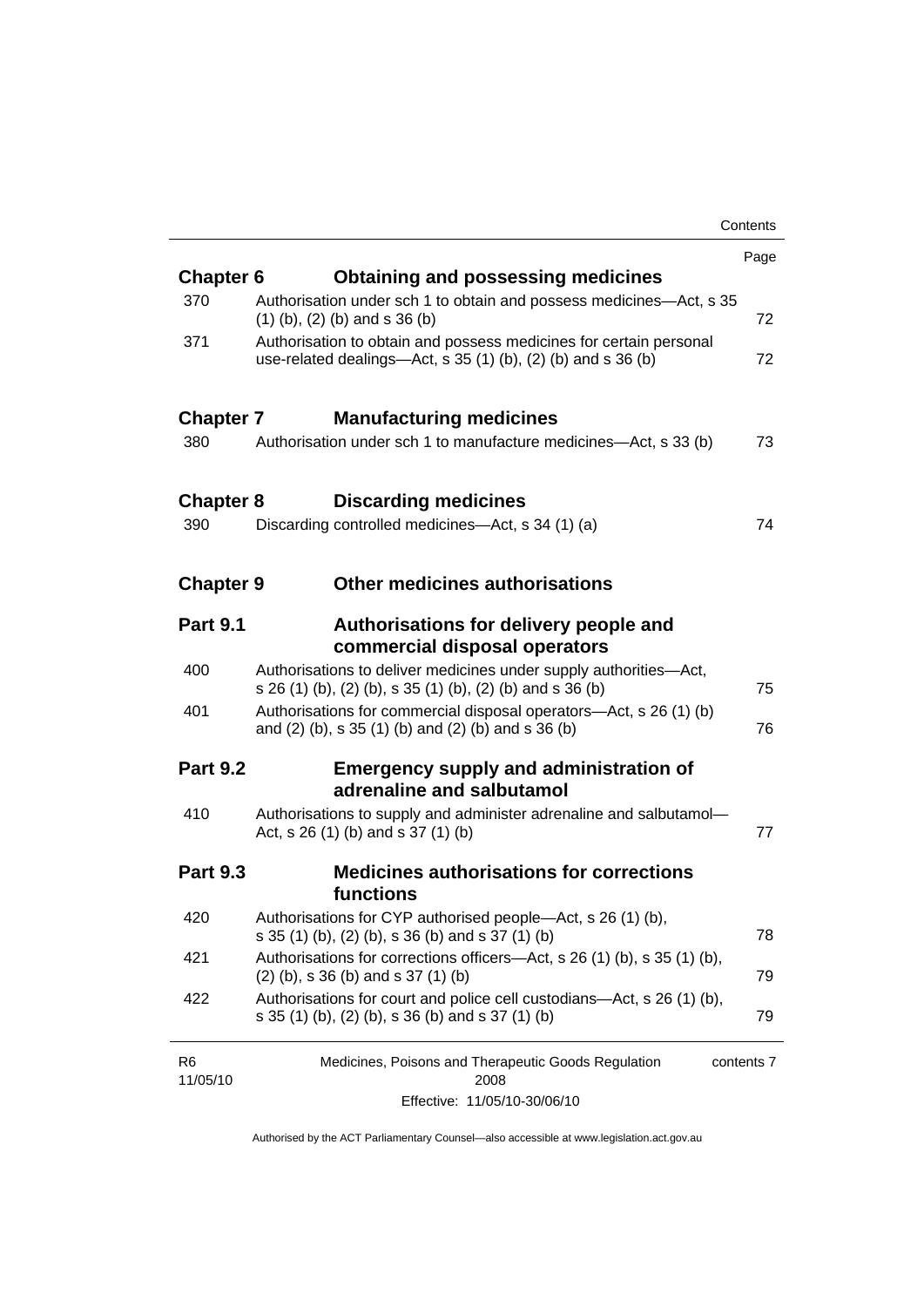|                            |                                                                                                                                       | Contents   |
|----------------------------|---------------------------------------------------------------------------------------------------------------------------------------|------------|
|                            |                                                                                                                                       | Page       |
| <b>Chapter 6</b>           | <b>Obtaining and possessing medicines</b>                                                                                             |            |
| 370                        | Authorisation under sch 1 to obtain and possess medicines-Act, s 35<br>$(1)$ (b), (2) (b) and s 36 (b)                                | 72         |
| 371                        | Authorisation to obtain and possess medicines for certain personal<br>use-related dealings—Act, s $35(1)(b)$ , $(2)(b)$ and s $36(b)$ | 72         |
| <b>Chapter 7</b>           | <b>Manufacturing medicines</b>                                                                                                        |            |
| 380                        | Authorisation under sch 1 to manufacture medicines—Act, s 33 (b)                                                                      | 73         |
| <b>Chapter 8</b>           | <b>Discarding medicines</b>                                                                                                           |            |
| 390                        | Discarding controlled medicines—Act, s 34 (1) (a)                                                                                     | 74         |
| <b>Chapter 9</b>           | Other medicines authorisations                                                                                                        |            |
| <b>Part 9.1</b>            | Authorisations for delivery people and<br>commercial disposal operators                                                               |            |
| 400                        | Authorisations to deliver medicines under supply authorities-Act,<br>s 26 (1) (b), (2) (b), s 35 (1) (b), (2) (b) and s 36 (b)        | 75         |
| 401                        | Authorisations for commercial disposal operators—Act, s 26 (1) (b)<br>and (2) (b), s 35 (1) (b) and (2) (b) and s 36 (b)              | 76         |
| <b>Part 9.2</b>            | <b>Emergency supply and administration of</b><br>adrenaline and salbutamol                                                            |            |
| 410                        | Authorisations to supply and administer adrenaline and salbutamol-<br>Act, s $26(1)$ (b) and s $37(1)$ (b)                            | 77         |
| <b>Part 9.3</b>            | <b>Medicines authorisations for corrections</b><br>functions                                                                          |            |
| 420                        | Authorisations for CYP authorised people-Act, s 26 (1) (b),<br>s 35 (1) (b), (2) (b), s 36 (b) and s 37 (1) (b)                       | 78         |
| 421                        | Authorisations for corrections officers-Act, s 26 (1) (b), s 35 (1) (b),<br>$(2)$ (b), s 36 (b) and s 37 (1) (b)                      | 79         |
| 422                        | Authorisations for court and police cell custodians-Act, s 26 (1) (b),<br>s 35 (1) (b), (2) (b), s 36 (b) and s 37 (1) (b)            | 79         |
| R <sub>6</sub><br>11/05/10 | Medicines, Poisons and Therapeutic Goods Regulation<br>2008                                                                           | contents 7 |
|                            | Effective: 11/05/10-30/06/10                                                                                                          |            |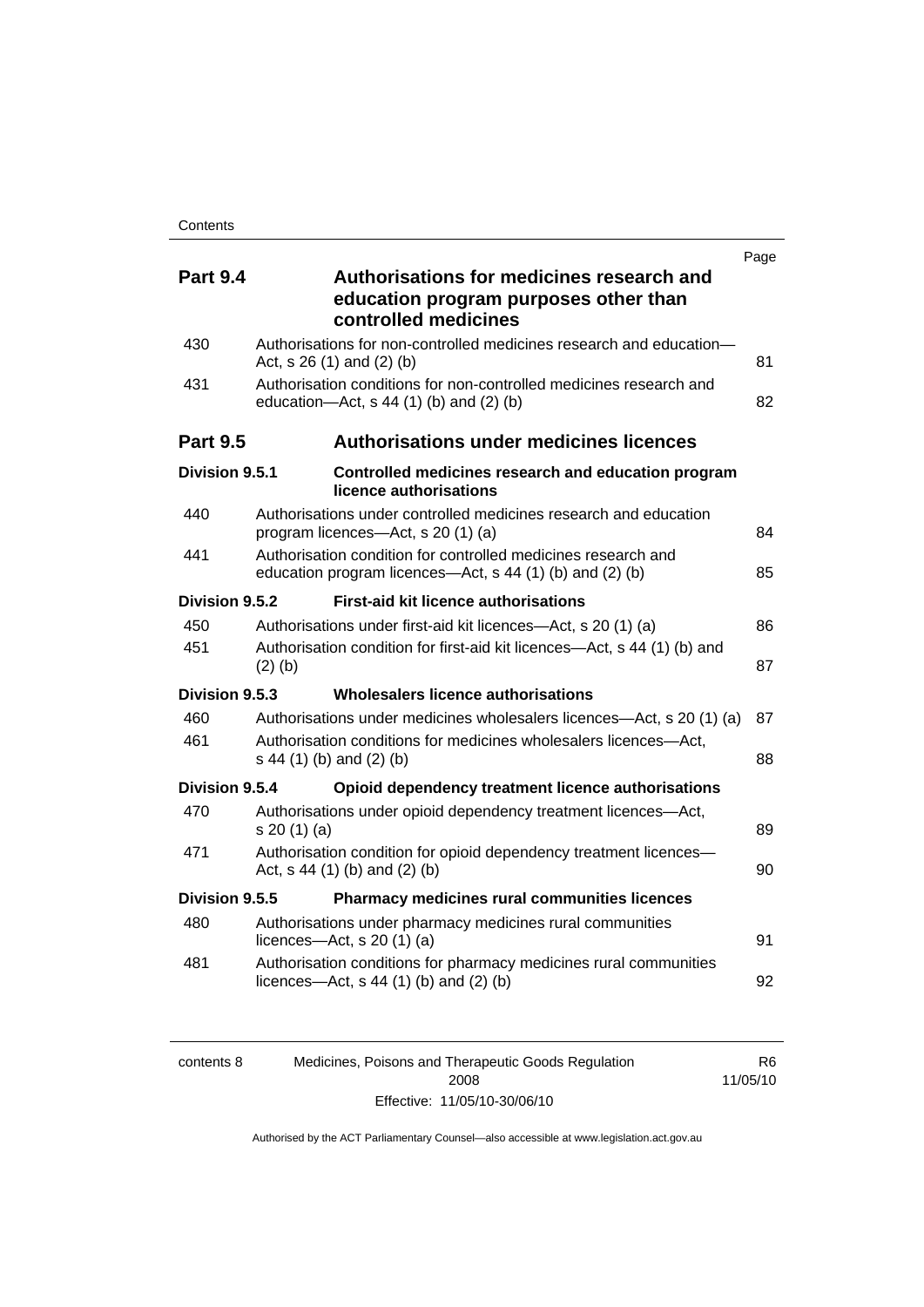|                 |                                                                                                                           | Page |
|-----------------|---------------------------------------------------------------------------------------------------------------------------|------|
| <b>Part 9.4</b> | Authorisations for medicines research and<br>education program purposes other than<br>controlled medicines                |      |
| 430             | Authorisations for non-controlled medicines research and education-<br>Act, s 26 (1) and (2) (b)                          | 81   |
| 431             | Authorisation conditions for non-controlled medicines research and<br>education- $Act$ , s 44 (1) (b) and (2) (b)         | 82   |
| <b>Part 9.5</b> | <b>Authorisations under medicines licences</b>                                                                            |      |
| Division 9.5.1  | Controlled medicines research and education program<br>licence authorisations                                             |      |
| 440             | Authorisations under controlled medicines research and education<br>program licences-Act, s 20 (1) (a)                    | 84   |
| 441             | Authorisation condition for controlled medicines research and<br>education program licences—Act, s 44 (1) (b) and (2) (b) | 85   |
| Division 9.5.2  | <b>First-aid kit licence authorisations</b>                                                                               |      |
| 450             | Authorisations under first-aid kit licences—Act, s 20 (1) (a)                                                             | 86   |
| 451             | Authorisation condition for first-aid kit licences-Act, s 44 (1) (b) and<br>$(2)$ (b)                                     | 87   |
| Division 9.5.3  | Wholesalers licence authorisations                                                                                        |      |
| 460             | Authorisations under medicines wholesalers licences—Act, s 20 (1) (a)                                                     | 87   |
| 461             | Authorisation conditions for medicines wholesalers licences-Act,<br>s 44 (1) (b) and (2) (b)                              | 88   |
| Division 9.5.4  | Opioid dependency treatment licence authorisations                                                                        |      |
| 470             | Authorisations under opioid dependency treatment licences-Act,<br>s 20(1)(a)                                              | 89   |
| 471             | Authorisation condition for opioid dependency treatment licences-<br>Act, $s$ 44 (1) (b) and (2) (b)                      | 90   |
| Division 9.5.5  | Pharmacy medicines rural communities licences                                                                             |      |
| 480             | Authorisations under pharmacy medicines rural communities<br>licences- $-\text{Act}$ , s 20 (1) (a)                       | 91   |
| 481             | Authorisation conditions for pharmacy medicines rural communities<br>licences—Act, $s$ 44 (1) (b) and (2) (b)             | 92   |

| contents 8 | Medicines, Poisons and Therapeutic Goods Regulation | R6       |
|------------|-----------------------------------------------------|----------|
|            | 2008                                                | 11/05/10 |
|            | Effective: 11/05/10-30/06/10                        |          |

R6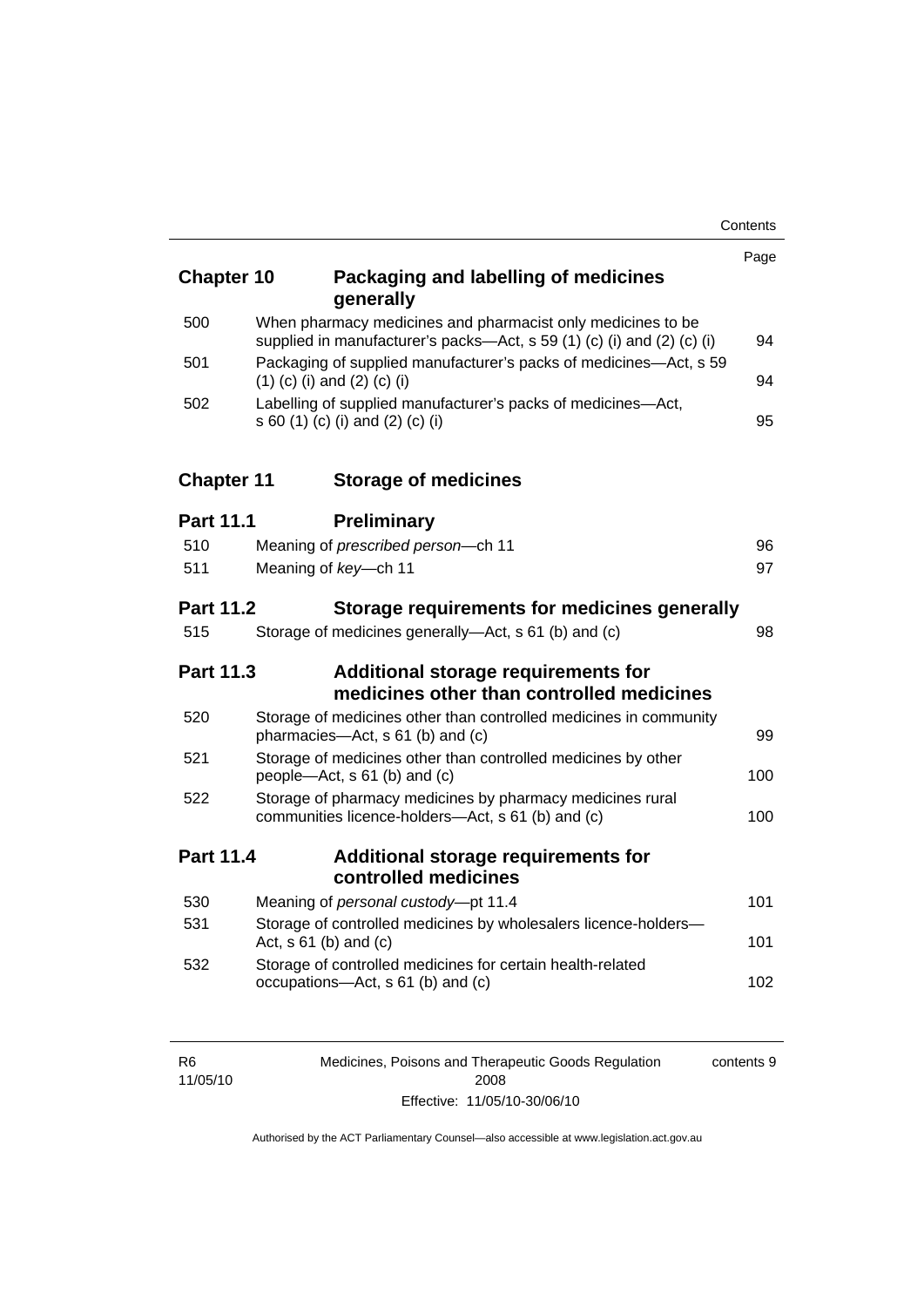| <b>Chapter 10</b> | Packaging and labelling of medicines<br>generally                                                                                     | Page |
|-------------------|---------------------------------------------------------------------------------------------------------------------------------------|------|
| 500               | When pharmacy medicines and pharmacist only medicines to be<br>supplied in manufacturer's packs-Act, s 59 (1) (c) (i) and (2) (c) (i) | 94   |
| 501               | Packaging of supplied manufacturer's packs of medicines-Act, s 59<br>$(1)$ (c) (i) and (2) (c) (i)                                    | 94   |
| 502               | Labelling of supplied manufacturer's packs of medicines-Act,<br>s 60 (1) (c) (i) and (2) (c) (i)                                      | 95   |
| <b>Chapter 11</b> | <b>Storage of medicines</b>                                                                                                           |      |
| <b>Part 11.1</b>  | <b>Preliminary</b>                                                                                                                    |      |
| 510               | Meaning of prescribed person-ch 11                                                                                                    | 96   |
| 511               | Meaning of key-ch 11                                                                                                                  | 97   |
| <b>Part 11.2</b>  | Storage requirements for medicines generally                                                                                          |      |
| 515               | Storage of medicines generally-Act, s 61 (b) and (c)                                                                                  | 98   |
| <b>Part 11.3</b>  | Additional storage requirements for<br>medicines other than controlled medicines                                                      |      |
| 520               | Storage of medicines other than controlled medicines in community<br>pharmacies-Act, s 61 (b) and (c)                                 | 99   |
| 521               | Storage of medicines other than controlled medicines by other<br>people—Act, s 61 (b) and (c)                                         | 100  |
| 522               | Storage of pharmacy medicines by pharmacy medicines rural<br>communities licence-holders-Act, s 61 (b) and (c)                        | 100  |
| <b>Part 11.4</b>  | <b>Additional storage requirements for</b><br>controlled medicines                                                                    |      |
| 530               | Meaning of personal custody-pt 11.4                                                                                                   | 101  |
| 531               | Storage of controlled medicines by wholesalers licence-holders-<br>Act, $s 61$ (b) and (c)                                            | 101  |
| 532               | Storage of controlled medicines for certain health-related<br>occupations-Act, s 61 (b) and (c)                                       | 102  |

| R <sub>6</sub> | Medicines, Poisons and Therapeutic Goods Regulation | contents 9 |
|----------------|-----------------------------------------------------|------------|
| 11/05/10       | 2008                                                |            |
|                | Effective: 11/05/10-30/06/10                        |            |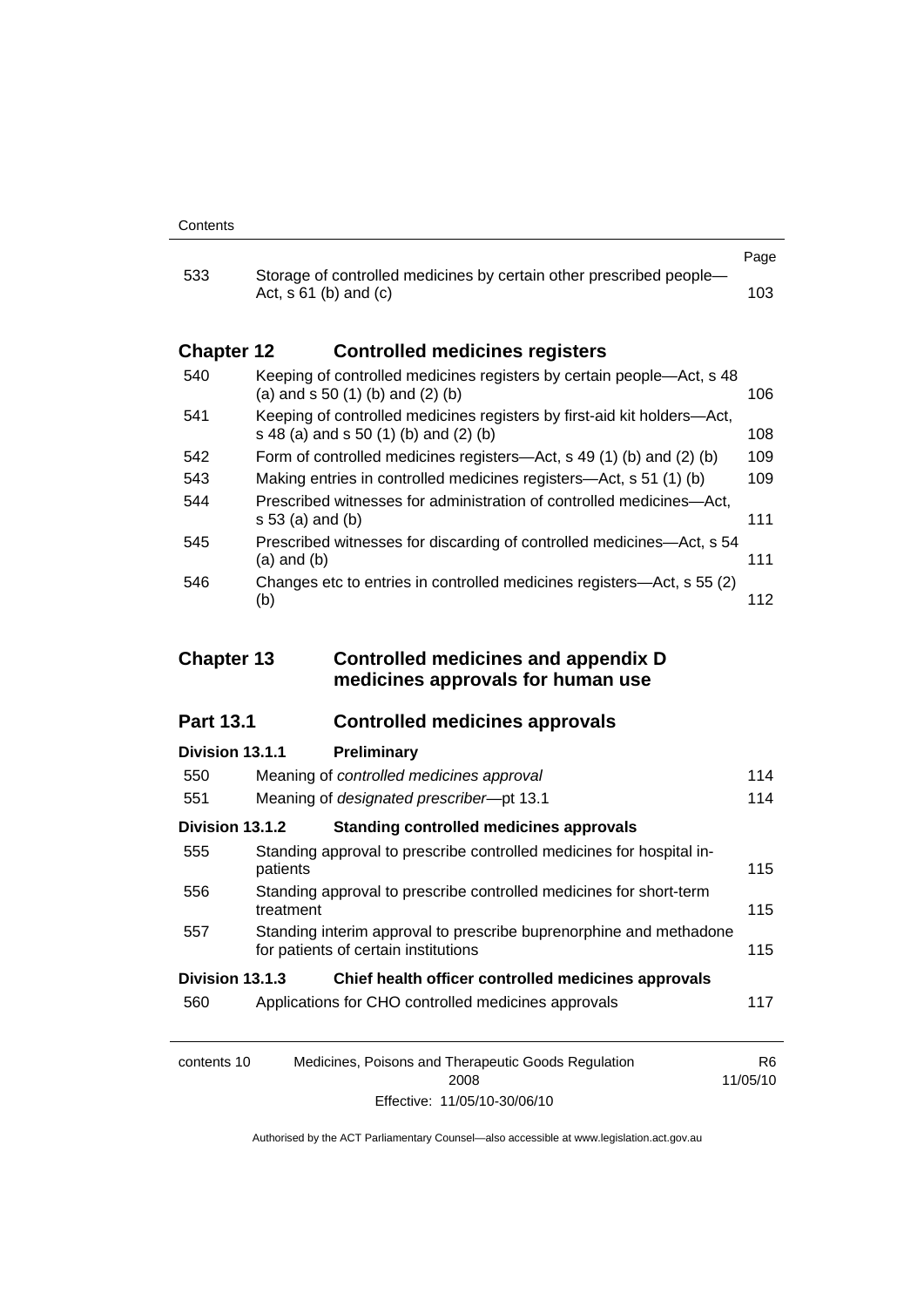|                   |                                                                                                                  | Page |
|-------------------|------------------------------------------------------------------------------------------------------------------|------|
| 533               | Storage of controlled medicines by certain other prescribed people-<br>Act, $s \, 61$ (b) and (c)                | 103. |
| <b>Chapter 12</b> | <b>Controlled medicines registers</b>                                                                            |      |
| 540               | Keeping of controlled medicines registers by certain people—Act, s 48<br>(a) and $s$ 50 (1) (b) and (2) (b)      | 106. |
| 541               | Keeping of controlled medicines registers by first-aid kit holders—Act,<br>s 48 (a) and s 50 (1) (b) and (2) (b) | 108  |
| 542               | Form of controlled medicines registers—Act, s 49 (1) (b) and (2) (b)                                             | 109  |
| 543               | Making entries in controlled medicines registers-Act, s 51 (1) (b)                                               | 109  |
| 544               | Prescribed witnesses for administration of controlled medicines—Act.<br>$s 53$ (a) and (b)                       | 111  |
| 545               | Prescribed witnesses for discarding of controlled medicines—Act, s 54<br>(a) and (b)                             | 111  |
| 546               | Changes etc to entries in controlled medicines registers—Act, s 55 (2)                                           |      |

(b) [112](#page-135-0)

### **Chapter 13 Controlled medicines and appendix D medicines approvals for human use**

## **Part 13.1 Controlled medicines approvals**

| Division 13.1.1  | Preliminary                                                                                                |     |
|------------------|------------------------------------------------------------------------------------------------------------|-----|
| 550              | Meaning of controlled medicines approval                                                                   | 114 |
| 551              | Meaning of designated prescriber-pt 13.1                                                                   | 114 |
| Division 13.1.2  | <b>Standing controlled medicines approvals</b>                                                             |     |
| 555              | Standing approval to prescribe controlled medicines for hospital in-<br>patients                           | 115 |
| 556              | Standing approval to prescribe controlled medicines for short-term<br>treatment                            | 115 |
| 557              | Standing interim approval to prescribe buprenorphine and methadone<br>for patients of certain institutions | 115 |
| Division 13.1.3  | Chief health officer controlled medicines approvals                                                        |     |
| 560              | Applications for CHO controlled medicines approvals                                                        | 117 |
| $\sim$ ntonto 10 | Modicines, Dejeans and Therepautic Ceade Pequiption                                                        | DC  |

| contents 10 | Medicines, Poisons and Therapeutic Goods Regulation | R6       |
|-------------|-----------------------------------------------------|----------|
|             | 2008                                                | 11/05/10 |
|             | Effective: 11/05/10-30/06/10                        |          |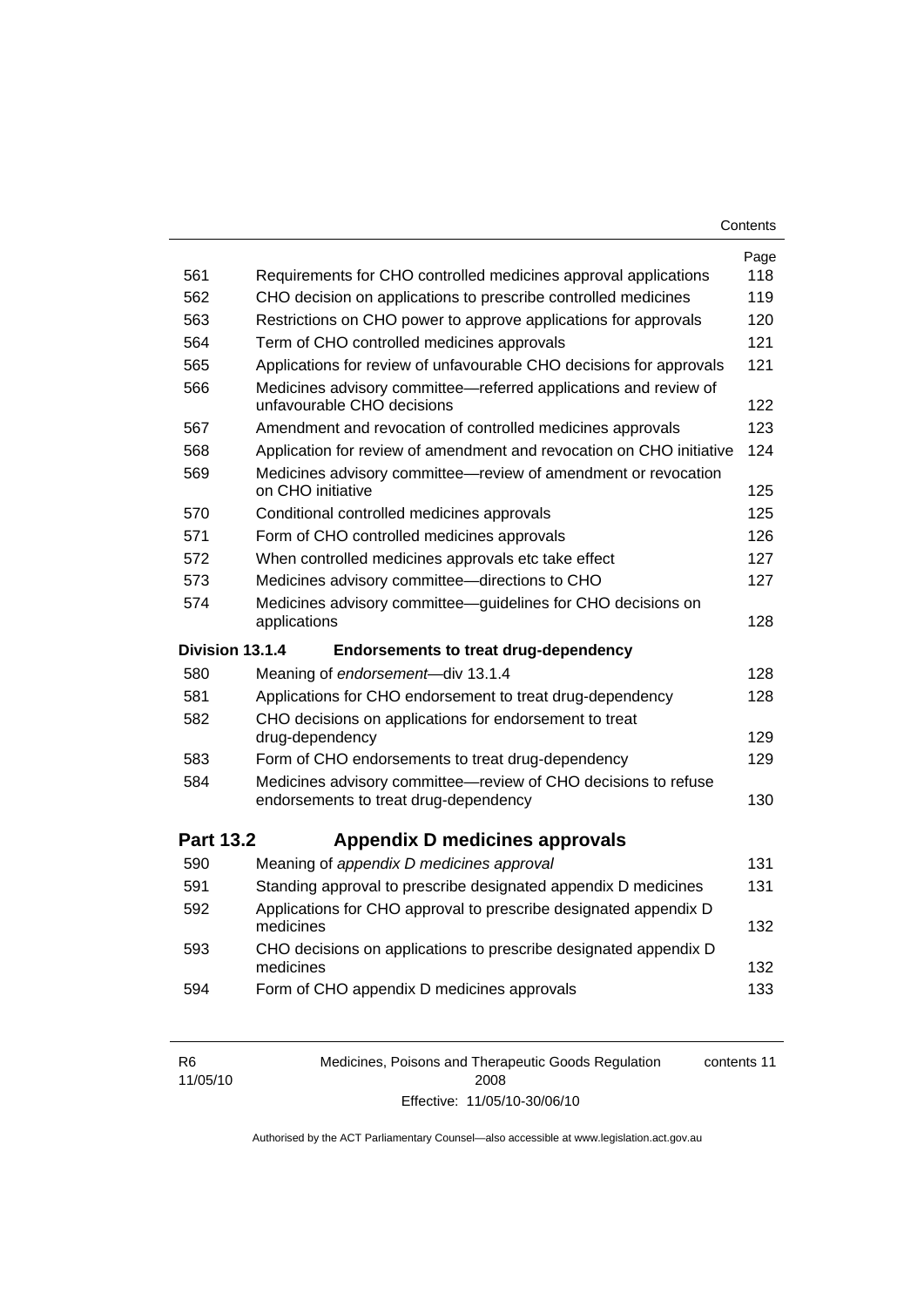| Contents |
|----------|
|----------|

|                  |                                                                                                         | Page |
|------------------|---------------------------------------------------------------------------------------------------------|------|
| 561              | Requirements for CHO controlled medicines approval applications                                         | 118  |
| 562              | CHO decision on applications to prescribe controlled medicines                                          | 119  |
| 563              | Restrictions on CHO power to approve applications for approvals                                         | 120  |
| 564              | Term of CHO controlled medicines approvals                                                              | 121  |
| 565              | Applications for review of unfavourable CHO decisions for approvals                                     | 121  |
| 566              | Medicines advisory committee-referred applications and review of<br>unfavourable CHO decisions          | 122  |
| 567              | Amendment and revocation of controlled medicines approvals                                              | 123  |
| 568              | Application for review of amendment and revocation on CHO initiative                                    | 124  |
| 569              | Medicines advisory committee-review of amendment or revocation<br>on CHO initiative                     | 125  |
| 570              | Conditional controlled medicines approvals                                                              | 125  |
| 571              | Form of CHO controlled medicines approvals                                                              | 126  |
| 572              | When controlled medicines approvals etc take effect                                                     | 127  |
| 573              | Medicines advisory committee-directions to CHO                                                          | 127  |
| 574              | Medicines advisory committee—guidelines for CHO decisions on<br>applications                            | 128  |
|                  |                                                                                                         |      |
| Division 13.1.4  | <b>Endorsements to treat drug-dependency</b>                                                            |      |
| 580              | Meaning of endorsement-div 13.1.4                                                                       | 128  |
| 581              | Applications for CHO endorsement to treat drug-dependency                                               | 128  |
| 582              | CHO decisions on applications for endorsement to treat<br>drug-dependency                               | 129  |
| 583              | Form of CHO endorsements to treat drug-dependency                                                       | 129  |
| 584              | Medicines advisory committee-review of CHO decisions to refuse<br>endorsements to treat drug-dependency | 130  |
| <b>Part 13.2</b> | Appendix D medicines approvals                                                                          |      |
| 590              | Meaning of appendix D medicines approval                                                                | 131  |
| 591              | Standing approval to prescribe designated appendix D medicines                                          | 131  |
| 592              | Applications for CHO approval to prescribe designated appendix D<br>medicines                           | 132  |
| 593              | CHO decisions on applications to prescribe designated appendix D<br>medicines                           | 132  |

| R <sub>6</sub> | Medicines, Poisons and Therapeutic Goods Regulation | contents 11 |
|----------------|-----------------------------------------------------|-------------|
| 11/05/10       | 2008                                                |             |
|                | Effective: 11/05/10-30/06/10                        |             |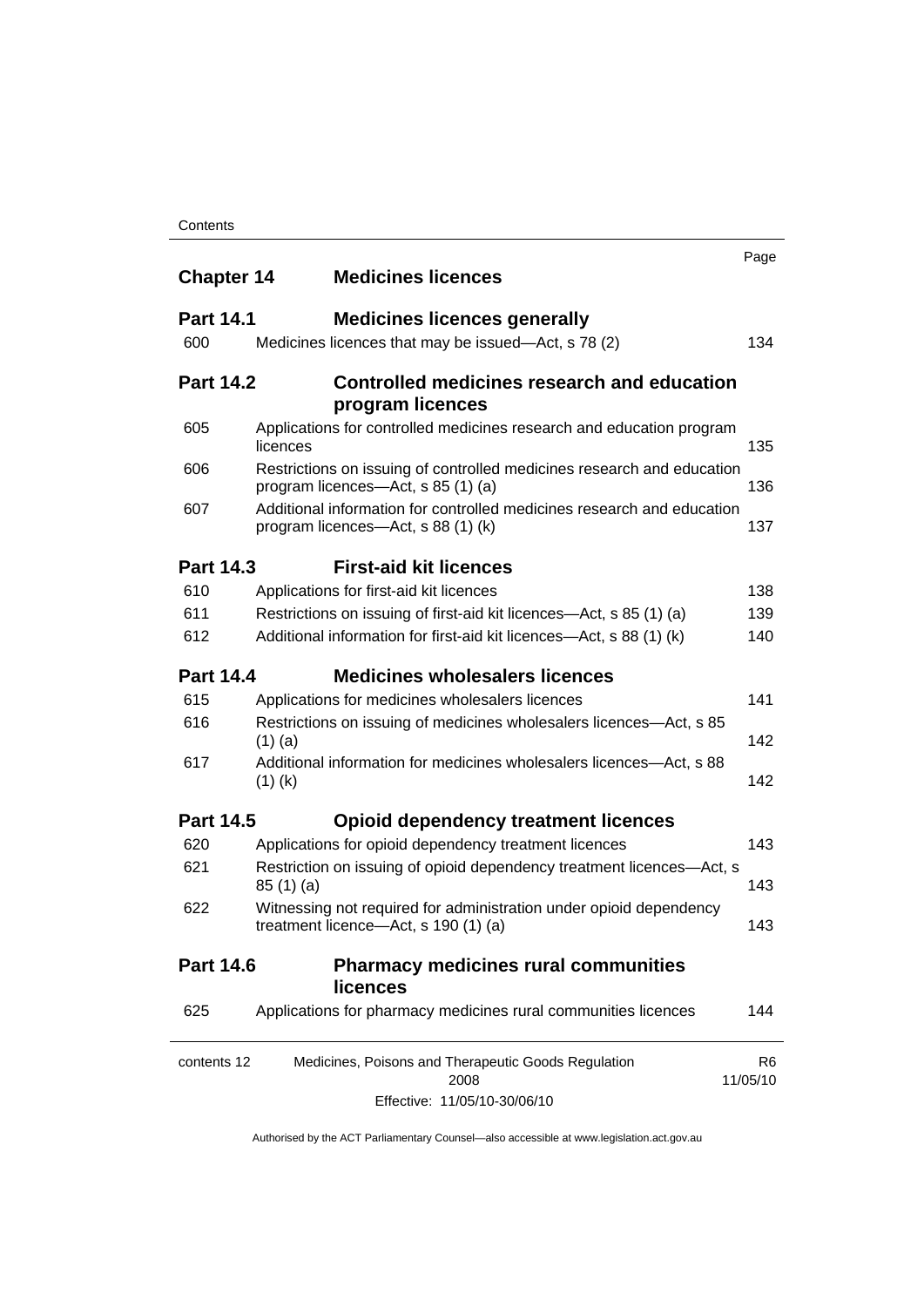| <b>Chapter 14</b> | <b>Medicines licences</b>                                                                                    | Page                       |
|-------------------|--------------------------------------------------------------------------------------------------------------|----------------------------|
| <b>Part 14.1</b>  | <b>Medicines licences generally</b>                                                                          |                            |
| 600               | Medicines licences that may be issued-Act, s 78 (2)                                                          | 134                        |
| <b>Part 14.2</b>  | Controlled medicines research and education<br>program licences                                              |                            |
| 605               | Applications for controlled medicines research and education program<br>licences                             | 135                        |
| 606               | Restrictions on issuing of controlled medicines research and education<br>program licences—Act, s 85 (1) (a) | 136                        |
| 607               | Additional information for controlled medicines research and education<br>program licences—Act, s 88 (1) (k) | 137                        |
| <b>Part 14.3</b>  | <b>First-aid kit licences</b>                                                                                |                            |
| 610               | Applications for first-aid kit licences                                                                      | 138                        |
| 611               | Restrictions on issuing of first-aid kit licences—Act, s 85 (1) (a)                                          | 139                        |
| 612               | Additional information for first-aid kit licences—Act, s 88 (1) (k)                                          | 140                        |
| <b>Part 14.4</b>  | <b>Medicines wholesalers licences</b>                                                                        |                            |
| 615               | Applications for medicines wholesalers licences                                                              | 141                        |
| 616               | Restrictions on issuing of medicines wholesalers licences—Act, s 85<br>$(1)$ (a)                             | 142                        |
| 617               | Additional information for medicines wholesalers licences—Act, s 88<br>$(1)$ (k)                             | 142                        |
| <b>Part 14.5</b>  | <b>Opioid dependency treatment licences</b>                                                                  |                            |
| 620               | Applications for opioid dependency treatment licences                                                        | 143                        |
| 621               | Restriction on issuing of opioid dependency treatment licences-Act, s<br>85(1)(a)                            | 143                        |
| 622               | Witnessing not required for administration under opioid dependency<br>treatment licence-Act, s 190 (1) (a)   | 143                        |
| <b>Part 14.6</b>  | <b>Pharmacy medicines rural communities</b><br><b>licences</b>                                               |                            |
| 625               | Applications for pharmacy medicines rural communities licences                                               | 144                        |
| contents 12       | Medicines, Poisons and Therapeutic Goods Regulation<br>2008                                                  | R <sub>6</sub><br>11/05/10 |
|                   | Effective: 11/05/10-30/06/10                                                                                 |                            |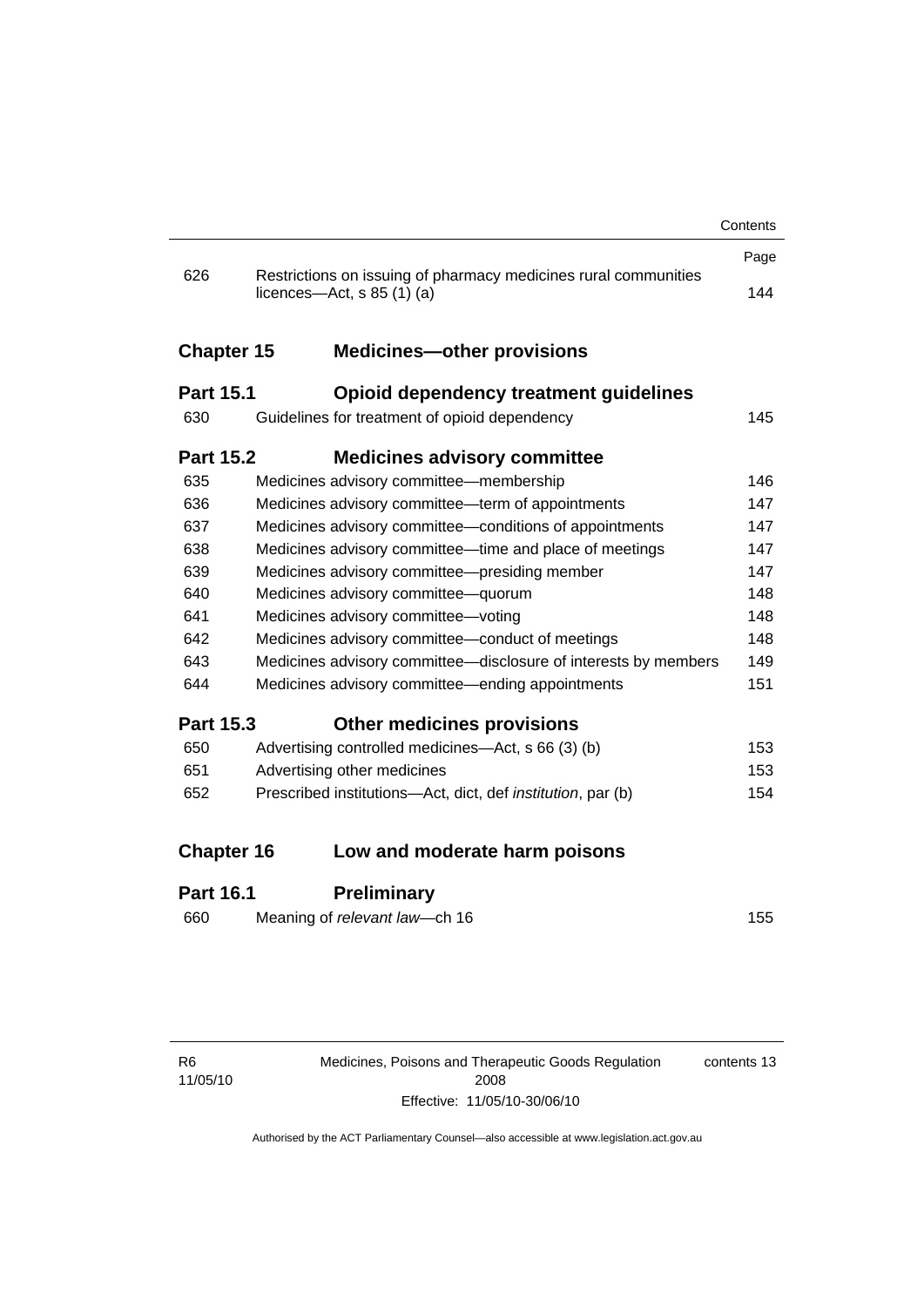|                   |                                                                                                          | Contents |
|-------------------|----------------------------------------------------------------------------------------------------------|----------|
|                   |                                                                                                          | Page     |
| 626               | Restrictions on issuing of pharmacy medicines rural communities<br>licences- $-\text{Act}, s 85 (1) (a)$ | 144      |
| <b>Chapter 15</b> | <b>Medicines-other provisions</b>                                                                        |          |
| <b>Part 15.1</b>  | <b>Opioid dependency treatment guidelines</b>                                                            |          |
| 630               | Guidelines for treatment of opioid dependency                                                            | 145      |
| <b>Part 15.2</b>  | <b>Medicines advisory committee</b>                                                                      |          |
| 635               | Medicines advisory committee-membership                                                                  | 146      |
| 636               | Medicines advisory committee—term of appointments                                                        | 147      |
| 637               | Medicines advisory committee-conditions of appointments                                                  | 147      |
| 638               | Medicines advisory committee—time and place of meetings                                                  | 147      |
| 639               | Medicines advisory committee-presiding member                                                            | 147      |
| 640               | Medicines advisory committee-quorum                                                                      | 148      |
| 641               | Medicines advisory committee-voting                                                                      | 148      |
| 642               | Medicines advisory committee-conduct of meetings                                                         | 148      |
| 643               | Medicines advisory committee-disclosure of interests by members                                          | 149      |
| 644               | Medicines advisory committee—ending appointments                                                         | 151      |
| <b>Part 15.3</b>  | <b>Other medicines provisions</b>                                                                        |          |
| 650               | Advertising controlled medicines—Act, s 66 (3) (b)                                                       | 153      |
| 651               | Advertising other medicines                                                                              | 153      |
| 652               | Prescribed institutions-Act, dict, def institution, par (b)                                              | 154      |
| <b>Chapter 16</b> | Low and moderate harm poisons                                                                            |          |
|                   |                                                                                                          |          |
| Part 16.1         | Preliminarv                                                                                              |          |

### **Part 16.1 Preliminary**

| 660 | Meaning of relevant law—ch 16 | 155 |
|-----|-------------------------------|-----|
|     |                               |     |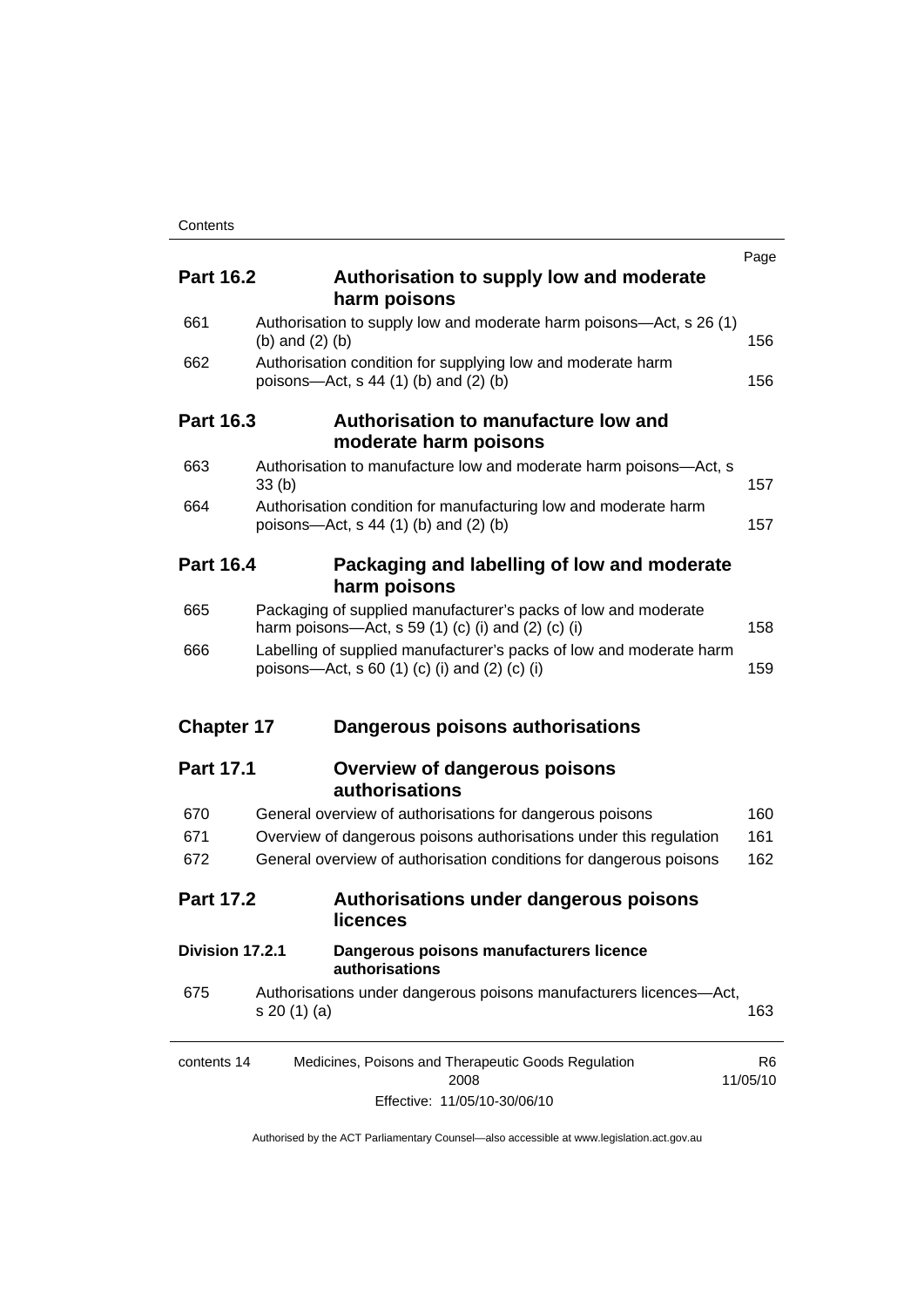|                   |                   |                                                                                                                                  | Page                       |
|-------------------|-------------------|----------------------------------------------------------------------------------------------------------------------------------|----------------------------|
| <b>Part 16.2</b>  |                   | Authorisation to supply low and moderate<br>harm poisons                                                                         |                            |
| 661               |                   | Authorisation to supply low and moderate harm poisons—Act, s 26 (1)                                                              |                            |
|                   | (b) and $(2)$ (b) |                                                                                                                                  | 156                        |
| 662               |                   | Authorisation condition for supplying low and moderate harm<br>poisons-Act, $s$ 44 (1) (b) and (2) (b)                           | 156                        |
| <b>Part 16.3</b>  |                   | Authorisation to manufacture low and<br>moderate harm poisons                                                                    |                            |
| 663               | 33(b)             | Authorisation to manufacture low and moderate harm poisons-Act, s                                                                | 157                        |
| 664               |                   | Authorisation condition for manufacturing low and moderate harm<br>poisons—Act, s 44 (1) (b) and (2) (b)                         | 157                        |
| <b>Part 16.4</b>  |                   | Packaging and labelling of low and moderate<br>harm poisons                                                                      |                            |
| 665               |                   | Packaging of supplied manufacturer's packs of low and moderate<br>harm poisons—Act, s 59 $(1)$ $(c)$ $(i)$ and $(2)$ $(c)$ $(i)$ | 158                        |
| 666               |                   | Labelling of supplied manufacturer's packs of low and moderate harm<br>poisons—Act, s 60 (1) (c) (i) and (2) (c) (i)             | 159                        |
| <b>Chapter 17</b> |                   | Dangerous poisons authorisations                                                                                                 |                            |
| <b>Part 17.1</b>  |                   | <b>Overview of dangerous poisons</b><br>authorisations                                                                           |                            |
| 670               |                   | General overview of authorisations for dangerous poisons                                                                         | 160                        |
| 671               |                   | Overview of dangerous poisons authorisations under this regulation                                                               | 161                        |
| 672               |                   | General overview of authorisation conditions for dangerous poisons                                                               | 162                        |
| <b>Part 17.2</b>  | licences          | Authorisations under dangerous poisons                                                                                           |                            |
| Division 17.2.1   |                   | Dangerous poisons manufacturers licence<br>authorisations                                                                        |                            |
| 675               | s 20 (1) (a)      | Authorisations under dangerous poisons manufacturers licences-Act,                                                               | 163                        |
| contents 14       |                   | Medicines, Poisons and Therapeutic Goods Regulation<br>2008                                                                      | R <sub>6</sub><br>11/05/10 |
|                   |                   | Effective: 11/05/10-30/06/10                                                                                                     |                            |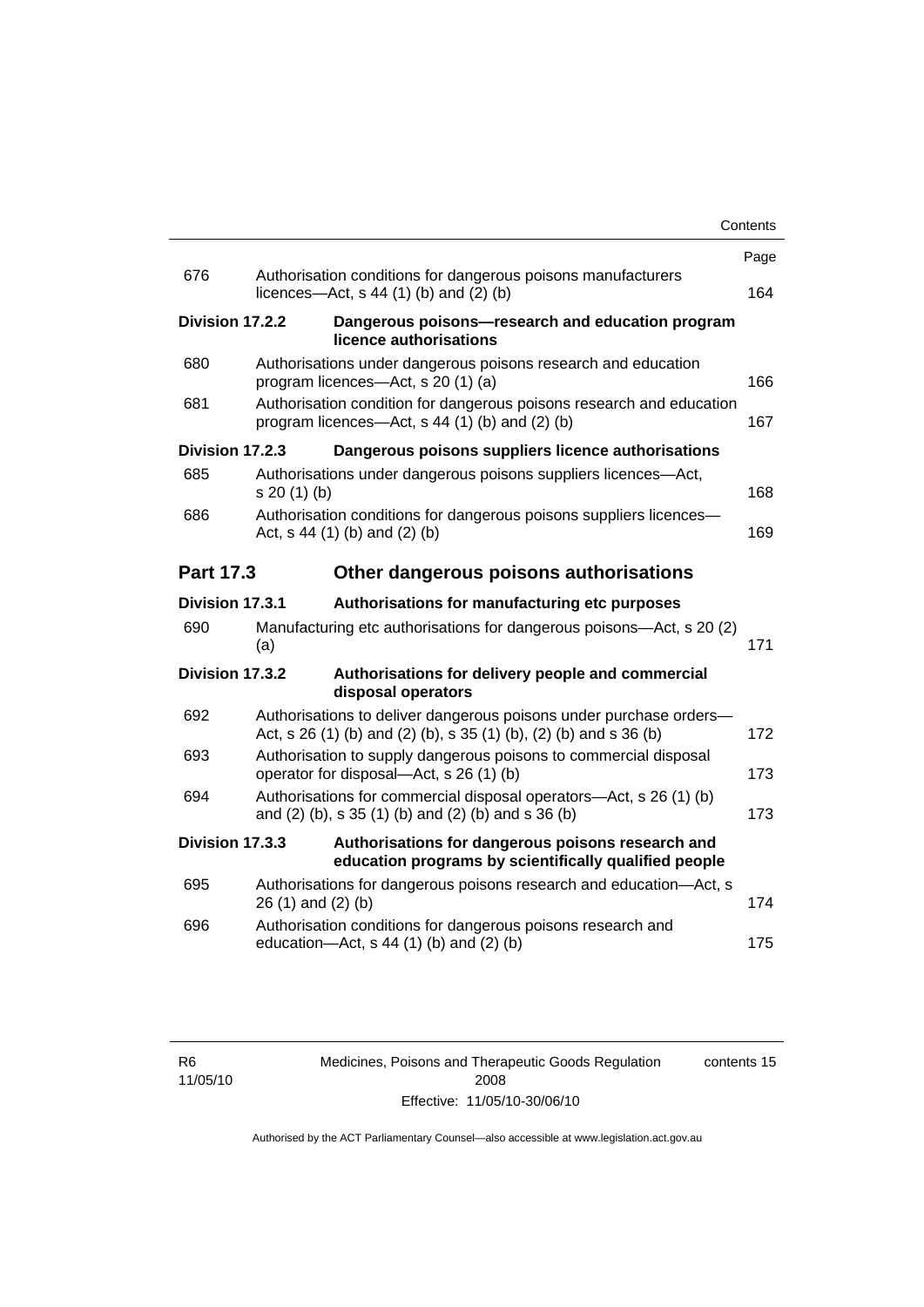|                  |                 |                                                                                                                                         | Contents |
|------------------|-----------------|-----------------------------------------------------------------------------------------------------------------------------------------|----------|
|                  |                 |                                                                                                                                         | Page     |
| 676              |                 | Authorisation conditions for dangerous poisons manufacturers<br>licences- $-\text{Act}$ , s 44 (1) (b) and (2) (b)                      | 164      |
|                  | Division 17.2.2 | Dangerous poisons-research and education program<br>licence authorisations                                                              |          |
| 680              |                 | Authorisations under dangerous poisons research and education<br>program licences—Act, s 20 (1) (a)                                     | 166      |
| 681              |                 | Authorisation condition for dangerous poisons research and education<br>program licences—Act, s 44 (1) (b) and (2) (b)                  | 167      |
|                  | Division 17.2.3 | Dangerous poisons suppliers licence authorisations                                                                                      |          |
| 685              | s 20 (1) (b)    | Authorisations under dangerous poisons suppliers licences—Act,                                                                          | 168      |
| 686              |                 | Authorisation conditions for dangerous poisons suppliers licences-<br>Act, $s$ 44 (1) (b) and (2) (b)                                   | 169      |
| <b>Part 17.3</b> |                 | Other dangerous poisons authorisations                                                                                                  |          |
|                  | Division 17.3.1 | Authorisations for manufacturing etc purposes                                                                                           |          |
| 690              | (a)             | Manufacturing etc authorisations for dangerous poisons—Act, s 20 (2)                                                                    | 171      |
|                  | Division 17.3.2 | Authorisations for delivery people and commercial<br>disposal operators                                                                 |          |
| 692              |                 | Authorisations to deliver dangerous poisons under purchase orders-<br>Act, s 26 (1) (b) and (2) (b), s 35 (1) (b), (2) (b) and s 36 (b) | 172      |
| 693              |                 | Authorisation to supply dangerous poisons to commercial disposal<br>operator for disposal—Act, s 26 (1) (b)                             | 173      |
| 694              |                 | Authorisations for commercial disposal operators-Act, s 26 (1) (b)<br>and $(2)$ (b), s 35 $(1)$ (b) and $(2)$ (b) and s 36 (b)          | 173      |
|                  | Division 17.3.3 | Authorisations for dangerous poisons research and<br>education programs by scientifically qualified people                              |          |
| 695              |                 | Authorisations for dangerous poisons research and education-Act, s<br>26 (1) and (2) (b)                                                | 174      |
| 696              |                 | Authorisation conditions for dangerous poisons research and<br>education-Act, s 44 (1) (b) and (2) (b)                                  | 175      |
|                  |                 |                                                                                                                                         |          |

Medicines, Poisons and Therapeutic Goods Regulation 2008 Effective: 11/05/10-30/06/10 contents 15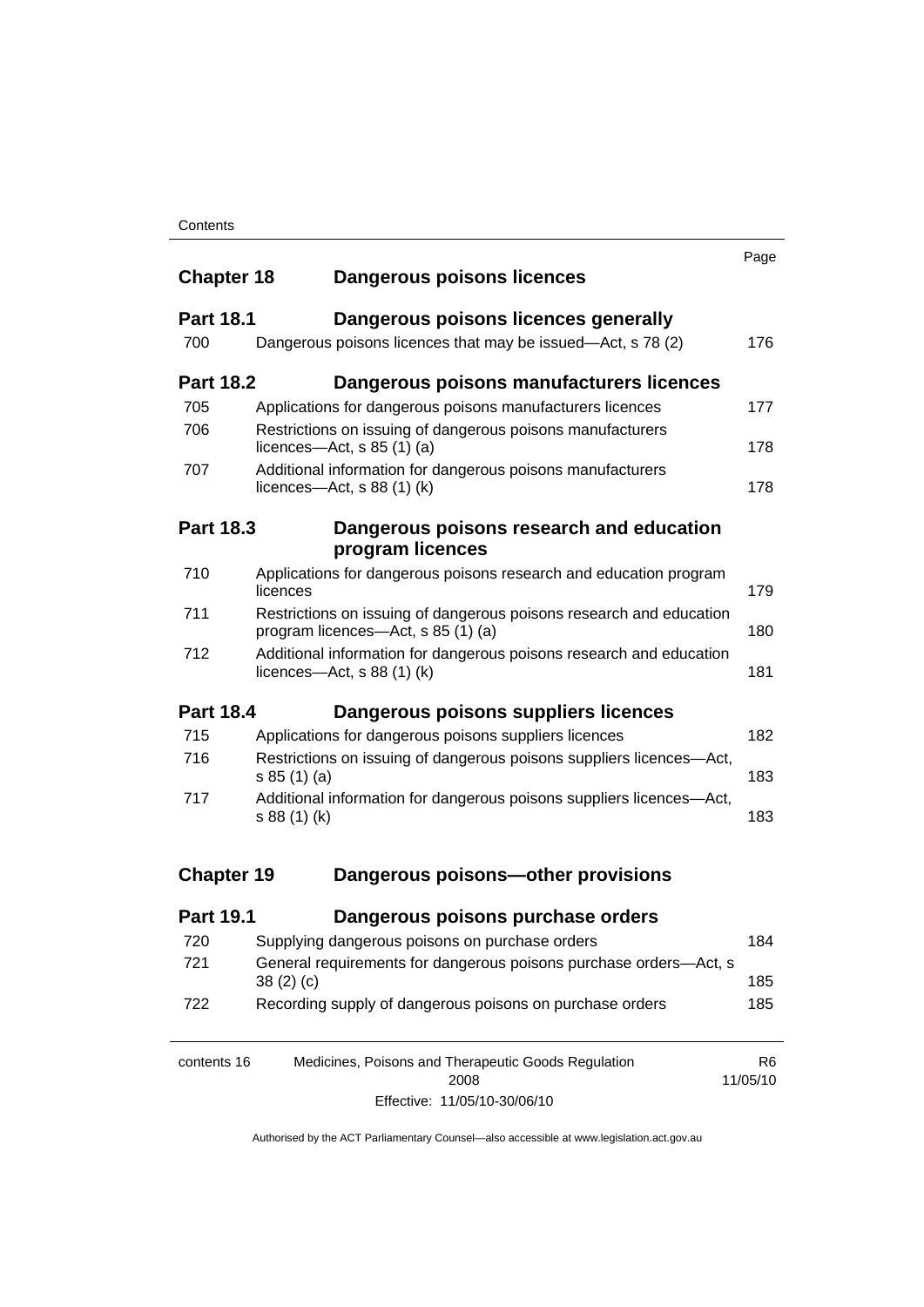| <b>Chapter 18</b> | Dangerous poisons licences                                                                                | Page                       |
|-------------------|-----------------------------------------------------------------------------------------------------------|----------------------------|
| <b>Part 18.1</b>  | Dangerous poisons licences generally                                                                      |                            |
| 700               | Dangerous poisons licences that may be issued-Act, s 78 (2)                                               | 176                        |
| <b>Part 18.2</b>  | Dangerous poisons manufacturers licences                                                                  |                            |
| 705               | Applications for dangerous poisons manufacturers licences                                                 | 177                        |
| 706               | Restrictions on issuing of dangerous poisons manufacturers<br>licences—Act, $s$ 85 (1) (a)                | 178                        |
| 707               | Additional information for dangerous poisons manufacturers<br>licences—Act, $s$ 88 (1) (k)                | 178                        |
| <b>Part 18.3</b>  | Dangerous poisons research and education<br>program licences                                              |                            |
| 710               | Applications for dangerous poisons research and education program<br>licences                             | 179                        |
| 711               | Restrictions on issuing of dangerous poisons research and education<br>program licences—Act, s 85 (1) (a) | 180                        |
| 712               | Additional information for dangerous poisons research and education<br>licences—Act, $s$ 88 (1) (k)       | 181                        |
| <b>Part 18.4</b>  | Dangerous poisons suppliers licences                                                                      |                            |
| 715               | Applications for dangerous poisons suppliers licences                                                     | 182                        |
| 716               | Restrictions on issuing of dangerous poisons suppliers licences-Act,<br>s 85(1)(a)                        | 183                        |
| 717               | Additional information for dangerous poisons suppliers licences-Act,<br>s 88 (1) (k)                      | 183                        |
| <b>Chapter 19</b> | Dangerous poisons-other provisions                                                                        |                            |
| <b>Part 19.1</b>  | Dangerous poisons purchase orders                                                                         |                            |
| 720               | Supplying dangerous poisons on purchase orders                                                            | 184                        |
| 721               | General requirements for dangerous poisons purchase orders-Act, s<br>38(2)(c)                             | 185                        |
| 722               | Recording supply of dangerous poisons on purchase orders                                                  | 185                        |
| contents 16       | Medicines, Poisons and Therapeutic Goods Regulation<br>2008                                               | R <sub>6</sub><br>11/05/10 |

Effective: 11/05/10-30/06/10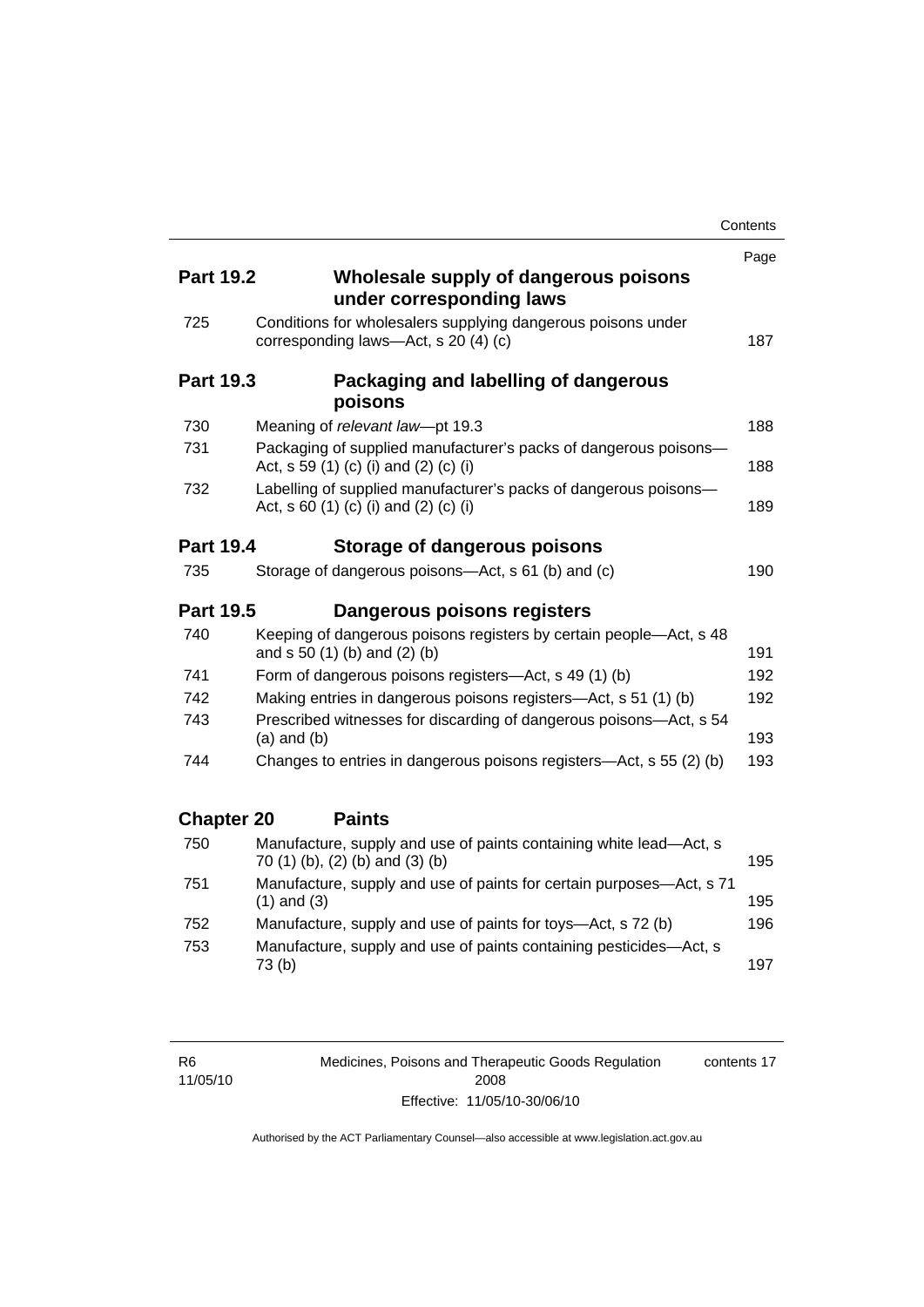|                   |                                                                                                           | Contents |
|-------------------|-----------------------------------------------------------------------------------------------------------|----------|
|                   |                                                                                                           | Page     |
| <b>Part 19.2</b>  | Wholesale supply of dangerous poisons<br>under corresponding laws                                         |          |
| 725               | Conditions for wholesalers supplying dangerous poisons under<br>corresponding laws-Act, s 20 (4) (c)      | 187      |
| <b>Part 19.3</b>  | Packaging and labelling of dangerous<br>poisons                                                           |          |
| 730               | Meaning of relevant law-pt 19.3                                                                           | 188      |
| 731               | Packaging of supplied manufacturer's packs of dangerous poisons-<br>Act, s 59 (1) (c) (i) and (2) (c) (i) | 188      |
| 732               | Labelling of supplied manufacturer's packs of dangerous poisons-<br>Act, s 60 (1) (c) (i) and (2) (c) (i) | 189      |
| <b>Part 19.4</b>  | Storage of dangerous poisons                                                                              |          |
| 735               | Storage of dangerous poisons-Act, s 61 (b) and (c)                                                        | 190      |
| <b>Part 19.5</b>  | Dangerous poisons registers                                                                               |          |
| 740               | Keeping of dangerous poisons registers by certain people-Act, s 48<br>and s 50 (1) (b) and (2) (b)        | 191      |
| 741               | Form of dangerous poisons registers-Act, s 49 (1) (b)                                                     | 192      |
| 742               | Making entries in dangerous poisons registers—Act, s 51 (1) (b)                                           | 192      |
| 743               | Prescribed witnesses for discarding of dangerous poisons-Act, s 54<br>$(a)$ and $(b)$                     | 193      |
| 744               | Changes to entries in dangerous poisons registers-Act, s 55 (2) (b)                                       | 193      |
| <b>Chapter 20</b> | <b>Paints</b>                                                                                             |          |
| 750               | Manufacture, supply and use of paints containing white lead-Act, s<br>70 (1) (b), (2) (b) and (3) (b)     | 195      |
| 751               | Manufacture, supply and use of paints for certain purposes-Act, s 71<br>$(1)$ and $(3)$                   | 195      |
| 752               | Manufacture, supply and use of paints for toys—Act, s 72 (b)                                              | 196      |
| 753               | Manufacture, supply and use of paints containing pesticides-Act, s<br>73(b)                               | 197      |

Medicines, Poisons and Therapeutic Goods Regulation 2008 Effective: 11/05/10-30/06/10 contents 17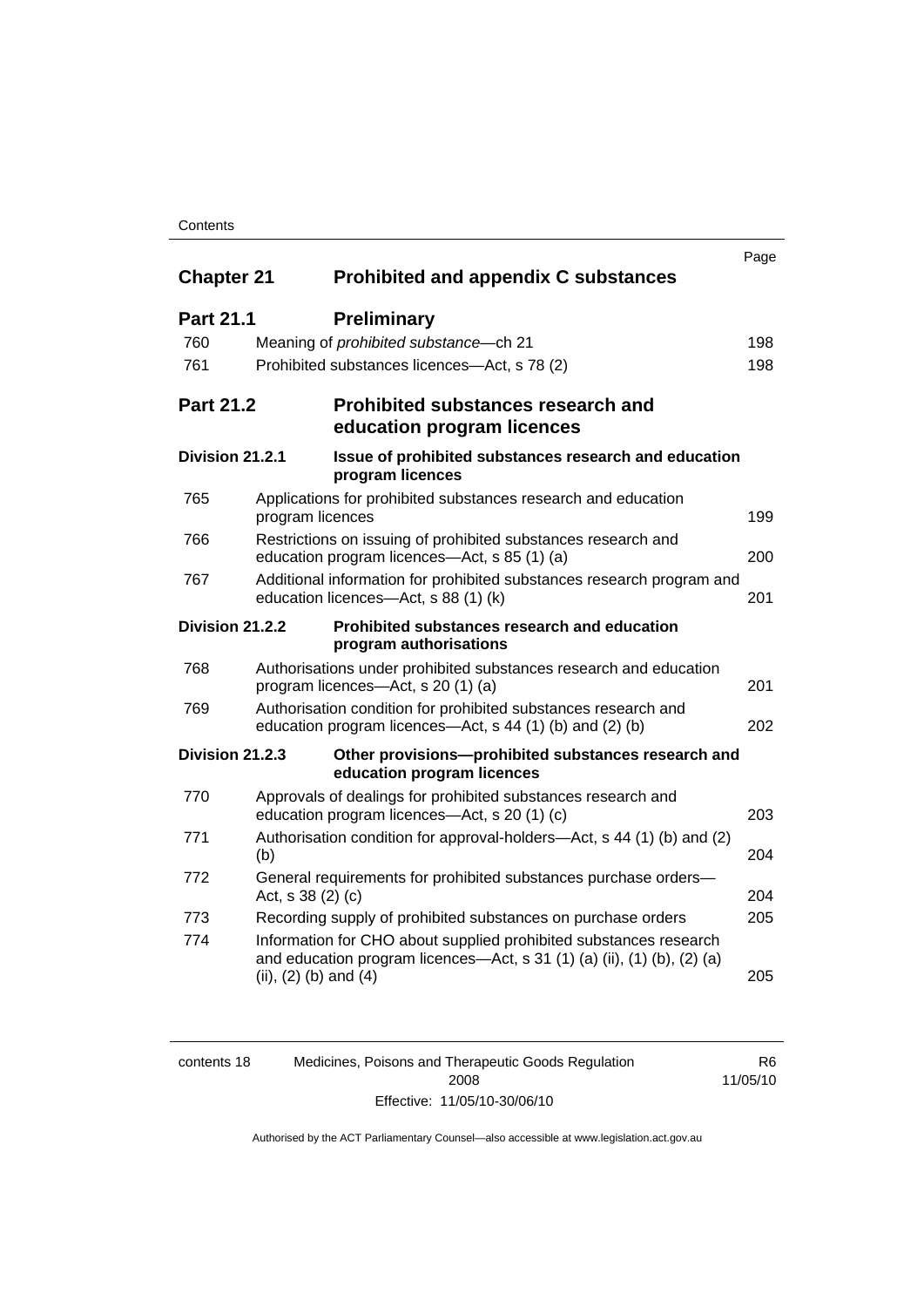### **Contents**

| <b>Chapter 21</b>      | Prohibited and appendix C substances                                                                                                                                      | Page |
|------------------------|---------------------------------------------------------------------------------------------------------------------------------------------------------------------------|------|
| <b>Part 21.1</b>       | <b>Preliminary</b>                                                                                                                                                        |      |
| 760                    | Meaning of <i>prohibited</i> substance - ch 21                                                                                                                            | 198  |
| 761                    | Prohibited substances licences—Act, s 78 (2)                                                                                                                              | 198  |
| <b>Part 21.2</b>       | <b>Prohibited substances research and</b><br>education program licences                                                                                                   |      |
| Division 21.2.1        | Issue of prohibited substances research and education<br>program licences                                                                                                 |      |
| 765                    | Applications for prohibited substances research and education<br>program licences                                                                                         | 199  |
| 766                    | Restrictions on issuing of prohibited substances research and<br>education program licences-Act, s 85 (1) (a)                                                             | 200  |
| 767                    | Additional information for prohibited substances research program and<br>education licences-Act, s 88 (1) (k)                                                             | 201  |
| <b>Division 21.2.2</b> | Prohibited substances research and education<br>program authorisations                                                                                                    |      |
| 768                    | Authorisations under prohibited substances research and education<br>program licences—Act, s 20 (1) (a)                                                                   | 201  |
| 769                    | Authorisation condition for prohibited substances research and<br>education program licences—Act, s 44 (1) (b) and (2) (b)                                                | 202  |
| Division 21.2.3        | Other provisions-prohibited substances research and<br>education program licences                                                                                         |      |
| 770                    | Approvals of dealings for prohibited substances research and<br>education program licences-Act, s 20 (1) (c)                                                              | 203  |
| 771                    | Authorisation condition for approval-holders—Act, s 44 (1) (b) and (2)<br>(b)                                                                                             | 204  |
| 772                    | General requirements for prohibited substances purchase orders-<br>Act, s 38 (2) (c)                                                                                      | 204  |
| 773                    | Recording supply of prohibited substances on purchase orders                                                                                                              | 205  |
| 774                    | Information for CHO about supplied prohibited substances research<br>and education program licences—Act, s 31 (1) (a) (ii), (1) (b), (2) (a)<br>(ii), $(2)$ (b) and $(4)$ | 205  |

| contents 18 | Medicines, Poisons and Therapeutic Goods Regulation | R6.      |
|-------------|-----------------------------------------------------|----------|
|             | 2008                                                | 11/05/10 |
|             | Effective: 11/05/10-30/06/10                        |          |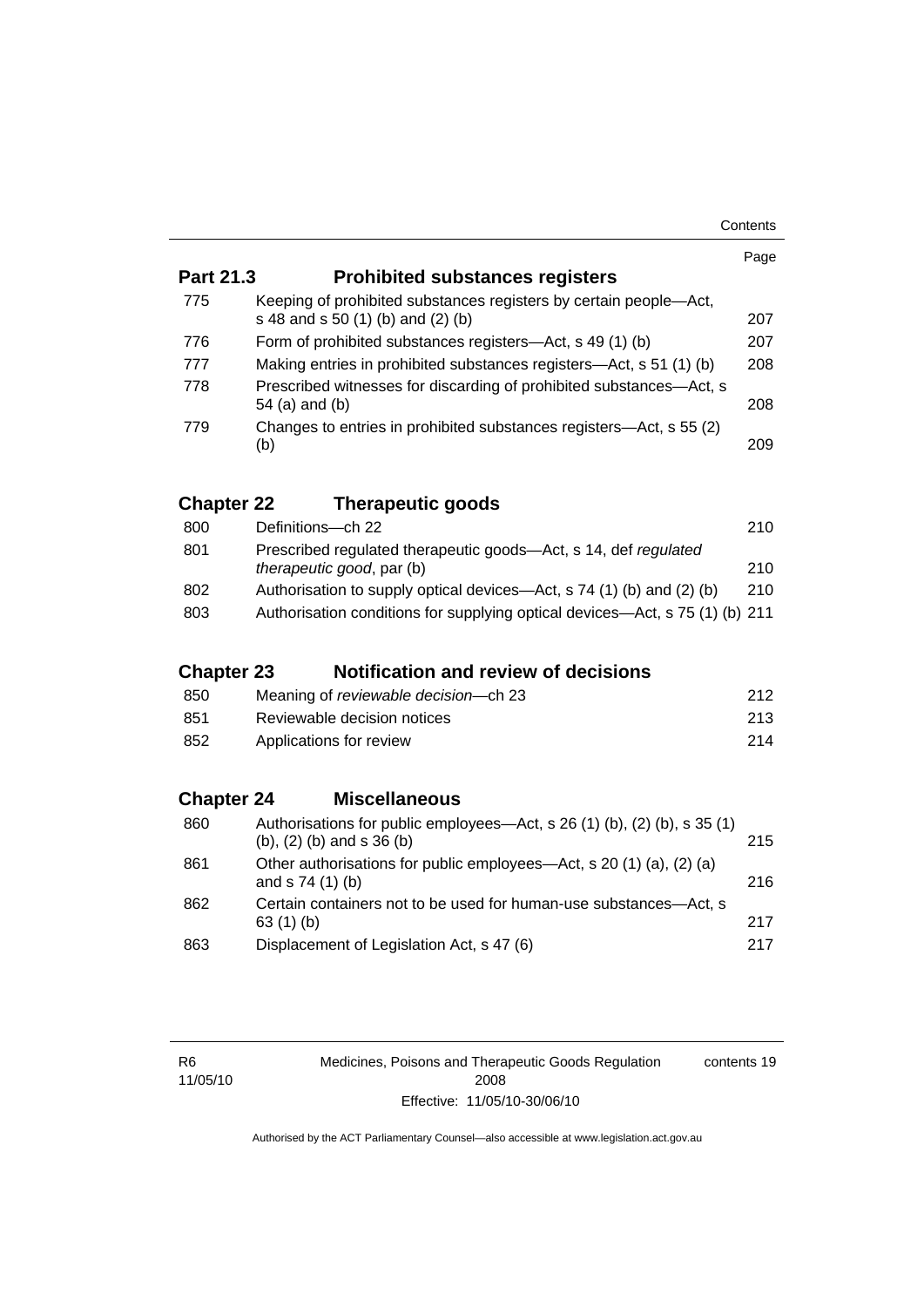|                   |                                                                                                                | Page |
|-------------------|----------------------------------------------------------------------------------------------------------------|------|
| Part 21.3         | <b>Prohibited substances registers</b>                                                                         |      |
| 775               | Keeping of prohibited substances registers by certain people—Act,<br>s 48 and s 50 (1) (b) and (2) (b)         | 207  |
| 776               | Form of prohibited substances registers—Act, s 49 (1) (b)                                                      | 207  |
| 777               | Making entries in prohibited substances registers—Act, s 51 (1) (b)                                            | 208  |
| 778               | Prescribed witnesses for discarding of prohibited substances—Act, s<br>54 (a) and (b)                          | 208  |
| 779               | Changes to entries in prohibited substances registers—Act, s 55 (2)<br>(b)                                     | 209  |
| <b>Chapter 22</b> | <b>Therapeutic goods</b>                                                                                       |      |
| 800               | Definitions-ch 22                                                                                              | 210  |
| 801               | Prescribed regulated therapeutic goods—Act, s 14, def regulated<br>therapeutic good, par (b)                   | 210  |
| 802               | Authorisation to supply optical devices—Act, s 74 (1) (b) and (2) (b)                                          | 210  |
| 803               | Authorisation conditions for supplying optical devices—Act, s 75 (1) (b) 211                                   |      |
| <b>Chapter 23</b> | <b>Notification and review of decisions</b>                                                                    |      |
| 850               | Meaning of reviewable decision-ch 23                                                                           | 212  |
| 851               | Reviewable decision notices                                                                                    | 213  |
| 852               | Applications for review                                                                                        | 214  |
| <b>Chapter 24</b> | <b>Miscellaneous</b>                                                                                           |      |
| 860               | Authorisations for public employees—Act, s 26 (1) (b), (2) (b), s 35 (1)<br>$(b)$ , $(2)$ $(b)$ and s 36 $(b)$ | 215  |
| 861               | Other authorisations for public employees—Act, s 20 (1) (a), (2) (a)<br>and s 74 (1) (b)                       | 216  |
| 862               | Certain containers not to be used for human-use substances-Act, s<br>63 (1) (b)                                | 217  |
| 863               | Displacement of Legislation Act, s 47 (6)                                                                      | 217  |

Medicines, Poisons and Therapeutic Goods Regulation 2008 Effective: 11/05/10-30/06/10 contents 19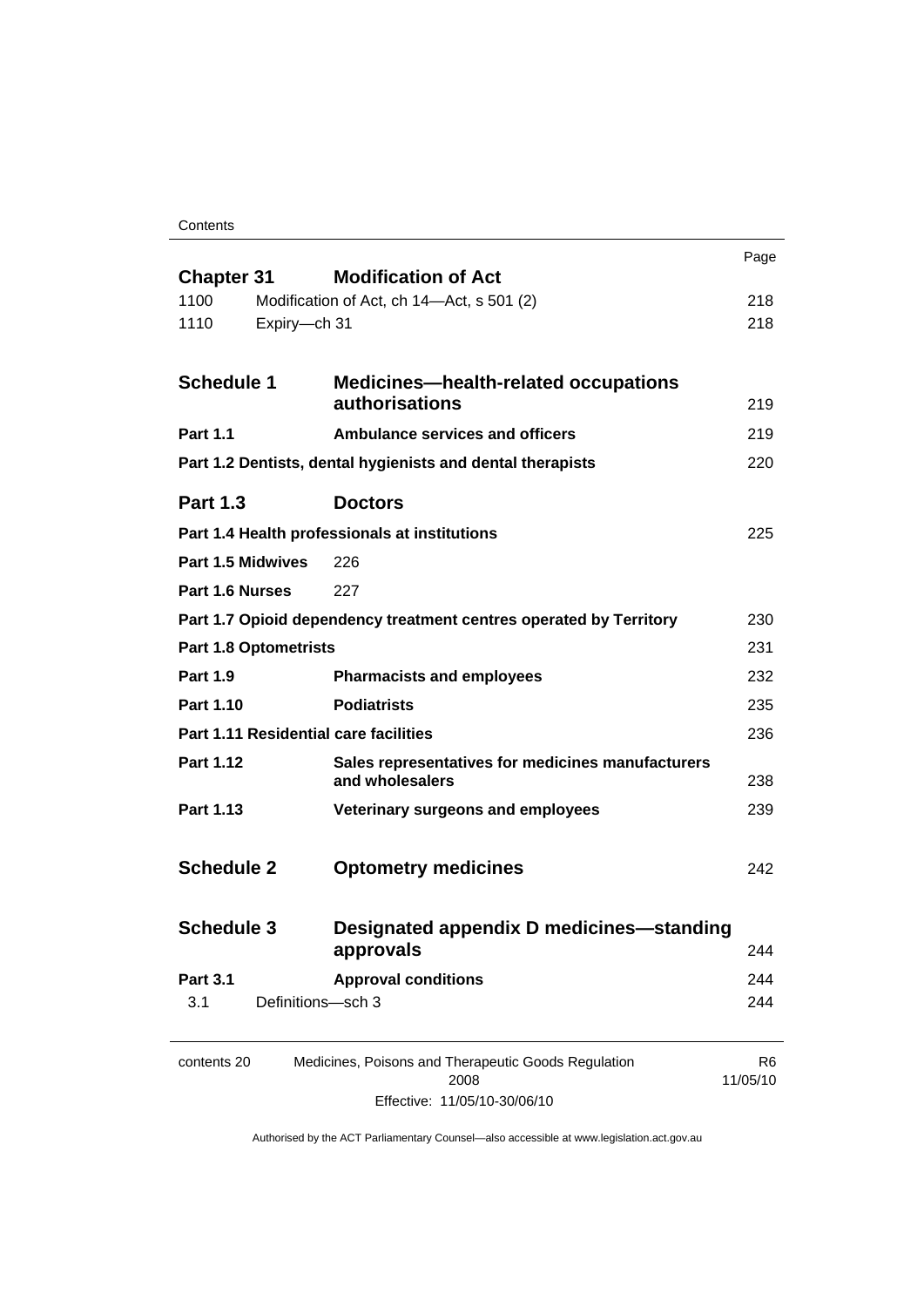Contents

| <b>Chapter 31</b>                     | <b>Modification of Act</b>                                           | Page                       |
|---------------------------------------|----------------------------------------------------------------------|----------------------------|
| 1100                                  | Modification of Act, ch 14-Act, s 501 (2)                            | 218                        |
| 1110<br>Expiry-ch 31                  |                                                                      | 218                        |
|                                       |                                                                      |                            |
| <b>Schedule 1</b>                     | <b>Medicines-health-related occupations</b>                          |                            |
|                                       | authorisations                                                       | 219                        |
| <b>Part 1.1</b>                       | <b>Ambulance services and officers</b>                               | 219                        |
|                                       | Part 1.2 Dentists, dental hygienists and dental therapists           | 220                        |
| <b>Part 1.3</b>                       | <b>Doctors</b>                                                       |                            |
|                                       | Part 1.4 Health professionals at institutions                        | 225                        |
| Part 1.5 Midwives                     | 226                                                                  |                            |
| Part 1.6 Nurses                       | 227                                                                  |                            |
|                                       | Part 1.7 Opioid dependency treatment centres operated by Territory   | 230                        |
| <b>Part 1.8 Optometrists</b>          |                                                                      | 231                        |
| <b>Part 1.9</b>                       | <b>Pharmacists and employees</b>                                     | 232                        |
| Part 1.10                             | <b>Podiatrists</b>                                                   | 235                        |
| Part 1.11 Residential care facilities |                                                                      | 236                        |
| Part 1.12                             | Sales representatives for medicines manufacturers<br>and wholesalers | 238                        |
| Part 1.13                             | Veterinary surgeons and employees                                    | 239                        |
| <b>Schedule 2</b>                     | <b>Optometry medicines</b>                                           | 242                        |
| <b>Schedule 3</b>                     | <b>Designated appendix D medicines-standing</b><br>approvals         | 244                        |
| <b>Part 3.1</b>                       | <b>Approval conditions</b>                                           | 244                        |
| 3.1                                   | Definitions-sch 3                                                    | 244                        |
| contents 20                           | Medicines, Poisons and Therapeutic Goods Regulation<br>2008          | R <sub>6</sub><br>11/05/10 |

Effective: 11/05/10-30/06/10

11/05/10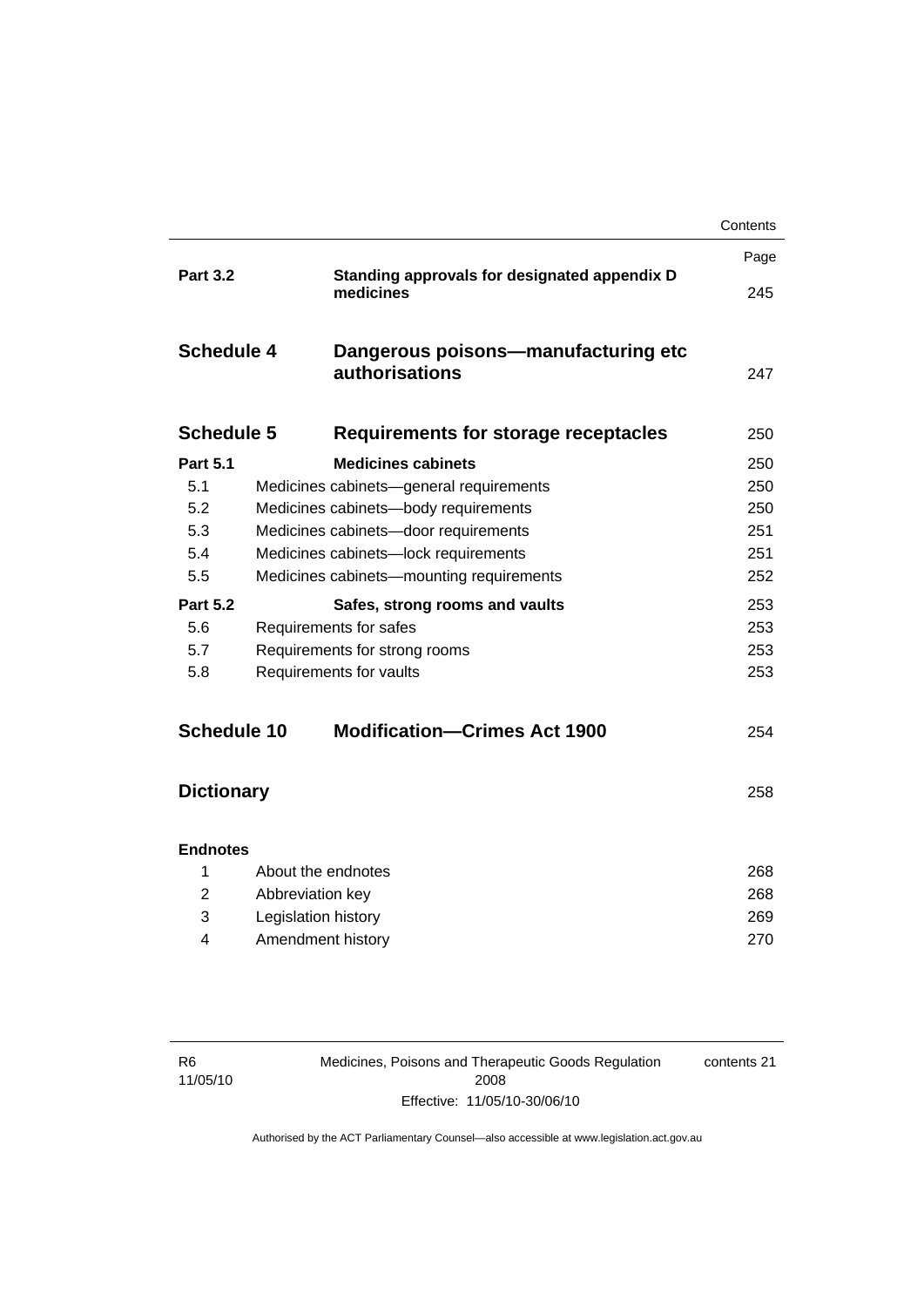|                   |                               |                                                           | Contents |
|-------------------|-------------------------------|-----------------------------------------------------------|----------|
|                   |                               |                                                           | Page     |
| <b>Part 3.2</b>   |                               | Standing approvals for designated appendix D<br>medicines | 245      |
| <b>Schedule 4</b> |                               | Dangerous poisons—manufacturing etc<br>authorisations     | 247      |
| <b>Schedule 5</b> |                               | <b>Requirements for storage receptacles</b>               | 250      |
| <b>Part 5.1</b>   |                               | <b>Medicines cabinets</b>                                 | 250      |
| 5.1               |                               | Medicines cabinets-general requirements                   | 250      |
| 5.2               |                               | Medicines cabinets-body requirements                      | 250      |
| 5.3               |                               | Medicines cabinets-door requirements                      | 251      |
| 5.4               |                               | Medicines cabinets-lock requirements                      | 251      |
| 5.5               |                               | Medicines cabinets-mounting requirements                  | 252      |
| <b>Part 5.2</b>   |                               | Safes, strong rooms and vaults                            | 253      |
| 5.6               |                               | Requirements for safes                                    | 253      |
| 5.7               | Requirements for strong rooms |                                                           | 253      |
| 5.8               |                               | Requirements for vaults                                   | 253      |
| Schedule 10       |                               | <b>Modification-Crimes Act 1900</b>                       | 254      |
| <b>Dictionary</b> |                               |                                                           | 258      |
| <b>Endnotes</b>   |                               |                                                           |          |
| 1                 | About the endnotes            |                                                           | 268      |
| 2                 | Abbreviation key              |                                                           | 268      |
| 3                 | Legislation history           |                                                           | 269      |
| 4                 | Amendment history             |                                                           | 270      |
|                   |                               |                                                           |          |

Medicines, Poisons and Therapeutic Goods Regulation 2008 Effective: 11/05/10-30/06/10

contents 21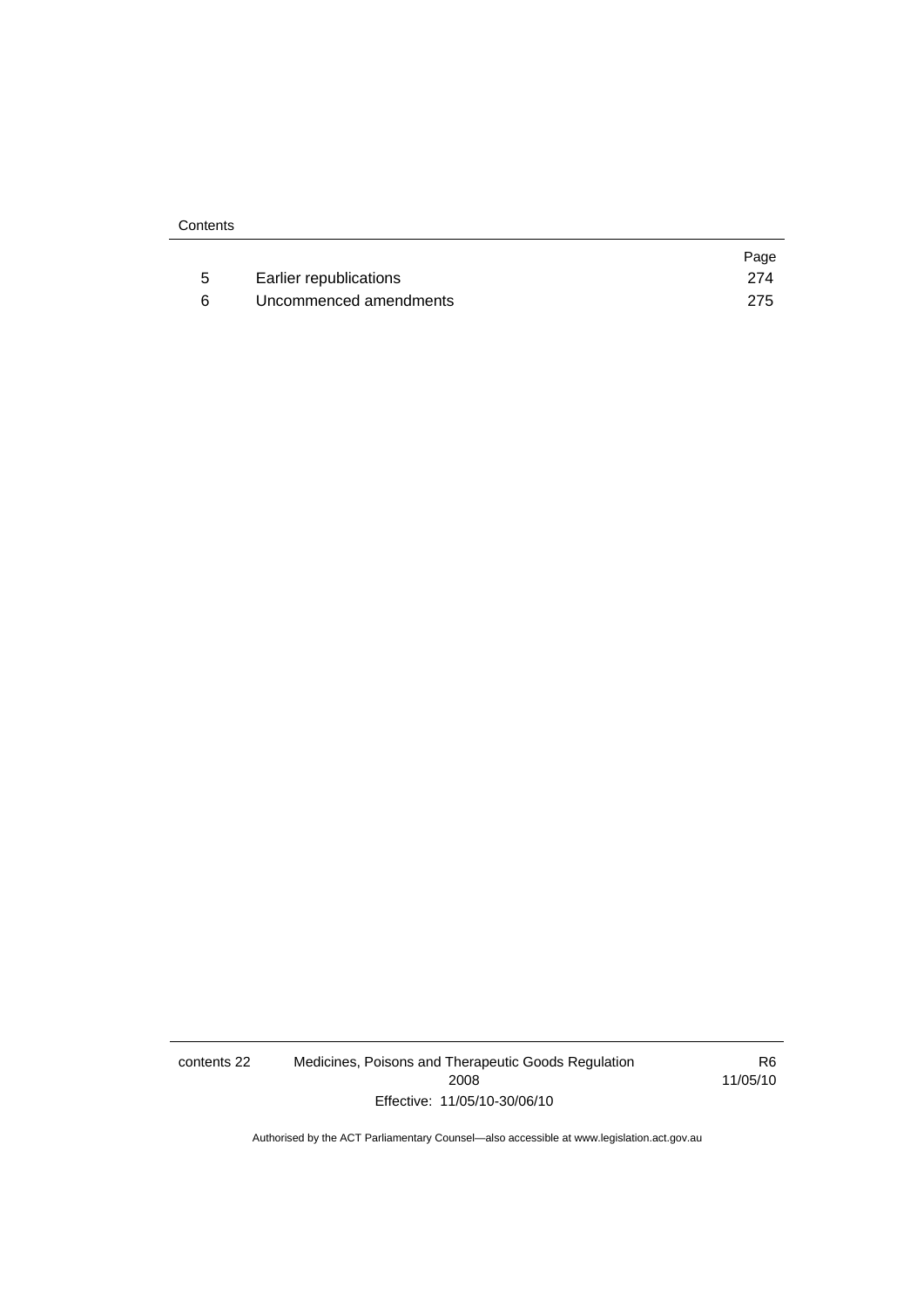|                        | Page |
|------------------------|------|
| Earlier republications | 274  |
| Uncommenced amendments | 275  |

contents 22 Medicines, Poisons and Therapeutic Goods Regulation 2008 Effective: 11/05/10-30/06/10

R6 11/05/10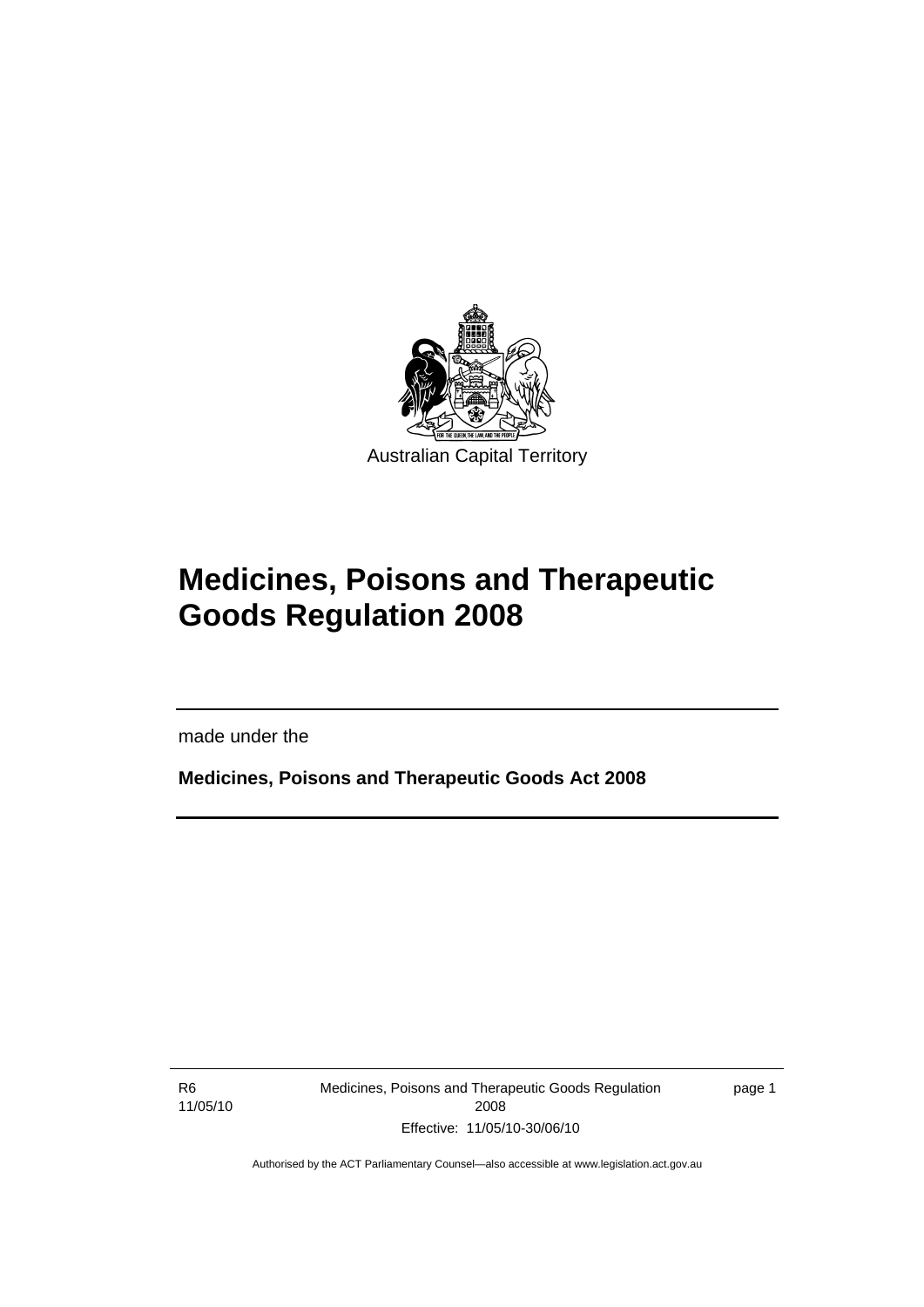<span id="page-24-0"></span>

# **Medicines, Poisons and Therapeutic Goods Regulation 2008**

made under the

**Medicines, Poisons and Therapeutic Goods Act 2008** 

R6 11/05/10

l

Medicines, Poisons and Therapeutic Goods Regulation 2008 Effective: 11/05/10-30/06/10

page 1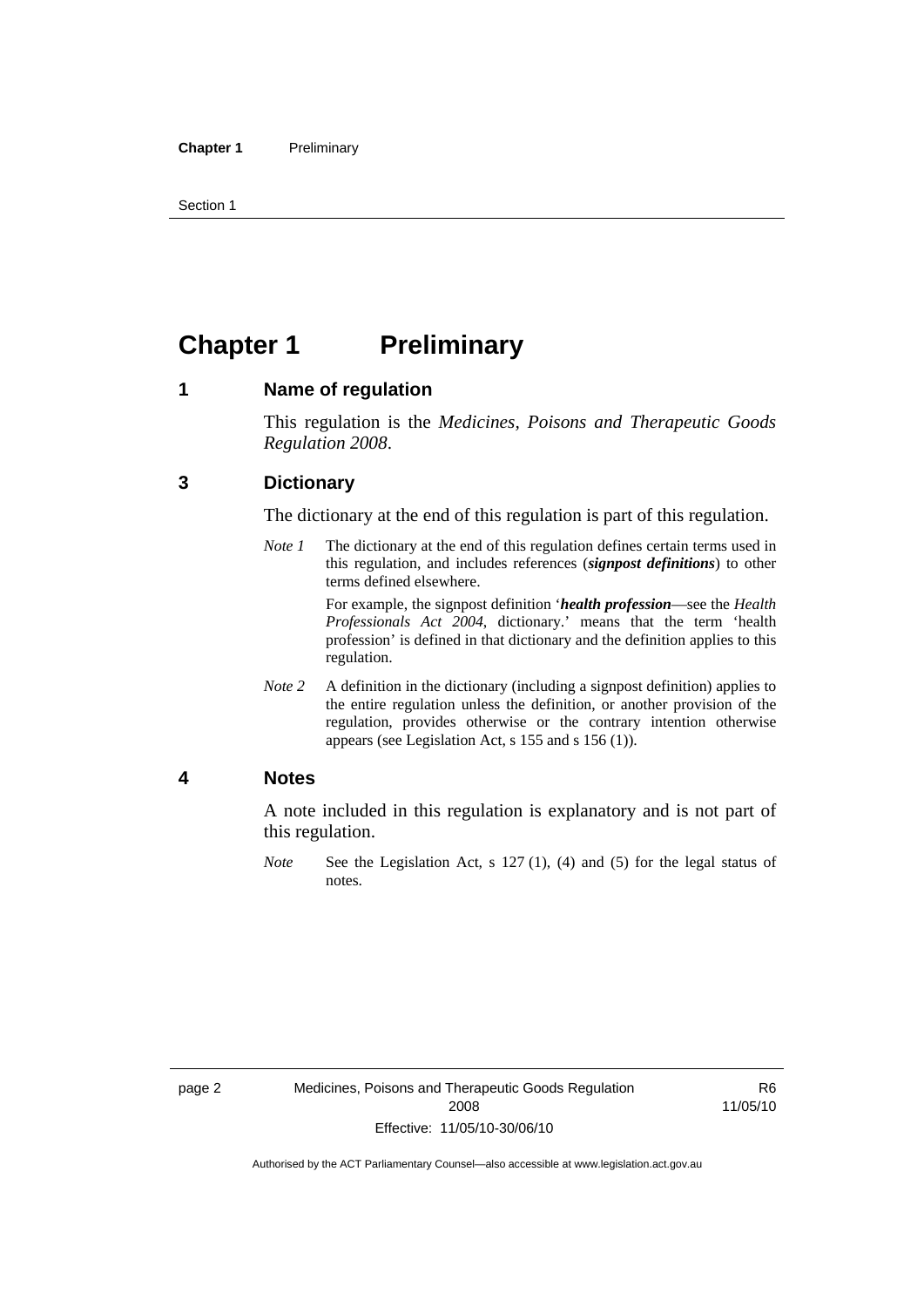<span id="page-25-0"></span>Section 1

## **Chapter 1 Preliminary**

### **1 Name of regulation**

This regulation is the *Medicines, Poisons and Therapeutic Goods Regulation 2008*.

### **3 Dictionary**

The dictionary at the end of this regulation is part of this regulation.

*Note 1* The dictionary at the end of this regulation defines certain terms used in this regulation, and includes references (*signpost definitions*) to other terms defined elsewhere.

> For example, the signpost definition '*health profession*—see the *Health Professionals Act 2004*, dictionary.' means that the term 'health profession' is defined in that dictionary and the definition applies to this regulation.

*Note 2* A definition in the dictionary (including a signpost definition) applies to the entire regulation unless the definition, or another provision of the regulation, provides otherwise or the contrary intention otherwise appears (see Legislation Act, s 155 and s 156 (1)).

#### **4 Notes**

A note included in this regulation is explanatory and is not part of this regulation.

*Note* See the Legislation Act, s 127 (1), (4) and (5) for the legal status of notes.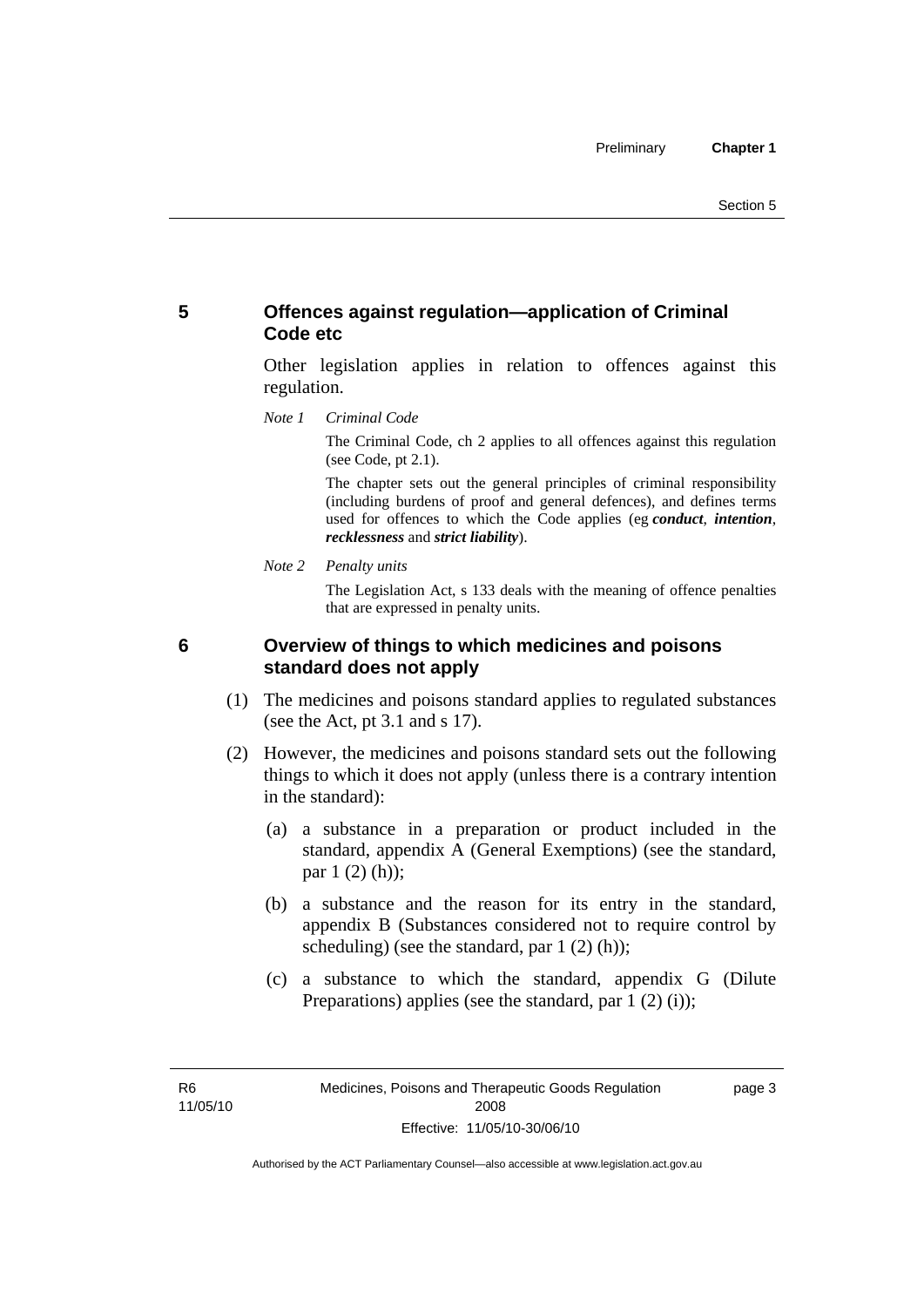## <span id="page-26-0"></span>**5 Offences against regulation—application of Criminal Code etc**

Other legislation applies in relation to offences against this regulation.

*Note 1 Criminal Code*

The Criminal Code, ch 2 applies to all offences against this regulation (see Code, pt 2.1).

The chapter sets out the general principles of criminal responsibility (including burdens of proof and general defences), and defines terms used for offences to which the Code applies (eg *conduct*, *intention*, *recklessness* and *strict liability*).

*Note 2 Penalty units* 

The Legislation Act, s 133 deals with the meaning of offence penalties that are expressed in penalty units.

### **6 Overview of things to which medicines and poisons standard does not apply**

- (1) The medicines and poisons standard applies to regulated substances (see the Act, pt 3.1 and s 17).
- (2) However, the medicines and poisons standard sets out the following things to which it does not apply (unless there is a contrary intention in the standard):
	- (a) a substance in a preparation or product included in the standard, appendix A (General Exemptions) (see the standard, par 1 (2) (h));
	- (b) a substance and the reason for its entry in the standard, appendix B (Substances considered not to require control by scheduling) (see the standard, par 1 (2) (h));
	- (c) a substance to which the standard, appendix G (Dilute Preparations) applies (see the standard, par  $1(2)(i)$ );

R6 11/05/10 page 3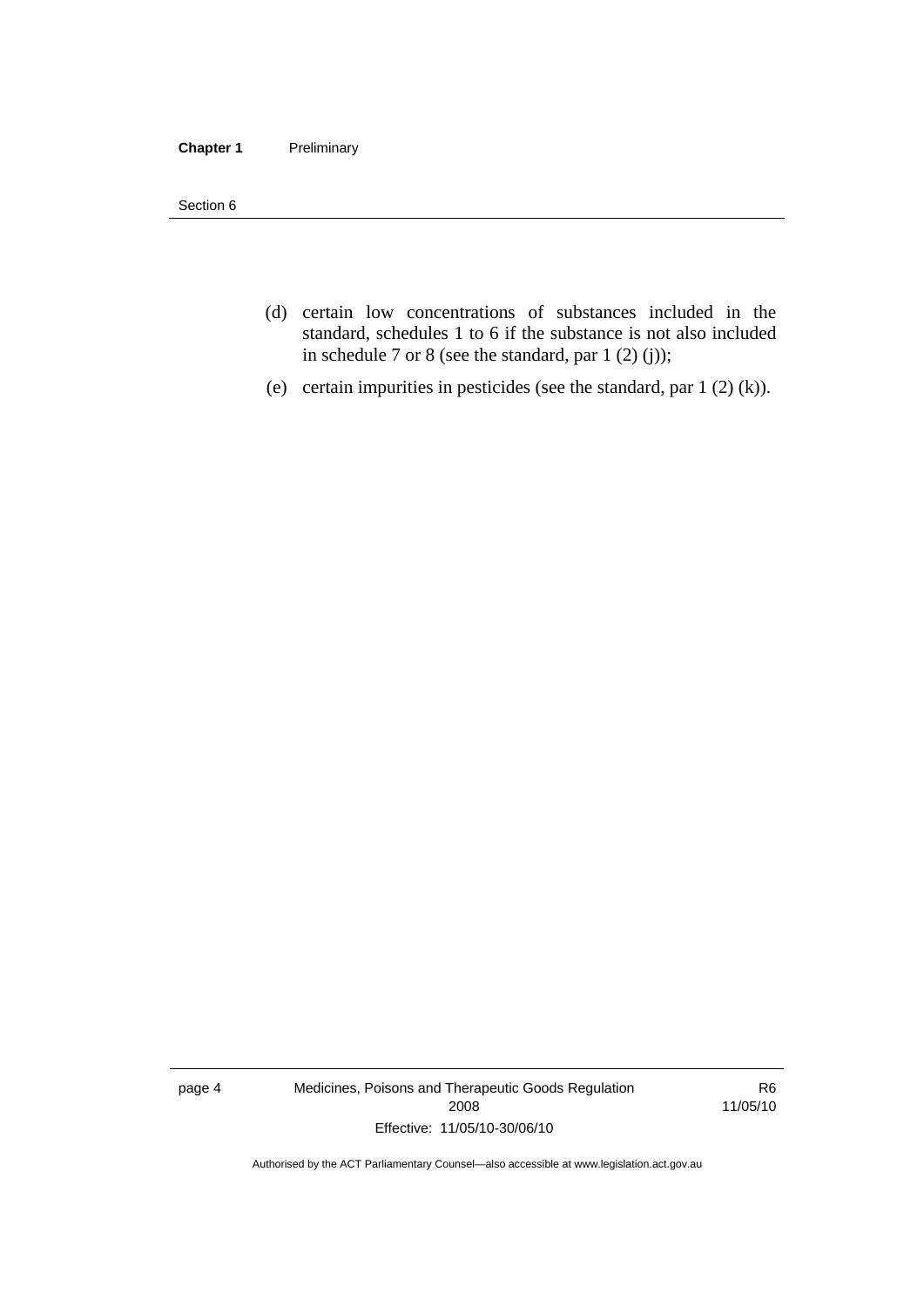#### **Chapter 1** Preliminary

Section 6

- (d) certain low concentrations of substances included in the standard, schedules 1 to 6 if the substance is not also included in schedule 7 or 8 (see the standard, par 1 (2) (j));
- (e) certain impurities in pesticides (see the standard, par 1 (2) (k)).

page 4 Medicines, Poisons and Therapeutic Goods Regulation 2008 Effective: 11/05/10-30/06/10

R6 11/05/10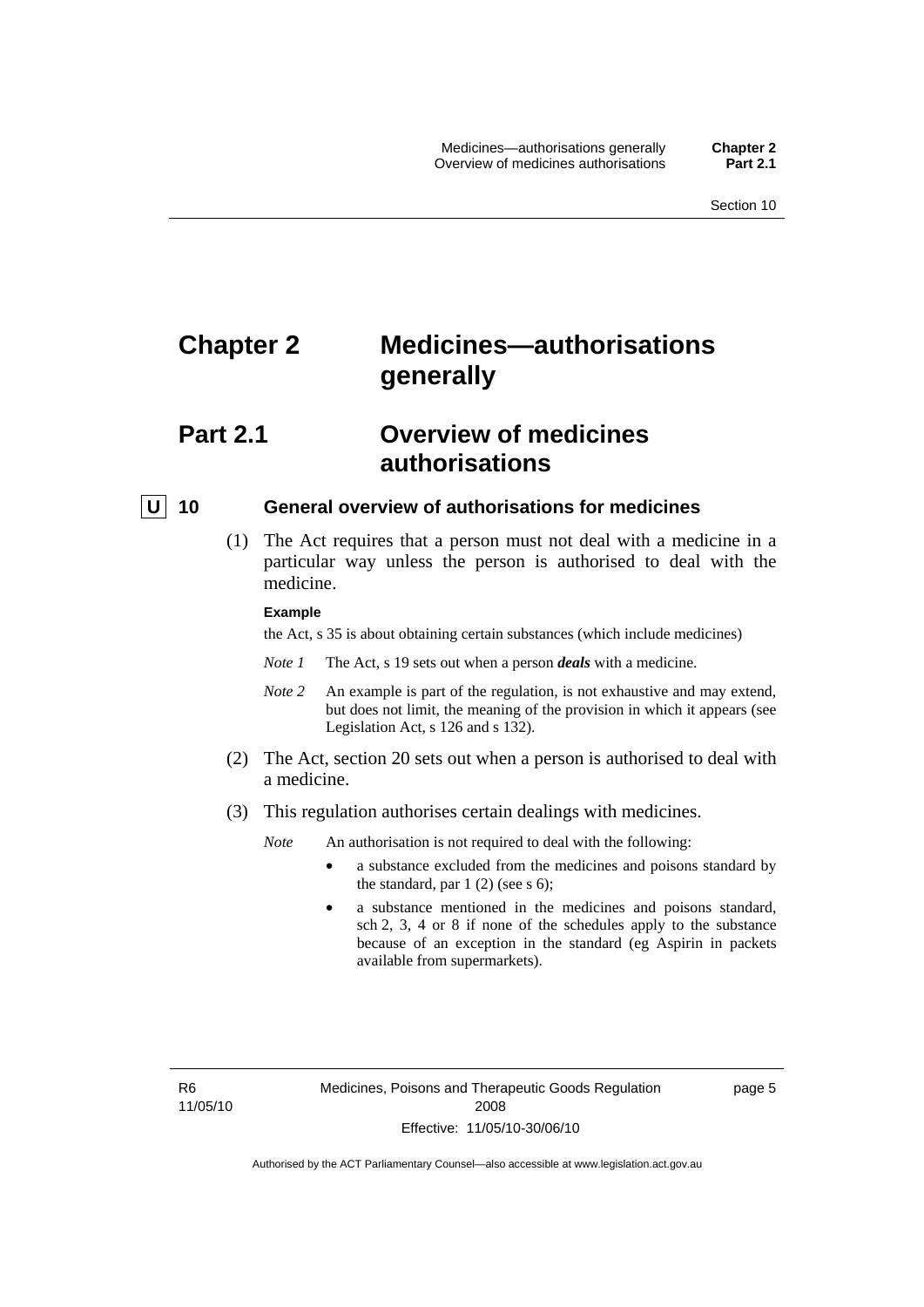## <span id="page-28-0"></span>**Chapter 2 Medicines—authorisations generally**

## **Part 2.1 Overview of medicines authorisations**

#### **U** 10 General overview of authorisations for medicines

 (1) The Act requires that a person must not deal with a medicine in a particular way unless the person is authorised to deal with the medicine.

#### **Example**

the Act, s 35 is about obtaining certain substances (which include medicines)

- *Note 1* The Act, s 19 sets out when a person *deals* with a medicine.
- *Note 2* An example is part of the regulation, is not exhaustive and may extend, but does not limit, the meaning of the provision in which it appears (see Legislation Act, s 126 and s 132).
- (2) The Act, section 20 sets out when a person is authorised to deal with a medicine.
- (3) This regulation authorises certain dealings with medicines.

*Note* An authorisation is not required to deal with the following:

- a substance excluded from the medicines and poisons standard by the standard, par  $1(2)$  (see s 6);
- a substance mentioned in the medicines and poisons standard, sch 2, 3, 4 or 8 if none of the schedules apply to the substance because of an exception in the standard (eg Aspirin in packets available from supermarkets).

R6 11/05/10 page 5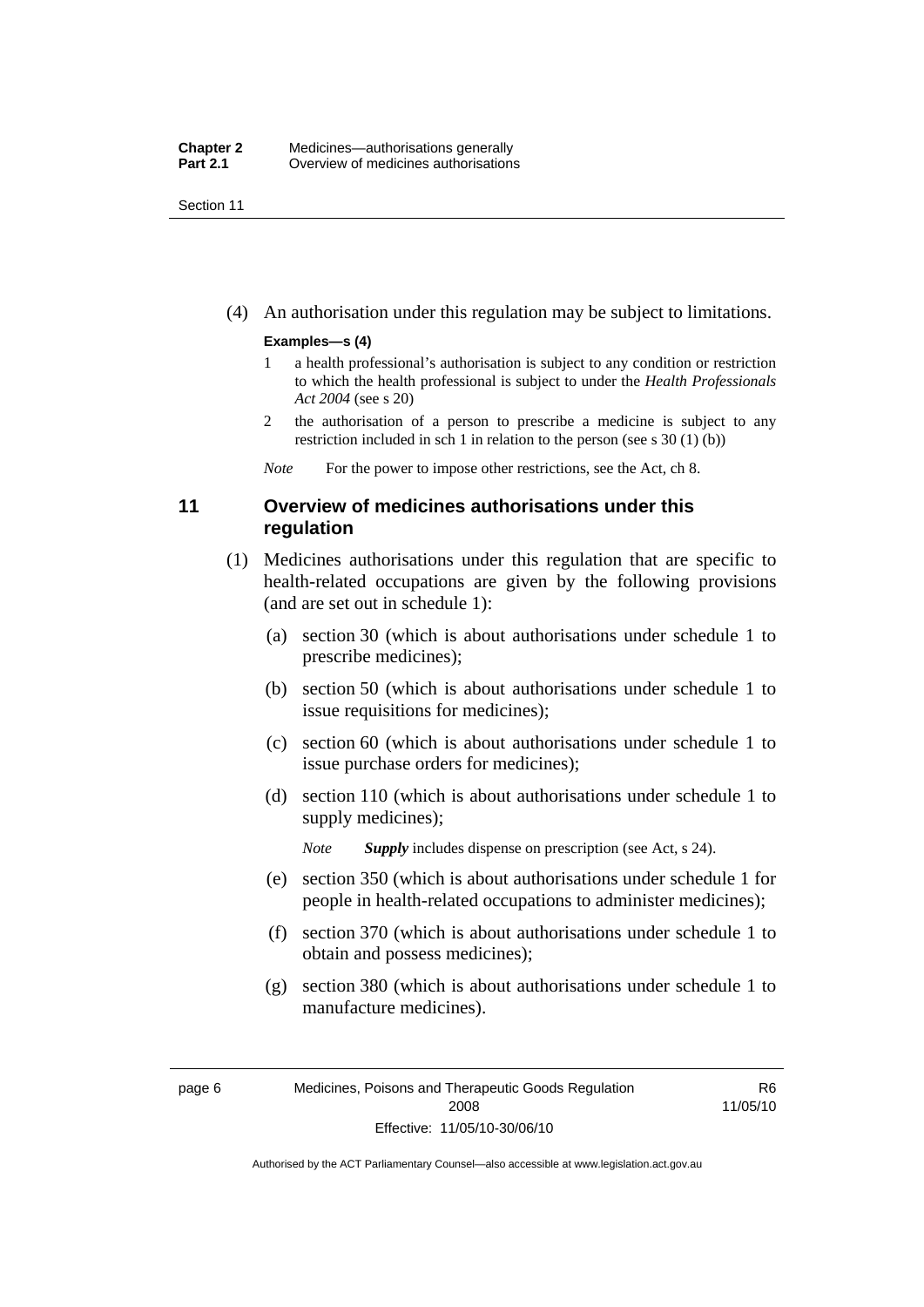<span id="page-29-0"></span>Section 11

(4) An authorisation under this regulation may be subject to limitations.

#### **Examples—s (4)**

- 1 a health professional's authorisation is subject to any condition or restriction to which the health professional is subject to under the *Health Professionals Act 2004* (see s 20)
- 2 the authorisation of a person to prescribe a medicine is subject to any restriction included in sch 1 in relation to the person (see s 30 (1) (b))

*Note* For the power to impose other restrictions, see the Act, ch 8.

### **11 Overview of medicines authorisations under this regulation**

- (1) Medicines authorisations under this regulation that are specific to health-related occupations are given by the following provisions (and are set out in schedule 1):
	- (a) section 30 (which is about authorisations under schedule 1 to prescribe medicines);
	- (b) section 50 (which is about authorisations under schedule 1 to issue requisitions for medicines);
	- (c) section 60 (which is about authorisations under schedule 1 to issue purchase orders for medicines);
	- (d) section 110 (which is about authorisations under schedule 1 to supply medicines);

*Note Supply* includes dispense on prescription (see Act, s 24).

- (e) section 350 (which is about authorisations under schedule 1 for people in health-related occupations to administer medicines);
- (f) section 370 (which is about authorisations under schedule 1 to obtain and possess medicines);
- (g) section 380 (which is about authorisations under schedule 1 to manufacture medicines).

R6 11/05/10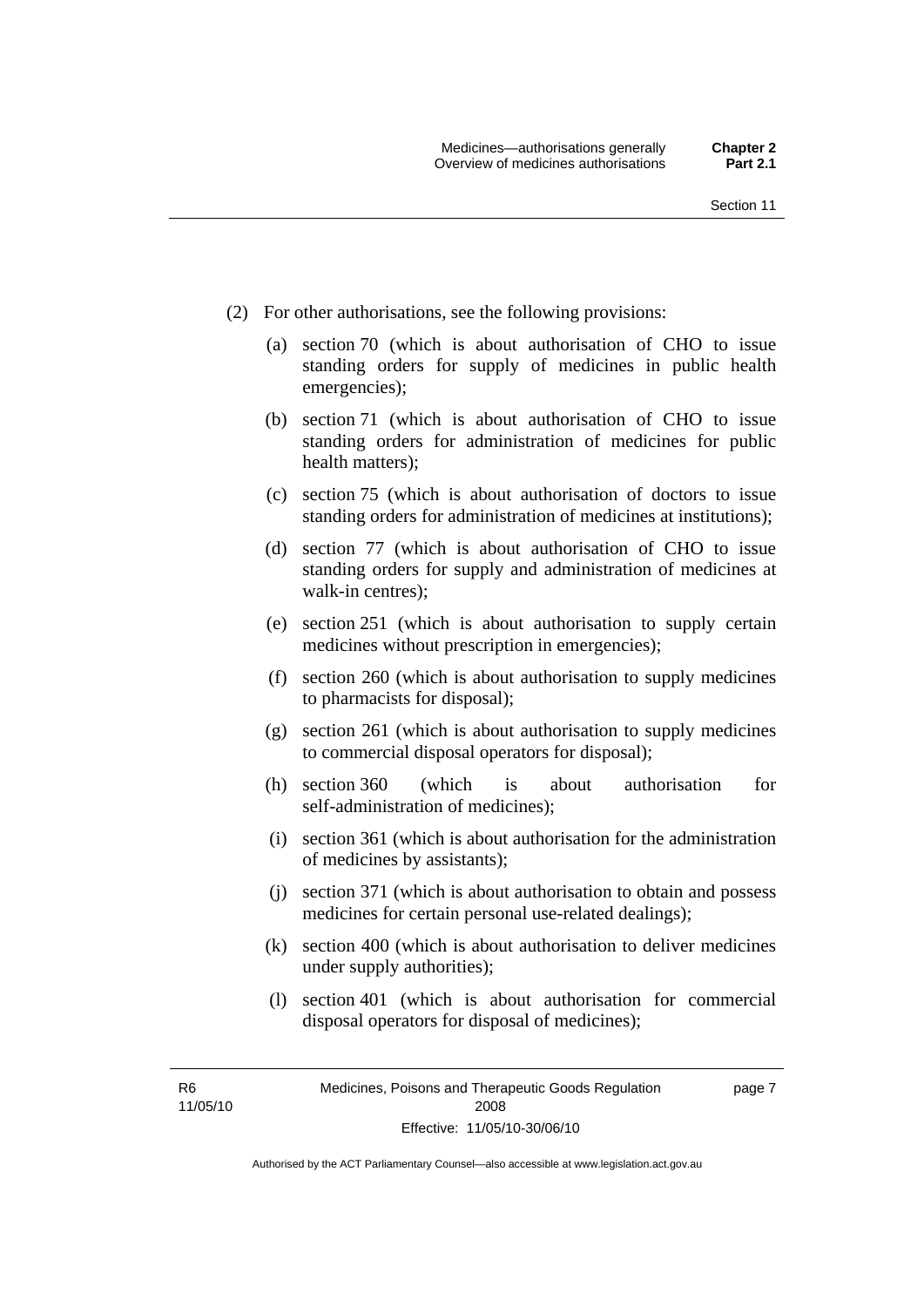- (2) For other authorisations, see the following provisions:
	- (a) section 70 (which is about authorisation of CHO to issue standing orders for supply of medicines in public health emergencies);
	- (b) section 71 (which is about authorisation of CHO to issue standing orders for administration of medicines for public health matters);
	- (c) section 75 (which is about authorisation of doctors to issue standing orders for administration of medicines at institutions);
	- (d) section 77 (which is about authorisation of CHO to issue standing orders for supply and administration of medicines at walk-in centres);
	- (e) section 251 (which is about authorisation to supply certain medicines without prescription in emergencies);
	- (f) section 260 (which is about authorisation to supply medicines to pharmacists for disposal);
	- (g) section 261 (which is about authorisation to supply medicines to commercial disposal operators for disposal);
	- (h) section 360 (which is about authorisation for self-administration of medicines);
	- (i) section 361 (which is about authorisation for the administration of medicines by assistants);
	- (j) section 371 (which is about authorisation to obtain and possess medicines for certain personal use-related dealings);
	- (k) section 400 (which is about authorisation to deliver medicines under supply authorities);
	- (l) section 401 (which is about authorisation for commercial disposal operators for disposal of medicines);

R6 11/05/10 page 7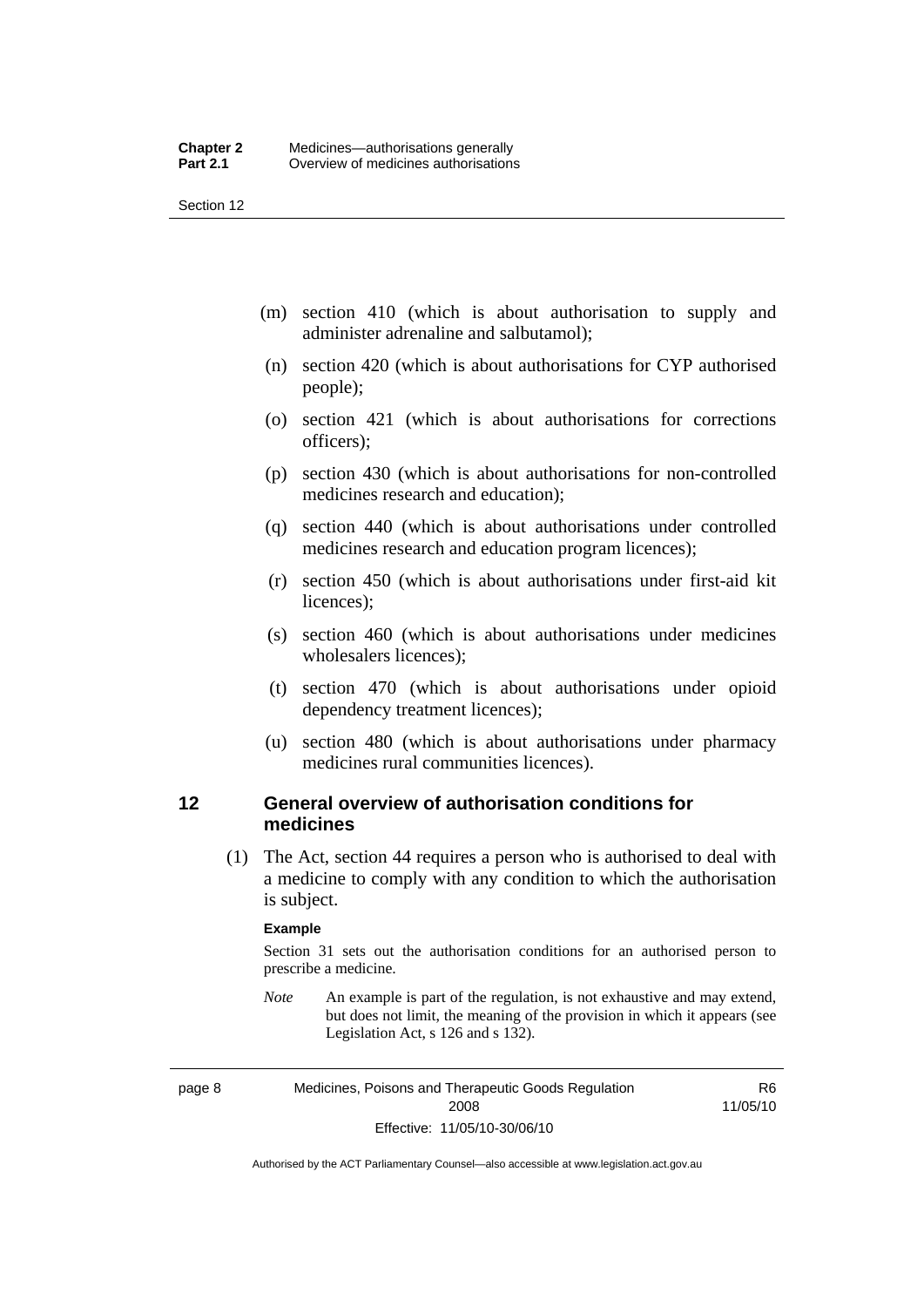<span id="page-31-0"></span>Section 12

- (m) section 410 (which is about authorisation to supply and administer adrenaline and salbutamol);
- (n) section 420 (which is about authorisations for CYP authorised people);
- (o) section 421 (which is about authorisations for corrections officers);
- (p) section 430 (which is about authorisations for non-controlled medicines research and education);
- (q) section 440 (which is about authorisations under controlled medicines research and education program licences);
- (r) section 450 (which is about authorisations under first-aid kit licences);
- (s) section 460 (which is about authorisations under medicines wholesalers licences);
- (t) section 470 (which is about authorisations under opioid dependency treatment licences);
- (u) section 480 (which is about authorisations under pharmacy medicines rural communities licences).

### **12 General overview of authorisation conditions for medicines**

 (1) The Act, section 44 requires a person who is authorised to deal with a medicine to comply with any condition to which the authorisation is subject.

#### **Example**

Section 31 sets out the authorisation conditions for an authorised person to prescribe a medicine.

*Note* An example is part of the regulation, is not exhaustive and may extend, but does not limit, the meaning of the provision in which it appears (see Legislation Act, s 126 and s 132).

page 8 Medicines, Poisons and Therapeutic Goods Regulation 2008 Effective: 11/05/10-30/06/10

R6 11/05/10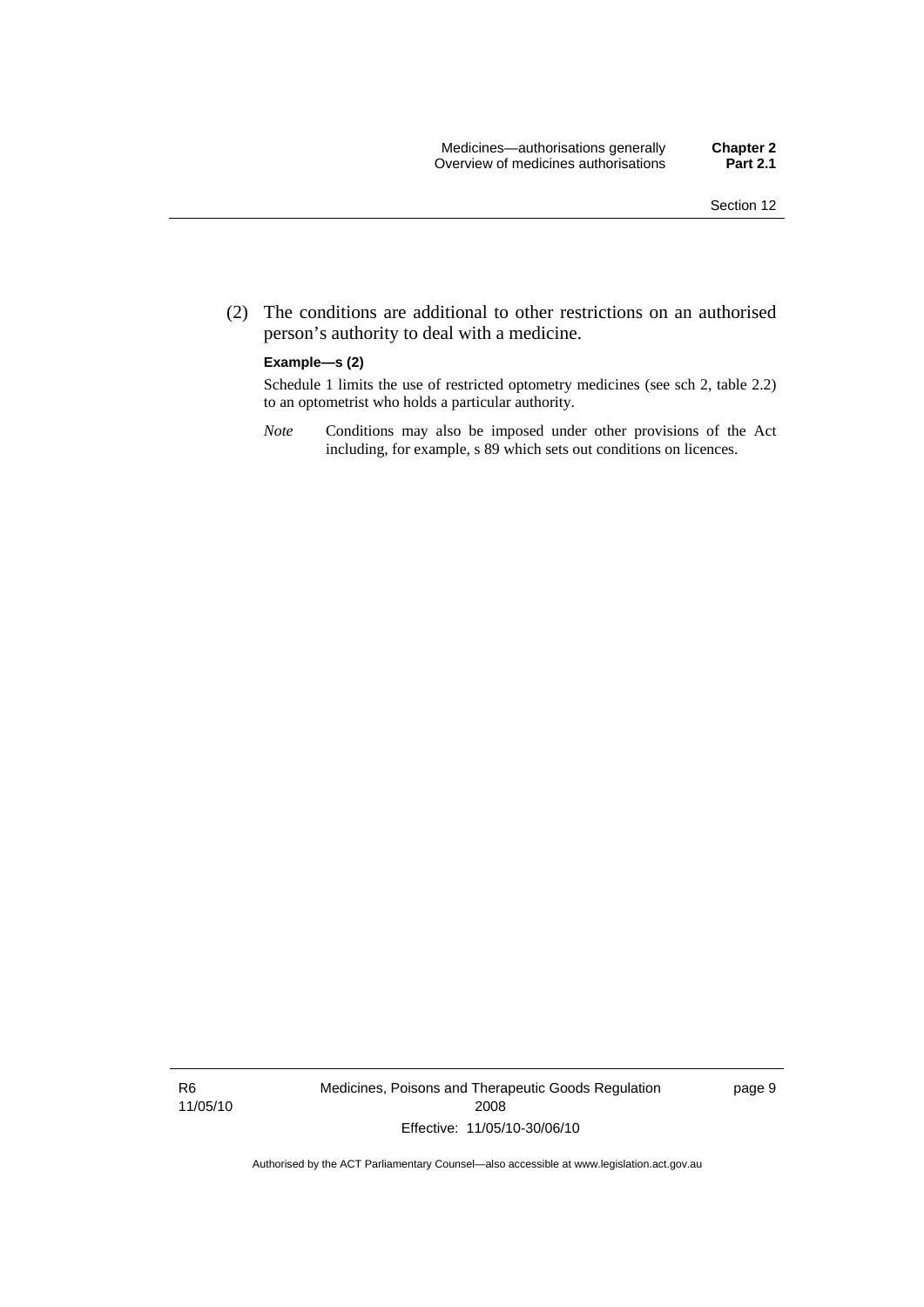(2) The conditions are additional to other restrictions on an authorised person's authority to deal with a medicine.

#### **Example—s (2)**

Schedule 1 limits the use of restricted optometry medicines (see sch 2, table 2.2) to an optometrist who holds a particular authority.

*Note* Conditions may also be imposed under other provisions of the Act including, for example, s 89 which sets out conditions on licences.

R6 11/05/10 Medicines, Poisons and Therapeutic Goods Regulation 2008 Effective: 11/05/10-30/06/10

page 9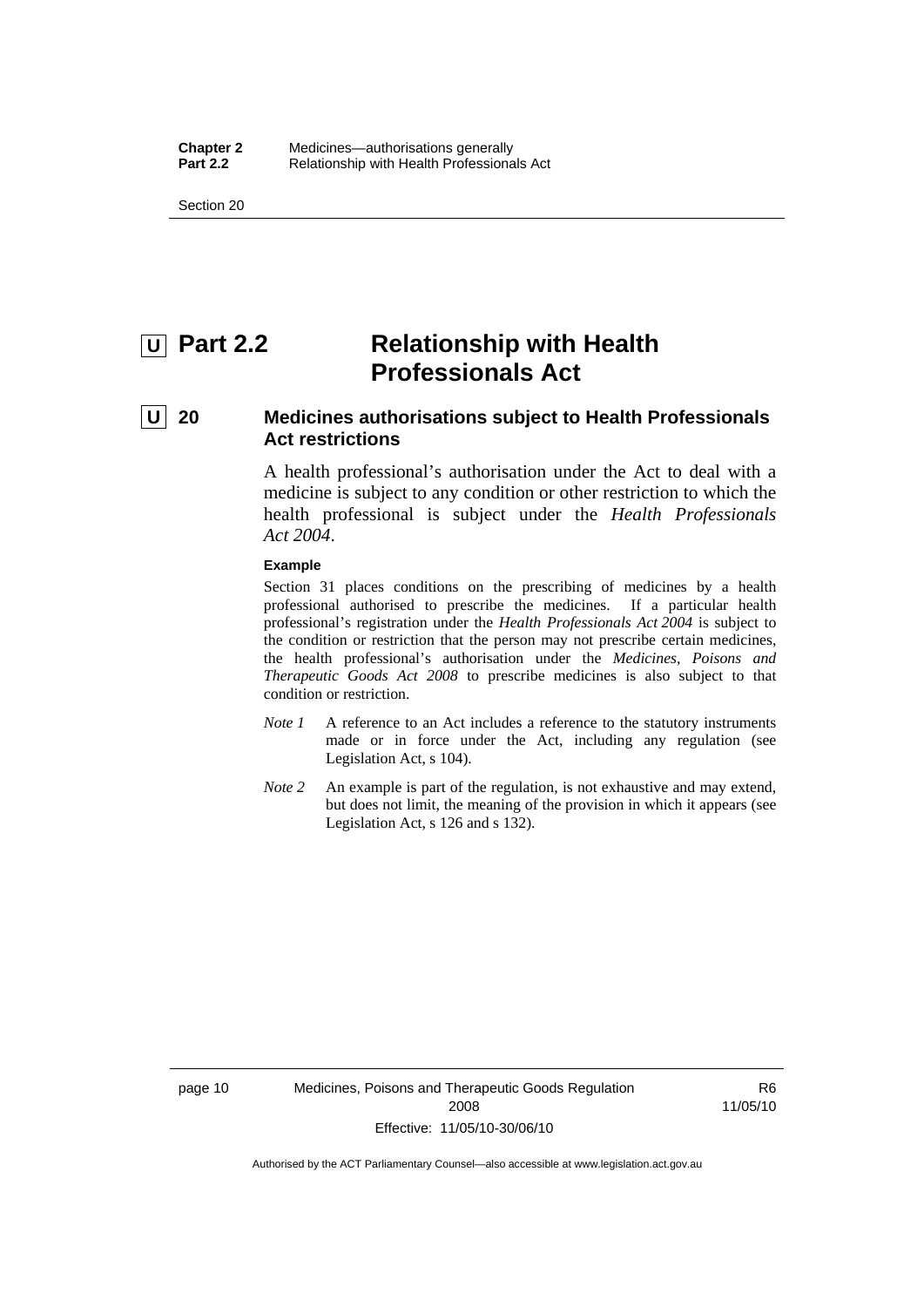<span id="page-33-0"></span>Section 20

## *<u>U</u>* Part 2.2 **Relationship with Health Professionals Act**

## **U 20 Medicines authorisations subject to Health Professionals Act restrictions**

A health professional's authorisation under the Act to deal with a medicine is subject to any condition or other restriction to which the health professional is subject under the *Health Professionals Act 2004*.

#### **Example**

Section 31 places conditions on the prescribing of medicines by a health professional authorised to prescribe the medicines. If a particular health professional's registration under the *Health Professionals Act 2004* is subject to the condition or restriction that the person may not prescribe certain medicines, the health professional's authorisation under the *Medicines, Poisons and Therapeutic Goods Act 2008* to prescribe medicines is also subject to that condition or restriction.

- *Note 1* A reference to an Act includes a reference to the statutory instruments made or in force under the Act, including any regulation (see Legislation Act, s 104).
- *Note 2* An example is part of the regulation, is not exhaustive and may extend, but does not limit, the meaning of the provision in which it appears (see Legislation Act, s 126 and s 132).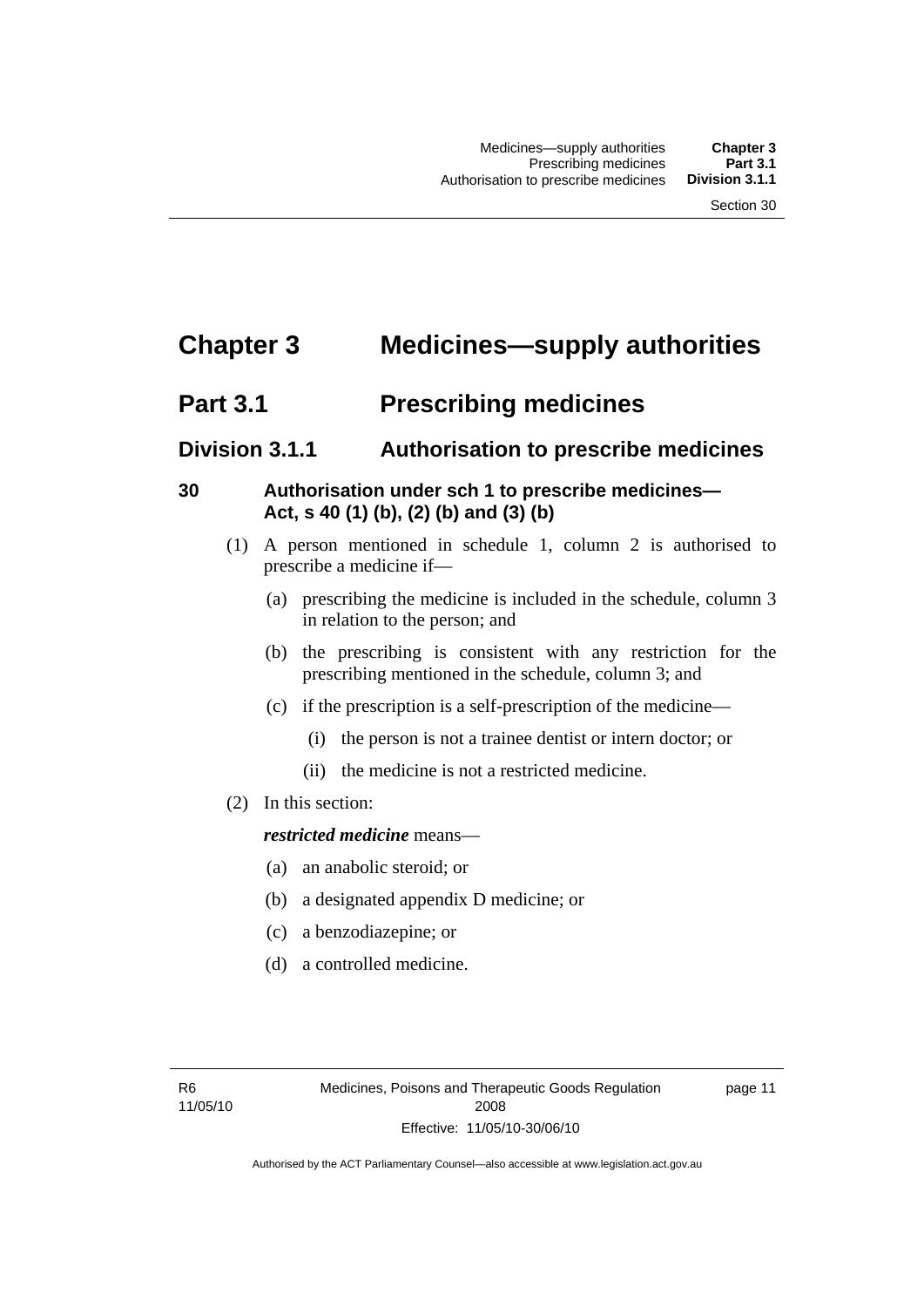## <span id="page-34-0"></span>**Chapter 3 Medicines—supply authorities**

## **Part 3.1** Prescribing medicines

## **Division 3.1.1 Authorisation to prescribe medicines**

## **30 Authorisation under sch 1 to prescribe medicines— Act, s 40 (1) (b), (2) (b) and (3) (b)**

- (1) A person mentioned in schedule 1, column 2 is authorised to prescribe a medicine if—
	- (a) prescribing the medicine is included in the schedule, column 3 in relation to the person; and
	- (b) the prescribing is consistent with any restriction for the prescribing mentioned in the schedule, column 3; and
	- (c) if the prescription is a self-prescription of the medicine—
		- (i) the person is not a trainee dentist or intern doctor; or
		- (ii) the medicine is not a restricted medicine.
- (2) In this section:

## *restricted medicine* means—

- (a) an anabolic steroid; or
- (b) a designated appendix D medicine; or
- (c) a benzodiazepine; or
- (d) a controlled medicine.

page 11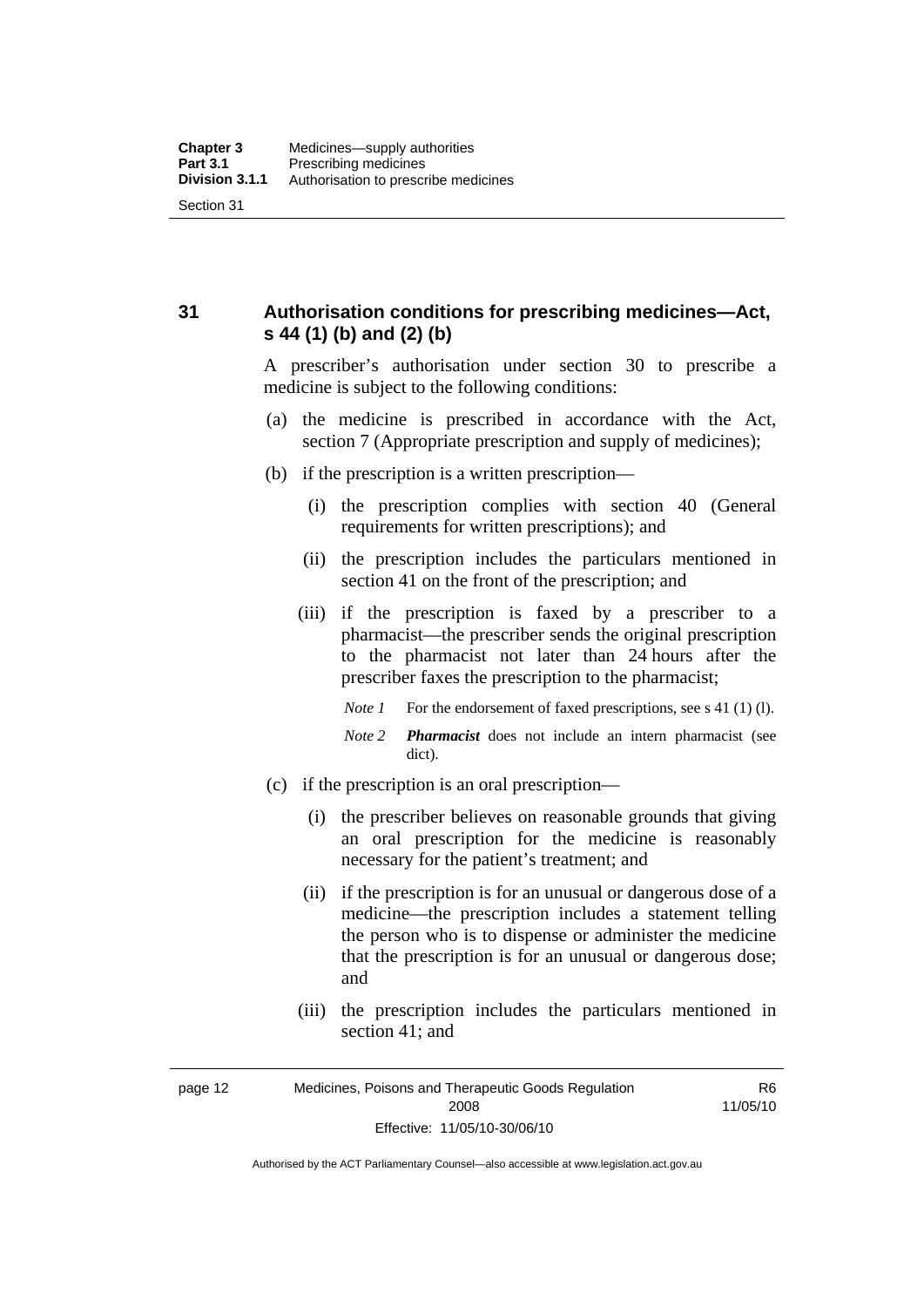<span id="page-35-0"></span>**31 Authorisation conditions for prescribing medicines—Act, s 44 (1) (b) and (2) (b)** 

> A prescriber's authorisation under section 30 to prescribe a medicine is subject to the following conditions:

- (a) the medicine is prescribed in accordance with the Act, section 7 (Appropriate prescription and supply of medicines);
- (b) if the prescription is a written prescription—
	- (i) the prescription complies with section 40 (General requirements for written prescriptions); and
	- (ii) the prescription includes the particulars mentioned in section 41 on the front of the prescription; and
	- (iii) if the prescription is faxed by a prescriber to a pharmacist—the prescriber sends the original prescription to the pharmacist not later than 24 hours after the prescriber faxes the prescription to the pharmacist;
		- *Note 1* For the endorsement of faxed prescriptions, see s 41 (1) (1).
		- *Note 2 Pharmacist* does not include an intern pharmacist (see dict).
- (c) if the prescription is an oral prescription—
	- (i) the prescriber believes on reasonable grounds that giving an oral prescription for the medicine is reasonably necessary for the patient's treatment; and
	- (ii) if the prescription is for an unusual or dangerous dose of a medicine—the prescription includes a statement telling the person who is to dispense or administer the medicine that the prescription is for an unusual or dangerous dose; and
	- (iii) the prescription includes the particulars mentioned in section 41; and

R6 11/05/10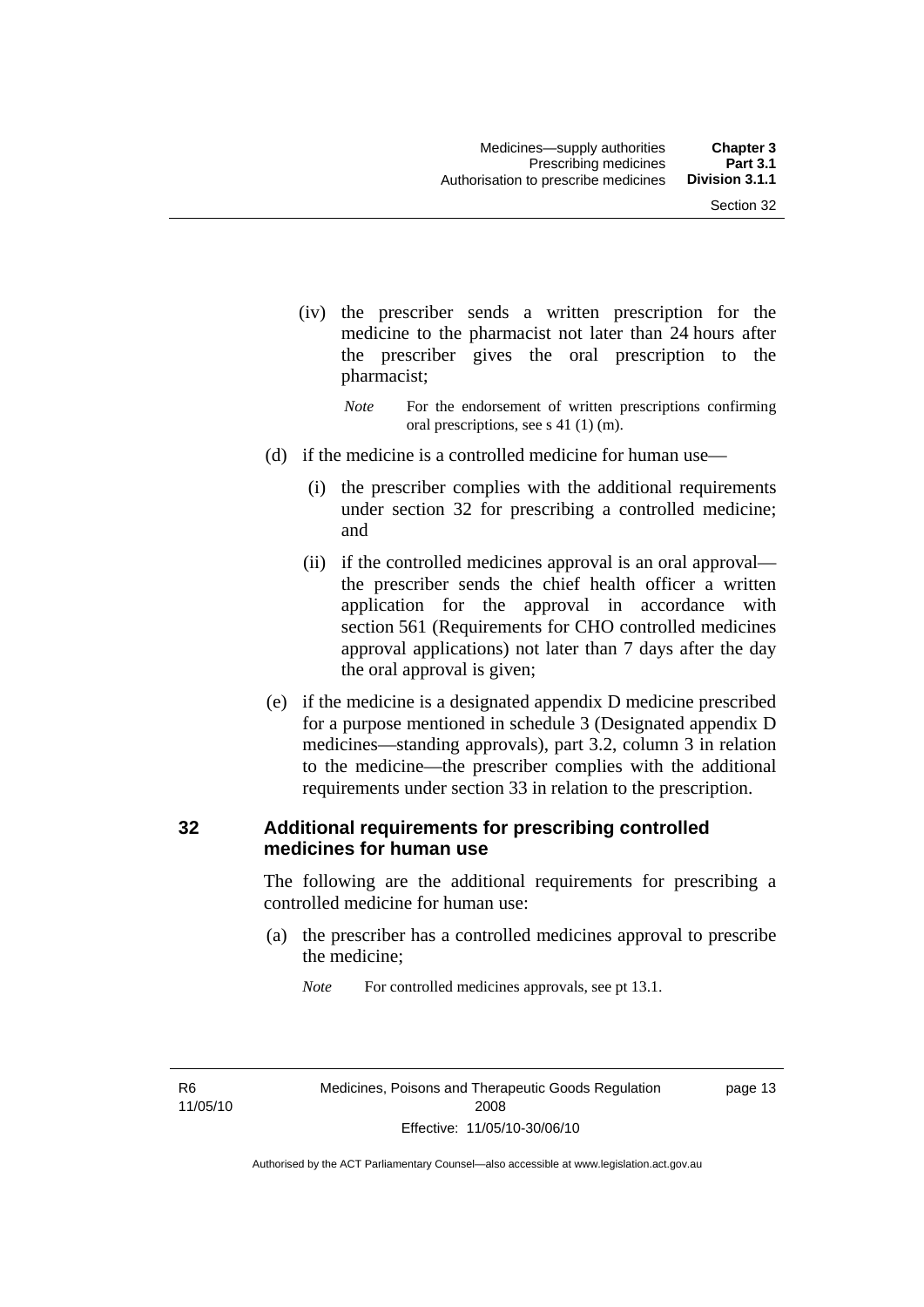- (iv) the prescriber sends a written prescription for the medicine to the pharmacist not later than 24 hours after the prescriber gives the oral prescription to the pharmacist;
	- *Note* For the endorsement of written prescriptions confirming oral prescriptions, see s 41 (1) (m).
- (d) if the medicine is a controlled medicine for human use—
	- (i) the prescriber complies with the additional requirements under section 32 for prescribing a controlled medicine; and
	- (ii) if the controlled medicines approval is an oral approval the prescriber sends the chief health officer a written application for the approval in accordance with section 561 (Requirements for CHO controlled medicines approval applications) not later than 7 days after the day the oral approval is given;
- (e) if the medicine is a designated appendix D medicine prescribed for a purpose mentioned in schedule 3 (Designated appendix D medicines—standing approvals), part 3.2, column 3 in relation to the medicine—the prescriber complies with the additional requirements under section 33 in relation to the prescription.

#### **32 Additional requirements for prescribing controlled medicines for human use**

The following are the additional requirements for prescribing a controlled medicine for human use:

 (a) the prescriber has a controlled medicines approval to prescribe the medicine;

*Note* For controlled medicines approvals, see pt 13.1.

R6 11/05/10 page 13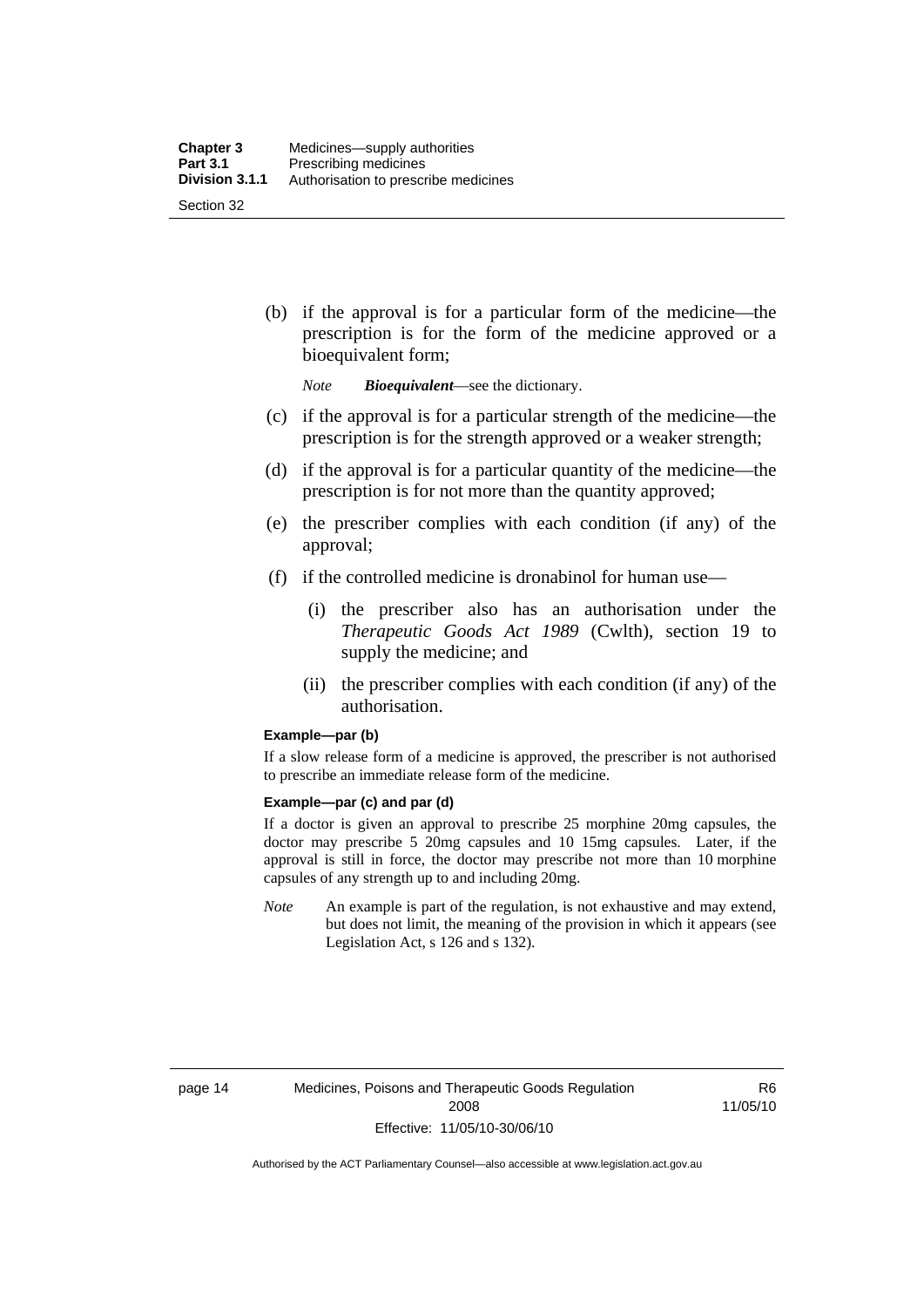(b) if the approval is for a particular form of the medicine—the prescription is for the form of the medicine approved or a bioequivalent form;

*Note Bioequivalent*—see the dictionary.

- (c) if the approval is for a particular strength of the medicine—the prescription is for the strength approved or a weaker strength;
- (d) if the approval is for a particular quantity of the medicine—the prescription is for not more than the quantity approved;
- (e) the prescriber complies with each condition (if any) of the approval;
- (f) if the controlled medicine is dronabinol for human use—
	- (i) the prescriber also has an authorisation under the *Therapeutic Goods Act 1989* (Cwlth), section 19 to supply the medicine; and
	- (ii) the prescriber complies with each condition (if any) of the authorisation.

#### **Example—par (b)**

If a slow release form of a medicine is approved, the prescriber is not authorised to prescribe an immediate release form of the medicine.

#### **Example—par (c) and par (d)**

If a doctor is given an approval to prescribe 25 morphine 20mg capsules, the doctor may prescribe 5 20mg capsules and 10 15mg capsules. Later, if the approval is still in force, the doctor may prescribe not more than 10 morphine capsules of any strength up to and including 20mg.

*Note* An example is part of the regulation, is not exhaustive and may extend, but does not limit, the meaning of the provision in which it appears (see Legislation Act, s 126 and s 132).

R6 11/05/10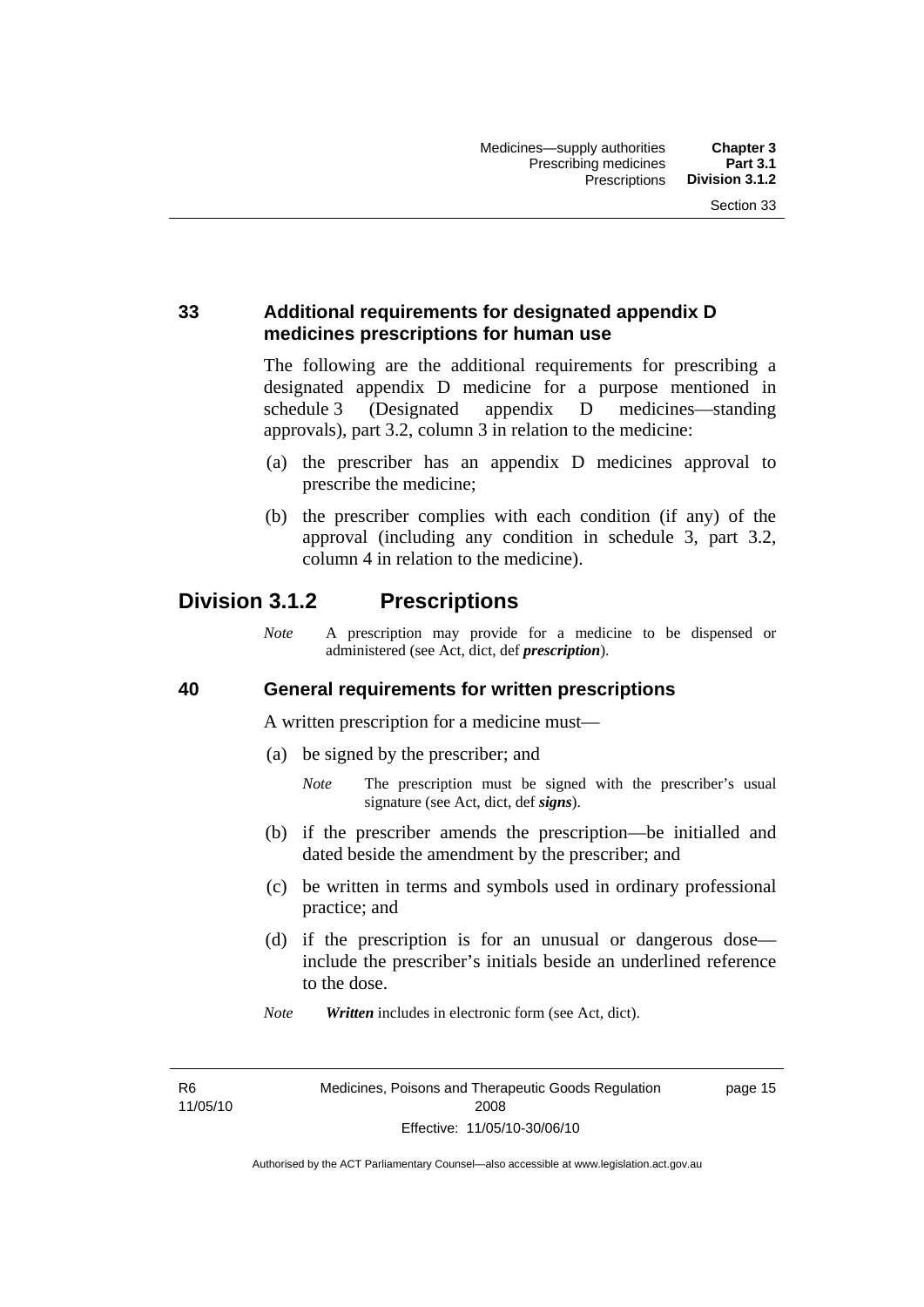## **33 Additional requirements for designated appendix D medicines prescriptions for human use**

The following are the additional requirements for prescribing a designated appendix D medicine for a purpose mentioned in schedule 3 (Designated appendix D medicines—standing approvals), part 3.2, column 3 in relation to the medicine:

- (a) the prescriber has an appendix D medicines approval to prescribe the medicine;
- (b) the prescriber complies with each condition (if any) of the approval (including any condition in schedule 3, part 3.2, column 4 in relation to the medicine).

# **Division 3.1.2 Prescriptions**

*Note* A prescription may provide for a medicine to be dispensed or administered (see Act, dict, def *prescription*).

#### **40 General requirements for written prescriptions**

A written prescription for a medicine must—

- (a) be signed by the prescriber; and
	- *Note* The prescription must be signed with the prescriber's usual signature (see Act, dict, def *signs*).
- (b) if the prescriber amends the prescription—be initialled and dated beside the amendment by the prescriber; and
- (c) be written in terms and symbols used in ordinary professional practice; and
- (d) if the prescription is for an unusual or dangerous dose include the prescriber's initials beside an underlined reference to the dose.
- *Note Written* includes in electronic form (see Act, dict).

R6 11/05/10 page 15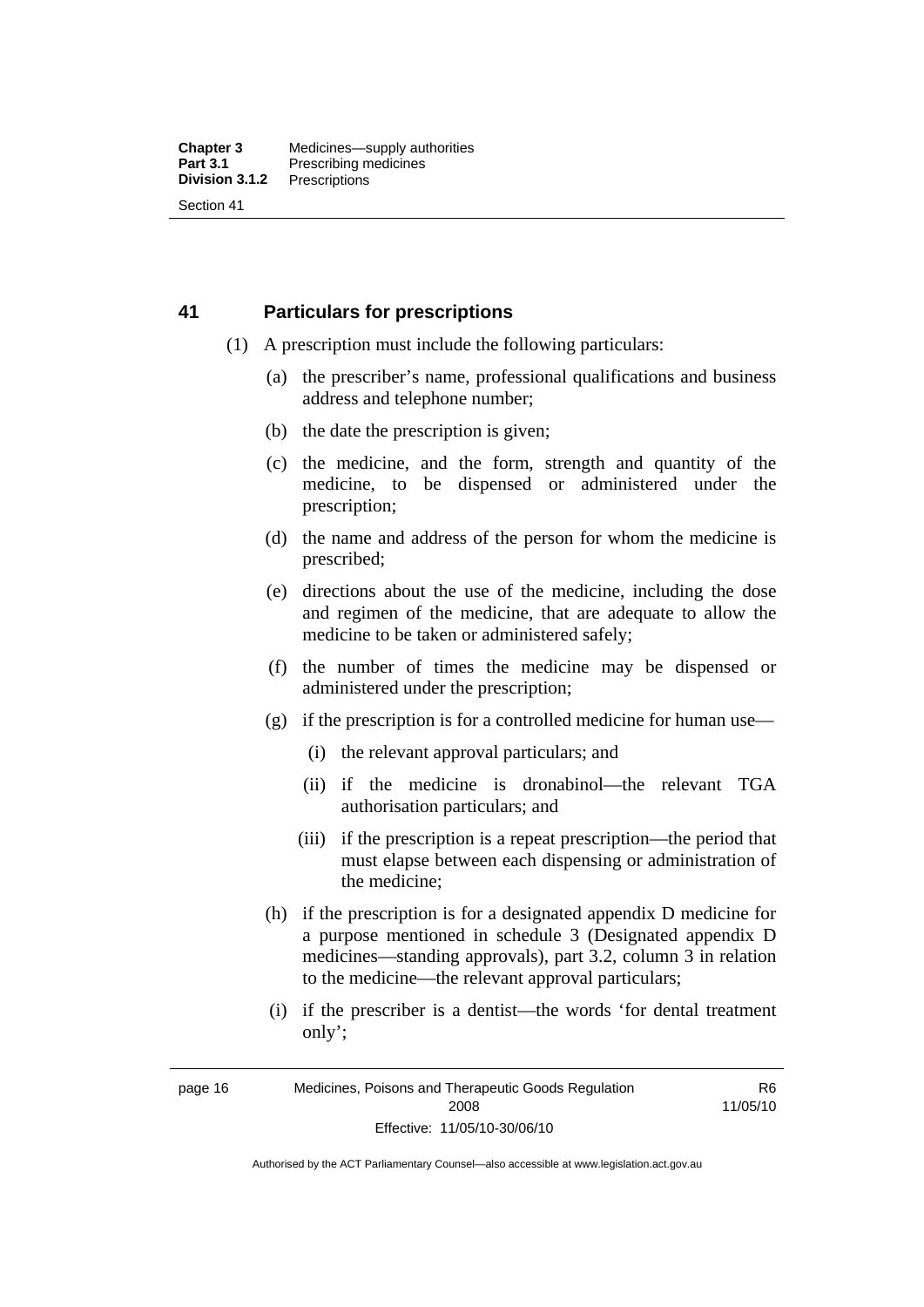### **41 Particulars for prescriptions**

- (1) A prescription must include the following particulars:
	- (a) the prescriber's name, professional qualifications and business address and telephone number;
	- (b) the date the prescription is given;
	- (c) the medicine, and the form, strength and quantity of the medicine, to be dispensed or administered under the prescription;
	- (d) the name and address of the person for whom the medicine is prescribed;
	- (e) directions about the use of the medicine, including the dose and regimen of the medicine, that are adequate to allow the medicine to be taken or administered safely;
	- (f) the number of times the medicine may be dispensed or administered under the prescription;
	- (g) if the prescription is for a controlled medicine for human use—
		- (i) the relevant approval particulars; and
		- (ii) if the medicine is dronabinol—the relevant TGA authorisation particulars; and
		- (iii) if the prescription is a repeat prescription—the period that must elapse between each dispensing or administration of the medicine;
	- (h) if the prescription is for a designated appendix D medicine for a purpose mentioned in schedule 3 (Designated appendix D medicines—standing approvals), part 3.2, column 3 in relation to the medicine—the relevant approval particulars;
	- (i) if the prescriber is a dentist—the words 'for dental treatment only';

R6 11/05/10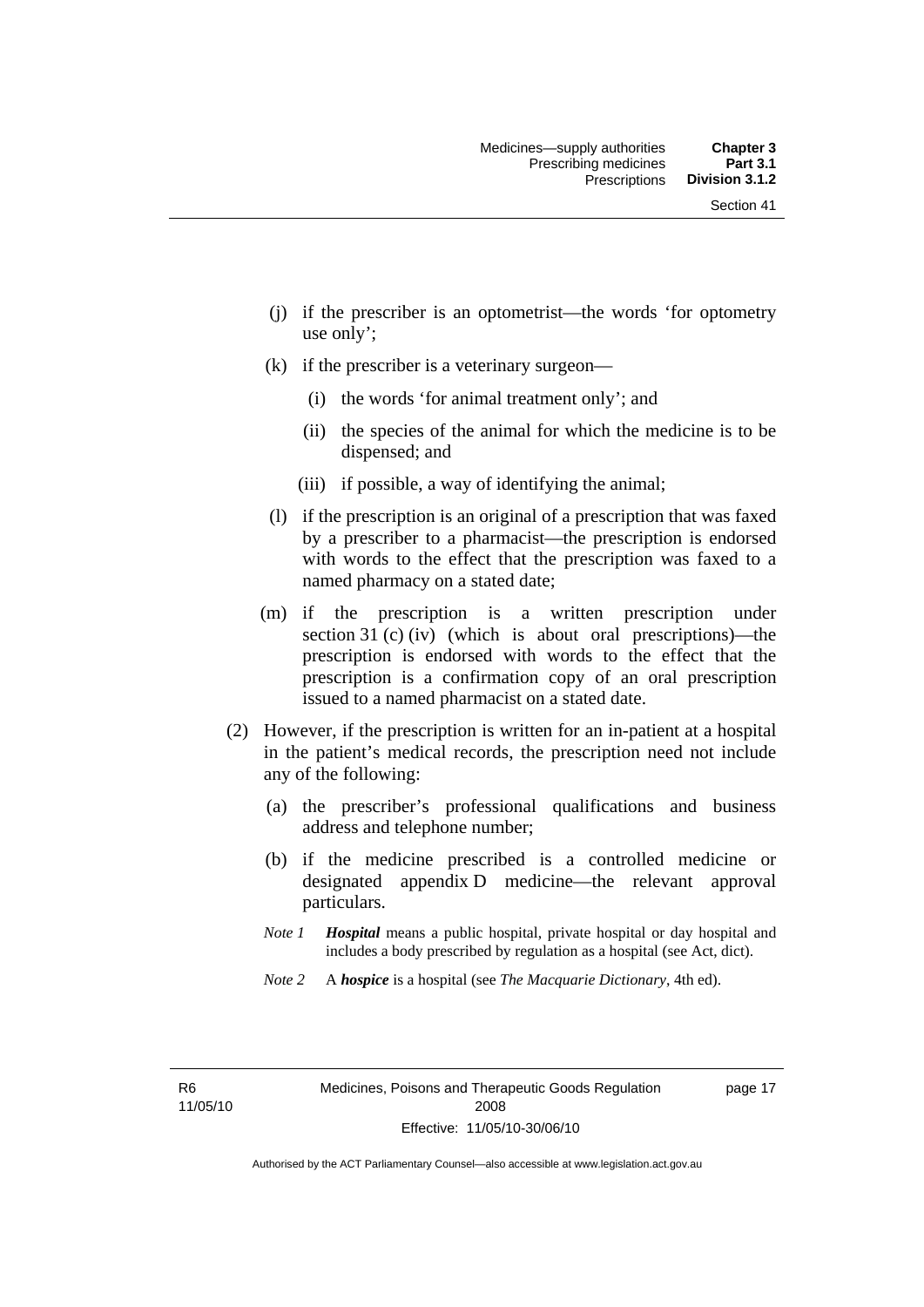- (j) if the prescriber is an optometrist—the words 'for optometry use only';
- (k) if the prescriber is a veterinary surgeon—
	- (i) the words 'for animal treatment only'; and
	- (ii) the species of the animal for which the medicine is to be dispensed; and
	- (iii) if possible, a way of identifying the animal;
- (l) if the prescription is an original of a prescription that was faxed by a prescriber to a pharmacist—the prescription is endorsed with words to the effect that the prescription was faxed to a named pharmacy on a stated date;
- (m) if the prescription is a written prescription under section 31 (c) (iv) (which is about oral prescriptions)—the prescription is endorsed with words to the effect that the prescription is a confirmation copy of an oral prescription issued to a named pharmacist on a stated date.
- (2) However, if the prescription is written for an in-patient at a hospital in the patient's medical records, the prescription need not include any of the following:
	- (a) the prescriber's professional qualifications and business address and telephone number;
	- (b) if the medicine prescribed is a controlled medicine or designated appendix D medicine—the relevant approval particulars.
	- *Note 1 Hospital* means a public hospital, private hospital or day hospital and includes a body prescribed by regulation as a hospital (see Act, dict).
	- *Note 2* A *hospice* is a hospital (see *The Macquarie Dictionary*, 4th ed).

R6 11/05/10 page 17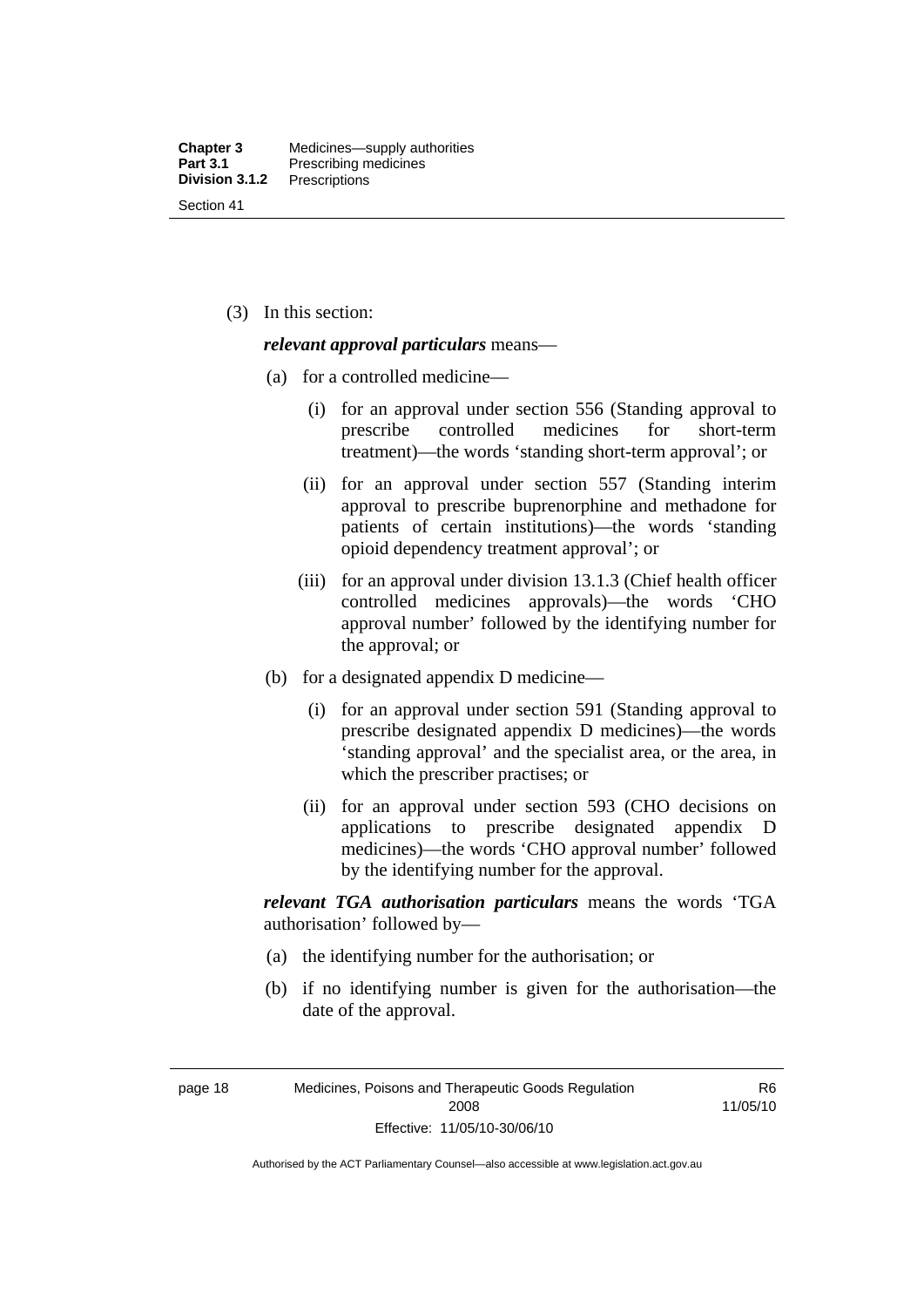(3) In this section:

#### *relevant approval particulars* means—

- (a) for a controlled medicine—
	- (i) for an approval under section 556 (Standing approval to prescribe controlled medicines for short-term treatment)—the words 'standing short-term approval'; or
	- (ii) for an approval under section 557 (Standing interim approval to prescribe buprenorphine and methadone for patients of certain institutions)—the words 'standing opioid dependency treatment approval'; or
	- (iii) for an approval under division 13.1.3 (Chief health officer controlled medicines approvals)—the words 'CHO approval number' followed by the identifying number for the approval; or
- (b) for a designated appendix D medicine—
	- (i) for an approval under section 591 (Standing approval to prescribe designated appendix D medicines)—the words 'standing approval' and the specialist area, or the area, in which the prescriber practises; or
	- (ii) for an approval under section 593 (CHO decisions on applications to prescribe designated appendix D medicines)—the words 'CHO approval number' followed by the identifying number for the approval.

*relevant TGA authorisation particulars* means the words 'TGA authorisation' followed by—

- (a) the identifying number for the authorisation; or
- (b) if no identifying number is given for the authorisation—the date of the approval.

page 18 Medicines, Poisons and Therapeutic Goods Regulation 2008 Effective: 11/05/10-30/06/10

R6 11/05/10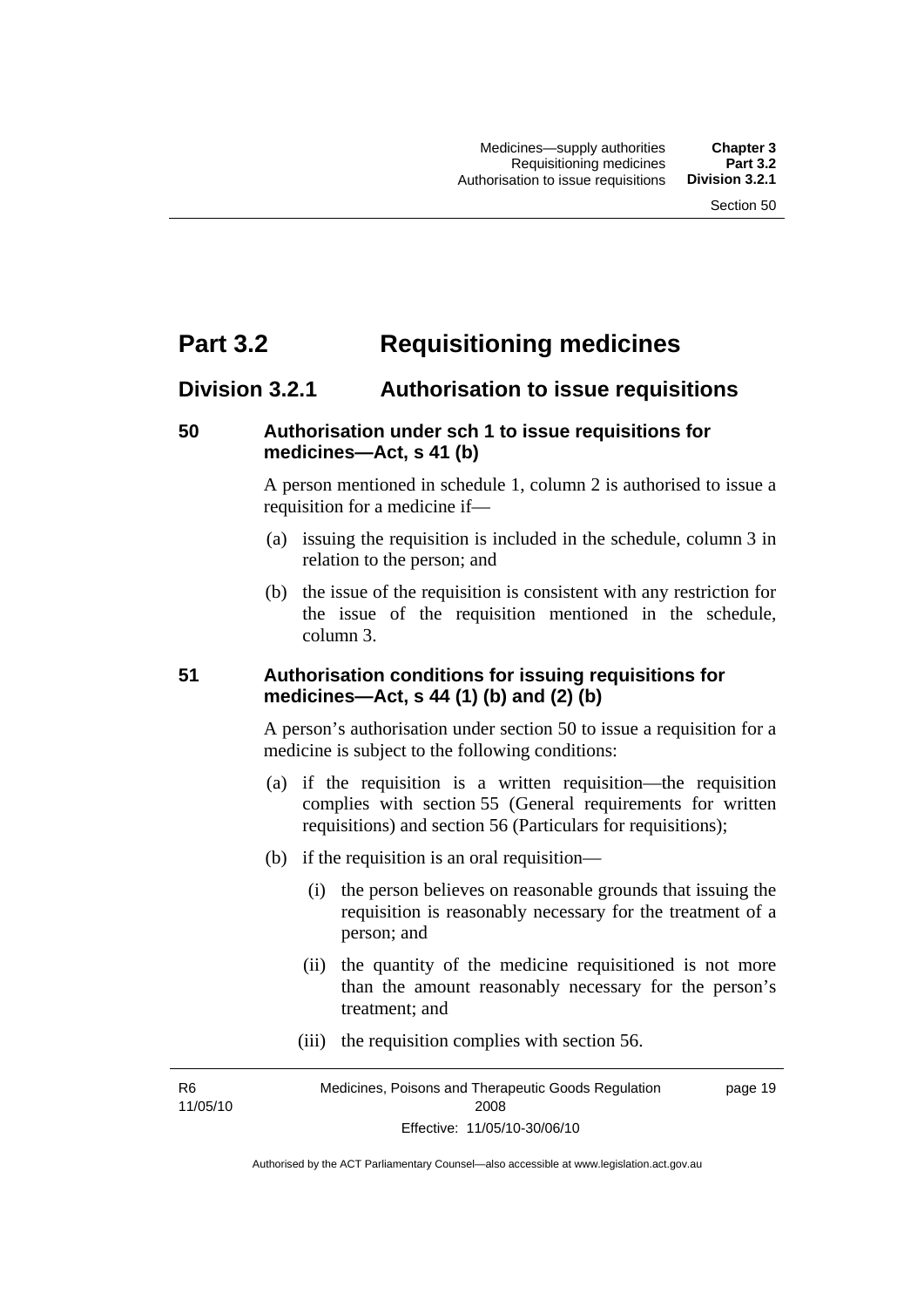# **Part 3.2 Requisitioning medicines**

## **Division 3.2.1 Authorisation to issue requisitions**

#### **50 Authorisation under sch 1 to issue requisitions for medicines—Act, s 41 (b)**

A person mentioned in schedule 1, column 2 is authorised to issue a requisition for a medicine if—

- (a) issuing the requisition is included in the schedule, column 3 in relation to the person; and
- (b) the issue of the requisition is consistent with any restriction for the issue of the requisition mentioned in the schedule, column 3.

#### **51 Authorisation conditions for issuing requisitions for medicines—Act, s 44 (1) (b) and (2) (b)**

A person's authorisation under section 50 to issue a requisition for a medicine is subject to the following conditions:

- (a) if the requisition is a written requisition—the requisition complies with section 55 (General requirements for written requisitions) and section 56 (Particulars for requisitions);
- (b) if the requisition is an oral requisition—
	- (i) the person believes on reasonable grounds that issuing the requisition is reasonably necessary for the treatment of a person; and
	- (ii) the quantity of the medicine requisitioned is not more than the amount reasonably necessary for the person's treatment; and
	- (iii) the requisition complies with section 56.

R6 11/05/10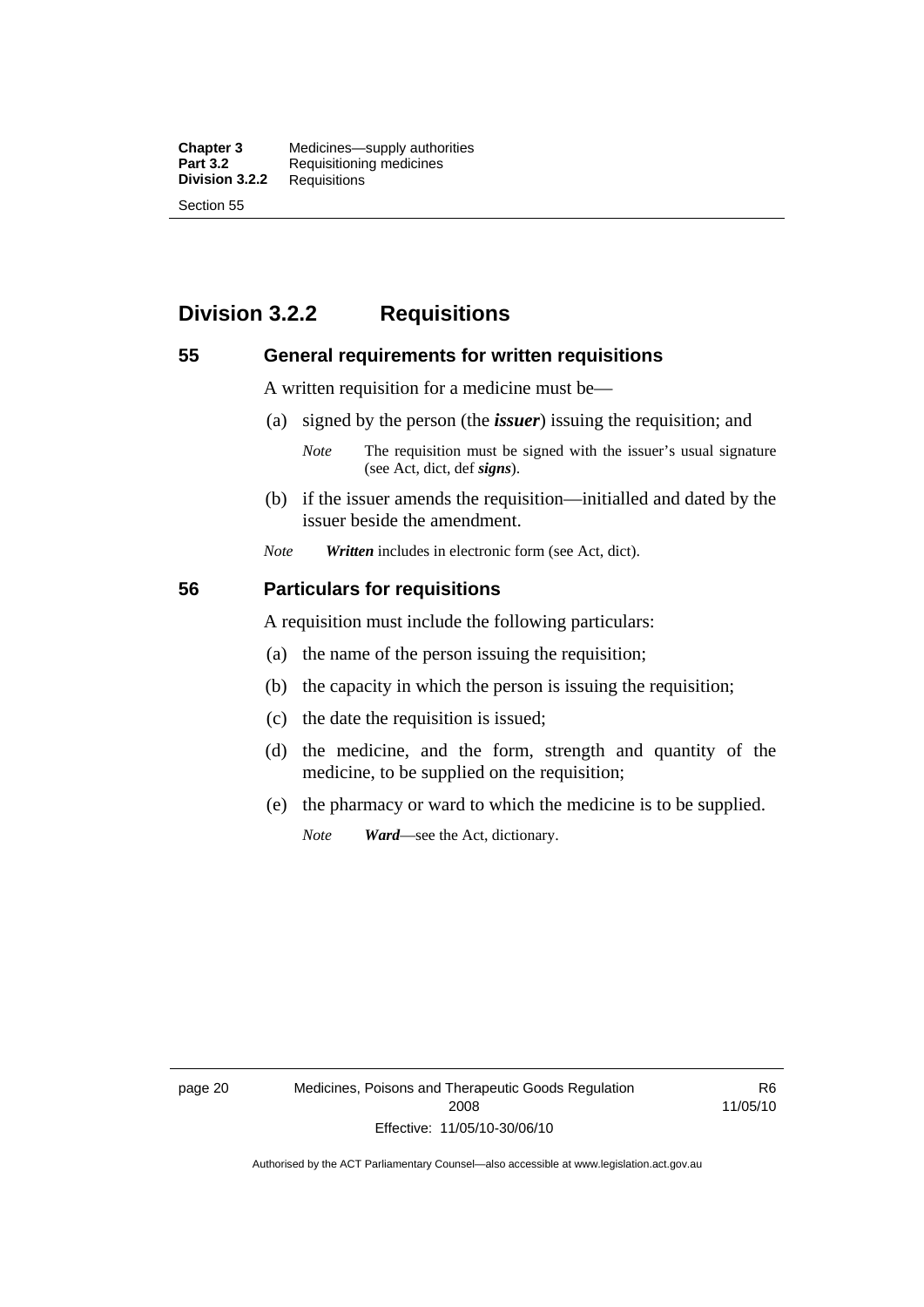**Chapter 3** Medicines—supply authorities<br>**Part 3.2** Requisitioning medicines **Requisitioning medicines**<br>Requisitions **Division 3.2.2** Section 55

# **Division 3.2.2 Requisitions**

#### **55 General requirements for written requisitions**

A written requisition for a medicine must be—

(a) signed by the person (the *issuer*) issuing the requisition; and

 (b) if the issuer amends the requisition—initialled and dated by the issuer beside the amendment.

*Note Written* includes in electronic form (see Act, dict).

#### **56 Particulars for requisitions**

A requisition must include the following particulars:

- (a) the name of the person issuing the requisition;
- (b) the capacity in which the person is issuing the requisition;
- (c) the date the requisition is issued;
- (d) the medicine, and the form, strength and quantity of the medicine, to be supplied on the requisition;
- (e) the pharmacy or ward to which the medicine is to be supplied.

*Note Ward*—see the Act, dictionary.

page 20 Medicines, Poisons and Therapeutic Goods Regulation 2008 Effective: 11/05/10-30/06/10

R6 11/05/10

*Note* The requisition must be signed with the issuer's usual signature (see Act, dict, def *signs*).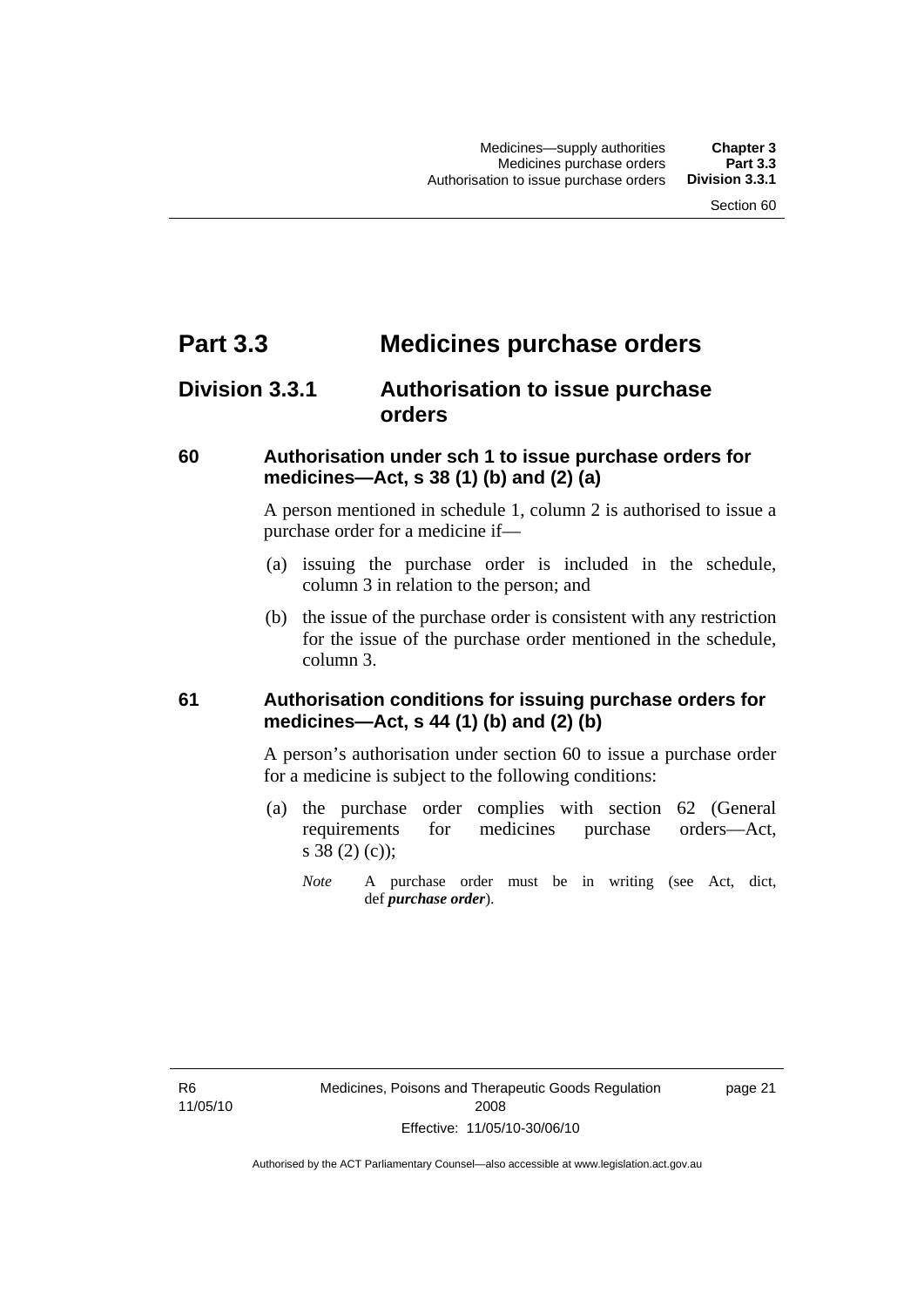# **Part 3.3 Medicines purchase orders**

# **Division 3.3.1 Authorisation to issue purchase orders**

#### **60 Authorisation under sch 1 to issue purchase orders for medicines—Act, s 38 (1) (b) and (2) (a)**

A person mentioned in schedule 1, column 2 is authorised to issue a purchase order for a medicine if—

- (a) issuing the purchase order is included in the schedule, column 3 in relation to the person; and
- (b) the issue of the purchase order is consistent with any restriction for the issue of the purchase order mentioned in the schedule, column 3.

#### **61 Authorisation conditions for issuing purchase orders for medicines—Act, s 44 (1) (b) and (2) (b)**

A person's authorisation under section 60 to issue a purchase order for a medicine is subject to the following conditions:

- (a) the purchase order complies with section 62 (General requirements for medicines purchase orders—Act, s 38 (2) (c));
	- *Note* A purchase order must be in writing (see Act, dict, def *purchase order*).

R6 11/05/10 page 21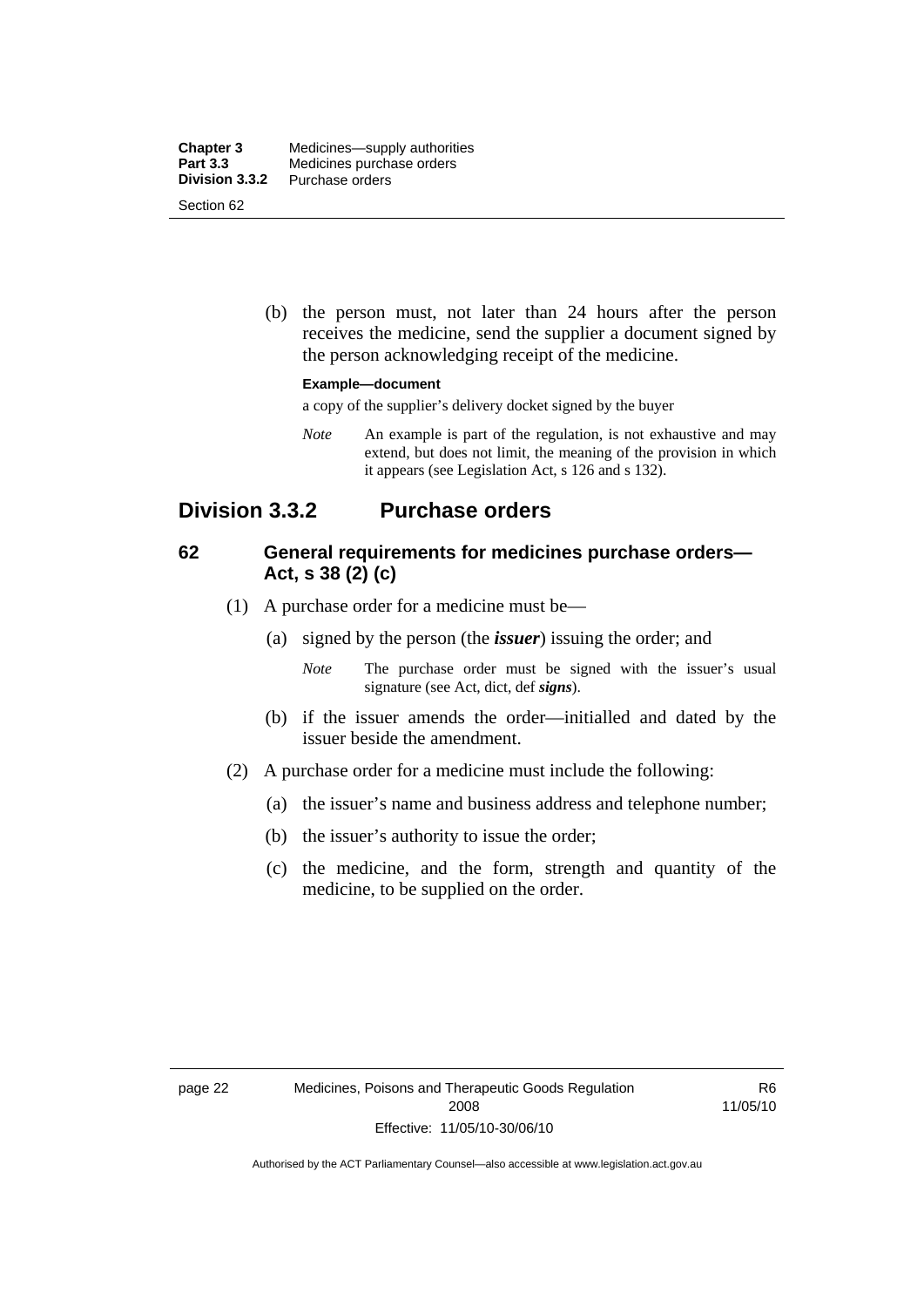| <b>Chapter 3</b> | Medicines—supply authorities |
|------------------|------------------------------|
| <b>Part 3.3</b>  | Medicines purchase orders    |
| Division 3.3.2   | Purchase orders              |
| Section 62       |                              |

 (b) the person must, not later than 24 hours after the person receives the medicine, send the supplier a document signed by the person acknowledging receipt of the medicine.

#### **Example—document**

a copy of the supplier's delivery docket signed by the buyer

*Note* An example is part of the regulation, is not exhaustive and may extend, but does not limit, the meaning of the provision in which it appears (see Legislation Act, s 126 and s 132).

## **Division 3.3.2 Purchase orders**

### **62 General requirements for medicines purchase orders— Act, s 38 (2) (c)**

- (1) A purchase order for a medicine must be—
	- (a) signed by the person (the *issuer*) issuing the order; and
		- *Note* The purchase order must be signed with the issuer's usual signature (see Act, dict, def *signs*).
	- (b) if the issuer amends the order—initialled and dated by the issuer beside the amendment.
- (2) A purchase order for a medicine must include the following:
	- (a) the issuer's name and business address and telephone number;
	- (b) the issuer's authority to issue the order;
	- (c) the medicine, and the form, strength and quantity of the medicine, to be supplied on the order.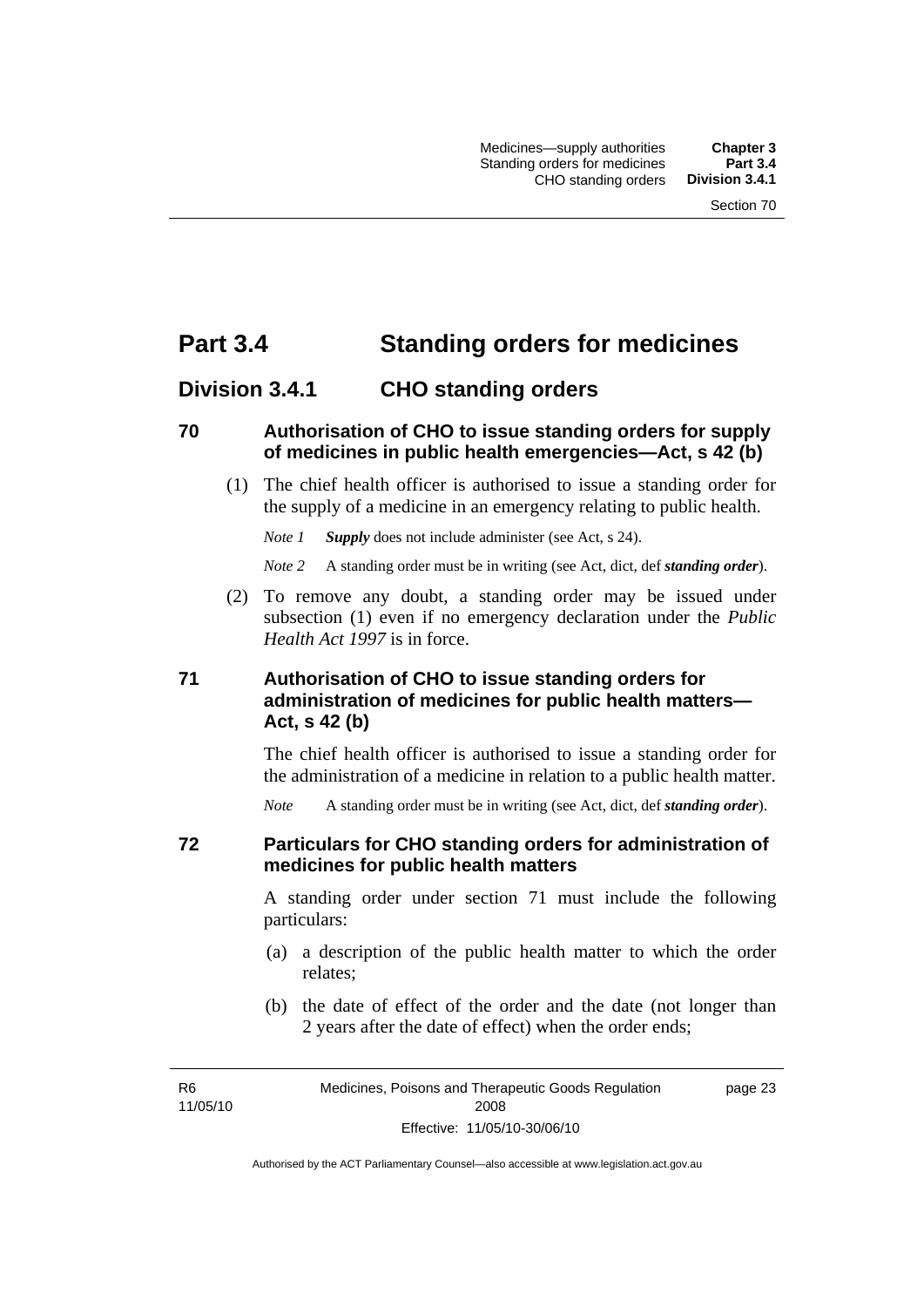# **Part 3.4 Standing orders for medicines**

# **Division 3.4.1 CHO standing orders**

#### **70 Authorisation of CHO to issue standing orders for supply of medicines in public health emergencies—Act, s 42 (b)**

 (1) The chief health officer is authorised to issue a standing order for the supply of a medicine in an emergency relating to public health.

*Note 1 Supply* does not include administer (see Act, s 24).

*Note 2* A standing order must be in writing (see Act, dict, def *standing order*).

 (2) To remove any doubt, a standing order may be issued under subsection (1) even if no emergency declaration under the *Public Health Act 1997* is in force.

## **71 Authorisation of CHO to issue standing orders for administration of medicines for public health matters— Act, s 42 (b)**

The chief health officer is authorised to issue a standing order for the administration of a medicine in relation to a public health matter.

*Note* A standing order must be in writing (see Act, dict, def *standing order*).

#### **72 Particulars for CHO standing orders for administration of medicines for public health matters**

A standing order under section 71 must include the following particulars:

- (a) a description of the public health matter to which the order relates;
- (b) the date of effect of the order and the date (not longer than 2 years after the date of effect) when the order ends;

R6 11/05/10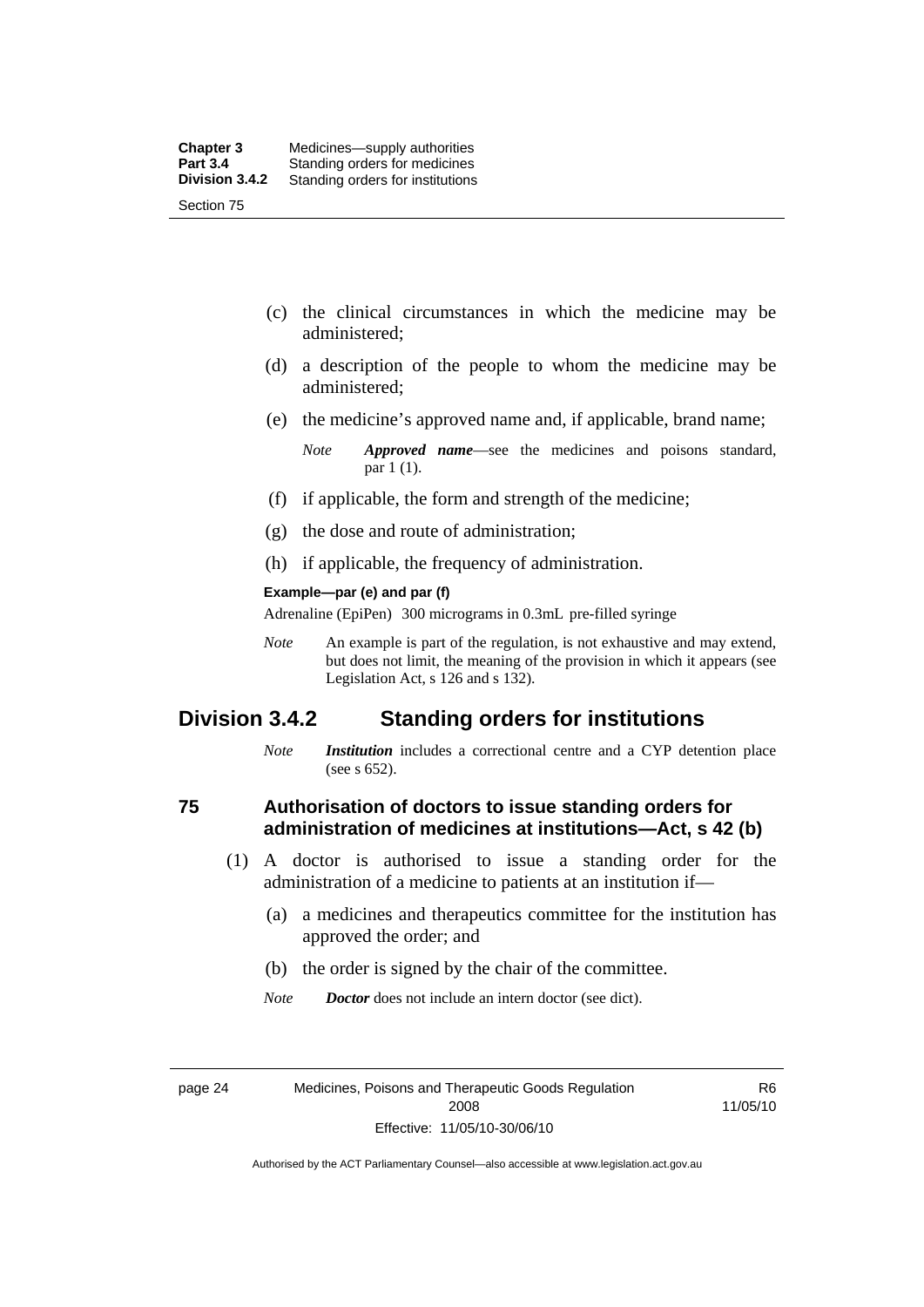- (c) the clinical circumstances in which the medicine may be administered;
- (d) a description of the people to whom the medicine may be administered;
- (e) the medicine's approved name and, if applicable, brand name;

- (f) if applicable, the form and strength of the medicine;
- (g) the dose and route of administration;
- (h) if applicable, the frequency of administration.

#### **Example—par (e) and par (f)**

Adrenaline (EpiPen) 300 micrograms in 0.3mL pre-filled syringe

*Note* An example is part of the regulation, is not exhaustive and may extend, but does not limit, the meaning of the provision in which it appears (see Legislation Act, s 126 and s 132).

## **Division 3.4.2 Standing orders for institutions**

*Note Institution* includes a correctional centre and a CYP detention place (see s 652).

#### **75 Authorisation of doctors to issue standing orders for administration of medicines at institutions—Act, s 42 (b)**

- (1) A doctor is authorised to issue a standing order for the administration of a medicine to patients at an institution if—
	- (a) a medicines and therapeutics committee for the institution has approved the order; and
	- (b) the order is signed by the chair of the committee.
	- *Note Doctor* does not include an intern doctor (see dict).

R6 11/05/10

*Note Approved name*—see the medicines and poisons standard, par 1 (1).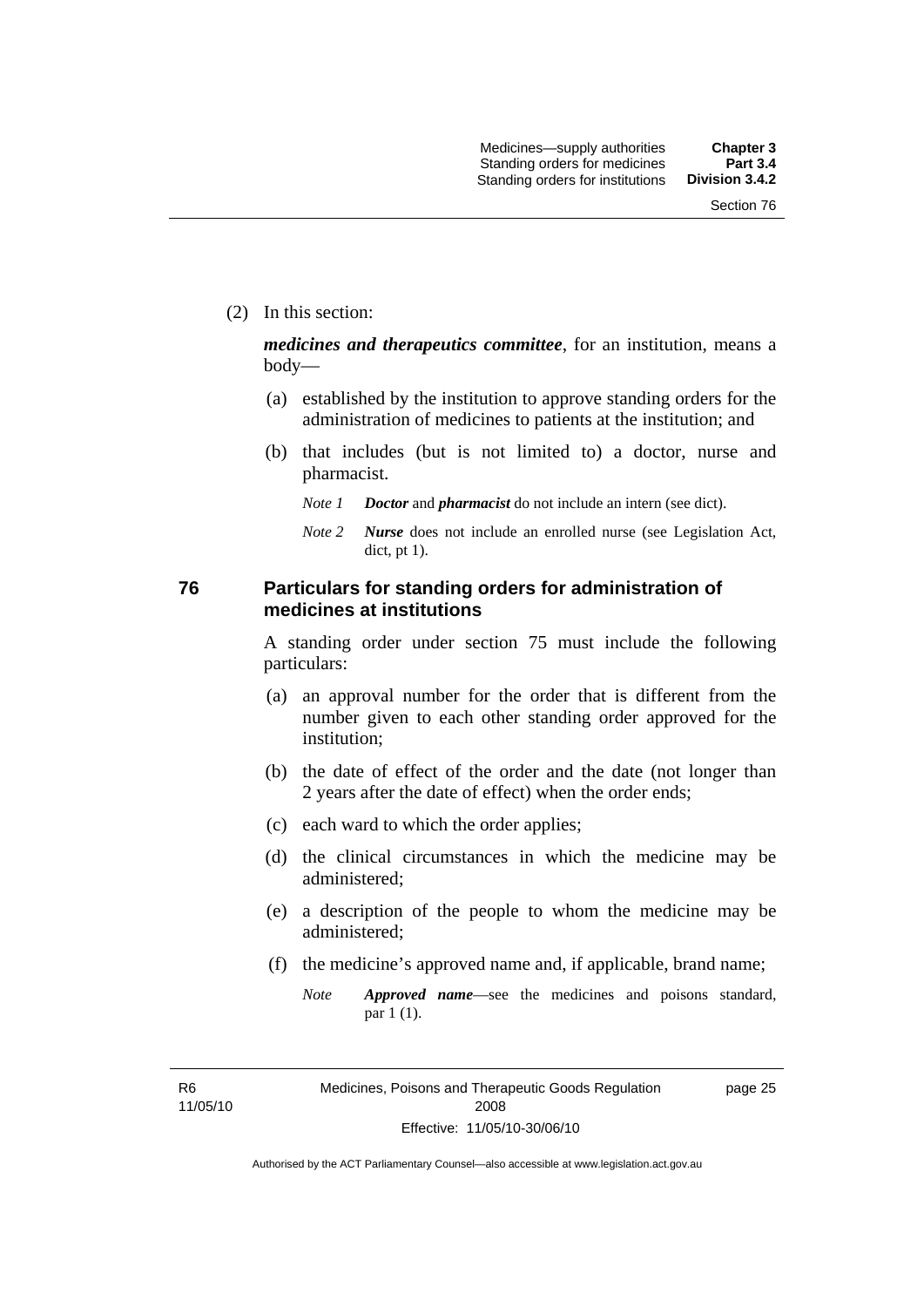(2) In this section:

*medicines and therapeutics committee*, for an institution, means a body—

- (a) established by the institution to approve standing orders for the administration of medicines to patients at the institution; and
- (b) that includes (but is not limited to) a doctor, nurse and pharmacist.
	- *Note 1 Doctor* and *pharmacist* do not include an intern (see dict).
	- *Note 2 Nurse* does not include an enrolled nurse (see Legislation Act, dict, pt 1).

#### **76 Particulars for standing orders for administration of medicines at institutions**

A standing order under section 75 must include the following particulars:

- (a) an approval number for the order that is different from the number given to each other standing order approved for the institution;
- (b) the date of effect of the order and the date (not longer than 2 years after the date of effect) when the order ends;
- (c) each ward to which the order applies;
- (d) the clinical circumstances in which the medicine may be administered;
- (e) a description of the people to whom the medicine may be administered;
- (f) the medicine's approved name and, if applicable, brand name;
	- *Note Approved name*—see the medicines and poisons standard, par 1 (1).

R6 11/05/10 page 25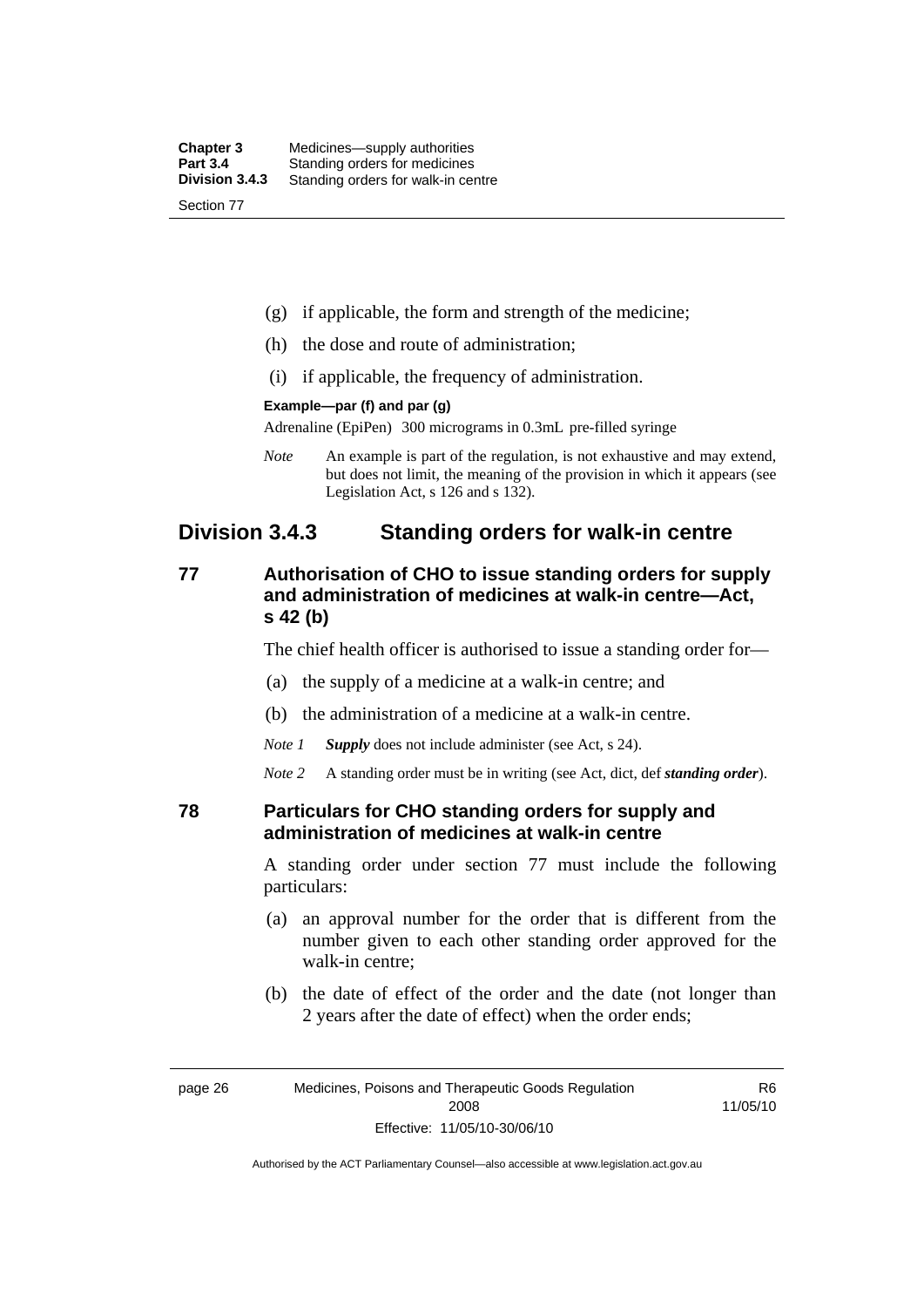| <b>Chapter 3</b> | Medicines—supply authorities       |
|------------------|------------------------------------|
| <b>Part 3.4</b>  | Standing orders for medicines      |
| Division 3.4.3   | Standing orders for walk-in centre |
| Section 77       |                                    |

- (g) if applicable, the form and strength of the medicine;
- (h) the dose and route of administration;
- (i) if applicable, the frequency of administration.

#### **Example—par (f) and par (g)**

Adrenaline (EpiPen) 300 micrograms in 0.3mL pre-filled syringe

*Note* An example is part of the regulation, is not exhaustive and may extend, but does not limit, the meaning of the provision in which it appears (see Legislation Act, s 126 and s 132).

## **Division 3.4.3 Standing orders for walk-in centre**

## **77 Authorisation of CHO to issue standing orders for supply and administration of medicines at walk-in centre—Act, s 42 (b)**

The chief health officer is authorised to issue a standing order for—

- (a) the supply of a medicine at a walk-in centre; and
- (b) the administration of a medicine at a walk-in centre.

*Note 1 Supply* does not include administer (see Act, s 24).

*Note 2* A standing order must be in writing (see Act, dict, def *standing order*).

#### **78 Particulars for CHO standing orders for supply and administration of medicines at walk-in centre**

A standing order under section 77 must include the following particulars:

- (a) an approval number for the order that is different from the number given to each other standing order approved for the walk-in centre;
- (b) the date of effect of the order and the date (not longer than 2 years after the date of effect) when the order ends;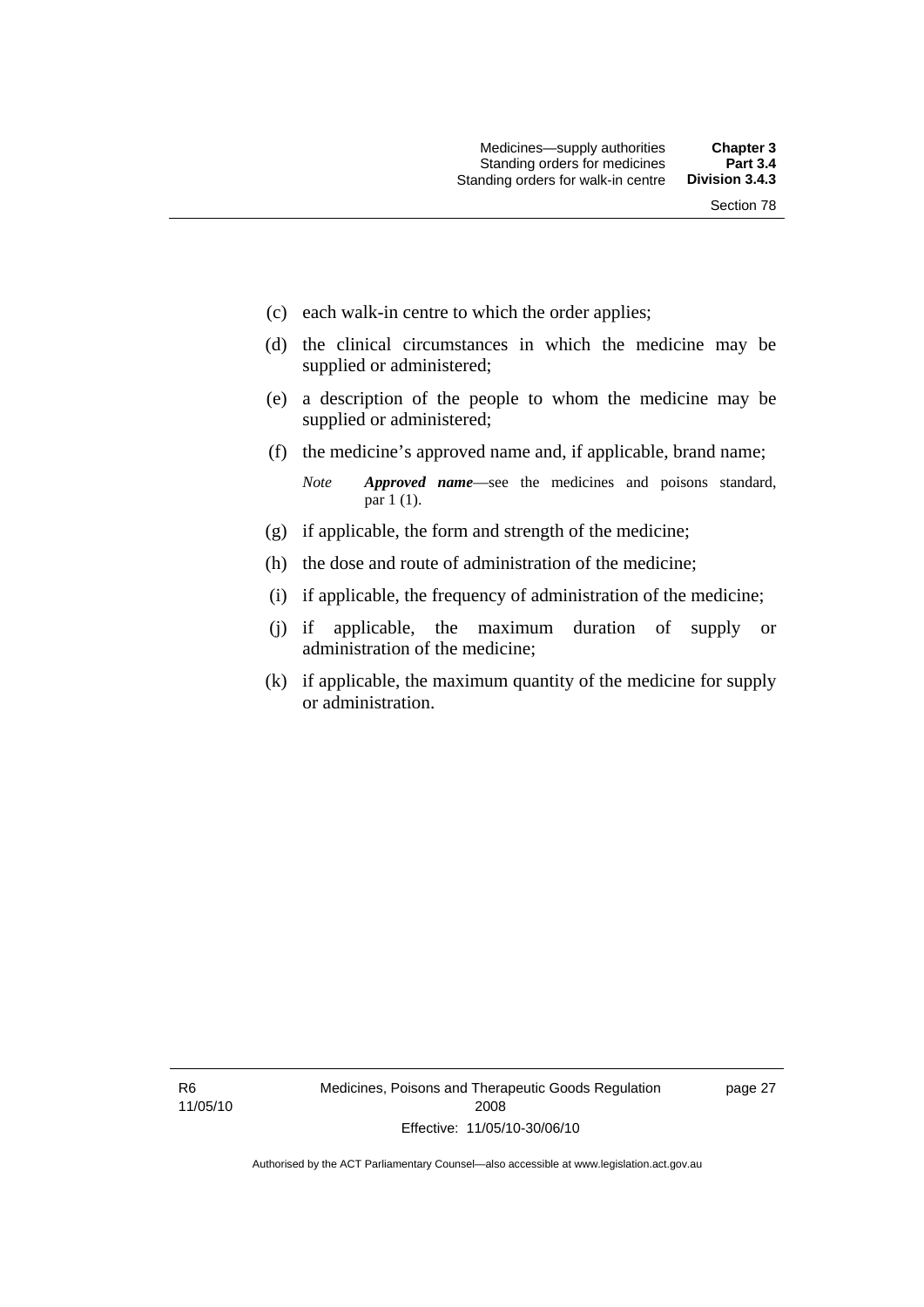- (c) each walk-in centre to which the order applies;
- (d) the clinical circumstances in which the medicine may be supplied or administered;
- (e) a description of the people to whom the medicine may be supplied or administered;
- (f) the medicine's approved name and, if applicable, brand name;

*Note Approved name*—see the medicines and poisons standard, par 1 (1).

- (g) if applicable, the form and strength of the medicine;
- (h) the dose and route of administration of the medicine;
- (i) if applicable, the frequency of administration of the medicine;
- (j) if applicable, the maximum duration of supply or administration of the medicine;
- (k) if applicable, the maximum quantity of the medicine for supply or administration.

R6 11/05/10 page 27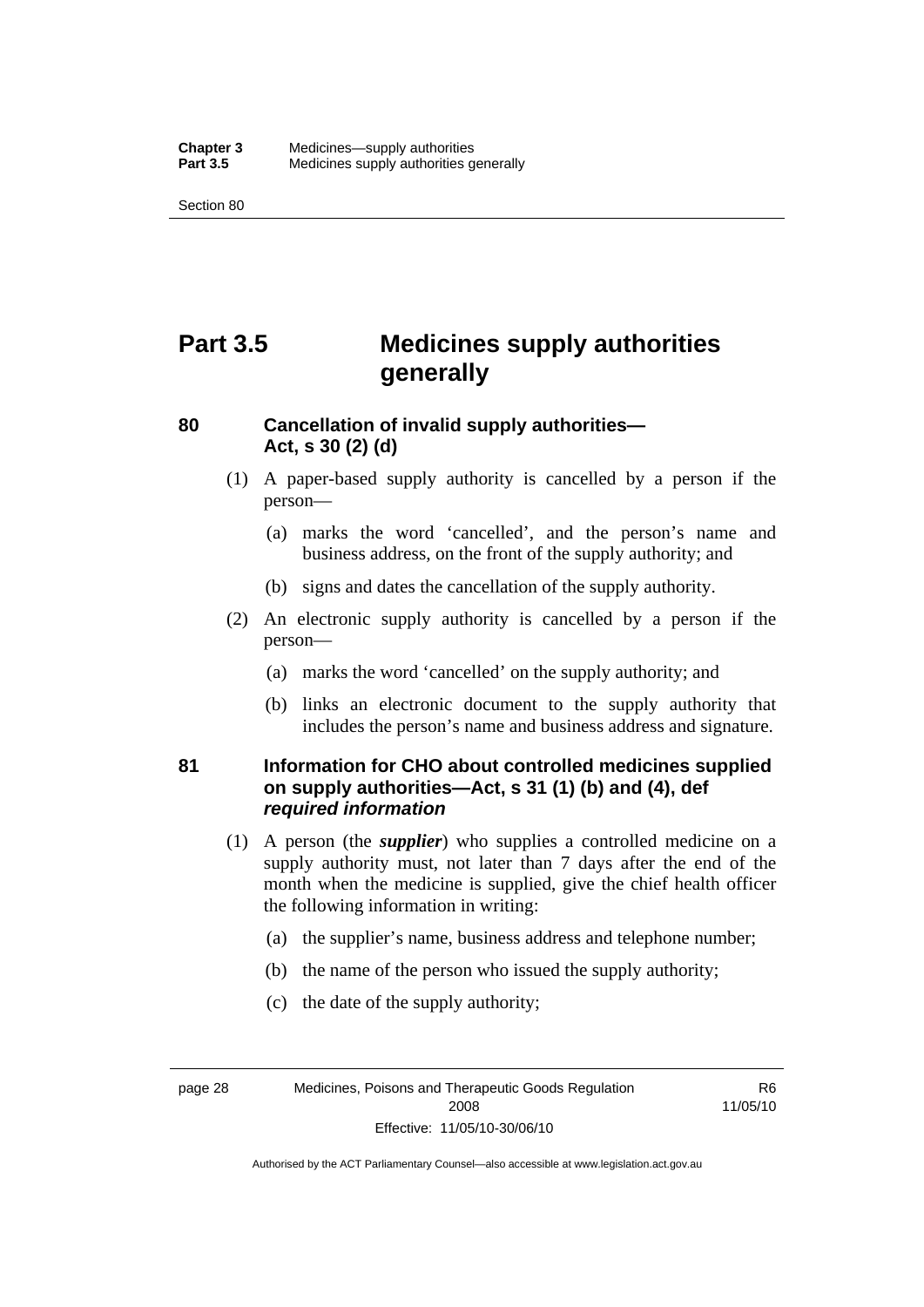Section 80

# **Part 3.5 Medicines supply authorities generally**

## **80 Cancellation of invalid supply authorities— Act, s 30 (2) (d)**

- (1) A paper-based supply authority is cancelled by a person if the person—
	- (a) marks the word 'cancelled', and the person's name and business address, on the front of the supply authority; and
	- (b) signs and dates the cancellation of the supply authority.
- (2) An electronic supply authority is cancelled by a person if the person—
	- (a) marks the word 'cancelled' on the supply authority; and
	- (b) links an electronic document to the supply authority that includes the person's name and business address and signature.

## **81 Information for CHO about controlled medicines supplied on supply authorities—Act, s 31 (1) (b) and (4), def**  *required information*

- (1) A person (the *supplier*) who supplies a controlled medicine on a supply authority must, not later than 7 days after the end of the month when the medicine is supplied, give the chief health officer the following information in writing:
	- (a) the supplier's name, business address and telephone number;
	- (b) the name of the person who issued the supply authority;
	- (c) the date of the supply authority;

page 28 Medicines, Poisons and Therapeutic Goods Regulation 2008 Effective: 11/05/10-30/06/10

R6 11/05/10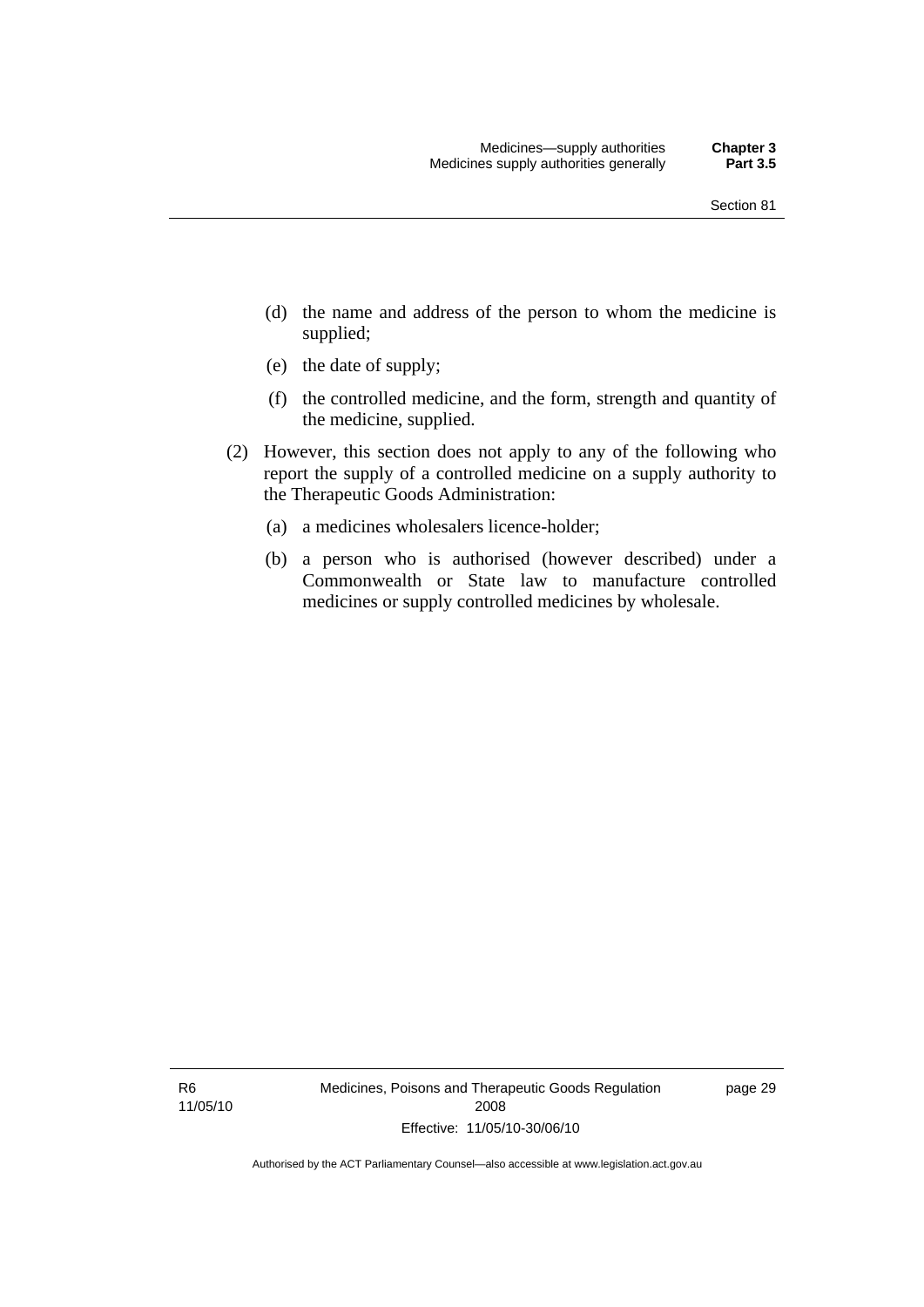- (d) the name and address of the person to whom the medicine is supplied;
- (e) the date of supply;
- (f) the controlled medicine, and the form, strength and quantity of the medicine, supplied.
- (2) However, this section does not apply to any of the following who report the supply of a controlled medicine on a supply authority to the Therapeutic Goods Administration:
	- (a) a medicines wholesalers licence-holder;
	- (b) a person who is authorised (however described) under a Commonwealth or State law to manufacture controlled medicines or supply controlled medicines by wholesale.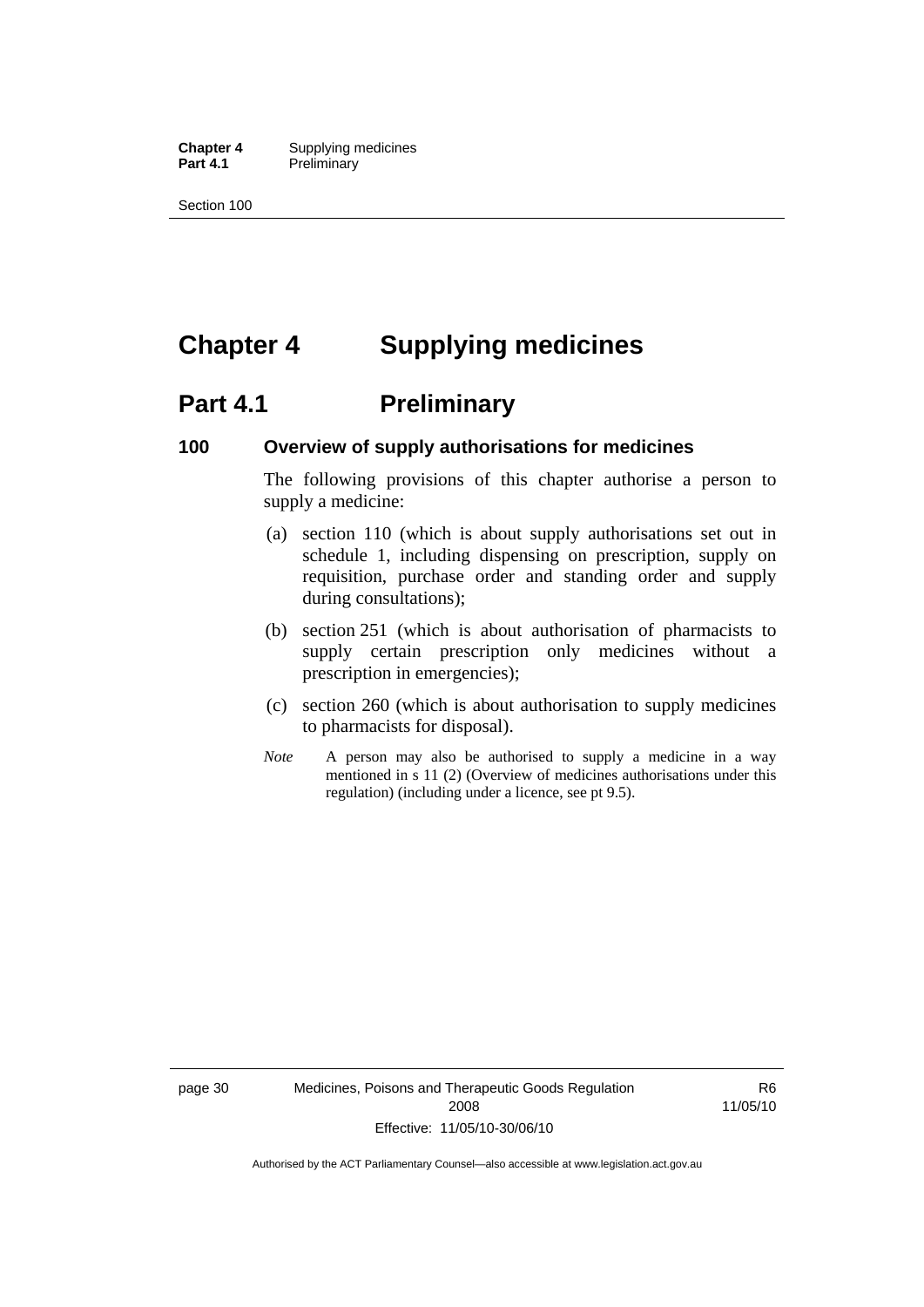**Chapter 4** Supplying medicines<br>**Part 4.1** Preliminary **Preliminary** 

Section 100

# **Chapter 4 Supplying medicines**

# **Part 4.1** Preliminary

#### **100 Overview of supply authorisations for medicines**

The following provisions of this chapter authorise a person to supply a medicine:

- (a) section 110 (which is about supply authorisations set out in schedule 1, including dispensing on prescription, supply on requisition, purchase order and standing order and supply during consultations);
- (b) section 251 (which is about authorisation of pharmacists to supply certain prescription only medicines without a prescription in emergencies);
- (c) section 260 (which is about authorisation to supply medicines to pharmacists for disposal).
- *Note* A person may also be authorised to supply a medicine in a way mentioned in s 11 (2) (Overview of medicines authorisations under this regulation) (including under a licence, see pt 9.5).

page 30 Medicines, Poisons and Therapeutic Goods Regulation 2008 Effective: 11/05/10-30/06/10

R6 11/05/10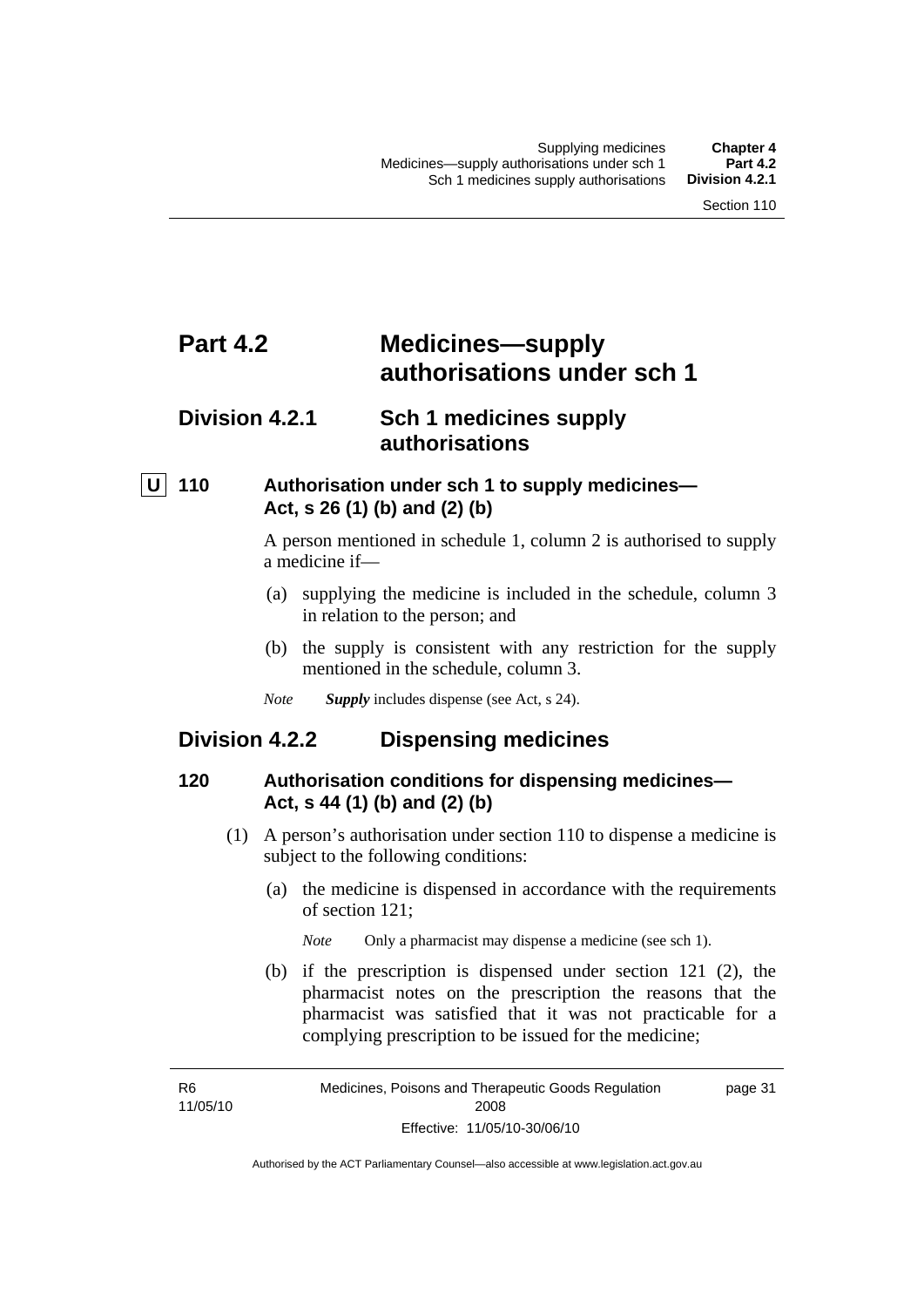# **Part 4.2 Medicines—supply authorisations under sch 1**

# **Division 4.2.1 Sch 1 medicines supply authorisations**

## **U 110 Authorisation under sch 1 to supply medicines— Act, s 26 (1) (b) and (2) (b)**

A person mentioned in schedule 1, column 2 is authorised to supply a medicine if—

- (a) supplying the medicine is included in the schedule, column 3 in relation to the person; and
- (b) the supply is consistent with any restriction for the supply mentioned in the schedule, column 3.
- *Note Supply* includes dispense (see Act, s 24).

## **Division 4.2.2 Dispensing medicines**

#### **120 Authorisation conditions for dispensing medicines— Act, s 44 (1) (b) and (2) (b)**

- (1) A person's authorisation under section 110 to dispense a medicine is subject to the following conditions:
	- (a) the medicine is dispensed in accordance with the requirements of section 121;
		- *Note* Only a pharmacist may dispense a medicine (see sch 1).
	- (b) if the prescription is dispensed under section 121 (2), the pharmacist notes on the prescription the reasons that the pharmacist was satisfied that it was not practicable for a complying prescription to be issued for the medicine;

R6 11/05/10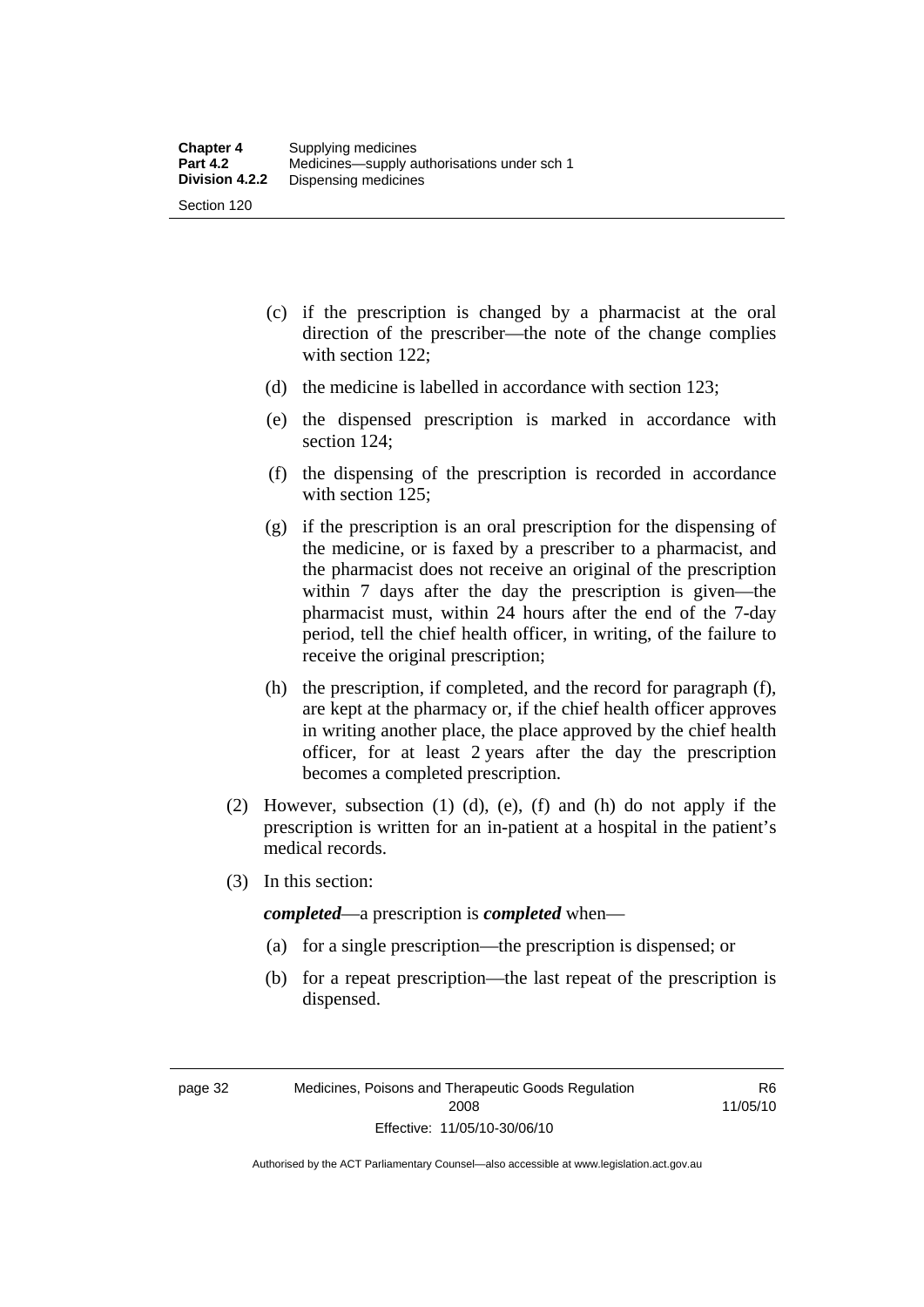- (c) if the prescription is changed by a pharmacist at the oral direction of the prescriber—the note of the change complies with section 122;
- (d) the medicine is labelled in accordance with section 123;
- (e) the dispensed prescription is marked in accordance with section 124;
- (f) the dispensing of the prescription is recorded in accordance with section 125:
- (g) if the prescription is an oral prescription for the dispensing of the medicine, or is faxed by a prescriber to a pharmacist, and the pharmacist does not receive an original of the prescription within 7 days after the day the prescription is given—the pharmacist must, within 24 hours after the end of the 7-day period, tell the chief health officer, in writing, of the failure to receive the original prescription;
- (h) the prescription, if completed, and the record for paragraph (f), are kept at the pharmacy or, if the chief health officer approves in writing another place, the place approved by the chief health officer, for at least 2 years after the day the prescription becomes a completed prescription.
- (2) However, subsection (1) (d), (e), (f) and (h) do not apply if the prescription is written for an in-patient at a hospital in the patient's medical records.
- (3) In this section:

*completed*—a prescription is *completed* when—

- (a) for a single prescription—the prescription is dispensed; or
- (b) for a repeat prescription—the last repeat of the prescription is dispensed.

R6 11/05/10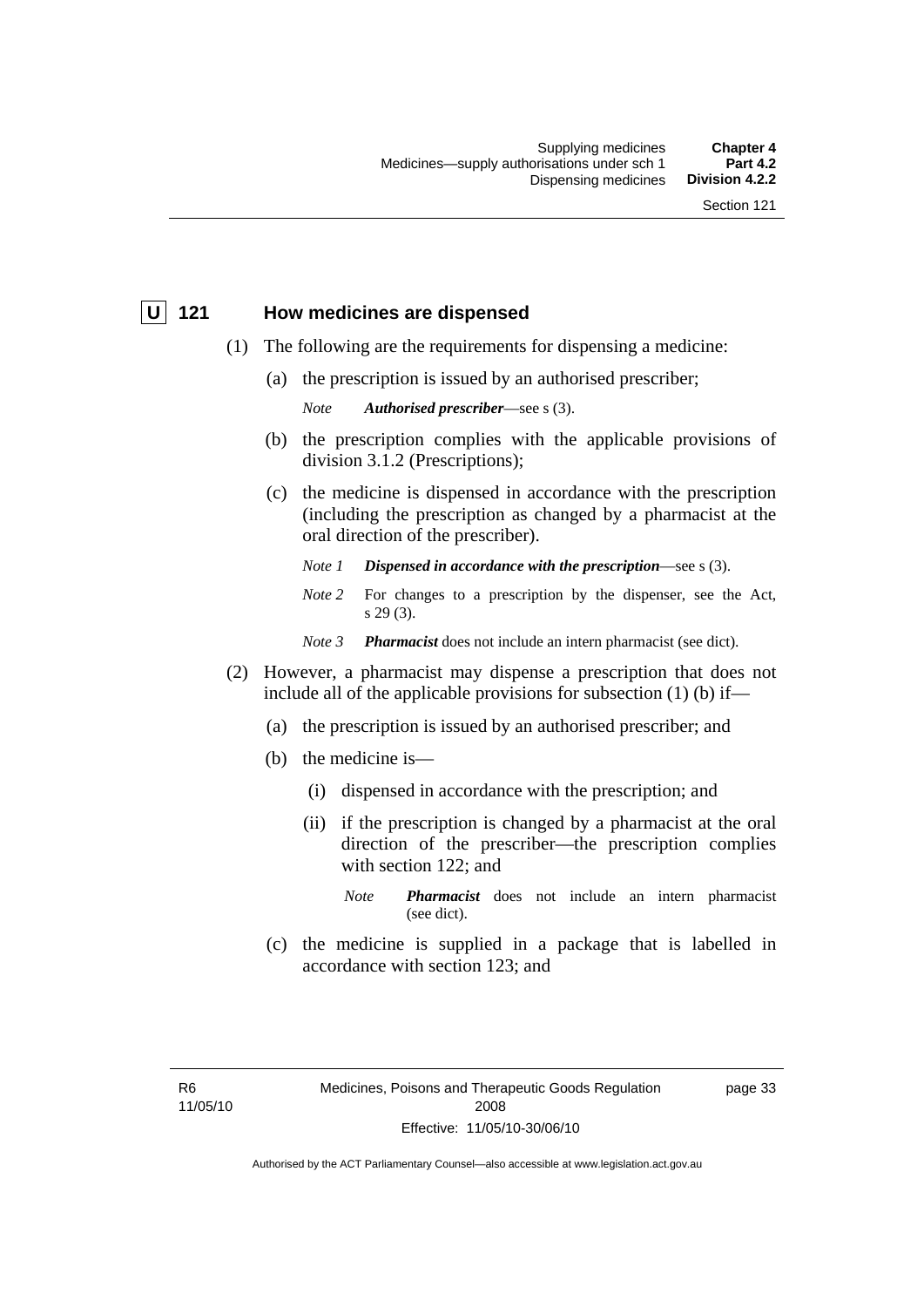#### **U 121 How medicines are dispensed**

- (1) The following are the requirements for dispensing a medicine:
	- (a) the prescription is issued by an authorised prescriber;

*Note Authorised prescriber*—see s (3).

- (b) the prescription complies with the applicable provisions of division 3.1.2 (Prescriptions);
- (c) the medicine is dispensed in accordance with the prescription (including the prescription as changed by a pharmacist at the oral direction of the prescriber).
	- *Note 1 Dispensed in accordance with the prescription*—see s (3).
	- *Note* 2 For changes to a prescription by the dispenser, see the Act, s 29 (3).
	- *Note 3 Pharmacist* does not include an intern pharmacist (see dict).
- (2) However, a pharmacist may dispense a prescription that does not include all of the applicable provisions for subsection  $(1)$  (b) if-
	- (a) the prescription is issued by an authorised prescriber; and
	- (b) the medicine is—
		- (i) dispensed in accordance with the prescription; and
		- (ii) if the prescription is changed by a pharmacist at the oral direction of the prescriber—the prescription complies with section 122; and
			- *Note Pharmacist* does not include an intern pharmacist (see dict).
	- (c) the medicine is supplied in a package that is labelled in accordance with section 123; and

page 33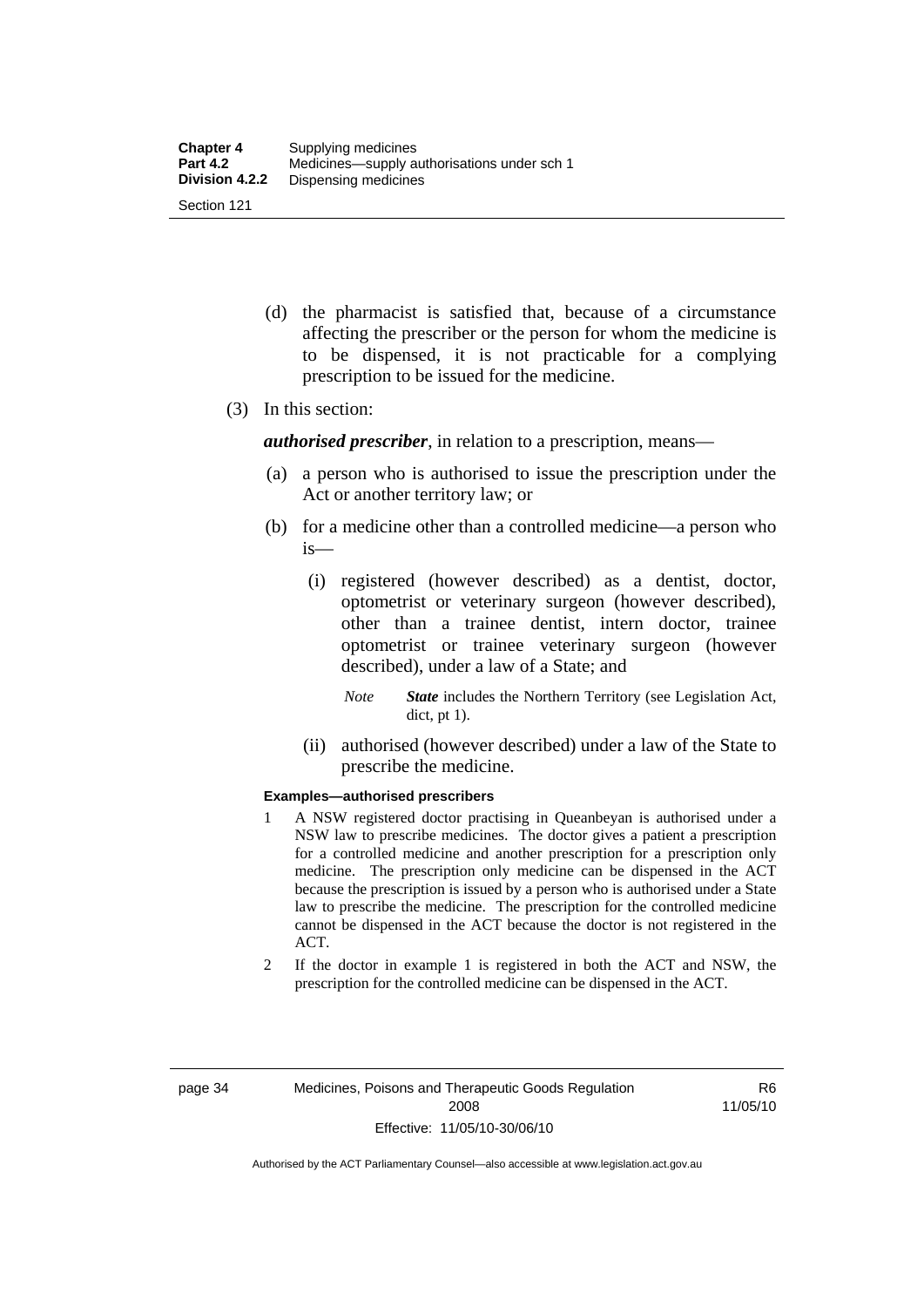- (d) the pharmacist is satisfied that, because of a circumstance affecting the prescriber or the person for whom the medicine is to be dispensed, it is not practicable for a complying prescription to be issued for the medicine.
- (3) In this section:

*authorised prescriber*, in relation to a prescription, means—

- (a) a person who is authorised to issue the prescription under the Act or another territory law; or
- (b) for a medicine other than a controlled medicine—a person who is—
	- (i) registered (however described) as a dentist, doctor, optometrist or veterinary surgeon (however described), other than a trainee dentist, intern doctor, trainee optometrist or trainee veterinary surgeon (however described), under a law of a State; and
		- *Note State* includes the Northern Territory (see Legislation Act, dict, pt 1).
	- (ii) authorised (however described) under a law of the State to prescribe the medicine.

#### **Examples—authorised prescribers**

- 1 A NSW registered doctor practising in Queanbeyan is authorised under a NSW law to prescribe medicines. The doctor gives a patient a prescription for a controlled medicine and another prescription for a prescription only medicine. The prescription only medicine can be dispensed in the ACT because the prescription is issued by a person who is authorised under a State law to prescribe the medicine. The prescription for the controlled medicine cannot be dispensed in the ACT because the doctor is not registered in the ACT.
- 2 If the doctor in example 1 is registered in both the ACT and NSW, the prescription for the controlled medicine can be dispensed in the ACT.

R6 11/05/10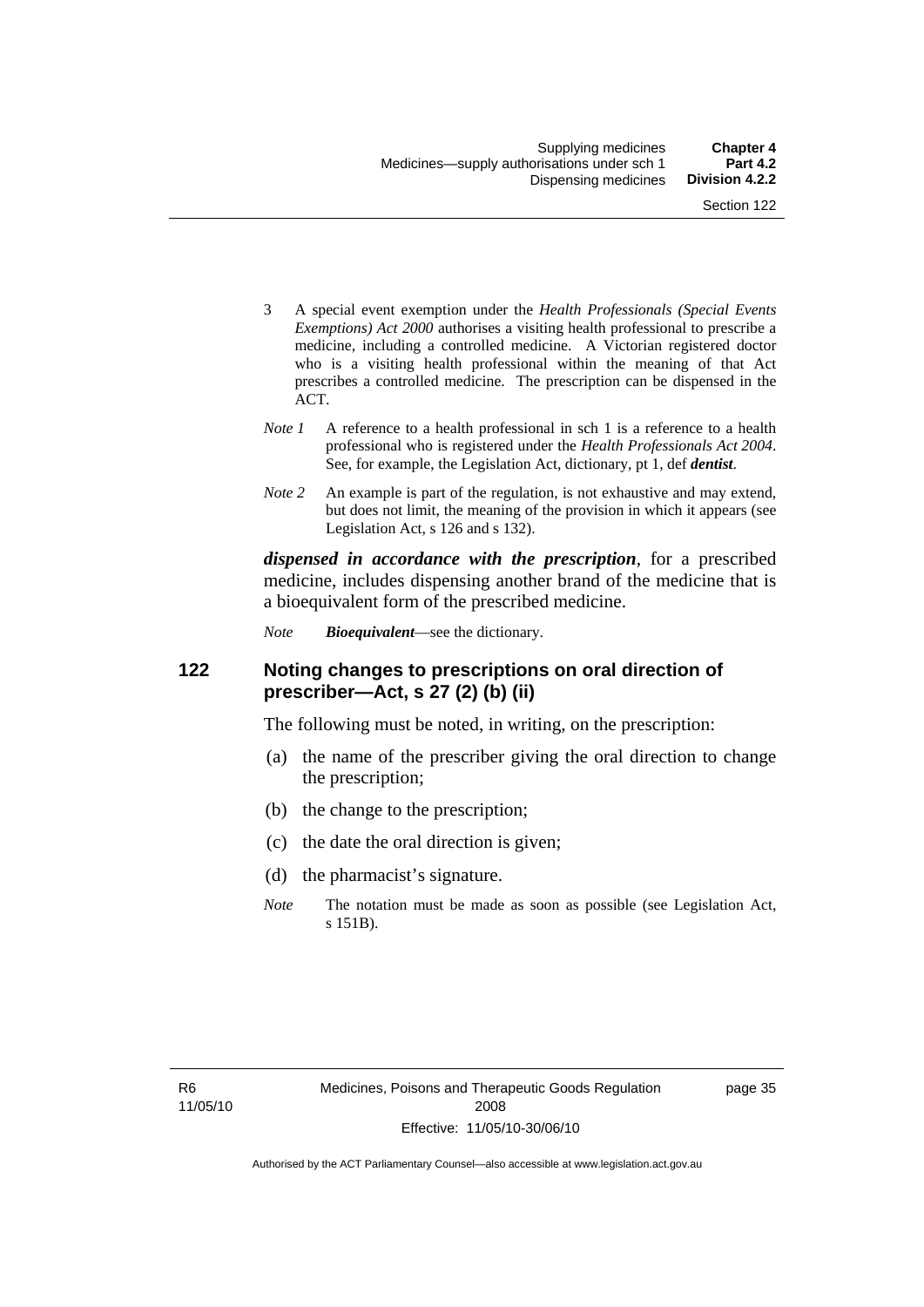- 3 A special event exemption under the *Health Professionals (Special Events Exemptions) Act 2000* authorises a visiting health professional to prescribe a medicine, including a controlled medicine. A Victorian registered doctor who is a visiting health professional within the meaning of that Act prescribes a controlled medicine. The prescription can be dispensed in the ACT.
- *Note 1* A reference to a health professional in sch 1 is a reference to a health professional who is registered under the *Health Professionals Act 2004*. See, for example, the Legislation Act, dictionary, pt 1, def *dentist*.
- *Note 2* An example is part of the regulation, is not exhaustive and may extend, but does not limit, the meaning of the provision in which it appears (see Legislation Act, s 126 and s 132).

*dispensed in accordance with the prescription*, for a prescribed medicine, includes dispensing another brand of the medicine that is a bioequivalent form of the prescribed medicine.

*Note Bioequivalent*—see the dictionary.

#### **122 Noting changes to prescriptions on oral direction of prescriber—Act, s 27 (2) (b) (ii)**

The following must be noted, in writing, on the prescription:

- (a) the name of the prescriber giving the oral direction to change the prescription;
- (b) the change to the prescription;
- (c) the date the oral direction is given;
- (d) the pharmacist's signature.
- *Note* The notation must be made as soon as possible (see Legislation Act, s 151B).

page 35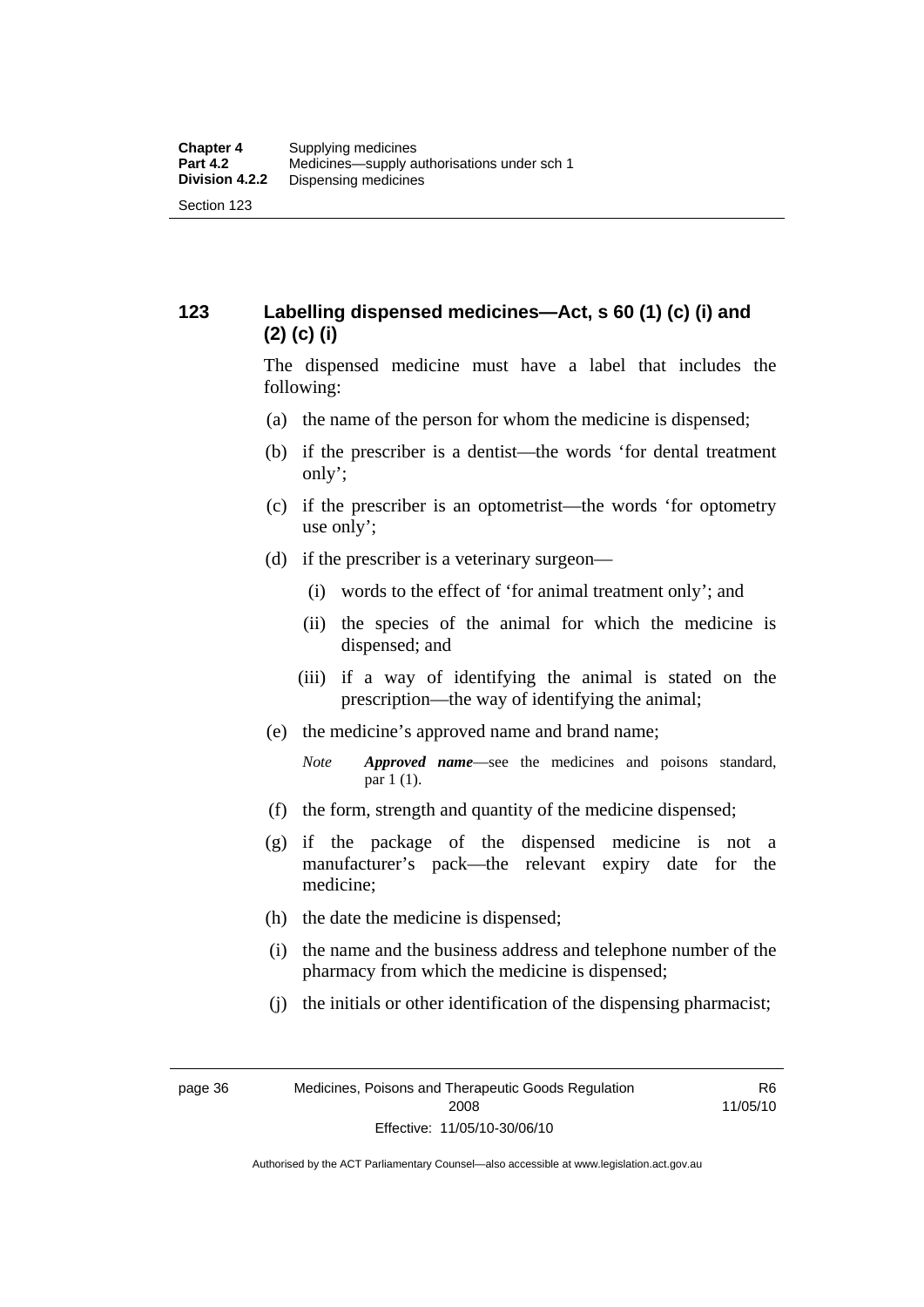## **123 Labelling dispensed medicines—Act, s 60 (1) (c) (i) and (2) (c) (i)**

The dispensed medicine must have a label that includes the following:

- (a) the name of the person for whom the medicine is dispensed;
- (b) if the prescriber is a dentist—the words 'for dental treatment only';
- (c) if the prescriber is an optometrist—the words 'for optometry use only';
- (d) if the prescriber is a veterinary surgeon—
	- (i) words to the effect of 'for animal treatment only'; and
	- (ii) the species of the animal for which the medicine is dispensed; and
	- (iii) if a way of identifying the animal is stated on the prescription—the way of identifying the animal;
- (e) the medicine's approved name and brand name;
	- *Note Approved name*—see the medicines and poisons standard, par 1 (1).
- (f) the form, strength and quantity of the medicine dispensed;
- (g) if the package of the dispensed medicine is not a manufacturer's pack—the relevant expiry date for the medicine;
- (h) the date the medicine is dispensed;
- (i) the name and the business address and telephone number of the pharmacy from which the medicine is dispensed;
- (j) the initials or other identification of the dispensing pharmacist;

R6 11/05/10

Authorised by the ACT Parliamentary Counsel—also accessible at www.legislation.act.gov.au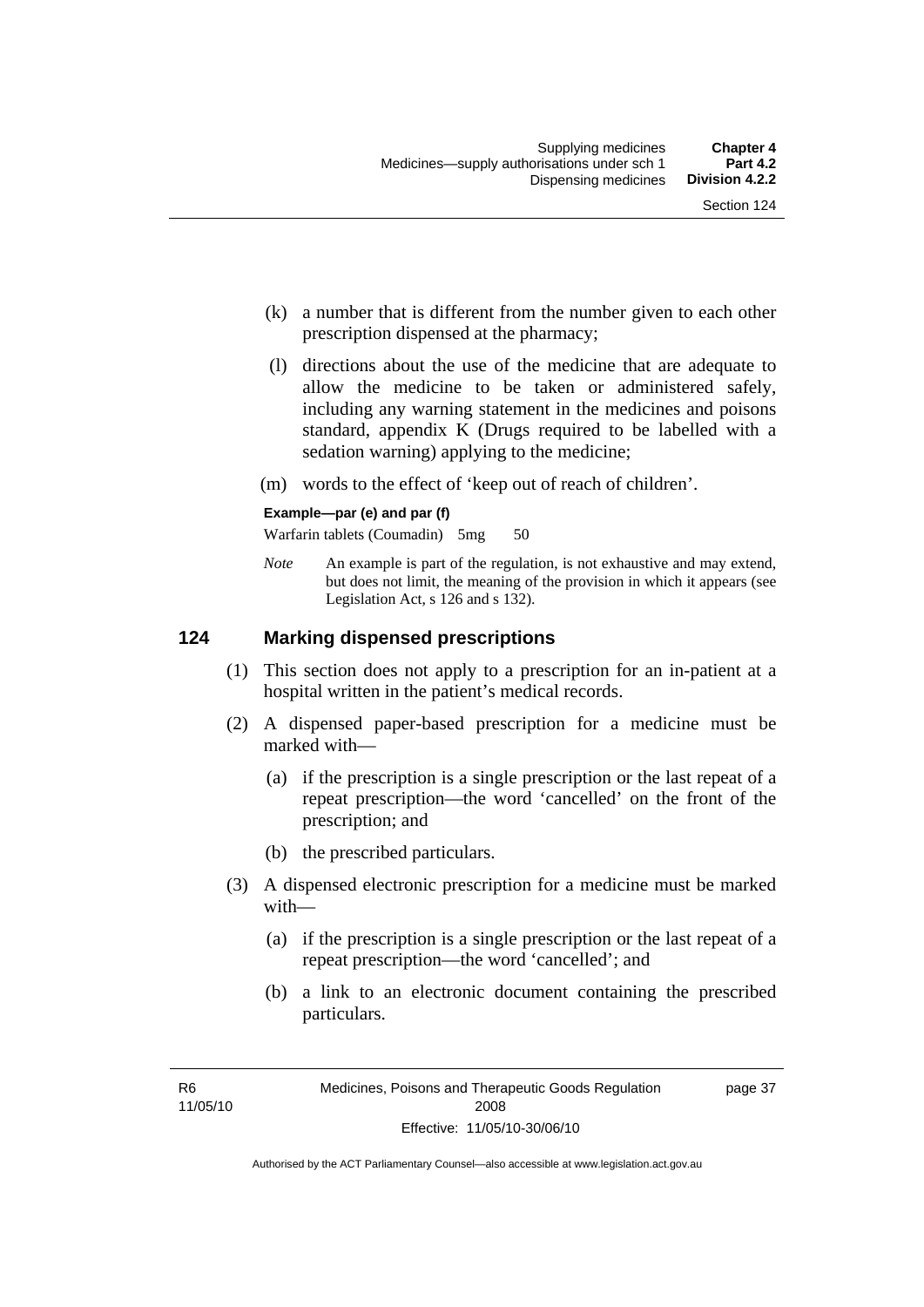page 37

- (k) a number that is different from the number given to each other prescription dispensed at the pharmacy;
- (l) directions about the use of the medicine that are adequate to allow the medicine to be taken or administered safely, including any warning statement in the medicines and poisons standard, appendix K (Drugs required to be labelled with a sedation warning) applying to the medicine;
- (m) words to the effect of 'keep out of reach of children'.

#### **Example—par (e) and par (f)**

Warfarin tablets (Coumadin) 5mg 50

*Note* An example is part of the regulation, is not exhaustive and may extend, but does not limit, the meaning of the provision in which it appears (see Legislation Act, s 126 and s 132).

#### **124 Marking dispensed prescriptions**

- (1) This section does not apply to a prescription for an in-patient at a hospital written in the patient's medical records.
- (2) A dispensed paper-based prescription for a medicine must be marked with—
	- (a) if the prescription is a single prescription or the last repeat of a repeat prescription—the word 'cancelled' on the front of the prescription; and
	- (b) the prescribed particulars.
- (3) A dispensed electronic prescription for a medicine must be marked with—
	- (a) if the prescription is a single prescription or the last repeat of a repeat prescription—the word 'cancelled'; and
	- (b) a link to an electronic document containing the prescribed particulars.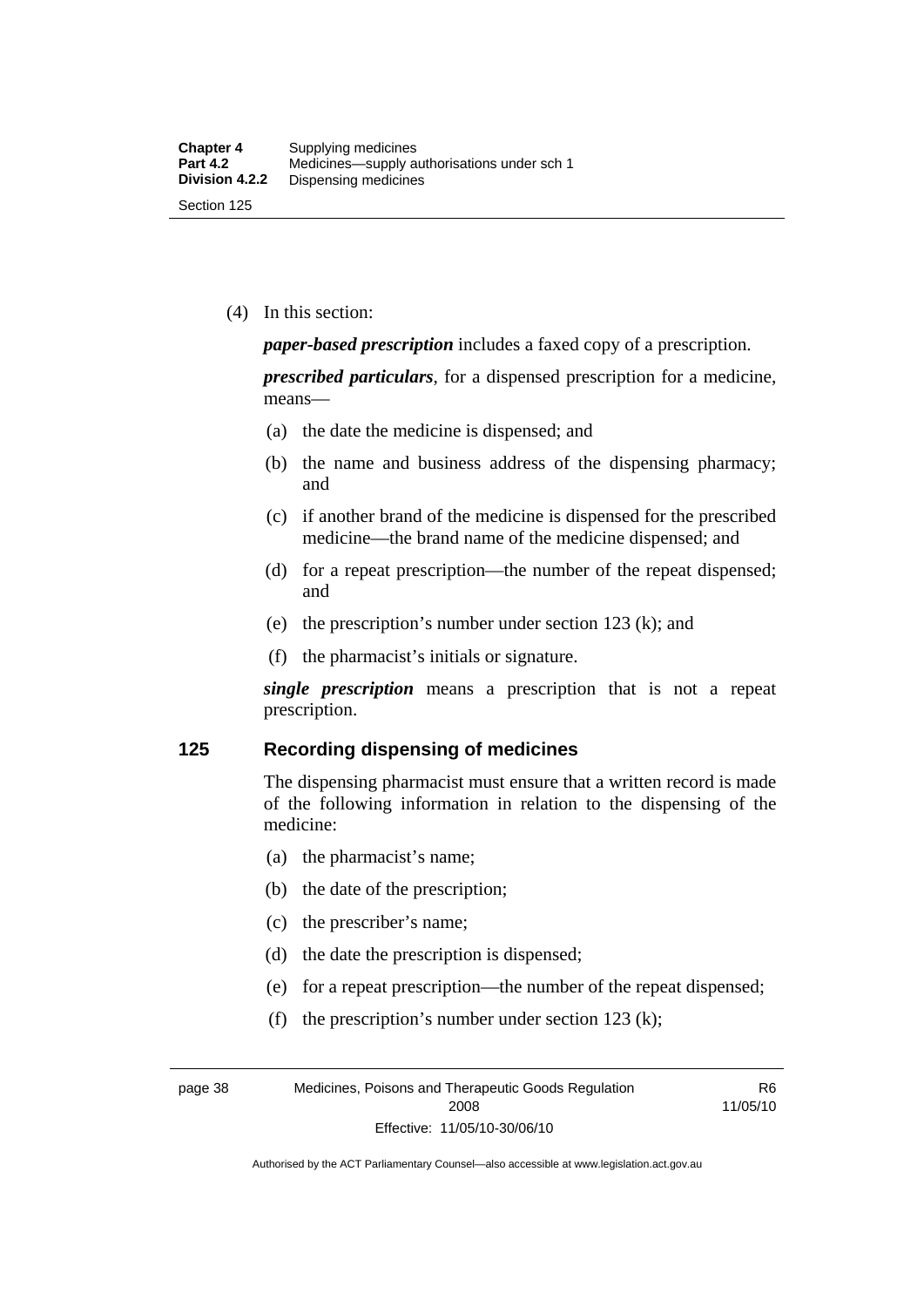(4) In this section:

*paper-based prescription* includes a faxed copy of a prescription.

*prescribed particulars*, for a dispensed prescription for a medicine, means—

- (a) the date the medicine is dispensed; and
- (b) the name and business address of the dispensing pharmacy; and
- (c) if another brand of the medicine is dispensed for the prescribed medicine—the brand name of the medicine dispensed; and
- (d) for a repeat prescription—the number of the repeat dispensed; and
- (e) the prescription's number under section 123 (k); and
- (f) the pharmacist's initials or signature.

*single prescription* means a prescription that is not a repeat prescription.

#### **125 Recording dispensing of medicines**

The dispensing pharmacist must ensure that a written record is made of the following information in relation to the dispensing of the medicine:

- (a) the pharmacist's name;
- (b) the date of the prescription;
- (c) the prescriber's name;
- (d) the date the prescription is dispensed;
- (e) for a repeat prescription—the number of the repeat dispensed;
- (f) the prescription's number under section 123 (k);

page 38 Medicines, Poisons and Therapeutic Goods Regulation 2008 Effective: 11/05/10-30/06/10

R6 11/05/10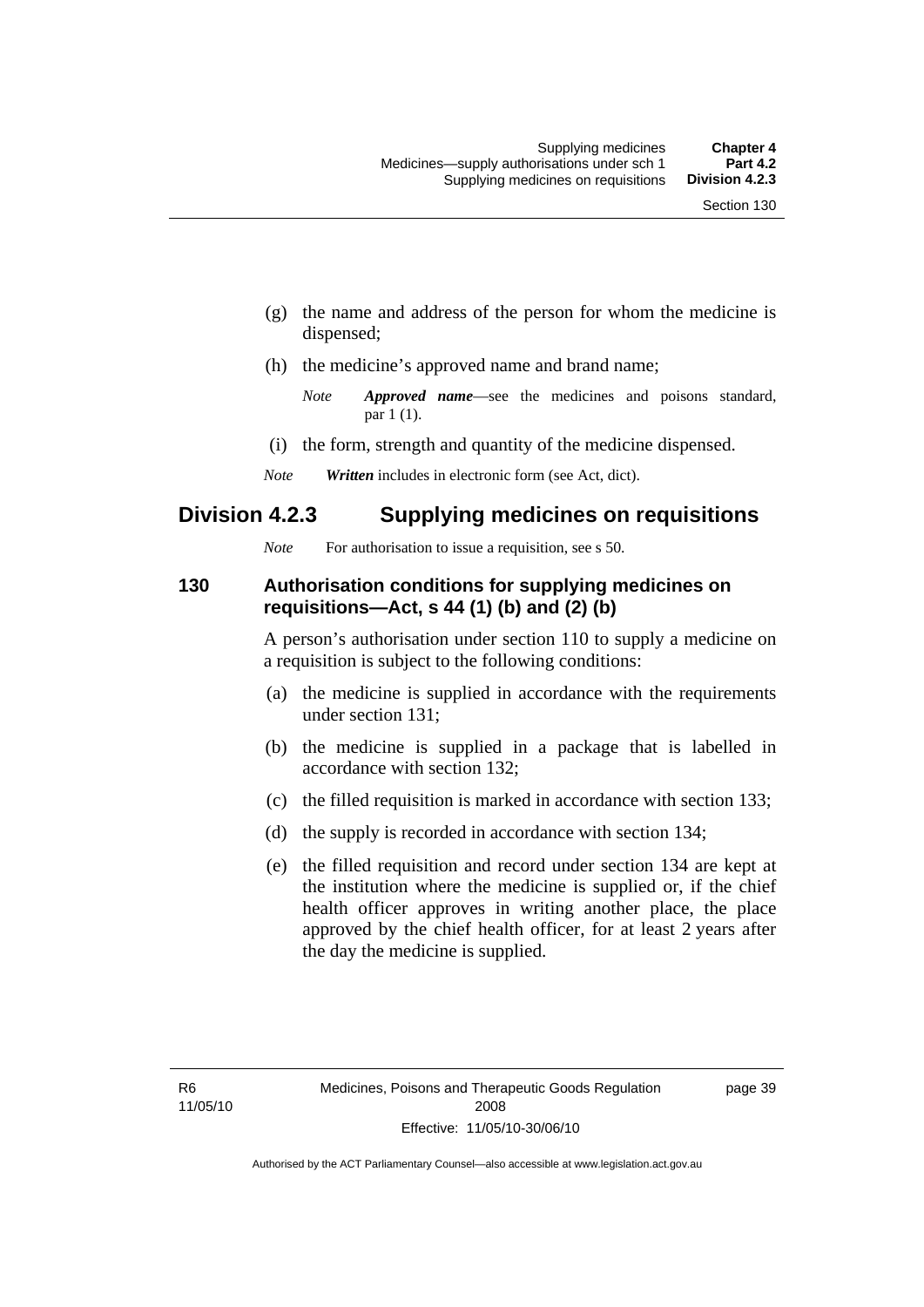- (g) the name and address of the person for whom the medicine is dispensed;
- (h) the medicine's approved name and brand name;

- (i) the form, strength and quantity of the medicine dispensed.
- *Note Written* includes in electronic form (see Act, dict).

## **Division 4.2.3 Supplying medicines on requisitions**

*Note* For authorisation to issue a requisition, see s 50.

#### **130 Authorisation conditions for supplying medicines on requisitions—Act, s 44 (1) (b) and (2) (b)**

A person's authorisation under section 110 to supply a medicine on a requisition is subject to the following conditions:

- (a) the medicine is supplied in accordance with the requirements under section 131;
- (b) the medicine is supplied in a package that is labelled in accordance with section 132;
- (c) the filled requisition is marked in accordance with section 133;
- (d) the supply is recorded in accordance with section 134;
- (e) the filled requisition and record under section 134 are kept at the institution where the medicine is supplied or, if the chief health officer approves in writing another place, the place approved by the chief health officer, for at least 2 years after the day the medicine is supplied.

page 39

*Note Approved name*—see the medicines and poisons standard, par 1 (1).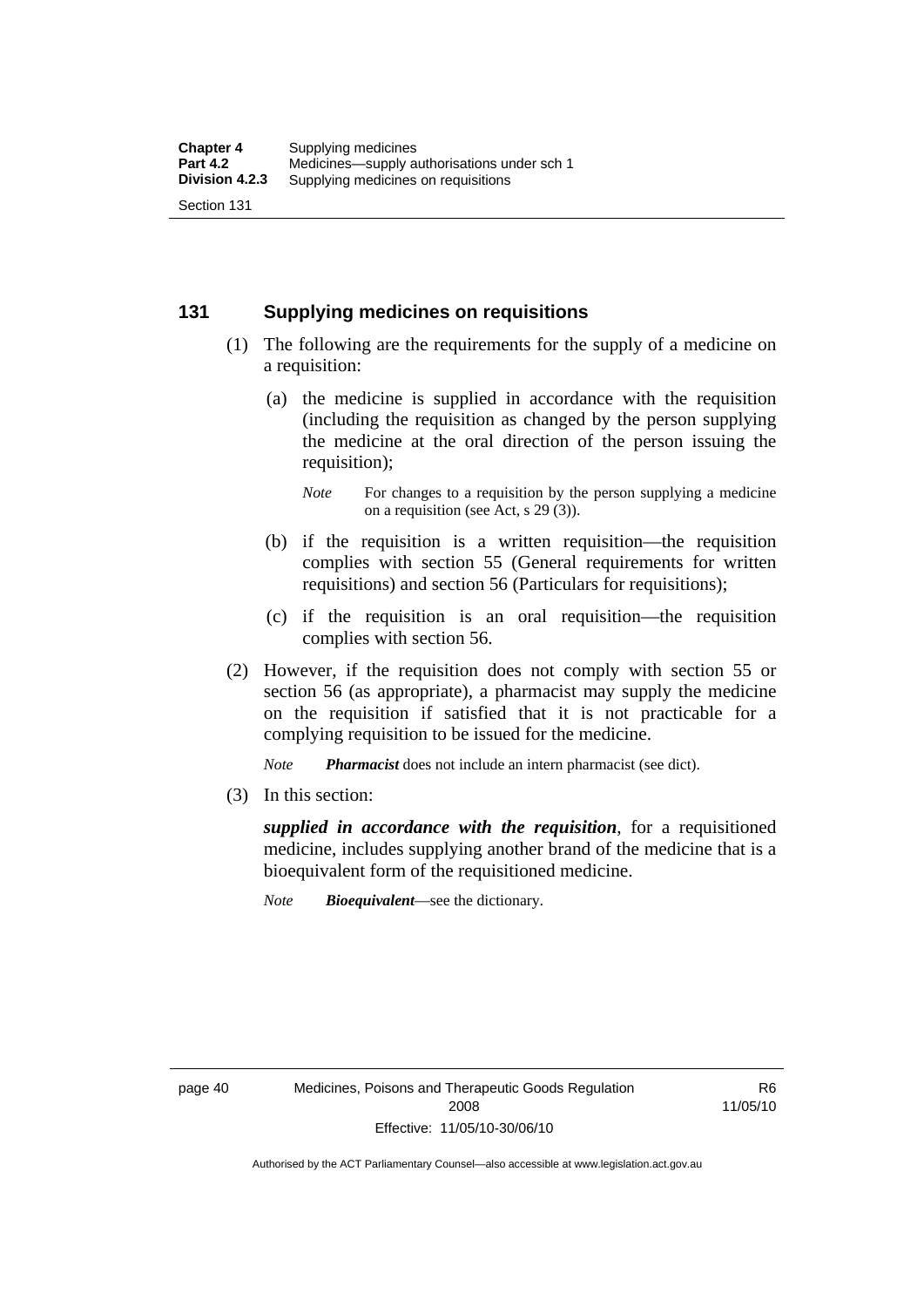### **131 Supplying medicines on requisitions**

- (1) The following are the requirements for the supply of a medicine on a requisition:
	- (a) the medicine is supplied in accordance with the requisition (including the requisition as changed by the person supplying the medicine at the oral direction of the person issuing the requisition);

- (b) if the requisition is a written requisition—the requisition complies with section 55 (General requirements for written requisitions) and section 56 (Particulars for requisitions);
- (c) if the requisition is an oral requisition—the requisition complies with section 56.
- (2) However, if the requisition does not comply with section 55 or section 56 (as appropriate), a pharmacist may supply the medicine on the requisition if satisfied that it is not practicable for a complying requisition to be issued for the medicine.

*Note Pharmacist* does not include an intern pharmacist (see dict).

(3) In this section:

*supplied in accordance with the requisition*, for a requisitioned medicine, includes supplying another brand of the medicine that is a bioequivalent form of the requisitioned medicine.

*Note Bioequivalent*—see the dictionary.

R6 11/05/10

*Note* For changes to a requisition by the person supplying a medicine on a requisition (see Act, s 29 (3)).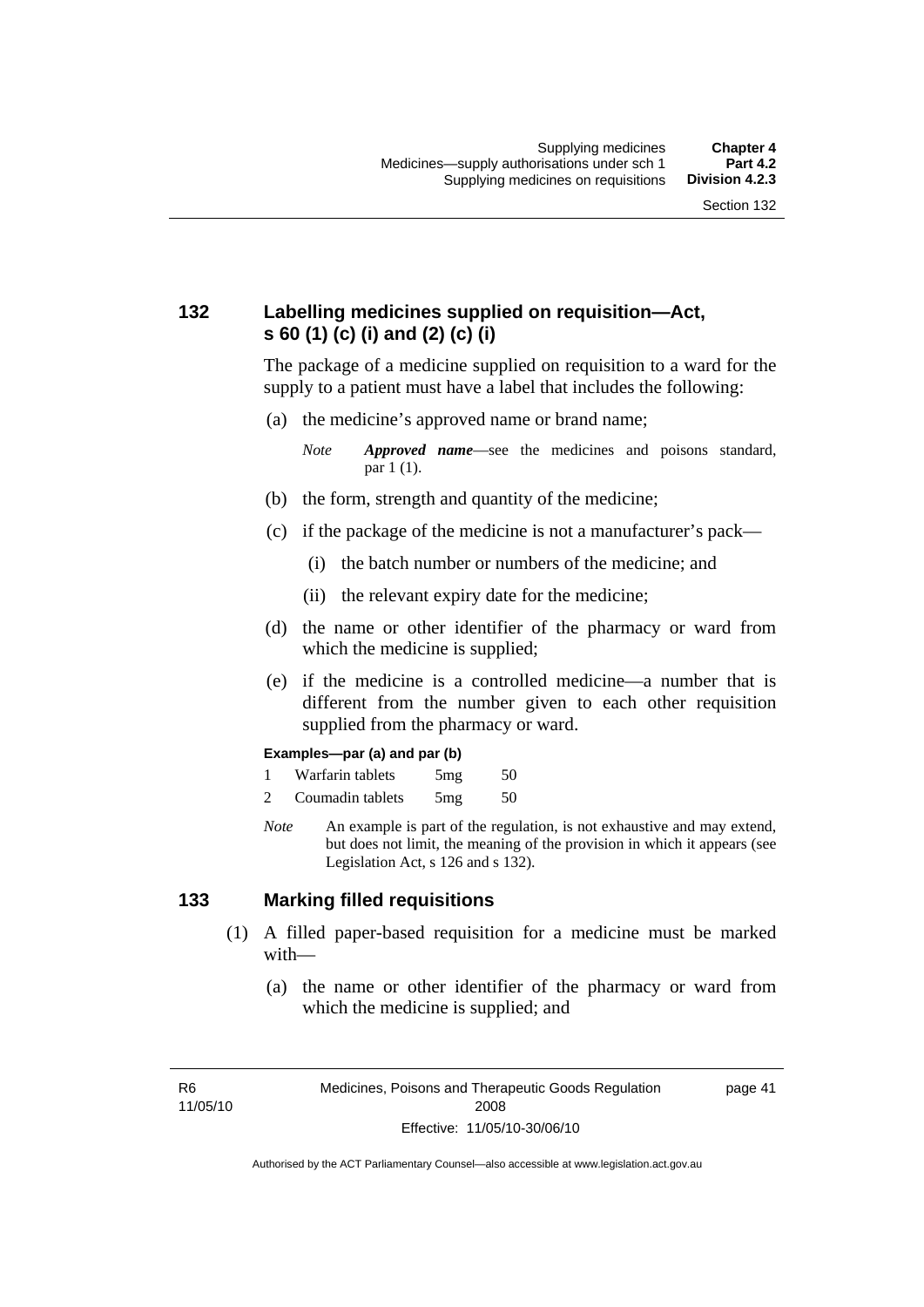page 41

## **132 Labelling medicines supplied on requisition—Act, s 60 (1) (c) (i) and (2) (c) (i)**

The package of a medicine supplied on requisition to a ward for the supply to a patient must have a label that includes the following:

(a) the medicine's approved name or brand name;

*Note Approved name*—see the medicines and poisons standard, par 1 (1).

- (b) the form, strength and quantity of the medicine;
- (c) if the package of the medicine is not a manufacturer's pack—
	- (i) the batch number or numbers of the medicine; and
	- (ii) the relevant expiry date for the medicine;
- (d) the name or other identifier of the pharmacy or ward from which the medicine is supplied;
- (e) if the medicine is a controlled medicine—a number that is different from the number given to each other requisition supplied from the pharmacy or ward.

#### **Examples—par (a) and par (b)**

- 1 Warfarin tablets 5mg 50
- 2 Coumadin tablets 5mg 50
- *Note* An example is part of the regulation, is not exhaustive and may extend, but does not limit, the meaning of the provision in which it appears (see Legislation Act, s 126 and s 132).

#### **133 Marking filled requisitions**

- (1) A filled paper-based requisition for a medicine must be marked with—
	- (a) the name or other identifier of the pharmacy or ward from which the medicine is supplied; and

R6 11/05/10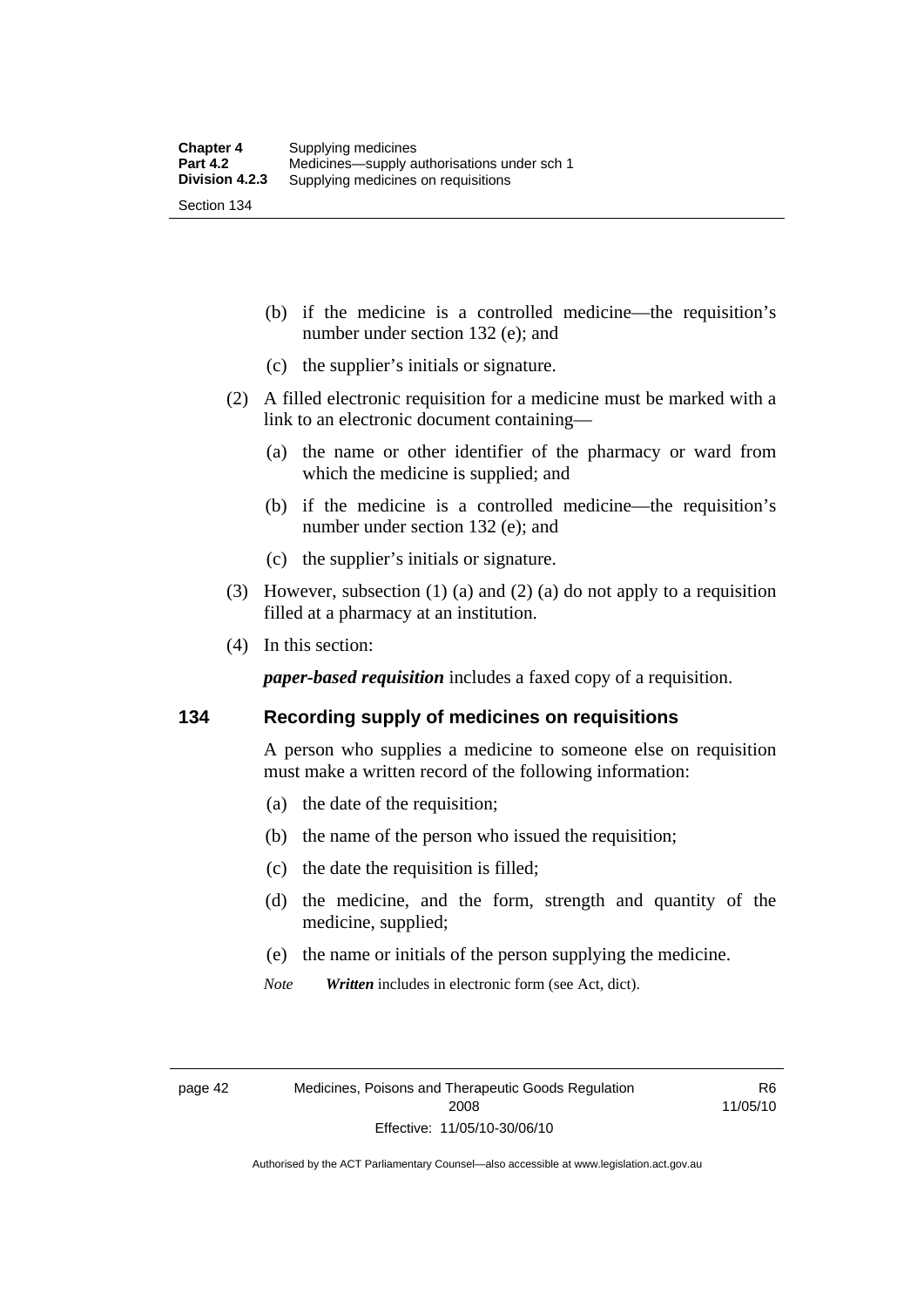(b) if the medicine is a controlled medicine—the requisition's number under section 132 (e); and

- (c) the supplier's initials or signature.
- (2) A filled electronic requisition for a medicine must be marked with a link to an electronic document containing—
	- (a) the name or other identifier of the pharmacy or ward from which the medicine is supplied; and
	- (b) if the medicine is a controlled medicine—the requisition's number under section 132 (e); and
	- (c) the supplier's initials or signature.
- (3) However, subsection (1) (a) and (2) (a) do not apply to a requisition filled at a pharmacy at an institution.
- (4) In this section:

*paper-based requisition* includes a faxed copy of a requisition.

#### **134 Recording supply of medicines on requisitions**

A person who supplies a medicine to someone else on requisition must make a written record of the following information:

- (a) the date of the requisition;
- (b) the name of the person who issued the requisition;
- (c) the date the requisition is filled;
- (d) the medicine, and the form, strength and quantity of the medicine, supplied;
- (e) the name or initials of the person supplying the medicine.
- *Note Written* includes in electronic form (see Act, dict).

R6 11/05/10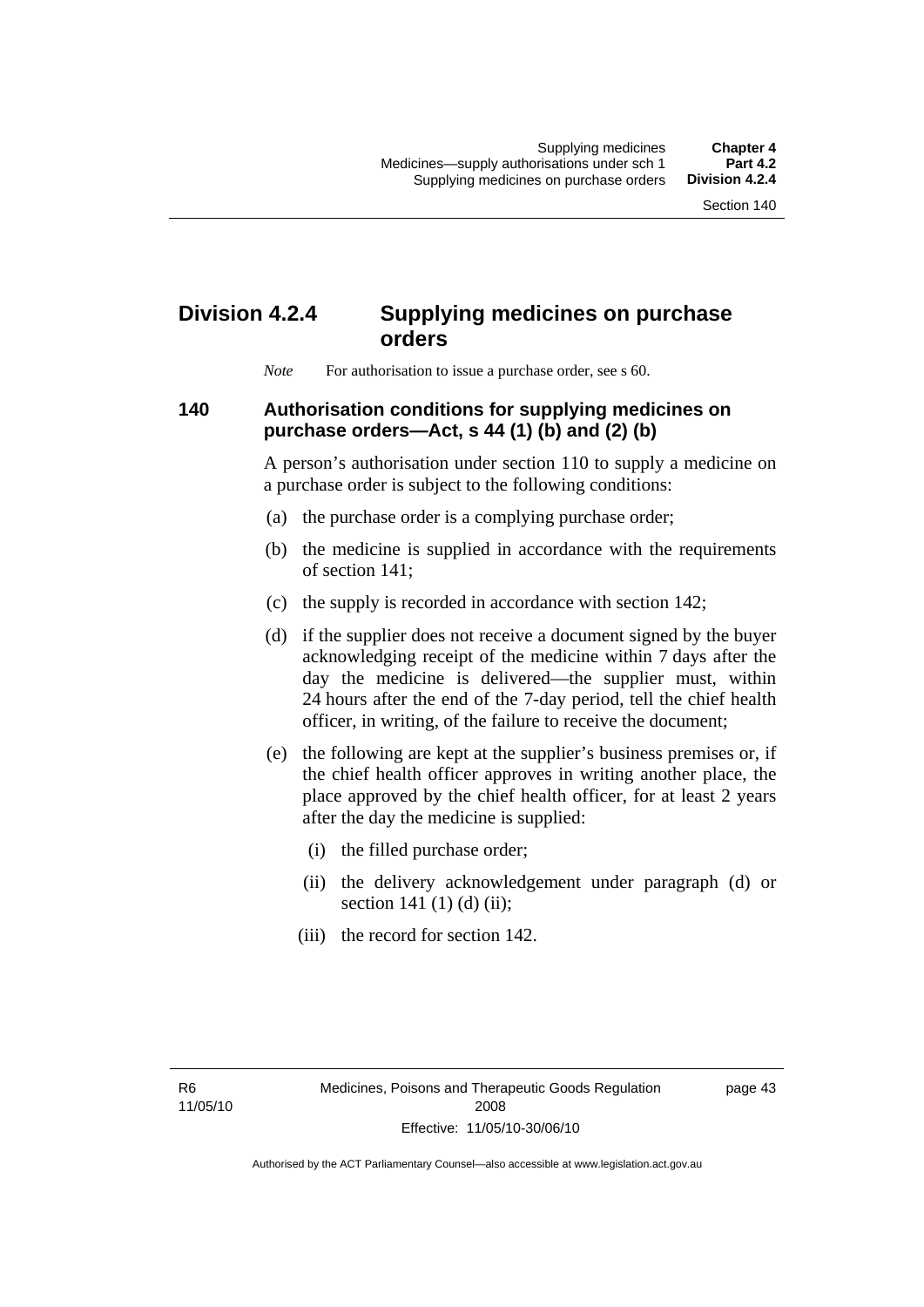# **Division 4.2.4 Supplying medicines on purchase orders**

*Note* For authorisation to issue a purchase order, see s 60.

### **140 Authorisation conditions for supplying medicines on purchase orders—Act, s 44 (1) (b) and (2) (b)**

A person's authorisation under section 110 to supply a medicine on a purchase order is subject to the following conditions:

- (a) the purchase order is a complying purchase order;
- (b) the medicine is supplied in accordance with the requirements of section 141;
- (c) the supply is recorded in accordance with section 142;
- (d) if the supplier does not receive a document signed by the buyer acknowledging receipt of the medicine within 7 days after the day the medicine is delivered—the supplier must, within 24 hours after the end of the 7-day period, tell the chief health officer, in writing, of the failure to receive the document;
- (e) the following are kept at the supplier's business premises or, if the chief health officer approves in writing another place, the place approved by the chief health officer, for at least 2 years after the day the medicine is supplied:
	- (i) the filled purchase order;
	- (ii) the delivery acknowledgement under paragraph (d) or section 141 $(1)$  $(d)$  $(ii)$ ;
	- (iii) the record for section 142.

R6 11/05/10 page 43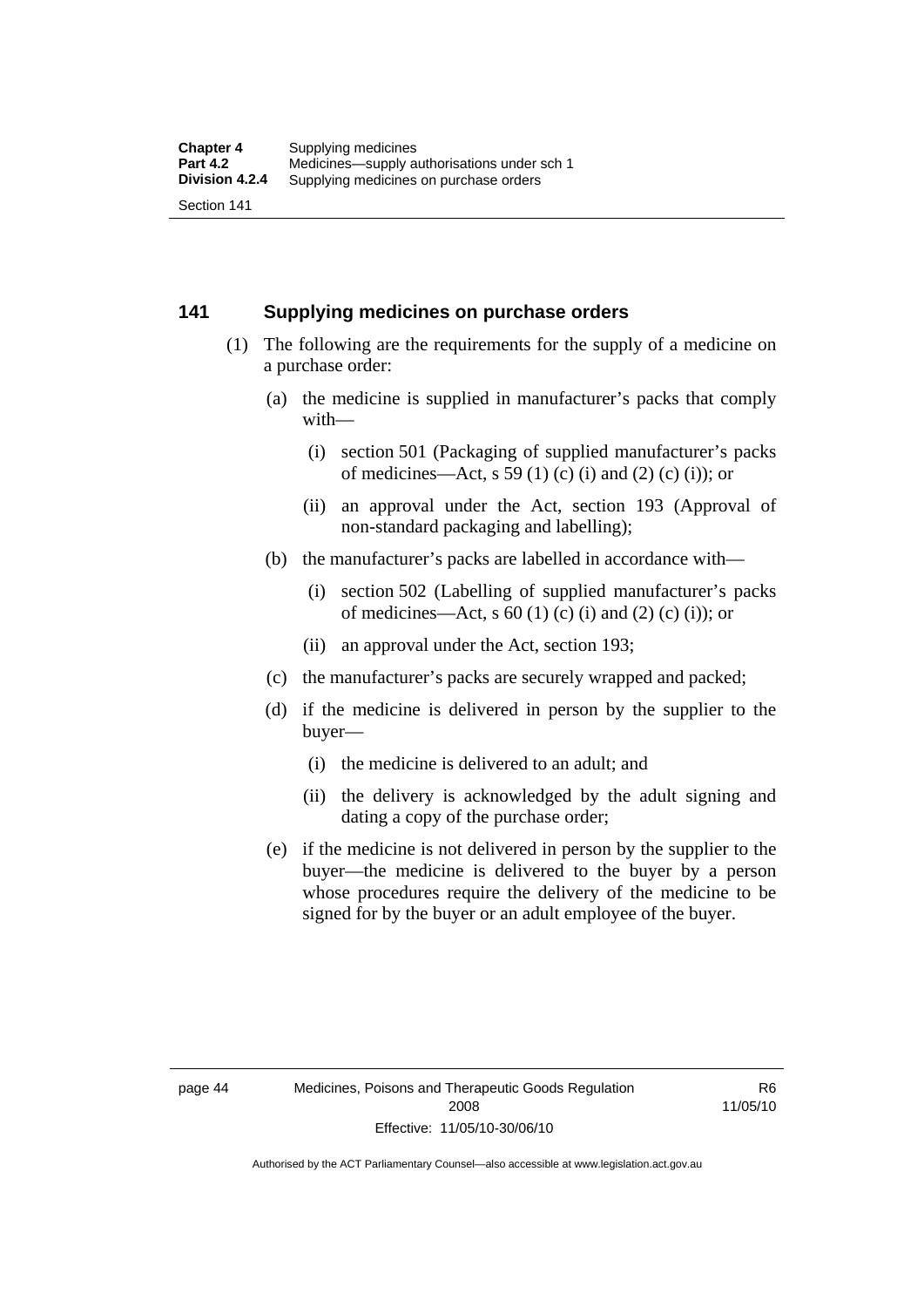#### **141 Supplying medicines on purchase orders**

- (1) The following are the requirements for the supply of a medicine on a purchase order:
	- (a) the medicine is supplied in manufacturer's packs that comply with—
		- (i) section 501 (Packaging of supplied manufacturer's packs of medicines—Act, s 59 (1) (c) (i) and (2) (c) (i)); or
		- (ii) an approval under the Act, section 193 (Approval of non-standard packaging and labelling);
	- (b) the manufacturer's packs are labelled in accordance with—
		- (i) section 502 (Labelling of supplied manufacturer's packs of medicines—Act, s  $60$  (1) (c) (i) and (2) (c) (i)); or
		- (ii) an approval under the Act, section 193;
	- (c) the manufacturer's packs are securely wrapped and packed;
	- (d) if the medicine is delivered in person by the supplier to the buyer—
		- (i) the medicine is delivered to an adult; and
		- (ii) the delivery is acknowledged by the adult signing and dating a copy of the purchase order;
	- (e) if the medicine is not delivered in person by the supplier to the buyer—the medicine is delivered to the buyer by a person whose procedures require the delivery of the medicine to be signed for by the buyer or an adult employee of the buyer.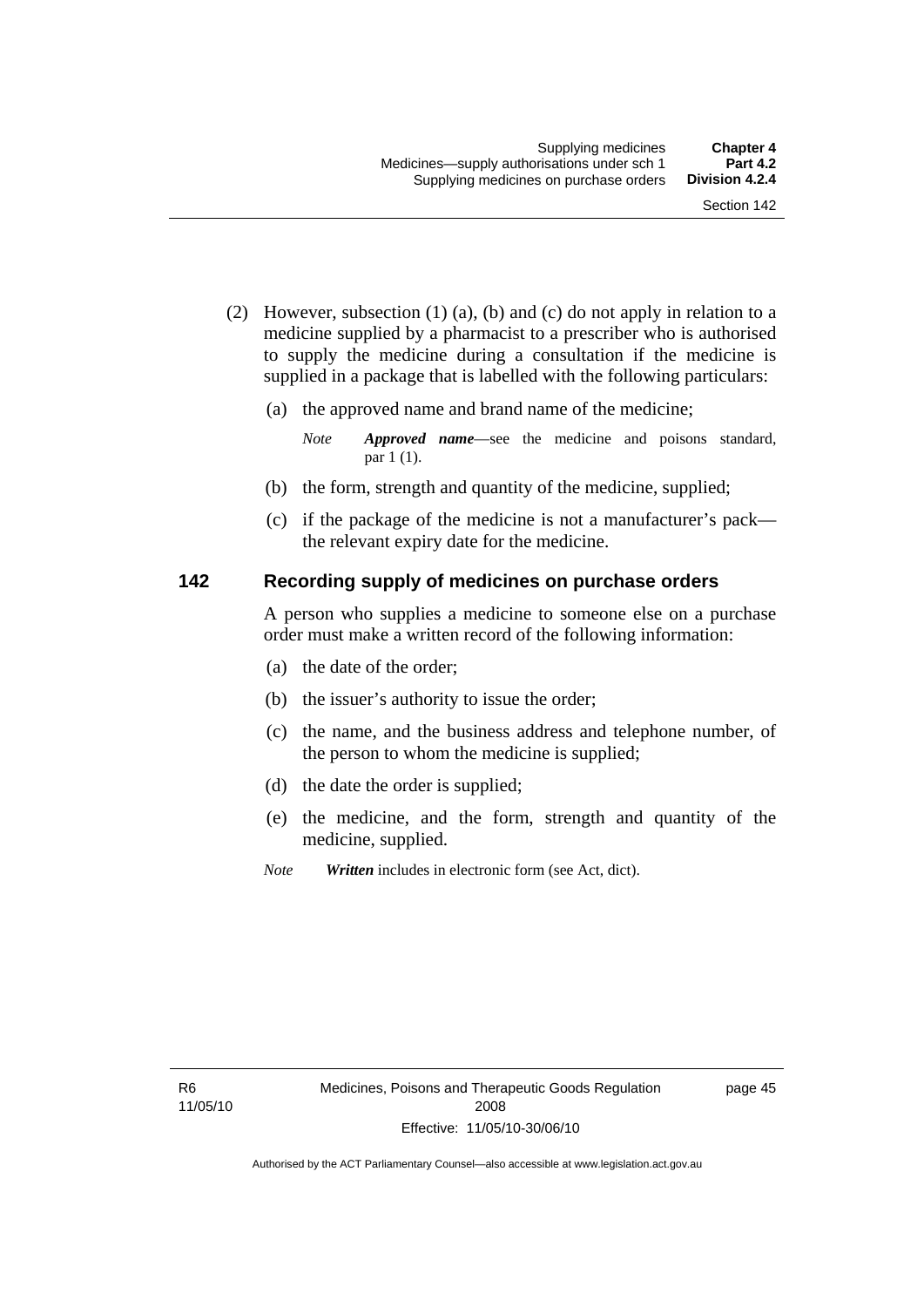- (2) However, subsection (1) (a), (b) and (c) do not apply in relation to a medicine supplied by a pharmacist to a prescriber who is authorised to supply the medicine during a consultation if the medicine is supplied in a package that is labelled with the following particulars:
	- (a) the approved name and brand name of the medicine;

*Note Approved name*—see the medicine and poisons standard, par 1 (1).

- (b) the form, strength and quantity of the medicine, supplied;
- (c) if the package of the medicine is not a manufacturer's pack the relevant expiry date for the medicine.

#### **142 Recording supply of medicines on purchase orders**

A person who supplies a medicine to someone else on a purchase order must make a written record of the following information:

- (a) the date of the order;
- (b) the issuer's authority to issue the order;
- (c) the name, and the business address and telephone number, of the person to whom the medicine is supplied;
- (d) the date the order is supplied;
- (e) the medicine, and the form, strength and quantity of the medicine, supplied.
- *Note Written* includes in electronic form (see Act, dict).

page 45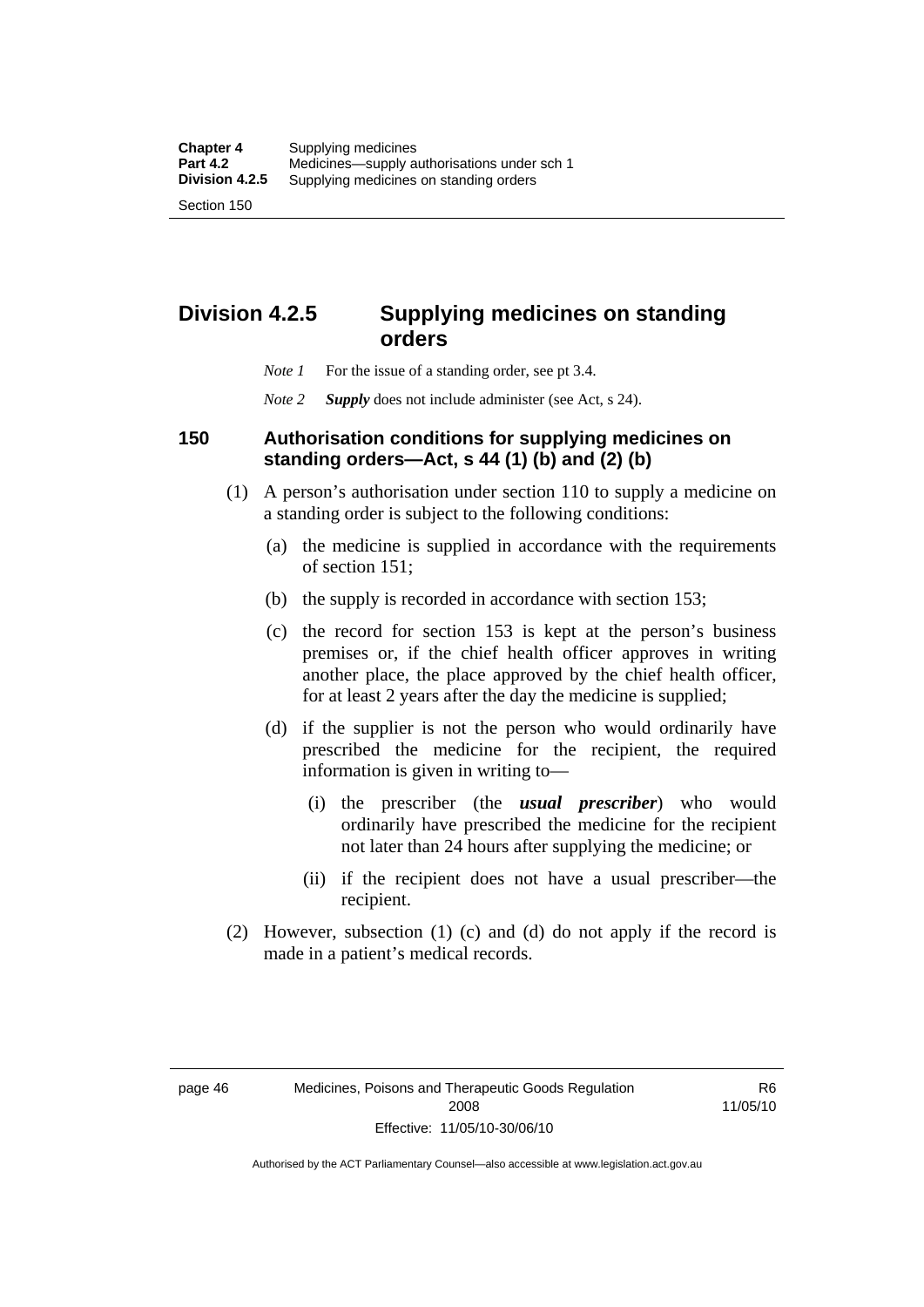# **Division 4.2.5 Supplying medicines on standing orders**

- *Note 1* For the issue of a standing order, see pt 3.4.
- *Note 2 Supply* does not include administer (see Act, s 24).

#### **150 Authorisation conditions for supplying medicines on standing orders—Act, s 44 (1) (b) and (2) (b)**

- (1) A person's authorisation under section 110 to supply a medicine on a standing order is subject to the following conditions:
	- (a) the medicine is supplied in accordance with the requirements of section 151;
	- (b) the supply is recorded in accordance with section 153;
	- (c) the record for section 153 is kept at the person's business premises or, if the chief health officer approves in writing another place, the place approved by the chief health officer, for at least 2 years after the day the medicine is supplied;
	- (d) if the supplier is not the person who would ordinarily have prescribed the medicine for the recipient, the required information is given in writing to—
		- (i) the prescriber (the *usual prescriber*) who would ordinarily have prescribed the medicine for the recipient not later than 24 hours after supplying the medicine; or
		- (ii) if the recipient does not have a usual prescriber—the recipient.
- (2) However, subsection (1) (c) and (d) do not apply if the record is made in a patient's medical records.

R6 11/05/10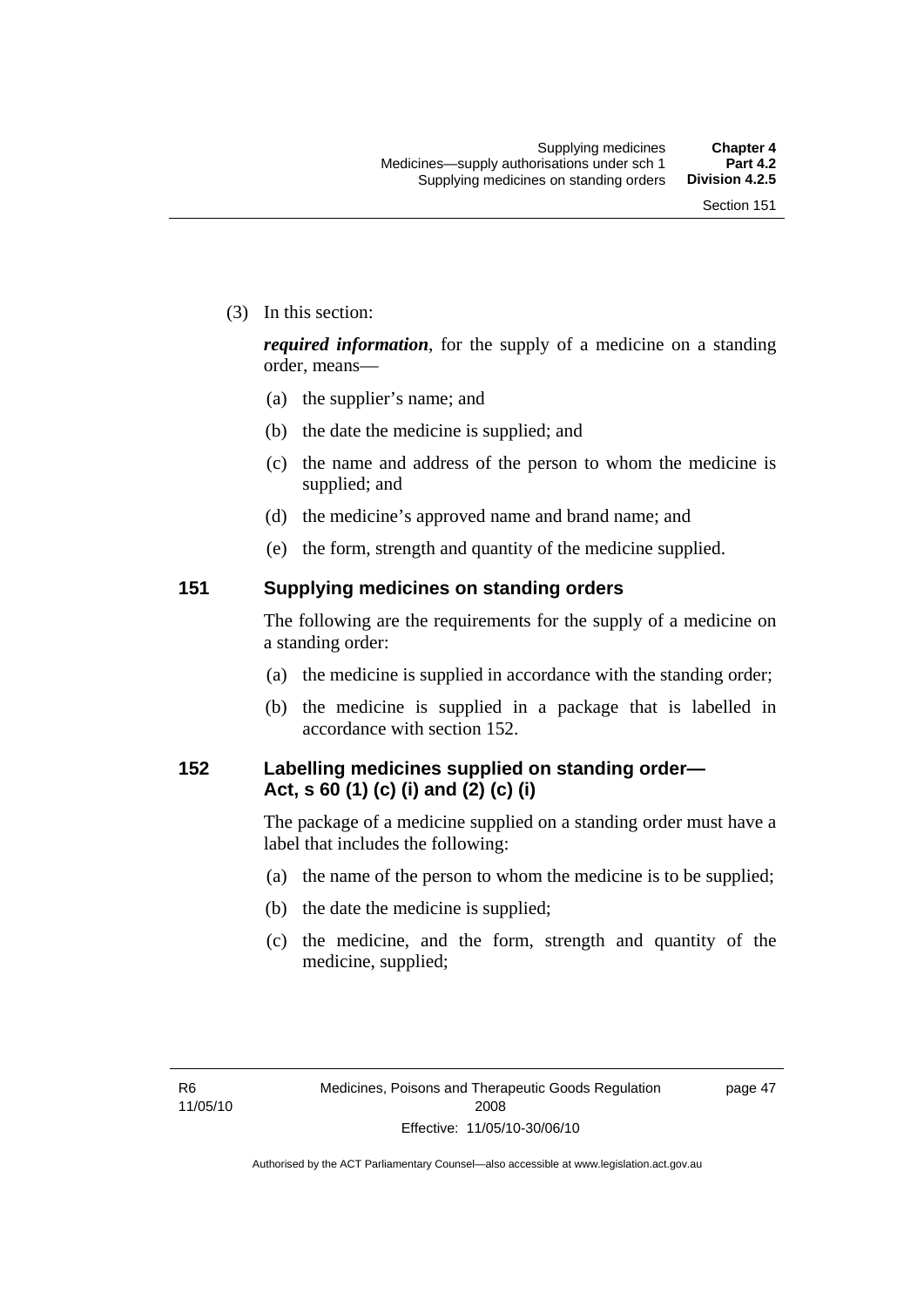(3) In this section:

*required information*, for the supply of a medicine on a standing order, means—

- (a) the supplier's name; and
- (b) the date the medicine is supplied; and
- (c) the name and address of the person to whom the medicine is supplied; and
- (d) the medicine's approved name and brand name; and
- (e) the form, strength and quantity of the medicine supplied.

#### **151 Supplying medicines on standing orders**

The following are the requirements for the supply of a medicine on a standing order:

- (a) the medicine is supplied in accordance with the standing order;
- (b) the medicine is supplied in a package that is labelled in accordance with section 152.

## **152 Labelling medicines supplied on standing order— Act, s 60 (1) (c) (i) and (2) (c) (i)**

The package of a medicine supplied on a standing order must have a label that includes the following:

- (a) the name of the person to whom the medicine is to be supplied;
- (b) the date the medicine is supplied;
- (c) the medicine, and the form, strength and quantity of the medicine, supplied;

page 47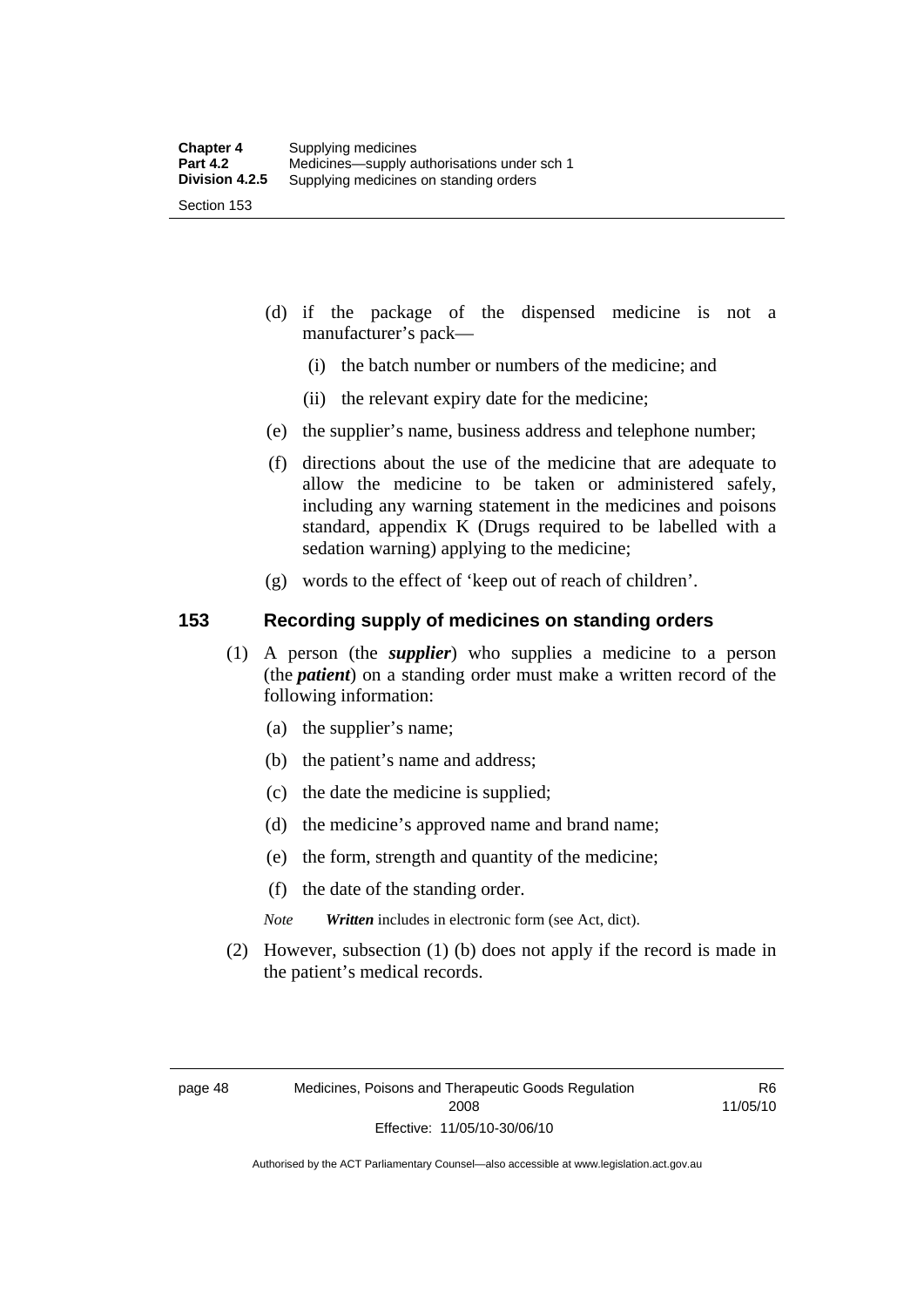- (d) if the package of the dispensed medicine is not a manufacturer's pack—
	- (i) the batch number or numbers of the medicine; and
	- (ii) the relevant expiry date for the medicine;
- (e) the supplier's name, business address and telephone number;
- (f) directions about the use of the medicine that are adequate to allow the medicine to be taken or administered safely, including any warning statement in the medicines and poisons standard, appendix K (Drugs required to be labelled with a sedation warning) applying to the medicine;
- (g) words to the effect of 'keep out of reach of children'.

#### **153 Recording supply of medicines on standing orders**

- (1) A person (the *supplier*) who supplies a medicine to a person (the *patient*) on a standing order must make a written record of the following information:
	- (a) the supplier's name;
	- (b) the patient's name and address;
	- (c) the date the medicine is supplied;
	- (d) the medicine's approved name and brand name;
	- (e) the form, strength and quantity of the medicine;
	- (f) the date of the standing order.
	- *Note Written* includes in electronic form (see Act, dict).
- (2) However, subsection (1) (b) does not apply if the record is made in the patient's medical records.

R6 11/05/10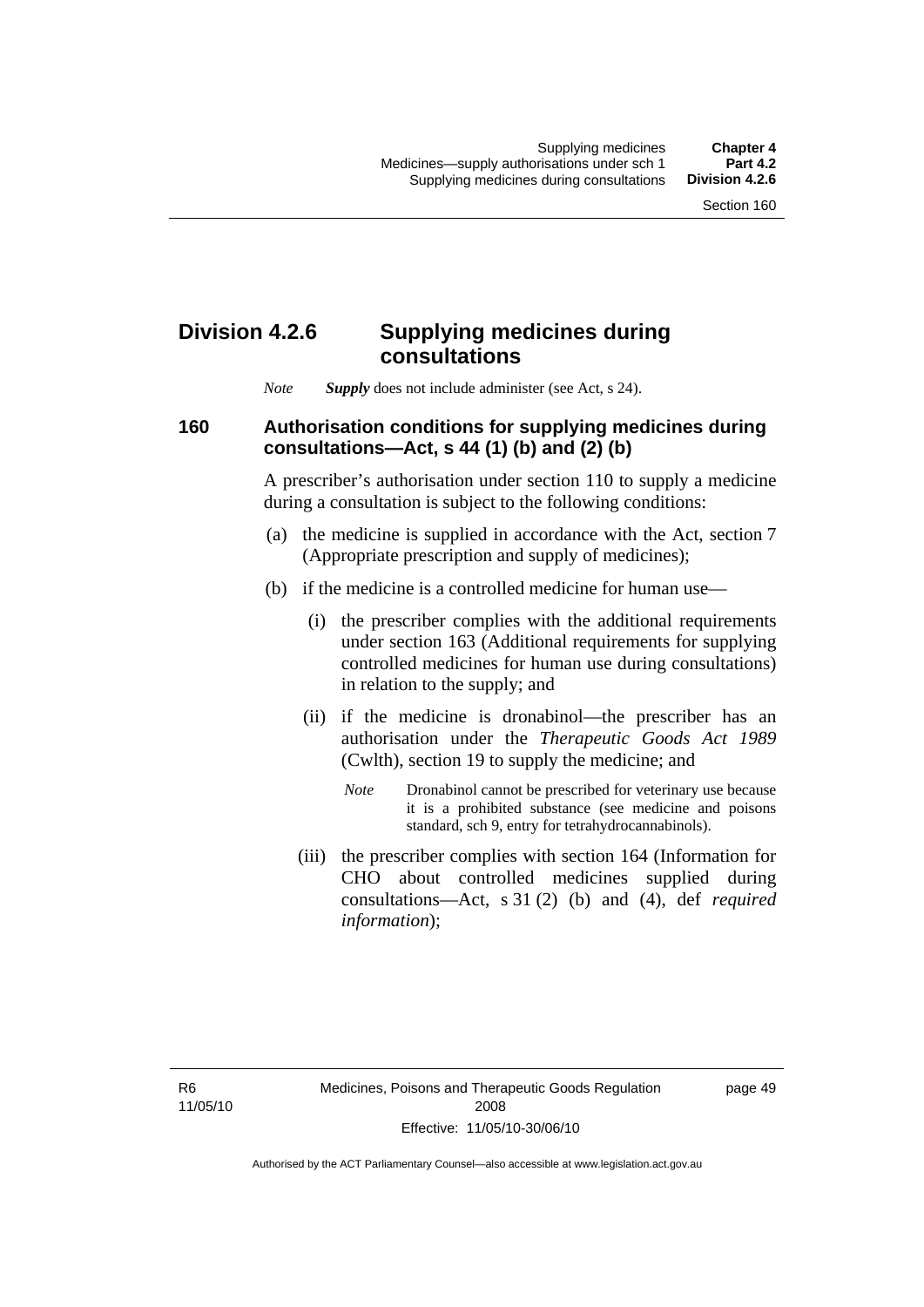## **Division 4.2.6 Supplying medicines during consultations**

*Note Supply* does not include administer (see Act, s 24).

## **160 Authorisation conditions for supplying medicines during consultations—Act, s 44 (1) (b) and (2) (b)**

A prescriber's authorisation under section 110 to supply a medicine during a consultation is subject to the following conditions:

- (a) the medicine is supplied in accordance with the Act, section 7 (Appropriate prescription and supply of medicines);
- (b) if the medicine is a controlled medicine for human use—
	- (i) the prescriber complies with the additional requirements under section 163 (Additional requirements for supplying controlled medicines for human use during consultations) in relation to the supply; and
	- (ii) if the medicine is dronabinol—the prescriber has an authorisation under the *Therapeutic Goods Act 1989* (Cwlth), section 19 to supply the medicine; and
		- *Note* Dronabinol cannot be prescribed for veterinary use because it is a prohibited substance (see medicine and poisons standard, sch 9, entry for tetrahydrocannabinols).
	- (iii) the prescriber complies with section 164 (Information for CHO about controlled medicines supplied during consultations—Act, s 31 (2) (b) and (4), def *required information*);

page 49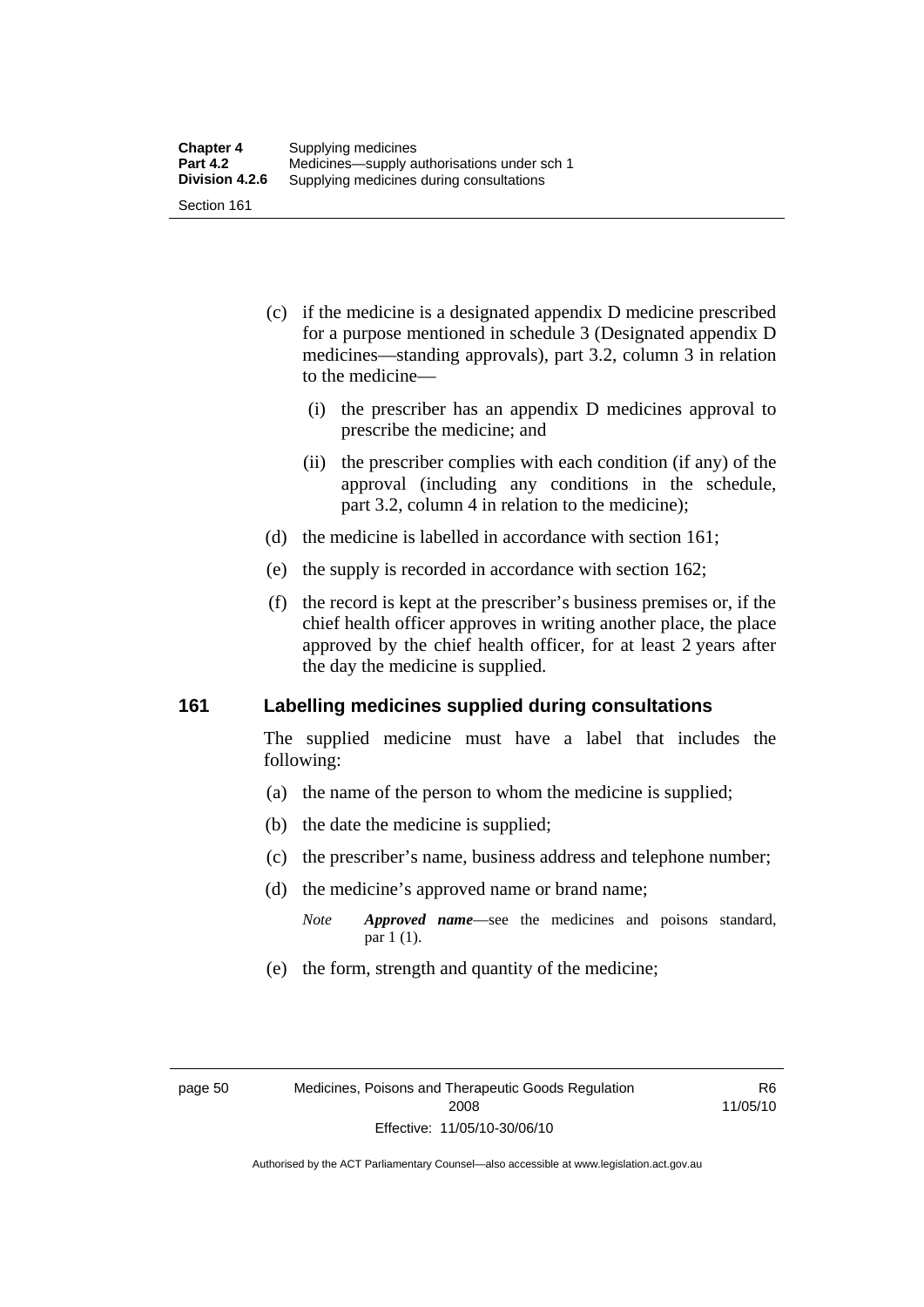- (c) if the medicine is a designated appendix D medicine prescribed for a purpose mentioned in schedule 3 (Designated appendix D medicines—standing approvals), part 3.2, column 3 in relation to the medicine—
	- (i) the prescriber has an appendix D medicines approval to prescribe the medicine; and
	- (ii) the prescriber complies with each condition (if any) of the approval (including any conditions in the schedule, part 3.2, column 4 in relation to the medicine);
- (d) the medicine is labelled in accordance with section 161;
- (e) the supply is recorded in accordance with section 162;
- (f) the record is kept at the prescriber's business premises or, if the chief health officer approves in writing another place, the place approved by the chief health officer, for at least 2 years after the day the medicine is supplied.

### **161 Labelling medicines supplied during consultations**

The supplied medicine must have a label that includes the following:

- (a) the name of the person to whom the medicine is supplied;
- (b) the date the medicine is supplied;
- (c) the prescriber's name, business address and telephone number;
- (d) the medicine's approved name or brand name;
	- *Note Approved name*—see the medicines and poisons standard, par 1 (1).
- (e) the form, strength and quantity of the medicine;

R6 11/05/10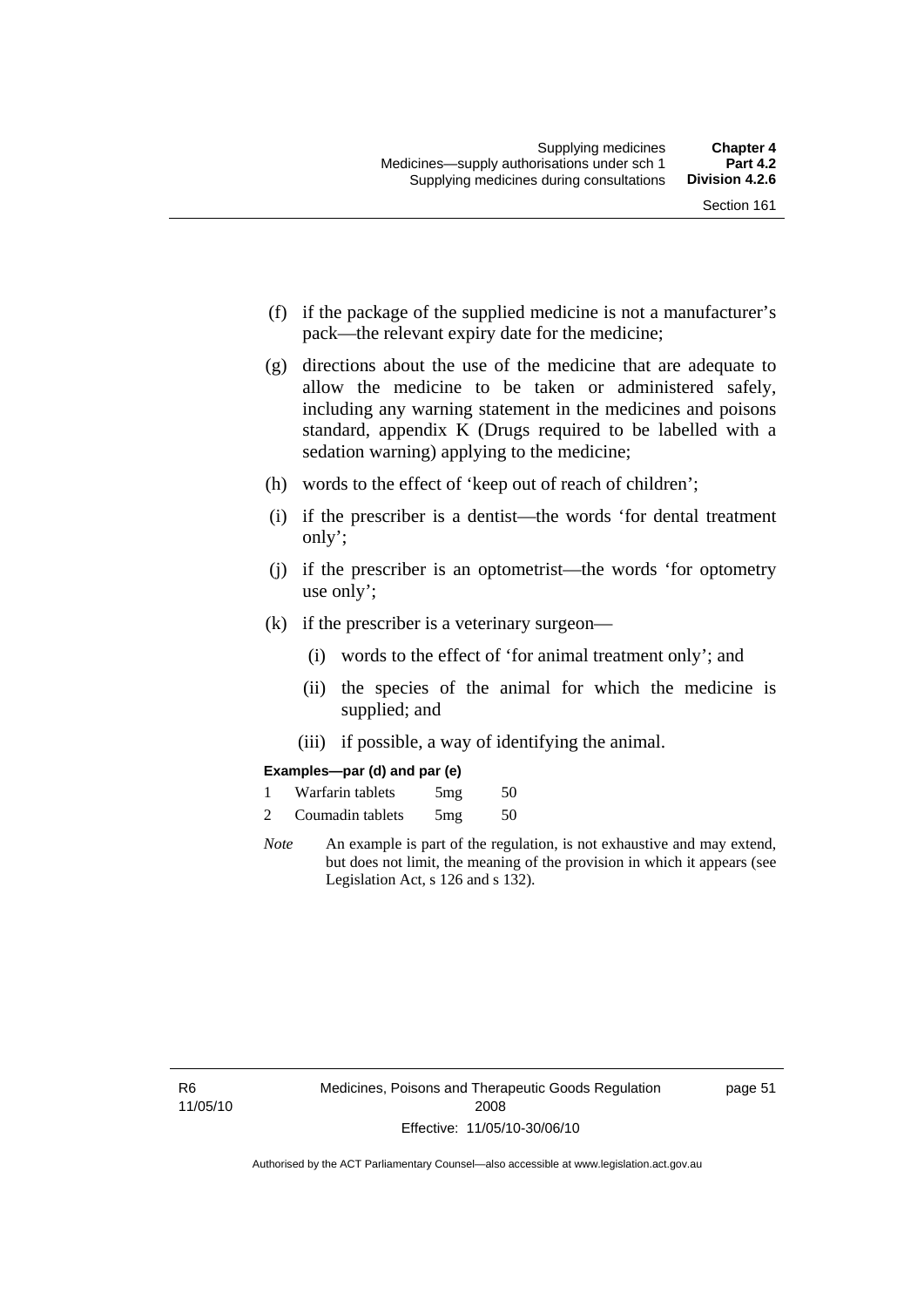- (f) if the package of the supplied medicine is not a manufacturer's pack—the relevant expiry date for the medicine;
- (g) directions about the use of the medicine that are adequate to allow the medicine to be taken or administered safely, including any warning statement in the medicines and poisons standard, appendix K (Drugs required to be labelled with a sedation warning) applying to the medicine;
- (h) words to the effect of 'keep out of reach of children';
- (i) if the prescriber is a dentist—the words 'for dental treatment only';
- (j) if the prescriber is an optometrist—the words 'for optometry use only';
- (k) if the prescriber is a veterinary surgeon—
	- (i) words to the effect of 'for animal treatment only'; and
	- (ii) the species of the animal for which the medicine is supplied; and
	- (iii) if possible, a way of identifying the animal.

#### **Examples—par (d) and par (e)**

| Warfarin tablets | 5mg | 50 |
|------------------|-----|----|
| Coumadin tablets | 5mg | 50 |

*Note* An example is part of the regulation, is not exhaustive and may extend, but does not limit, the meaning of the provision in which it appears (see Legislation Act, s 126 and s 132).

page 51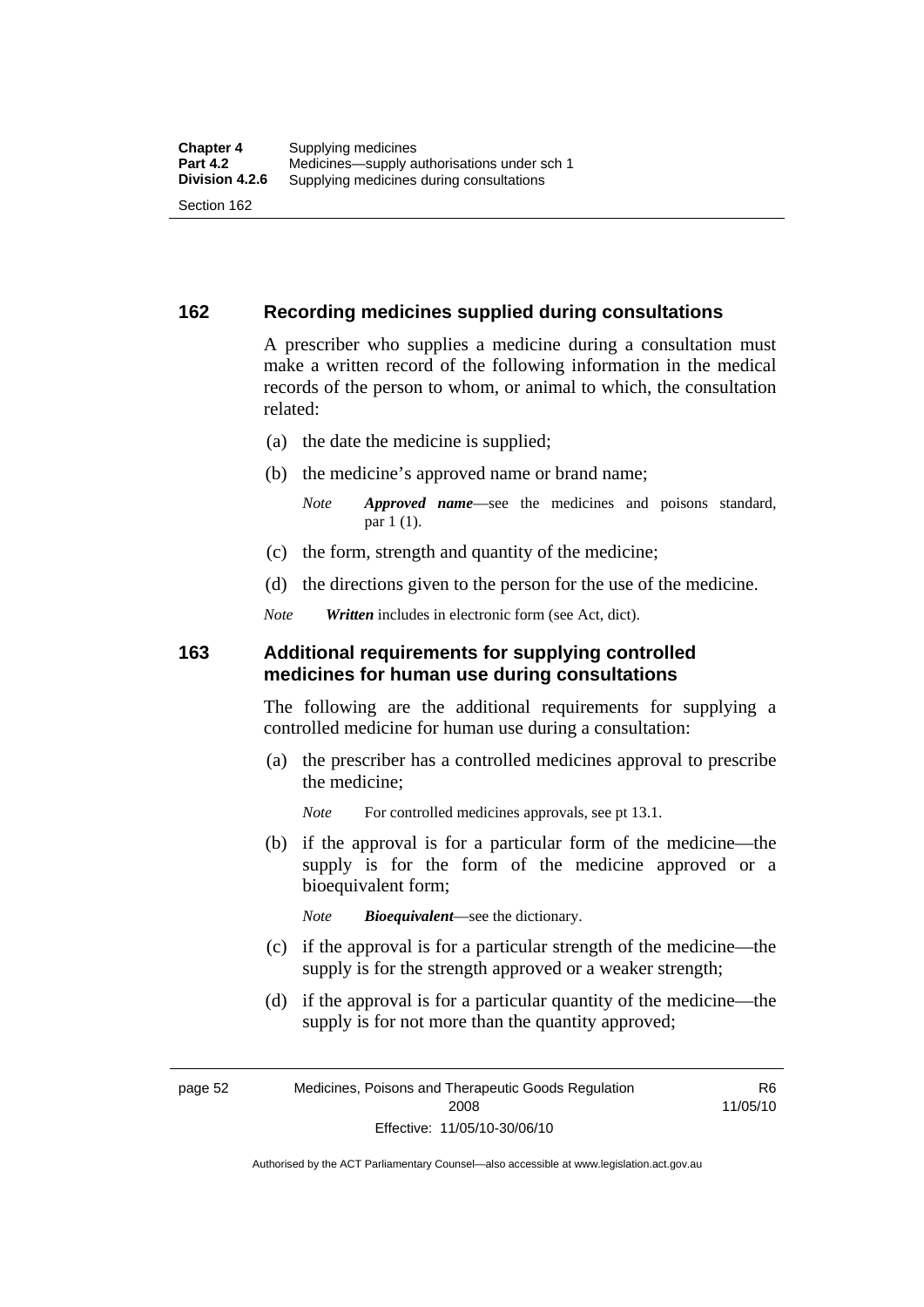## **162 Recording medicines supplied during consultations**

A prescriber who supplies a medicine during a consultation must make a written record of the following information in the medical records of the person to whom, or animal to which, the consultation related:

- (a) the date the medicine is supplied;
- (b) the medicine's approved name or brand name;

*Note Approved name*—see the medicines and poisons standard, par 1 (1).

- (c) the form, strength and quantity of the medicine;
- (d) the directions given to the person for the use of the medicine.

*Note Written* includes in electronic form (see Act, dict).

#### **163 Additional requirements for supplying controlled medicines for human use during consultations**

The following are the additional requirements for supplying a controlled medicine for human use during a consultation:

- (a) the prescriber has a controlled medicines approval to prescribe the medicine;
	- *Note* For controlled medicines approvals, see pt 13.1.
- (b) if the approval is for a particular form of the medicine—the supply is for the form of the medicine approved or a bioequivalent form;

*Note Bioequivalent*—see the dictionary.

- (c) if the approval is for a particular strength of the medicine—the supply is for the strength approved or a weaker strength;
- (d) if the approval is for a particular quantity of the medicine—the supply is for not more than the quantity approved;

page 52 Medicines, Poisons and Therapeutic Goods Regulation 2008 Effective: 11/05/10-30/06/10

R6 11/05/10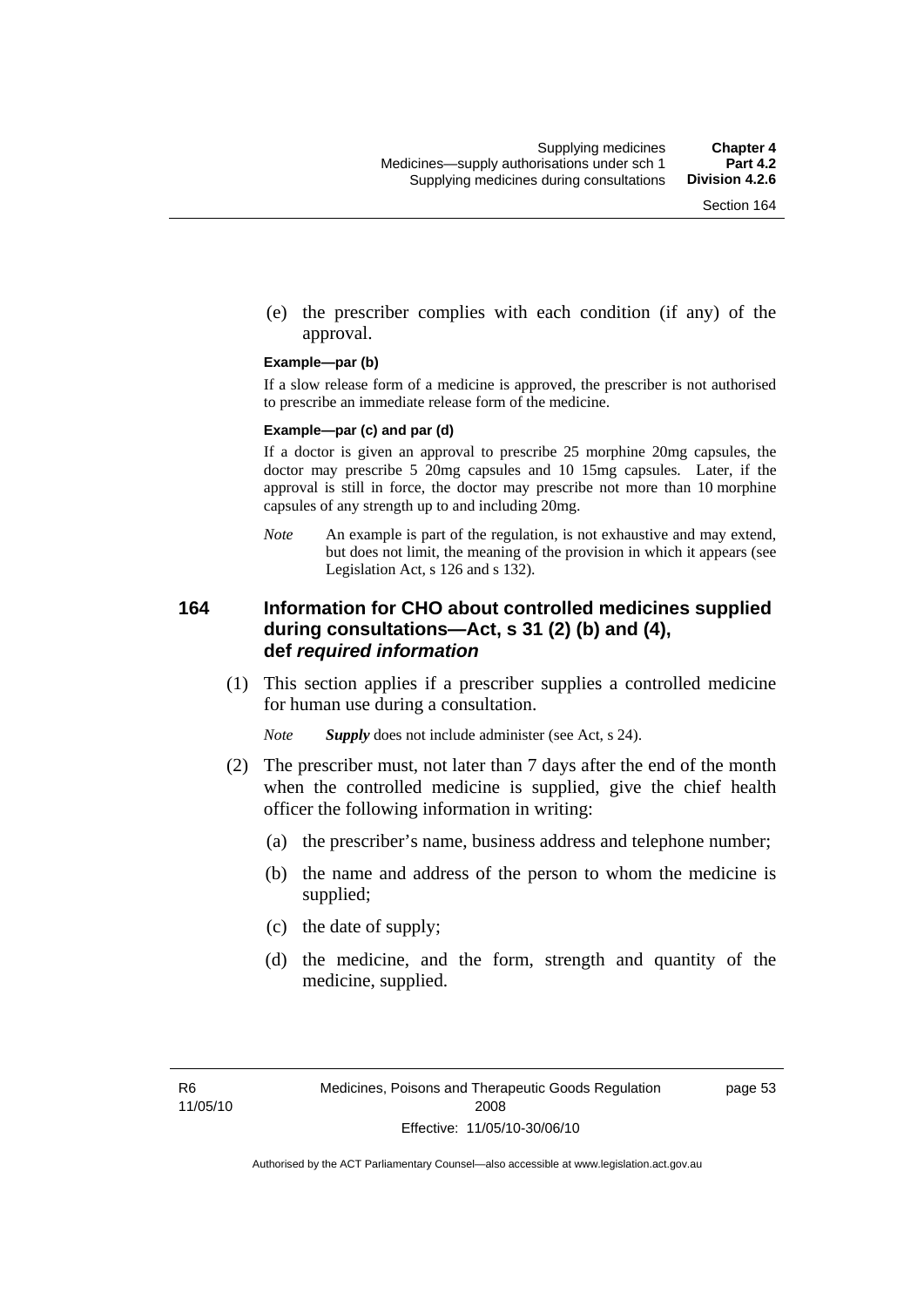(e) the prescriber complies with each condition (if any) of the approval.

#### **Example—par (b)**

If a slow release form of a medicine is approved, the prescriber is not authorised to prescribe an immediate release form of the medicine.

#### **Example—par (c) and par (d)**

If a doctor is given an approval to prescribe 25 morphine 20mg capsules, the doctor may prescribe 5 20mg capsules and 10 15mg capsules. Later, if the approval is still in force, the doctor may prescribe not more than 10 morphine capsules of any strength up to and including 20mg.

*Note* An example is part of the regulation, is not exhaustive and may extend, but does not limit, the meaning of the provision in which it appears (see Legislation Act, s 126 and s 132).

## **164 Information for CHO about controlled medicines supplied during consultations—Act, s 31 (2) (b) and (4), def** *required information*

 (1) This section applies if a prescriber supplies a controlled medicine for human use during a consultation.

*Note Supply* does not include administer (see Act, s 24).

- (2) The prescriber must, not later than 7 days after the end of the month when the controlled medicine is supplied, give the chief health officer the following information in writing:
	- (a) the prescriber's name, business address and telephone number;
	- (b) the name and address of the person to whom the medicine is supplied;
	- (c) the date of supply;
	- (d) the medicine, and the form, strength and quantity of the medicine, supplied.

page 53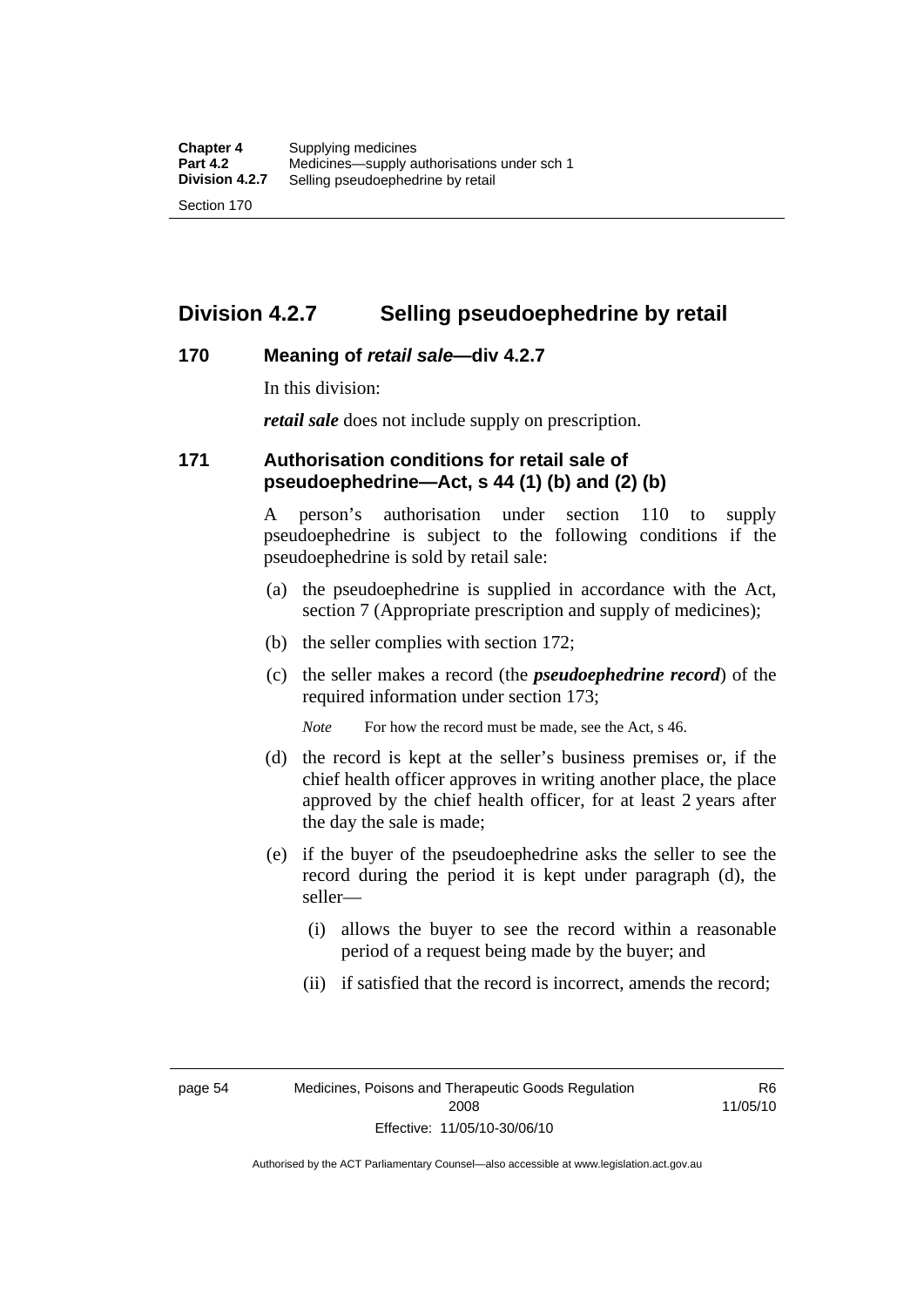## **Division 4.2.7 Selling pseudoephedrine by retail**

### **170 Meaning of** *retail sale***—div 4.2.7**

In this division:

*retail sale* does not include supply on prescription.

## **171 Authorisation conditions for retail sale of pseudoephedrine—Act, s 44 (1) (b) and (2) (b)**

A person's authorisation under section 110 to supply pseudoephedrine is subject to the following conditions if the pseudoephedrine is sold by retail sale:

- (a) the pseudoephedrine is supplied in accordance with the Act, section 7 (Appropriate prescription and supply of medicines);
- (b) the seller complies with section 172;
- (c) the seller makes a record (the *pseudoephedrine record*) of the required information under section 173;

*Note* For how the record must be made, see the Act, s 46.

- (d) the record is kept at the seller's business premises or, if the chief health officer approves in writing another place, the place approved by the chief health officer, for at least 2 years after the day the sale is made;
- (e) if the buyer of the pseudoephedrine asks the seller to see the record during the period it is kept under paragraph (d), the seller—
	- (i) allows the buyer to see the record within a reasonable period of a request being made by the buyer; and
	- (ii) if satisfied that the record is incorrect, amends the record;

page 54 Medicines, Poisons and Therapeutic Goods Regulation 2008 Effective: 11/05/10-30/06/10

R6 11/05/10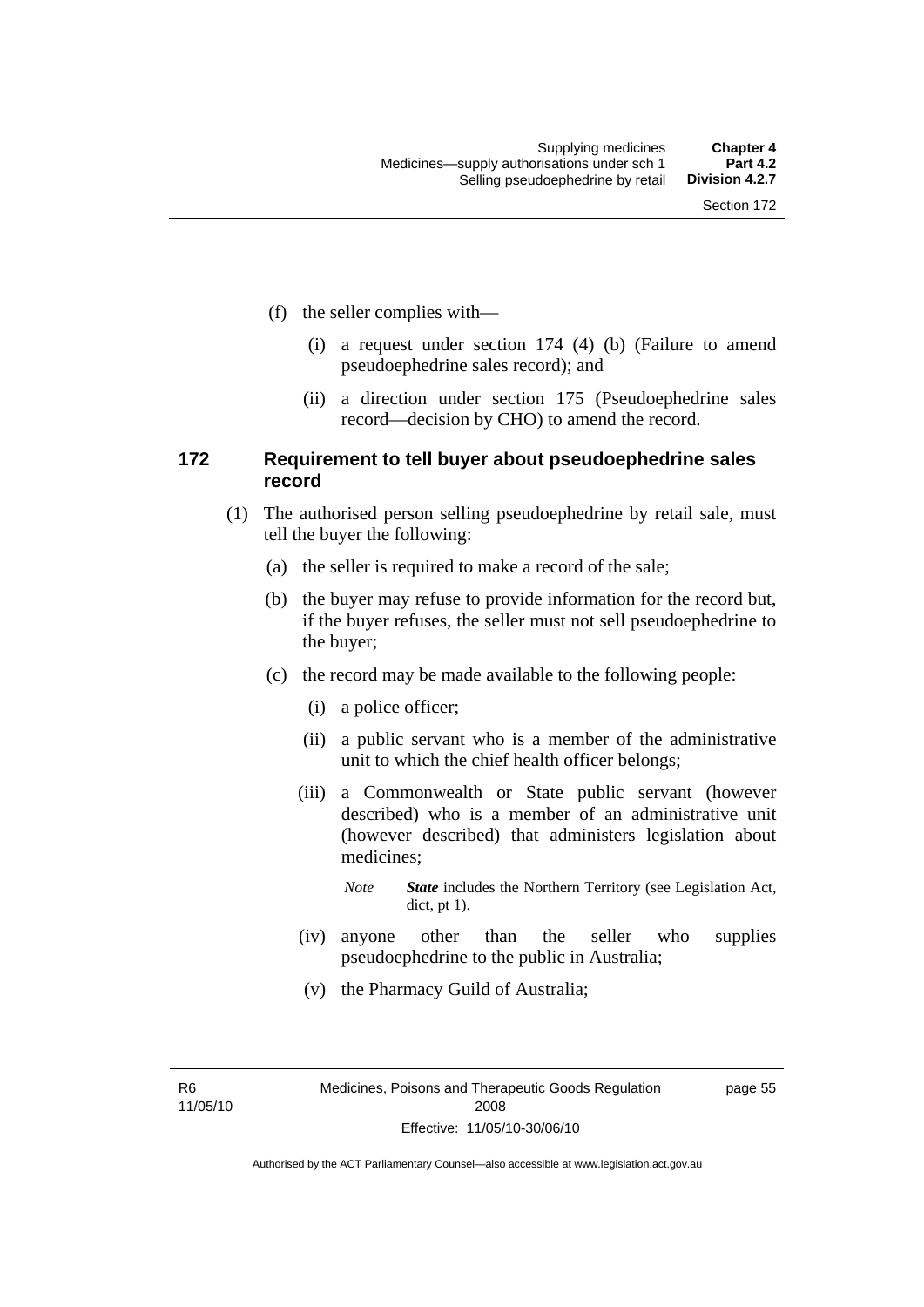- (f) the seller complies with—
	- (i) a request under section 174 (4) (b) (Failure to amend pseudoephedrine sales record); and
	- (ii) a direction under section 175 (Pseudoephedrine sales record—decision by CHO) to amend the record.

### **172 Requirement to tell buyer about pseudoephedrine sales record**

- (1) The authorised person selling pseudoephedrine by retail sale, must tell the buyer the following:
	- (a) the seller is required to make a record of the sale;
	- (b) the buyer may refuse to provide information for the record but, if the buyer refuses, the seller must not sell pseudoephedrine to the buyer;
	- (c) the record may be made available to the following people:
		- (i) a police officer;
		- (ii) a public servant who is a member of the administrative unit to which the chief health officer belongs;
		- (iii) a Commonwealth or State public servant (however described) who is a member of an administrative unit (however described) that administers legislation about medicines;
			- *Note State* includes the Northern Territory (see Legislation Act, dict, pt 1).
		- (iv) anyone other than the seller who supplies pseudoephedrine to the public in Australia;
		- (v) the Pharmacy Guild of Australia;

R6 11/05/10 page 55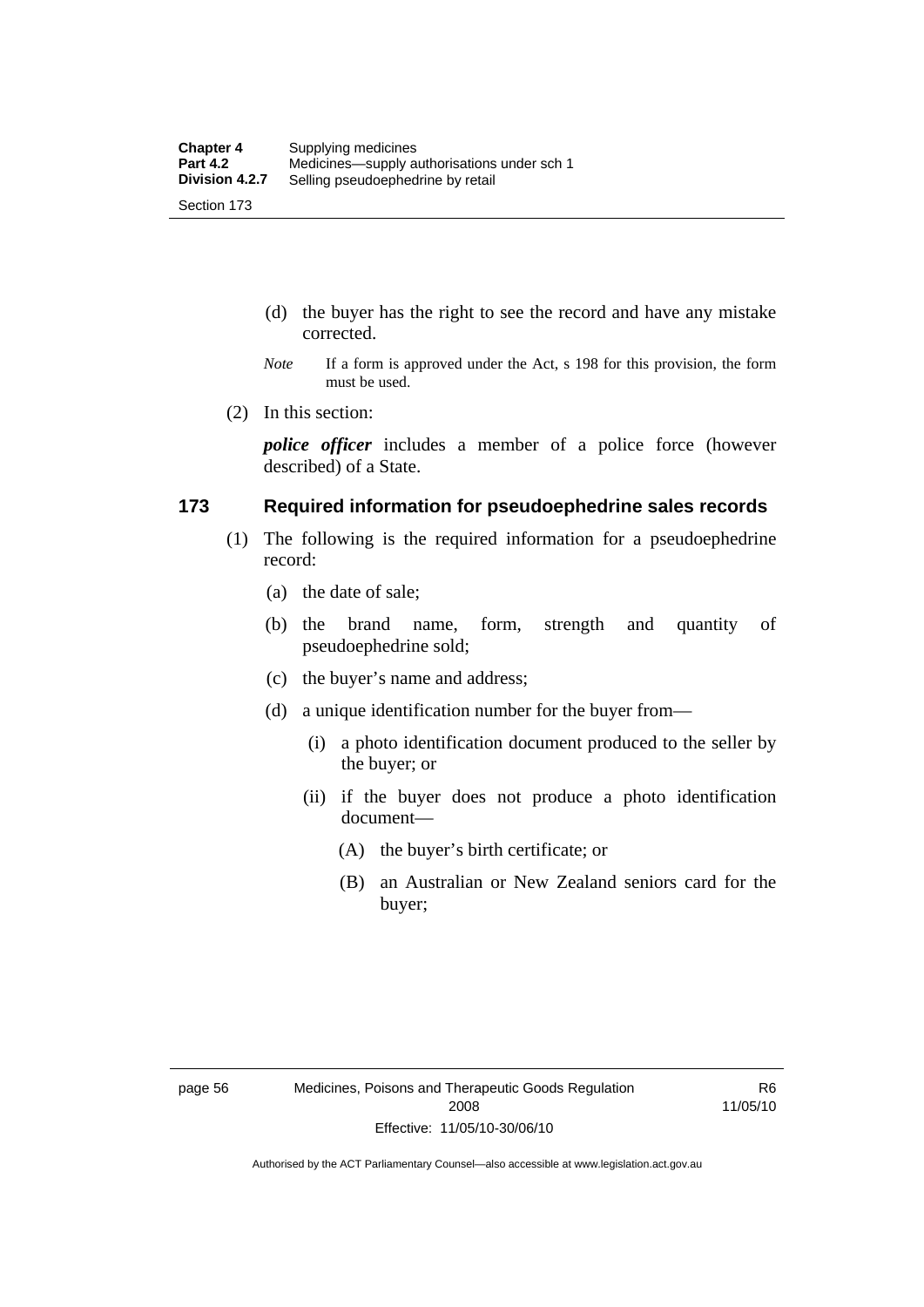- (d) the buyer has the right to see the record and have any mistake corrected.
- *Note* If a form is approved under the Act, s 198 for this provision, the form must be used.
- (2) In this section:

*police officer* includes a member of a police force (however described) of a State.

#### **173 Required information for pseudoephedrine sales records**

- (1) The following is the required information for a pseudoephedrine record:
	- (a) the date of sale;
	- (b) the brand name, form, strength and quantity of pseudoephedrine sold;
	- (c) the buyer's name and address;
	- (d) a unique identification number for the buyer from—
		- (i) a photo identification document produced to the seller by the buyer; or
		- (ii) if the buyer does not produce a photo identification document—
			- (A) the buyer's birth certificate; or
			- (B) an Australian or New Zealand seniors card for the buyer;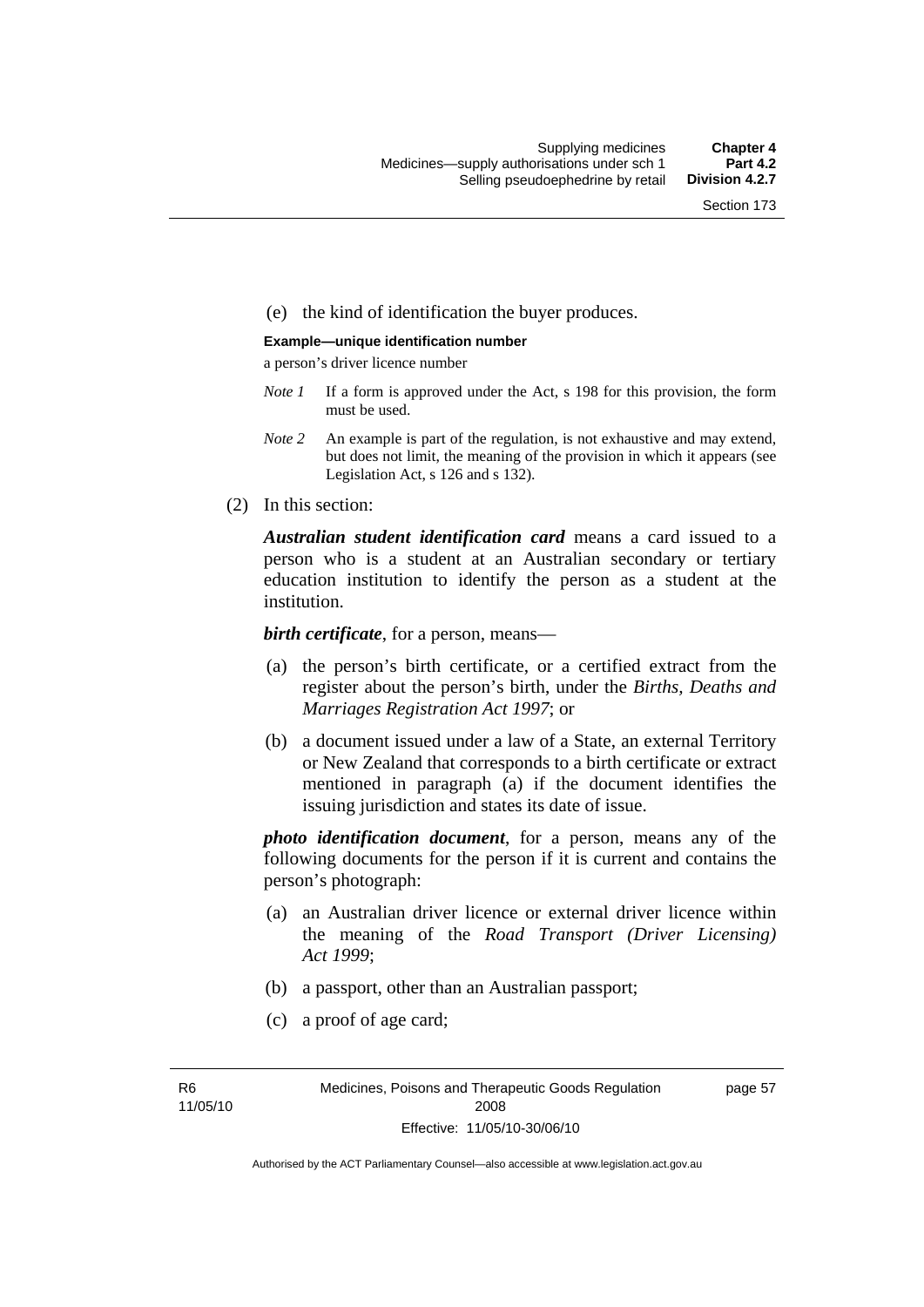#### (e) the kind of identification the buyer produces.

#### **Example—unique identification number**

a person's driver licence number

- *Note 1* If a form is approved under the Act, s 198 for this provision, the form must be used.
- *Note 2* An example is part of the regulation, is not exhaustive and may extend, but does not limit, the meaning of the provision in which it appears (see Legislation Act, s 126 and s 132).
- (2) In this section:

*Australian student identification card* means a card issued to a person who is a student at an Australian secondary or tertiary education institution to identify the person as a student at the institution.

*birth certificate*, for a person, means—

- (a) the person's birth certificate, or a certified extract from the register about the person's birth, under the *Births, Deaths and Marriages Registration Act 1997*; or
- (b) a document issued under a law of a State, an external Territory or New Zealand that corresponds to a birth certificate or extract mentioned in paragraph (a) if the document identifies the issuing jurisdiction and states its date of issue.

*photo identification document*, for a person, means any of the following documents for the person if it is current and contains the person's photograph:

- (a) an Australian driver licence or external driver licence within the meaning of the *Road Transport (Driver Licensing) Act 1999*;
- (b) a passport, other than an Australian passport;
- (c) a proof of age card;

R6 11/05/10 page 57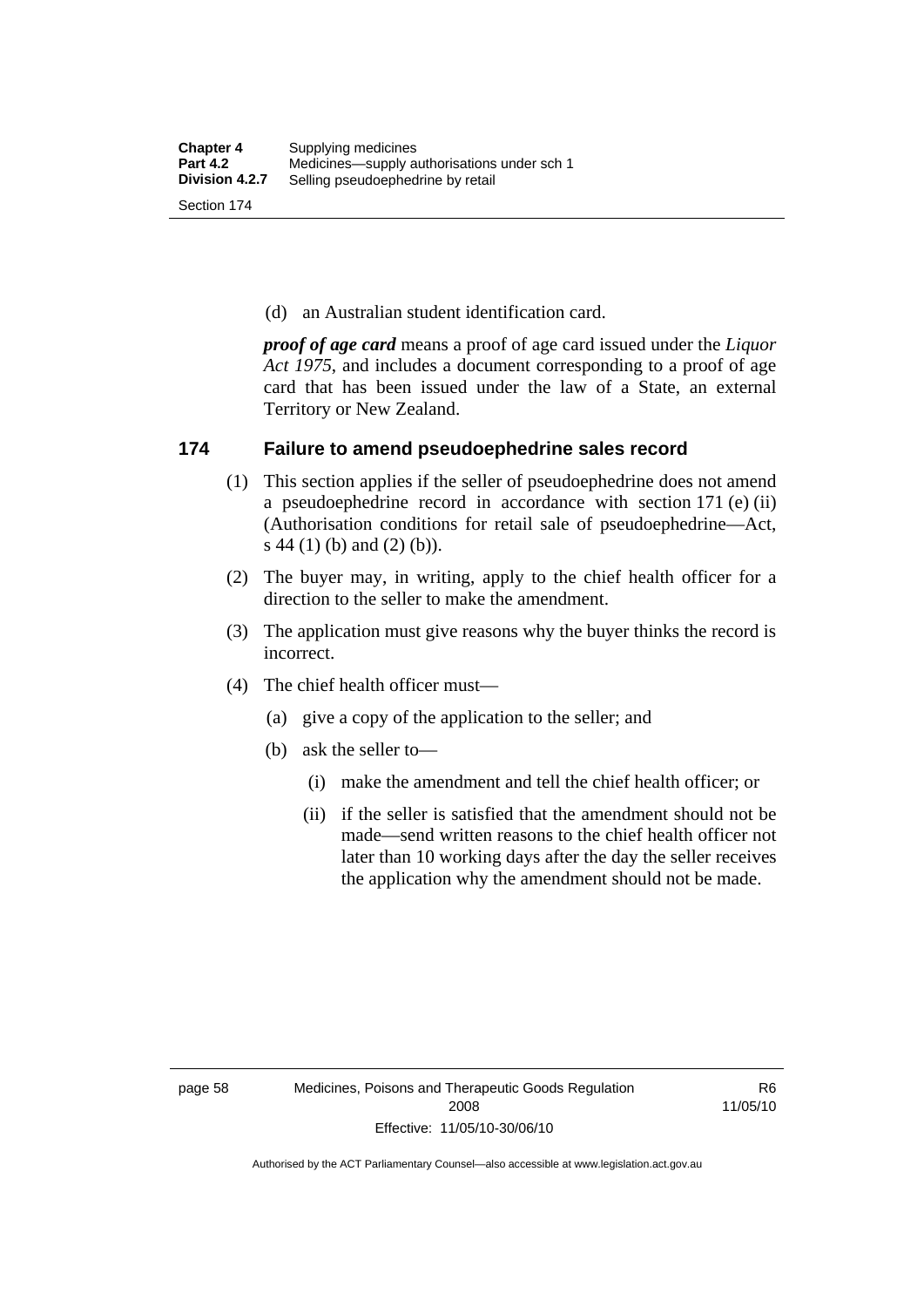(d) an Australian student identification card.

*proof of age card* means a proof of age card issued under the *Liquor Act 1975*, and includes a document corresponding to a proof of age card that has been issued under the law of a State, an external Territory or New Zealand.

### **174 Failure to amend pseudoephedrine sales record**

- (1) This section applies if the seller of pseudoephedrine does not amend a pseudoephedrine record in accordance with section 171 (e) (ii) (Authorisation conditions for retail sale of pseudoephedrine—Act, s 44 (1) (b) and (2) (b)).
- (2) The buyer may, in writing, apply to the chief health officer for a direction to the seller to make the amendment.
- (3) The application must give reasons why the buyer thinks the record is incorrect.
- (4) The chief health officer must—
	- (a) give a copy of the application to the seller; and
	- (b) ask the seller to—
		- (i) make the amendment and tell the chief health officer; or
		- (ii) if the seller is satisfied that the amendment should not be made—send written reasons to the chief health officer not later than 10 working days after the day the seller receives the application why the amendment should not be made.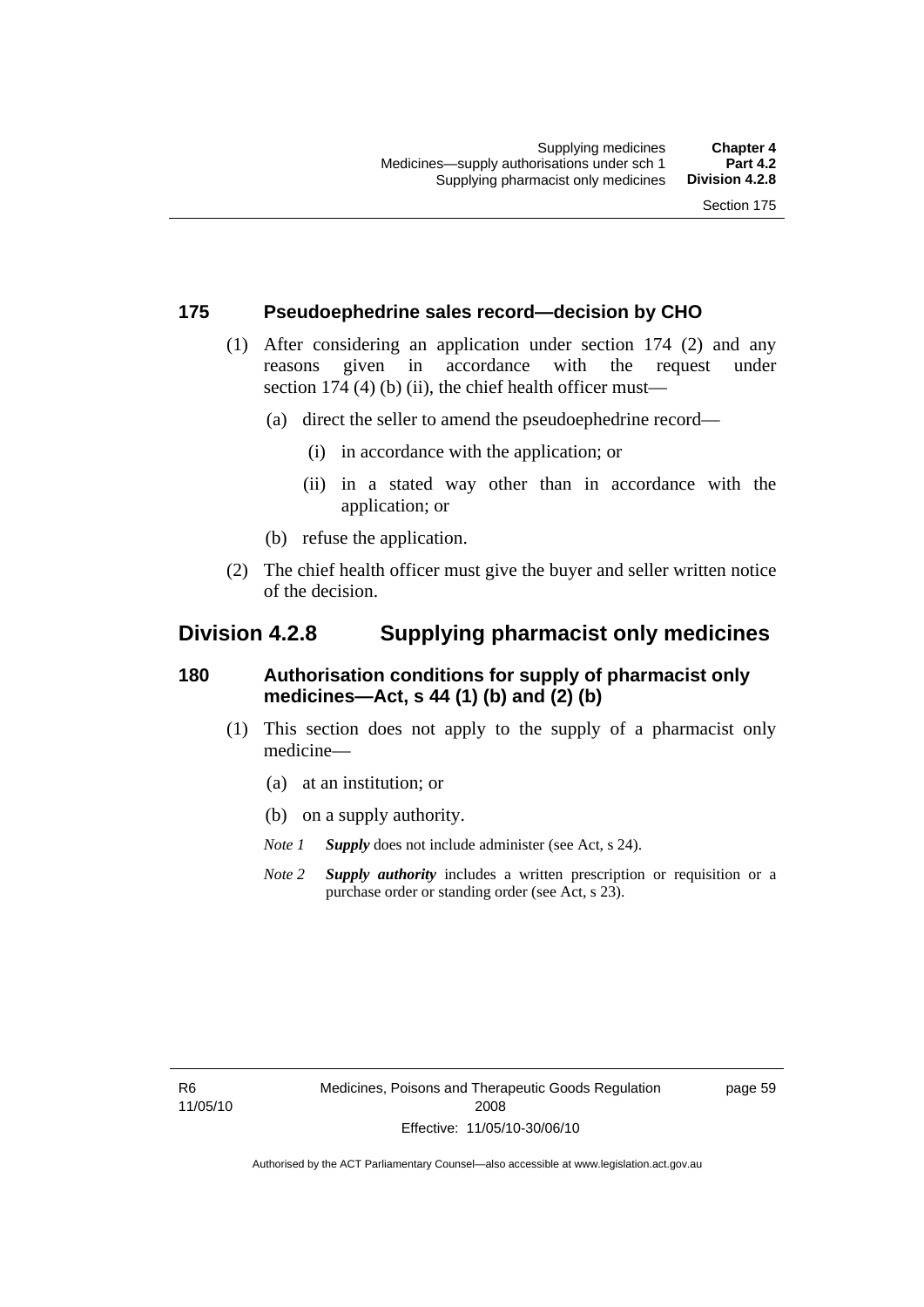### **175 Pseudoephedrine sales record—decision by CHO**

- (1) After considering an application under section 174 (2) and any reasons given in accordance with the request under section 174  $(4)$  (b)  $(ii)$ , the chief health officer must—
	- (a) direct the seller to amend the pseudoephedrine record—
		- (i) in accordance with the application; or
		- (ii) in a stated way other than in accordance with the application; or
	- (b) refuse the application.
- (2) The chief health officer must give the buyer and seller written notice of the decision.

## **Division 4.2.8 Supplying pharmacist only medicines**

## **180 Authorisation conditions for supply of pharmacist only medicines—Act, s 44 (1) (b) and (2) (b)**

- (1) This section does not apply to the supply of a pharmacist only medicine—
	- (a) at an institution; or
	- (b) on a supply authority.

*Note 1 Supply* does not include administer (see Act, s 24).

*Note 2 Supply authority* includes a written prescription or requisition or a purchase order or standing order (see Act, s 23).

R6 11/05/10 page 59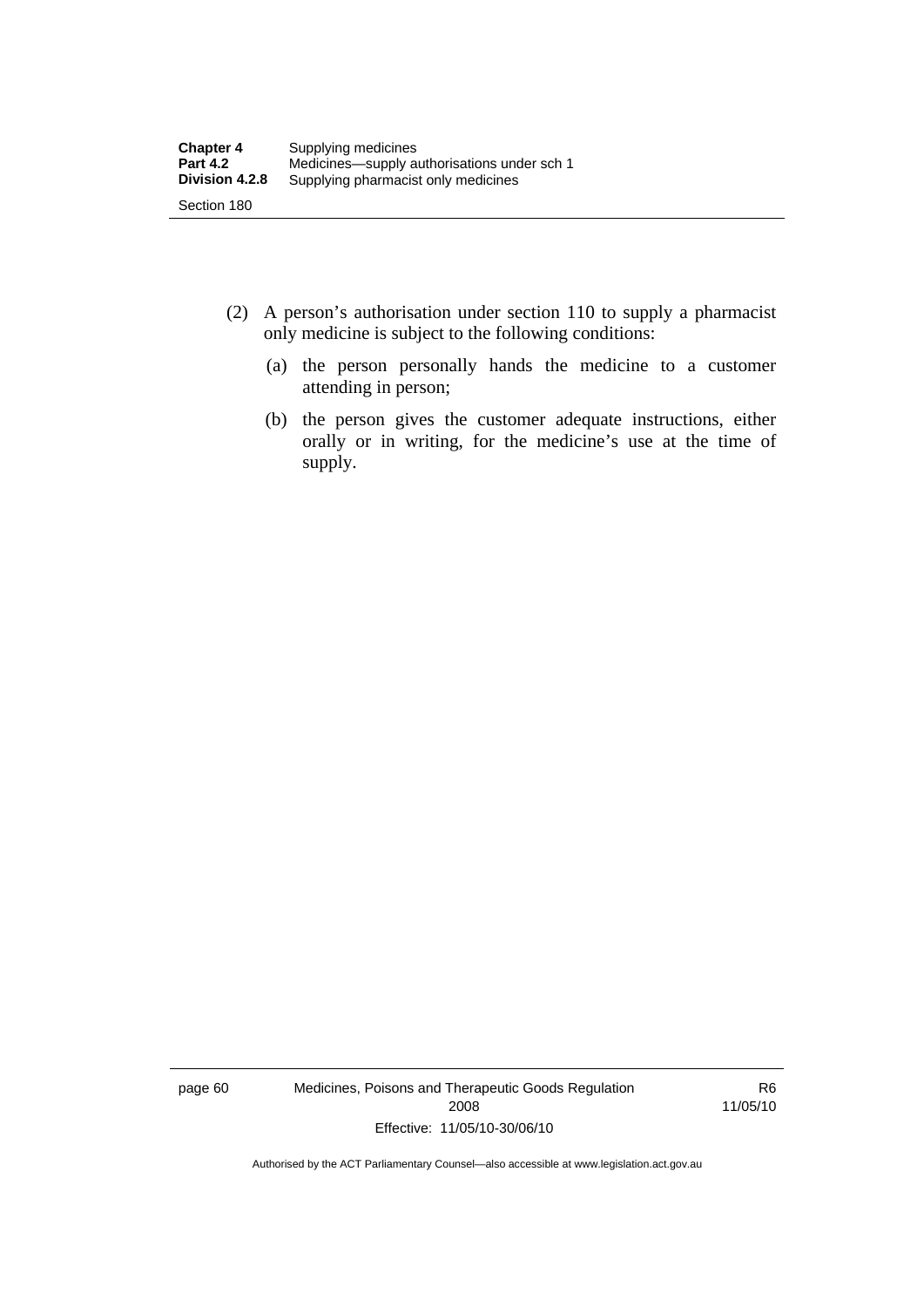- (2) A person's authorisation under section 110 to supply a pharmacist only medicine is subject to the following conditions:
	- (a) the person personally hands the medicine to a customer attending in person;
	- (b) the person gives the customer adequate instructions, either orally or in writing, for the medicine's use at the time of supply.

page 60 Medicines, Poisons and Therapeutic Goods Regulation 2008 Effective: 11/05/10-30/06/10

R6 11/05/10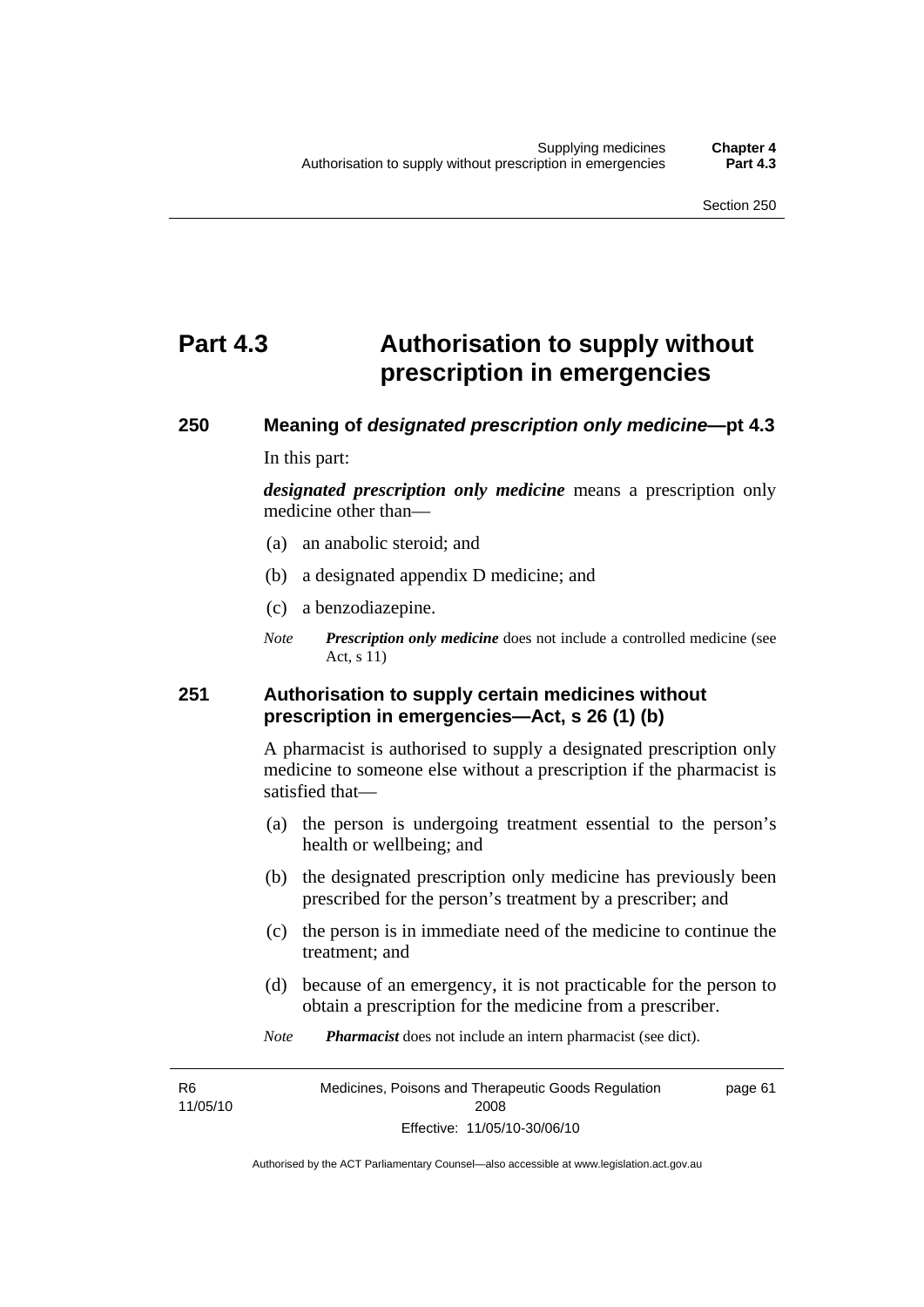## **Part 4.3 Authorisation to supply without prescription in emergencies**

# **250 Meaning of** *designated prescription only medicine***—pt 4.3**

In this part:

*designated prescription only medicine* means a prescription only medicine other than—

- (a) an anabolic steroid; and
- (b) a designated appendix D medicine; and
- (c) a benzodiazepine.
- *Note Prescription only medicine* does not include a controlled medicine (see Act, s 11)

## **251 Authorisation to supply certain medicines without prescription in emergencies—Act, s 26 (1) (b)**

A pharmacist is authorised to supply a designated prescription only medicine to someone else without a prescription if the pharmacist is satisfied that—

- (a) the person is undergoing treatment essential to the person's health or wellbeing; and
- (b) the designated prescription only medicine has previously been prescribed for the person's treatment by a prescriber; and
- (c) the person is in immediate need of the medicine to continue the treatment; and
- (d) because of an emergency, it is not practicable for the person to obtain a prescription for the medicine from a prescriber.
- *Note Pharmacist* does not include an intern pharmacist (see dict).

R6 11/05/10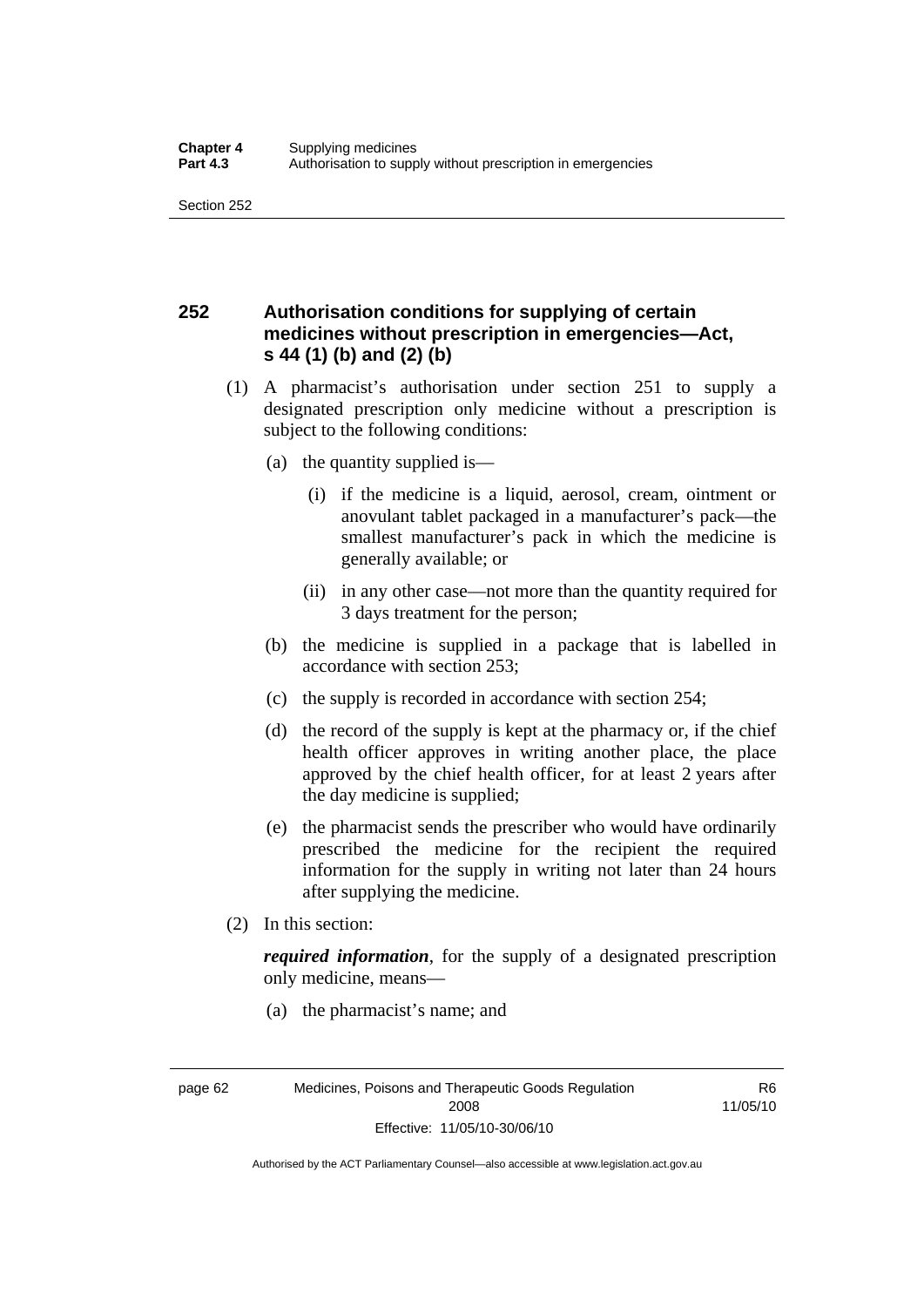## **252 Authorisation conditions for supplying of certain medicines without prescription in emergencies—Act, s 44 (1) (b) and (2) (b)**

- (1) A pharmacist's authorisation under section 251 to supply a designated prescription only medicine without a prescription is subject to the following conditions:
	- (a) the quantity supplied is—
		- (i) if the medicine is a liquid, aerosol, cream, ointment or anovulant tablet packaged in a manufacturer's pack—the smallest manufacturer's pack in which the medicine is generally available; or
		- (ii) in any other case—not more than the quantity required for 3 days treatment for the person;
	- (b) the medicine is supplied in a package that is labelled in accordance with section 253;
	- (c) the supply is recorded in accordance with section 254;
	- (d) the record of the supply is kept at the pharmacy or, if the chief health officer approves in writing another place, the place approved by the chief health officer, for at least 2 years after the day medicine is supplied;
	- (e) the pharmacist sends the prescriber who would have ordinarily prescribed the medicine for the recipient the required information for the supply in writing not later than 24 hours after supplying the medicine.
- (2) In this section:

*required information*, for the supply of a designated prescription only medicine, means—

(a) the pharmacist's name; and

page 62 Medicines, Poisons and Therapeutic Goods Regulation 2008 Effective: 11/05/10-30/06/10

R6 11/05/10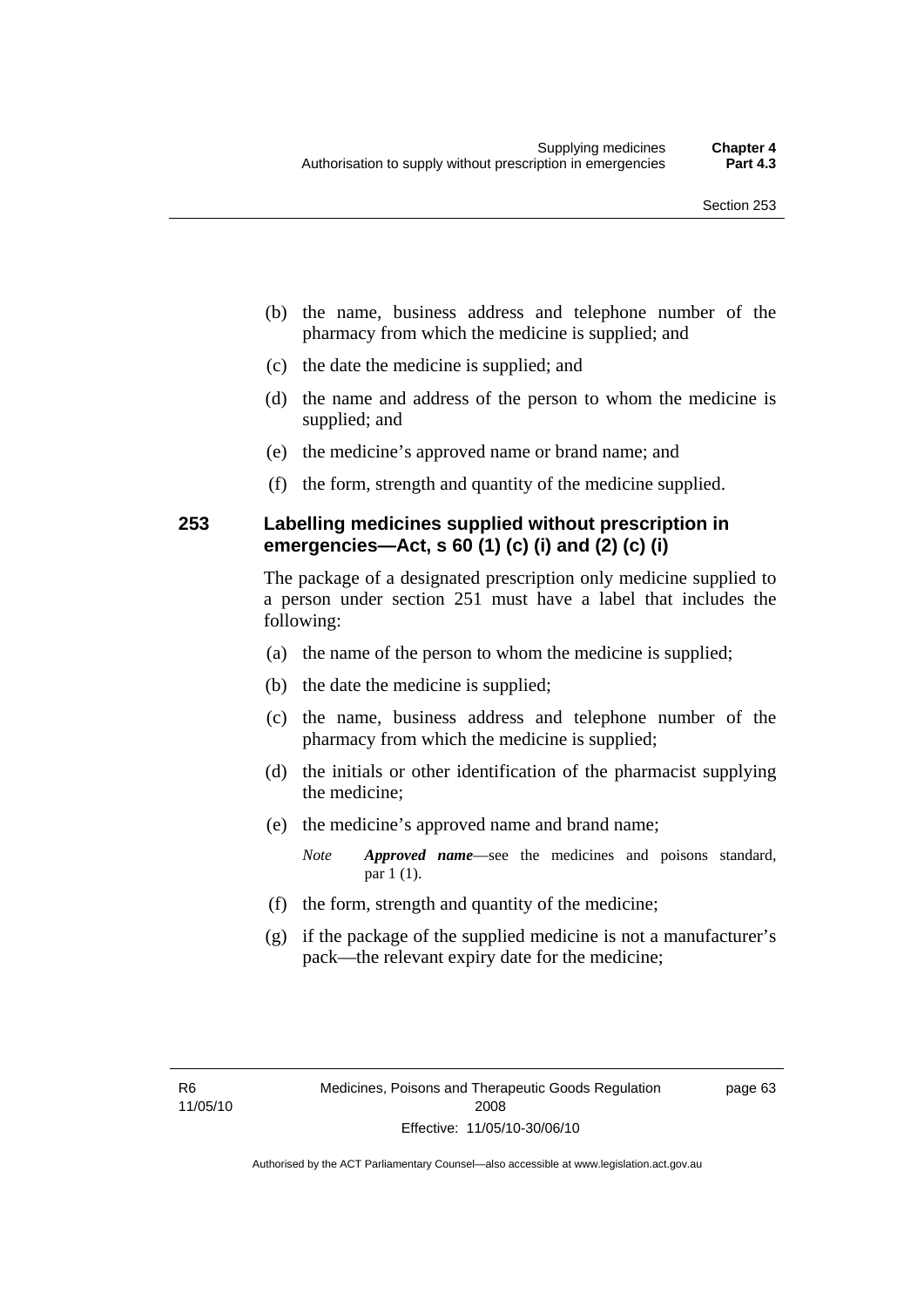- (b) the name, business address and telephone number of the pharmacy from which the medicine is supplied; and
- (c) the date the medicine is supplied; and
- (d) the name and address of the person to whom the medicine is supplied; and
- (e) the medicine's approved name or brand name; and
- (f) the form, strength and quantity of the medicine supplied.

## **253 Labelling medicines supplied without prescription in emergencies—Act, s 60 (1) (c) (i) and (2) (c) (i)**

The package of a designated prescription only medicine supplied to a person under section 251 must have a label that includes the following:

- (a) the name of the person to whom the medicine is supplied;
- (b) the date the medicine is supplied;
- (c) the name, business address and telephone number of the pharmacy from which the medicine is supplied;
- (d) the initials or other identification of the pharmacist supplying the medicine;
- (e) the medicine's approved name and brand name;

*Note Approved name*—see the medicines and poisons standard, par 1 (1).

- (f) the form, strength and quantity of the medicine;
- (g) if the package of the supplied medicine is not a manufacturer's pack—the relevant expiry date for the medicine;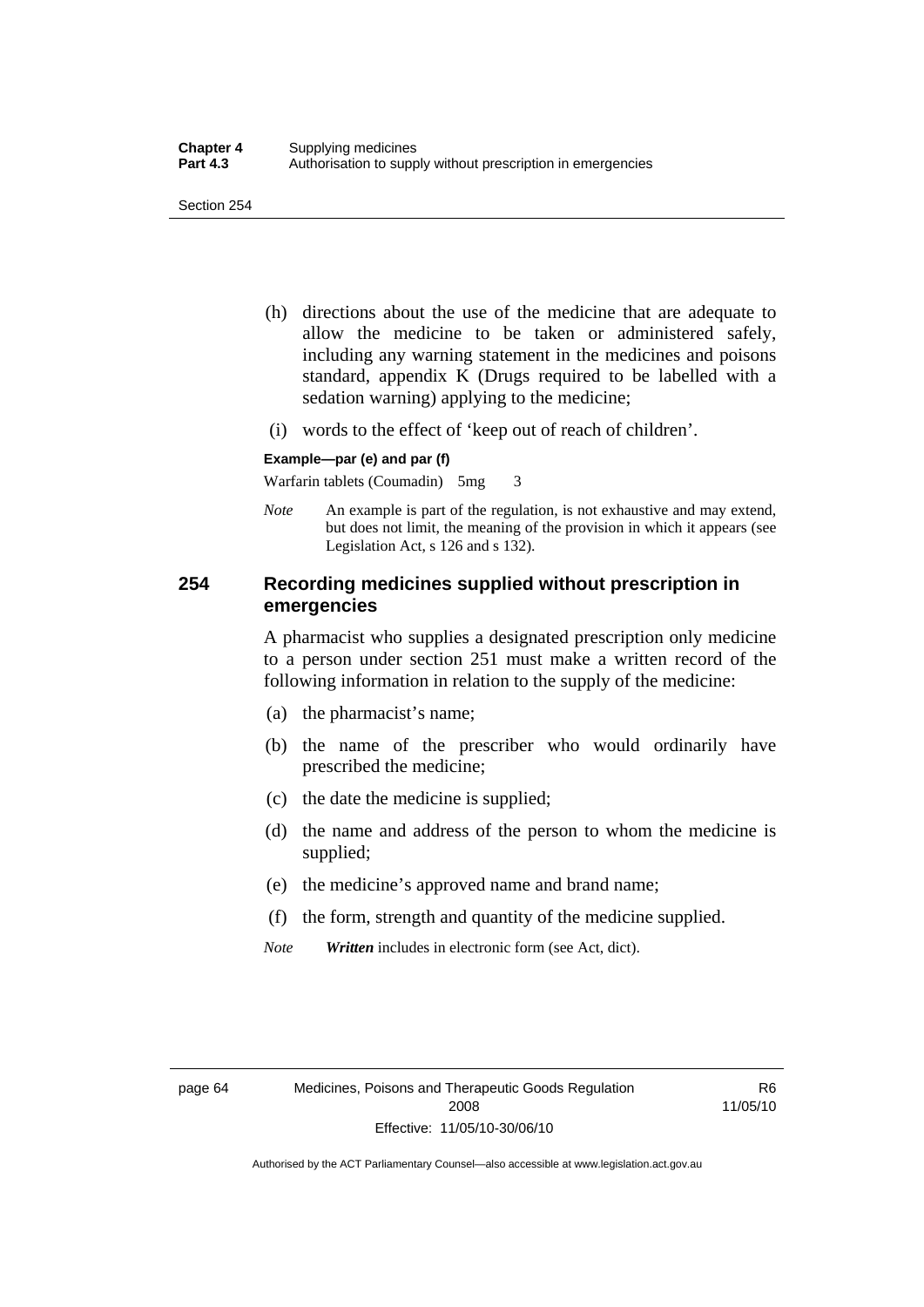- (h) directions about the use of the medicine that are adequate to allow the medicine to be taken or administered safely, including any warning statement in the medicines and poisons standard, appendix K (Drugs required to be labelled with a sedation warning) applying to the medicine;
- (i) words to the effect of 'keep out of reach of children'.

#### **Example—par (e) and par (f)**

Warfarin tablets (Coumadin) 5mg 3

*Note* An example is part of the regulation, is not exhaustive and may extend, but does not limit, the meaning of the provision in which it appears (see Legislation Act, s 126 and s 132).

## **254 Recording medicines supplied without prescription in emergencies**

A pharmacist who supplies a designated prescription only medicine to a person under section 251 must make a written record of the following information in relation to the supply of the medicine:

- (a) the pharmacist's name;
- (b) the name of the prescriber who would ordinarily have prescribed the medicine;
- (c) the date the medicine is supplied;
- (d) the name and address of the person to whom the medicine is supplied;
- (e) the medicine's approved name and brand name;
- (f) the form, strength and quantity of the medicine supplied.
- *Note Written* includes in electronic form (see Act, dict).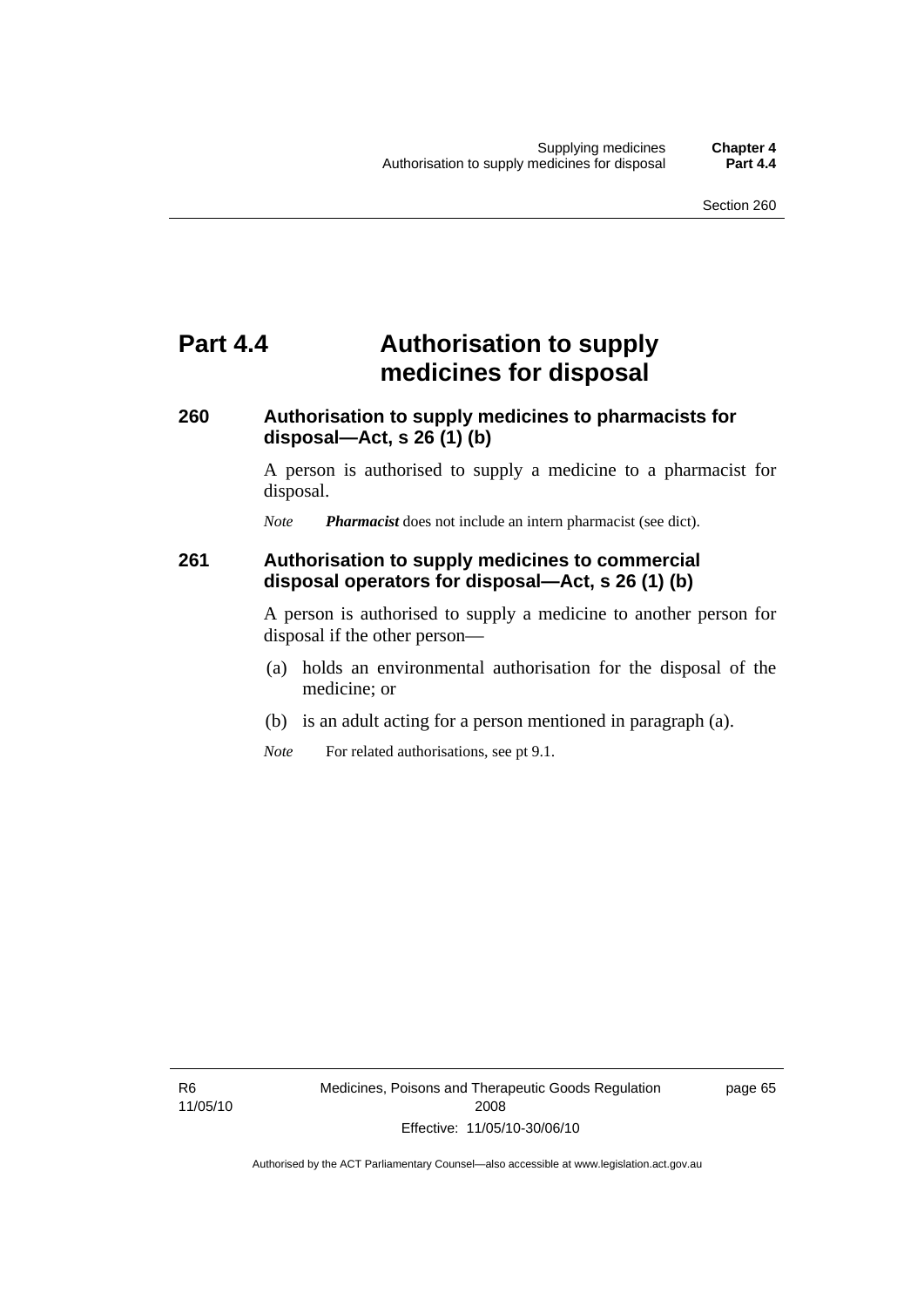## **Part 4.4 Authorisation to supply medicines for disposal**

## **260 Authorisation to supply medicines to pharmacists for disposal—Act, s 26 (1) (b)**

A person is authorised to supply a medicine to a pharmacist for disposal.

*Note Pharmacist* does not include an intern pharmacist (see dict).

### **261 Authorisation to supply medicines to commercial disposal operators for disposal—Act, s 26 (1) (b)**

A person is authorised to supply a medicine to another person for disposal if the other person—

- (a) holds an environmental authorisation for the disposal of the medicine; or
- (b) is an adult acting for a person mentioned in paragraph (a).
- *Note* For related authorisations, see pt 9.1.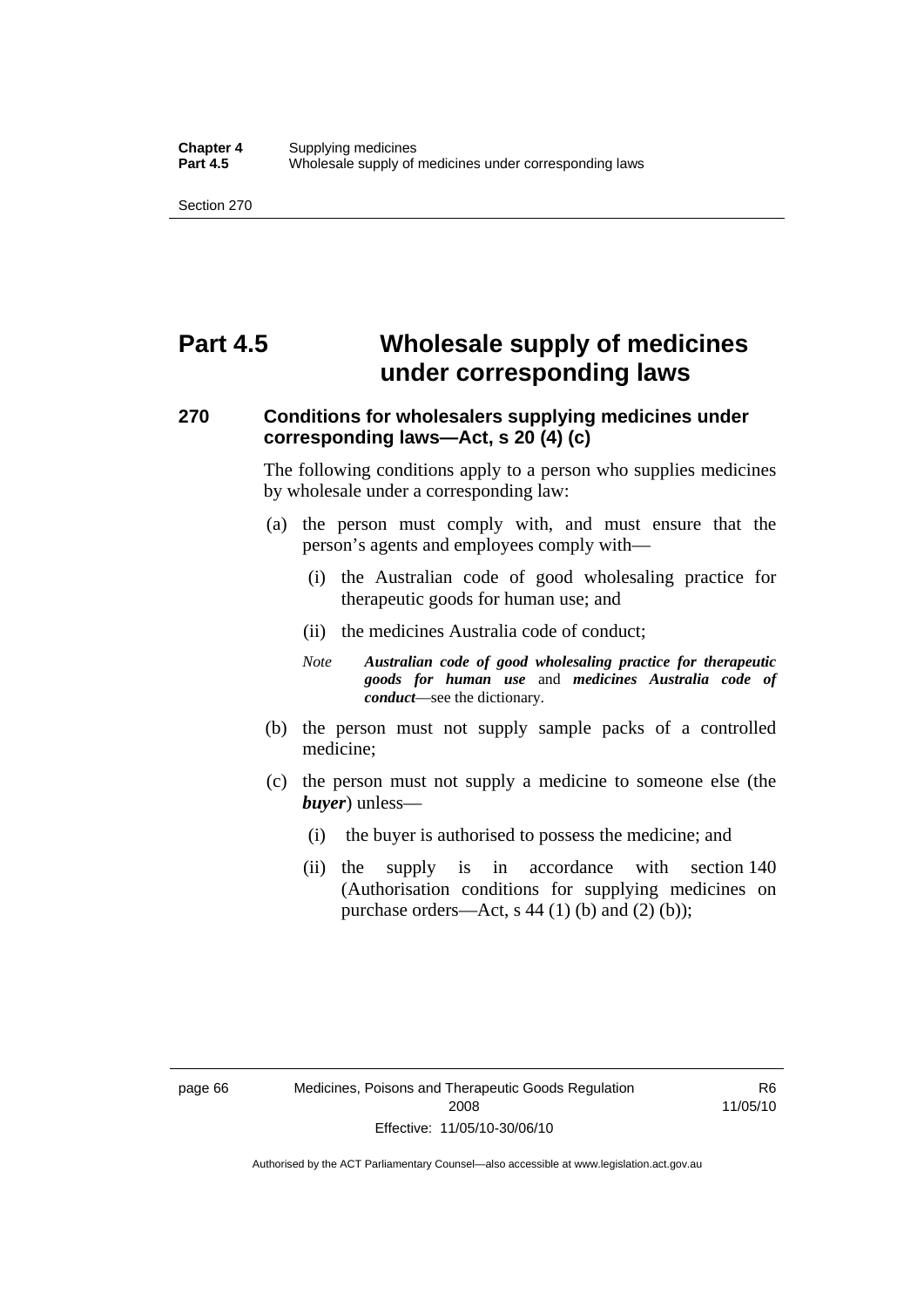## **Part 4.5 Wholesale supply of medicines under corresponding laws**

## **270 Conditions for wholesalers supplying medicines under corresponding laws—Act, s 20 (4) (c)**

The following conditions apply to a person who supplies medicines by wholesale under a corresponding law:

- (a) the person must comply with, and must ensure that the person's agents and employees comply with—
	- (i) the Australian code of good wholesaling practice for therapeutic goods for human use; and
	- (ii) the medicines Australia code of conduct;
	- *Note Australian code of good wholesaling practice for therapeutic goods for human use* and *medicines Australia code of conduct*—see the dictionary.
- (b) the person must not supply sample packs of a controlled medicine;
- (c) the person must not supply a medicine to someone else (the *buyer*) unless—
	- (i) the buyer is authorised to possess the medicine; and
	- (ii) the supply is in accordance with section 140 (Authorisation conditions for supplying medicines on purchase orders—Act, s 44 (1) (b) and (2) (b));

R6 11/05/10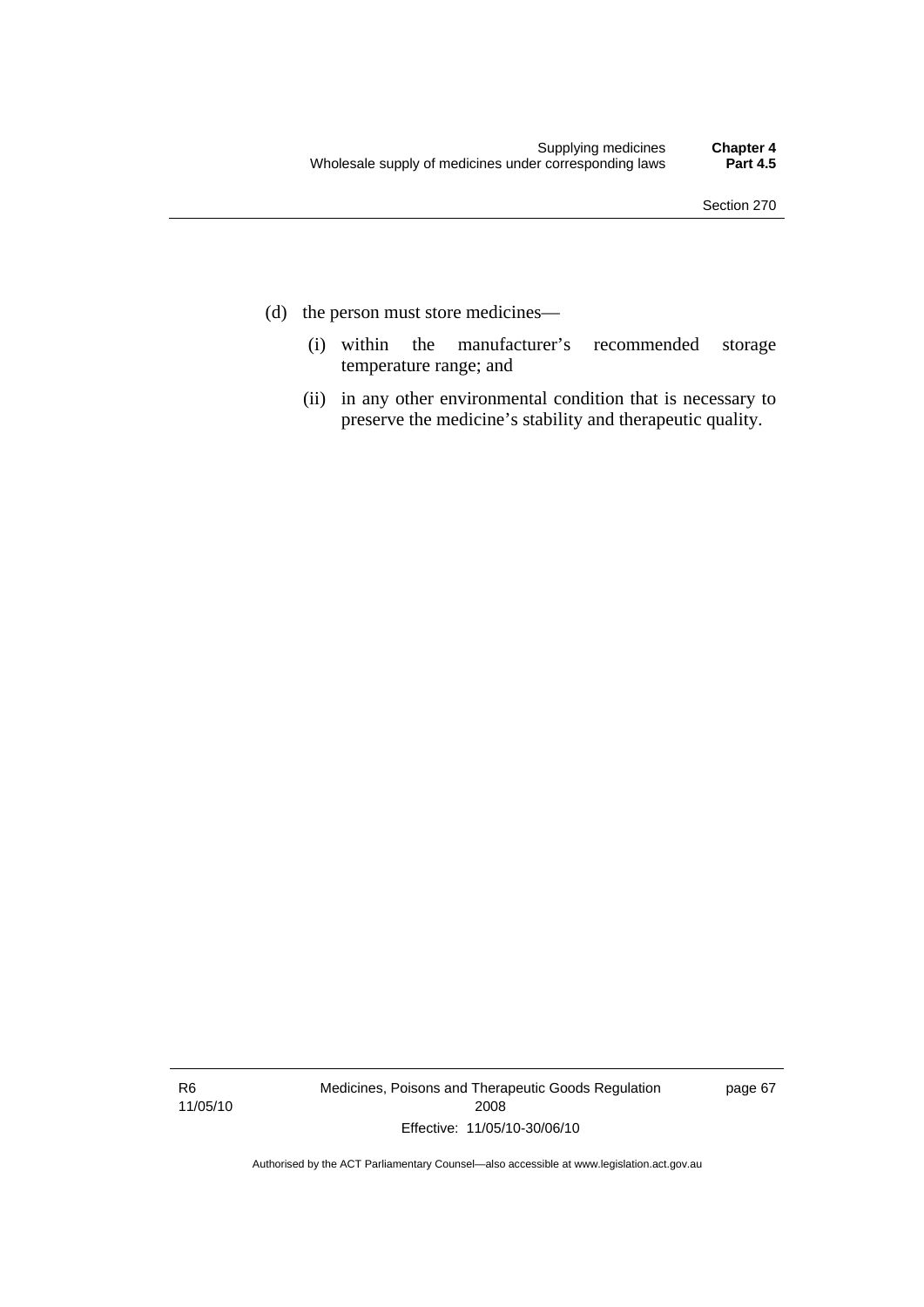- (d) the person must store medicines—
	- (i) within the manufacturer's recommended storage temperature range; and
	- (ii) in any other environmental condition that is necessary to preserve the medicine's stability and therapeutic quality.

R6 11/05/10 Medicines, Poisons and Therapeutic Goods Regulation 2008 Effective: 11/05/10-30/06/10

page 67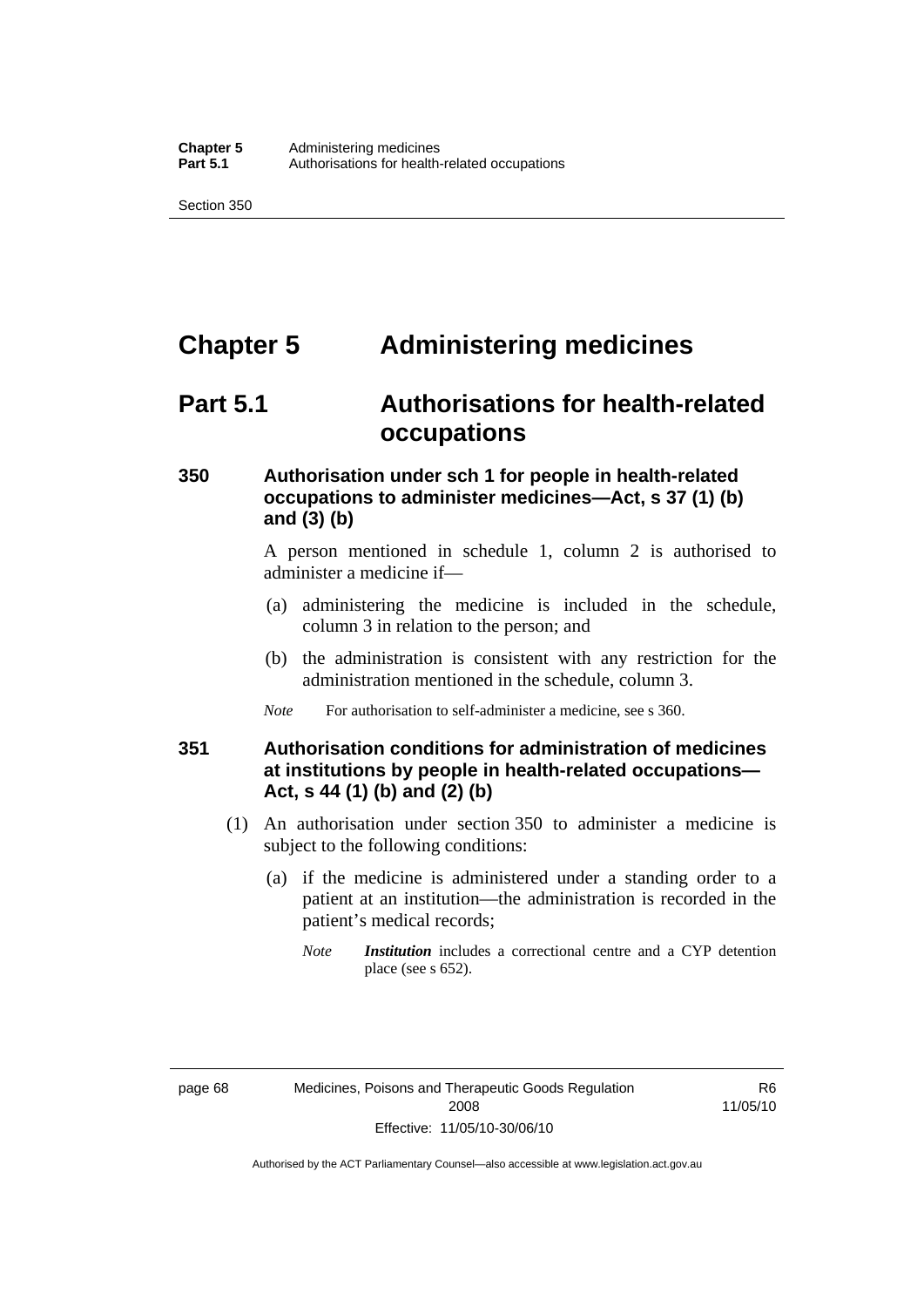## **Chapter 5 Administering medicines**

## **Part 5.1 Authorisations for health-related occupations**

## **350 Authorisation under sch 1 for people in health-related occupations to administer medicines—Act, s 37 (1) (b) and (3) (b)**

A person mentioned in schedule 1, column 2 is authorised to administer a medicine if—

- (a) administering the medicine is included in the schedule, column 3 in relation to the person; and
- (b) the administration is consistent with any restriction for the administration mentioned in the schedule, column 3.
- *Note* For authorisation to self-administer a medicine, see s 360.

## **351 Authorisation conditions for administration of medicines at institutions by people in health-related occupations— Act, s 44 (1) (b) and (2) (b)**

- (1) An authorisation under section 350 to administer a medicine is subject to the following conditions:
	- (a) if the medicine is administered under a standing order to a patient at an institution—the administration is recorded in the patient's medical records;
		- *Note Institution* includes a correctional centre and a CYP detention place (see s 652).

R6 11/05/10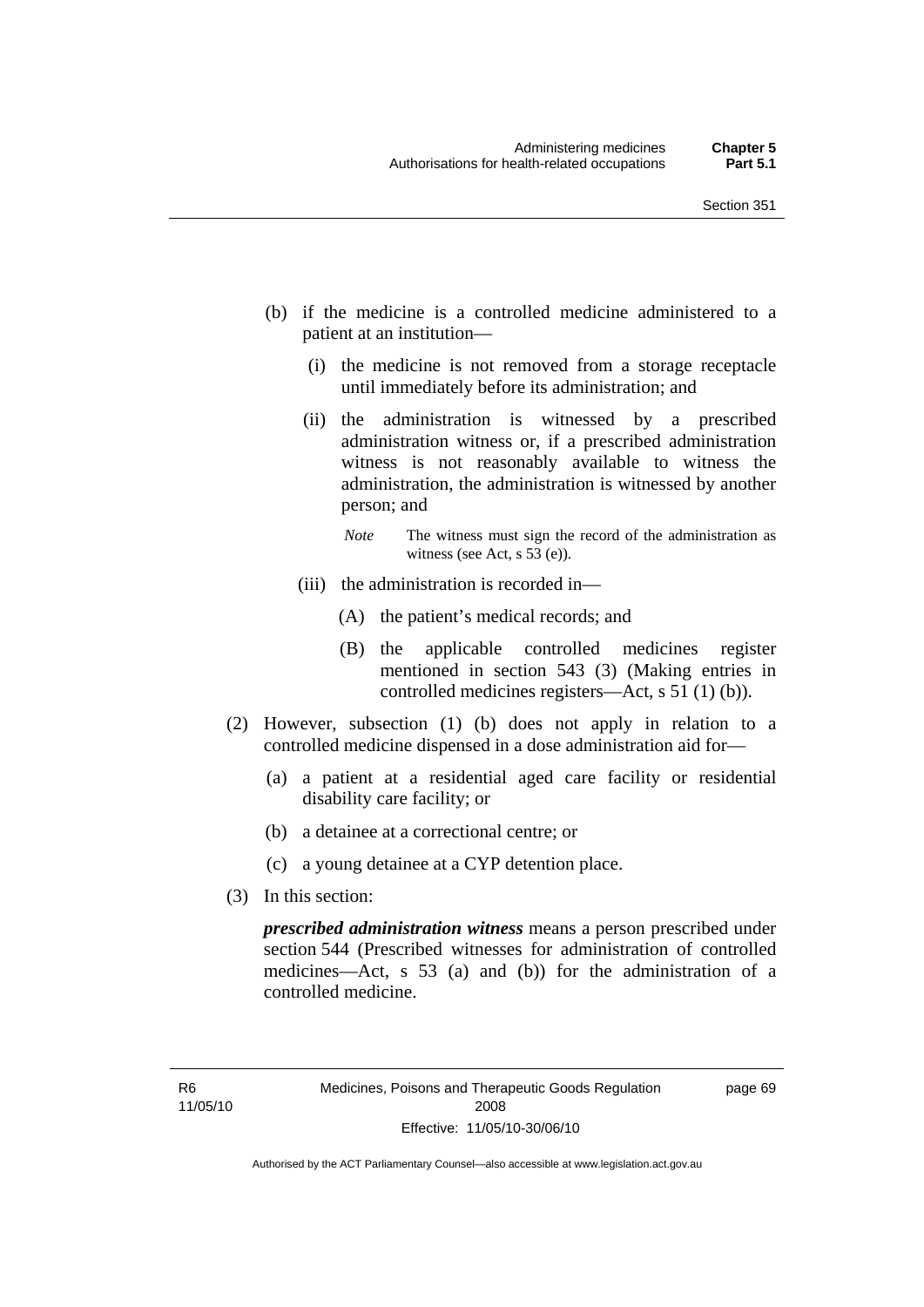- (b) if the medicine is a controlled medicine administered to a patient at an institution—
	- (i) the medicine is not removed from a storage receptacle until immediately before its administration; and
	- (ii) the administration is witnessed by a prescribed administration witness or, if a prescribed administration witness is not reasonably available to witness the administration, the administration is witnessed by another person; and
		- *Note* The witness must sign the record of the administration as witness (see Act, s 53 (e)).
	- (iii) the administration is recorded in—
		- (A) the patient's medical records; and
		- (B) the applicable controlled medicines register mentioned in section 543 (3) (Making entries in controlled medicines registers—Act, s 51 (1) (b)).
- (2) However, subsection (1) (b) does not apply in relation to a controlled medicine dispensed in a dose administration aid for—
	- (a) a patient at a residential aged care facility or residential disability care facility; or
	- (b) a detainee at a correctional centre; or
	- (c) a young detainee at a CYP detention place.
- (3) In this section:

*prescribed administration witness* means a person prescribed under section 544 (Prescribed witnesses for administration of controlled medicines—Act, s 53 (a) and (b)) for the administration of a controlled medicine.

page 69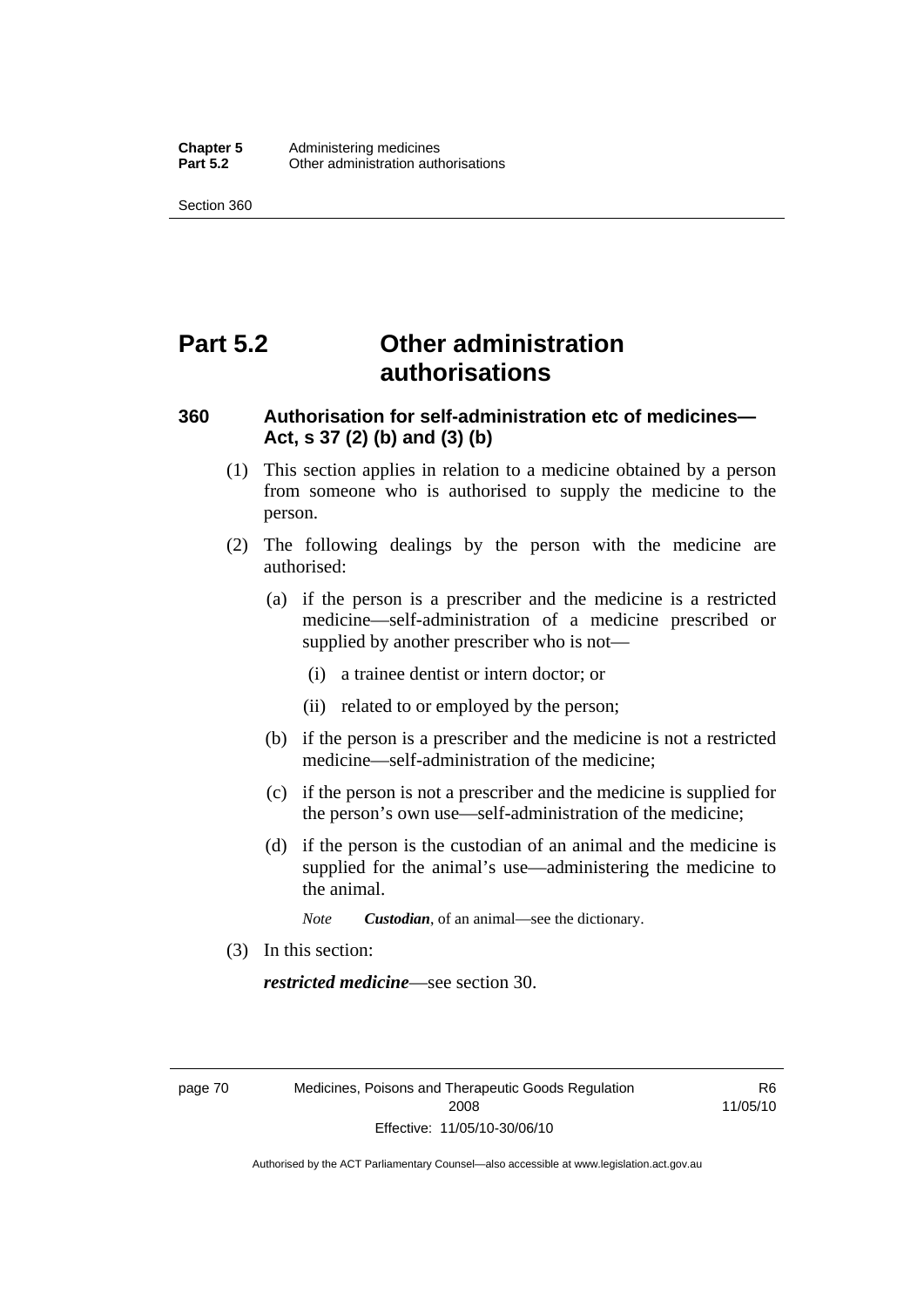## **Part 5.2 Other administration authorisations**

## **360 Authorisation for self-administration etc of medicines— Act, s 37 (2) (b) and (3) (b)**

- (1) This section applies in relation to a medicine obtained by a person from someone who is authorised to supply the medicine to the person.
- (2) The following dealings by the person with the medicine are authorised:
	- (a) if the person is a prescriber and the medicine is a restricted medicine—self-administration of a medicine prescribed or supplied by another prescriber who is not—
		- (i) a trainee dentist or intern doctor; or
		- (ii) related to or employed by the person;
	- (b) if the person is a prescriber and the medicine is not a restricted medicine—self-administration of the medicine;
	- (c) if the person is not a prescriber and the medicine is supplied for the person's own use—self-administration of the medicine;
	- (d) if the person is the custodian of an animal and the medicine is supplied for the animal's use—administering the medicine to the animal.
		- *Note Custodian*, of an animal—see the dictionary.
- (3) In this section:

*restricted medicine*—see section 30.

page 70 Medicines, Poisons and Therapeutic Goods Regulation 2008 Effective: 11/05/10-30/06/10

R6 11/05/10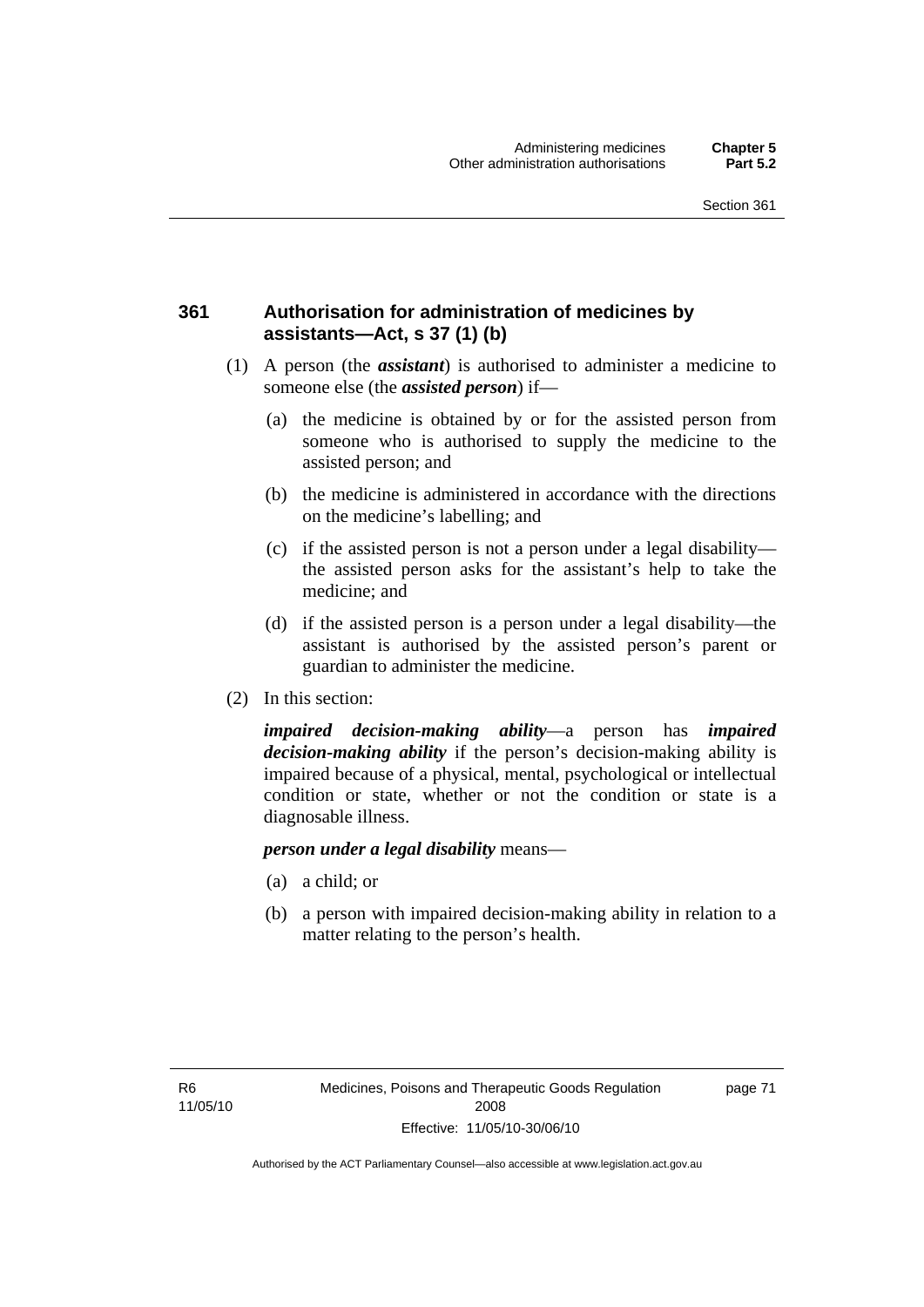## **361 Authorisation for administration of medicines by assistants—Act, s 37 (1) (b)**

- (1) A person (the *assistant*) is authorised to administer a medicine to someone else (the *assisted person*) if—
	- (a) the medicine is obtained by or for the assisted person from someone who is authorised to supply the medicine to the assisted person; and
	- (b) the medicine is administered in accordance with the directions on the medicine's labelling; and
	- (c) if the assisted person is not a person under a legal disability the assisted person asks for the assistant's help to take the medicine; and
	- (d) if the assisted person is a person under a legal disability—the assistant is authorised by the assisted person's parent or guardian to administer the medicine.
- (2) In this section:

*impaired decision-making ability*—a person has *impaired decision-making ability* if the person's decision-making ability is impaired because of a physical, mental, psychological or intellectual condition or state, whether or not the condition or state is a diagnosable illness.

#### *person under a legal disability* means—

- (a) a child; or
- (b) a person with impaired decision-making ability in relation to a matter relating to the person's health.

page 71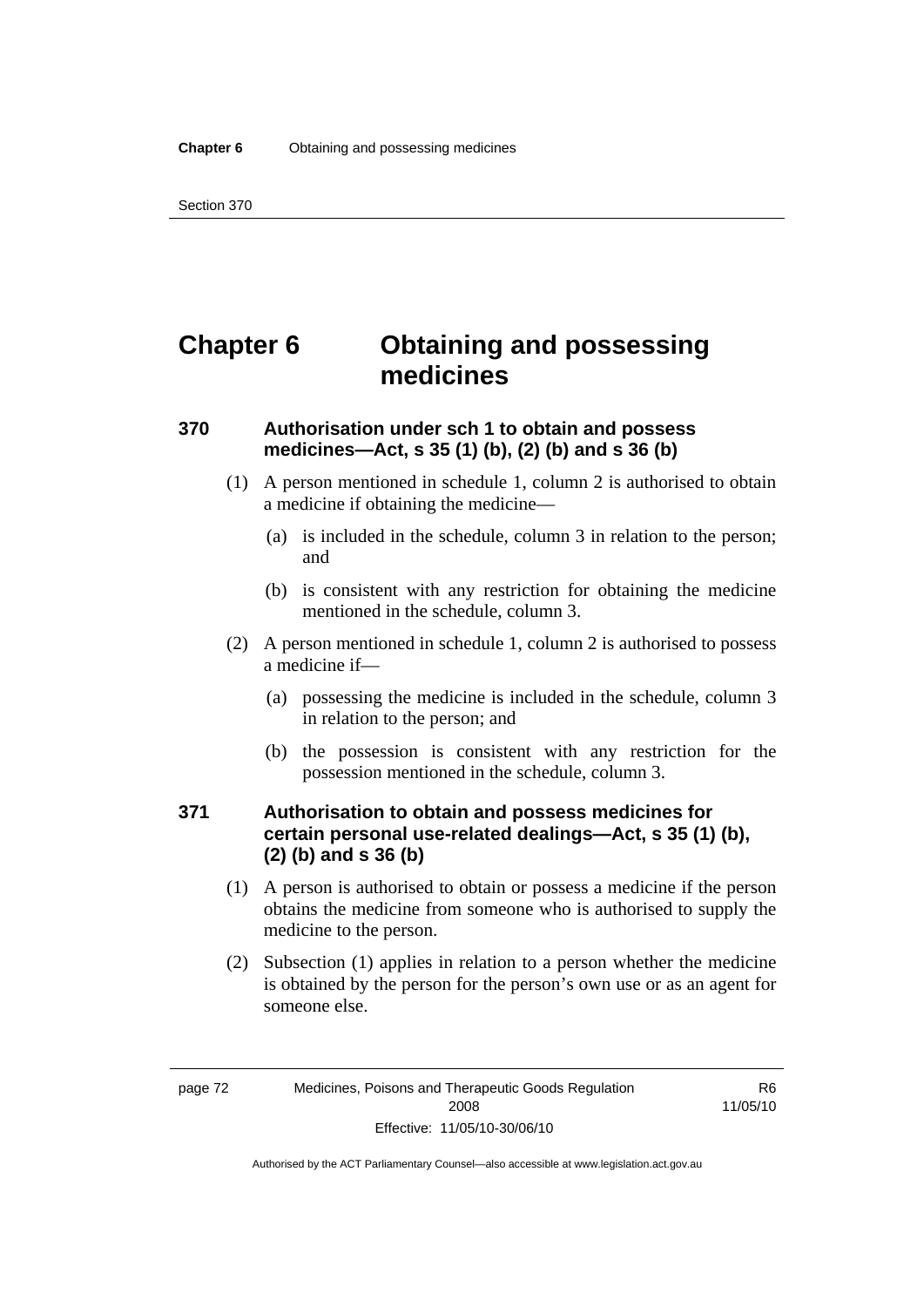## **Chapter 6 Obtaining and possessing medicines**

## **370 Authorisation under sch 1 to obtain and possess medicines—Act, s 35 (1) (b), (2) (b) and s 36 (b)**

- (1) A person mentioned in schedule 1, column 2 is authorised to obtain a medicine if obtaining the medicine—
	- (a) is included in the schedule, column 3 in relation to the person; and
	- (b) is consistent with any restriction for obtaining the medicine mentioned in the schedule, column 3.
- (2) A person mentioned in schedule 1, column 2 is authorised to possess a medicine if—
	- (a) possessing the medicine is included in the schedule, column 3 in relation to the person; and
	- (b) the possession is consistent with any restriction for the possession mentioned in the schedule, column 3.

## **371 Authorisation to obtain and possess medicines for certain personal use-related dealings—Act, s 35 (1) (b), (2) (b) and s 36 (b)**

- (1) A person is authorised to obtain or possess a medicine if the person obtains the medicine from someone who is authorised to supply the medicine to the person.
- (2) Subsection (1) applies in relation to a person whether the medicine is obtained by the person for the person's own use or as an agent for someone else.

R6 11/05/10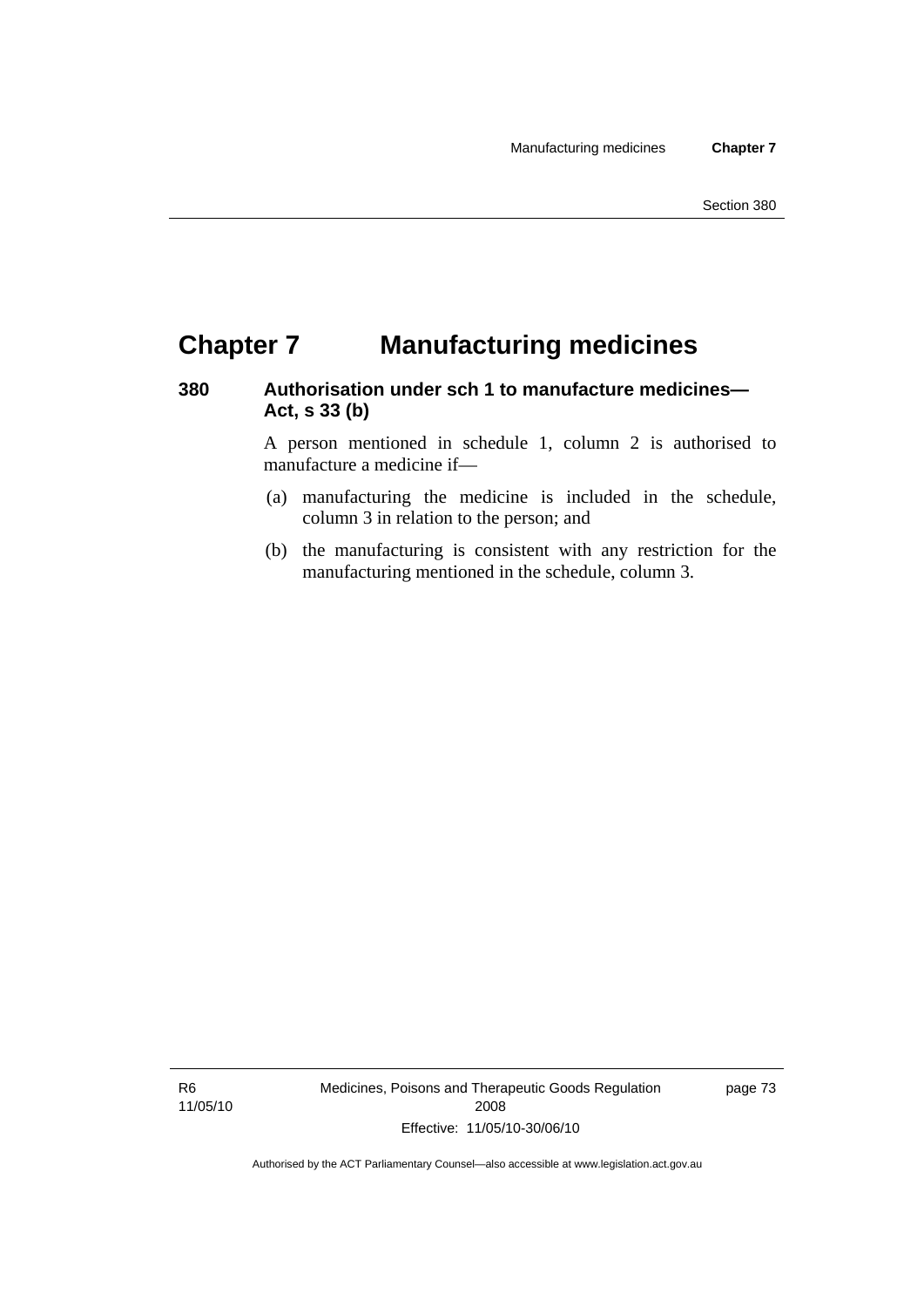## **Chapter 7 Manufacturing medicines**

## **380 Authorisation under sch 1 to manufacture medicines— Act, s 33 (b)**

A person mentioned in schedule 1, column 2 is authorised to manufacture a medicine if—

- (a) manufacturing the medicine is included in the schedule, column 3 in relation to the person; and
- (b) the manufacturing is consistent with any restriction for the manufacturing mentioned in the schedule, column 3.

R6 11/05/10 Medicines, Poisons and Therapeutic Goods Regulation 2008 Effective: 11/05/10-30/06/10

page 73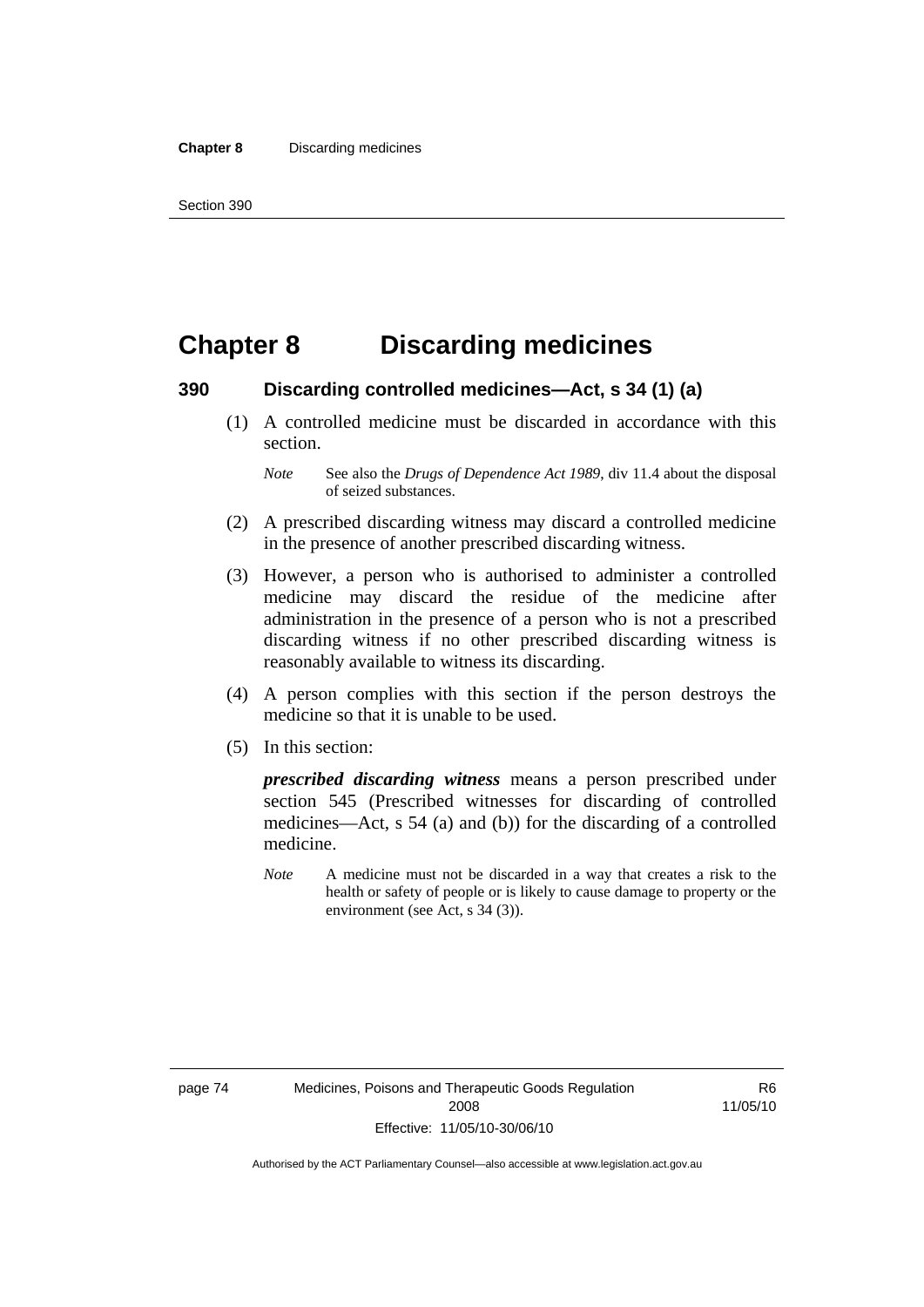## **Chapter 8 Discarding medicines**

#### **390 Discarding controlled medicines—Act, s 34 (1) (a)**

 (1) A controlled medicine must be discarded in accordance with this section.

- (2) A prescribed discarding witness may discard a controlled medicine in the presence of another prescribed discarding witness.
- (3) However, a person who is authorised to administer a controlled medicine may discard the residue of the medicine after administration in the presence of a person who is not a prescribed discarding witness if no other prescribed discarding witness is reasonably available to witness its discarding.
- (4) A person complies with this section if the person destroys the medicine so that it is unable to be used.
- (5) In this section:

*prescribed discarding witness* means a person prescribed under section 545 (Prescribed witnesses for discarding of controlled medicines—Act, s 54 (a) and (b)) for the discarding of a controlled medicine.

*Note* A medicine must not be discarded in a way that creates a risk to the health or safety of people or is likely to cause damage to property or the environment (see Act, s 34 (3)).

*Note* See also the *Drugs of Dependence Act 1989*, div 11.4 about the disposal of seized substances.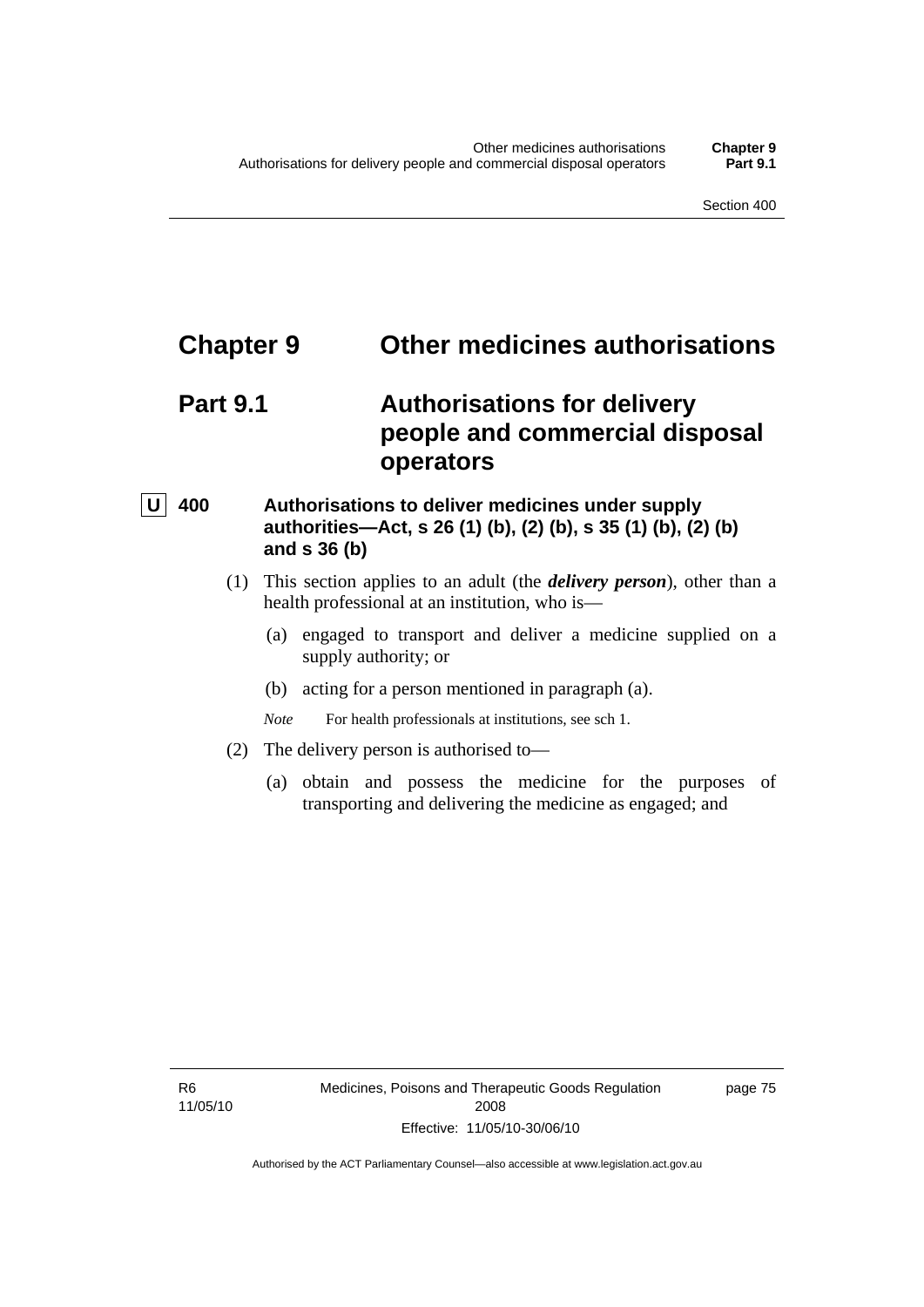## **Chapter 9 Other medicines authorisations**

## **Part 9.1 Authorisations for delivery people and commercial disposal operators**

## **U** 400 Authorisations to deliver medicines under supply **authorities—Act, s 26 (1) (b), (2) (b), s 35 (1) (b), (2) (b) and s 36 (b)**

- (1) This section applies to an adult (the *delivery person*), other than a health professional at an institution, who is—
	- (a) engaged to transport and deliver a medicine supplied on a supply authority; or
	- (b) acting for a person mentioned in paragraph (a).

*Note* For health professionals at institutions, see sch 1.

- (2) The delivery person is authorised to—
	- (a) obtain and possess the medicine for the purposes of transporting and delivering the medicine as engaged; and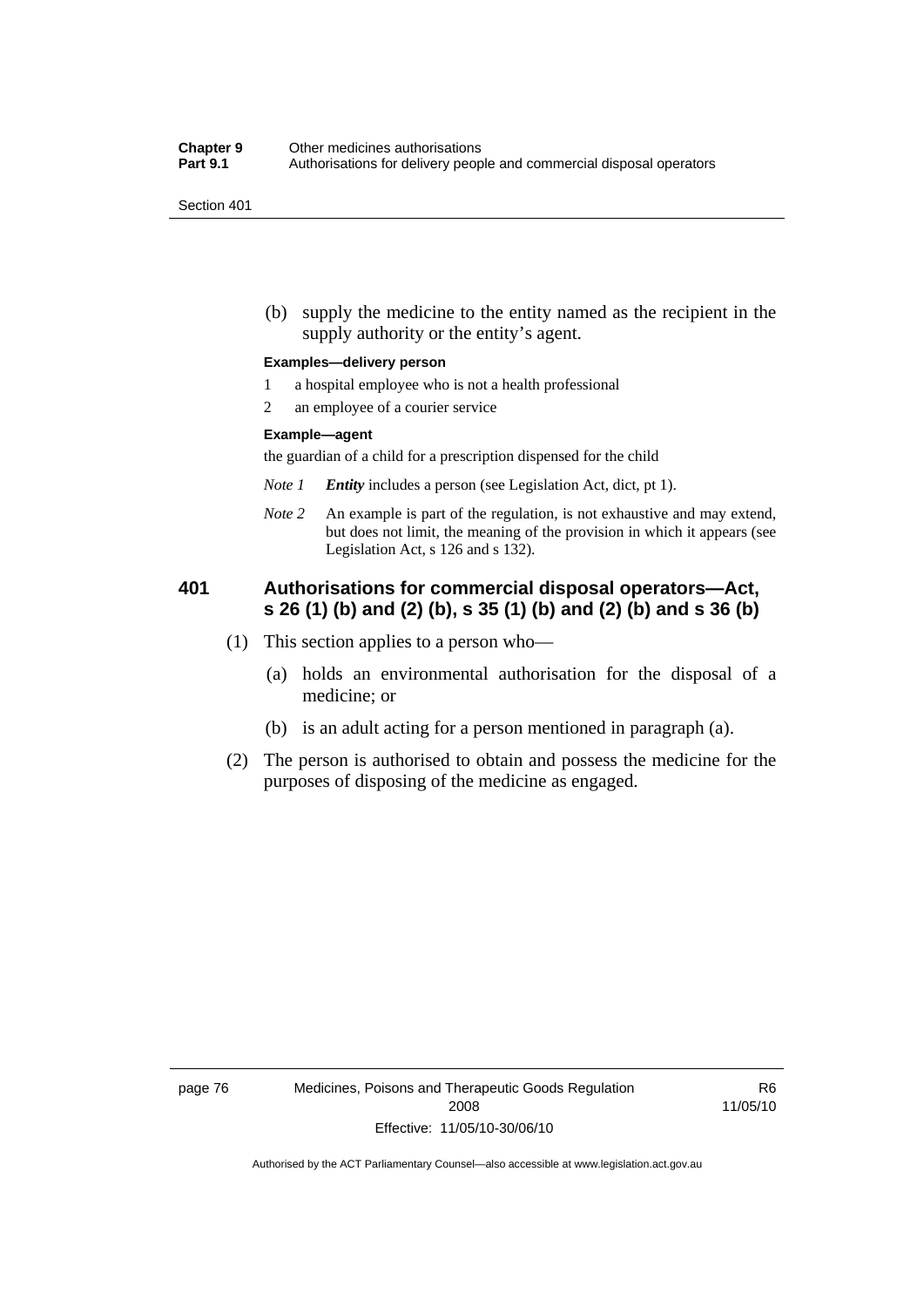(b) supply the medicine to the entity named as the recipient in the supply authority or the entity's agent.

#### **Examples—delivery person**

- 1 a hospital employee who is not a health professional
- 2 an employee of a courier service

#### **Example—agent**

the guardian of a child for a prescription dispensed for the child

- *Note 1 Entity* includes a person (see Legislation Act, dict, pt 1).
- *Note 2* An example is part of the regulation, is not exhaustive and may extend, but does not limit, the meaning of the provision in which it appears (see Legislation Act, s 126 and s 132).

## **401 Authorisations for commercial disposal operators—Act, s 26 (1) (b) and (2) (b), s 35 (1) (b) and (2) (b) and s 36 (b)**

- (1) This section applies to a person who—
	- (a) holds an environmental authorisation for the disposal of a medicine; or
	- (b) is an adult acting for a person mentioned in paragraph (a).
- (2) The person is authorised to obtain and possess the medicine for the purposes of disposing of the medicine as engaged.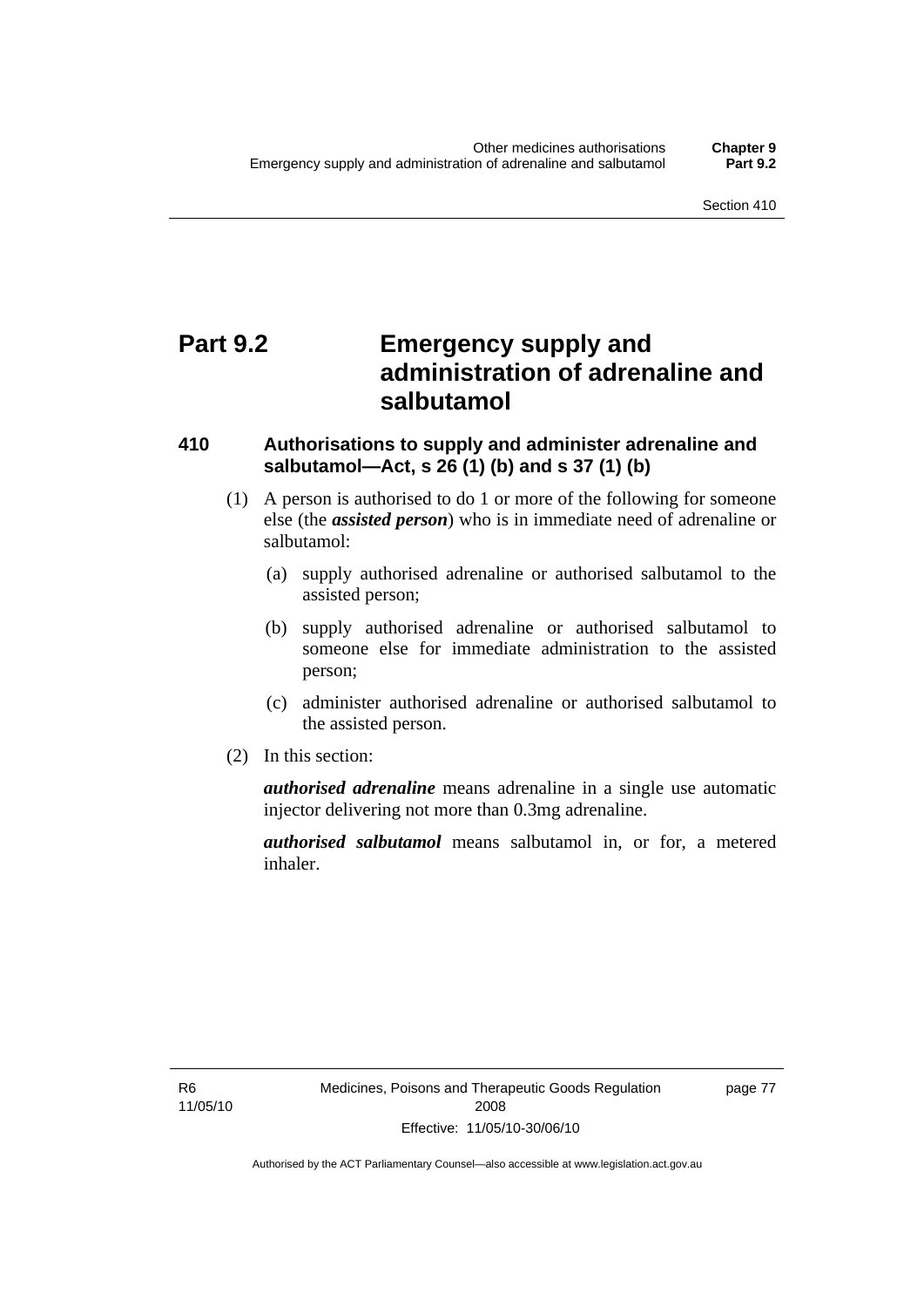## **Part 9.2 Emergency supply and administration of adrenaline and salbutamol**

## **410 Authorisations to supply and administer adrenaline and salbutamol—Act, s 26 (1) (b) and s 37 (1) (b)**

- (1) A person is authorised to do 1 or more of the following for someone else (the *assisted person*) who is in immediate need of adrenaline or salbutamol:
	- (a) supply authorised adrenaline or authorised salbutamol to the assisted person;
	- (b) supply authorised adrenaline or authorised salbutamol to someone else for immediate administration to the assisted person;
	- (c) administer authorised adrenaline or authorised salbutamol to the assisted person.
- (2) In this section:

*authorised adrenaline* means adrenaline in a single use automatic injector delivering not more than 0.3mg adrenaline.

*authorised salbutamol* means salbutamol in, or for, a metered inhaler.

R6 11/05/10 page 77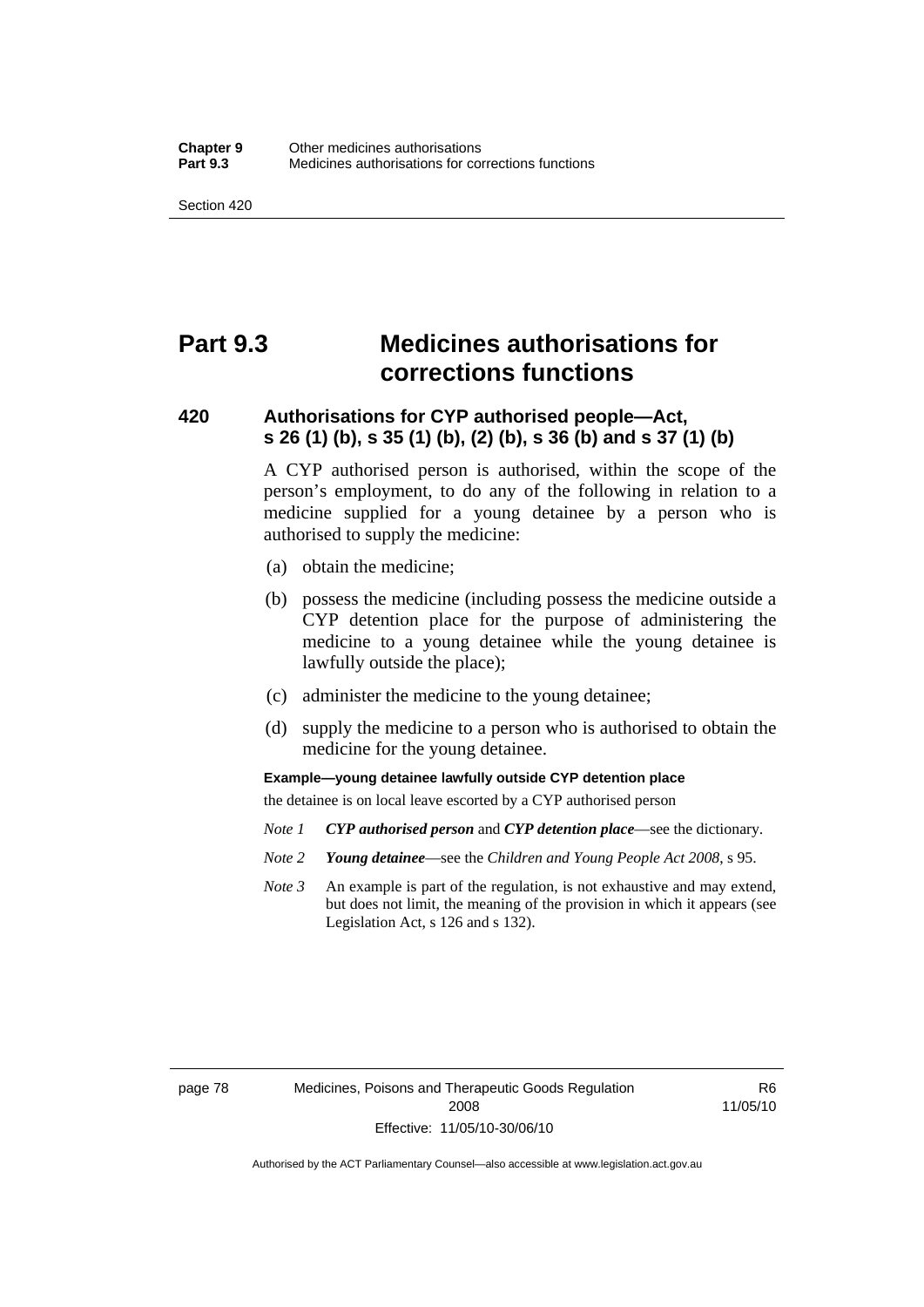## **Part 9.3 Medicines authorisations for corrections functions**

## **420 Authorisations for CYP authorised people—Act, s 26 (1) (b), s 35 (1) (b), (2) (b), s 36 (b) and s 37 (1) (b)**

A CYP authorised person is authorised, within the scope of the person's employment, to do any of the following in relation to a medicine supplied for a young detainee by a person who is authorised to supply the medicine:

- (a) obtain the medicine;
- (b) possess the medicine (including possess the medicine outside a CYP detention place for the purpose of administering the medicine to a young detainee while the young detainee is lawfully outside the place);
- (c) administer the medicine to the young detainee;
- (d) supply the medicine to a person who is authorised to obtain the medicine for the young detainee.

**Example—young detainee lawfully outside CYP detention place** 

the detainee is on local leave escorted by a CYP authorised person

- *Note 1 CYP authorised person* and *CYP detention place*—see the dictionary.
- *Note 2 Young detainee*—see the *Children and Young People Act 2008*, s 95.
- *Note 3* An example is part of the regulation, is not exhaustive and may extend, but does not limit, the meaning of the provision in which it appears (see Legislation Act, s 126 and s 132).

page 78 Medicines, Poisons and Therapeutic Goods Regulation 2008 Effective: 11/05/10-30/06/10

R6 11/05/10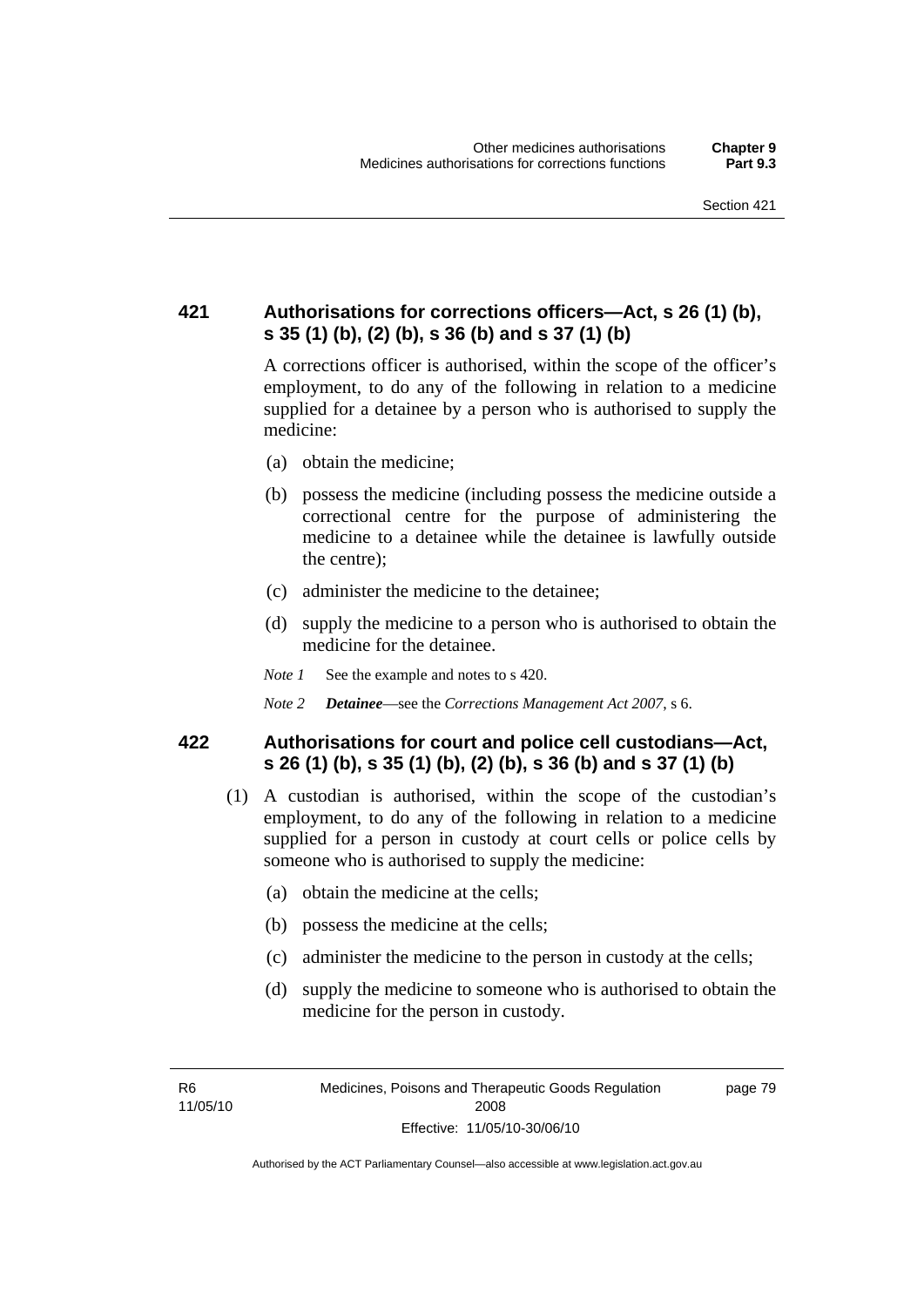## **421 Authorisations for corrections officers—Act, s 26 (1) (b), s 35 (1) (b), (2) (b), s 36 (b) and s 37 (1) (b)**

A corrections officer is authorised, within the scope of the officer's employment, to do any of the following in relation to a medicine supplied for a detainee by a person who is authorised to supply the medicine:

- (a) obtain the medicine;
- (b) possess the medicine (including possess the medicine outside a correctional centre for the purpose of administering the medicine to a detainee while the detainee is lawfully outside the centre);
- (c) administer the medicine to the detainee;
- (d) supply the medicine to a person who is authorised to obtain the medicine for the detainee.
- *Note 1* See the example and notes to s 420.
- *Note 2 Detainee*—see the *Corrections Management Act 2007*, s 6.

### **422 Authorisations for court and police cell custodians—Act, s 26 (1) (b), s 35 (1) (b), (2) (b), s 36 (b) and s 37 (1) (b)**

- (1) A custodian is authorised, within the scope of the custodian's employment, to do any of the following in relation to a medicine supplied for a person in custody at court cells or police cells by someone who is authorised to supply the medicine:
	- (a) obtain the medicine at the cells;
	- (b) possess the medicine at the cells;
	- (c) administer the medicine to the person in custody at the cells;
	- (d) supply the medicine to someone who is authorised to obtain the medicine for the person in custody.

R6 11/05/10 page 79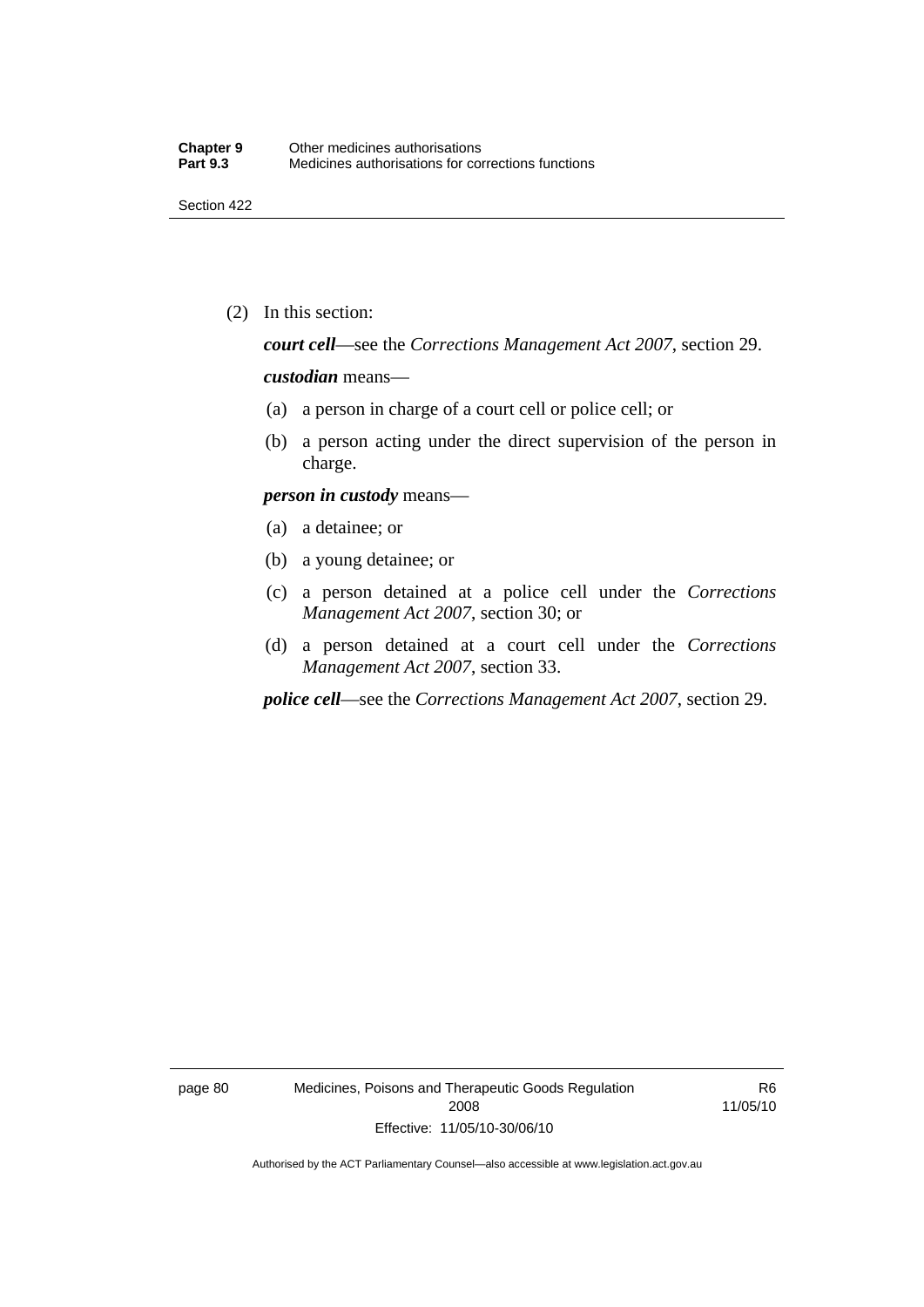(2) In this section:

*court cell*—see the *Corrections Management Act 2007*, section 29.

#### *custodian* means—

- (a) a person in charge of a court cell or police cell; or
- (b) a person acting under the direct supervision of the person in charge.

#### *person in custody* means—

- (a) a detainee; or
- (b) a young detainee; or
- (c) a person detained at a police cell under the *Corrections Management Act 2007*, section 30; or
- (d) a person detained at a court cell under the *Corrections Management Act 2007*, section 33.

*police cell*—see the *Corrections Management Act 2007*, section 29.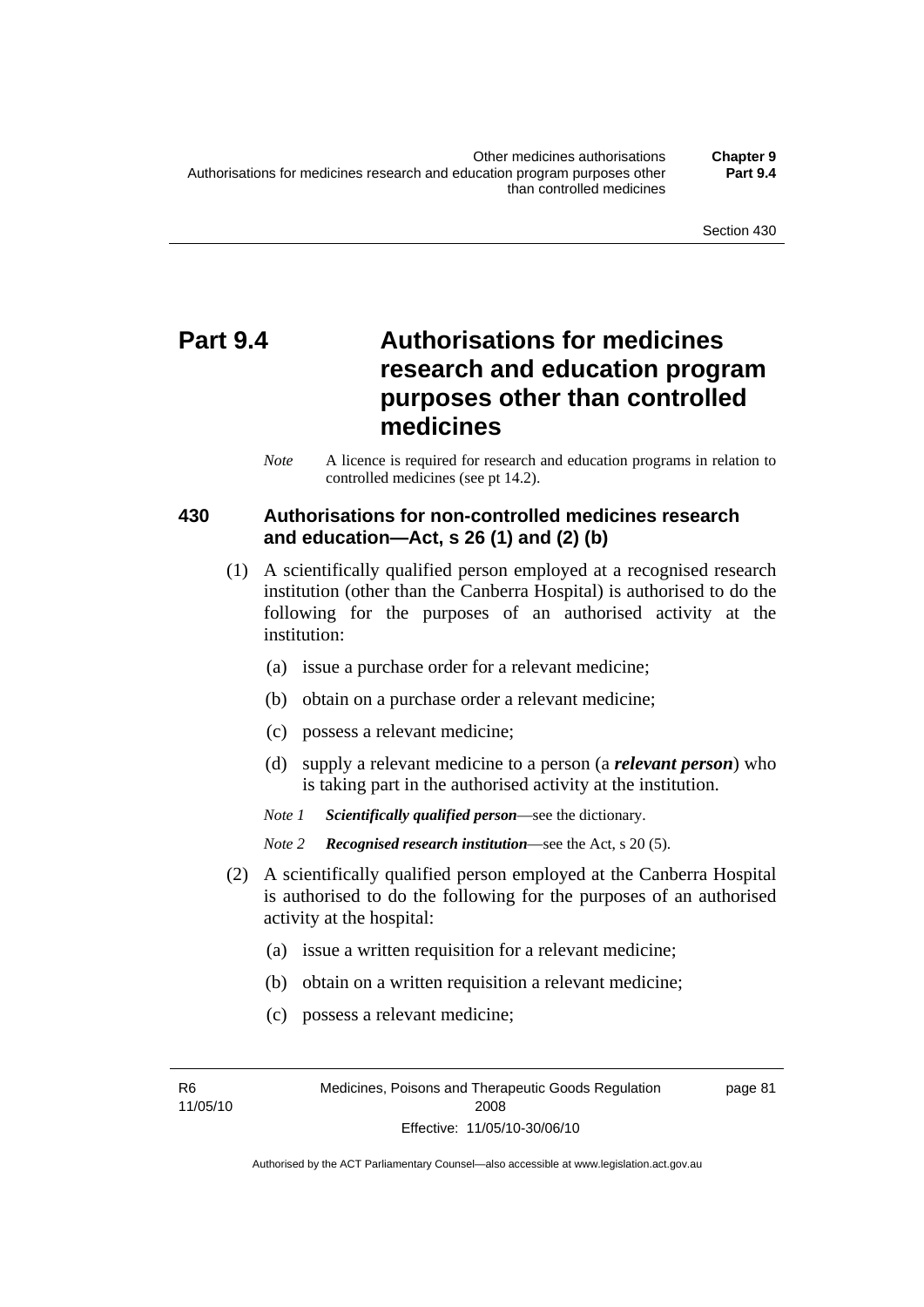## **Part 9.4 Authorisations for medicines research and education program purposes other than controlled medicines**

*Note* A licence is required for research and education programs in relation to controlled medicines (see pt 14.2).

## **430 Authorisations for non-controlled medicines research and education—Act, s 26 (1) and (2) (b)**

- (1) A scientifically qualified person employed at a recognised research institution (other than the Canberra Hospital) is authorised to do the following for the purposes of an authorised activity at the institution:
	- (a) issue a purchase order for a relevant medicine;
	- (b) obtain on a purchase order a relevant medicine;
	- (c) possess a relevant medicine;
	- (d) supply a relevant medicine to a person (a *relevant person*) who is taking part in the authorised activity at the institution.
	- *Note 1 Scientifically qualified person*—see the dictionary.

- (2) A scientifically qualified person employed at the Canberra Hospital is authorised to do the following for the purposes of an authorised activity at the hospital:
	- (a) issue a written requisition for a relevant medicine;
	- (b) obtain on a written requisition a relevant medicine;
	- (c) possess a relevant medicine;

R6 11/05/10 page 81

*Note 2 Recognised research institution*—see the Act, s 20 (5).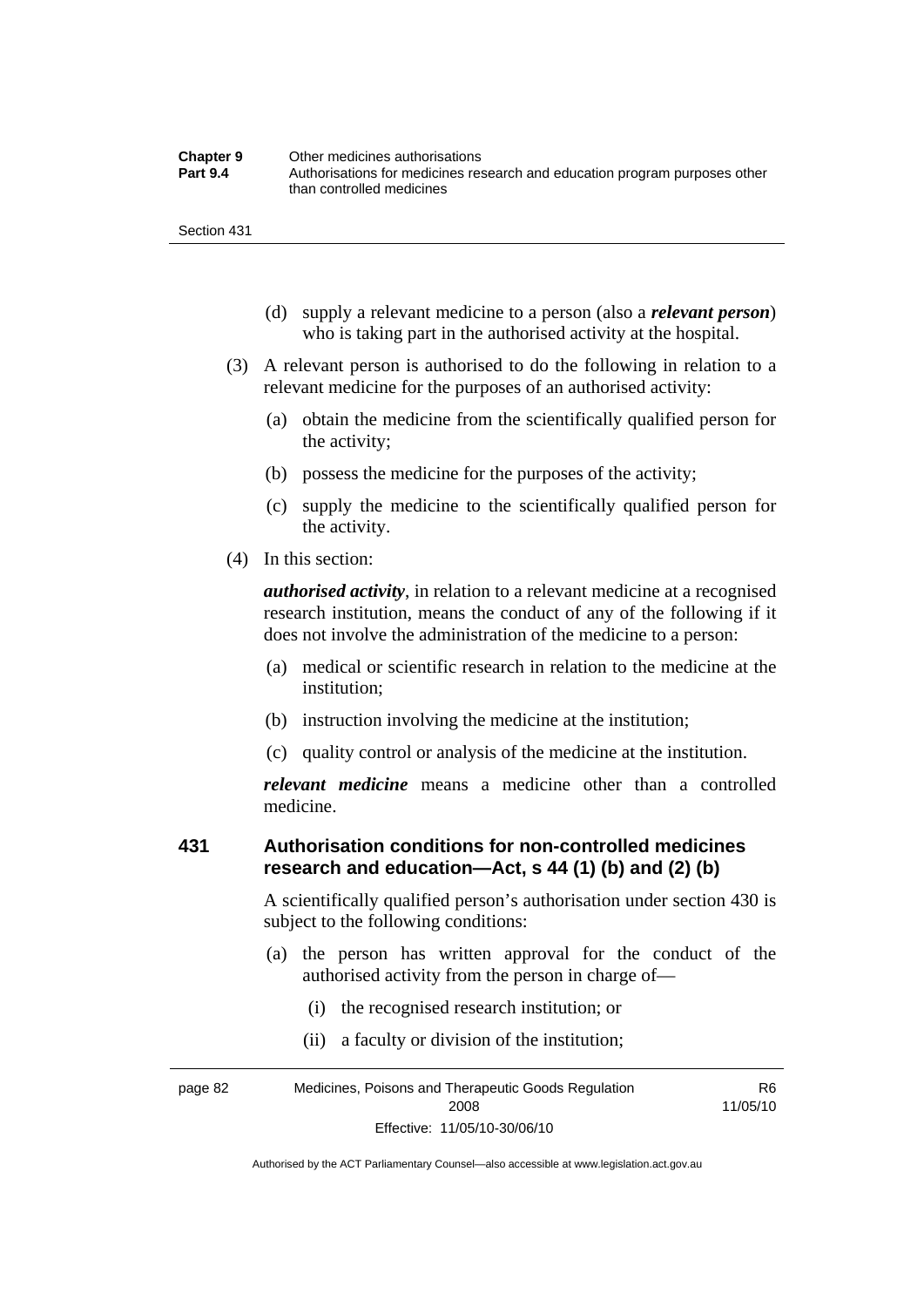| <b>Chapter 9</b> | Other medicines authorisations                                             |
|------------------|----------------------------------------------------------------------------|
| <b>Part 9.4</b>  | Authorisations for medicines research and education program purposes other |
|                  | than controlled medicines                                                  |

- (d) supply a relevant medicine to a person (also a *relevant person*) who is taking part in the authorised activity at the hospital.
- (3) A relevant person is authorised to do the following in relation to a relevant medicine for the purposes of an authorised activity:
	- (a) obtain the medicine from the scientifically qualified person for the activity;
	- (b) possess the medicine for the purposes of the activity;
	- (c) supply the medicine to the scientifically qualified person for the activity.
- (4) In this section:

*authorised activity*, in relation to a relevant medicine at a recognised research institution, means the conduct of any of the following if it does not involve the administration of the medicine to a person:

- (a) medical or scientific research in relation to the medicine at the institution;
- (b) instruction involving the medicine at the institution;
- (c) quality control or analysis of the medicine at the institution.

*relevant medicine* means a medicine other than a controlled medicine.

### **431 Authorisation conditions for non-controlled medicines research and education—Act, s 44 (1) (b) and (2) (b)**

A scientifically qualified person's authorisation under section 430 is subject to the following conditions:

- (a) the person has written approval for the conduct of the authorised activity from the person in charge of—
	- (i) the recognised research institution; or
	- (ii) a faculty or division of the institution;

page 82 Medicines, Poisons and Therapeutic Goods Regulation 2008 Effective: 11/05/10-30/06/10 R6 11/05/10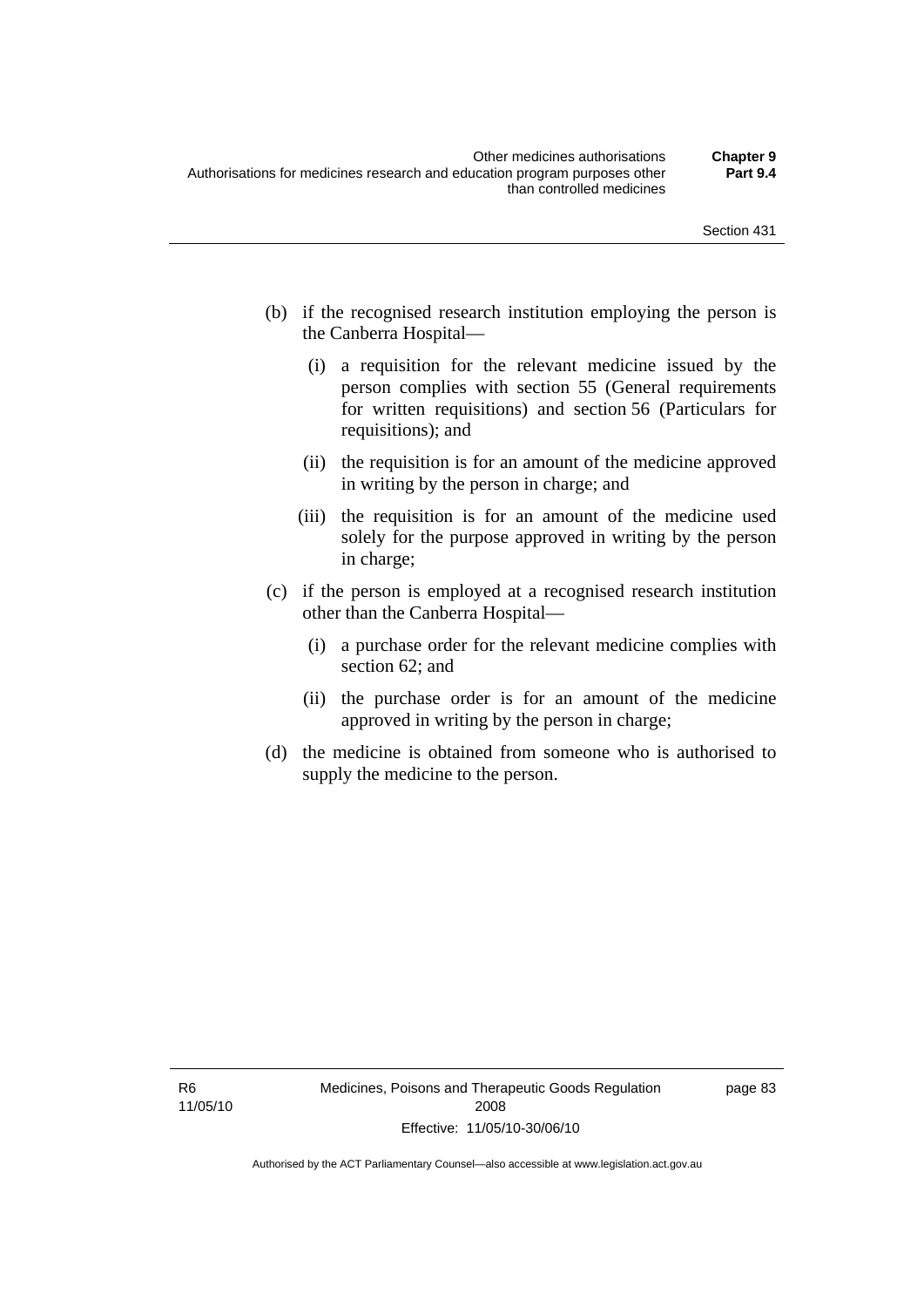- (b) if the recognised research institution employing the person is the Canberra Hospital—
	- (i) a requisition for the relevant medicine issued by the person complies with section 55 (General requirements for written requisitions) and section 56 (Particulars for requisitions); and
	- (ii) the requisition is for an amount of the medicine approved in writing by the person in charge; and
	- (iii) the requisition is for an amount of the medicine used solely for the purpose approved in writing by the person in charge;
- (c) if the person is employed at a recognised research institution other than the Canberra Hospital—
	- (i) a purchase order for the relevant medicine complies with section 62; and
	- (ii) the purchase order is for an amount of the medicine approved in writing by the person in charge;
- (d) the medicine is obtained from someone who is authorised to supply the medicine to the person.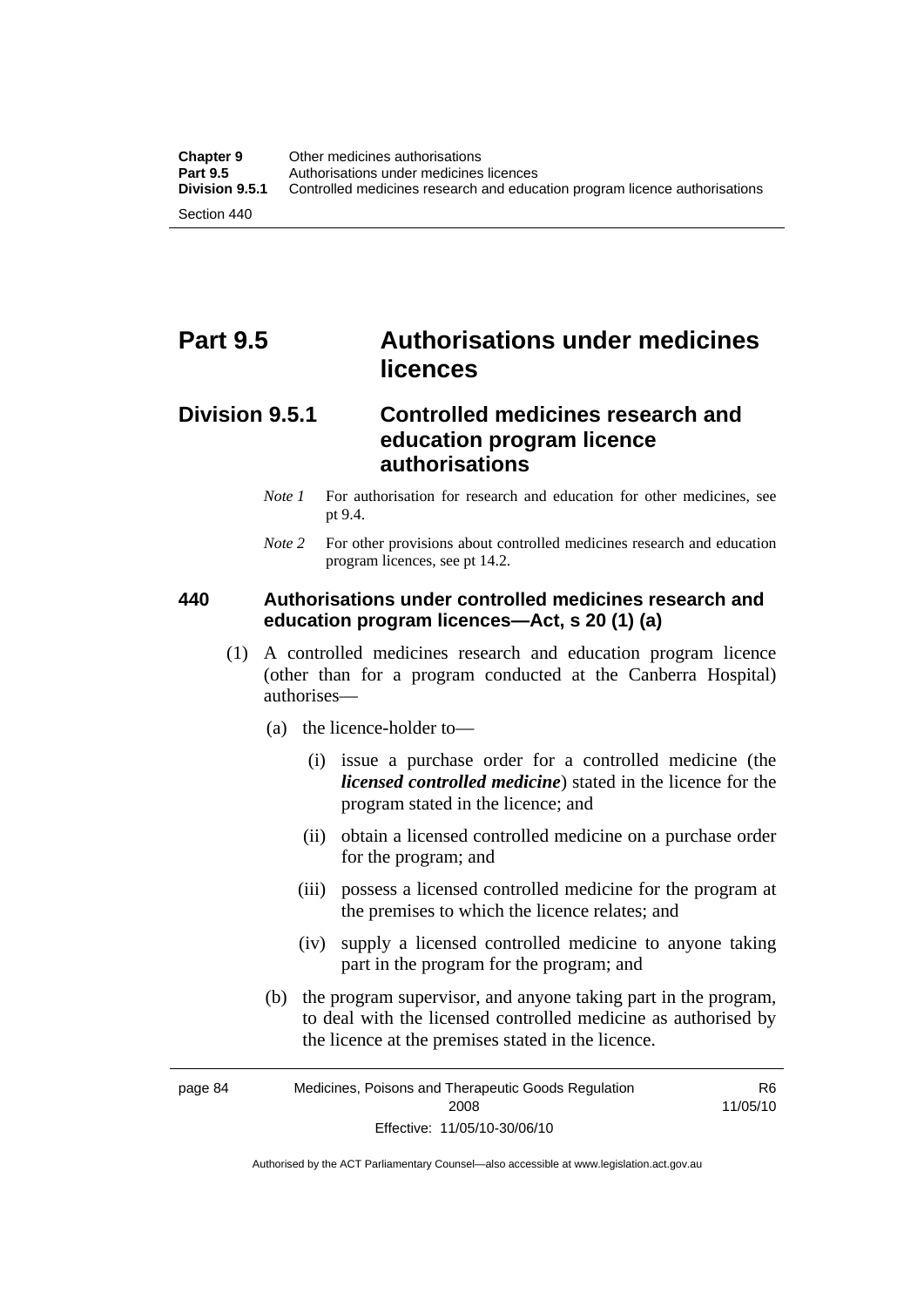## **Part 9.5 Authorisations under medicines licences**

## **Division 9.5.1 Controlled medicines research and education program licence authorisations**

- *Note 1* For authorisation for research and education for other medicines, see pt 9.4.
- *Note* 2 For other provisions about controlled medicines research and education program licences, see pt 14.2.

## **440 Authorisations under controlled medicines research and education program licences—Act, s 20 (1) (a)**

- (1) A controlled medicines research and education program licence (other than for a program conducted at the Canberra Hospital) authorises—
	- (a) the licence-holder to—
		- (i) issue a purchase order for a controlled medicine (the *licensed controlled medicine*) stated in the licence for the program stated in the licence; and
		- (ii) obtain a licensed controlled medicine on a purchase order for the program; and
		- (iii) possess a licensed controlled medicine for the program at the premises to which the licence relates; and
		- (iv) supply a licensed controlled medicine to anyone taking part in the program for the program; and
	- (b) the program supervisor, and anyone taking part in the program, to deal with the licensed controlled medicine as authorised by the licence at the premises stated in the licence.

page 84 Medicines, Poisons and Therapeutic Goods Regulation 2008 Effective: 11/05/10-30/06/10 R6 11/05/10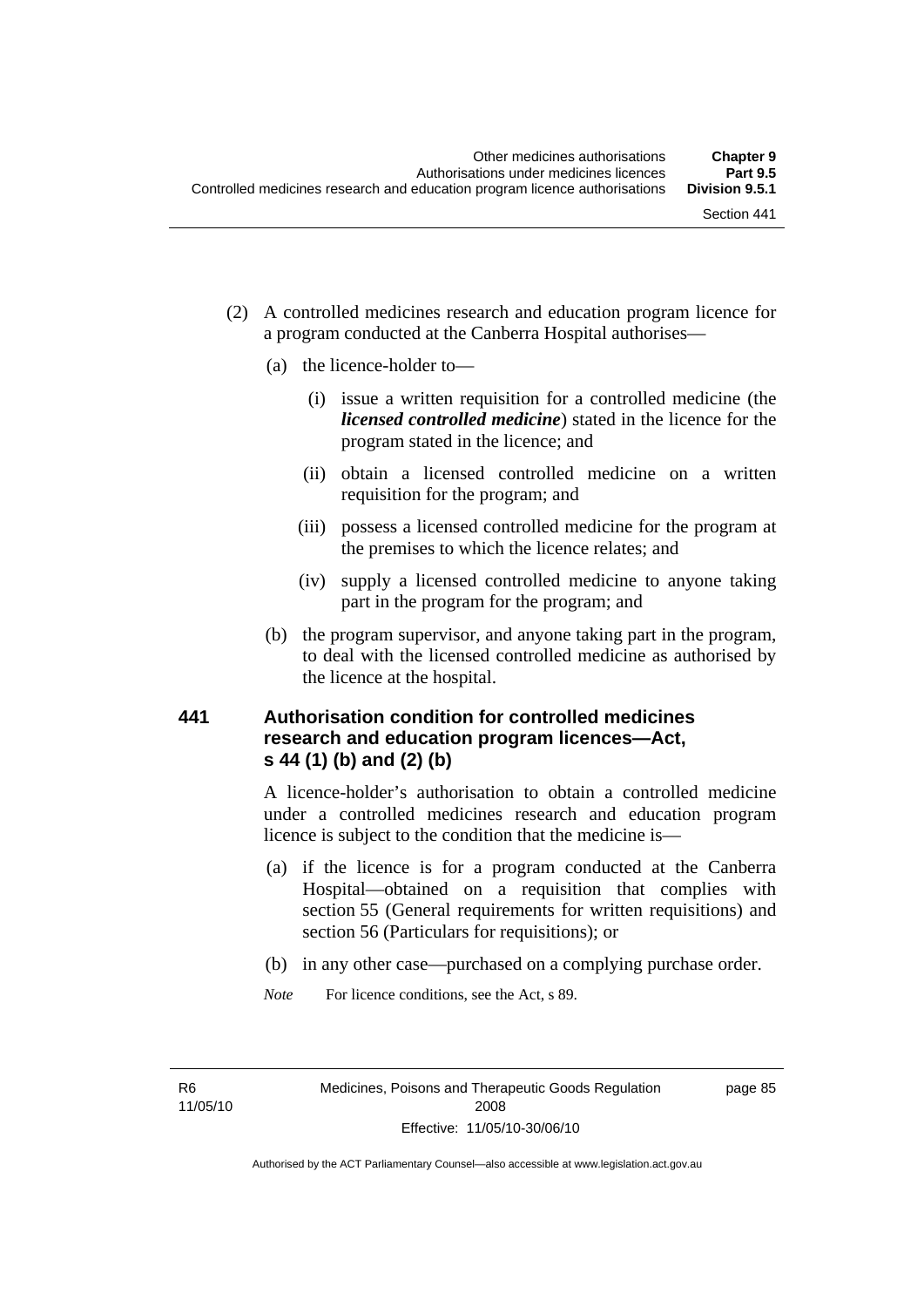- (2) A controlled medicines research and education program licence for a program conducted at the Canberra Hospital authorises—
	- (a) the licence-holder to—
		- (i) issue a written requisition for a controlled medicine (the *licensed controlled medicine*) stated in the licence for the program stated in the licence; and
		- (ii) obtain a licensed controlled medicine on a written requisition for the program; and
		- (iii) possess a licensed controlled medicine for the program at the premises to which the licence relates; and
		- (iv) supply a licensed controlled medicine to anyone taking part in the program for the program; and
	- (b) the program supervisor, and anyone taking part in the program, to deal with the licensed controlled medicine as authorised by the licence at the hospital.

### **441 Authorisation condition for controlled medicines research and education program licences—Act, s 44 (1) (b) and (2) (b)**

A licence-holder's authorisation to obtain a controlled medicine under a controlled medicines research and education program licence is subject to the condition that the medicine is—

- (a) if the licence is for a program conducted at the Canberra Hospital—obtained on a requisition that complies with section 55 (General requirements for written requisitions) and section 56 (Particulars for requisitions); or
- (b) in any other case—purchased on a complying purchase order.
- *Note* For licence conditions, see the Act, s 89.

R6 11/05/10 page 85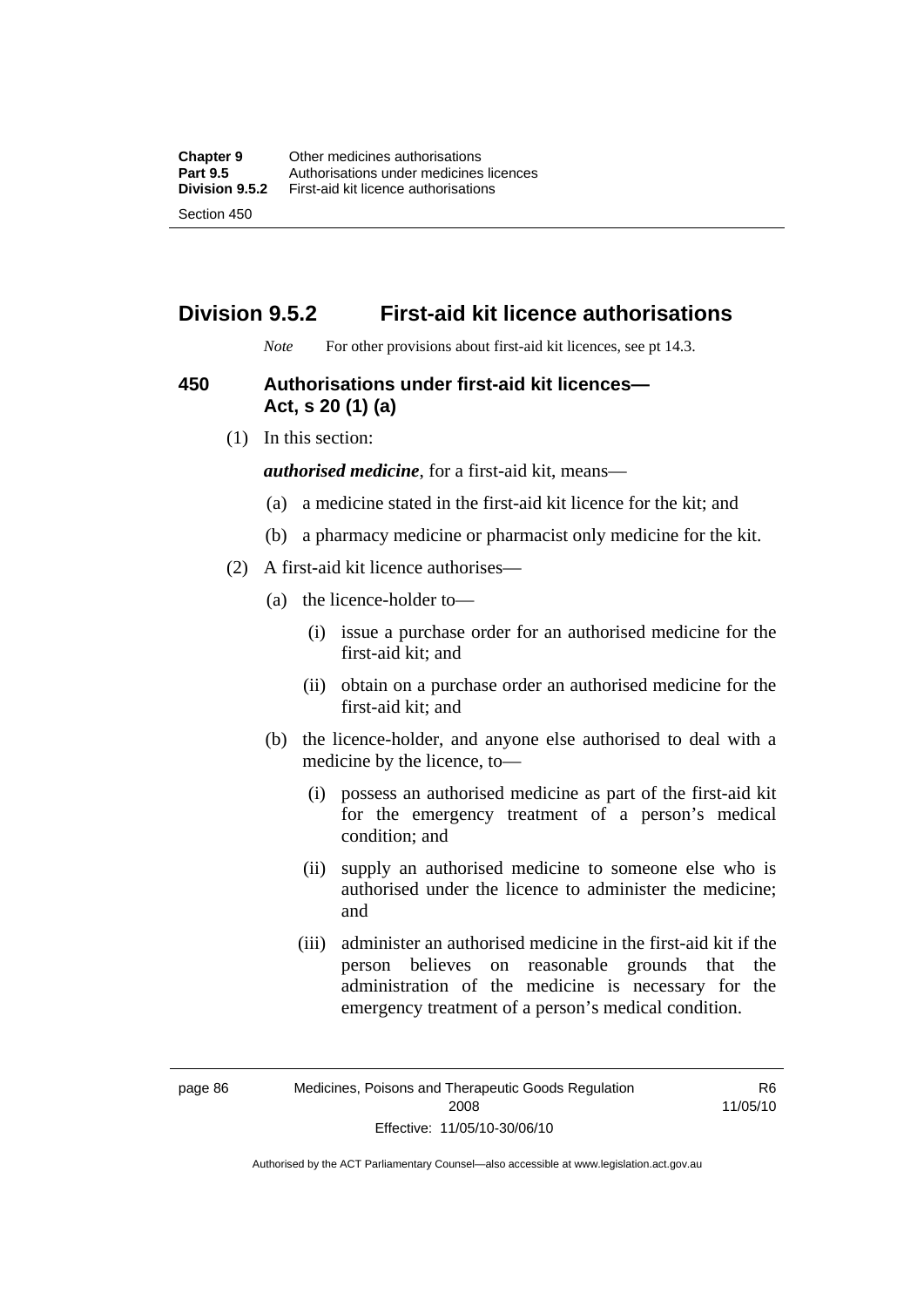# **Division 9.5.2 First-aid kit licence authorisations**

*Note* For other provisions about first-aid kit licences, see pt 14.3.

#### **450 Authorisations under first-aid kit licences— Act, s 20 (1) (a)**

(1) In this section:

*authorised medicine*, for a first-aid kit, means—

- (a) a medicine stated in the first-aid kit licence for the kit; and
- (b) a pharmacy medicine or pharmacist only medicine for the kit.
- (2) A first-aid kit licence authorises—
	- (a) the licence-holder to—
		- (i) issue a purchase order for an authorised medicine for the first-aid kit; and
		- (ii) obtain on a purchase order an authorised medicine for the first-aid kit; and
	- (b) the licence-holder, and anyone else authorised to deal with a medicine by the licence, to—
		- (i) possess an authorised medicine as part of the first-aid kit for the emergency treatment of a person's medical condition; and
		- (ii) supply an authorised medicine to someone else who is authorised under the licence to administer the medicine; and
		- (iii) administer an authorised medicine in the first-aid kit if the person believes on reasonable grounds that the administration of the medicine is necessary for the emergency treatment of a person's medical condition.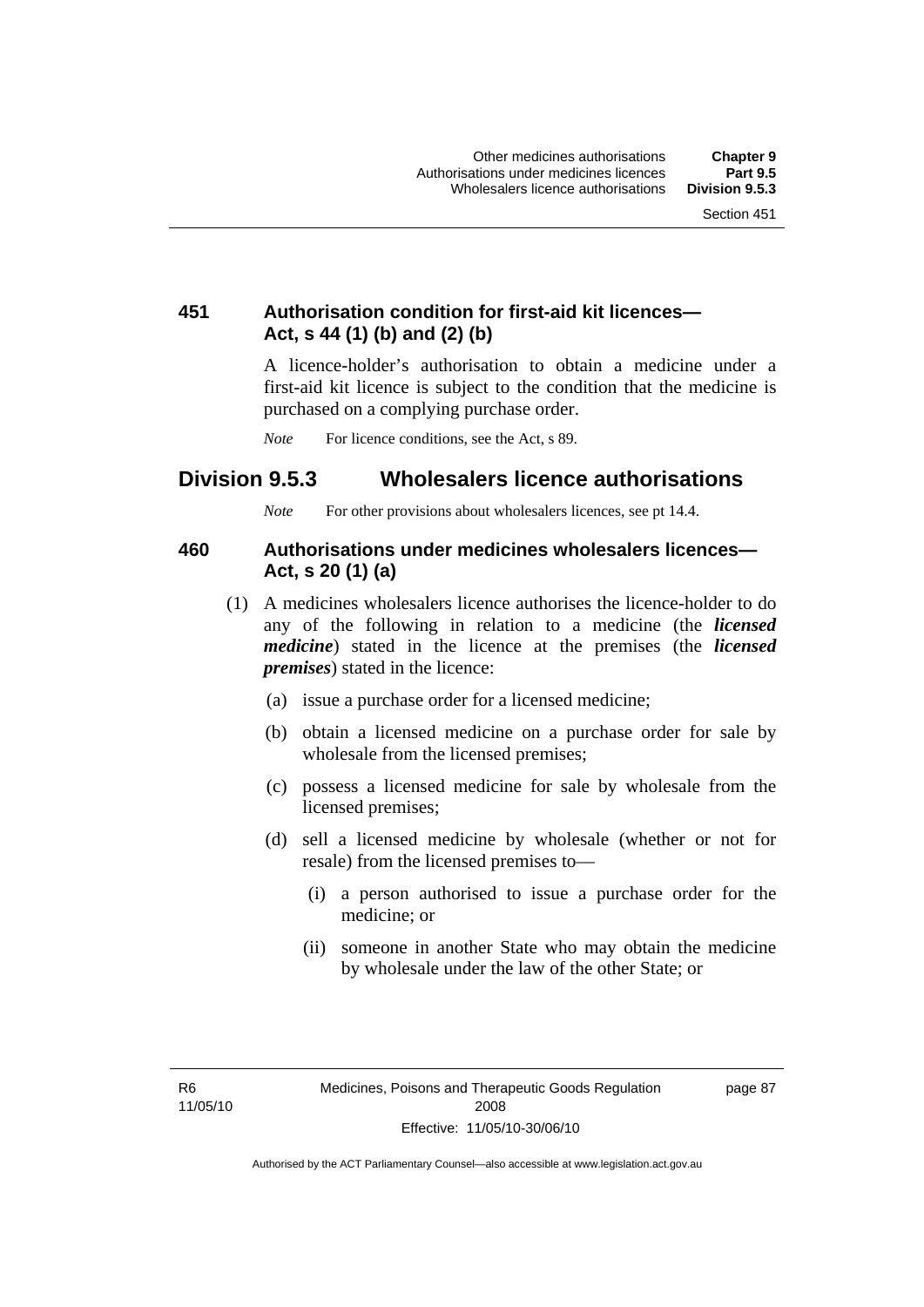### **451 Authorisation condition for first-aid kit licences— Act, s 44 (1) (b) and (2) (b)**

A licence-holder's authorisation to obtain a medicine under a first-aid kit licence is subject to the condition that the medicine is purchased on a complying purchase order.

*Note* For licence conditions, see the Act, s 89.

### **Division 9.5.3 Wholesalers licence authorisations**

*Note* For other provisions about wholesalers licences, see pt 14.4.

#### **460 Authorisations under medicines wholesalers licences— Act, s 20 (1) (a)**

- (1) A medicines wholesalers licence authorises the licence-holder to do any of the following in relation to a medicine (the *licensed medicine*) stated in the licence at the premises (the *licensed premises*) stated in the licence:
	- (a) issue a purchase order for a licensed medicine;
	- (b) obtain a licensed medicine on a purchase order for sale by wholesale from the licensed premises;
	- (c) possess a licensed medicine for sale by wholesale from the licensed premises;
	- (d) sell a licensed medicine by wholesale (whether or not for resale) from the licensed premises to—
		- (i) a person authorised to issue a purchase order for the medicine; or
		- (ii) someone in another State who may obtain the medicine by wholesale under the law of the other State; or

R6 11/05/10 page 87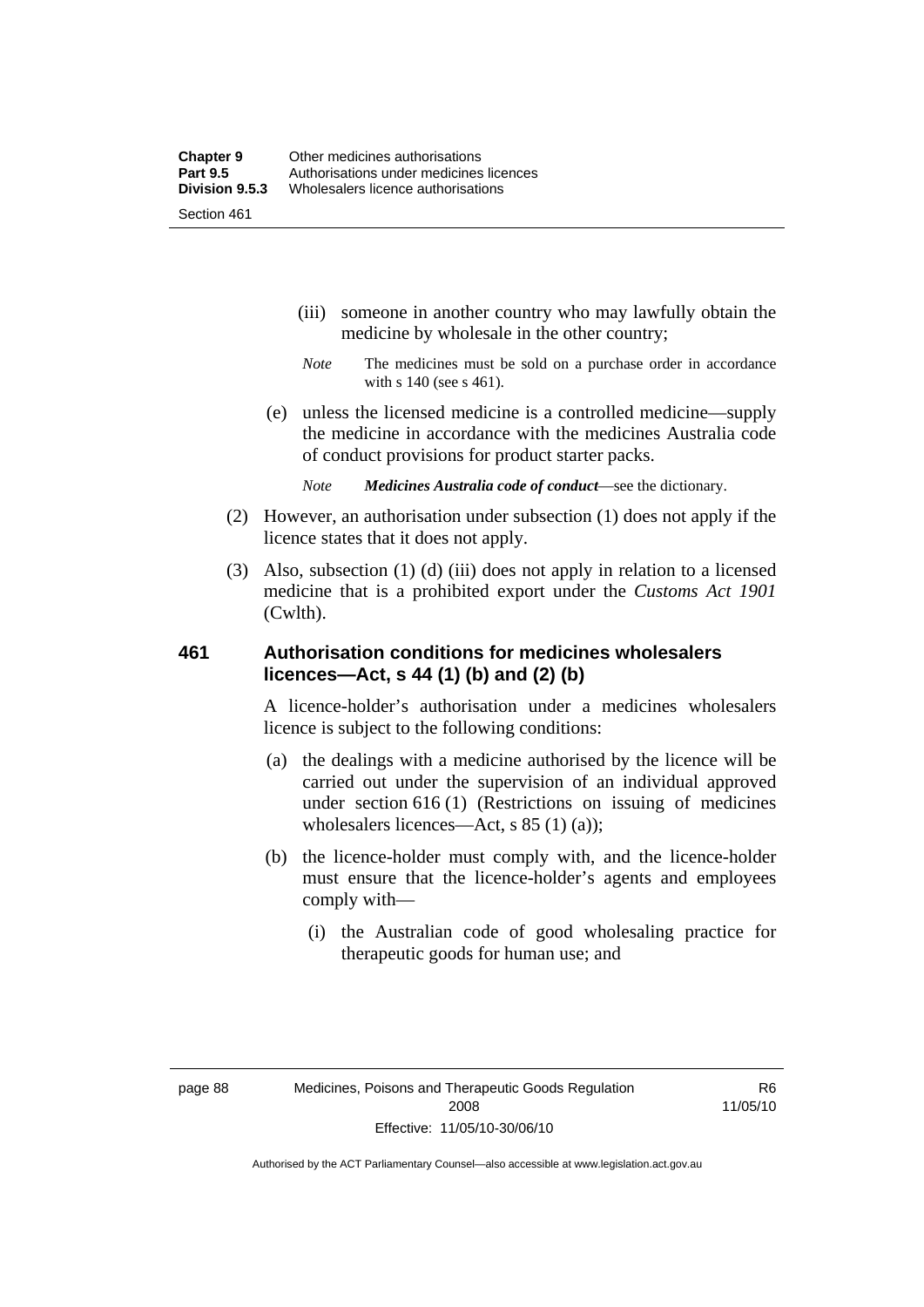- (iii) someone in another country who may lawfully obtain the medicine by wholesale in the other country;
- *Note* The medicines must be sold on a purchase order in accordance with s 140 (see s 461).
- (e) unless the licensed medicine is a controlled medicine—supply the medicine in accordance with the medicines Australia code of conduct provisions for product starter packs.
	- *Note Medicines Australia code of conduct*—see the dictionary.
- (2) However, an authorisation under subsection (1) does not apply if the licence states that it does not apply.
- (3) Also, subsection (1) (d) (iii) does not apply in relation to a licensed medicine that is a prohibited export under the *Customs Act 1901* (Cwlth).

#### **461 Authorisation conditions for medicines wholesalers licences—Act, s 44 (1) (b) and (2) (b)**

A licence-holder's authorisation under a medicines wholesalers licence is subject to the following conditions:

- (a) the dealings with a medicine authorised by the licence will be carried out under the supervision of an individual approved under section 616 (1) (Restrictions on issuing of medicines wholesalers licences—Act, s 85 (1) (a));
- (b) the licence-holder must comply with, and the licence-holder must ensure that the licence-holder's agents and employees comply with—
	- (i) the Australian code of good wholesaling practice for therapeutic goods for human use; and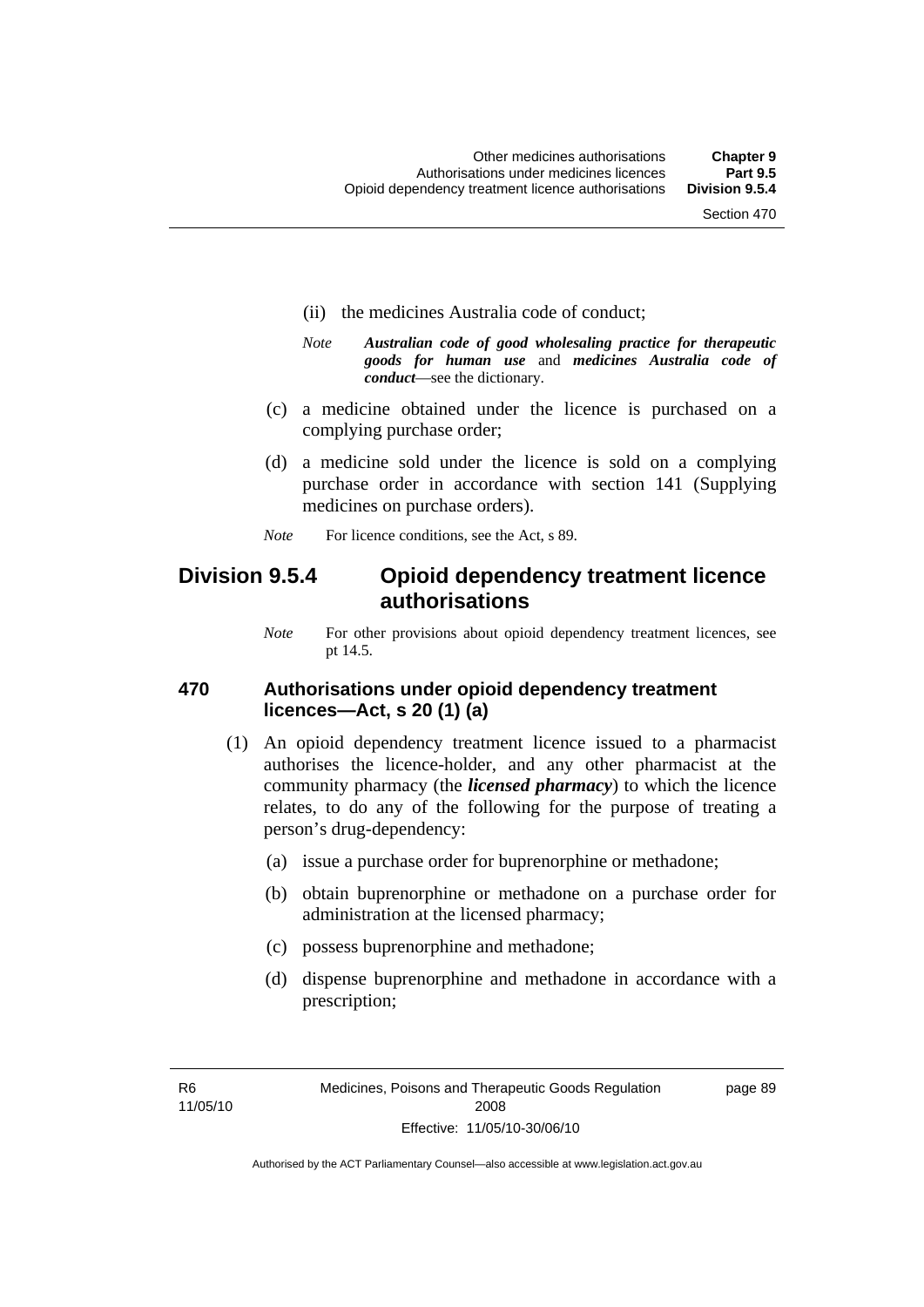- (ii) the medicines Australia code of conduct;
- *Note Australian code of good wholesaling practice for therapeutic goods for human use* and *medicines Australia code of conduct*—see the dictionary.
- (c) a medicine obtained under the licence is purchased on a complying purchase order;
- (d) a medicine sold under the licence is sold on a complying purchase order in accordance with section 141 (Supplying medicines on purchase orders).
- *Note* For licence conditions, see the Act, s 89.

### **Division 9.5.4 Opioid dependency treatment licence authorisations**

*Note* For other provisions about opioid dependency treatment licences, see pt 14.5.

#### **470 Authorisations under opioid dependency treatment licences—Act, s 20 (1) (a)**

- (1) An opioid dependency treatment licence issued to a pharmacist authorises the licence-holder, and any other pharmacist at the community pharmacy (the *licensed pharmacy*) to which the licence relates, to do any of the following for the purpose of treating a person's drug-dependency:
	- (a) issue a purchase order for buprenorphine or methadone;
	- (b) obtain buprenorphine or methadone on a purchase order for administration at the licensed pharmacy;
	- (c) possess buprenorphine and methadone;
	- (d) dispense buprenorphine and methadone in accordance with a prescription;

R6 11/05/10 page 89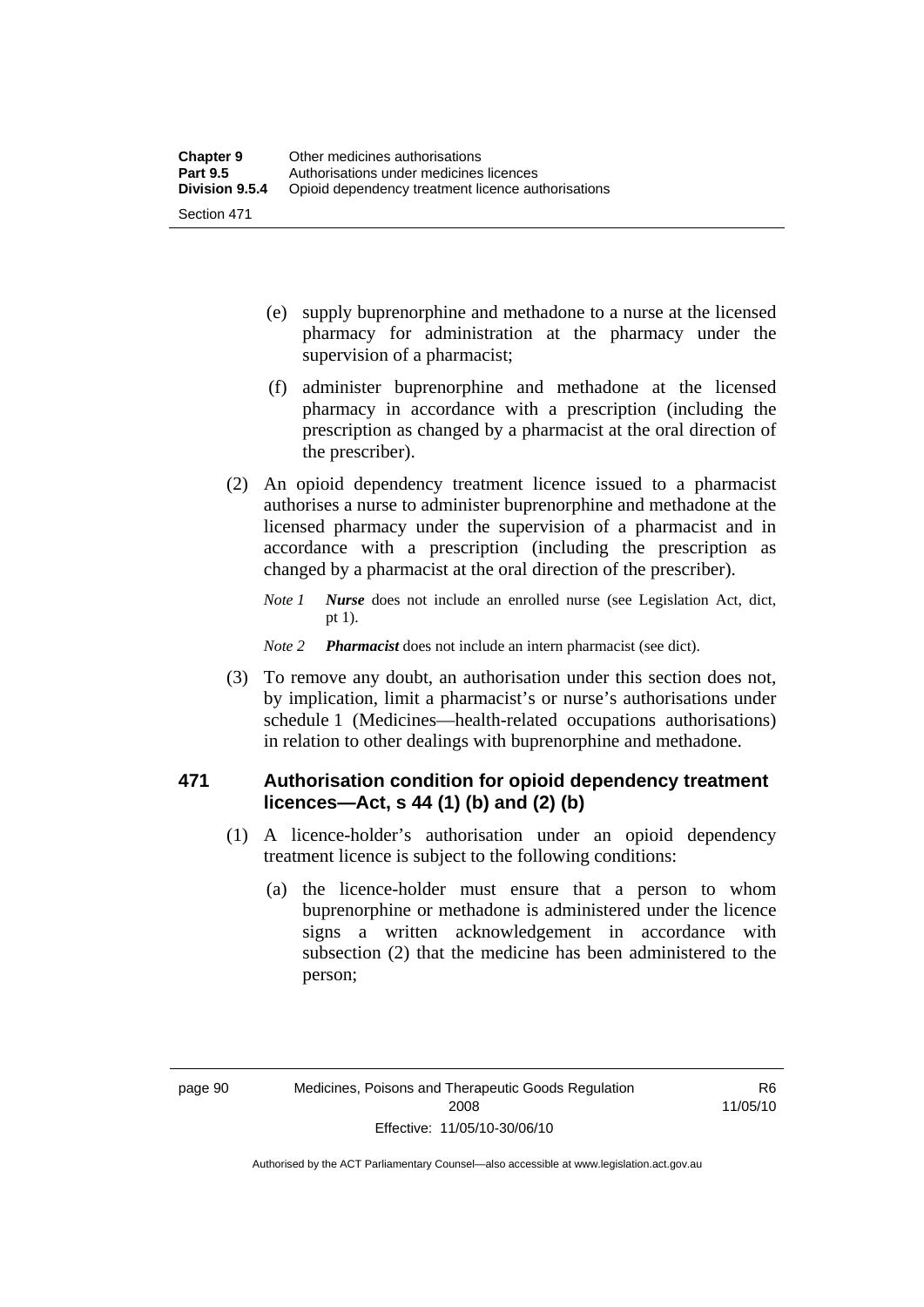- (e) supply buprenorphine and methadone to a nurse at the licensed pharmacy for administration at the pharmacy under the supervision of a pharmacist;
- (f) administer buprenorphine and methadone at the licensed pharmacy in accordance with a prescription (including the prescription as changed by a pharmacist at the oral direction of the prescriber).
- (2) An opioid dependency treatment licence issued to a pharmacist authorises a nurse to administer buprenorphine and methadone at the licensed pharmacy under the supervision of a pharmacist and in accordance with a prescription (including the prescription as changed by a pharmacist at the oral direction of the prescriber).
	- *Note 1 Nurse* does not include an enrolled nurse (see Legislation Act, dict, pt 1).

#### *Note 2 Pharmacist* does not include an intern pharmacist (see dict).

 (3) To remove any doubt, an authorisation under this section does not, by implication, limit a pharmacist's or nurse's authorisations under schedule 1 (Medicines—health-related occupations authorisations) in relation to other dealings with buprenorphine and methadone.

#### **471 Authorisation condition for opioid dependency treatment licences—Act, s 44 (1) (b) and (2) (b)**

- (1) A licence-holder's authorisation under an opioid dependency treatment licence is subject to the following conditions:
	- (a) the licence-holder must ensure that a person to whom buprenorphine or methadone is administered under the licence signs a written acknowledgement in accordance with subsection (2) that the medicine has been administered to the person;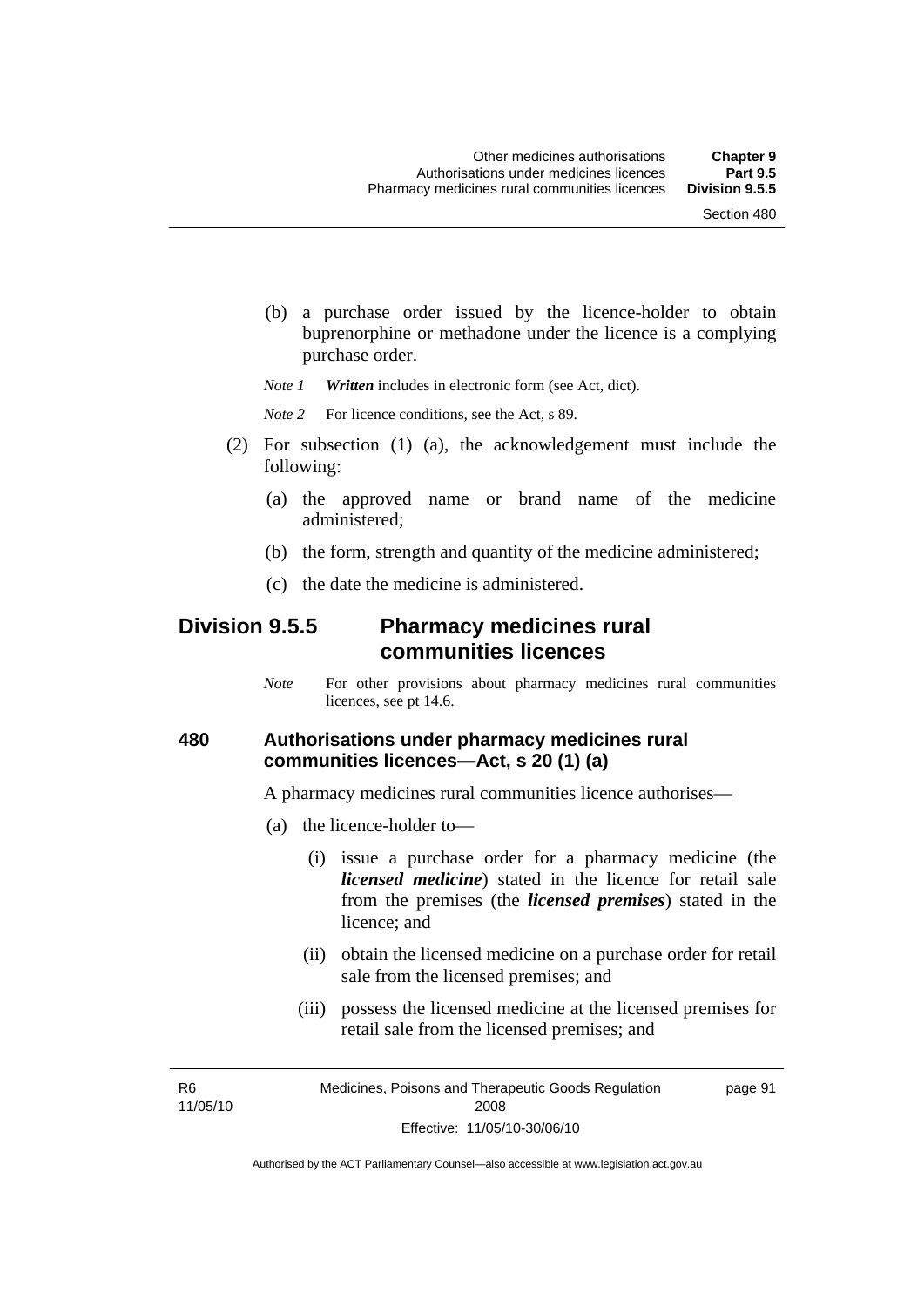(b) a purchase order issued by the licence-holder to obtain buprenorphine or methadone under the licence is a complying purchase order.

*Note 1 Written* includes in electronic form (see Act, dict).

*Note* 2 For licence conditions, see the Act, s 89.

- (2) For subsection (1) (a), the acknowledgement must include the following:
	- (a) the approved name or brand name of the medicine administered;
	- (b) the form, strength and quantity of the medicine administered;
	- (c) the date the medicine is administered.

### **Division 9.5.5 Pharmacy medicines rural communities licences**

*Note* For other provisions about pharmacy medicines rural communities licences, see pt 14.6.

#### **480 Authorisations under pharmacy medicines rural communities licences—Act, s 20 (1) (a)**

A pharmacy medicines rural communities licence authorises—

- (a) the licence-holder to—
	- (i) issue a purchase order for a pharmacy medicine (the *licensed medicine*) stated in the licence for retail sale from the premises (the *licensed premises*) stated in the licence; and
	- (ii) obtain the licensed medicine on a purchase order for retail sale from the licensed premises; and
	- (iii) possess the licensed medicine at the licensed premises for retail sale from the licensed premises; and

R6 11/05/10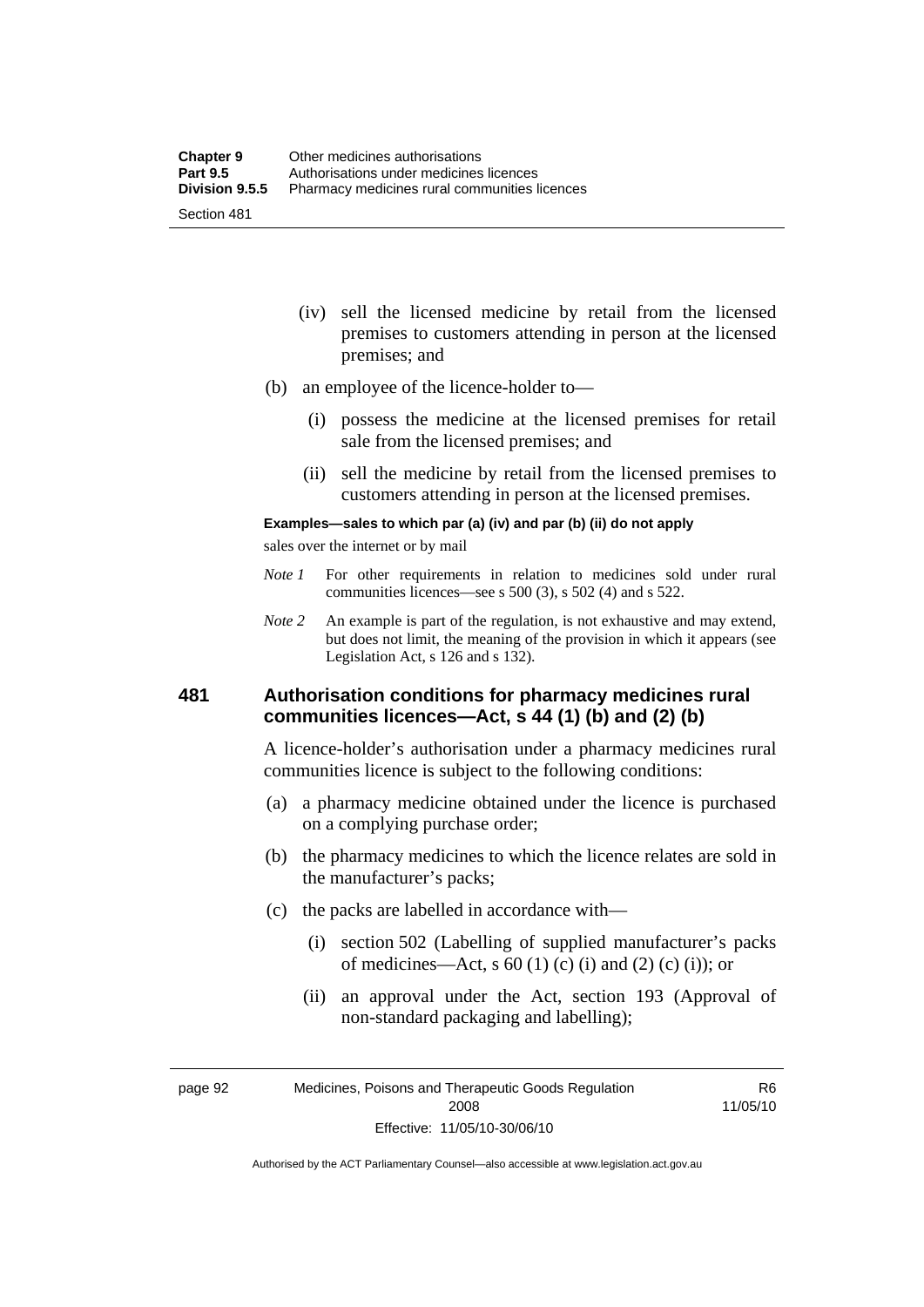- (iv) sell the licensed medicine by retail from the licensed premises to customers attending in person at the licensed premises; and
- (b) an employee of the licence-holder to—
	- (i) possess the medicine at the licensed premises for retail sale from the licensed premises; and
	- (ii) sell the medicine by retail from the licensed premises to customers attending in person at the licensed premises.

#### **Examples—sales to which par (a) (iv) and par (b) (ii) do not apply**

sales over the internet or by mail

- *Note 1* For other requirements in relation to medicines sold under rural communities licences—see s 500 (3), s 502 (4) and s 522.
- *Note 2* An example is part of the regulation, is not exhaustive and may extend, but does not limit, the meaning of the provision in which it appears (see Legislation Act, s 126 and s 132).

#### **481 Authorisation conditions for pharmacy medicines rural communities licences—Act, s 44 (1) (b) and (2) (b)**

A licence-holder's authorisation under a pharmacy medicines rural communities licence is subject to the following conditions:

- (a) a pharmacy medicine obtained under the licence is purchased on a complying purchase order;
- (b) the pharmacy medicines to which the licence relates are sold in the manufacturer's packs;
- (c) the packs are labelled in accordance with—
	- (i) section 502 (Labelling of supplied manufacturer's packs of medicines—Act, s  $60(1)$  (c) (i) and (2) (c) (i)); or
	- (ii) an approval under the Act, section 193 (Approval of non-standard packaging and labelling);

page 92 Medicines, Poisons and Therapeutic Goods Regulation 2008 Effective: 11/05/10-30/06/10

R6 11/05/10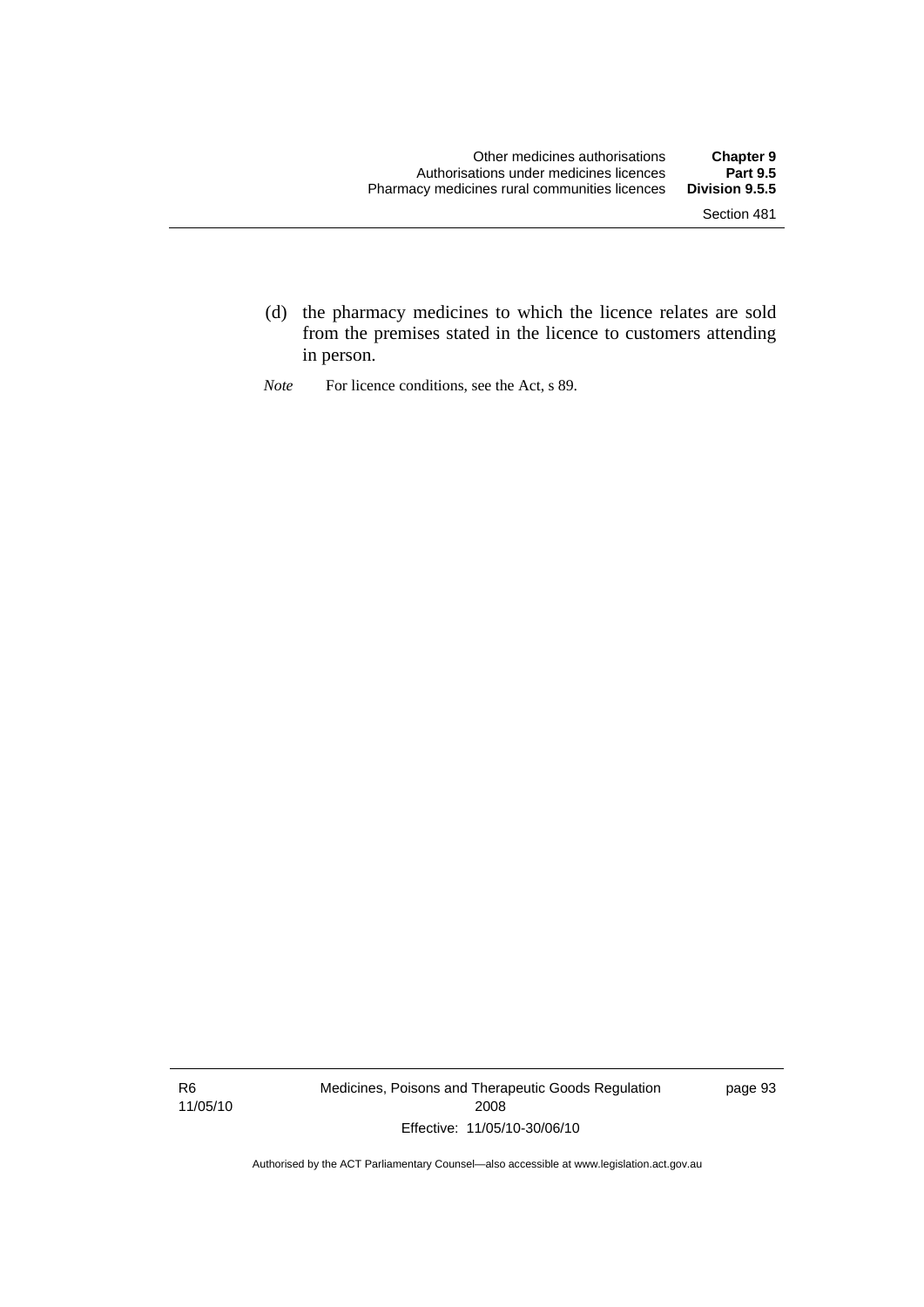- (d) the pharmacy medicines to which the licence relates are sold from the premises stated in the licence to customers attending in person.
- *Note* For licence conditions, see the Act, s 89.

R6 11/05/10 Medicines, Poisons and Therapeutic Goods Regulation 2008 Effective: 11/05/10-30/06/10

page 93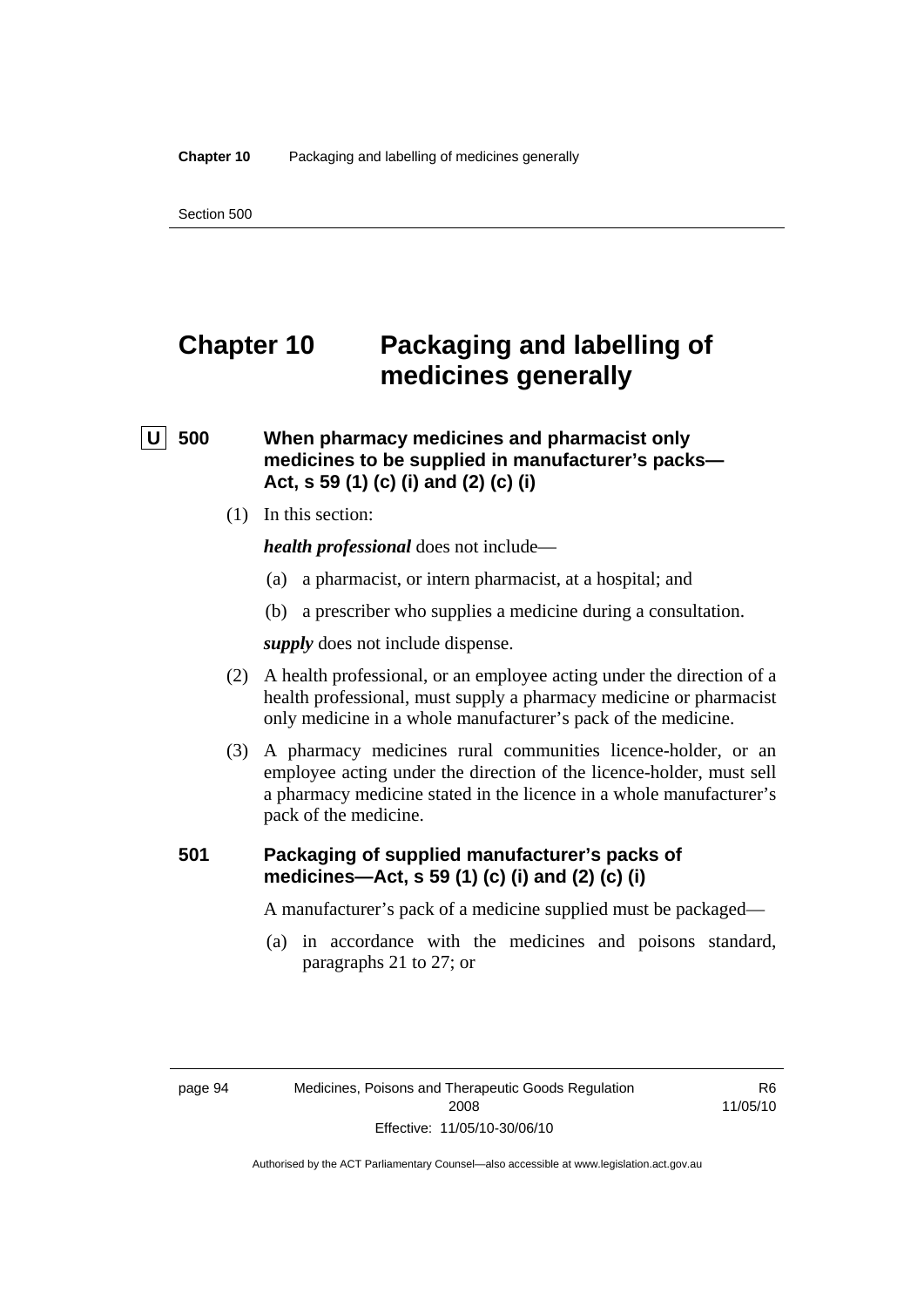# **Chapter 10 Packaging and labelling of medicines generally**

### **U** 500 When pharmacy medicines and pharmacist only **medicines to be supplied in manufacturer's packs— Act, s 59 (1) (c) (i) and (2) (c) (i)**

(1) In this section:

*health professional* does not include—

- (a) a pharmacist, or intern pharmacist, at a hospital; and
- (b) a prescriber who supplies a medicine during a consultation.

*supply* does not include dispense.

- (2) A health professional, or an employee acting under the direction of a health professional, must supply a pharmacy medicine or pharmacist only medicine in a whole manufacturer's pack of the medicine.
- (3) A pharmacy medicines rural communities licence-holder, or an employee acting under the direction of the licence-holder, must sell a pharmacy medicine stated in the licence in a whole manufacturer's pack of the medicine.

#### **501 Packaging of supplied manufacturer's packs of medicines—Act, s 59 (1) (c) (i) and (2) (c) (i)**

A manufacturer's pack of a medicine supplied must be packaged—

 (a) in accordance with the medicines and poisons standard, paragraphs 21 to 27; or

R6 11/05/10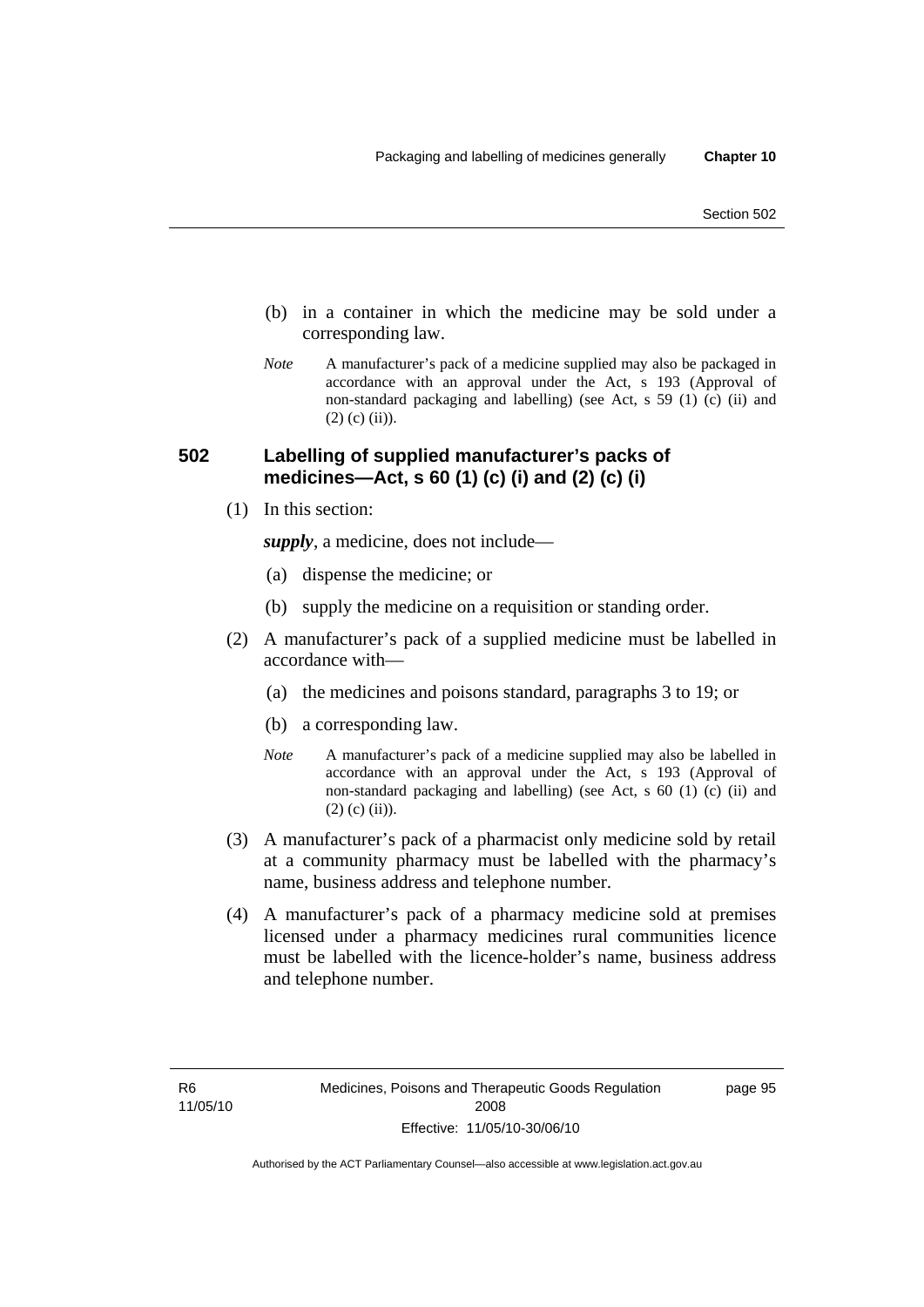- (b) in a container in which the medicine may be sold under a corresponding law.
- *Note* A manufacturer's pack of a medicine supplied may also be packaged in accordance with an approval under the Act, s 193 (Approval of non-standard packaging and labelling) (see Act, s 59 (1) (c) (ii) and  $(2)$  (c) (ii)).

#### **502 Labelling of supplied manufacturer's packs of medicines—Act, s 60 (1) (c) (i) and (2) (c) (i)**

(1) In this section:

*supply*, a medicine, does not include—

- (a) dispense the medicine; or
- (b) supply the medicine on a requisition or standing order.
- (2) A manufacturer's pack of a supplied medicine must be labelled in accordance with—
	- (a) the medicines and poisons standard, paragraphs 3 to 19; or
	- (b) a corresponding law.
	- *Note* A manufacturer's pack of a medicine supplied may also be labelled in accordance with an approval under the Act, s 193 (Approval of non-standard packaging and labelling) (see Act, s 60 (1) (c) (ii) and  $(2)$  (c) (ii)).
- (3) A manufacturer's pack of a pharmacist only medicine sold by retail at a community pharmacy must be labelled with the pharmacy's name, business address and telephone number.
- (4) A manufacturer's pack of a pharmacy medicine sold at premises licensed under a pharmacy medicines rural communities licence must be labelled with the licence-holder's name, business address and telephone number.

page 95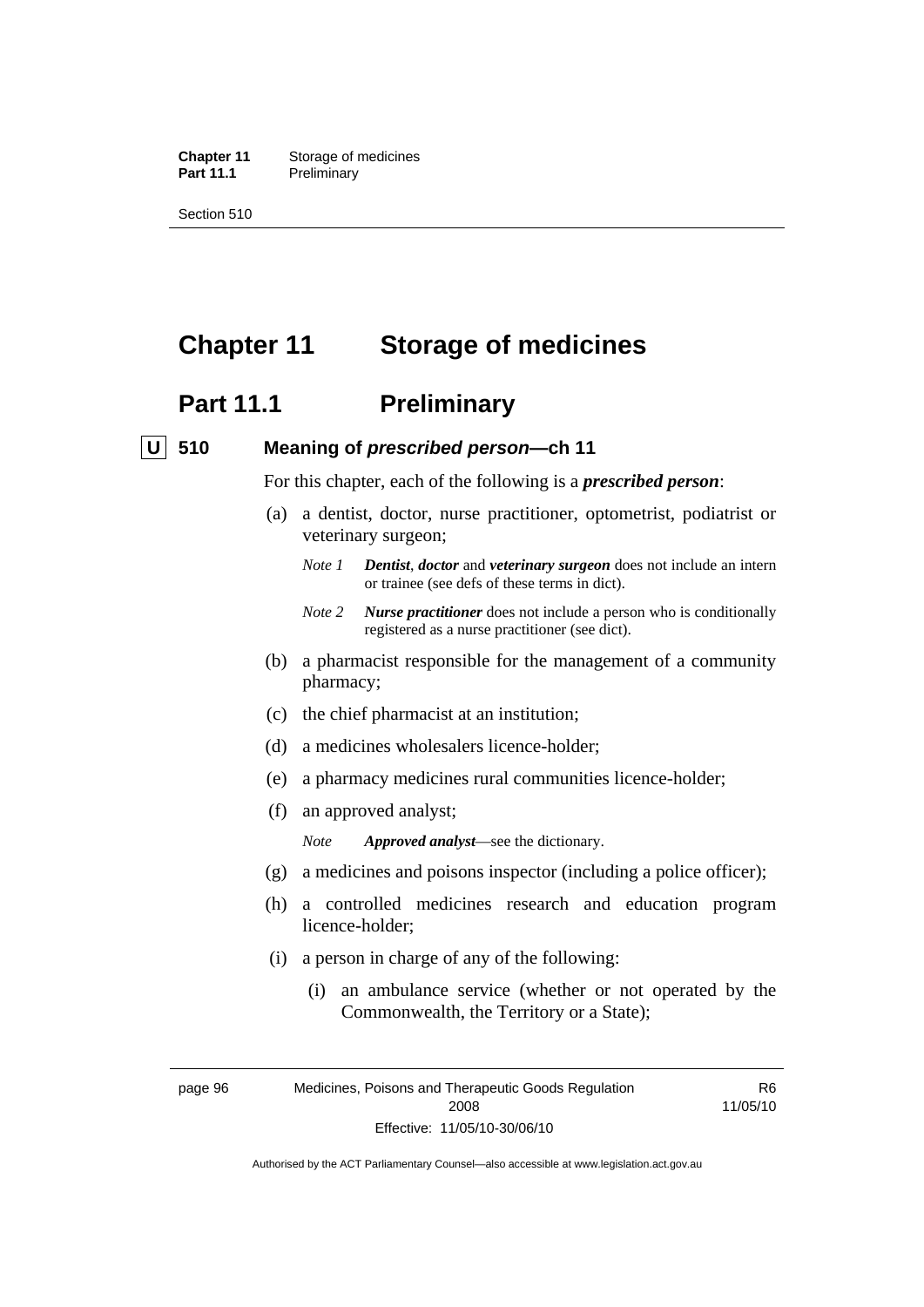**Chapter 11** Storage of medicines Part 11.1 Preliminary

Section 510

# **Chapter 11 Storage of medicines**

# **Part 11.1** Preliminary

#### **U 510 Meaning of** *prescribed person***—ch 11**

For this chapter, each of the following is a *prescribed person*:

- (a) a dentist, doctor, nurse practitioner, optometrist, podiatrist or veterinary surgeon;
	- *Note 1 Dentist*, *doctor* and *veterinary surgeon* does not include an intern or trainee (see defs of these terms in dict).
	- *Note 2 Nurse practitioner* does not include a person who is conditionally registered as a nurse practitioner (see dict).
- (b) a pharmacist responsible for the management of a community pharmacy;
- (c) the chief pharmacist at an institution;
- (d) a medicines wholesalers licence-holder;
- (e) a pharmacy medicines rural communities licence-holder;
- (f) an approved analyst;
	- *Note Approved analyst*—see the dictionary.
- (g) a medicines and poisons inspector (including a police officer);
- (h) a controlled medicines research and education program licence-holder;
- (i) a person in charge of any of the following:
	- (i) an ambulance service (whether or not operated by the Commonwealth, the Territory or a State);

R6 11/05/10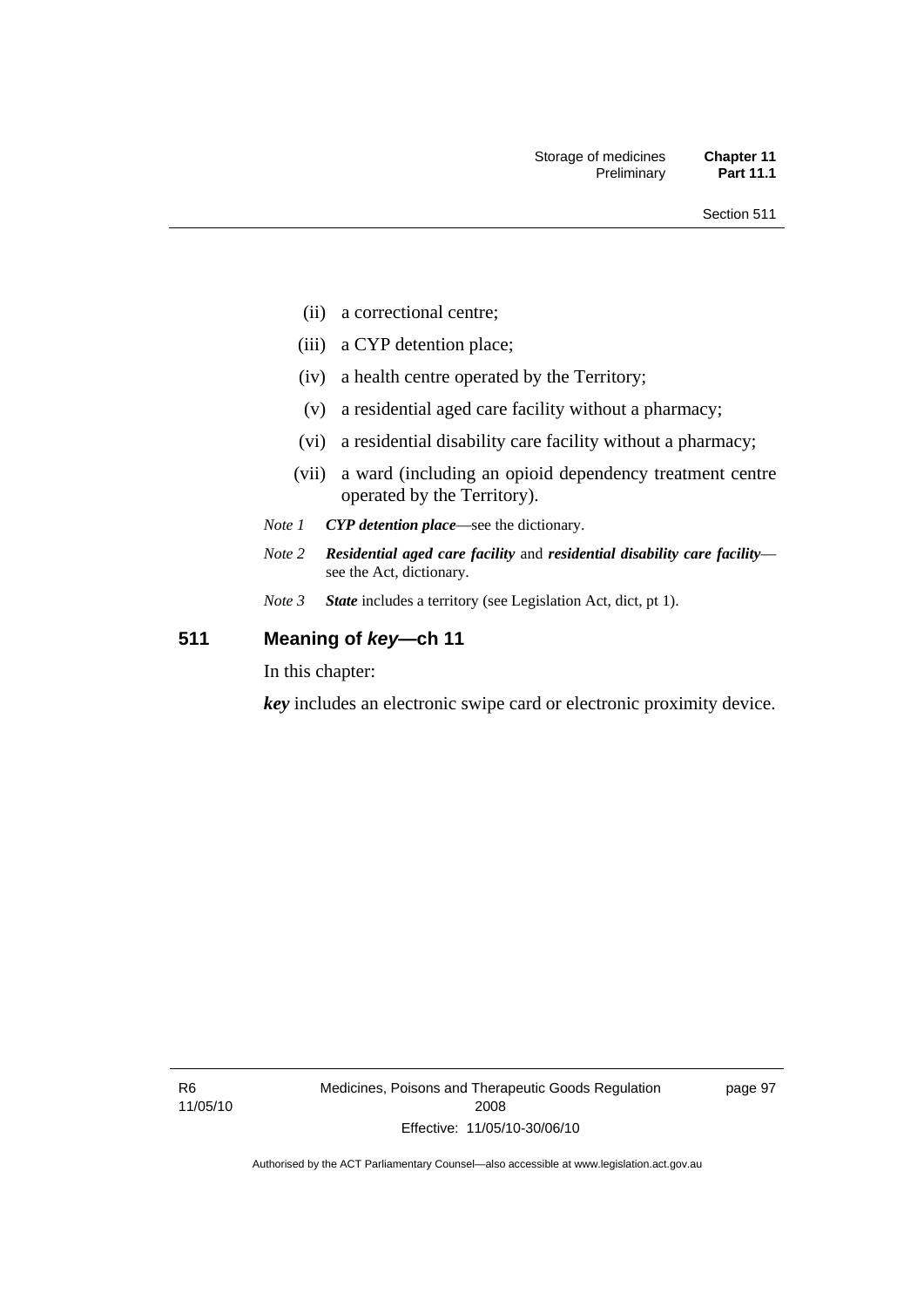- (ii) a correctional centre;
- (iii) a CYP detention place;
- (iv) a health centre operated by the Territory;
- (v) a residential aged care facility without a pharmacy;
- (vi) a residential disability care facility without a pharmacy;
- (vii) a ward (including an opioid dependency treatment centre operated by the Territory).
- *Note 1 CYP detention place*—see the dictionary.
- *Note 2 Residential aged care facility* and *residential disability care facility* see the Act, dictionary.
- *Note 3 State* includes a territory (see Legislation Act, dict, pt 1).

### **511 Meaning of** *key***—ch 11**

In this chapter:

*key* includes an electronic swipe card or electronic proximity device.

R6 11/05/10 Medicines, Poisons and Therapeutic Goods Regulation 2008 Effective: 11/05/10-30/06/10

page 97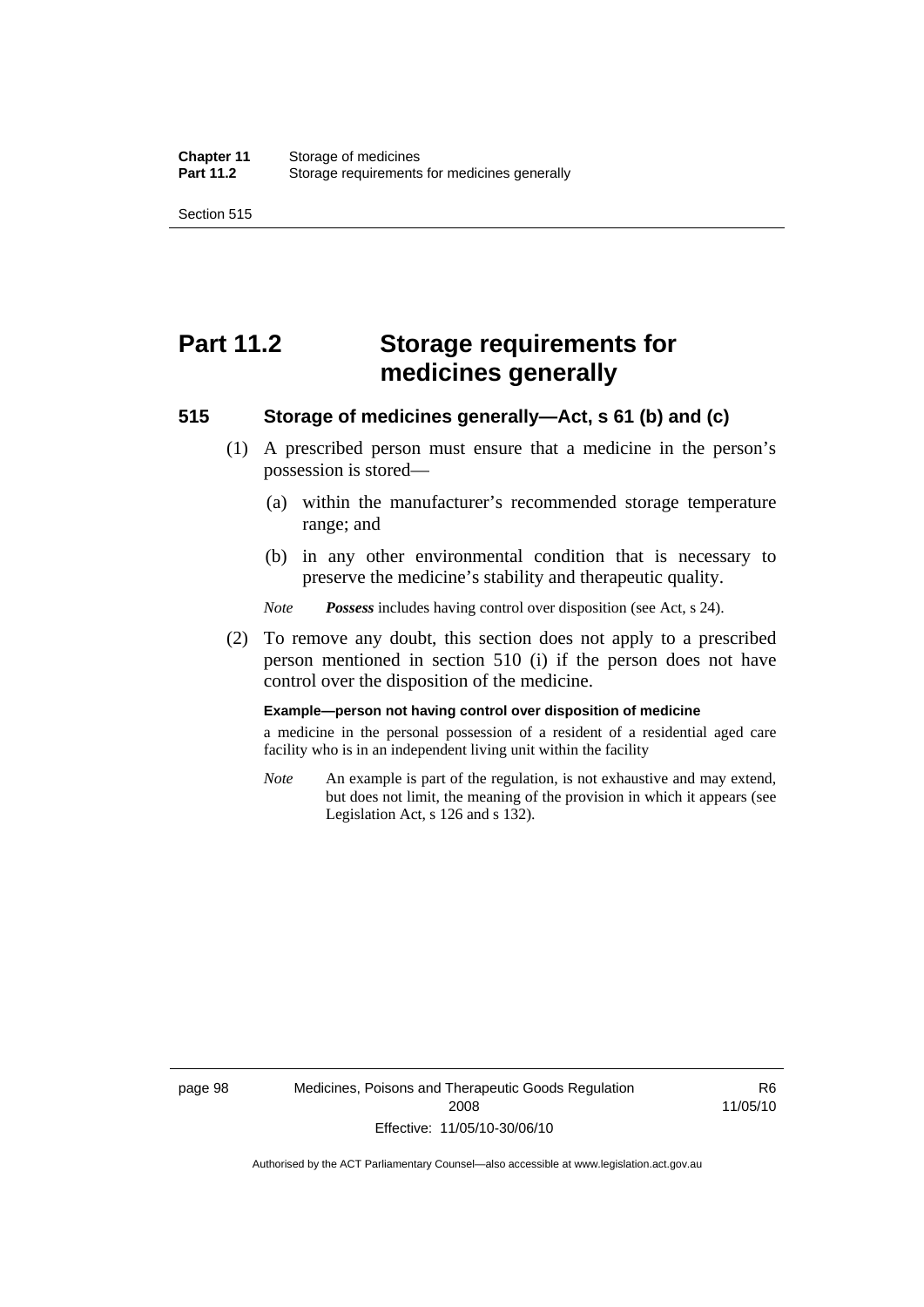Section 515

# **Part 11.2 Storage requirements for medicines generally**

#### **515 Storage of medicines generally—Act, s 61 (b) and (c)**

- (1) A prescribed person must ensure that a medicine in the person's possession is stored—
	- (a) within the manufacturer's recommended storage temperature range; and
	- (b) in any other environmental condition that is necessary to preserve the medicine's stability and therapeutic quality.

*Note Possess* includes having control over disposition (see Act, s 24).

 (2) To remove any doubt, this section does not apply to a prescribed person mentioned in section 510 (i) if the person does not have control over the disposition of the medicine.

#### **Example—person not having control over disposition of medicine**

a medicine in the personal possession of a resident of a residential aged care facility who is in an independent living unit within the facility

*Note* An example is part of the regulation, is not exhaustive and may extend, but does not limit, the meaning of the provision in which it appears (see Legislation Act, s 126 and s 132).

R6 11/05/10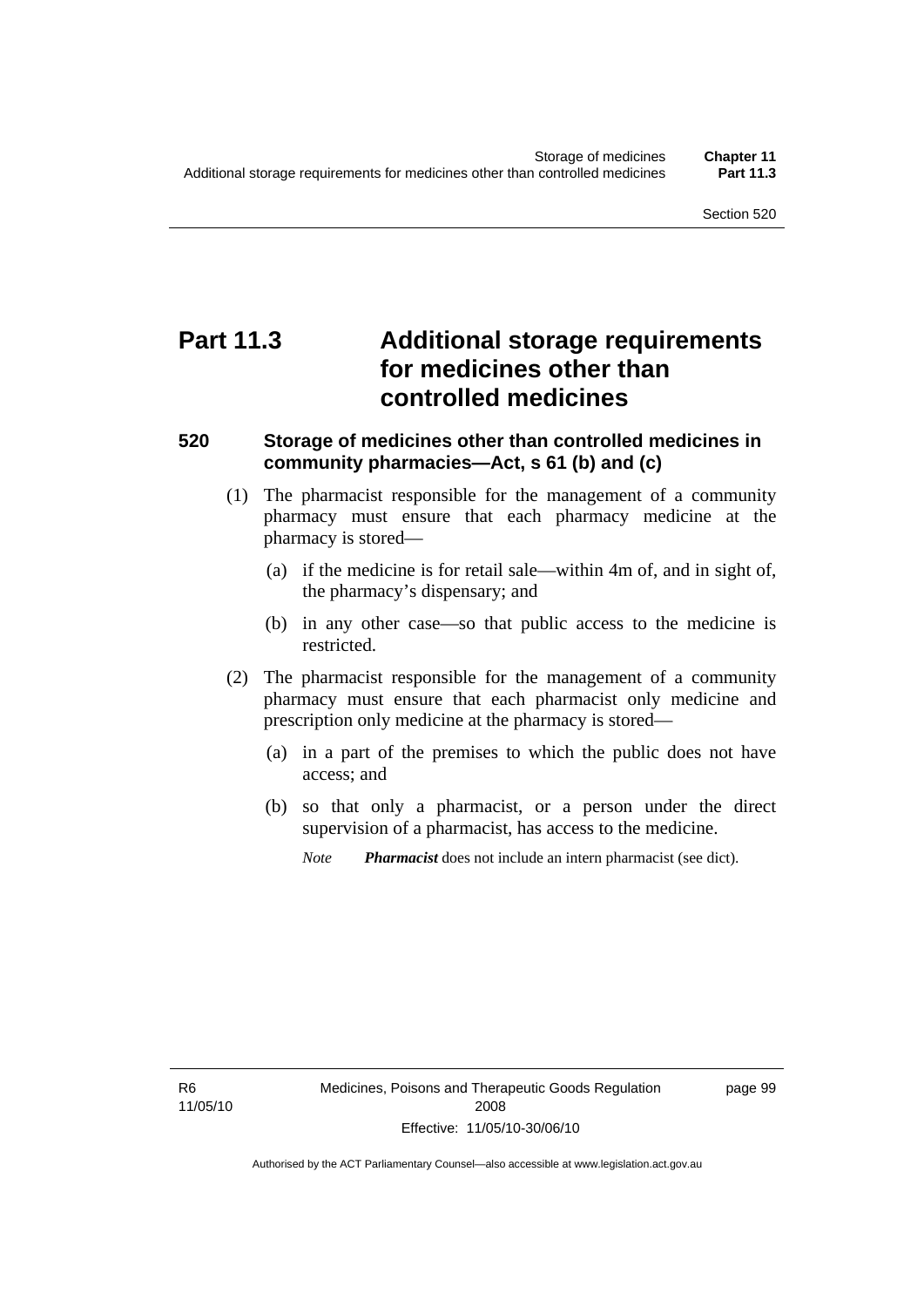# **Part 11.3 Additional storage requirements for medicines other than controlled medicines**

#### **520 Storage of medicines other than controlled medicines in community pharmacies—Act, s 61 (b) and (c)**

- (1) The pharmacist responsible for the management of a community pharmacy must ensure that each pharmacy medicine at the pharmacy is stored—
	- (a) if the medicine is for retail sale—within 4m of, and in sight of, the pharmacy's dispensary; and
	- (b) in any other case—so that public access to the medicine is restricted.
- (2) The pharmacist responsible for the management of a community pharmacy must ensure that each pharmacist only medicine and prescription only medicine at the pharmacy is stored—
	- (a) in a part of the premises to which the public does not have access; and
	- (b) so that only a pharmacist, or a person under the direct supervision of a pharmacist, has access to the medicine.
		- *Note Pharmacist* does not include an intern pharmacist (see dict).

R6 11/05/10 page 99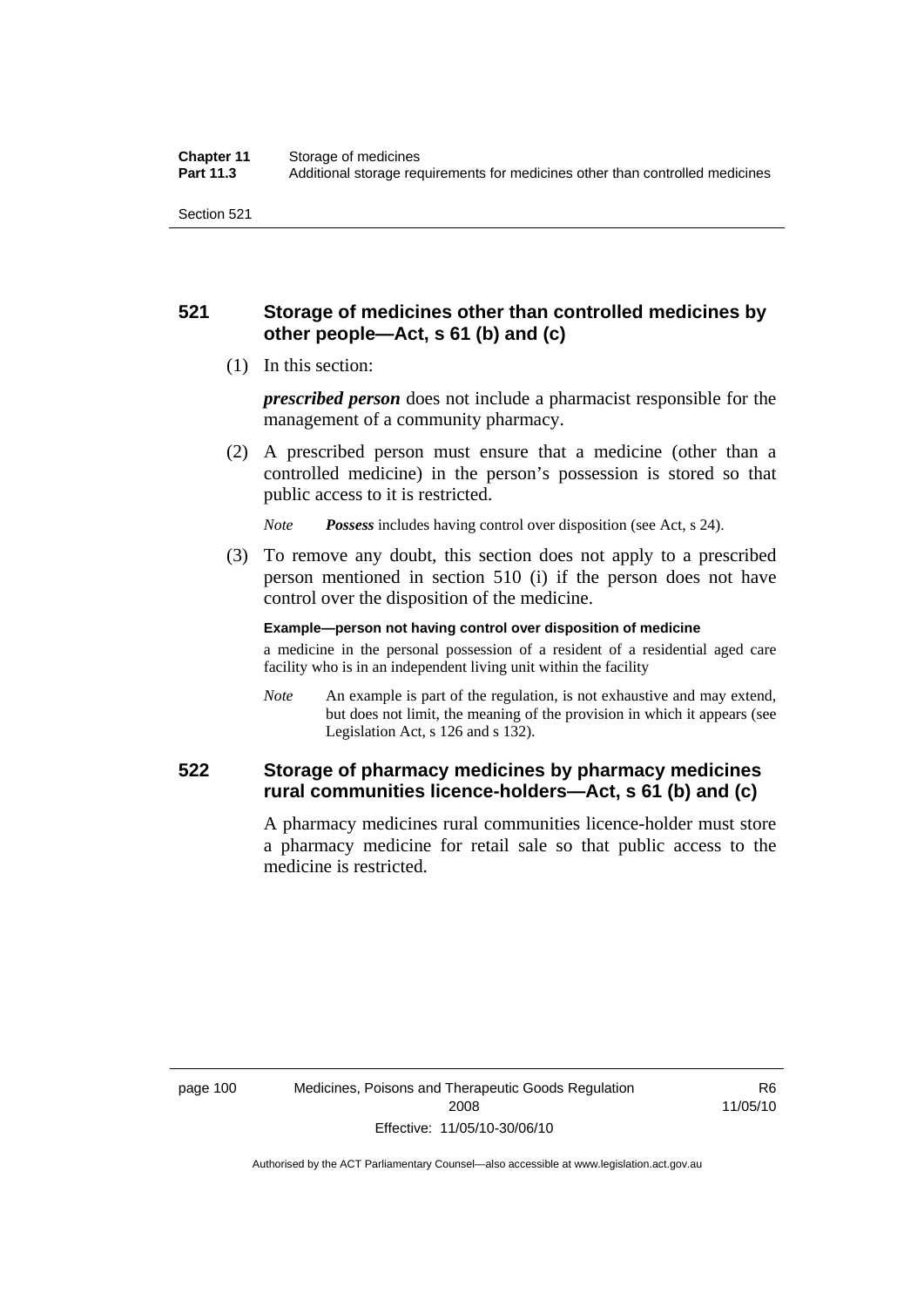#### **521 Storage of medicines other than controlled medicines by other people—Act, s 61 (b) and (c)**

(1) In this section:

*prescribed person* does not include a pharmacist responsible for the management of a community pharmacy.

 (2) A prescribed person must ensure that a medicine (other than a controlled medicine) in the person's possession is stored so that public access to it is restricted.

*Note Possess* includes having control over disposition (see Act, s 24).

 (3) To remove any doubt, this section does not apply to a prescribed person mentioned in section 510 (i) if the person does not have control over the disposition of the medicine.

**Example—person not having control over disposition of medicine** 

a medicine in the personal possession of a resident of a residential aged care facility who is in an independent living unit within the facility

*Note* An example is part of the regulation, is not exhaustive and may extend, but does not limit, the meaning of the provision in which it appears (see Legislation Act, s 126 and s 132).

#### **522 Storage of pharmacy medicines by pharmacy medicines rural communities licence-holders—Act, s 61 (b) and (c)**

A pharmacy medicines rural communities licence-holder must store a pharmacy medicine for retail sale so that public access to the medicine is restricted.

R6 11/05/10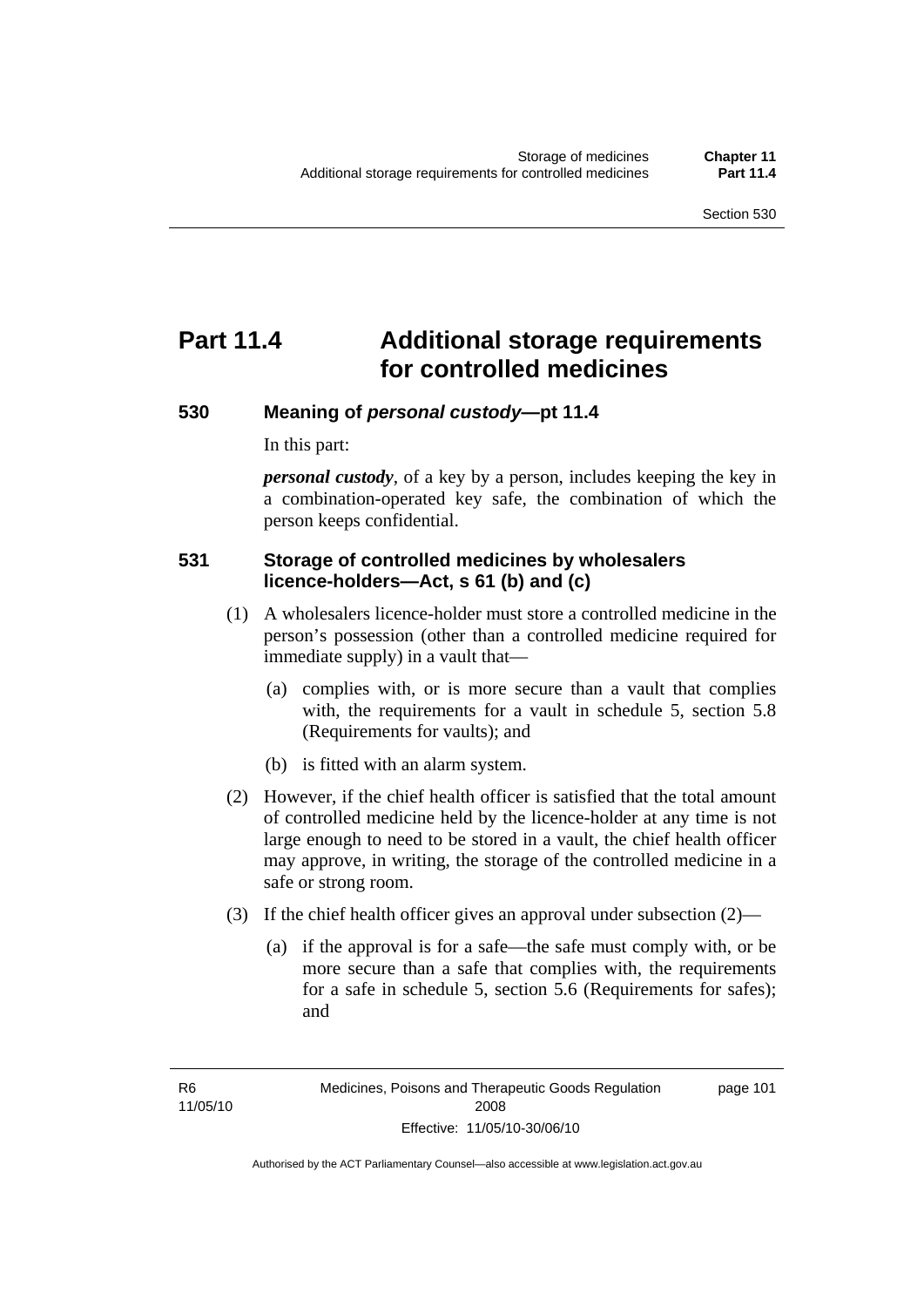# **Part 11.4 Additional storage requirements for controlled medicines**

#### **530 Meaning of** *personal custody***—pt 11.4**

In this part:

*personal custody*, of a key by a person, includes keeping the key in a combination-operated key safe, the combination of which the person keeps confidential.

#### **531 Storage of controlled medicines by wholesalers licence-holders—Act, s 61 (b) and (c)**

- (1) A wholesalers licence-holder must store a controlled medicine in the person's possession (other than a controlled medicine required for immediate supply) in a vault that—
	- (a) complies with, or is more secure than a vault that complies with, the requirements for a vault in schedule 5, section 5.8 (Requirements for vaults); and
	- (b) is fitted with an alarm system.
- (2) However, if the chief health officer is satisfied that the total amount of controlled medicine held by the licence-holder at any time is not large enough to need to be stored in a vault, the chief health officer may approve, in writing, the storage of the controlled medicine in a safe or strong room.
- (3) If the chief health officer gives an approval under subsection (2)—
	- (a) if the approval is for a safe—the safe must comply with, or be more secure than a safe that complies with, the requirements for a safe in schedule 5, section 5.6 (Requirements for safes); and

page 101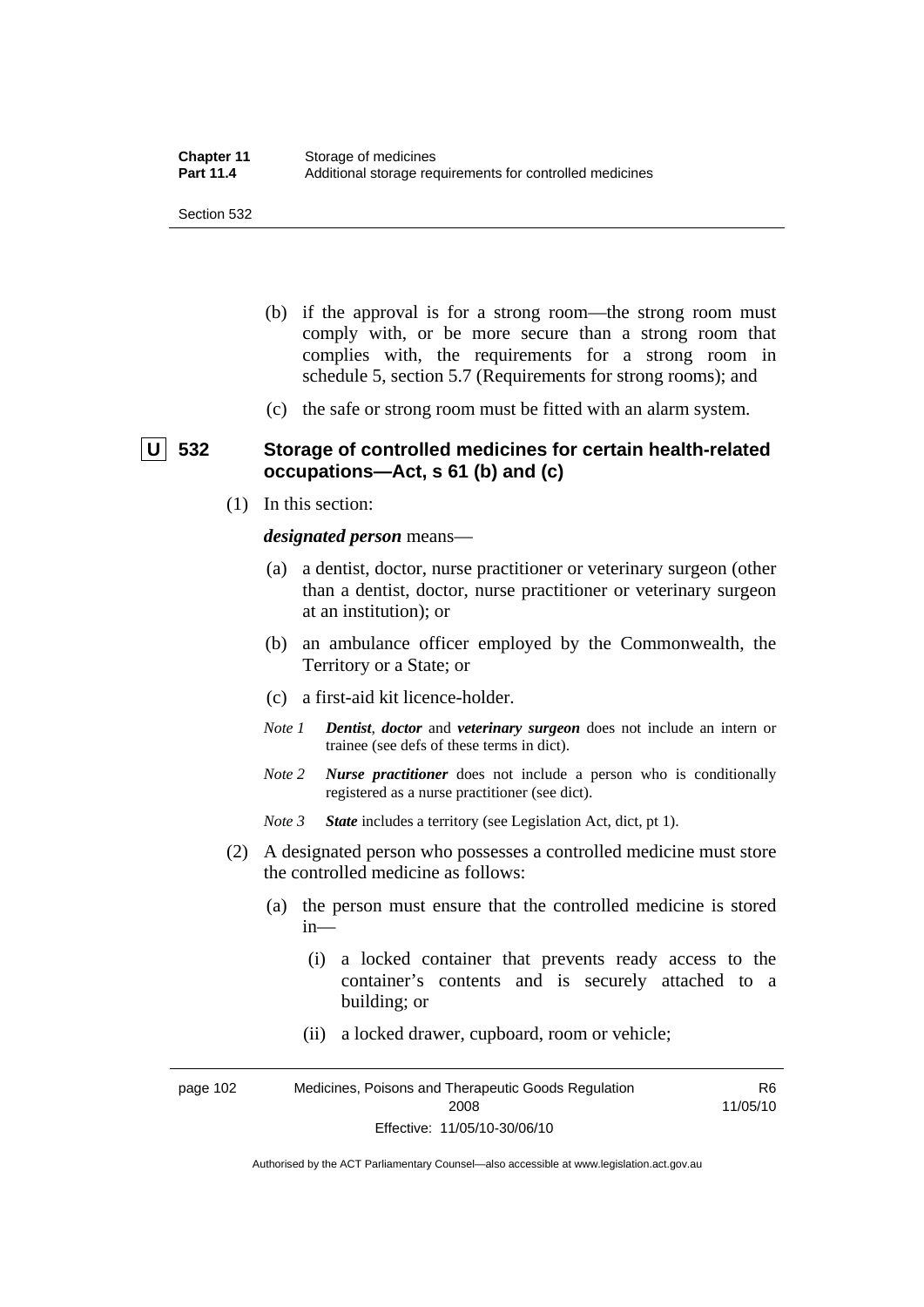Section 532

- (b) if the approval is for a strong room—the strong room must comply with, or be more secure than a strong room that complies with, the requirements for a strong room in schedule 5, section 5.7 (Requirements for strong rooms); and
- (c) the safe or strong room must be fitted with an alarm system.

#### **U 532 Storage of controlled medicines for certain health-related occupations—Act, s 61 (b) and (c)**

(1) In this section:

*designated person* means—

- (a) a dentist, doctor, nurse practitioner or veterinary surgeon (other than a dentist, doctor, nurse practitioner or veterinary surgeon at an institution); or
- (b) an ambulance officer employed by the Commonwealth, the Territory or a State; or
- (c) a first-aid kit licence-holder.
- *Note 1 Dentist*, *doctor* and *veterinary surgeon* does not include an intern or trainee (see defs of these terms in dict).
- *Note 2 Nurse practitioner* does not include a person who is conditionally registered as a nurse practitioner (see dict).

*Note 3 State* includes a territory (see Legislation Act, dict, pt 1).

- (2) A designated person who possesses a controlled medicine must store the controlled medicine as follows:
	- (a) the person must ensure that the controlled medicine is stored in—
		- (i) a locked container that prevents ready access to the container's contents and is securely attached to a building; or
		- (ii) a locked drawer, cupboard, room or vehicle;

page 102 Medicines, Poisons and Therapeutic Goods Regulation 2008 Effective: 11/05/10-30/06/10 R6 11/05/10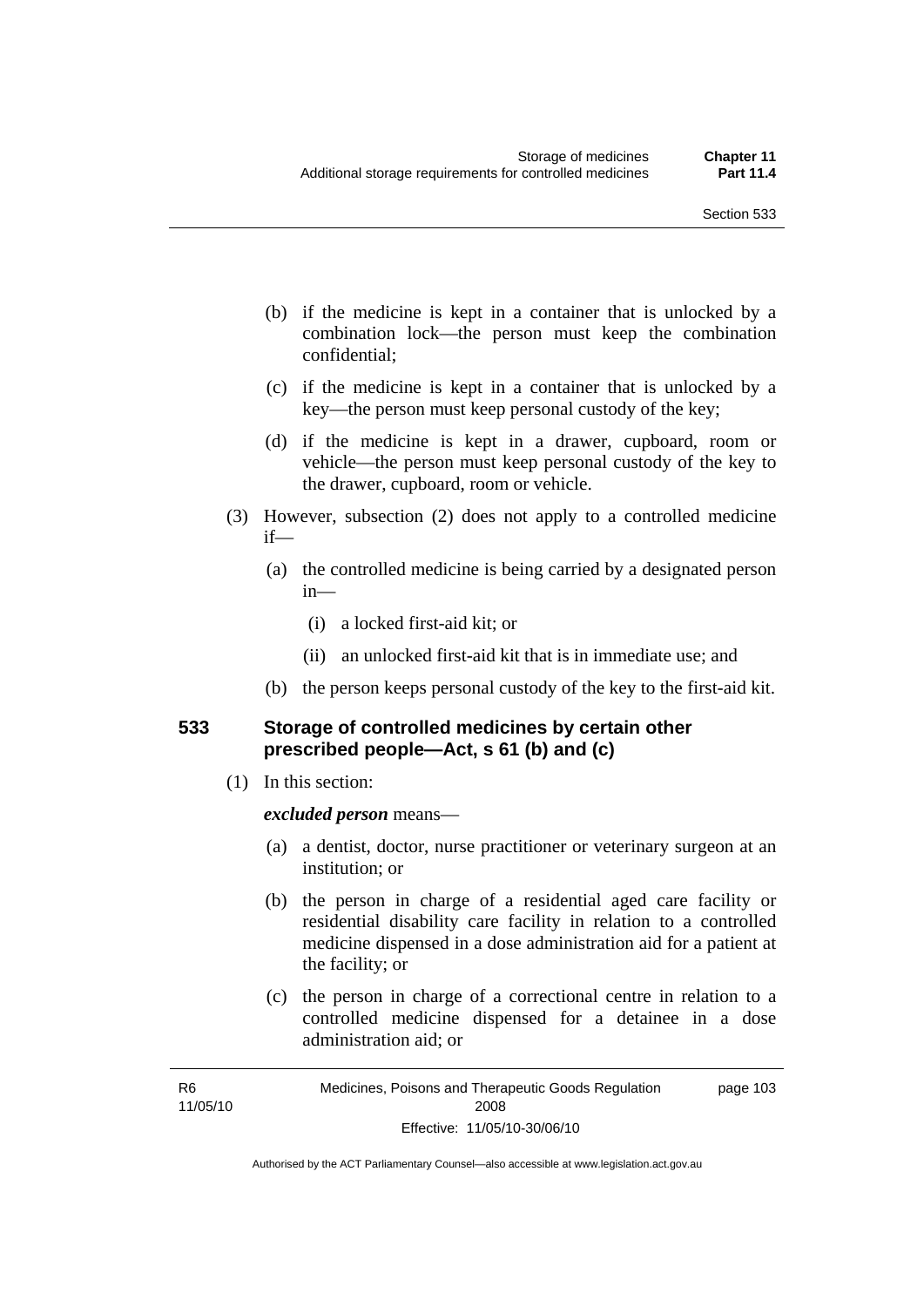- (b) if the medicine is kept in a container that is unlocked by a combination lock—the person must keep the combination confidential;
- (c) if the medicine is kept in a container that is unlocked by a key—the person must keep personal custody of the key;
- (d) if the medicine is kept in a drawer, cupboard, room or vehicle—the person must keep personal custody of the key to the drawer, cupboard, room or vehicle.
- (3) However, subsection (2) does not apply to a controlled medicine if—
	- (a) the controlled medicine is being carried by a designated person in—
		- (i) a locked first-aid kit; or
		- (ii) an unlocked first-aid kit that is in immediate use; and
	- (b) the person keeps personal custody of the key to the first-aid kit.

#### **533 Storage of controlled medicines by certain other prescribed people—Act, s 61 (b) and (c)**

(1) In this section:

#### *excluded person* means—

- (a) a dentist, doctor, nurse practitioner or veterinary surgeon at an institution; or
- (b) the person in charge of a residential aged care facility or residential disability care facility in relation to a controlled medicine dispensed in a dose administration aid for a patient at the facility; or
- (c) the person in charge of a correctional centre in relation to a controlled medicine dispensed for a detainee in a dose administration aid; or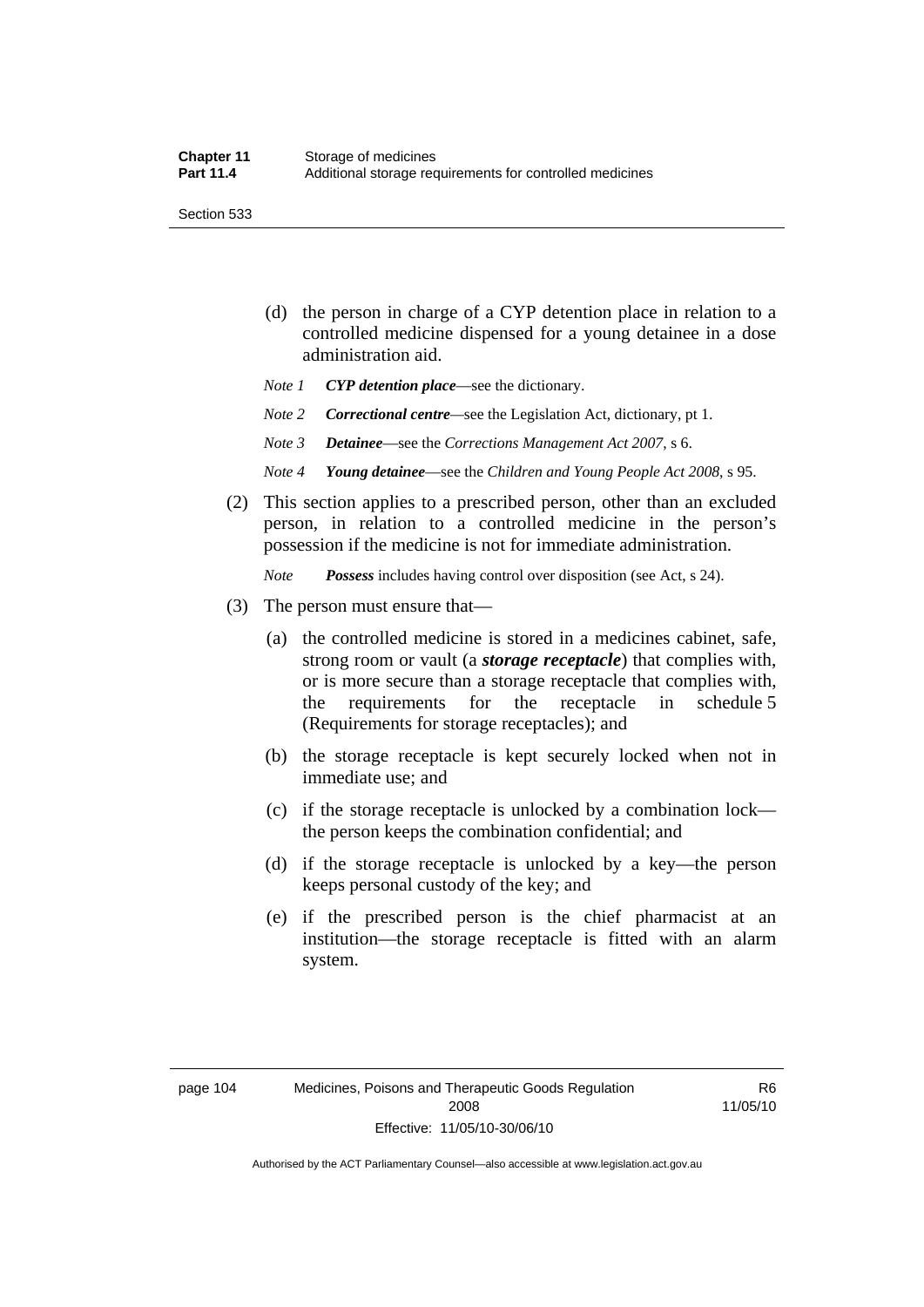Section 533

- (d) the person in charge of a CYP detention place in relation to a controlled medicine dispensed for a young detainee in a dose administration aid.
- *Note 1 CYP detention place*—see the dictionary.
- *Note 2 Correctional centre—see the Legislation Act, dictionary, pt 1.*
- *Note 3 Detainee*—see the *Corrections Management Act 2007*, s 6.
- *Note 4 Young detainee*—see the *Children and Young People Act 2008*, s 95.
- (2) This section applies to a prescribed person, other than an excluded person, in relation to a controlled medicine in the person's possession if the medicine is not for immediate administration.

*Note Possess* includes having control over disposition (see Act, s 24).

- (3) The person must ensure that—
	- (a) the controlled medicine is stored in a medicines cabinet, safe, strong room or vault (a *storage receptacle*) that complies with, or is more secure than a storage receptacle that complies with, the requirements for the receptacle in schedule 5 (Requirements for storage receptacles); and
	- (b) the storage receptacle is kept securely locked when not in immediate use; and
	- (c) if the storage receptacle is unlocked by a combination lock the person keeps the combination confidential; and
	- (d) if the storage receptacle is unlocked by a key—the person keeps personal custody of the key; and
	- (e) if the prescribed person is the chief pharmacist at an institution—the storage receptacle is fitted with an alarm system.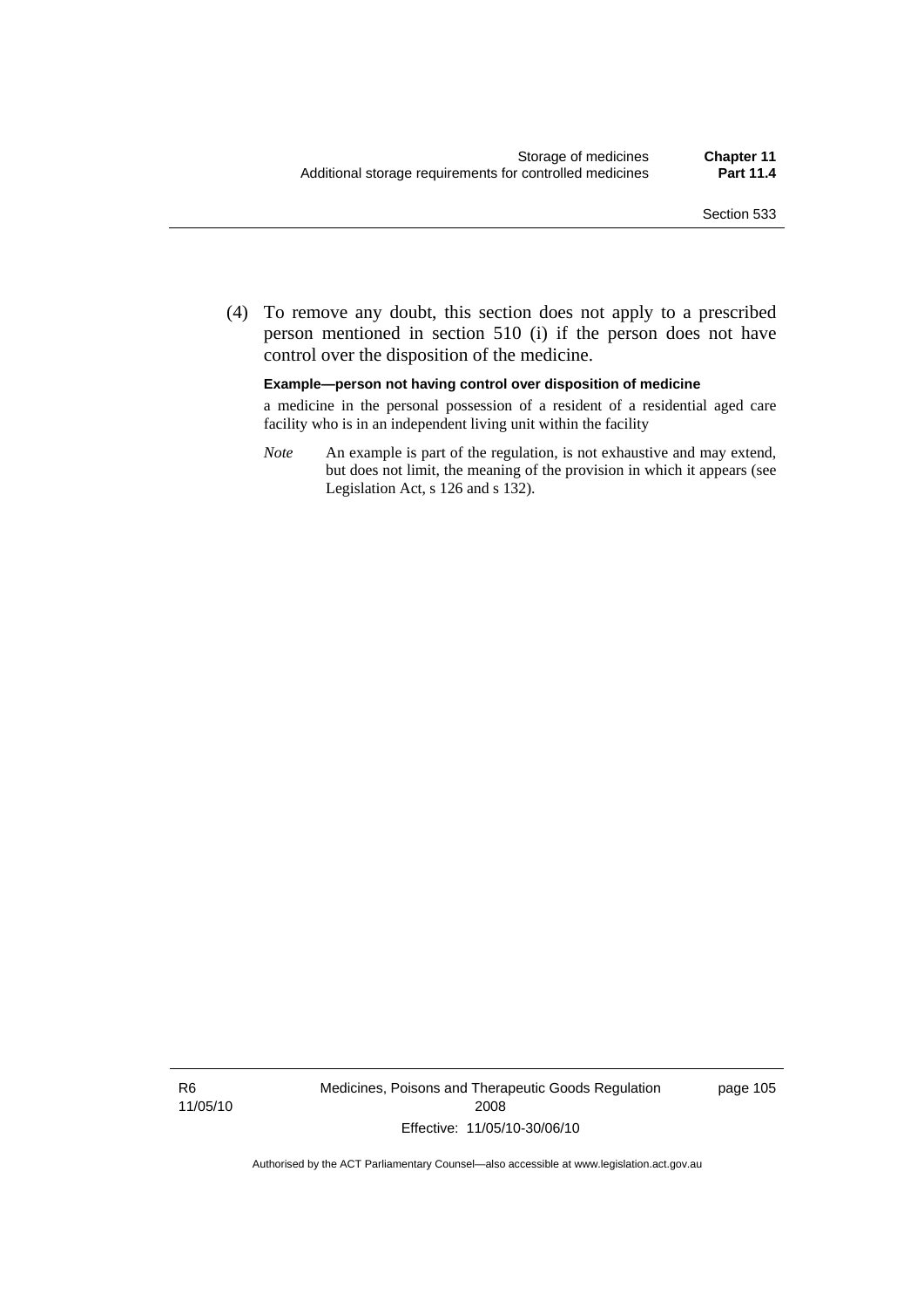(4) To remove any doubt, this section does not apply to a prescribed person mentioned in section 510 (i) if the person does not have control over the disposition of the medicine.

#### **Example—person not having control over disposition of medicine**

a medicine in the personal possession of a resident of a residential aged care facility who is in an independent living unit within the facility

*Note* An example is part of the regulation, is not exhaustive and may extend, but does not limit, the meaning of the provision in which it appears (see Legislation Act, s 126 and s 132).

R6 11/05/10 Medicines, Poisons and Therapeutic Goods Regulation 2008 Effective: 11/05/10-30/06/10

page 105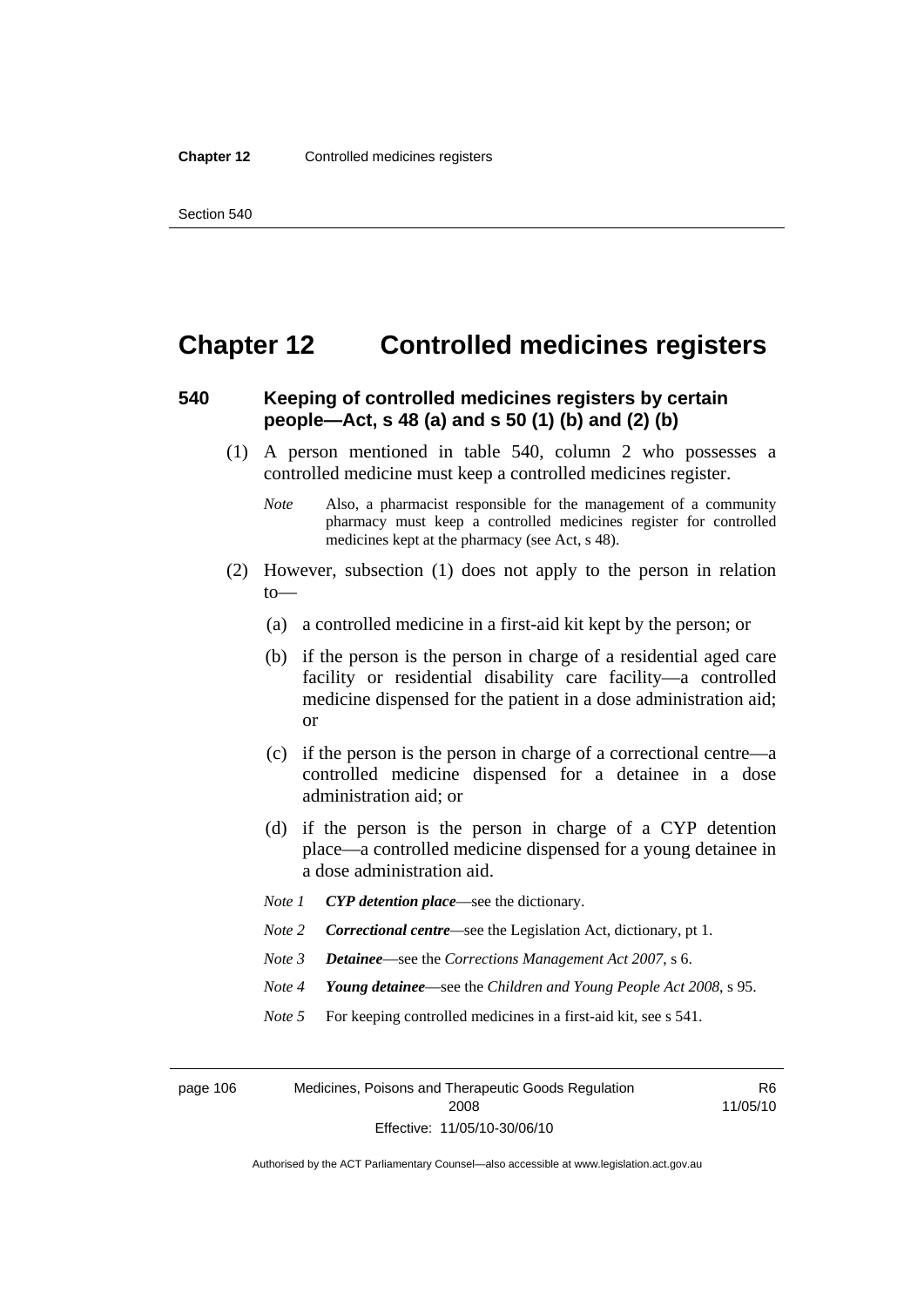### **Chapter 12 Controlled medicines registers**

#### **540 Keeping of controlled medicines registers by certain people—Act, s 48 (a) and s 50 (1) (b) and (2) (b)**

- (1) A person mentioned in table 540, column 2 who possesses a controlled medicine must keep a controlled medicines register.
	- *Note* Also, a pharmacist responsible for the management of a community pharmacy must keep a controlled medicines register for controlled medicines kept at the pharmacy (see Act, s 48).
- (2) However, subsection (1) does not apply to the person in relation to—
	- (a) a controlled medicine in a first-aid kit kept by the person; or
	- (b) if the person is the person in charge of a residential aged care facility or residential disability care facility—a controlled medicine dispensed for the patient in a dose administration aid; or
	- (c) if the person is the person in charge of a correctional centre—a controlled medicine dispensed for a detainee in a dose administration aid; or
	- (d) if the person is the person in charge of a CYP detention place—a controlled medicine dispensed for a young detainee in a dose administration aid.
	- *Note 1 CYP detention place*—see the dictionary.
	- *Note 2 Correctional centre*—see the Legislation Act, dictionary, pt 1.
	- *Note 3 Detainee*—see the *Corrections Management Act 2007*, s 6.
	- *Note 4 Young detainee*—see the *Children and Young People Act 2008*, s 95.
	- *Note* 5 For keeping controlled medicines in a first-aid kit, see s 541.

page 106 Medicines, Poisons and Therapeutic Goods Regulation 2008 Effective: 11/05/10-30/06/10

R6 11/05/10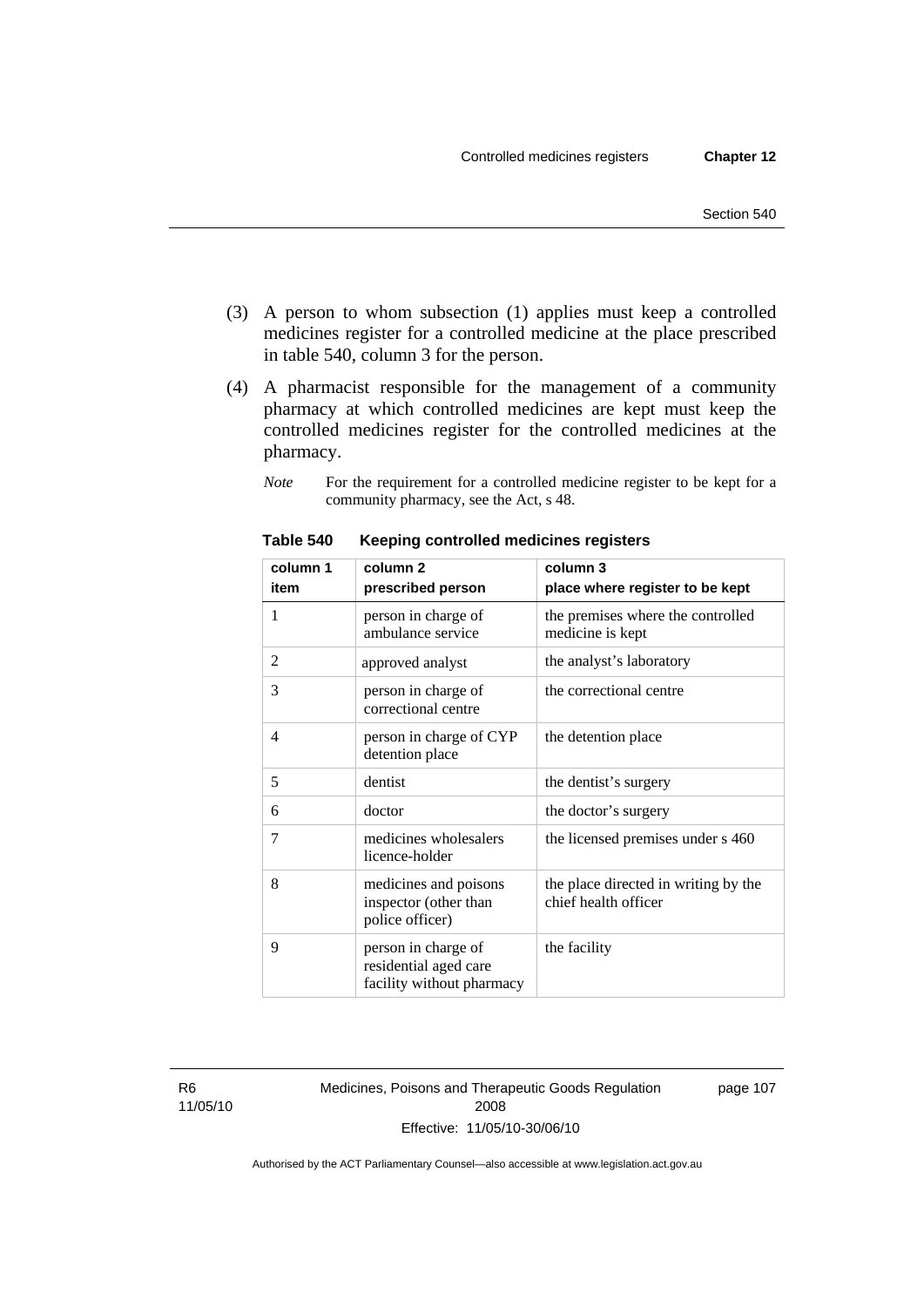- (3) A person to whom subsection (1) applies must keep a controlled medicines register for a controlled medicine at the place prescribed in table 540, column 3 for the person.
- (4) A pharmacist responsible for the management of a community pharmacy at which controlled medicines are kept must keep the controlled medicines register for the controlled medicines at the pharmacy.
	- *Note* For the requirement for a controlled medicine register to be kept for a community pharmacy, see the Act, s 48.

| column 1<br>item | column <sub>2</sub><br>prescribed person                                  | column 3<br>place where register to be kept                  |
|------------------|---------------------------------------------------------------------------|--------------------------------------------------------------|
| 1                | person in charge of<br>ambulance service                                  | the premises where the controlled<br>medicine is kept        |
| 2                | approved analyst                                                          | the analyst's laboratory                                     |
| 3                | person in charge of<br>correctional centre                                | the correctional centre                                      |
| $\overline{4}$   | person in charge of CYP<br>detention place                                | the detention place                                          |
| 5                | dentist                                                                   | the dentist's surgery                                        |
| 6                | doctor                                                                    | the doctor's surgery                                         |
| 7                | medicines wholesalers<br>licence-holder                                   | the licensed premises under s 460                            |
| 8                | medicines and poisons<br>inspector (other than<br>police officer)         | the place directed in writing by the<br>chief health officer |
| 9                | person in charge of<br>residential aged care<br>facility without pharmacy | the facility                                                 |

**Table 540 Keeping controlled medicines registers** 

R6 11/05/10 Medicines, Poisons and Therapeutic Goods Regulation 2008 Effective: 11/05/10-30/06/10

page 107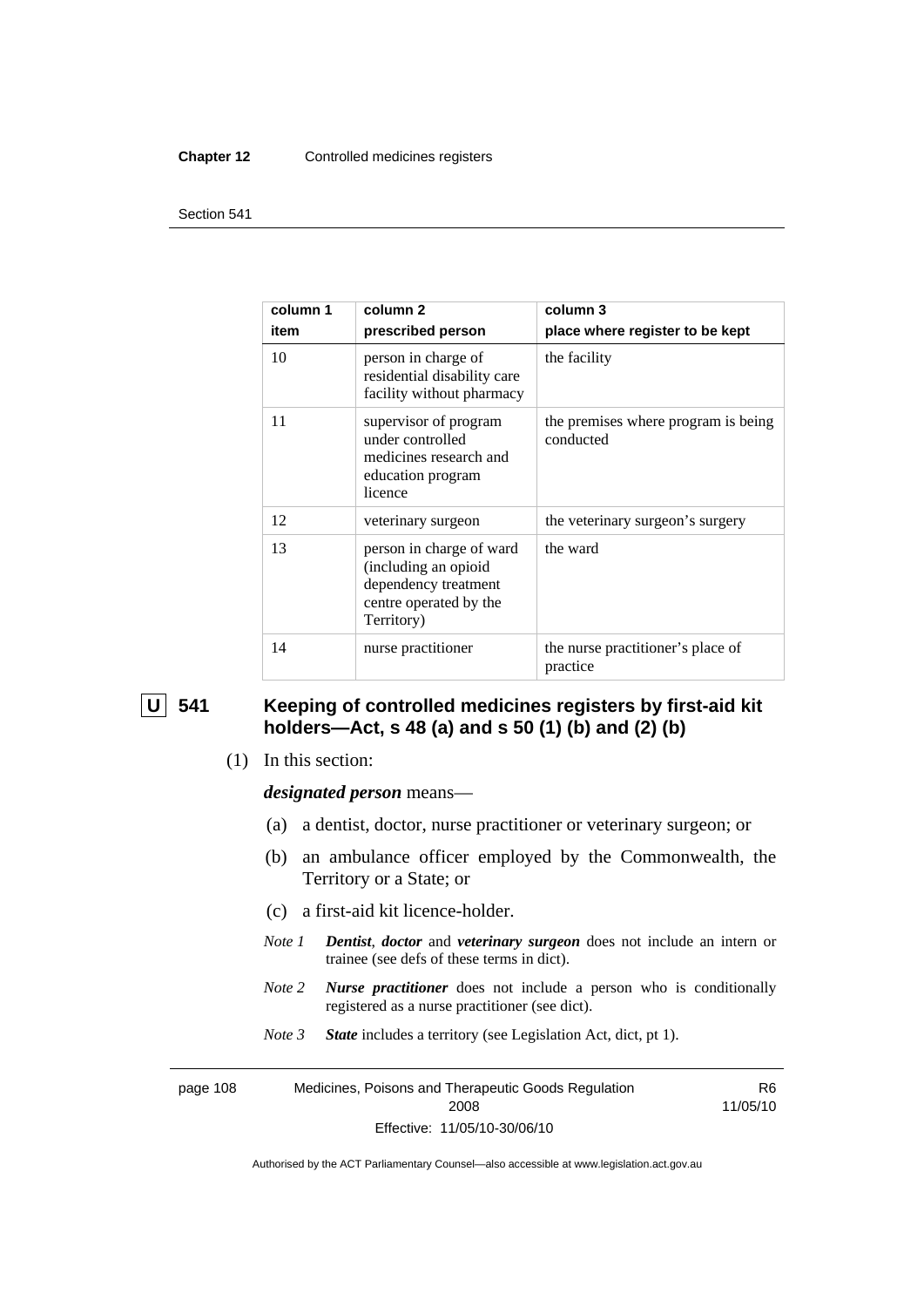#### **Chapter 12** Controlled medicines registers

#### Section 541

| column 1<br>item | column 2<br>prescribed person                                                                                    | column 3<br>place where register to be kept      |
|------------------|------------------------------------------------------------------------------------------------------------------|--------------------------------------------------|
| 10               | person in charge of<br>residential disability care<br>facility without pharmacy                                  | the facility                                     |
| 11               | supervisor of program<br>under controlled<br>medicines research and<br>education program<br>licence              | the premises where program is being<br>conducted |
| 12               | veterinary surgeon                                                                                               | the veterinary surgeon's surgery                 |
| 13               | person in charge of ward<br>(including an opioid<br>dependency treatment<br>centre operated by the<br>Territory) | the ward                                         |
| 14               | nurse practitioner                                                                                               | the nurse practitioner's place of<br>practice    |

### **U** 541 Keeping of controlled medicines registers by first-aid kit **holders—Act, s 48 (a) and s 50 (1) (b) and (2) (b)**

(1) In this section:

*designated person* means—

- (a) a dentist, doctor, nurse practitioner or veterinary surgeon; or
- (b) an ambulance officer employed by the Commonwealth, the Territory or a State; or
- (c) a first-aid kit licence-holder.
- *Note 1 Dentist*, *doctor* and *veterinary surgeon* does not include an intern or trainee (see defs of these terms in dict).
- *Note 2 Nurse practitioner* does not include a person who is conditionally registered as a nurse practitioner (see dict).
- *Note 3 State* includes a territory (see Legislation Act, dict, pt 1).

page 108 Medicines, Poisons and Therapeutic Goods Regulation 2008 Effective: 11/05/10-30/06/10

R6 11/05/10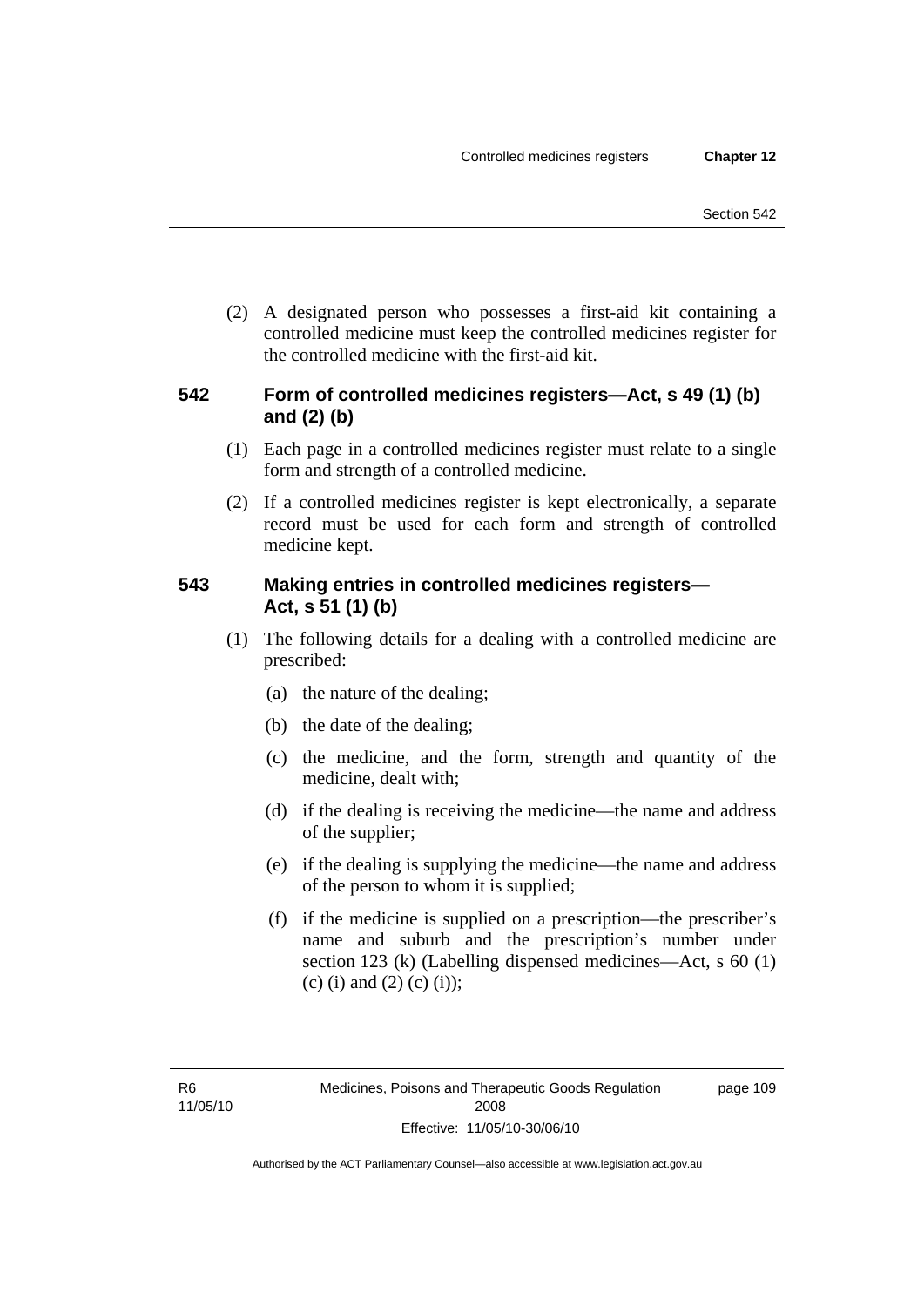(2) A designated person who possesses a first-aid kit containing a controlled medicine must keep the controlled medicines register for the controlled medicine with the first-aid kit.

#### **542 Form of controlled medicines registers—Act, s 49 (1) (b) and (2) (b)**

- (1) Each page in a controlled medicines register must relate to a single form and strength of a controlled medicine.
- (2) If a controlled medicines register is kept electronically, a separate record must be used for each form and strength of controlled medicine kept.

### **543 Making entries in controlled medicines registers— Act, s 51 (1) (b)**

- (1) The following details for a dealing with a controlled medicine are prescribed:
	- (a) the nature of the dealing;
	- (b) the date of the dealing;
	- (c) the medicine, and the form, strength and quantity of the medicine, dealt with;
	- (d) if the dealing is receiving the medicine—the name and address of the supplier;
	- (e) if the dealing is supplying the medicine—the name and address of the person to whom it is supplied;
	- (f) if the medicine is supplied on a prescription—the prescriber's name and suburb and the prescription's number under section 123 (k) (Labelling dispensed medicines—Act, s 60 (1) (c) (i) and (2) (c) (i));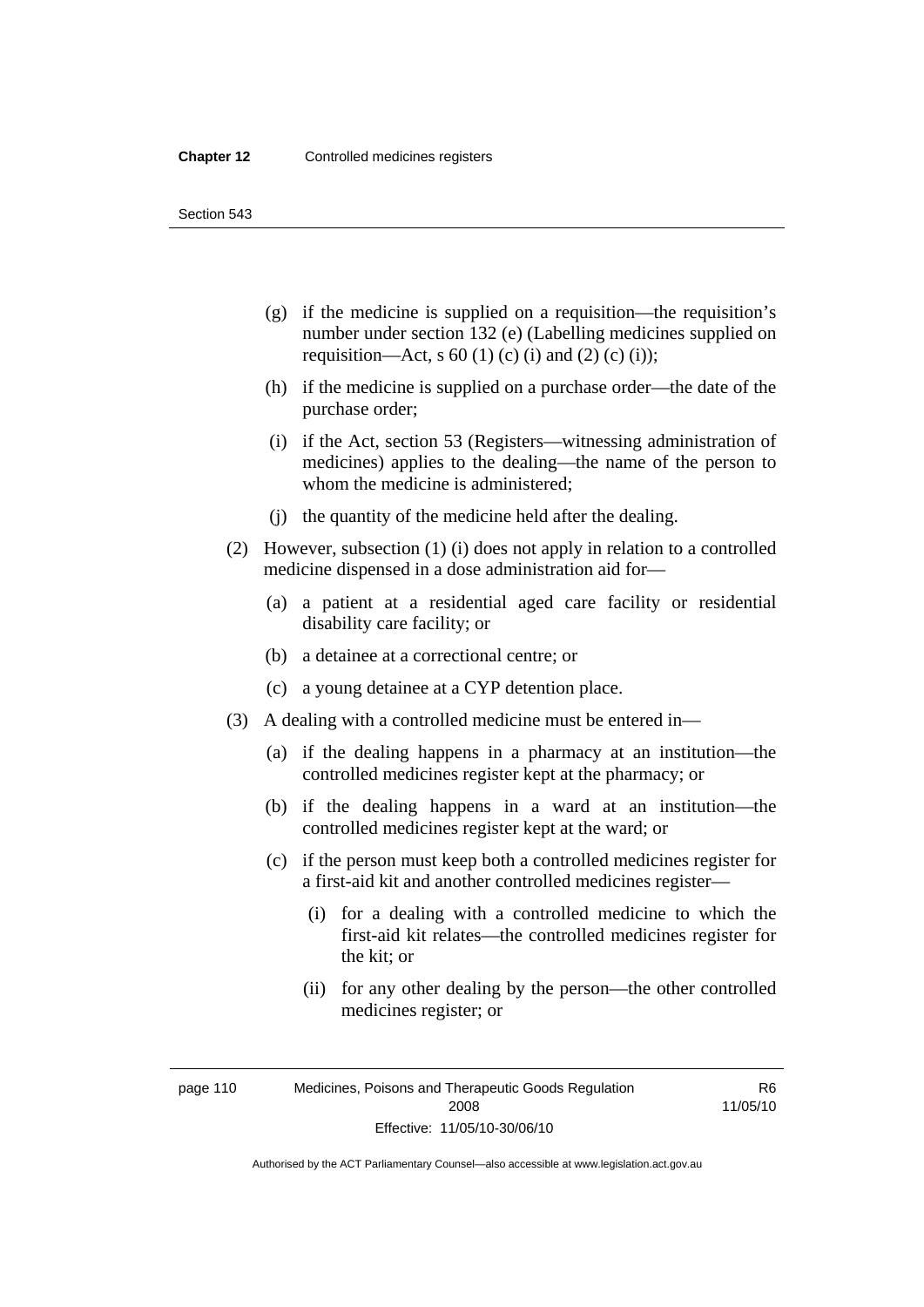Section 543

- (g) if the medicine is supplied on a requisition—the requisition's number under section 132 (e) (Labelling medicines supplied on requisition—Act, s 60 (1) (c) (i) and (2) (c) (i));
- (h) if the medicine is supplied on a purchase order—the date of the purchase order;
- (i) if the Act, section 53 (Registers—witnessing administration of medicines) applies to the dealing—the name of the person to whom the medicine is administered;
- (j) the quantity of the medicine held after the dealing.
- (2) However, subsection (1) (i) does not apply in relation to a controlled medicine dispensed in a dose administration aid for—
	- (a) a patient at a residential aged care facility or residential disability care facility; or
	- (b) a detainee at a correctional centre; or
	- (c) a young detainee at a CYP detention place.
- (3) A dealing with a controlled medicine must be entered in—
	- (a) if the dealing happens in a pharmacy at an institution—the controlled medicines register kept at the pharmacy; or
	- (b) if the dealing happens in a ward at an institution—the controlled medicines register kept at the ward; or
	- (c) if the person must keep both a controlled medicines register for a first-aid kit and another controlled medicines register—
		- (i) for a dealing with a controlled medicine to which the first-aid kit relates—the controlled medicines register for the kit; or
		- (ii) for any other dealing by the person—the other controlled medicines register; or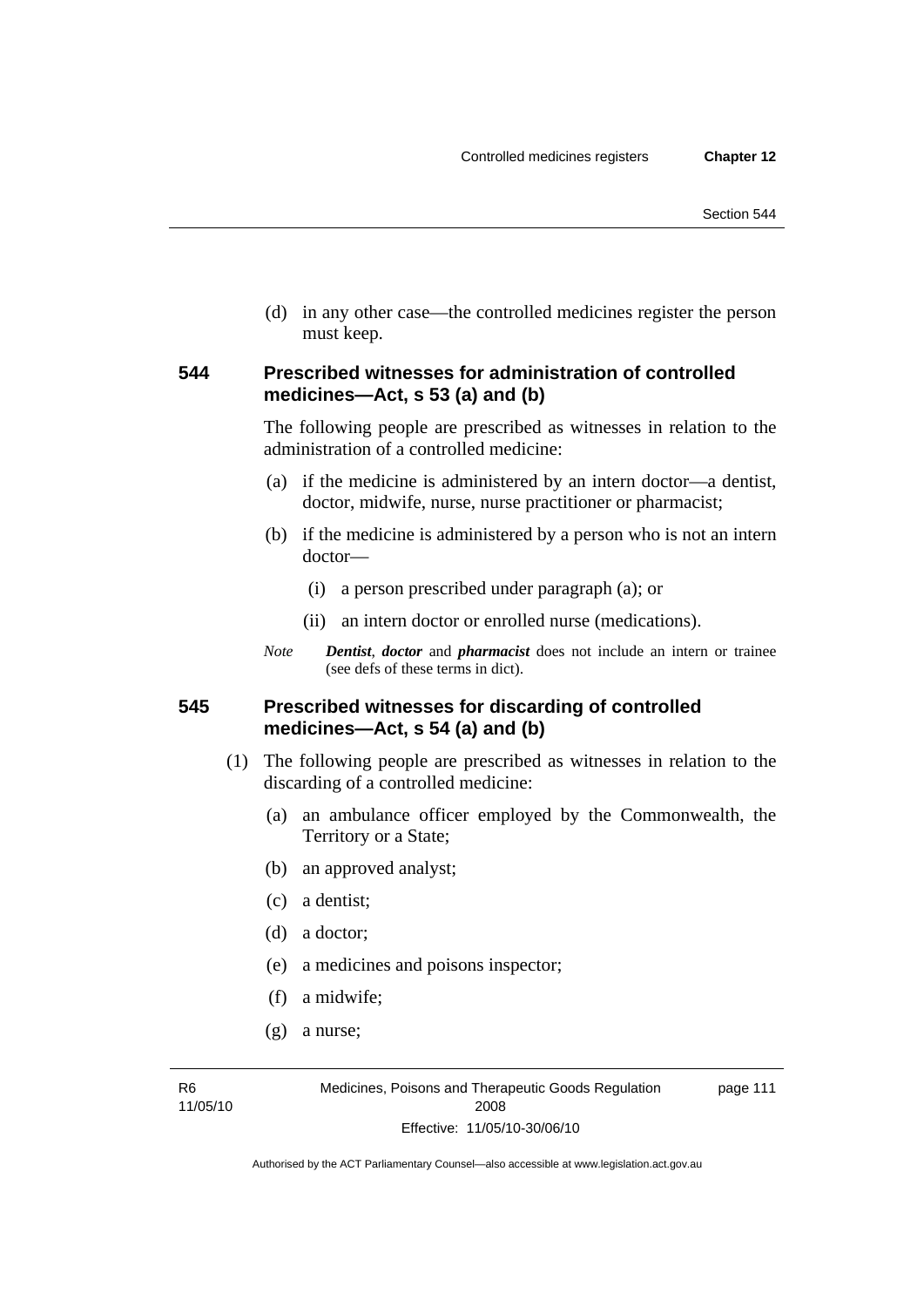(d) in any other case—the controlled medicines register the person must keep.

#### **544 Prescribed witnesses for administration of controlled medicines—Act, s 53 (a) and (b)**

The following people are prescribed as witnesses in relation to the administration of a controlled medicine:

- (a) if the medicine is administered by an intern doctor—a dentist, doctor, midwife, nurse, nurse practitioner or pharmacist;
- (b) if the medicine is administered by a person who is not an intern doctor—
	- (i) a person prescribed under paragraph (a); or
	- (ii) an intern doctor or enrolled nurse (medications).
- *Note Dentist*, *doctor* and *pharmacist* does not include an intern or trainee (see defs of these terms in dict).

#### **545 Prescribed witnesses for discarding of controlled medicines—Act, s 54 (a) and (b)**

- (1) The following people are prescribed as witnesses in relation to the discarding of a controlled medicine:
	- (a) an ambulance officer employed by the Commonwealth, the Territory or a State;
	- (b) an approved analyst;
	- (c) a dentist;
	- (d) a doctor;
	- (e) a medicines and poisons inspector;
	- (f) a midwife;
	- (g) a nurse;

R6 11/05/10 page 111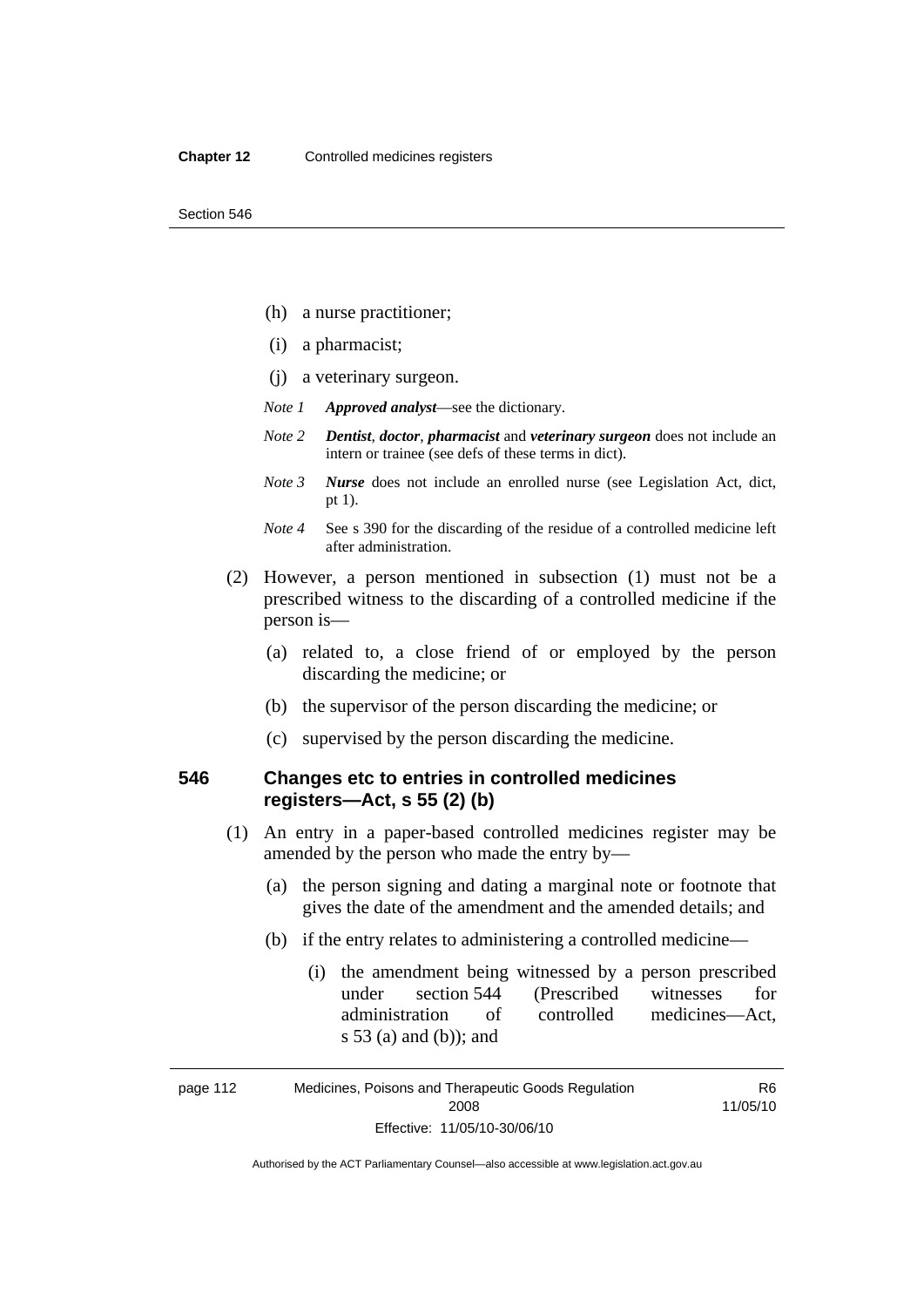- (h) a nurse practitioner;
- (i) a pharmacist;
- (j) a veterinary surgeon.
- *Note 1 Approved analyst*—see the dictionary.
- *Note 2 Dentist*, *doctor*, *pharmacist* and *veterinary surgeon* does not include an intern or trainee (see defs of these terms in dict).
- *Note 3 Nurse* does not include an enrolled nurse (see Legislation Act, dict, pt 1).
- *Note 4* See s 390 for the discarding of the residue of a controlled medicine left after administration.
- (2) However, a person mentioned in subsection (1) must not be a prescribed witness to the discarding of a controlled medicine if the person is—
	- (a) related to, a close friend of or employed by the person discarding the medicine; or
	- (b) the supervisor of the person discarding the medicine; or
	- (c) supervised by the person discarding the medicine.

#### **546 Changes etc to entries in controlled medicines registers—Act, s 55 (2) (b)**

- (1) An entry in a paper-based controlled medicines register may be amended by the person who made the entry by—
	- (a) the person signing and dating a marginal note or footnote that gives the date of the amendment and the amended details; and
	- (b) if the entry relates to administering a controlled medicine—
		- (i) the amendment being witnessed by a person prescribed under section 544 (Prescribed witnesses for administration of controlled medicines—Act, s 53 (a) and (b)); and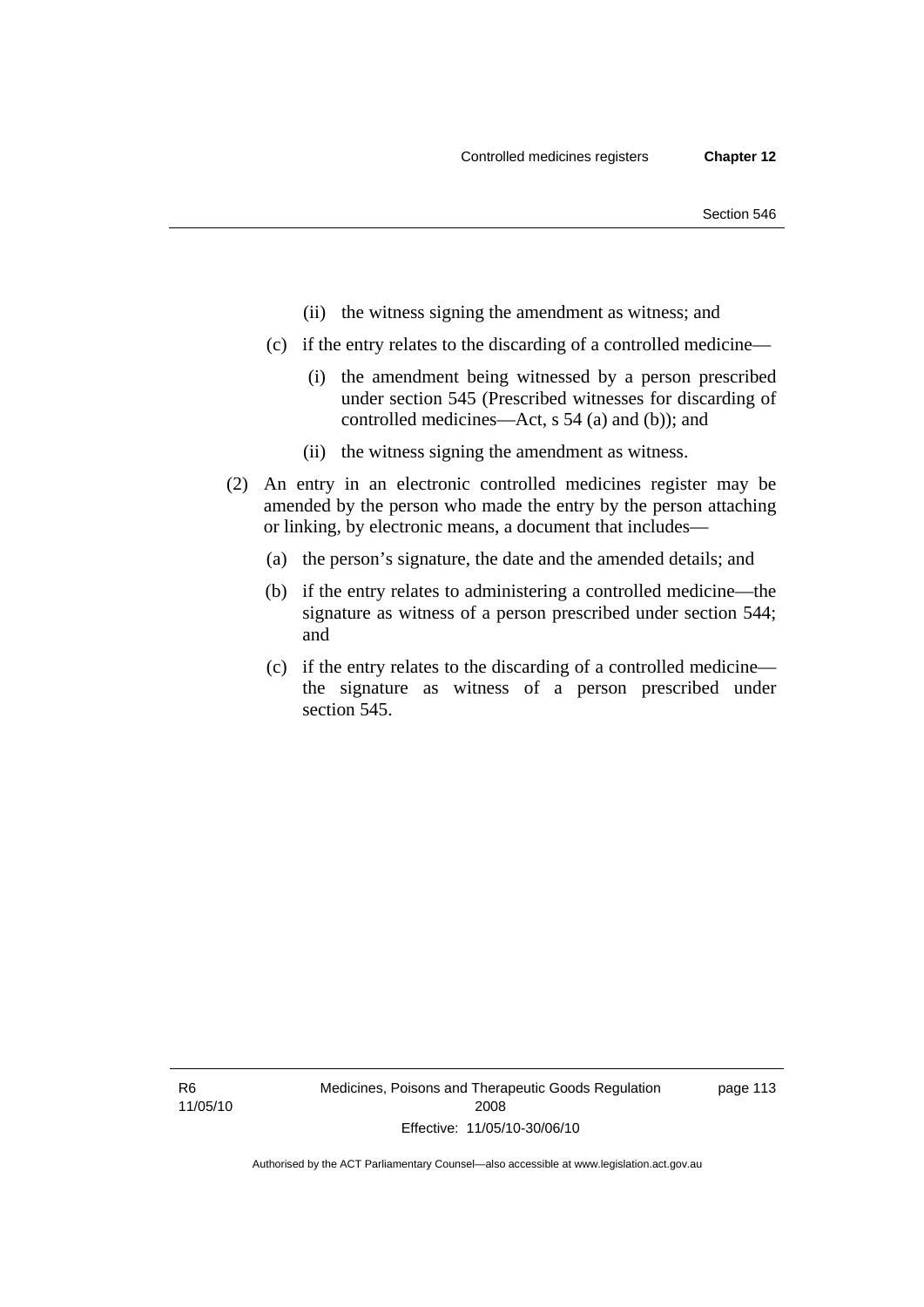- (ii) the witness signing the amendment as witness; and
- (c) if the entry relates to the discarding of a controlled medicine—
	- (i) the amendment being witnessed by a person prescribed under section 545 (Prescribed witnesses for discarding of controlled medicines—Act, s 54 (a) and (b)); and
	- (ii) the witness signing the amendment as witness.
- (2) An entry in an electronic controlled medicines register may be amended by the person who made the entry by the person attaching or linking, by electronic means, a document that includes—
	- (a) the person's signature, the date and the amended details; and
	- (b) if the entry relates to administering a controlled medicine—the signature as witness of a person prescribed under section 544; and
	- (c) if the entry relates to the discarding of a controlled medicine the signature as witness of a person prescribed under section 545.

R6 11/05/10 page 113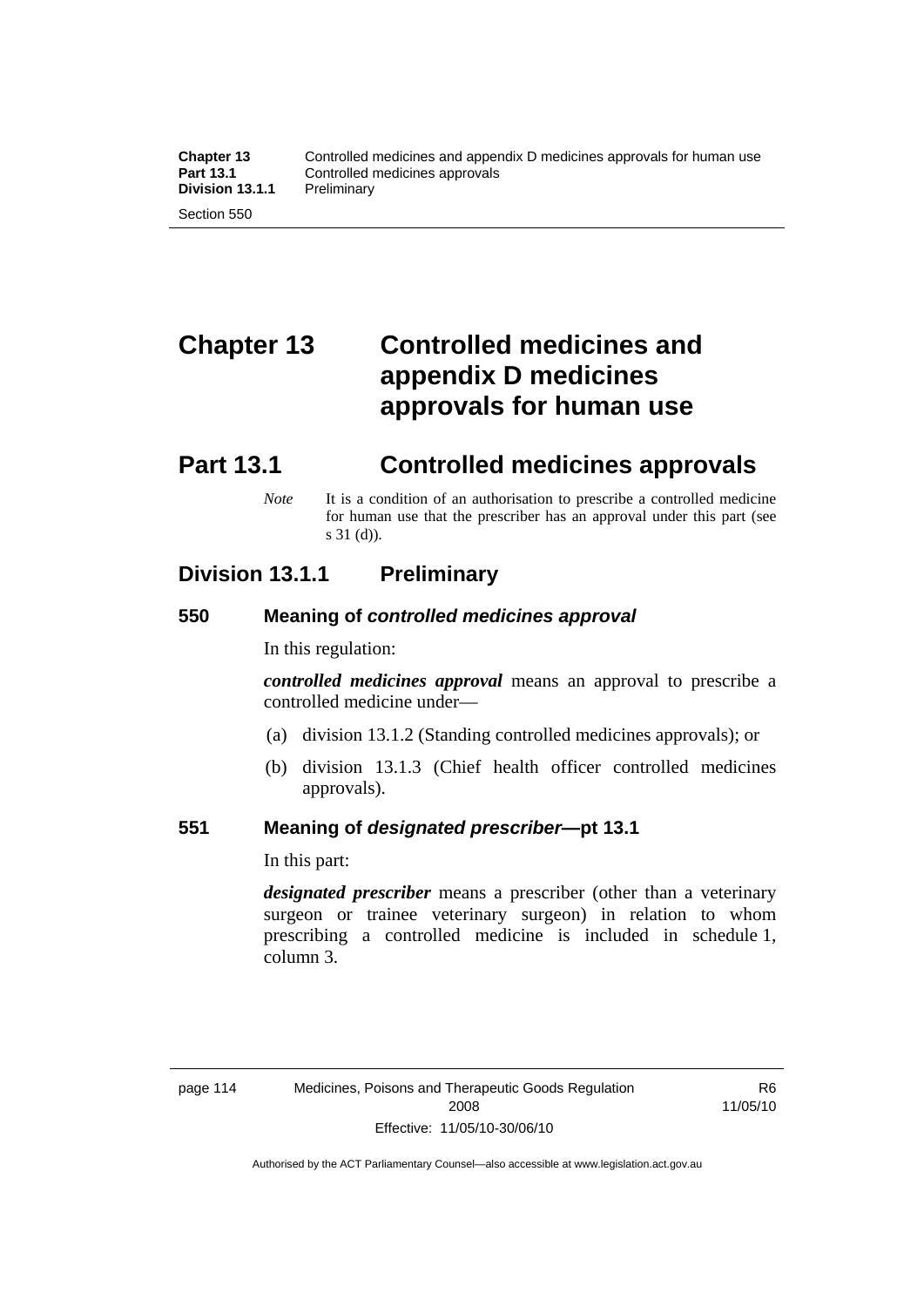# **Chapter 13 Controlled medicines and appendix D medicines approvals for human use**

# **Part 13.1 Controlled medicines approvals**

*Note* It is a condition of an authorisation to prescribe a controlled medicine for human use that the prescriber has an approval under this part (see s 31 (d)).

### **Division 13.1.1 Preliminary**

#### **550 Meaning of** *controlled medicines approval*

In this regulation:

*controlled medicines approval* means an approval to prescribe a controlled medicine under—

- (a) division 13.1.2 (Standing controlled medicines approvals); or
- (b) division 13.1.3 (Chief health officer controlled medicines approvals).

#### **551 Meaning of** *designated prescriber***—pt 13.1**

In this part:

*designated prescriber* means a prescriber (other than a veterinary surgeon or trainee veterinary surgeon) in relation to whom prescribing a controlled medicine is included in schedule 1, column 3.

R6 11/05/10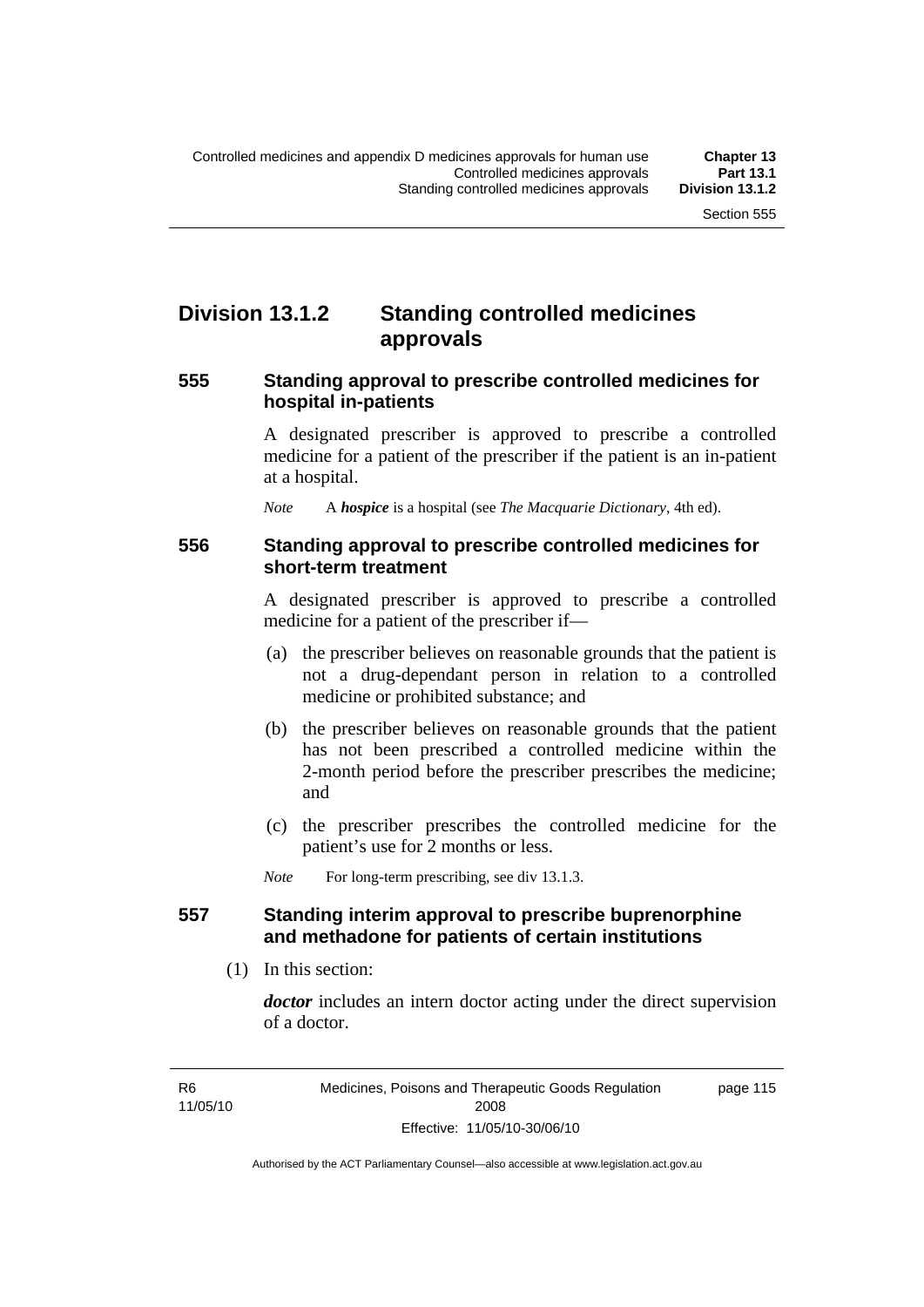# **Division 13.1.2 Standing controlled medicines approvals**

#### **555 Standing approval to prescribe controlled medicines for hospital in-patients**

A designated prescriber is approved to prescribe a controlled medicine for a patient of the prescriber if the patient is an in-patient at a hospital.

*Note* A *hospice* is a hospital (see *The Macquarie Dictionary*, 4th ed).

#### **556 Standing approval to prescribe controlled medicines for short-term treatment**

A designated prescriber is approved to prescribe a controlled medicine for a patient of the prescriber if—

- (a) the prescriber believes on reasonable grounds that the patient is not a drug-dependant person in relation to a controlled medicine or prohibited substance; and
- (b) the prescriber believes on reasonable grounds that the patient has not been prescribed a controlled medicine within the 2-month period before the prescriber prescribes the medicine; and
- (c) the prescriber prescribes the controlled medicine for the patient's use for 2 months or less.

*Note* For long-term prescribing, see div 13.1.3.

#### **557 Standing interim approval to prescribe buprenorphine and methadone for patients of certain institutions**

(1) In this section:

*doctor* includes an intern doctor acting under the direct supervision of a doctor.

page 115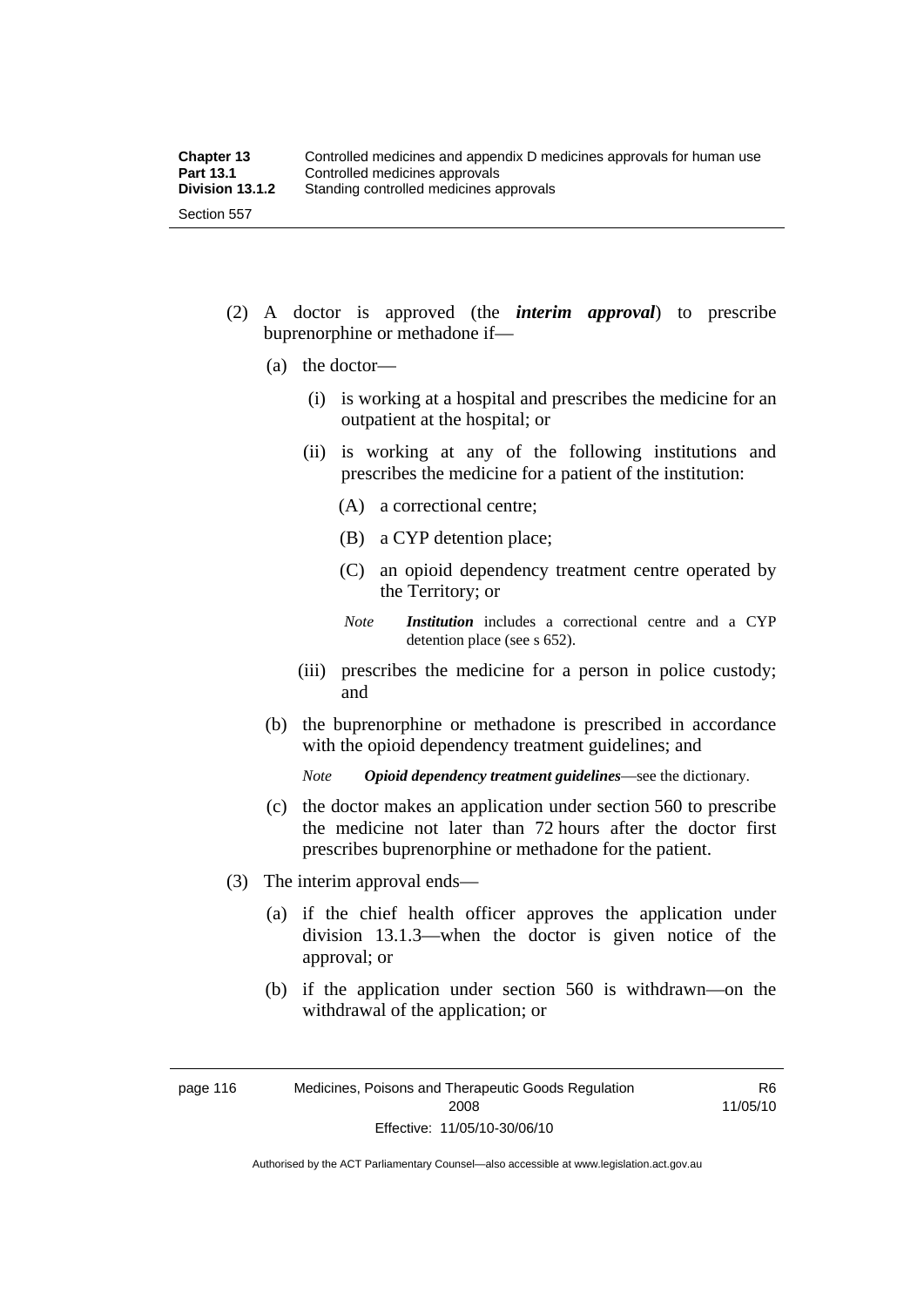- (2) A doctor is approved (the *interim approval*) to prescribe buprenorphine or methadone if—
	- (a) the doctor—
		- (i) is working at a hospital and prescribes the medicine for an outpatient at the hospital; or
		- (ii) is working at any of the following institutions and prescribes the medicine for a patient of the institution:
			- (A) a correctional centre;
			- (B) a CYP detention place;
			- (C) an opioid dependency treatment centre operated by the Territory; or
			- *Note Institution* includes a correctional centre and a CYP detention place (see s 652).
		- (iii) prescribes the medicine for a person in police custody; and
	- (b) the buprenorphine or methadone is prescribed in accordance with the opioid dependency treatment guidelines; and

*Note Opioid dependency treatment guidelines*—see the dictionary.

- (c) the doctor makes an application under section 560 to prescribe the medicine not later than 72 hours after the doctor first prescribes buprenorphine or methadone for the patient.
- (3) The interim approval ends—
	- (a) if the chief health officer approves the application under division 13.1.3—when the doctor is given notice of the approval; or
	- (b) if the application under section 560 is withdrawn—on the withdrawal of the application; or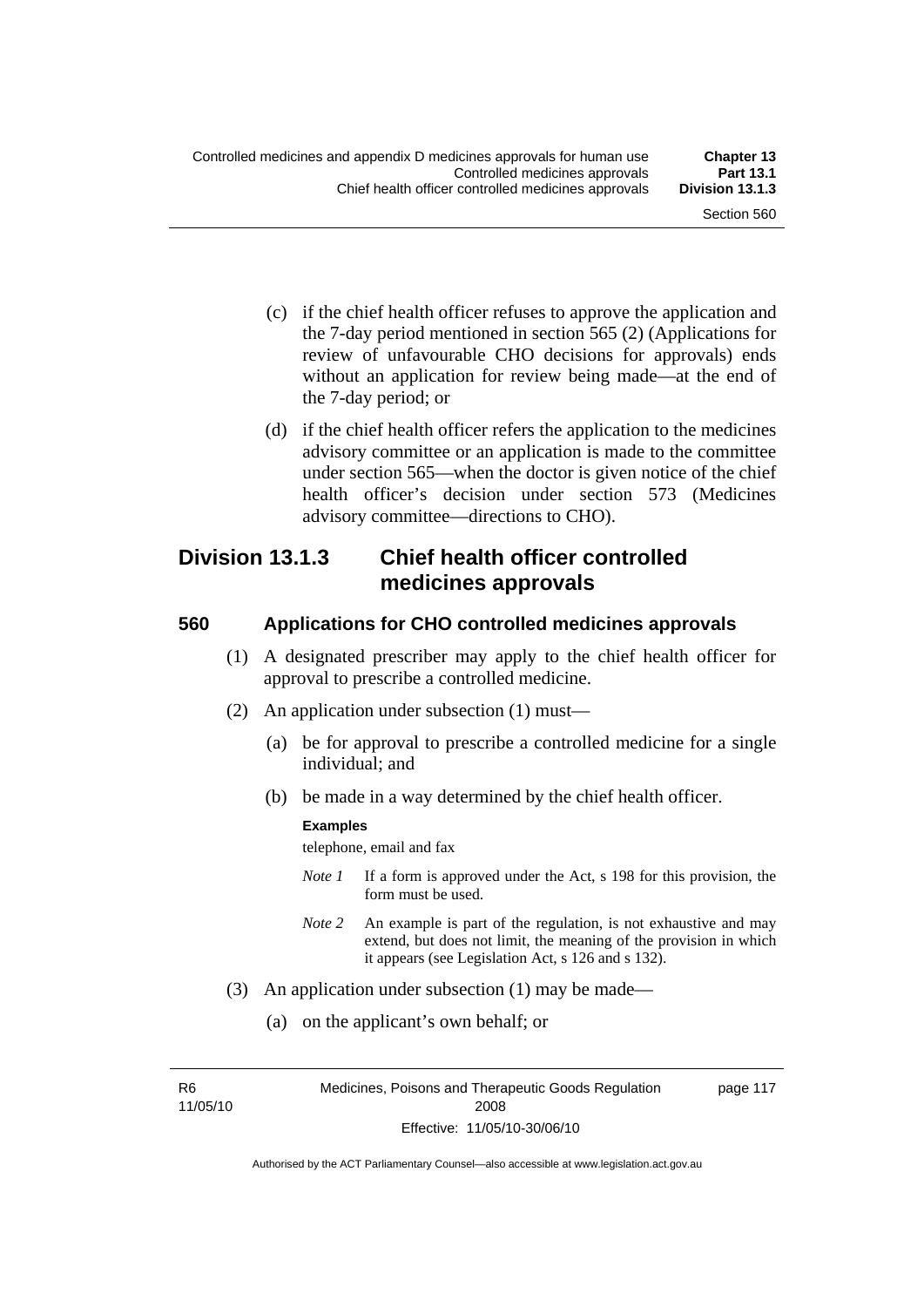- (c) if the chief health officer refuses to approve the application and the 7-day period mentioned in section 565 (2) (Applications for review of unfavourable CHO decisions for approvals) ends without an application for review being made—at the end of the 7-day period; or
- (d) if the chief health officer refers the application to the medicines advisory committee or an application is made to the committee under section 565—when the doctor is given notice of the chief health officer's decision under section 573 (Medicines advisory committee—directions to CHO).

### **Division 13.1.3 Chief health officer controlled medicines approvals**

#### **560 Applications for CHO controlled medicines approvals**

- (1) A designated prescriber may apply to the chief health officer for approval to prescribe a controlled medicine.
- (2) An application under subsection (1) must—
	- (a) be for approval to prescribe a controlled medicine for a single individual; and
	- (b) be made in a way determined by the chief health officer.

#### **Examples**

telephone, email and fax

- *Note 1* If a form is approved under the Act, s 198 for this provision, the form must be used.
- *Note 2* An example is part of the regulation, is not exhaustive and may extend, but does not limit, the meaning of the provision in which it appears (see Legislation Act, s 126 and s 132).
- (3) An application under subsection (1) may be made—
	- (a) on the applicant's own behalf; or

R6 11/05/10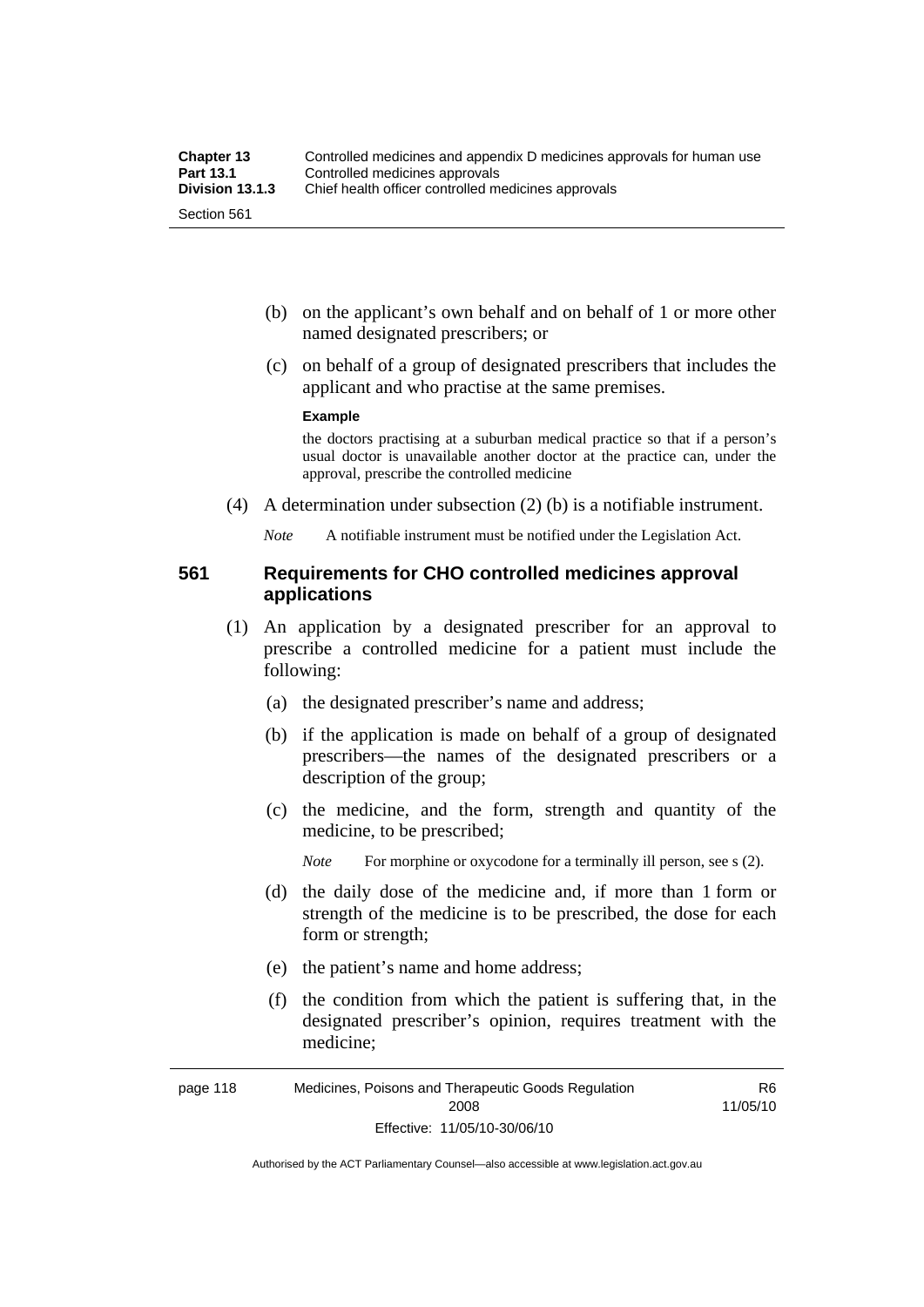- (b) on the applicant's own behalf and on behalf of 1 or more other named designated prescribers; or
- (c) on behalf of a group of designated prescribers that includes the applicant and who practise at the same premises.

#### **Example**

the doctors practising at a suburban medical practice so that if a person's usual doctor is unavailable another doctor at the practice can, under the approval, prescribe the controlled medicine

(4) A determination under subsection (2) (b) is a notifiable instrument.

*Note* A notifiable instrument must be notified under the Legislation Act.

#### **561 Requirements for CHO controlled medicines approval applications**

- (1) An application by a designated prescriber for an approval to prescribe a controlled medicine for a patient must include the following:
	- (a) the designated prescriber's name and address;
	- (b) if the application is made on behalf of a group of designated prescribers—the names of the designated prescribers or a description of the group;
	- (c) the medicine, and the form, strength and quantity of the medicine, to be prescribed;

*Note* For morphine or oxycodone for a terminally ill person, see s (2).

- (d) the daily dose of the medicine and, if more than 1 form or strength of the medicine is to be prescribed, the dose for each form or strength;
- (e) the patient's name and home address;
- (f) the condition from which the patient is suffering that, in the designated prescriber's opinion, requires treatment with the medicine;

R6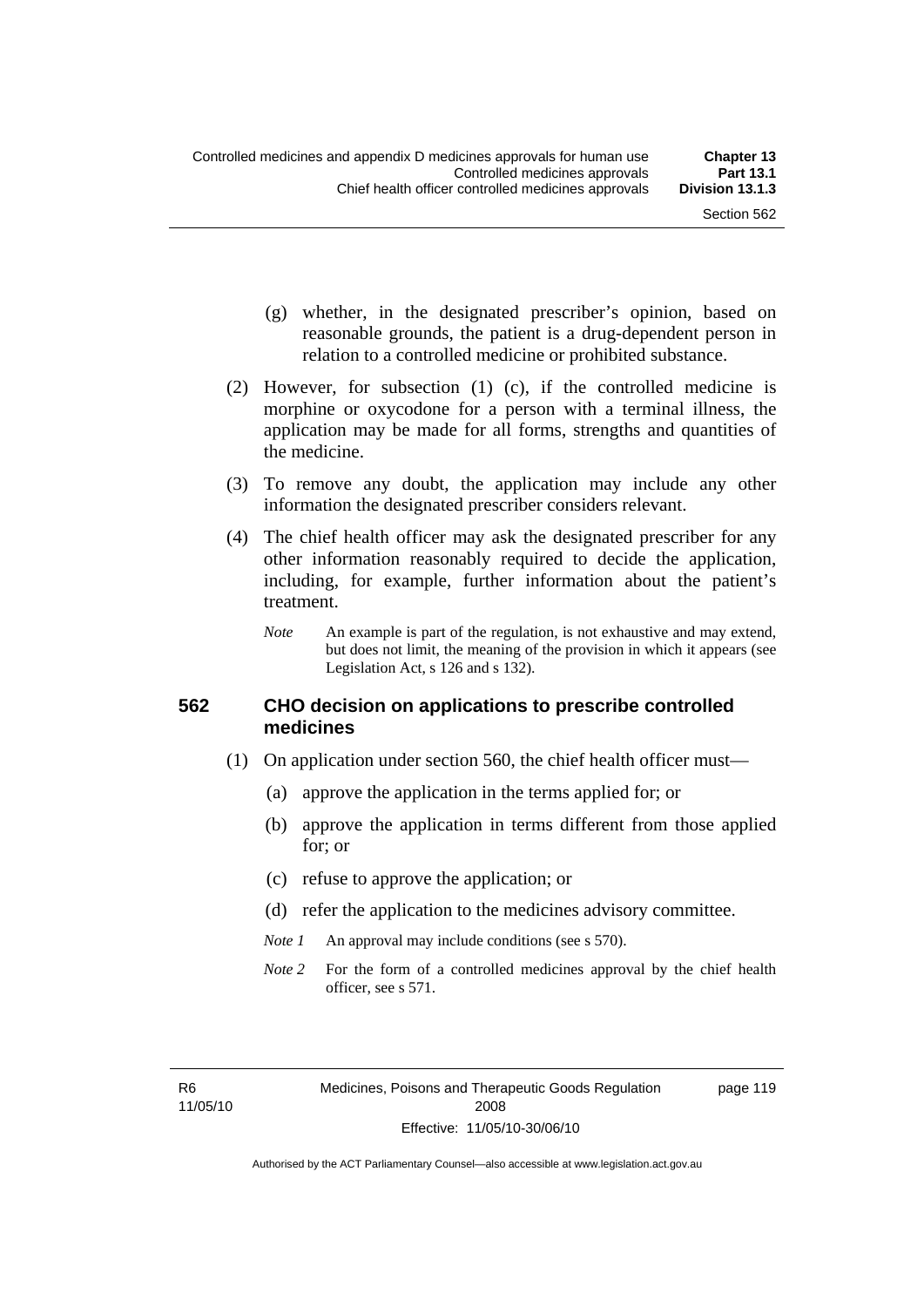page 119

- (g) whether, in the designated prescriber's opinion, based on reasonable grounds, the patient is a drug-dependent person in relation to a controlled medicine or prohibited substance.
- (2) However, for subsection (1) (c), if the controlled medicine is morphine or oxycodone for a person with a terminal illness, the application may be made for all forms, strengths and quantities of the medicine.
- (3) To remove any doubt, the application may include any other information the designated prescriber considers relevant.
- (4) The chief health officer may ask the designated prescriber for any other information reasonably required to decide the application, including, for example, further information about the patient's treatment.
	- *Note* An example is part of the regulation, is not exhaustive and may extend, but does not limit, the meaning of the provision in which it appears (see Legislation Act, s 126 and s 132).

#### **562 CHO decision on applications to prescribe controlled medicines**

- (1) On application under section 560, the chief health officer must—
	- (a) approve the application in the terms applied for; or
	- (b) approve the application in terms different from those applied for; or
	- (c) refuse to approve the application; or
	- (d) refer the application to the medicines advisory committee.
	- *Note 1* An approval may include conditions (see s 570).
	- *Note* 2 For the form of a controlled medicines approval by the chief health officer, see s 571.

R6 11/05/10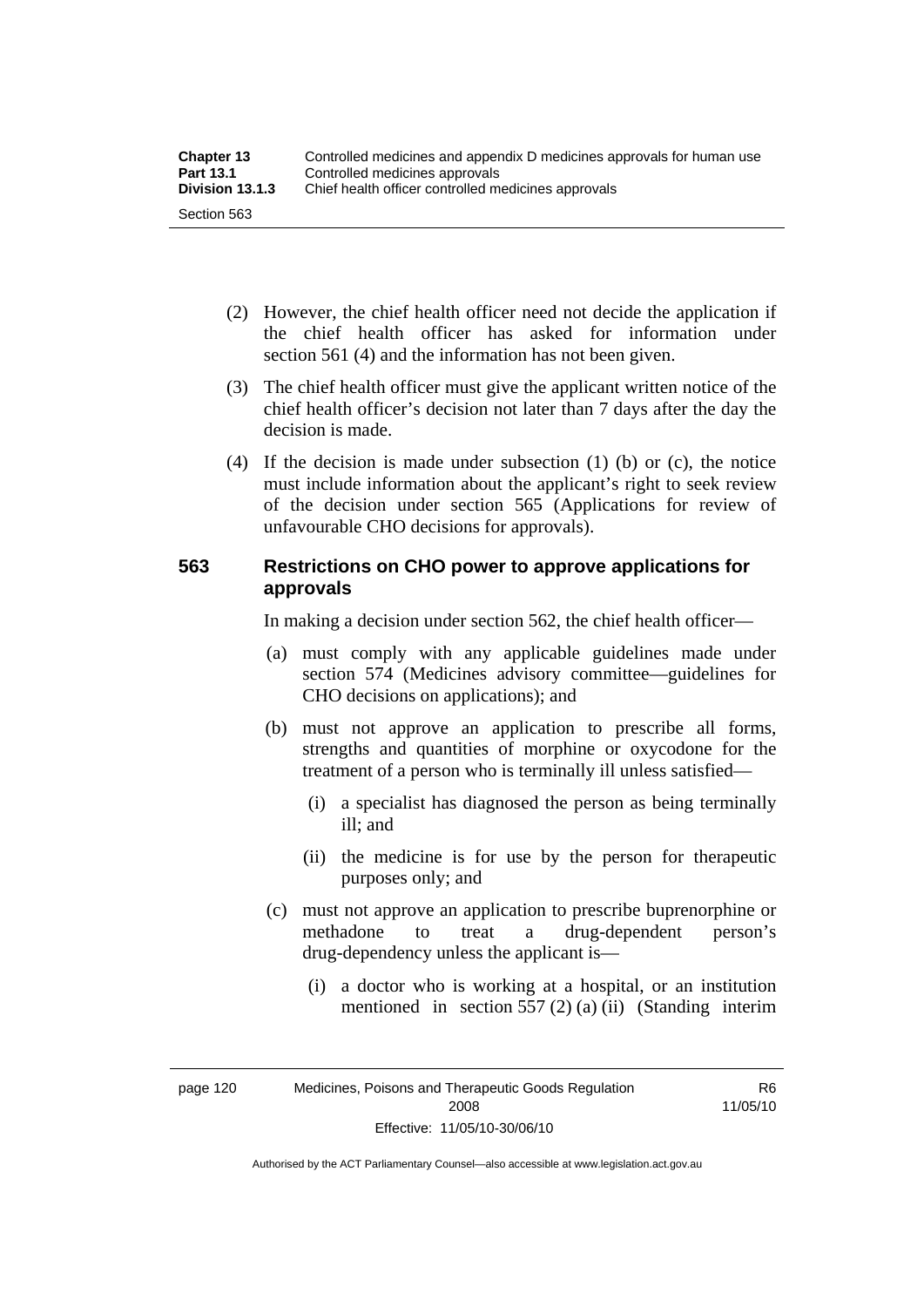| <b>Chapter 13</b> | Controlled medicines and appendix D medicines approvals for human use |  |
|-------------------|-----------------------------------------------------------------------|--|
| <b>Part 13.1</b>  | Controlled medicines approvals                                        |  |
| Division 13.1.3   | Chief health officer controlled medicines approvals                   |  |
| Section 563       |                                                                       |  |

- (2) However, the chief health officer need not decide the application if the chief health officer has asked for information under section 561 (4) and the information has not been given.
- (3) The chief health officer must give the applicant written notice of the chief health officer's decision not later than 7 days after the day the decision is made.
- (4) If the decision is made under subsection (1) (b) or (c), the notice must include information about the applicant's right to seek review of the decision under section 565 (Applications for review of unfavourable CHO decisions for approvals).

#### **563 Restrictions on CHO power to approve applications for approvals**

In making a decision under section 562, the chief health officer—

- (a) must comply with any applicable guidelines made under section 574 (Medicines advisory committee—guidelines for CHO decisions on applications); and
- (b) must not approve an application to prescribe all forms, strengths and quantities of morphine or oxycodone for the treatment of a person who is terminally ill unless satisfied—
	- (i) a specialist has diagnosed the person as being terminally ill; and
	- (ii) the medicine is for use by the person for therapeutic purposes only; and
- (c) must not approve an application to prescribe buprenorphine or methadone to treat a drug-dependent person's drug-dependency unless the applicant is—
	- (i) a doctor who is working at a hospital, or an institution mentioned in section 557 (2) (a) (ii) (Standing interim

R6 11/05/10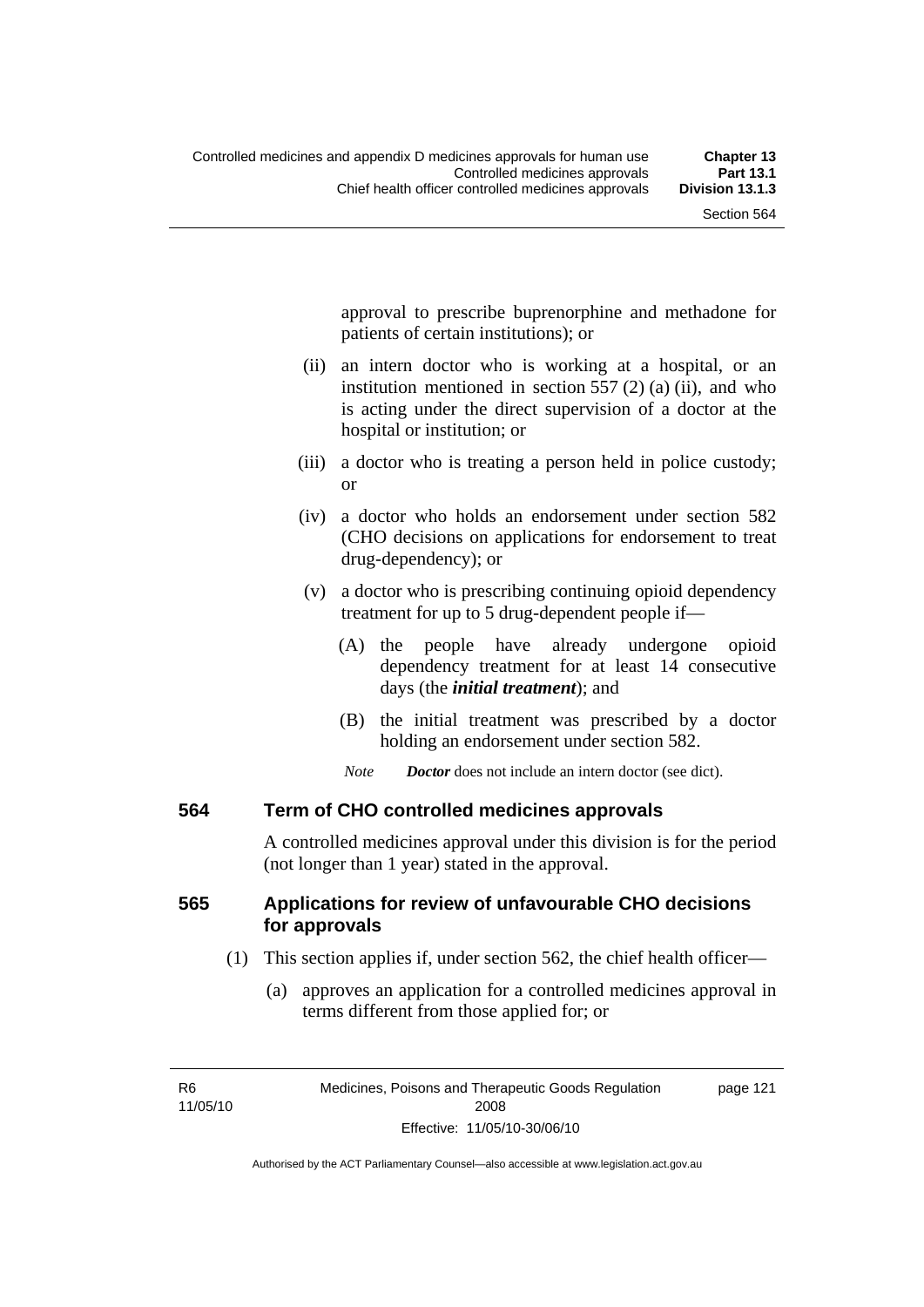approval to prescribe buprenorphine and methadone for patients of certain institutions); or

- (ii) an intern doctor who is working at a hospital, or an institution mentioned in section 557 (2) (a) (ii), and who is acting under the direct supervision of a doctor at the hospital or institution; or
- (iii) a doctor who is treating a person held in police custody; or
- (iv) a doctor who holds an endorsement under section 582 (CHO decisions on applications for endorsement to treat drug-dependency); or
- (v) a doctor who is prescribing continuing opioid dependency treatment for up to 5 drug-dependent people if—
	- (A) the people have already undergone opioid dependency treatment for at least 14 consecutive days (the *initial treatment*); and
	- (B) the initial treatment was prescribed by a doctor holding an endorsement under section 582.
	- *Note Doctor* does not include an intern doctor (see dict).

#### **564 Term of CHO controlled medicines approvals**

A controlled medicines approval under this division is for the period (not longer than 1 year) stated in the approval.

### **565 Applications for review of unfavourable CHO decisions for approvals**

- (1) This section applies if, under section 562, the chief health officer—
	- (a) approves an application for a controlled medicines approval in terms different from those applied for; or

page 121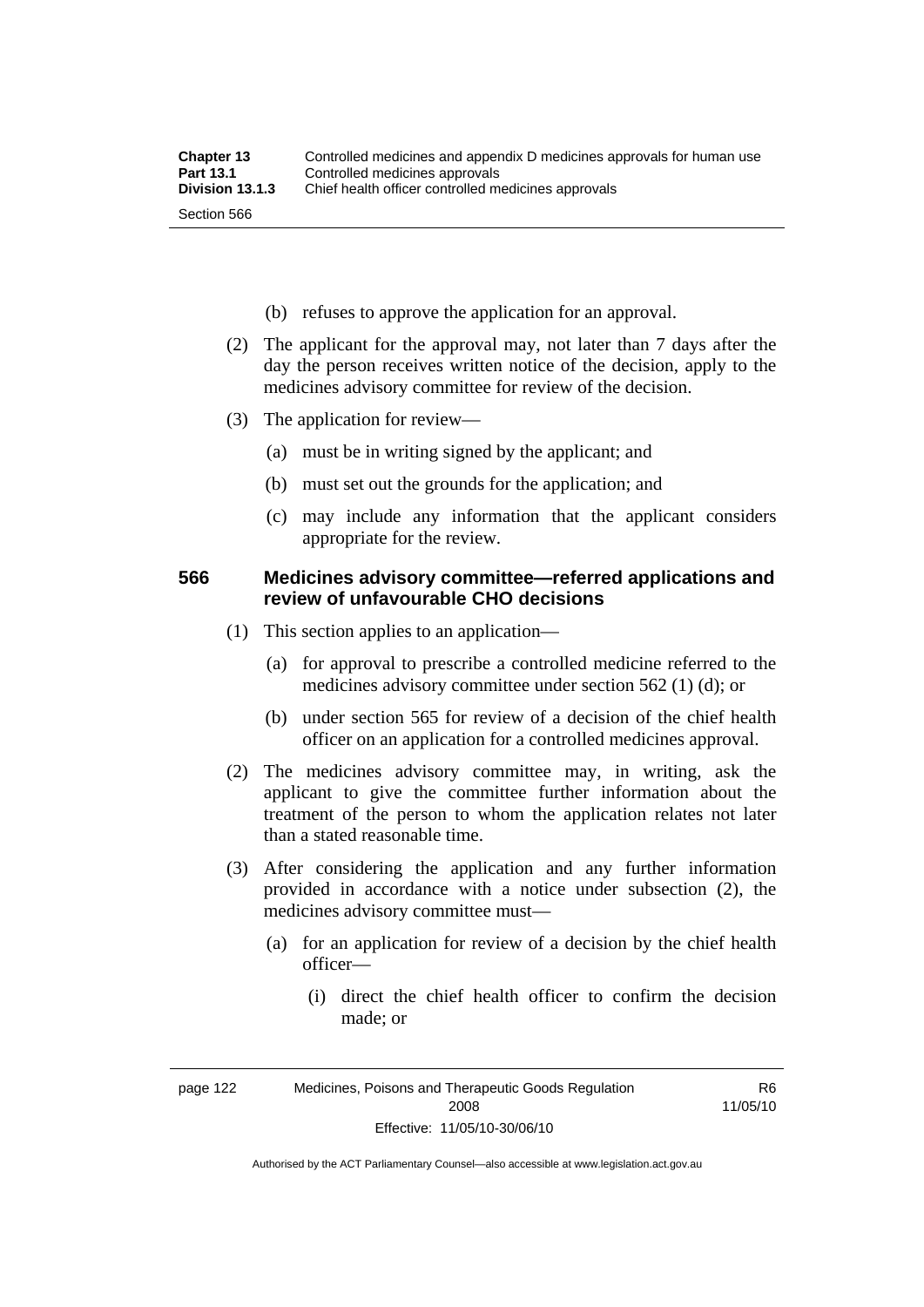- (b) refuses to approve the application for an approval.
- (2) The applicant for the approval may, not later than 7 days after the day the person receives written notice of the decision, apply to the medicines advisory committee for review of the decision.
- (3) The application for review—
	- (a) must be in writing signed by the applicant; and
	- (b) must set out the grounds for the application; and
	- (c) may include any information that the applicant considers appropriate for the review.

#### **566 Medicines advisory committee—referred applications and review of unfavourable CHO decisions**

- (1) This section applies to an application—
	- (a) for approval to prescribe a controlled medicine referred to the medicines advisory committee under section 562 (1) (d); or
	- (b) under section 565 for review of a decision of the chief health officer on an application for a controlled medicines approval.
- (2) The medicines advisory committee may, in writing, ask the applicant to give the committee further information about the treatment of the person to whom the application relates not later than a stated reasonable time.
- (3) After considering the application and any further information provided in accordance with a notice under subsection (2), the medicines advisory committee must—
	- (a) for an application for review of a decision by the chief health officer—
		- (i) direct the chief health officer to confirm the decision made; or

R6 11/05/10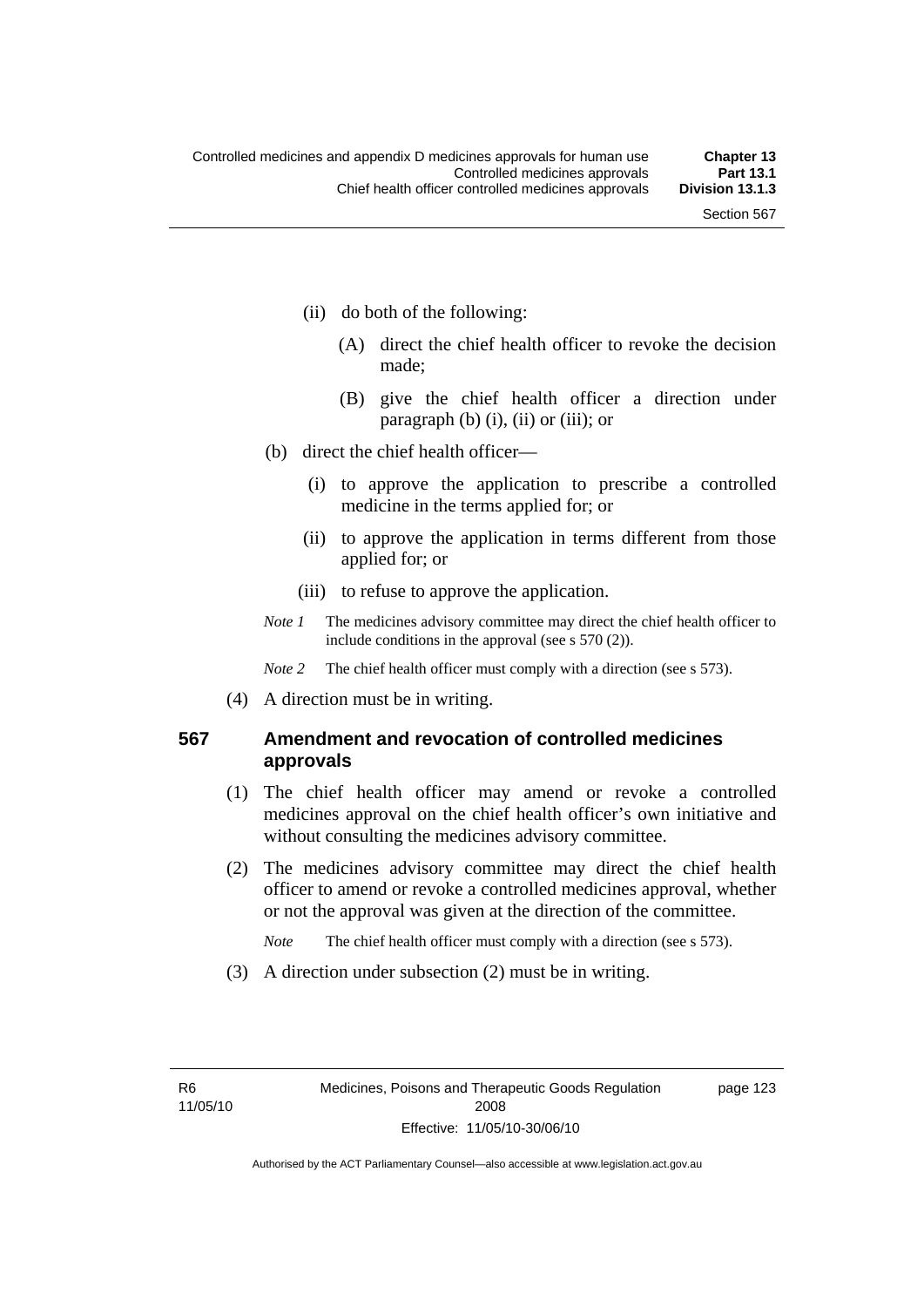- (ii) do both of the following:
	- (A) direct the chief health officer to revoke the decision made;
	- (B) give the chief health officer a direction under paragraph  $(b)$   $(i)$ ,  $(ii)$  or  $(iii)$ ; or
- (b) direct the chief health officer—
	- (i) to approve the application to prescribe a controlled medicine in the terms applied for; or
	- (ii) to approve the application in terms different from those applied for; or
	- (iii) to refuse to approve the application.
- *Note 1* The medicines advisory committee may direct the chief health officer to include conditions in the approval (see s 570 (2)).

*Note* 2 The chief health officer must comply with a direction (see s 573).

(4) A direction must be in writing.

### **567 Amendment and revocation of controlled medicines approvals**

- (1) The chief health officer may amend or revoke a controlled medicines approval on the chief health officer's own initiative and without consulting the medicines advisory committee.
- (2) The medicines advisory committee may direct the chief health officer to amend or revoke a controlled medicines approval, whether or not the approval was given at the direction of the committee.

*Note* The chief health officer must comply with a direction (see s 573).

(3) A direction under subsection (2) must be in writing.

page 123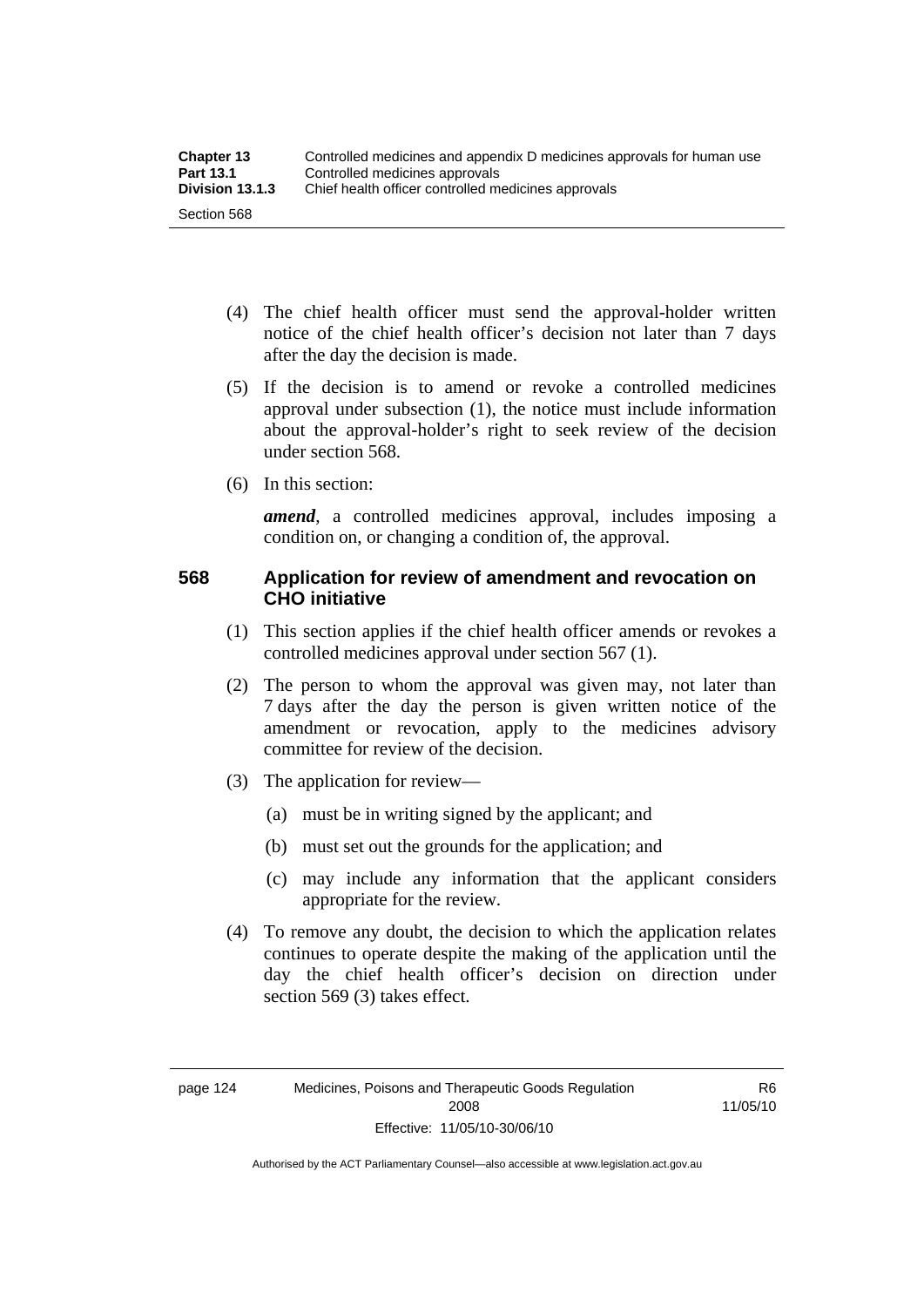- (4) The chief health officer must send the approval-holder written notice of the chief health officer's decision not later than 7 days after the day the decision is made.
- (5) If the decision is to amend or revoke a controlled medicines approval under subsection (1), the notice must include information about the approval-holder's right to seek review of the decision under section 568.
- (6) In this section:

*amend*, a controlled medicines approval, includes imposing a condition on, or changing a condition of, the approval.

### **568 Application for review of amendment and revocation on CHO initiative**

- (1) This section applies if the chief health officer amends or revokes a controlled medicines approval under section 567 (1).
- (2) The person to whom the approval was given may, not later than 7 days after the day the person is given written notice of the amendment or revocation, apply to the medicines advisory committee for review of the decision.
- (3) The application for review—
	- (a) must be in writing signed by the applicant; and
	- (b) must set out the grounds for the application; and
	- (c) may include any information that the applicant considers appropriate for the review.
- (4) To remove any doubt, the decision to which the application relates continues to operate despite the making of the application until the day the chief health officer's decision on direction under section 569 (3) takes effect.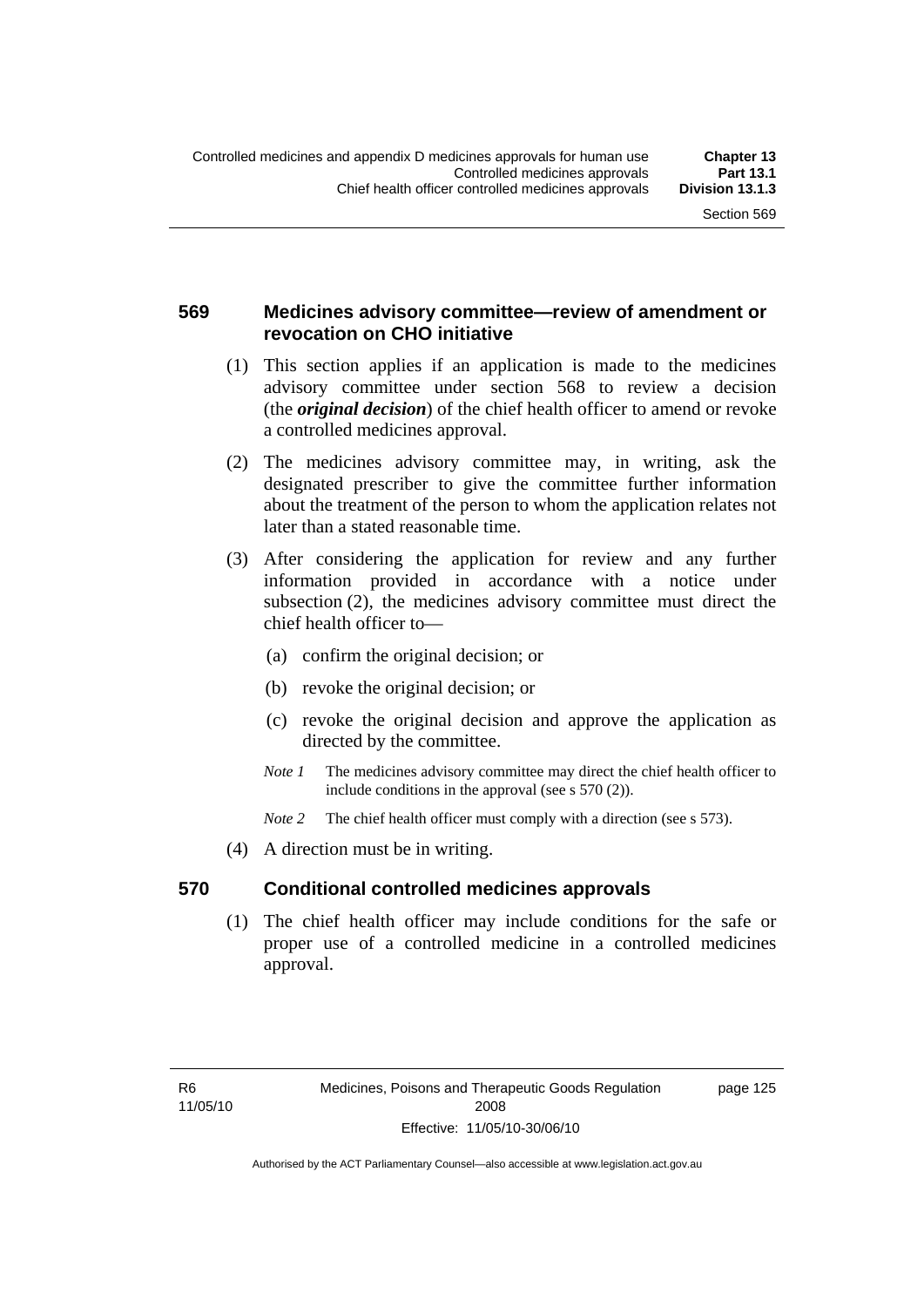### **569 Medicines advisory committee—review of amendment or revocation on CHO initiative**

- (1) This section applies if an application is made to the medicines advisory committee under section 568 to review a decision (the *original decision*) of the chief health officer to amend or revoke a controlled medicines approval.
- (2) The medicines advisory committee may, in writing, ask the designated prescriber to give the committee further information about the treatment of the person to whom the application relates not later than a stated reasonable time.
- (3) After considering the application for review and any further information provided in accordance with a notice under subsection (2), the medicines advisory committee must direct the chief health officer to—
	- (a) confirm the original decision; or
	- (b) revoke the original decision; or
	- (c) revoke the original decision and approve the application as directed by the committee.
	- *Note 1* The medicines advisory committee may direct the chief health officer to include conditions in the approval (see s 570 (2)).
	- *Note* 2 The chief health officer must comply with a direction (see s 573).
- (4) A direction must be in writing.

#### **570 Conditional controlled medicines approvals**

 (1) The chief health officer may include conditions for the safe or proper use of a controlled medicine in a controlled medicines approval.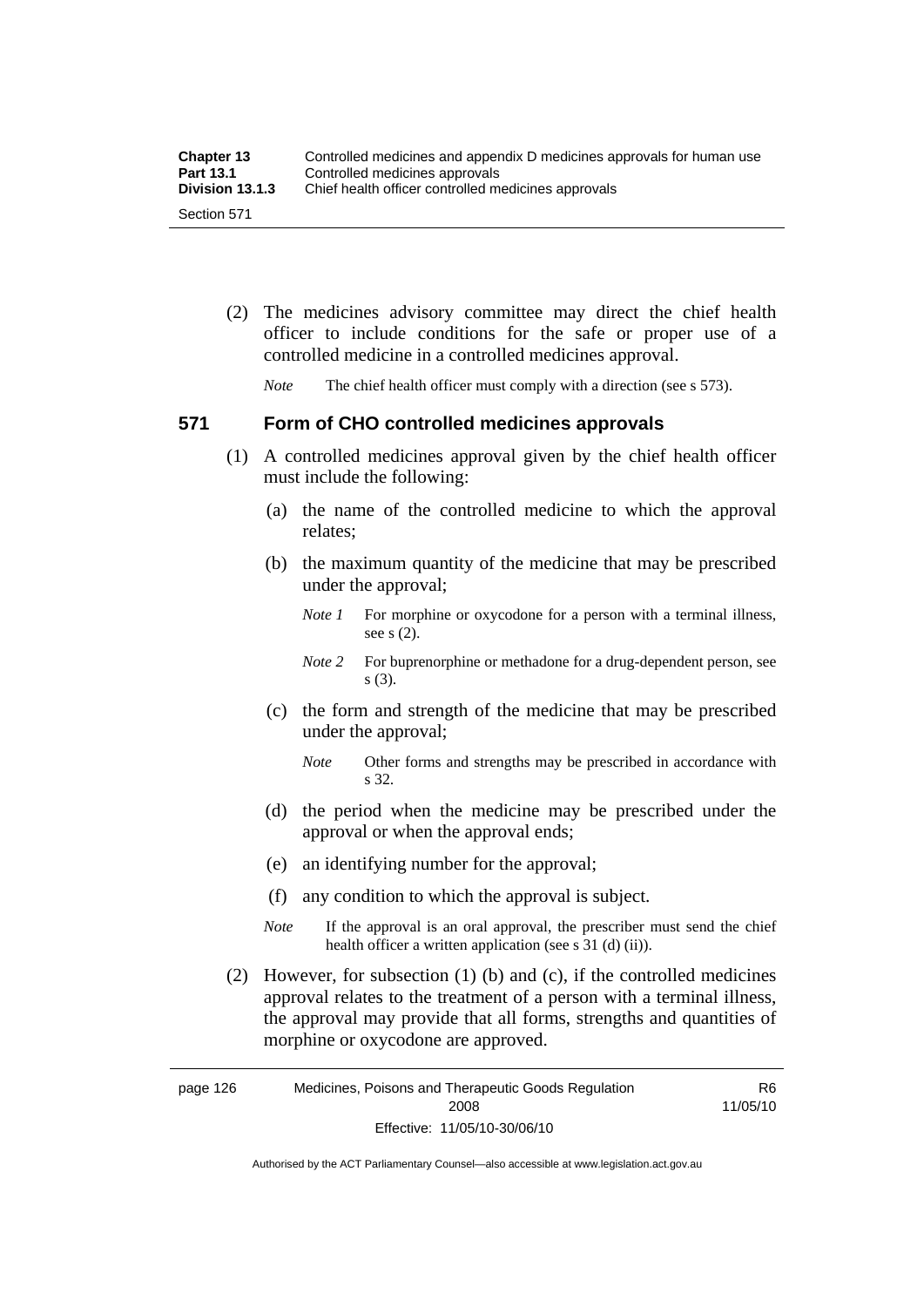| <b>Chapter 13</b> | Controlled medicines and appendix D medicines approvals for human use |
|-------------------|-----------------------------------------------------------------------|
| <b>Part 13.1</b>  | Controlled medicines approvals                                        |
| Division 13.1.3   | Chief health officer controlled medicines approvals                   |
| Section 571       |                                                                       |

 (2) The medicines advisory committee may direct the chief health officer to include conditions for the safe or proper use of a controlled medicine in a controlled medicines approval.

*Note* The chief health officer must comply with a direction (see s 573).

### **571 Form of CHO controlled medicines approvals**

- (1) A controlled medicines approval given by the chief health officer must include the following:
	- (a) the name of the controlled medicine to which the approval relates;
	- (b) the maximum quantity of the medicine that may be prescribed under the approval;
		- *Note 1* For morphine or oxycodone for a person with a terminal illness, see s (2).
		- *Note* 2 For buprenorphine or methadone for a drug-dependent person, see s (3).
	- (c) the form and strength of the medicine that may be prescribed under the approval;
		- *Note* Other forms and strengths may be prescribed in accordance with s 32.
	- (d) the period when the medicine may be prescribed under the approval or when the approval ends;
	- (e) an identifying number for the approval;
	- (f) any condition to which the approval is subject.
	- *Note* If the approval is an oral approval, the prescriber must send the chief health officer a written application (see s  $31$  (d) (ii)).
- (2) However, for subsection (1) (b) and (c), if the controlled medicines approval relates to the treatment of a person with a terminal illness, the approval may provide that all forms, strengths and quantities of morphine or oxycodone are approved.

page 126 Medicines, Poisons and Therapeutic Goods Regulation 2008 Effective: 11/05/10-30/06/10 R6 11/05/10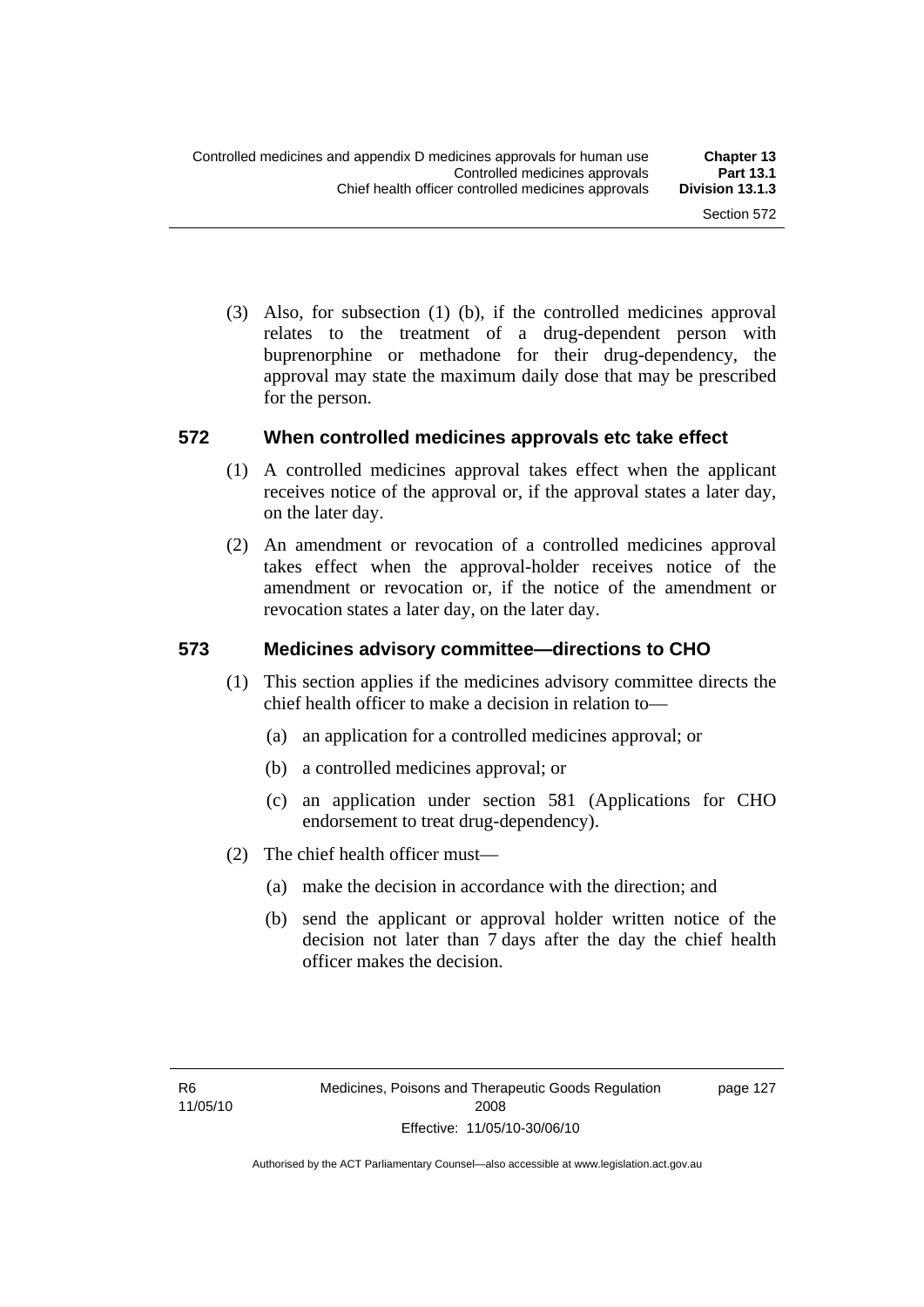(3) Also, for subsection (1) (b), if the controlled medicines approval relates to the treatment of a drug-dependent person with buprenorphine or methadone for their drug-dependency, the approval may state the maximum daily dose that may be prescribed for the person.

#### **572 When controlled medicines approvals etc take effect**

- (1) A controlled medicines approval takes effect when the applicant receives notice of the approval or, if the approval states a later day, on the later day.
- (2) An amendment or revocation of a controlled medicines approval takes effect when the approval-holder receives notice of the amendment or revocation or, if the notice of the amendment or revocation states a later day, on the later day.

#### **573 Medicines advisory committee—directions to CHO**

- (1) This section applies if the medicines advisory committee directs the chief health officer to make a decision in relation to—
	- (a) an application for a controlled medicines approval; or
	- (b) a controlled medicines approval; or
	- (c) an application under section 581 (Applications for CHO endorsement to treat drug-dependency).
- (2) The chief health officer must—
	- (a) make the decision in accordance with the direction; and
	- (b) send the applicant or approval holder written notice of the decision not later than 7 days after the day the chief health officer makes the decision.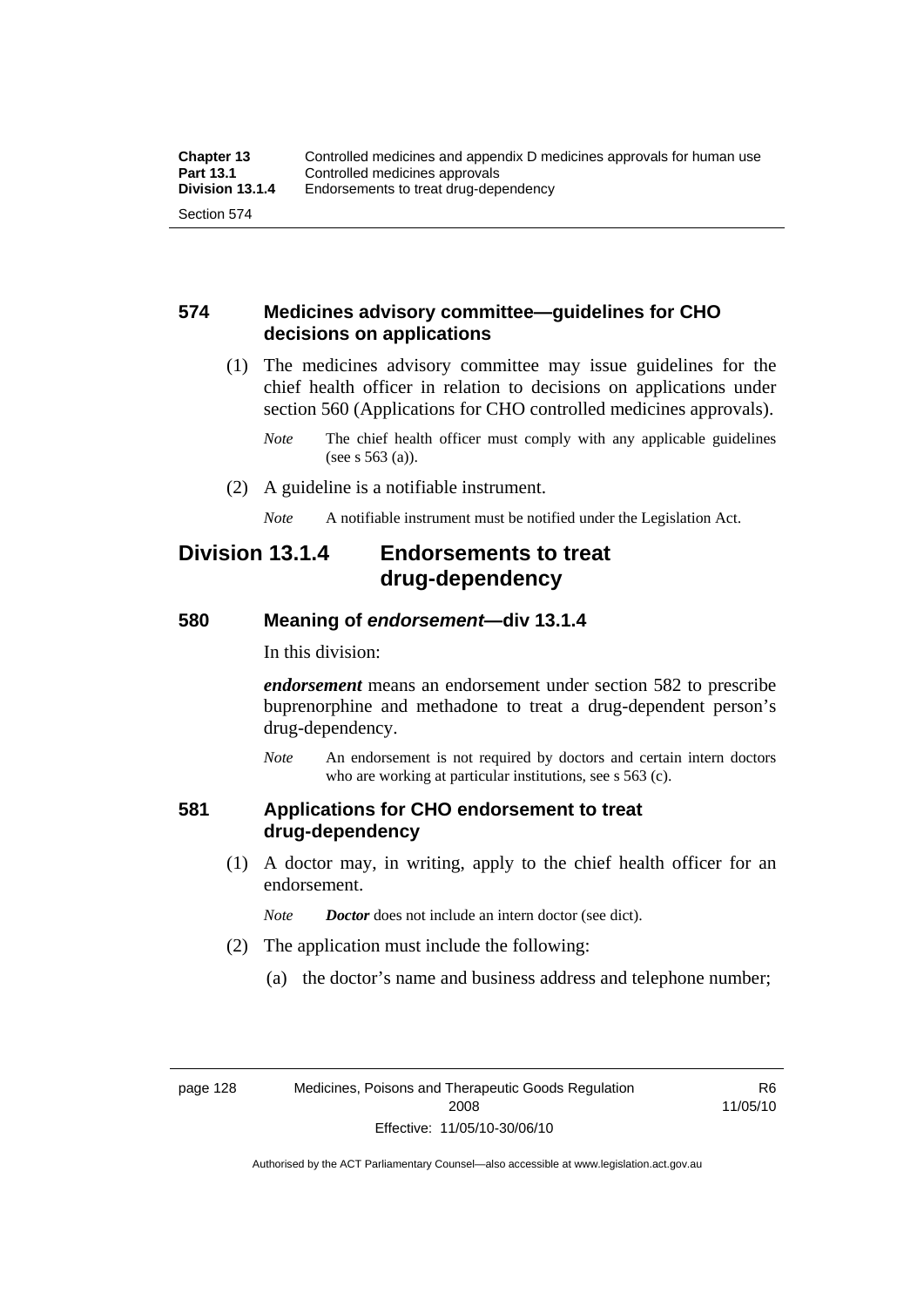#### **574 Medicines advisory committee—guidelines for CHO decisions on applications**

 (1) The medicines advisory committee may issue guidelines for the chief health officer in relation to decisions on applications under section 560 (Applications for CHO controlled medicines approvals).

- (2) A guideline is a notifiable instrument.
	- *Note* A notifiable instrument must be notified under the Legislation Act.

## **Division 13.1.4 Endorsements to treat drug-dependency**

#### **580 Meaning of** *endorsement***—div 13.1.4**

In this division:

*endorsement* means an endorsement under section 582 to prescribe buprenorphine and methadone to treat a drug-dependent person's drug-dependency.

*Note* An endorsement is not required by doctors and certain intern doctors who are working at particular institutions, see s 563 (c).

#### **581 Applications for CHO endorsement to treat drug-dependency**

 (1) A doctor may, in writing, apply to the chief health officer for an endorsement.

*Note Doctor* does not include an intern doctor (see dict).

- (2) The application must include the following:
	- (a) the doctor's name and business address and telephone number;

R6 11/05/10

*Note* The chief health officer must comply with any applicable guidelines (see s 563 (a)).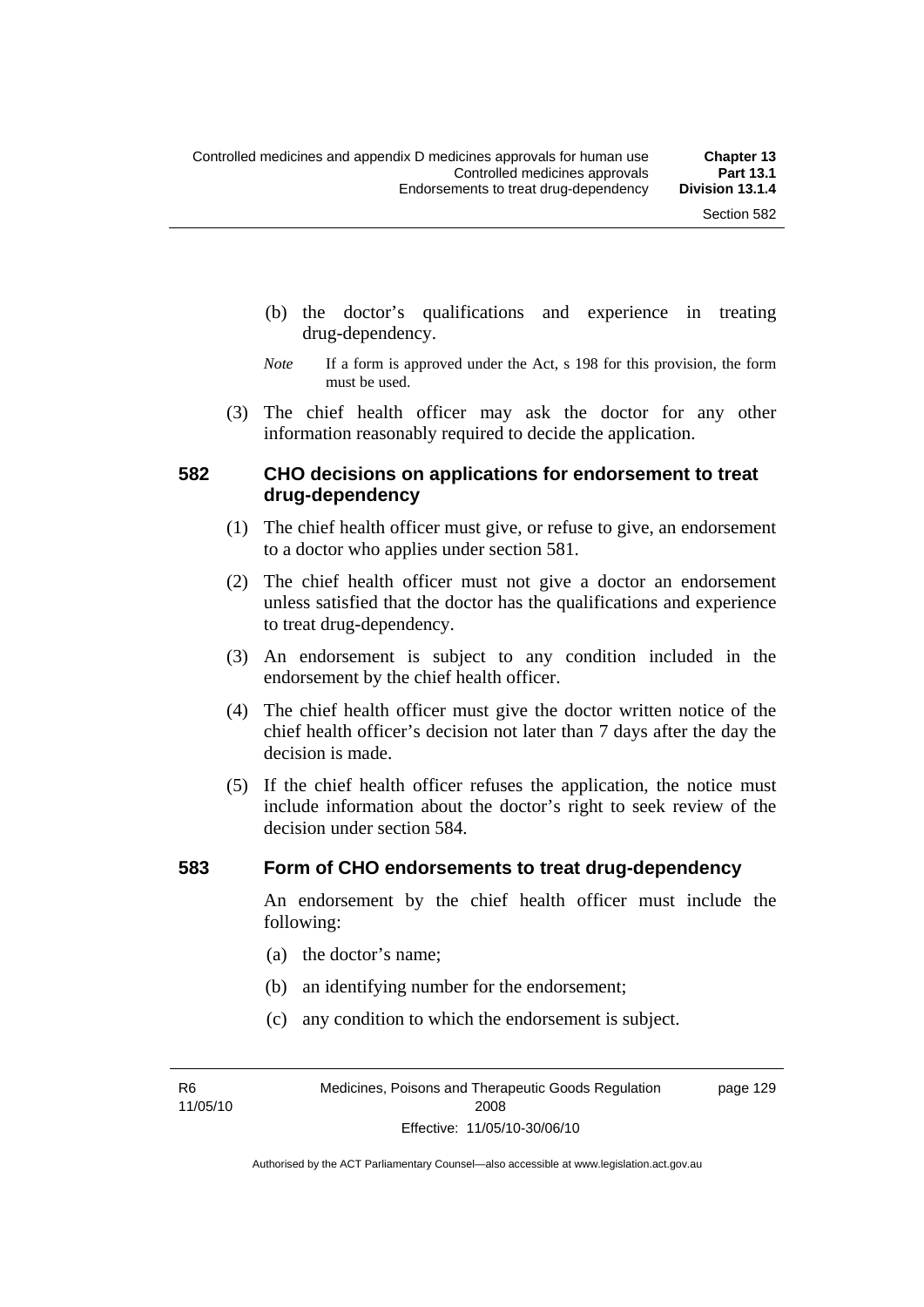- (b) the doctor's qualifications and experience in treating drug-dependency.
- *Note* If a form is approved under the Act, s 198 for this provision, the form must be used.
- (3) The chief health officer may ask the doctor for any other information reasonably required to decide the application.

#### **582 CHO decisions on applications for endorsement to treat drug-dependency**

- (1) The chief health officer must give, or refuse to give, an endorsement to a doctor who applies under section 581.
- (2) The chief health officer must not give a doctor an endorsement unless satisfied that the doctor has the qualifications and experience to treat drug-dependency.
- (3) An endorsement is subject to any condition included in the endorsement by the chief health officer.
- (4) The chief health officer must give the doctor written notice of the chief health officer's decision not later than 7 days after the day the decision is made.
- (5) If the chief health officer refuses the application, the notice must include information about the doctor's right to seek review of the decision under section 584.

#### **583 Form of CHO endorsements to treat drug-dependency**

An endorsement by the chief health officer must include the following:

- (a) the doctor's name;
- (b) an identifying number for the endorsement;
- (c) any condition to which the endorsement is subject.

R6 11/05/10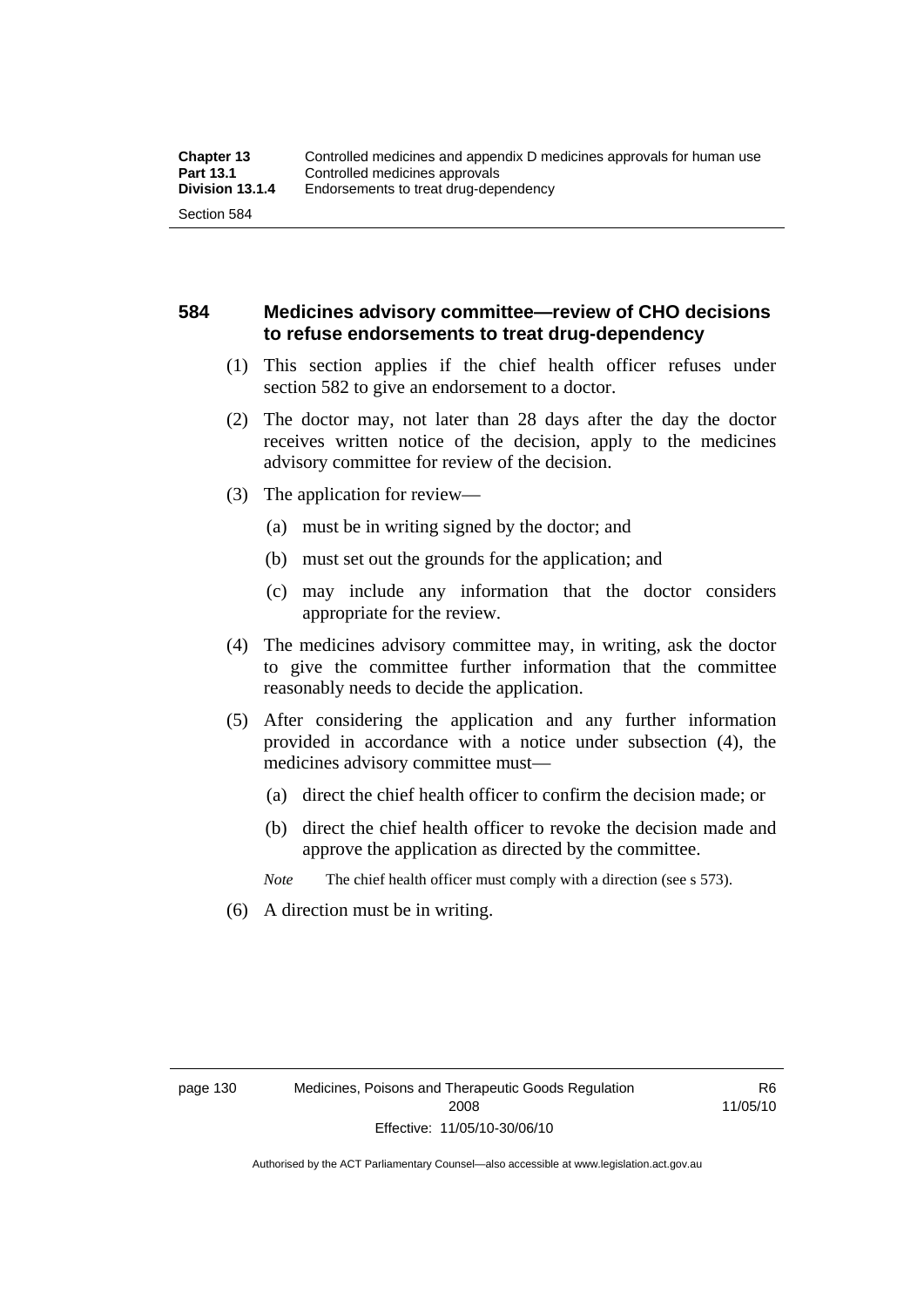### **584 Medicines advisory committee—review of CHO decisions to refuse endorsements to treat drug-dependency**

- (1) This section applies if the chief health officer refuses under section 582 to give an endorsement to a doctor.
- (2) The doctor may, not later than 28 days after the day the doctor receives written notice of the decision, apply to the medicines advisory committee for review of the decision.
- (3) The application for review—
	- (a) must be in writing signed by the doctor; and
	- (b) must set out the grounds for the application; and
	- (c) may include any information that the doctor considers appropriate for the review.
- (4) The medicines advisory committee may, in writing, ask the doctor to give the committee further information that the committee reasonably needs to decide the application.
- (5) After considering the application and any further information provided in accordance with a notice under subsection (4), the medicines advisory committee must—
	- (a) direct the chief health officer to confirm the decision made; or
	- (b) direct the chief health officer to revoke the decision made and approve the application as directed by the committee.

*Note* The chief health officer must comply with a direction (see s 573).

(6) A direction must be in writing.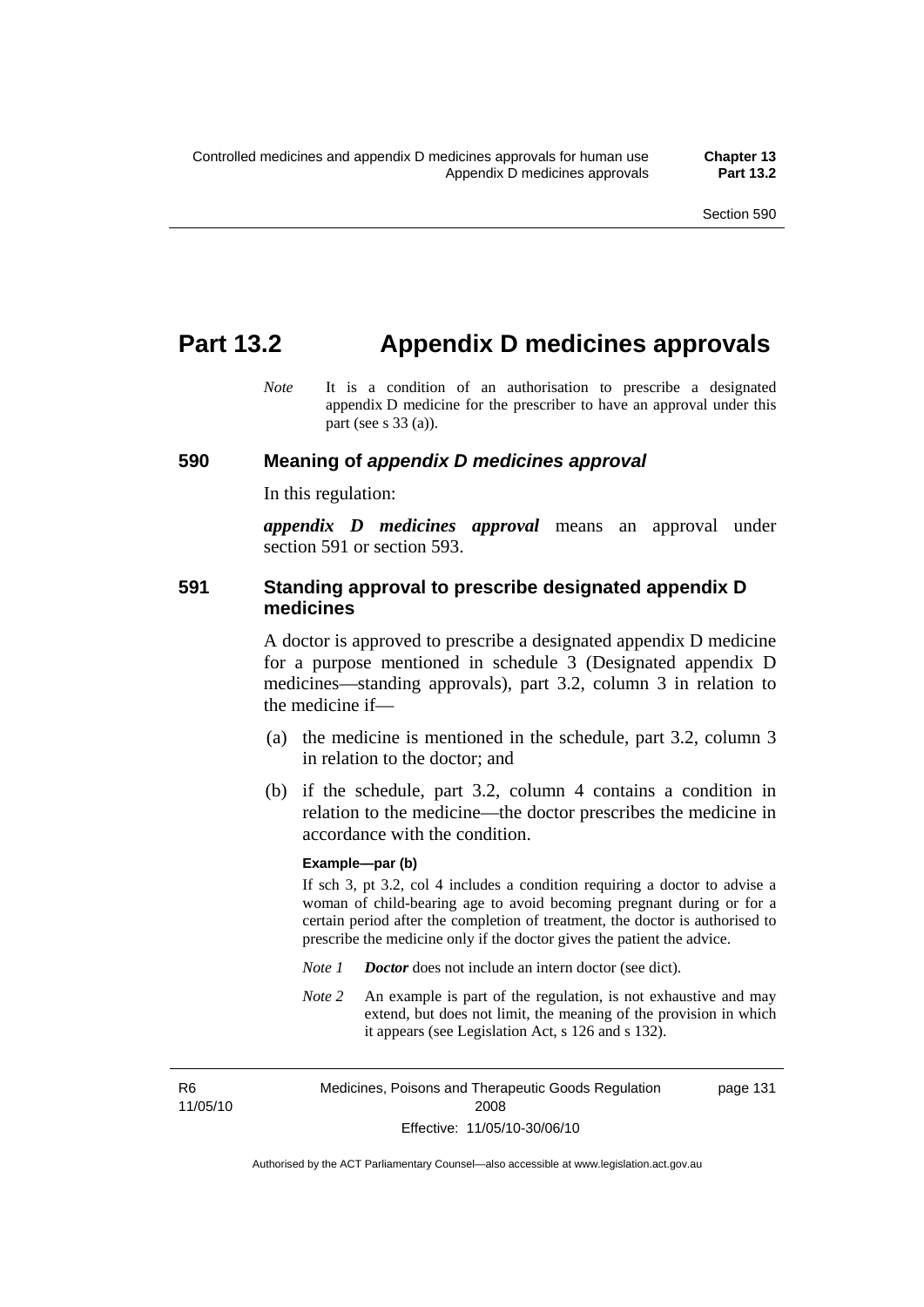## **Part 13.2 Appendix D medicines approvals**

*Note* It is a condition of an authorisation to prescribe a designated appendix D medicine for the prescriber to have an approval under this part (see s 33 (a)).

#### **590 Meaning of** *appendix D medicines approval*

In this regulation:

*appendix D medicines approval* means an approval under section 591 or section 593.

#### **591 Standing approval to prescribe designated appendix D medicines**

A doctor is approved to prescribe a designated appendix D medicine for a purpose mentioned in schedule 3 (Designated appendix D medicines—standing approvals), part 3.2, column 3 in relation to the medicine if—

- (a) the medicine is mentioned in the schedule, part 3.2, column 3 in relation to the doctor; and
- (b) if the schedule, part 3.2, column 4 contains a condition in relation to the medicine—the doctor prescribes the medicine in accordance with the condition.

#### **Example—par (b)**

If sch 3, pt 3.2, col 4 includes a condition requiring a doctor to advise a woman of child-bearing age to avoid becoming pregnant during or for a certain period after the completion of treatment, the doctor is authorised to prescribe the medicine only if the doctor gives the patient the advice.

- *Note 1 Doctor* does not include an intern doctor (see dict).
- *Note 2* An example is part of the regulation, is not exhaustive and may extend, but does not limit, the meaning of the provision in which it appears (see Legislation Act, s 126 and s 132).

R6 11/05/10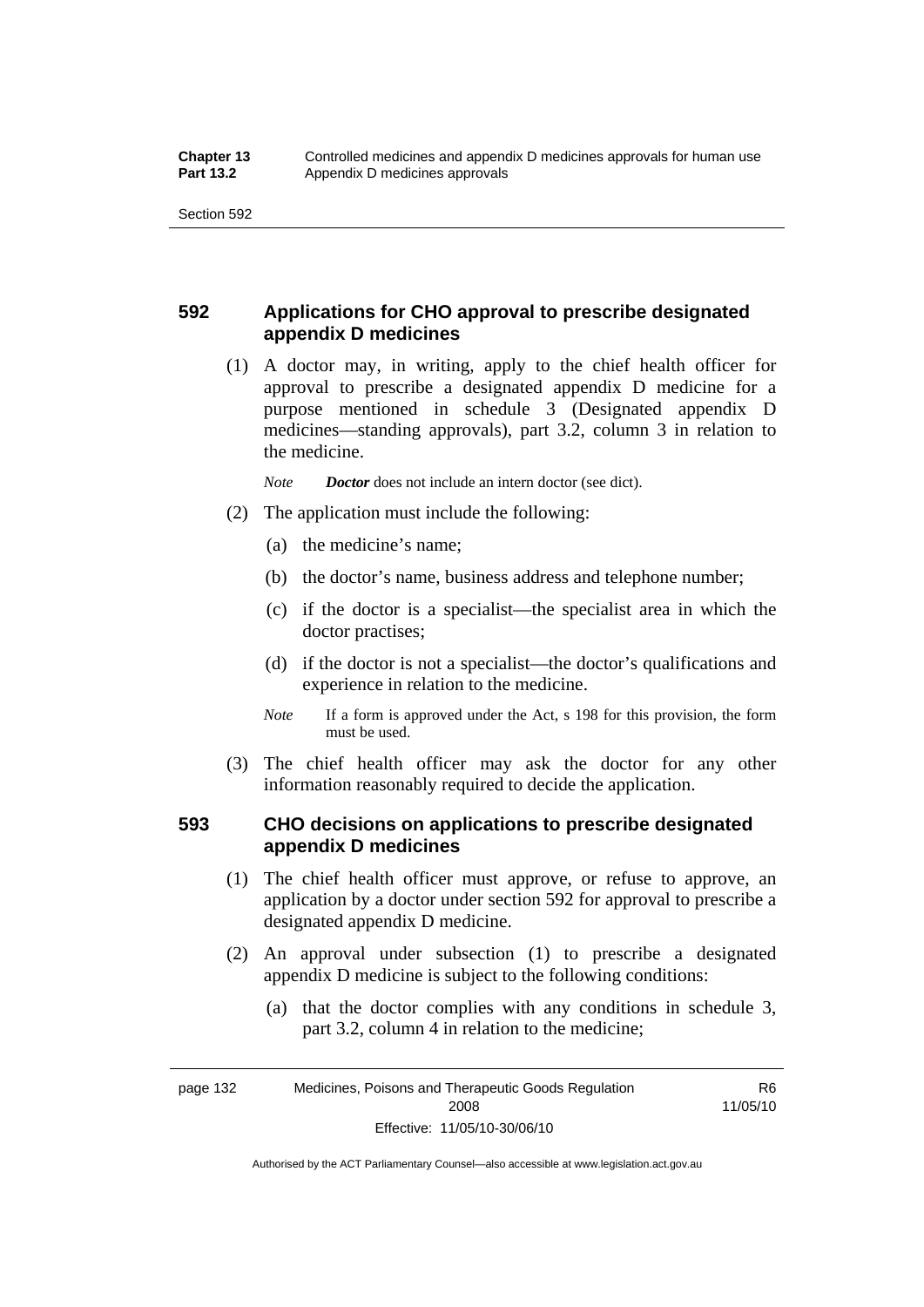### **592 Applications for CHO approval to prescribe designated appendix D medicines**

 (1) A doctor may, in writing, apply to the chief health officer for approval to prescribe a designated appendix D medicine for a purpose mentioned in schedule 3 (Designated appendix D medicines—standing approvals), part 3.2, column 3 in relation to the medicine.

*Note Doctor* does not include an intern doctor (see dict).

- (2) The application must include the following:
	- (a) the medicine's name;
	- (b) the doctor's name, business address and telephone number;
	- (c) if the doctor is a specialist—the specialist area in which the doctor practises;
	- (d) if the doctor is not a specialist—the doctor's qualifications and experience in relation to the medicine.
	- *Note* If a form is approved under the Act, s 198 for this provision, the form must be used.
- (3) The chief health officer may ask the doctor for any other information reasonably required to decide the application.

### **593 CHO decisions on applications to prescribe designated appendix D medicines**

- (1) The chief health officer must approve, or refuse to approve, an application by a doctor under section 592 for approval to prescribe a designated appendix D medicine.
- (2) An approval under subsection (1) to prescribe a designated appendix D medicine is subject to the following conditions:
	- (a) that the doctor complies with any conditions in schedule 3, part 3.2, column 4 in relation to the medicine;

page 132 Medicines, Poisons and Therapeutic Goods Regulation 2008 Effective: 11/05/10-30/06/10

R6 11/05/10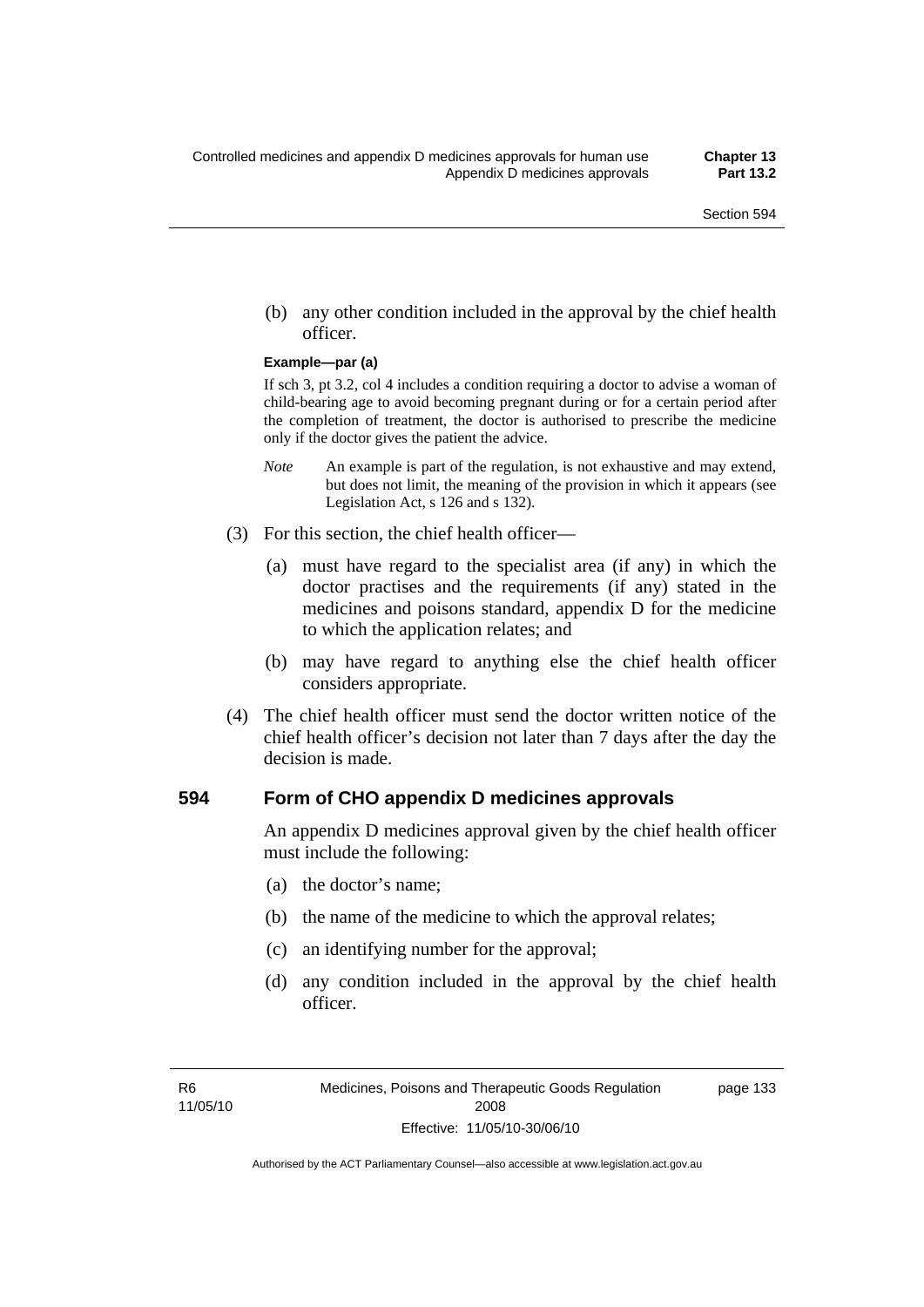(b) any other condition included in the approval by the chief health officer.

#### **Example—par (a)**

If sch 3, pt 3.2, col 4 includes a condition requiring a doctor to advise a woman of child-bearing age to avoid becoming pregnant during or for a certain period after the completion of treatment, the doctor is authorised to prescribe the medicine only if the doctor gives the patient the advice.

- *Note* An example is part of the regulation, is not exhaustive and may extend, but does not limit, the meaning of the provision in which it appears (see Legislation Act, s 126 and s 132).
- (3) For this section, the chief health officer—
	- (a) must have regard to the specialist area (if any) in which the doctor practises and the requirements (if any) stated in the medicines and poisons standard, appendix D for the medicine to which the application relates; and
	- (b) may have regard to anything else the chief health officer considers appropriate.
- (4) The chief health officer must send the doctor written notice of the chief health officer's decision not later than 7 days after the day the decision is made.

#### **594 Form of CHO appendix D medicines approvals**

An appendix D medicines approval given by the chief health officer must include the following:

- (a) the doctor's name;
- (b) the name of the medicine to which the approval relates;
- (c) an identifying number for the approval;
- (d) any condition included in the approval by the chief health officer.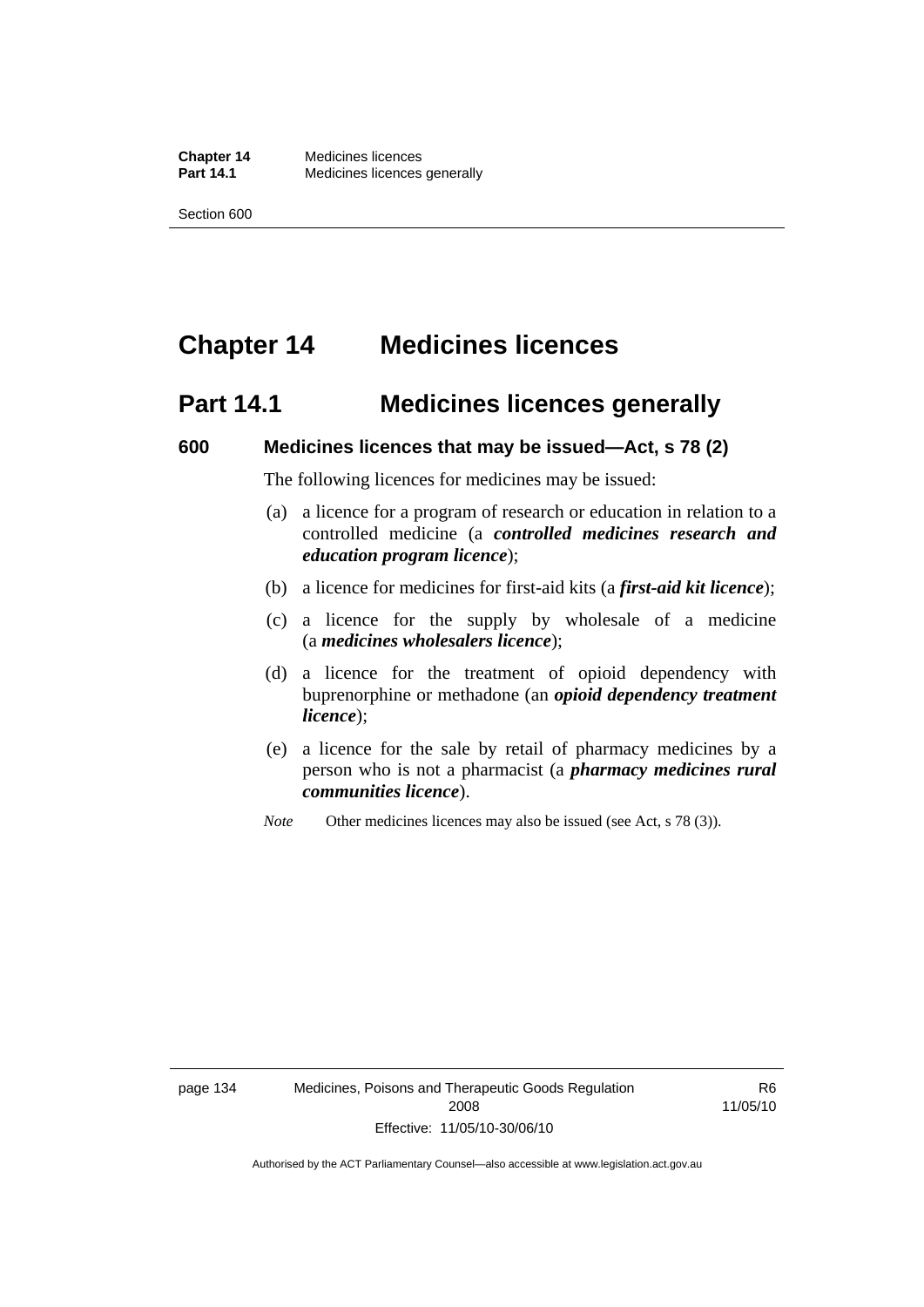# **Chapter 14 Medicines licences**

## **Part 14.1 Medicines licences generally**

#### **600 Medicines licences that may be issued—Act, s 78 (2)**

The following licences for medicines may be issued:

- (a) a licence for a program of research or education in relation to a controlled medicine (a *controlled medicines research and education program licence*);
- (b) a licence for medicines for first-aid kits (a *first-aid kit licence*);
- (c) a licence for the supply by wholesale of a medicine (a *medicines wholesalers licence*);
- (d) a licence for the treatment of opioid dependency with buprenorphine or methadone (an *opioid dependency treatment licence*);
- (e) a licence for the sale by retail of pharmacy medicines by a person who is not a pharmacist (a *pharmacy medicines rural communities licence*).
- *Note* Other medicines licences may also be issued (see Act, s 78 (3)).

R6 11/05/10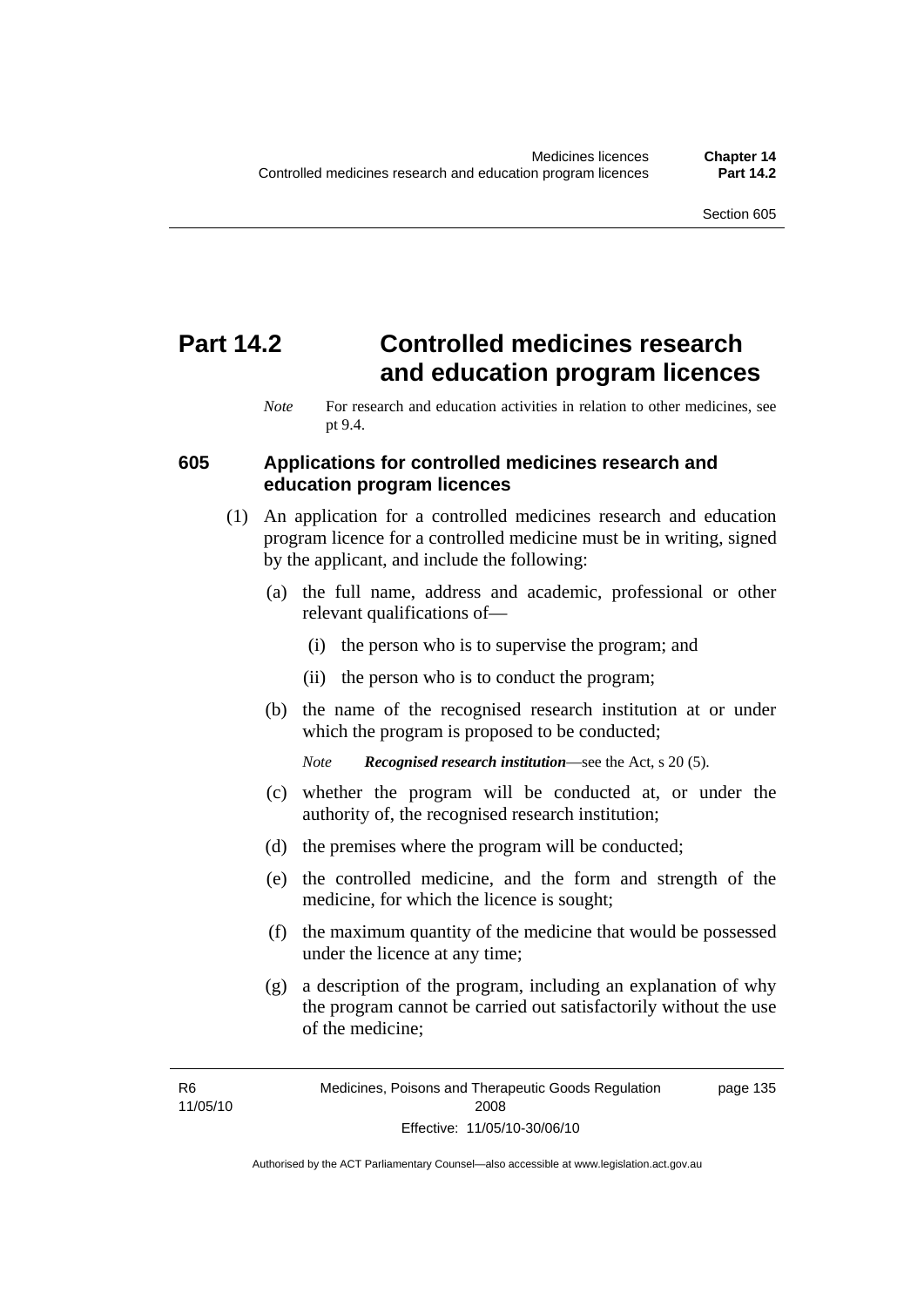# **Part 14.2 Controlled medicines research and education program licences**

#### **605 Applications for controlled medicines research and education program licences**

- (1) An application for a controlled medicines research and education program licence for a controlled medicine must be in writing, signed by the applicant, and include the following:
	- (a) the full name, address and academic, professional or other relevant qualifications of—
		- (i) the person who is to supervise the program; and
		- (ii) the person who is to conduct the program;
	- (b) the name of the recognised research institution at or under which the program is proposed to be conducted;

*Note Recognised research institution*—see the Act, s 20 (5).

- (c) whether the program will be conducted at, or under the authority of, the recognised research institution;
- (d) the premises where the program will be conducted;
- (e) the controlled medicine, and the form and strength of the medicine, for which the licence is sought;
- (f) the maximum quantity of the medicine that would be possessed under the licence at any time;
- (g) a description of the program, including an explanation of why the program cannot be carried out satisfactorily without the use of the medicine;

*Note* For research and education activities in relation to other medicines, see pt 9.4.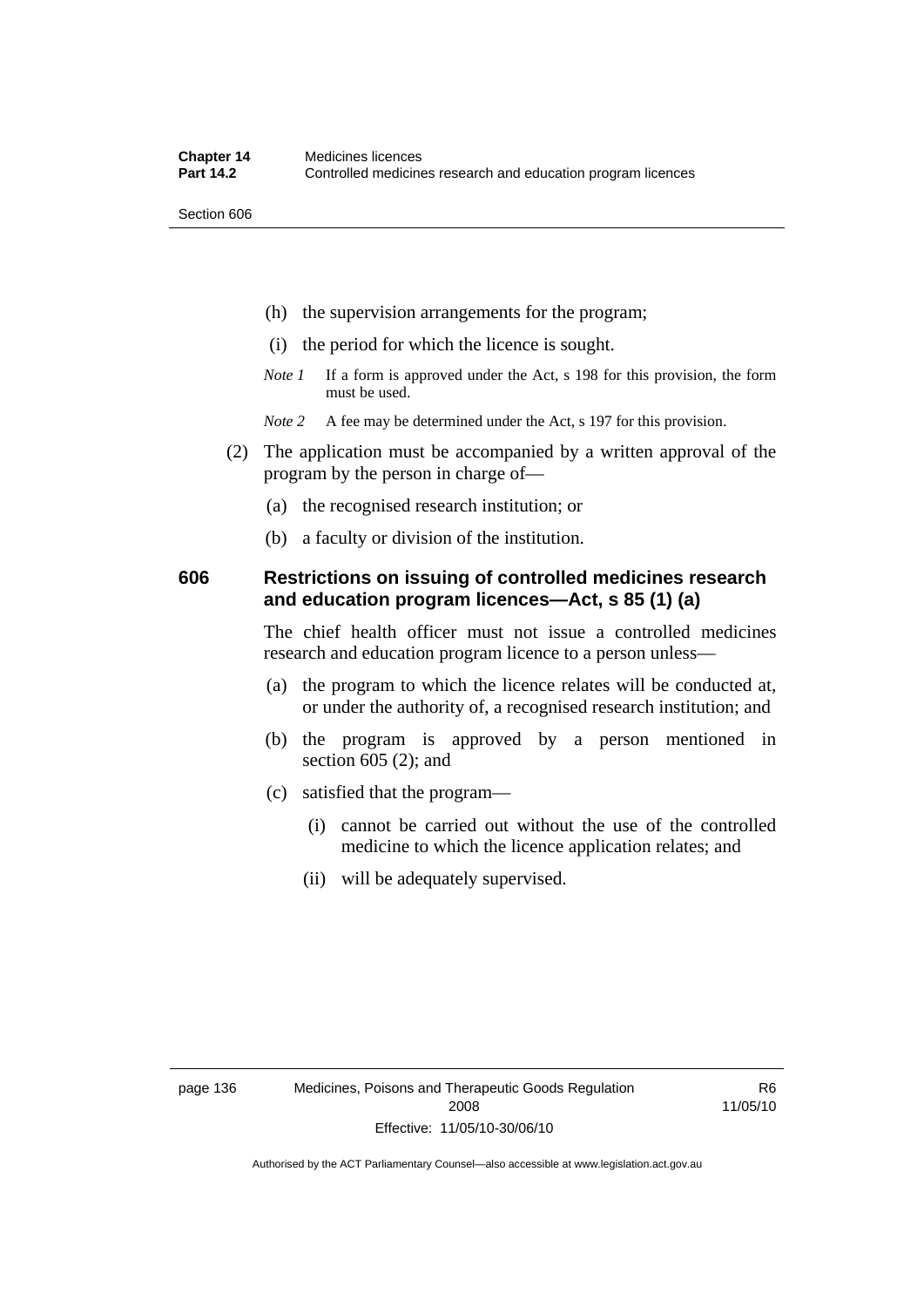Section 606

- (h) the supervision arrangements for the program;
- (i) the period for which the licence is sought.
- *Note 1* If a form is approved under the Act, s 198 for this provision, the form must be used.
- *Note* 2 A fee may be determined under the Act, s 197 for this provision.
- (2) The application must be accompanied by a written approval of the program by the person in charge of—
	- (a) the recognised research institution; or
	- (b) a faculty or division of the institution.

#### **606 Restrictions on issuing of controlled medicines research and education program licences—Act, s 85 (1) (a)**

The chief health officer must not issue a controlled medicines research and education program licence to a person unless—

- (a) the program to which the licence relates will be conducted at, or under the authority of, a recognised research institution; and
- (b) the program is approved by a person mentioned in section 605 (2); and
- (c) satisfied that the program—
	- (i) cannot be carried out without the use of the controlled medicine to which the licence application relates; and
	- (ii) will be adequately supervised.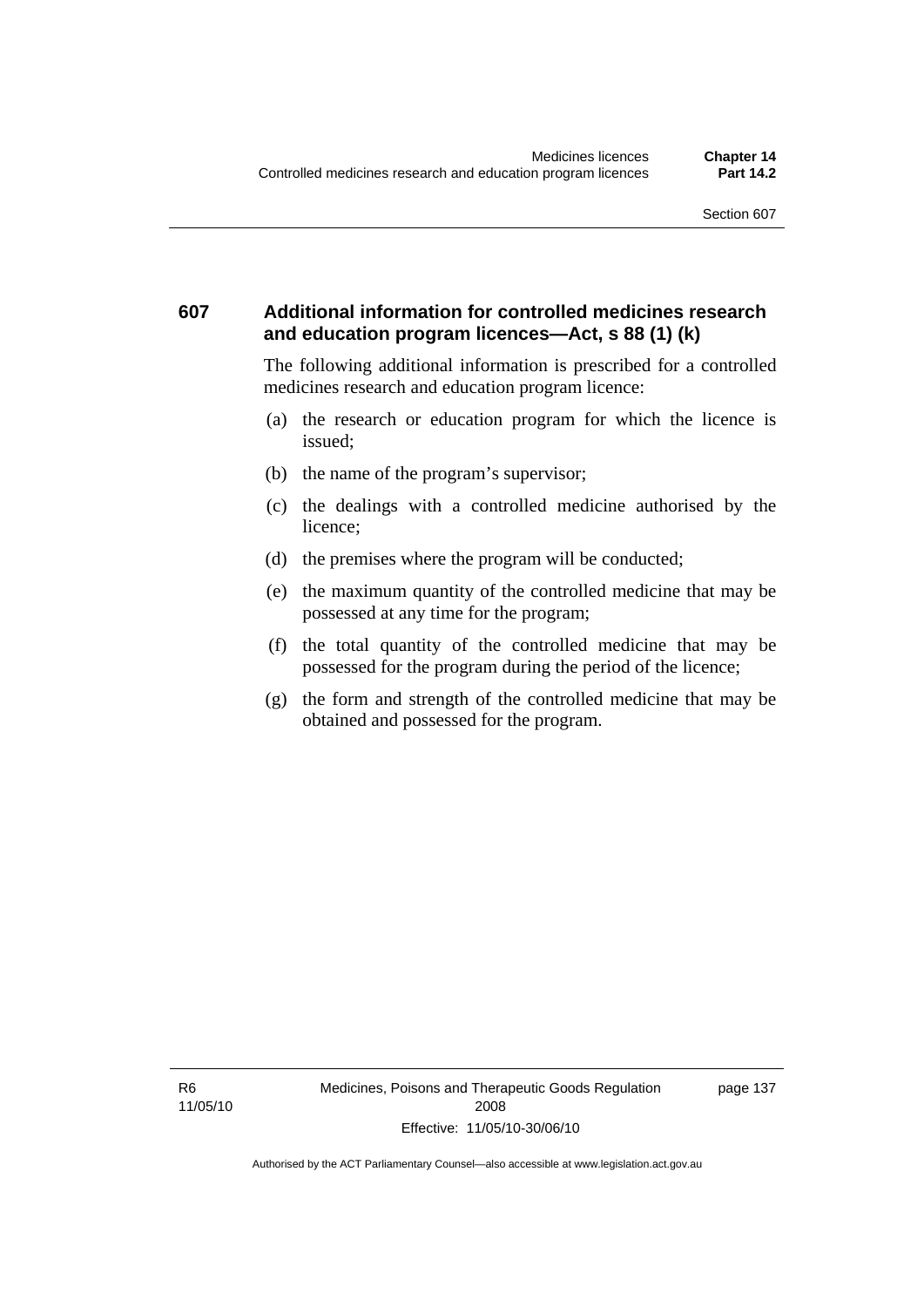### **607 Additional information for controlled medicines research and education program licences—Act, s 88 (1) (k)**

The following additional information is prescribed for a controlled medicines research and education program licence:

- (a) the research or education program for which the licence is issued;
- (b) the name of the program's supervisor;
- (c) the dealings with a controlled medicine authorised by the licence;
- (d) the premises where the program will be conducted;
- (e) the maximum quantity of the controlled medicine that may be possessed at any time for the program;
- (f) the total quantity of the controlled medicine that may be possessed for the program during the period of the licence;
- (g) the form and strength of the controlled medicine that may be obtained and possessed for the program.

page 137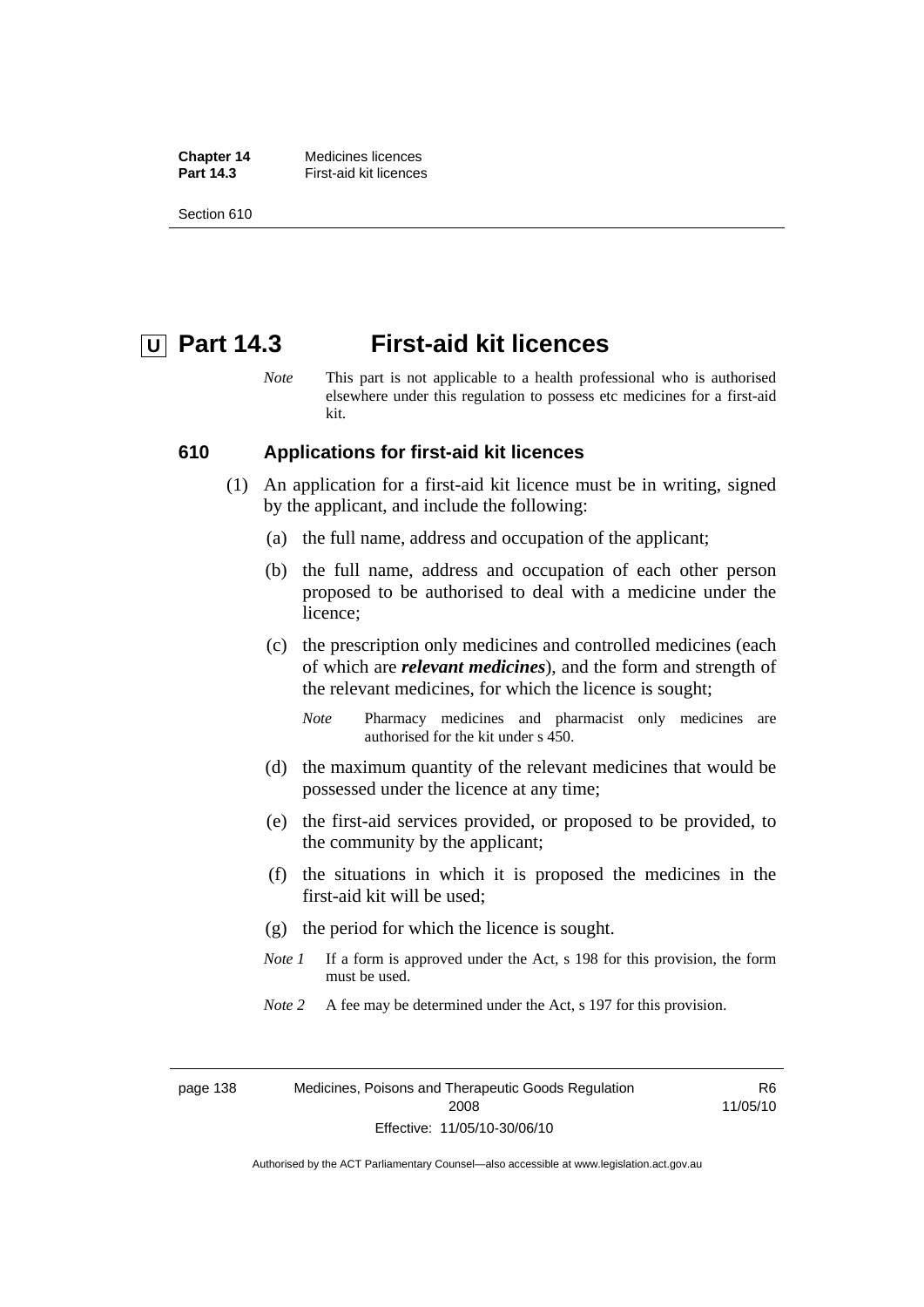**Chapter 14** Medicines licences **Part 14.3 First-aid kit licences** 

Section 610

## **U** Part 14.3 First-aid kit licences

*Note* This part is not applicable to a health professional who is authorised elsewhere under this regulation to possess etc medicines for a first-aid kit.

#### **610 Applications for first-aid kit licences**

- (1) An application for a first-aid kit licence must be in writing, signed by the applicant, and include the following:
	- (a) the full name, address and occupation of the applicant;
	- (b) the full name, address and occupation of each other person proposed to be authorised to deal with a medicine under the licence;
	- (c) the prescription only medicines and controlled medicines (each of which are *relevant medicines*), and the form and strength of the relevant medicines, for which the licence is sought;
		- *Note* Pharmacy medicines and pharmacist only medicines are authorised for the kit under s 450.
	- (d) the maximum quantity of the relevant medicines that would be possessed under the licence at any time;
	- (e) the first-aid services provided, or proposed to be provided, to the community by the applicant;
	- (f) the situations in which it is proposed the medicines in the first-aid kit will be used;
	- (g) the period for which the licence is sought.
	- *Note 1* If a form is approved under the Act, s 198 for this provision, the form must be used.
	- *Note* 2 A fee may be determined under the Act, s 197 for this provision.

page 138 Medicines, Poisons and Therapeutic Goods Regulation 2008 Effective: 11/05/10-30/06/10

R6 11/05/10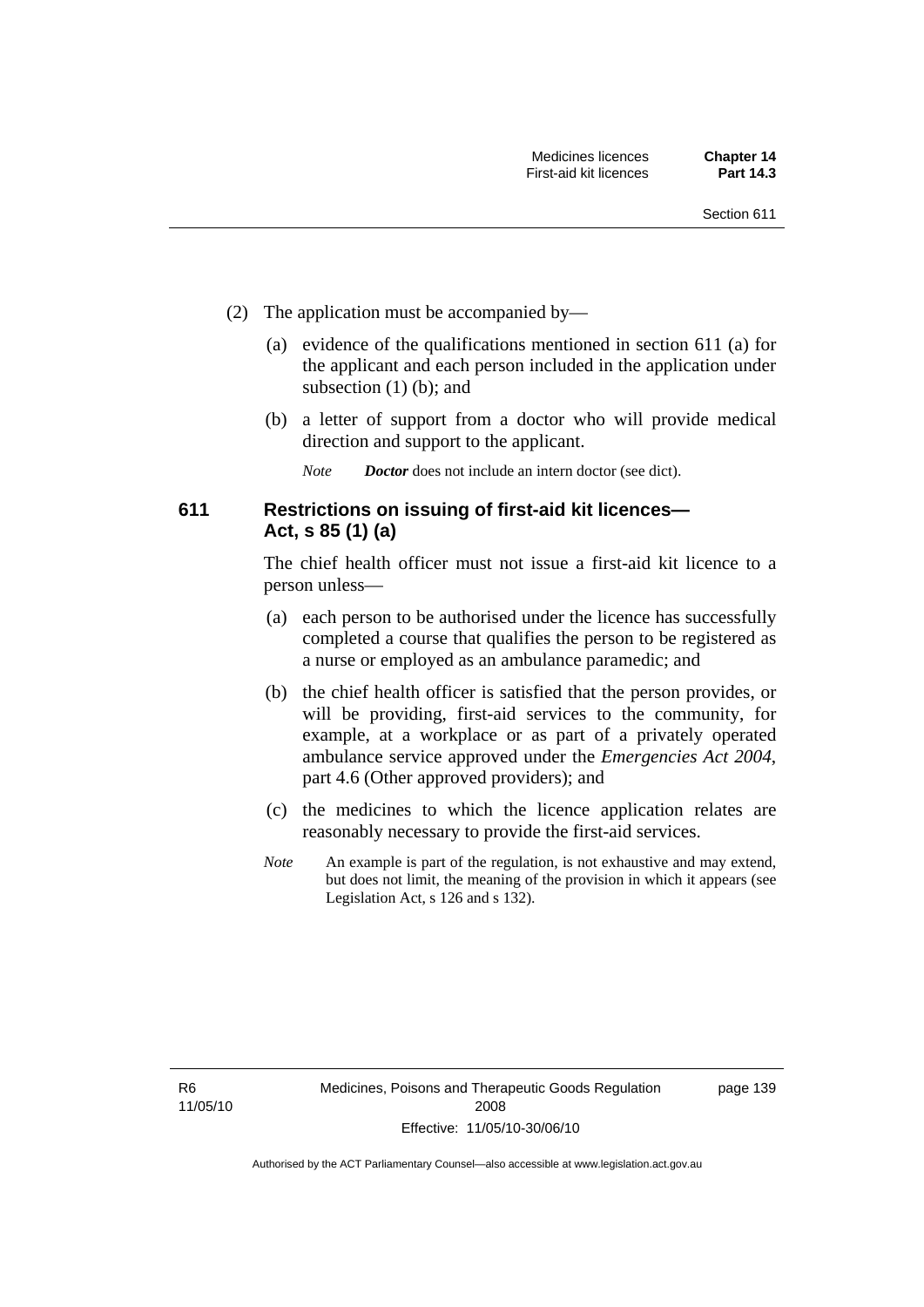- (2) The application must be accompanied by—
	- (a) evidence of the qualifications mentioned in section 611 (a) for the applicant and each person included in the application under subsection (1) (b); and
	- (b) a letter of support from a doctor who will provide medical direction and support to the applicant.
		- *Note Doctor* does not include an intern doctor (see dict).

### **611 Restrictions on issuing of first-aid kit licences— Act, s 85 (1) (a)**

The chief health officer must not issue a first-aid kit licence to a person unless—

- (a) each person to be authorised under the licence has successfully completed a course that qualifies the person to be registered as a nurse or employed as an ambulance paramedic; and
- (b) the chief health officer is satisfied that the person provides, or will be providing, first-aid services to the community, for example, at a workplace or as part of a privately operated ambulance service approved under the *Emergencies Act 2004*, part 4.6 (Other approved providers); and
- (c) the medicines to which the licence application relates are reasonably necessary to provide the first-aid services.
- *Note* An example is part of the regulation, is not exhaustive and may extend, but does not limit, the meaning of the provision in which it appears (see Legislation Act, s 126 and s 132).

page 139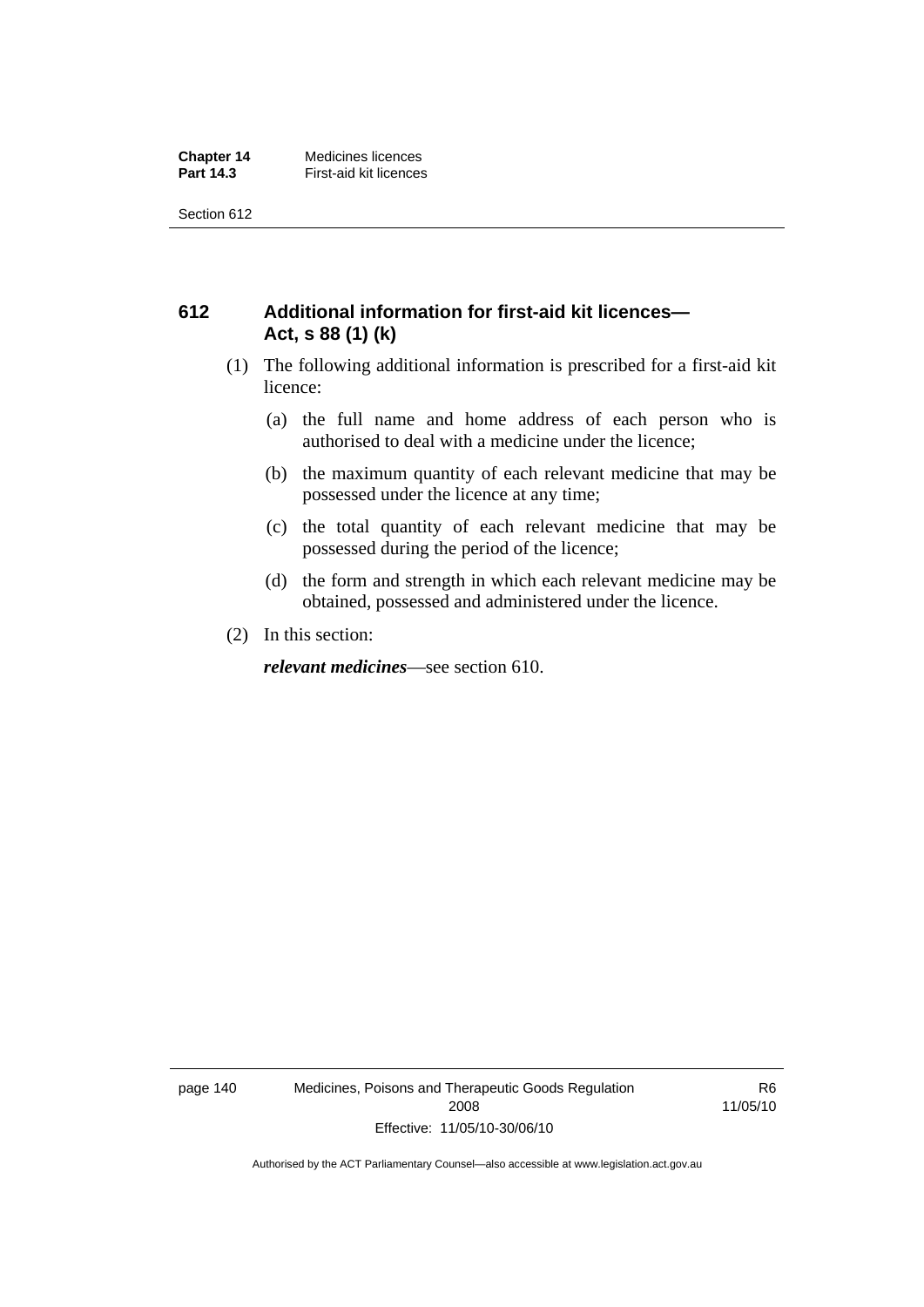Section 612

### **612 Additional information for first-aid kit licences— Act, s 88 (1) (k)**

- (1) The following additional information is prescribed for a first-aid kit licence:
	- (a) the full name and home address of each person who is authorised to deal with a medicine under the licence;
	- (b) the maximum quantity of each relevant medicine that may be possessed under the licence at any time;
	- (c) the total quantity of each relevant medicine that may be possessed during the period of the licence;
	- (d) the form and strength in which each relevant medicine may be obtained, possessed and administered under the licence.
- (2) In this section:

*relevant medicines*—see section 610.

page 140 Medicines, Poisons and Therapeutic Goods Regulation 2008 Effective: 11/05/10-30/06/10

R6 11/05/10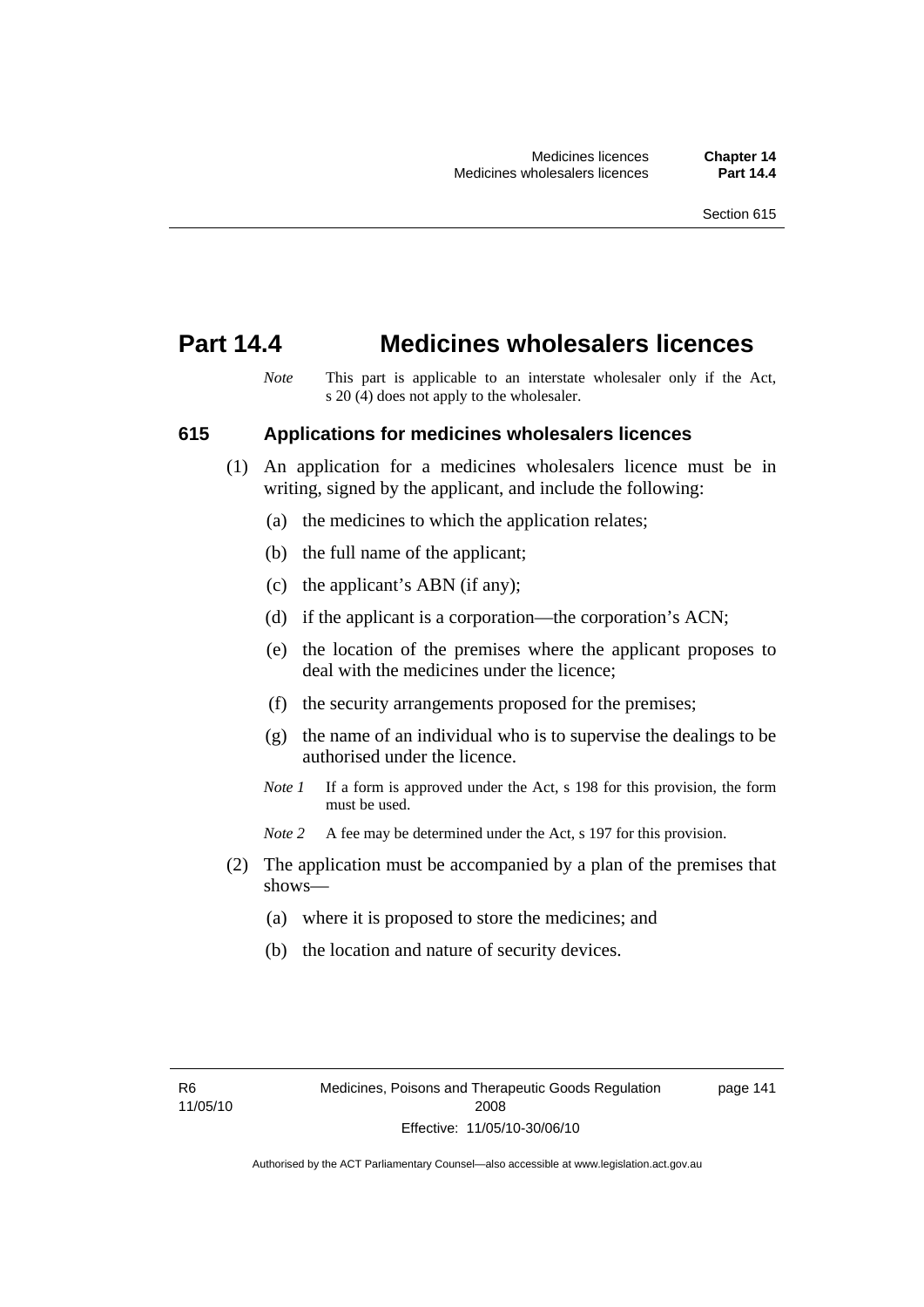## **Part 14.4 Medicines wholesalers licences**

*Note* This part is applicable to an interstate wholesaler only if the Act, s 20 (4) does not apply to the wholesaler.

#### **615 Applications for medicines wholesalers licences**

- (1) An application for a medicines wholesalers licence must be in writing, signed by the applicant, and include the following:
	- (a) the medicines to which the application relates;
	- (b) the full name of the applicant;
	- (c) the applicant's ABN (if any);
	- (d) if the applicant is a corporation—the corporation's ACN;
	- (e) the location of the premises where the applicant proposes to deal with the medicines under the licence;
	- (f) the security arrangements proposed for the premises;
	- (g) the name of an individual who is to supervise the dealings to be authorised under the licence.
	- *Note 1* If a form is approved under the Act, s 198 for this provision, the form must be used.
	- *Note* 2 A fee may be determined under the Act, s 197 for this provision.
- (2) The application must be accompanied by a plan of the premises that shows—
	- (a) where it is proposed to store the medicines; and
	- (b) the location and nature of security devices.

page 141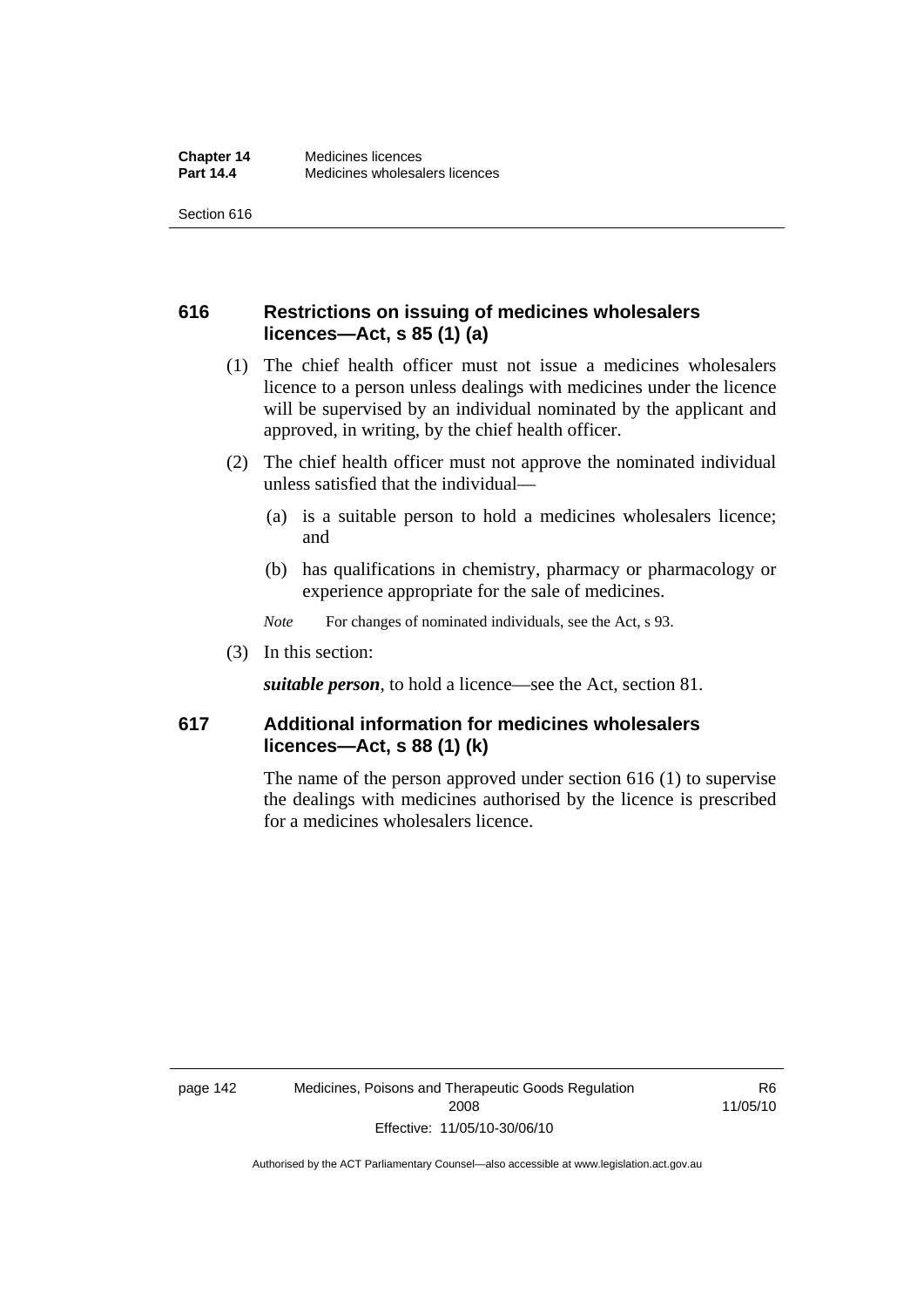Section 616

### **616 Restrictions on issuing of medicines wholesalers licences—Act, s 85 (1) (a)**

- (1) The chief health officer must not issue a medicines wholesalers licence to a person unless dealings with medicines under the licence will be supervised by an individual nominated by the applicant and approved, in writing, by the chief health officer.
- (2) The chief health officer must not approve the nominated individual unless satisfied that the individual—
	- (a) is a suitable person to hold a medicines wholesalers licence; and
	- (b) has qualifications in chemistry, pharmacy or pharmacology or experience appropriate for the sale of medicines.
	- *Note* For changes of nominated individuals, see the Act, s 93.
- (3) In this section:

*suitable person*, to hold a licence—see the Act, section 81.

### **617 Additional information for medicines wholesalers licences—Act, s 88 (1) (k)**

The name of the person approved under section 616 (1) to supervise the dealings with medicines authorised by the licence is prescribed for a medicines wholesalers licence.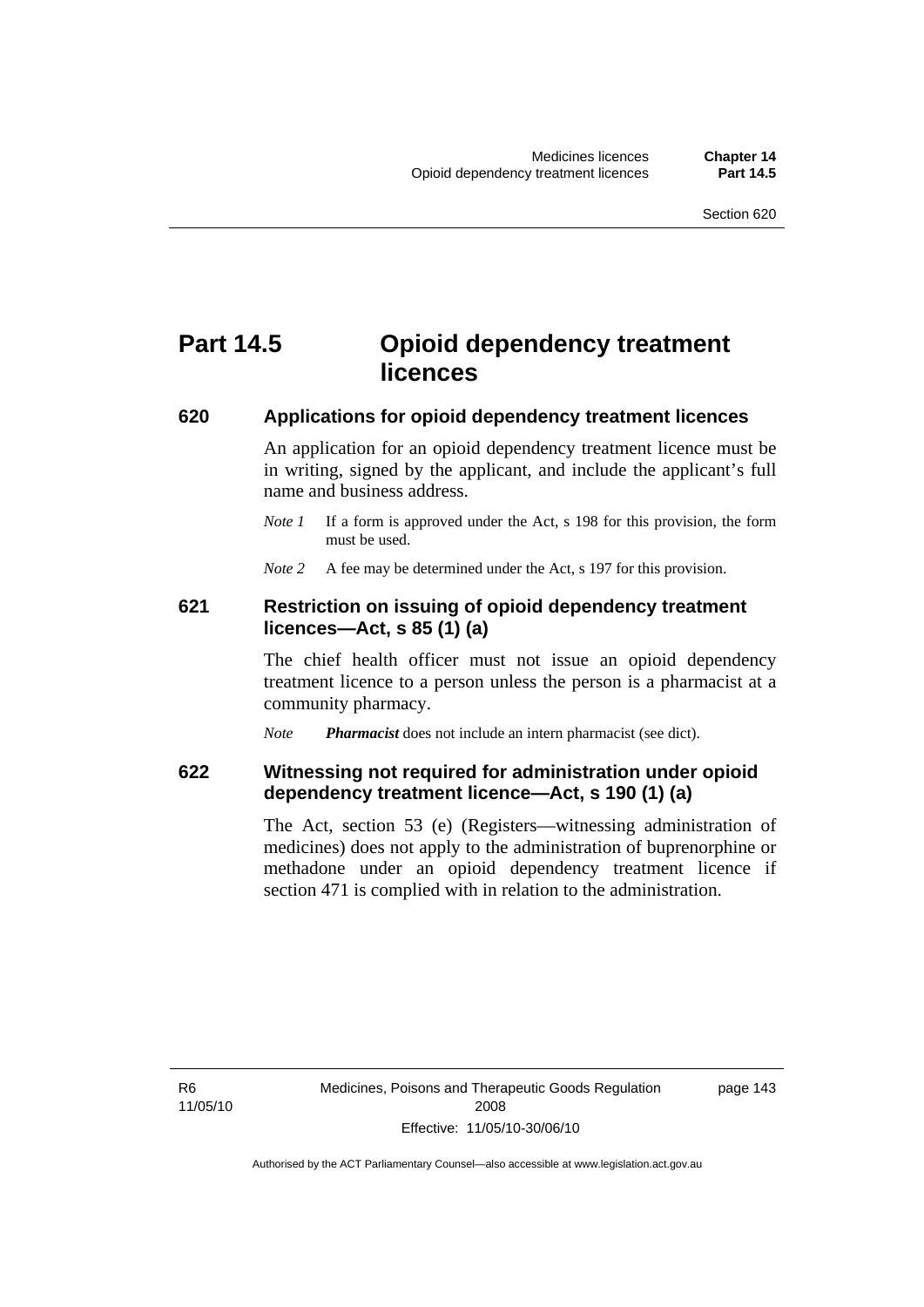# **Part 14.5 Opioid dependency treatment licences**

#### **620 Applications for opioid dependency treatment licences**

An application for an opioid dependency treatment licence must be in writing, signed by the applicant, and include the applicant's full name and business address.

*Note 1* If a form is approved under the Act, s 198 for this provision, the form must be used.

*Note* 2 A fee may be determined under the Act, s 197 for this provision.

#### **621 Restriction on issuing of opioid dependency treatment licences—Act, s 85 (1) (a)**

The chief health officer must not issue an opioid dependency treatment licence to a person unless the person is a pharmacist at a community pharmacy.

*Note Pharmacist* does not include an intern pharmacist (see dict).

### **622 Witnessing not required for administration under opioid dependency treatment licence—Act, s 190 (1) (a)**

The Act, section 53 (e) (Registers—witnessing administration of medicines) does not apply to the administration of buprenorphine or methadone under an opioid dependency treatment licence if section 471 is complied with in relation to the administration.

R6 11/05/10 page 143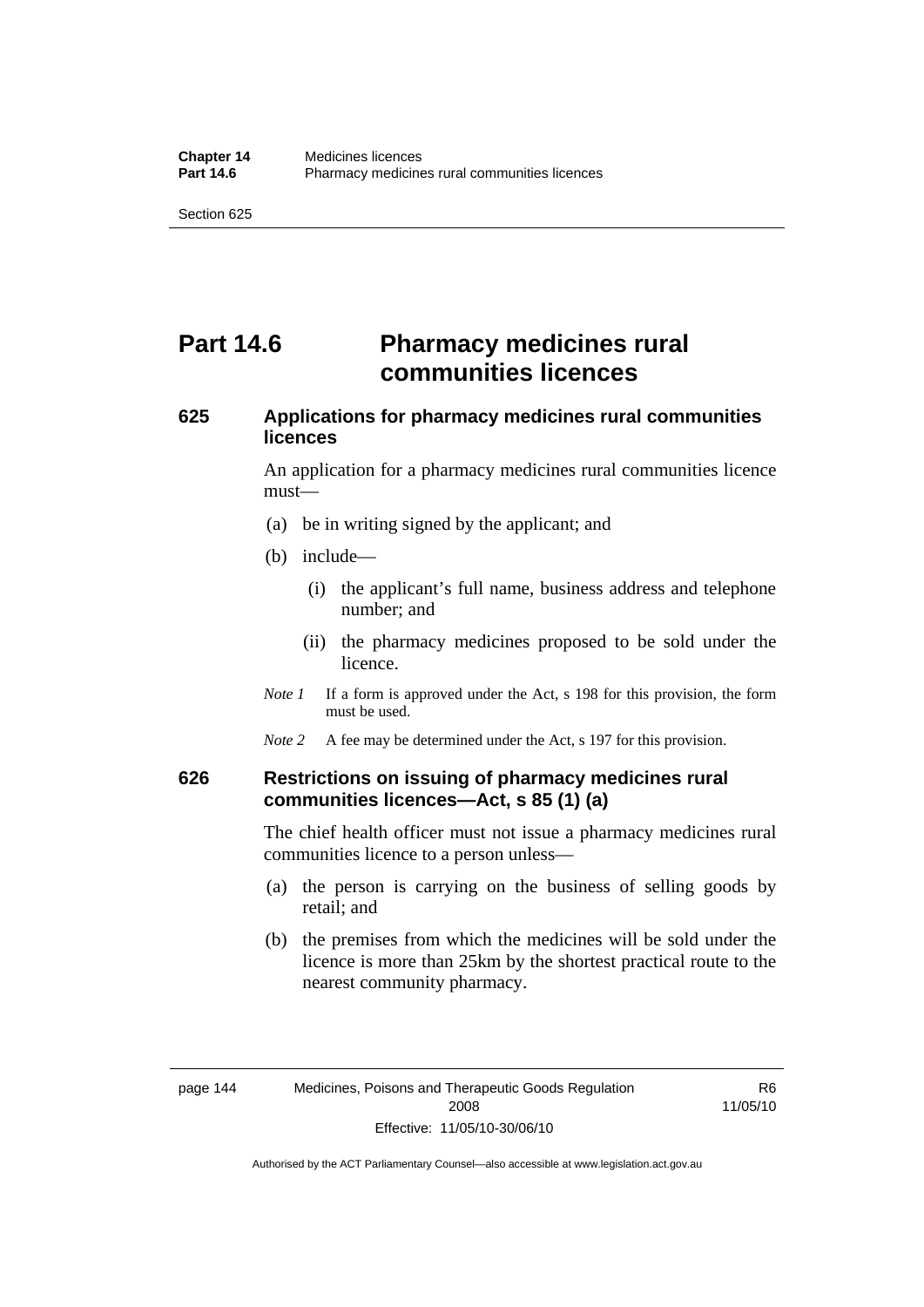# **Part 14.6** Pharmacy medicines rural **communities licences**

## **625 Applications for pharmacy medicines rural communities licences**

An application for a pharmacy medicines rural communities licence must—

- (a) be in writing signed by the applicant; and
- (b) include—
	- (i) the applicant's full name, business address and telephone number; and
	- (ii) the pharmacy medicines proposed to be sold under the licence.
- *Note 1* If a form is approved under the Act, s 198 for this provision, the form must be used.
- *Note* 2 A fee may be determined under the Act, s 197 for this provision.

#### **626 Restrictions on issuing of pharmacy medicines rural communities licences—Act, s 85 (1) (a)**

The chief health officer must not issue a pharmacy medicines rural communities licence to a person unless—

- (a) the person is carrying on the business of selling goods by retail; and
- (b) the premises from which the medicines will be sold under the licence is more than 25km by the shortest practical route to the nearest community pharmacy.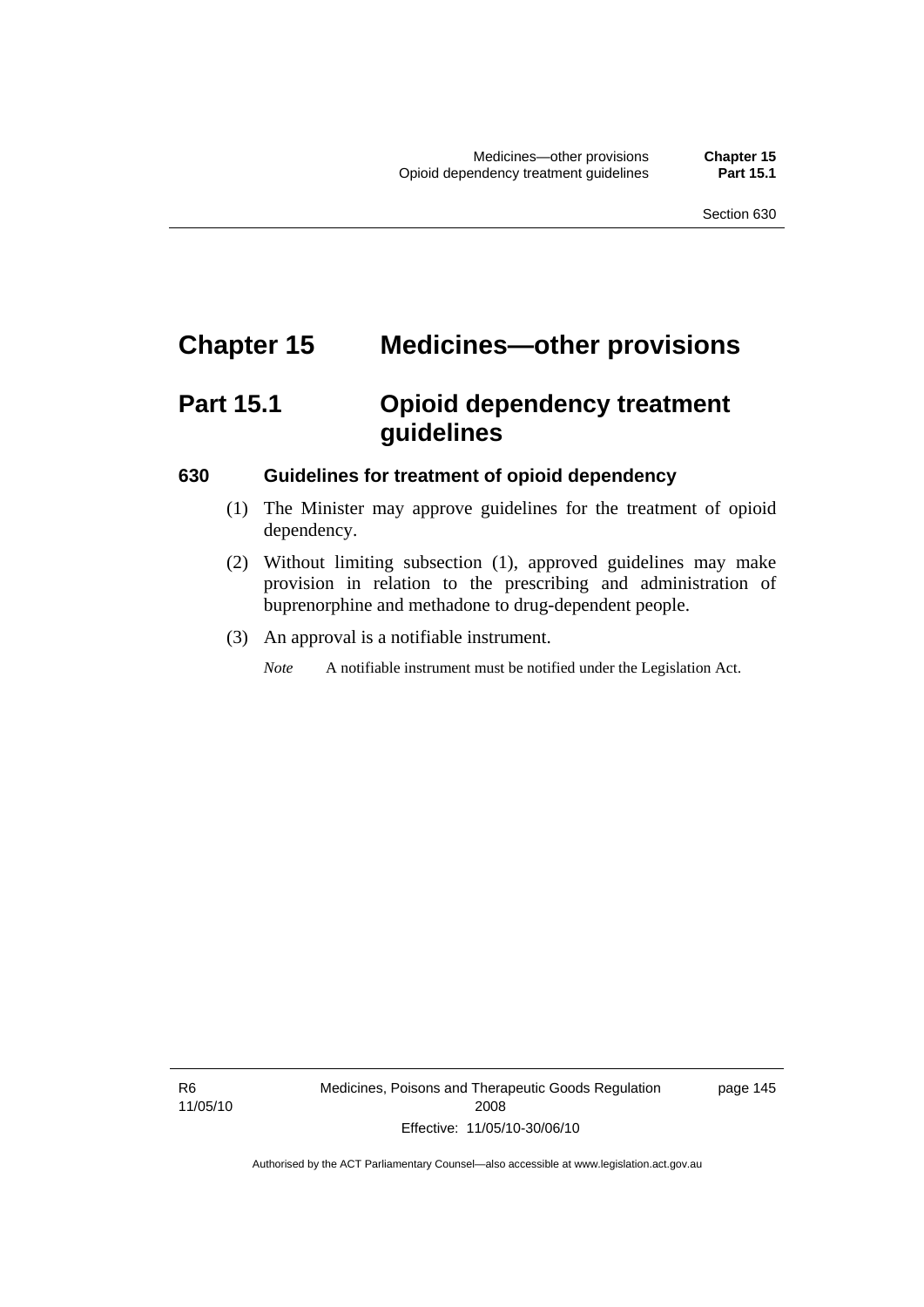# **Chapter 15 Medicines—other provisions**

# **Part 15.1 Opioid dependency treatment guidelines**

#### **630 Guidelines for treatment of opioid dependency**

- (1) The Minister may approve guidelines for the treatment of opioid dependency.
- (2) Without limiting subsection (1), approved guidelines may make provision in relation to the prescribing and administration of buprenorphine and methadone to drug-dependent people.
- (3) An approval is a notifiable instrument.

*Note* A notifiable instrument must be notified under the Legislation Act.

page 145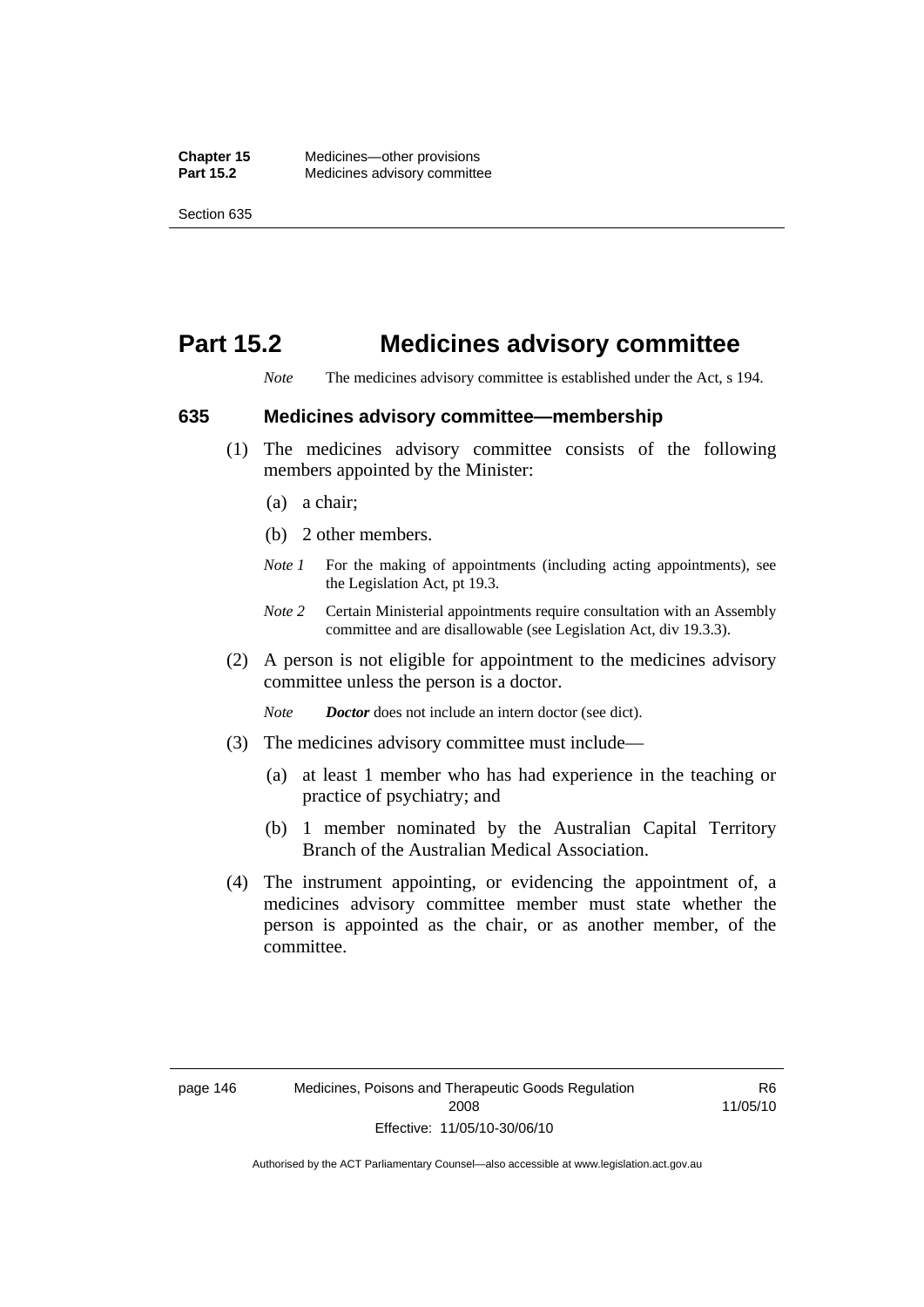## **Part 15.2 Medicines advisory committee**

*Note* The medicines advisory committee is established under the Act, s 194.

#### **635 Medicines advisory committee—membership**

- (1) The medicines advisory committee consists of the following members appointed by the Minister:
	- (a) a chair;
	- (b) 2 other members.
	- *Note 1* For the making of appointments (including acting appointments), see the Legislation Act, pt 19.3.
	- *Note 2* Certain Ministerial appointments require consultation with an Assembly committee and are disallowable (see Legislation Act, div 19.3.3).
- (2) A person is not eligible for appointment to the medicines advisory committee unless the person is a doctor.

*Note Doctor* does not include an intern doctor (see dict).

- (3) The medicines advisory committee must include—
	- (a) at least 1 member who has had experience in the teaching or practice of psychiatry; and
	- (b) 1 member nominated by the Australian Capital Territory Branch of the Australian Medical Association.
- (4) The instrument appointing, or evidencing the appointment of, a medicines advisory committee member must state whether the person is appointed as the chair, or as another member, of the committee.

R6 11/05/10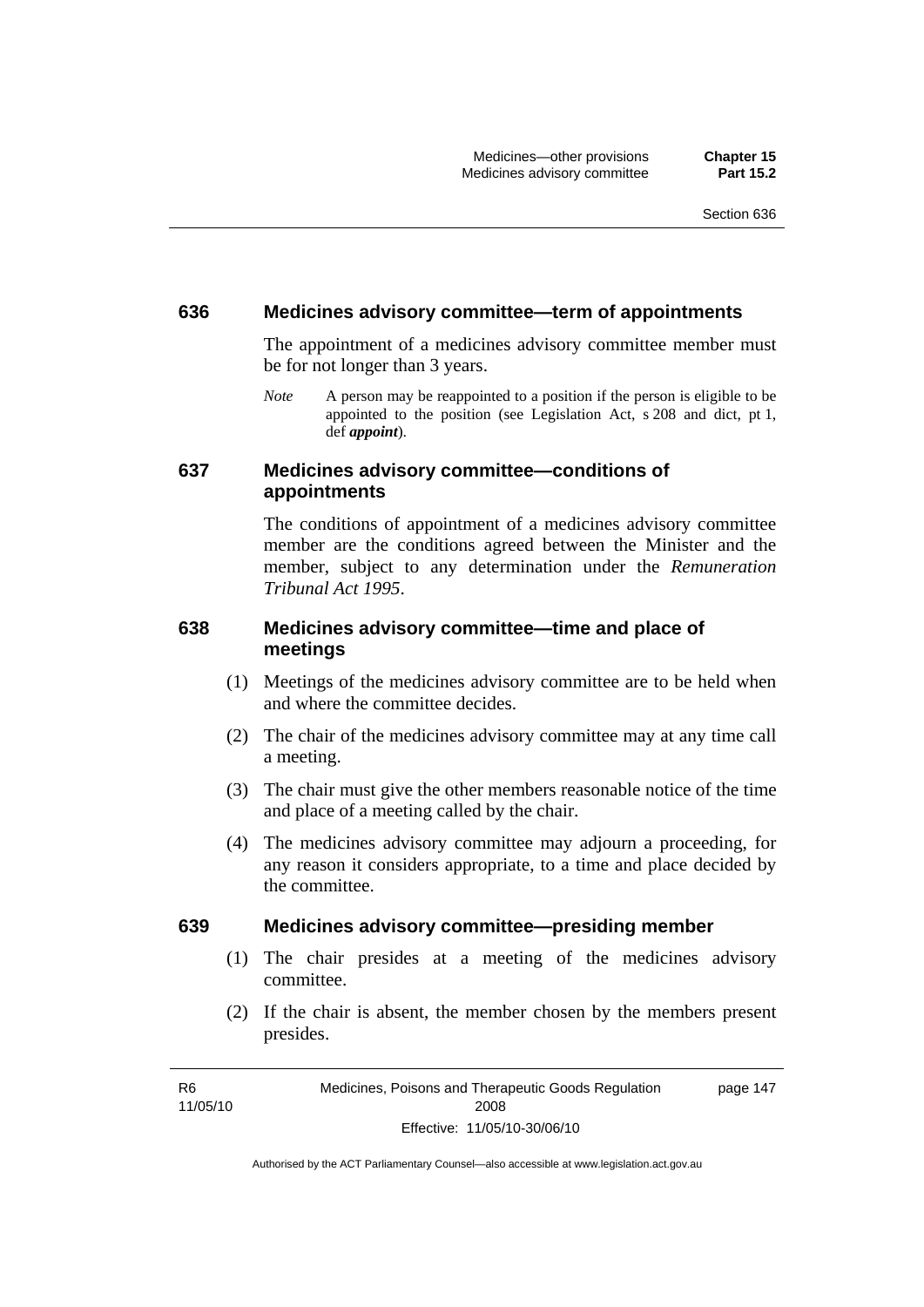#### **636 Medicines advisory committee—term of appointments**

The appointment of a medicines advisory committee member must be for not longer than 3 years.

*Note* A person may be reappointed to a position if the person is eligible to be appointed to the position (see Legislation Act, s 208 and dict, pt 1, def *appoint*).

#### **637 Medicines advisory committee—conditions of appointments**

The conditions of appointment of a medicines advisory committee member are the conditions agreed between the Minister and the member, subject to any determination under the *Remuneration Tribunal Act 1995*.

### **638 Medicines advisory committee—time and place of meetings**

- (1) Meetings of the medicines advisory committee are to be held when and where the committee decides.
- (2) The chair of the medicines advisory committee may at any time call a meeting.
- (3) The chair must give the other members reasonable notice of the time and place of a meeting called by the chair.
- (4) The medicines advisory committee may adjourn a proceeding, for any reason it considers appropriate, to a time and place decided by the committee.

#### **639 Medicines advisory committee—presiding member**

- (1) The chair presides at a meeting of the medicines advisory committee.
- (2) If the chair is absent, the member chosen by the members present presides.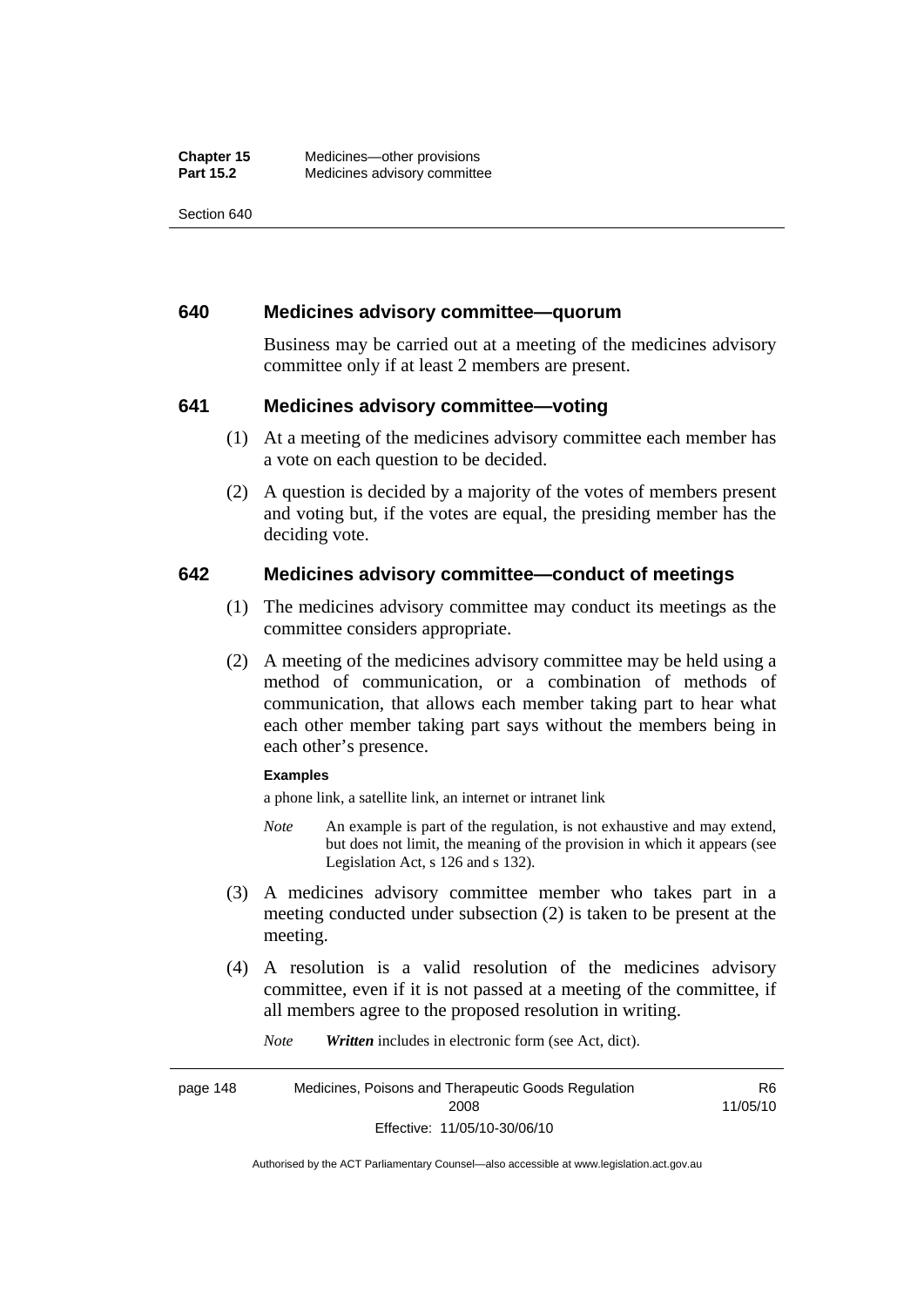Section 640

#### **640 Medicines advisory committee—quorum**

Business may be carried out at a meeting of the medicines advisory committee only if at least 2 members are present.

#### **641 Medicines advisory committee—voting**

- (1) At a meeting of the medicines advisory committee each member has a vote on each question to be decided.
- (2) A question is decided by a majority of the votes of members present and voting but, if the votes are equal, the presiding member has the deciding vote.

#### **642 Medicines advisory committee—conduct of meetings**

- (1) The medicines advisory committee may conduct its meetings as the committee considers appropriate.
- (2) A meeting of the medicines advisory committee may be held using a method of communication, or a combination of methods of communication, that allows each member taking part to hear what each other member taking part says without the members being in each other's presence.

#### **Examples**

a phone link, a satellite link, an internet or intranet link

- *Note* An example is part of the regulation, is not exhaustive and may extend, but does not limit, the meaning of the provision in which it appears (see Legislation Act, s 126 and s 132).
- (3) A medicines advisory committee member who takes part in a meeting conducted under subsection (2) is taken to be present at the meeting.
- (4) A resolution is a valid resolution of the medicines advisory committee, even if it is not passed at a meeting of the committee, if all members agree to the proposed resolution in writing.

*Note Written* includes in electronic form (see Act, dict).

page 148 Medicines, Poisons and Therapeutic Goods Regulation 2008 Effective: 11/05/10-30/06/10 R6 11/05/10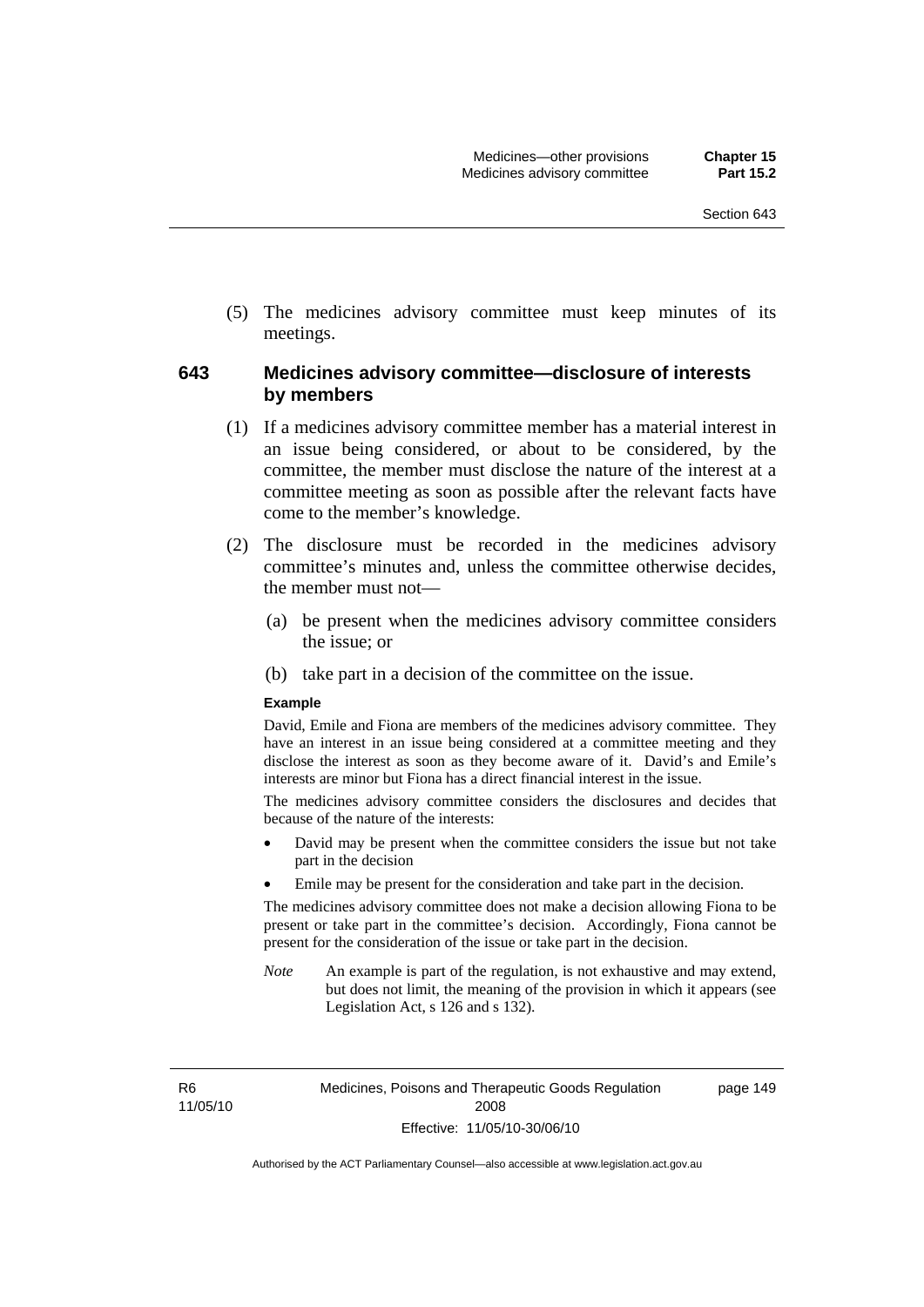(5) The medicines advisory committee must keep minutes of its meetings.

#### **643 Medicines advisory committee—disclosure of interests by members**

- (1) If a medicines advisory committee member has a material interest in an issue being considered, or about to be considered, by the committee, the member must disclose the nature of the interest at a committee meeting as soon as possible after the relevant facts have come to the member's knowledge.
- (2) The disclosure must be recorded in the medicines advisory committee's minutes and, unless the committee otherwise decides, the member must not—
	- (a) be present when the medicines advisory committee considers the issue; or
	- (b) take part in a decision of the committee on the issue.

#### **Example**

David, Emile and Fiona are members of the medicines advisory committee. They have an interest in an issue being considered at a committee meeting and they disclose the interest as soon as they become aware of it. David's and Emile's interests are minor but Fiona has a direct financial interest in the issue.

The medicines advisory committee considers the disclosures and decides that because of the nature of the interests:

- David may be present when the committee considers the issue but not take part in the decision
- Emile may be present for the consideration and take part in the decision.

The medicines advisory committee does not make a decision allowing Fiona to be present or take part in the committee's decision. Accordingly, Fiona cannot be present for the consideration of the issue or take part in the decision.

*Note* An example is part of the regulation, is not exhaustive and may extend, but does not limit, the meaning of the provision in which it appears (see Legislation Act, s 126 and s 132).

R6 11/05/10 page 149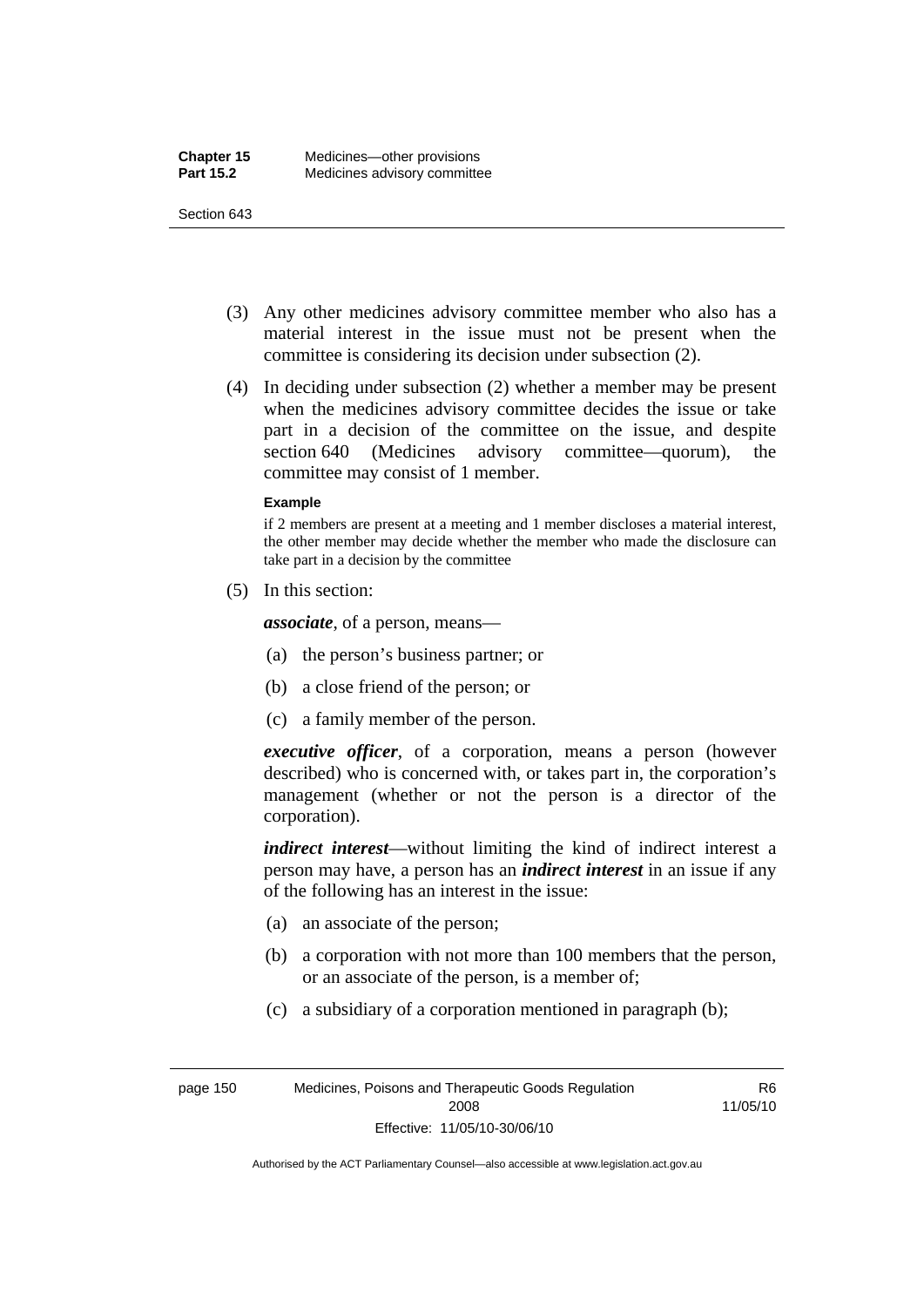#### Section 643

- (3) Any other medicines advisory committee member who also has a material interest in the issue must not be present when the committee is considering its decision under subsection (2).
- (4) In deciding under subsection (2) whether a member may be present when the medicines advisory committee decides the issue or take part in a decision of the committee on the issue, and despite section 640 (Medicines advisory committee—quorum), the committee may consist of 1 member.

#### **Example**

if 2 members are present at a meeting and 1 member discloses a material interest, the other member may decide whether the member who made the disclosure can take part in a decision by the committee

(5) In this section:

*associate*, of a person, means—

- (a) the person's business partner; or
- (b) a close friend of the person; or
- (c) a family member of the person.

*executive officer*, of a corporation, means a person (however described) who is concerned with, or takes part in, the corporation's management (whether or not the person is a director of the corporation).

*indirect interest*—without limiting the kind of indirect interest a person may have, a person has an *indirect interest* in an issue if any of the following has an interest in the issue:

- (a) an associate of the person;
- (b) a corporation with not more than 100 members that the person, or an associate of the person, is a member of;
- (c) a subsidiary of a corporation mentioned in paragraph (b);

R6 11/05/10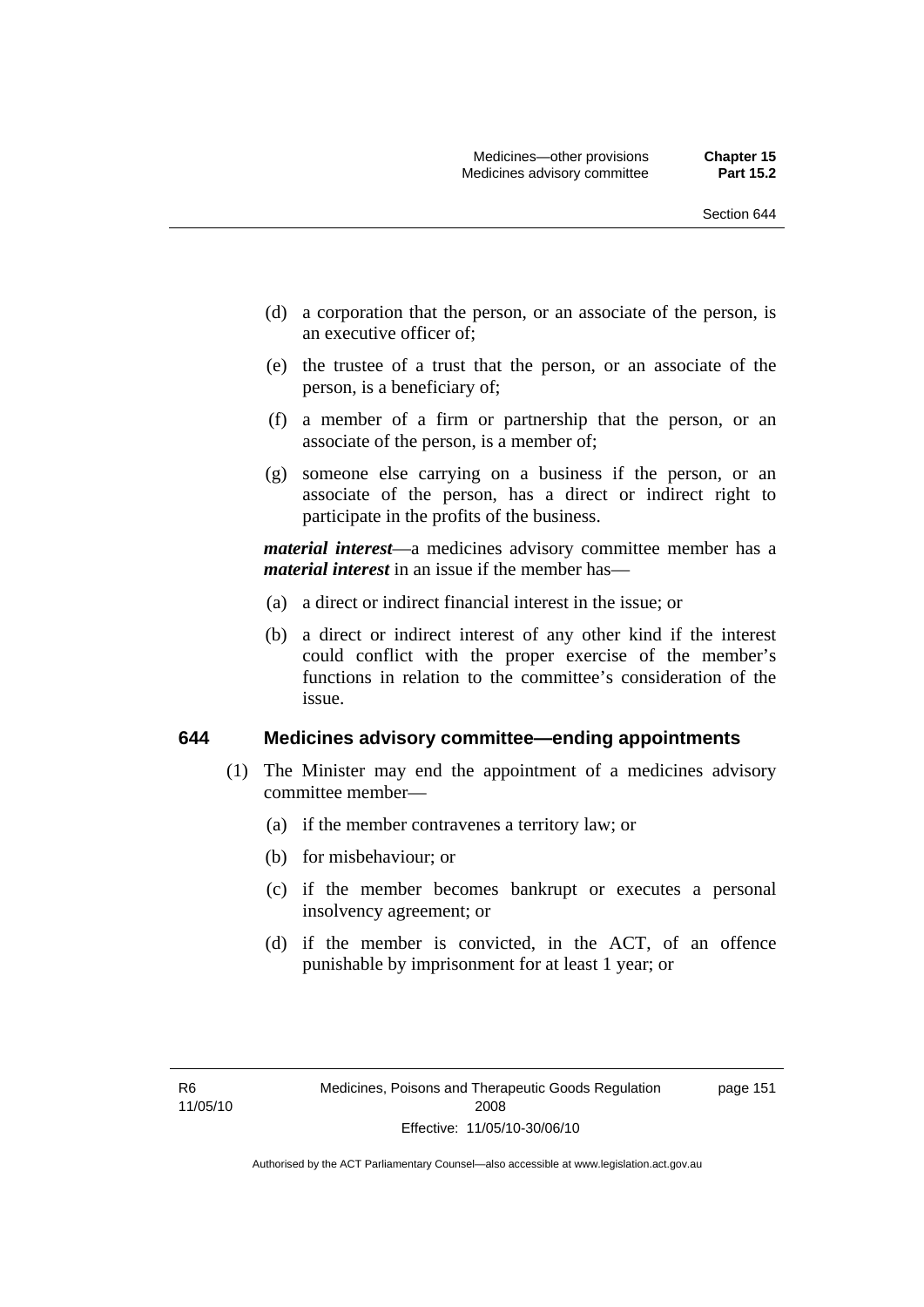- (d) a corporation that the person, or an associate of the person, is an executive officer of;
- (e) the trustee of a trust that the person, or an associate of the person, is a beneficiary of;
- (f) a member of a firm or partnership that the person, or an associate of the person, is a member of;
- (g) someone else carrying on a business if the person, or an associate of the person, has a direct or indirect right to participate in the profits of the business.

*material interest*—a medicines advisory committee member has a *material interest* in an issue if the member has—

- (a) a direct or indirect financial interest in the issue; or
- (b) a direct or indirect interest of any other kind if the interest could conflict with the proper exercise of the member's functions in relation to the committee's consideration of the issue.

#### **644 Medicines advisory committee—ending appointments**

- (1) The Minister may end the appointment of a medicines advisory committee member—
	- (a) if the member contravenes a territory law; or
	- (b) for misbehaviour; or
	- (c) if the member becomes bankrupt or executes a personal insolvency agreement; or
	- (d) if the member is convicted, in the ACT, of an offence punishable by imprisonment for at least 1 year; or

page 151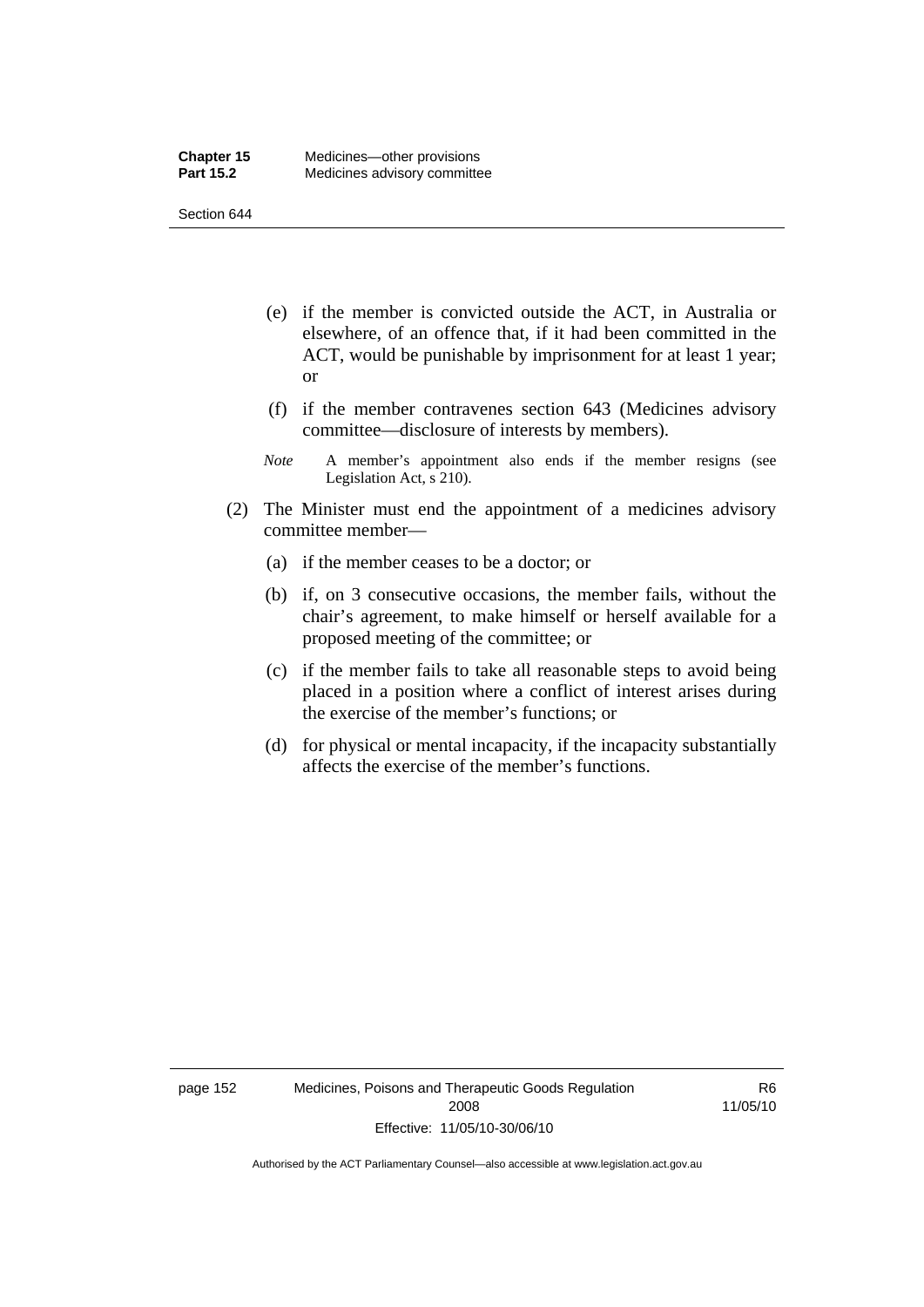Section 644

- (e) if the member is convicted outside the ACT, in Australia or elsewhere, of an offence that, if it had been committed in the ACT, would be punishable by imprisonment for at least 1 year; or
- (f) if the member contravenes section 643 (Medicines advisory committee—disclosure of interests by members).
- *Note* A member's appointment also ends if the member resigns (see Legislation Act, s 210).
- (2) The Minister must end the appointment of a medicines advisory committee member—
	- (a) if the member ceases to be a doctor; or
	- (b) if, on 3 consecutive occasions, the member fails, without the chair's agreement, to make himself or herself available for a proposed meeting of the committee; or
	- (c) if the member fails to take all reasonable steps to avoid being placed in a position where a conflict of interest arises during the exercise of the member's functions; or
	- (d) for physical or mental incapacity, if the incapacity substantially affects the exercise of the member's functions.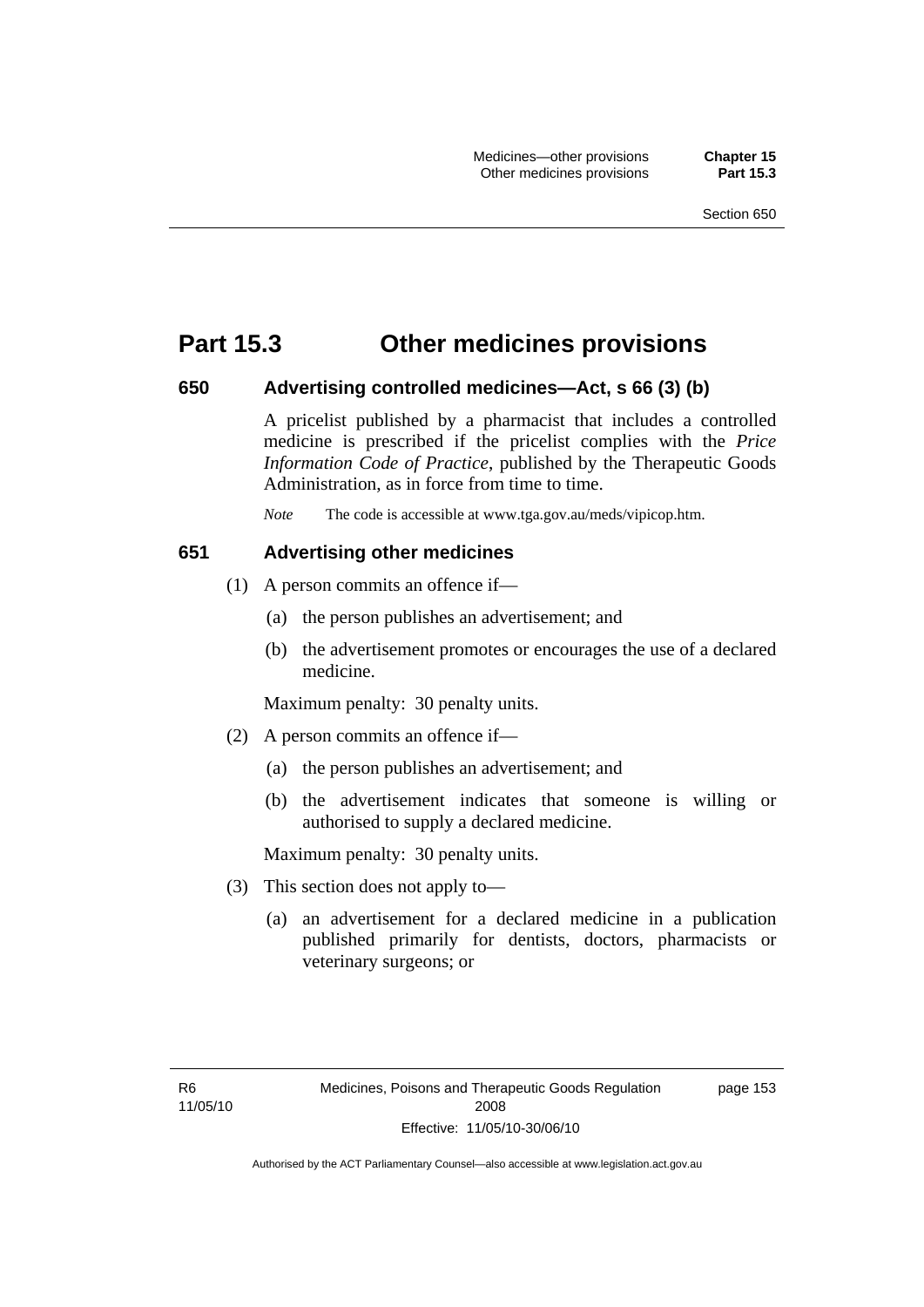## **Part 15.3 Other medicines provisions**

#### **650 Advertising controlled medicines—Act, s 66 (3) (b)**

A pricelist published by a pharmacist that includes a controlled medicine is prescribed if the pricelist complies with the *Price Information Code of Practice*, published by the Therapeutic Goods Administration, as in force from time to time.

*Note* The code is accessible at www.tga.gov.au/meds/vipicop.htm.

#### **651 Advertising other medicines**

- (1) A person commits an offence if—
	- (a) the person publishes an advertisement; and
	- (b) the advertisement promotes or encourages the use of a declared medicine.

Maximum penalty: 30 penalty units.

- (2) A person commits an offence if—
	- (a) the person publishes an advertisement; and
	- (b) the advertisement indicates that someone is willing or authorised to supply a declared medicine.

Maximum penalty: 30 penalty units.

- (3) This section does not apply to—
	- (a) an advertisement for a declared medicine in a publication published primarily for dentists, doctors, pharmacists or veterinary surgeons; or

page 153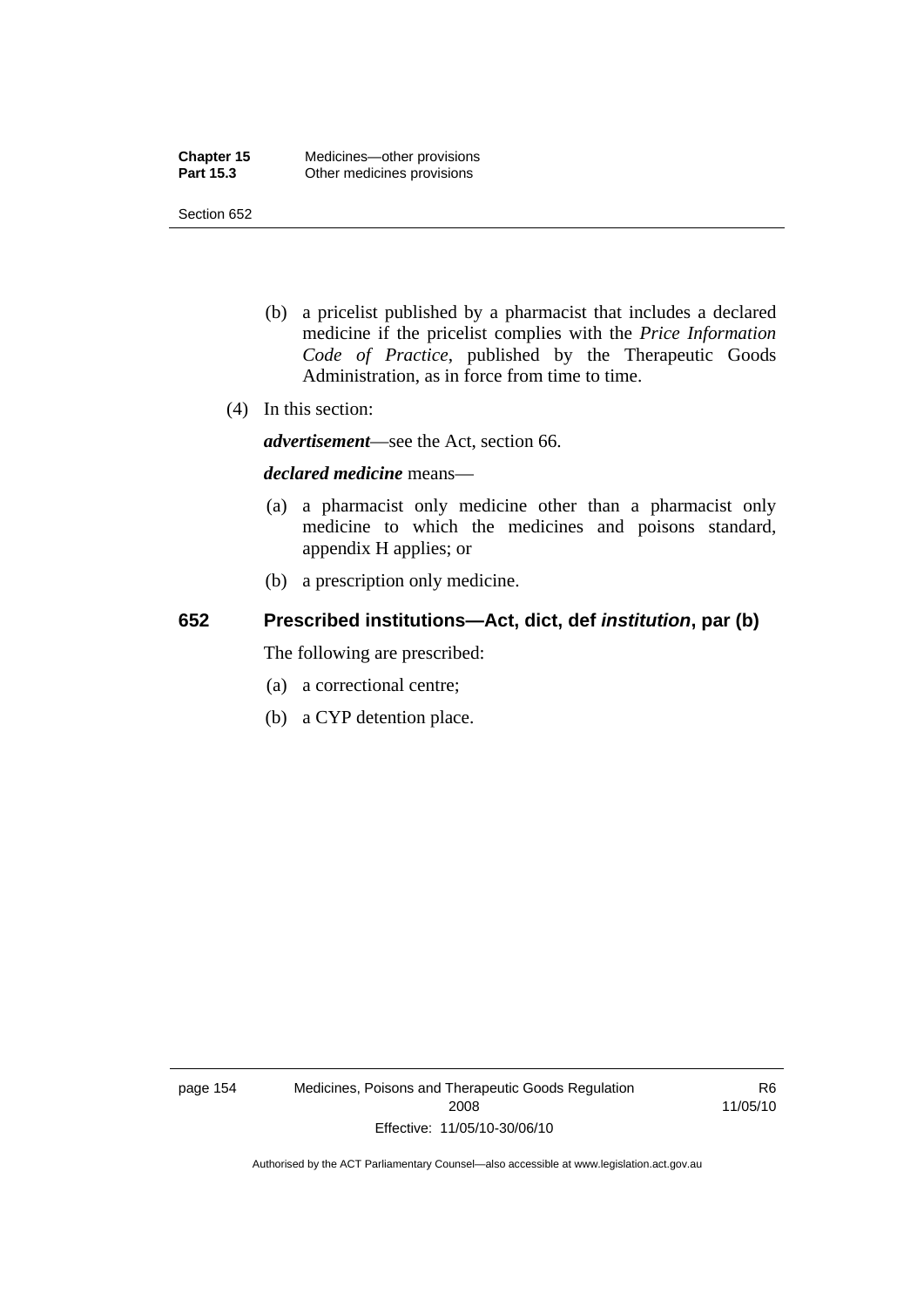Section 652

- (b) a pricelist published by a pharmacist that includes a declared medicine if the pricelist complies with the *Price Information Code of Practice*, published by the Therapeutic Goods Administration, as in force from time to time.
- (4) In this section:

*advertisement*—see the Act, section 66.

#### *declared medicine* means—

- (a) a pharmacist only medicine other than a pharmacist only medicine to which the medicines and poisons standard, appendix H applies; or
- (b) a prescription only medicine.

## **652 Prescribed institutions—Act, dict, def** *institution***, par (b)**

The following are prescribed:

- (a) a correctional centre;
- (b) a CYP detention place.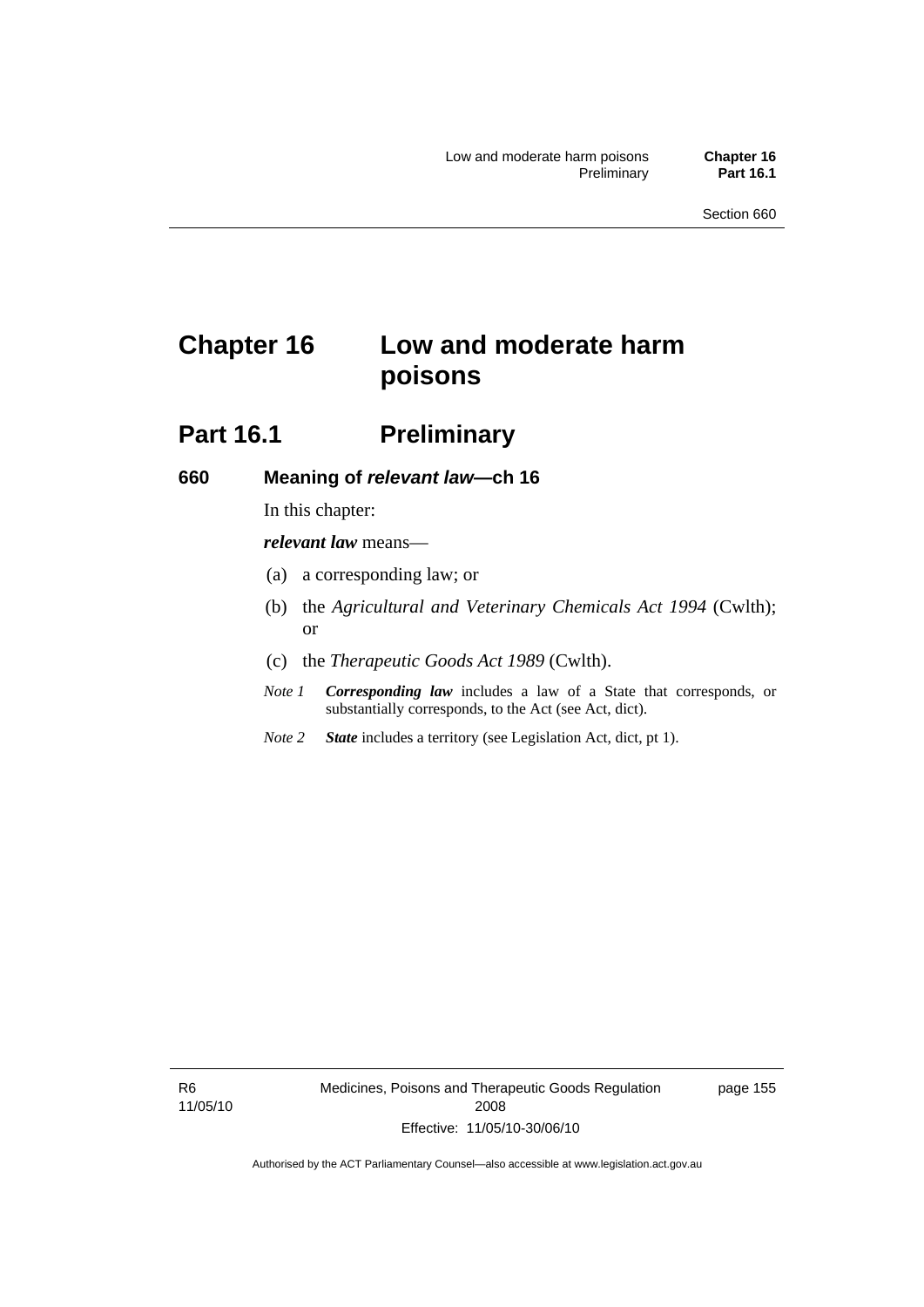# **Chapter 16 Low and moderate harm poisons**

## **Part 16.1** Preliminary

#### **660 Meaning of** *relevant law***—ch 16**

In this chapter:

*relevant law* means—

- (a) a corresponding law; or
- (b) the *Agricultural and Veterinary Chemicals Act 1994* (Cwlth); or
- (c) the *Therapeutic Goods Act 1989* (Cwlth).
- *Note 1 Corresponding law* includes a law of a State that corresponds, or substantially corresponds, to the Act (see Act, dict).
- *Note 2 State* includes a territory (see Legislation Act, dict, pt 1).

R6 11/05/10 page 155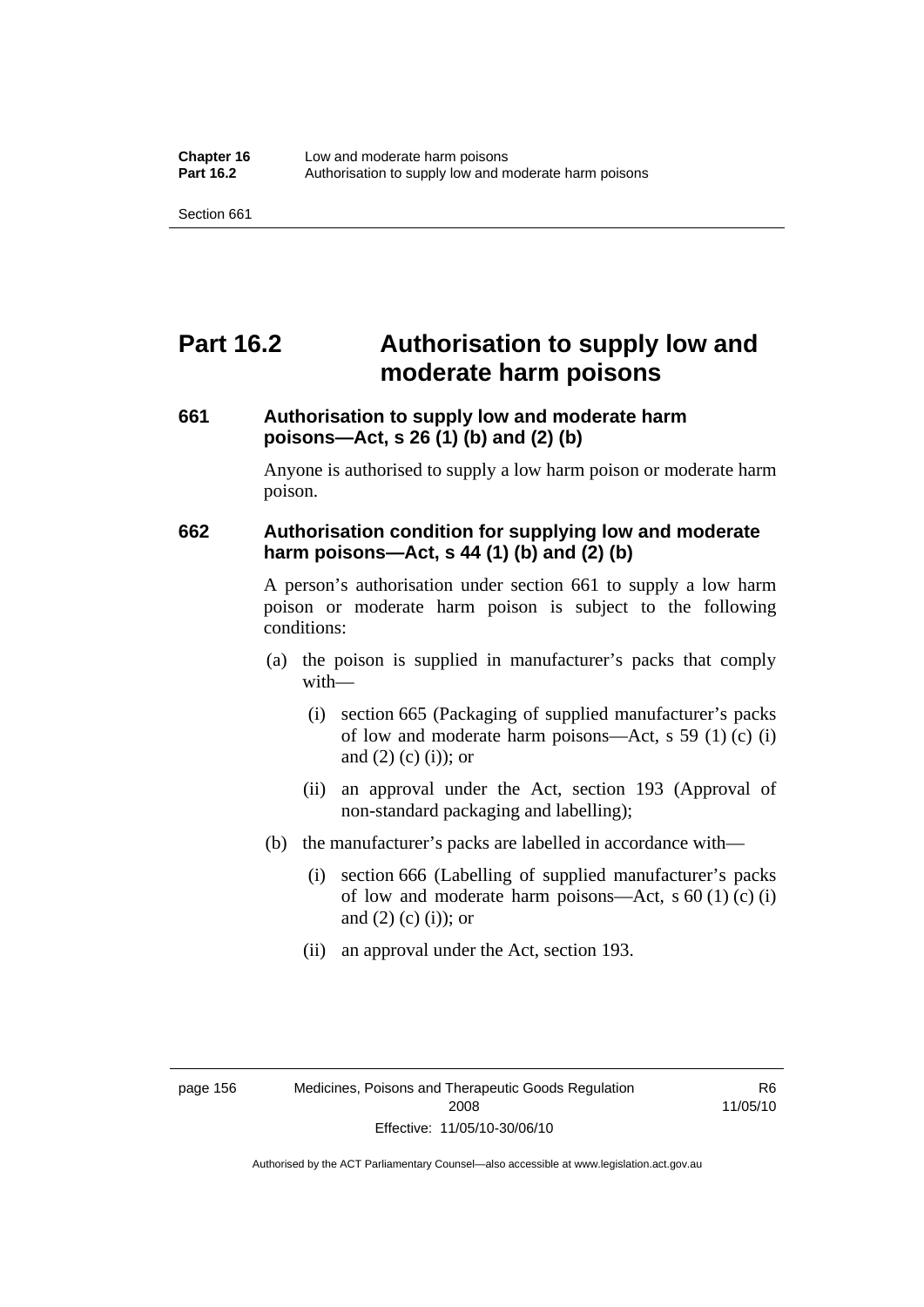# **Part 16.2 Authorisation to supply low and moderate harm poisons**

## **661 Authorisation to supply low and moderate harm poisons—Act, s 26 (1) (b) and (2) (b)**

Anyone is authorised to supply a low harm poison or moderate harm poison.

#### **662 Authorisation condition for supplying low and moderate harm poisons—Act, s 44 (1) (b) and (2) (b)**

A person's authorisation under section 661 to supply a low harm poison or moderate harm poison is subject to the following conditions:

- (a) the poison is supplied in manufacturer's packs that comply with—
	- (i) section 665 (Packaging of supplied manufacturer's packs of low and moderate harm poisons—Act, s 59 (1) (c) (i) and  $(2)$  (c) (i)); or
	- (ii) an approval under the Act, section 193 (Approval of non-standard packaging and labelling);
- (b) the manufacturer's packs are labelled in accordance with—
	- (i) section 666 (Labelling of supplied manufacturer's packs of low and moderate harm poisons—Act, s  $60(1)(c)(i)$ and  $(2)$  (c)  $(i)$ ; or
	- (ii) an approval under the Act, section 193.

R6 11/05/10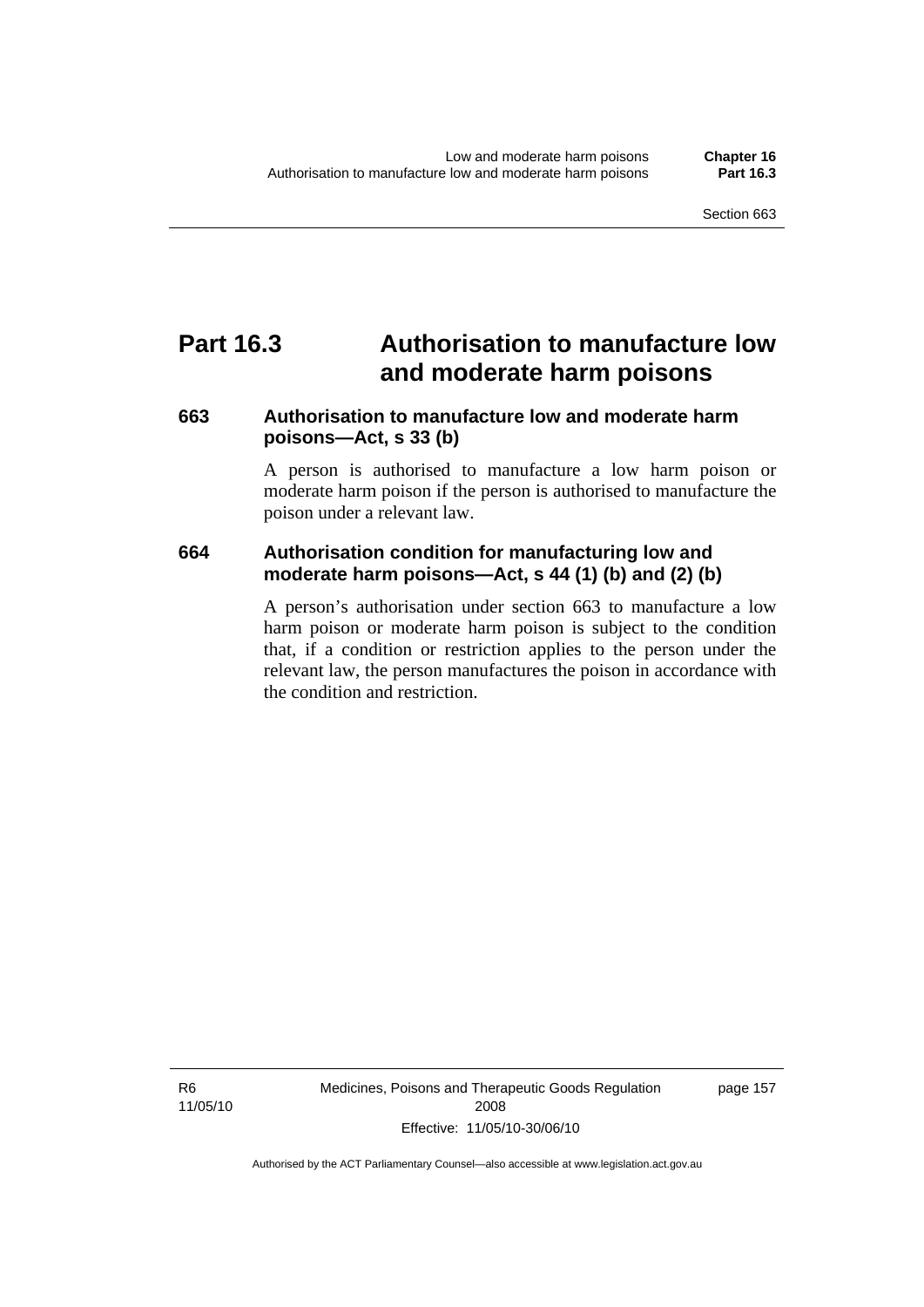## **Part 16.3 Authorisation to manufacture low and moderate harm poisons**

### **663 Authorisation to manufacture low and moderate harm poisons—Act, s 33 (b)**

A person is authorised to manufacture a low harm poison or moderate harm poison if the person is authorised to manufacture the poison under a relevant law.

### **664 Authorisation condition for manufacturing low and moderate harm poisons—Act, s 44 (1) (b) and (2) (b)**

A person's authorisation under section 663 to manufacture a low harm poison or moderate harm poison is subject to the condition that, if a condition or restriction applies to the person under the relevant law, the person manufactures the poison in accordance with the condition and restriction.

R6 11/05/10 Medicines, Poisons and Therapeutic Goods Regulation 2008 Effective: 11/05/10-30/06/10

page 157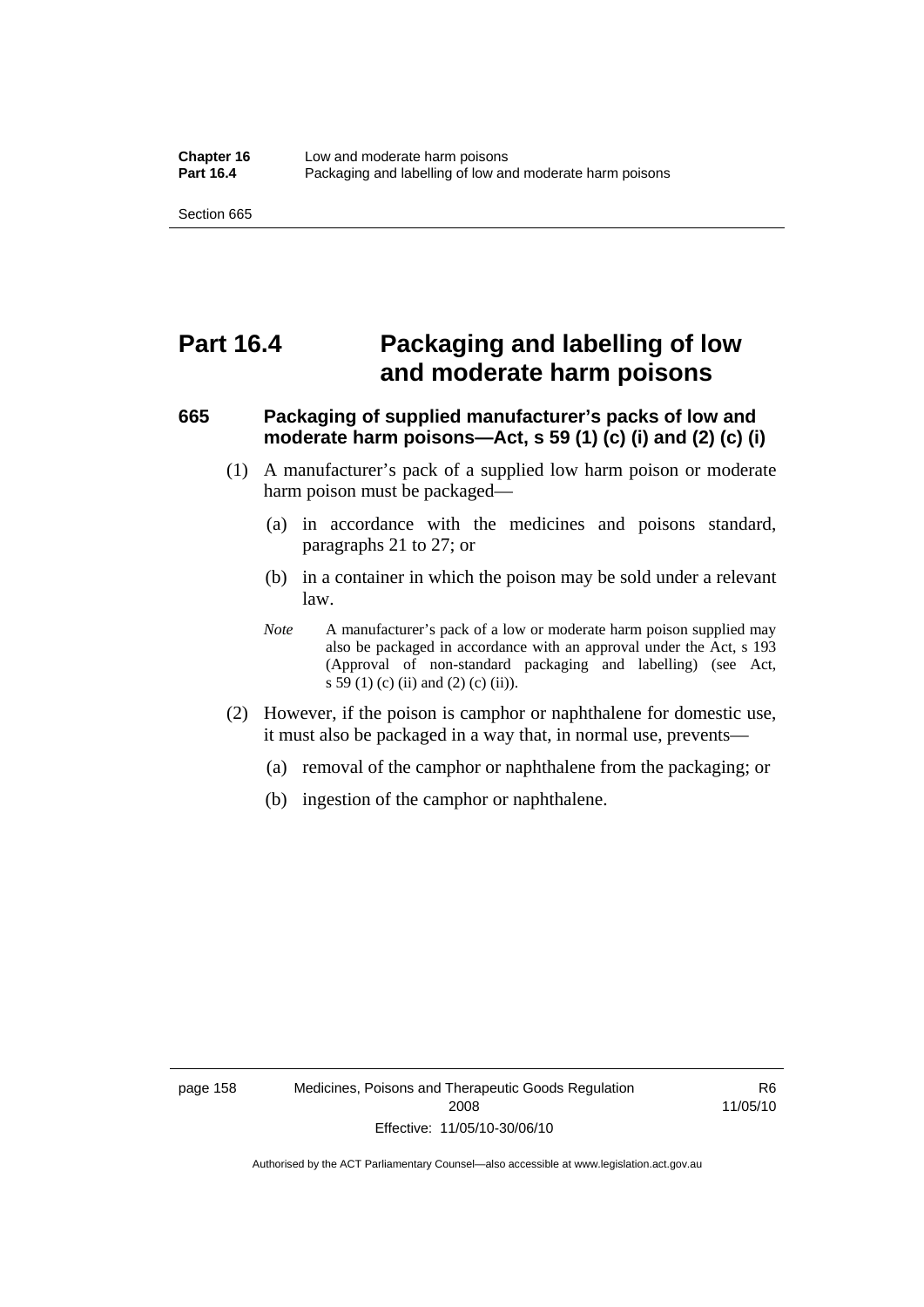## **Part 16.4 Packaging and labelling of low and moderate harm poisons**

### **665 Packaging of supplied manufacturer's packs of low and moderate harm poisons—Act, s 59 (1) (c) (i) and (2) (c) (i)**

- (1) A manufacturer's pack of a supplied low harm poison or moderate harm poison must be packaged—
	- (a) in accordance with the medicines and poisons standard, paragraphs 21 to 27; or
	- (b) in a container in which the poison may be sold under a relevant law.
	- *Note* A manufacturer's pack of a low or moderate harm poison supplied may also be packaged in accordance with an approval under the Act, s 193 (Approval of non-standard packaging and labelling) (see Act, s 59 (1) (c) (ii) and (2) (c) (ii)).
- (2) However, if the poison is camphor or naphthalene for domestic use, it must also be packaged in a way that, in normal use, prevents—
	- (a) removal of the camphor or naphthalene from the packaging; or
	- (b) ingestion of the camphor or naphthalene.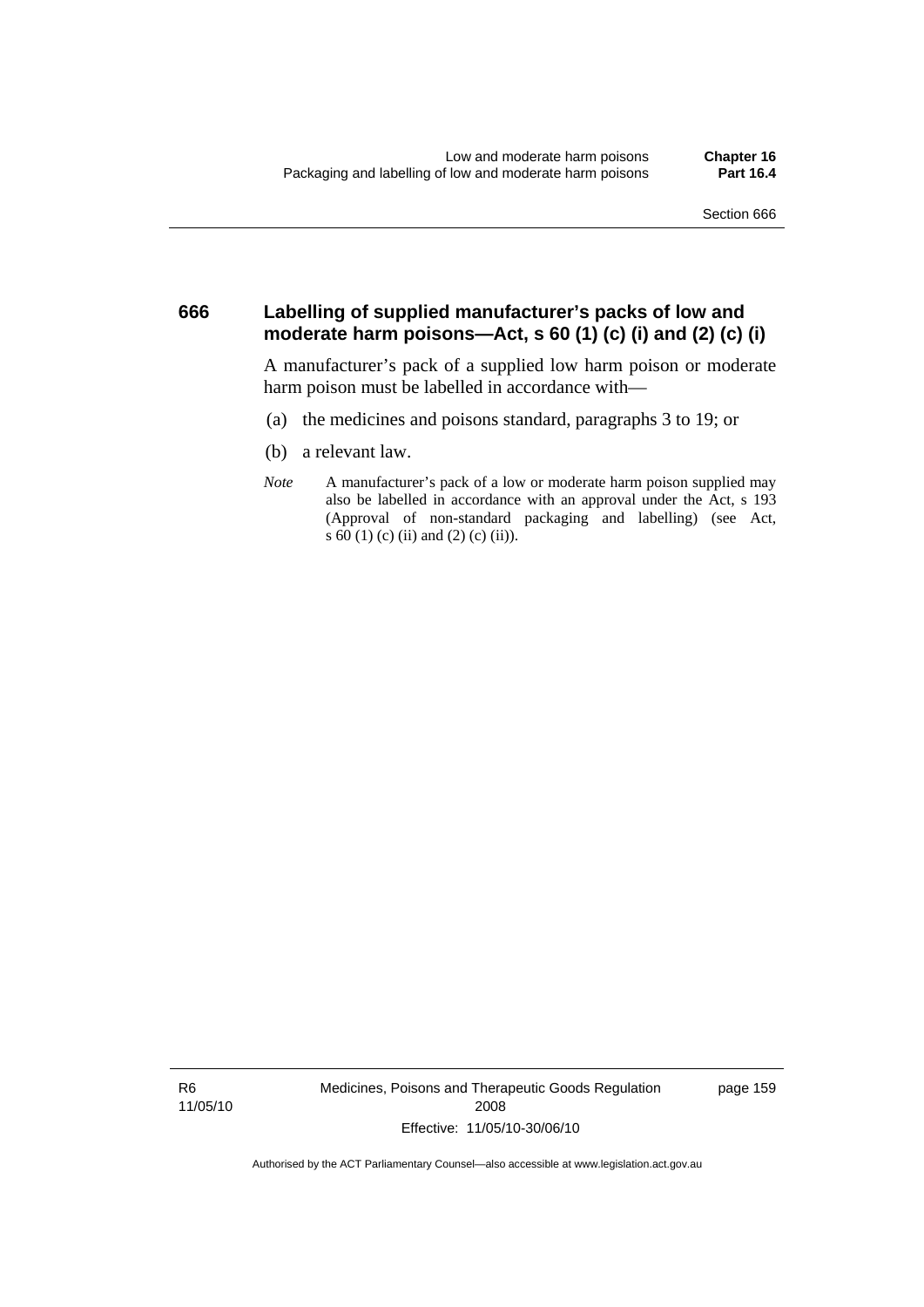#### **666 Labelling of supplied manufacturer's packs of low and moderate harm poisons—Act, s 60 (1) (c) (i) and (2) (c) (i)**

A manufacturer's pack of a supplied low harm poison or moderate harm poison must be labelled in accordance with—

- (a) the medicines and poisons standard, paragraphs 3 to 19; or
- (b) a relevant law.
- *Note* A manufacturer's pack of a low or moderate harm poison supplied may also be labelled in accordance with an approval under the Act, s 193 (Approval of non-standard packaging and labelling) (see Act, s 60 (1) (c) (ii) and (2) (c) (ii)).

R6 11/05/10 Medicines, Poisons and Therapeutic Goods Regulation 2008 Effective: 11/05/10-30/06/10

page 159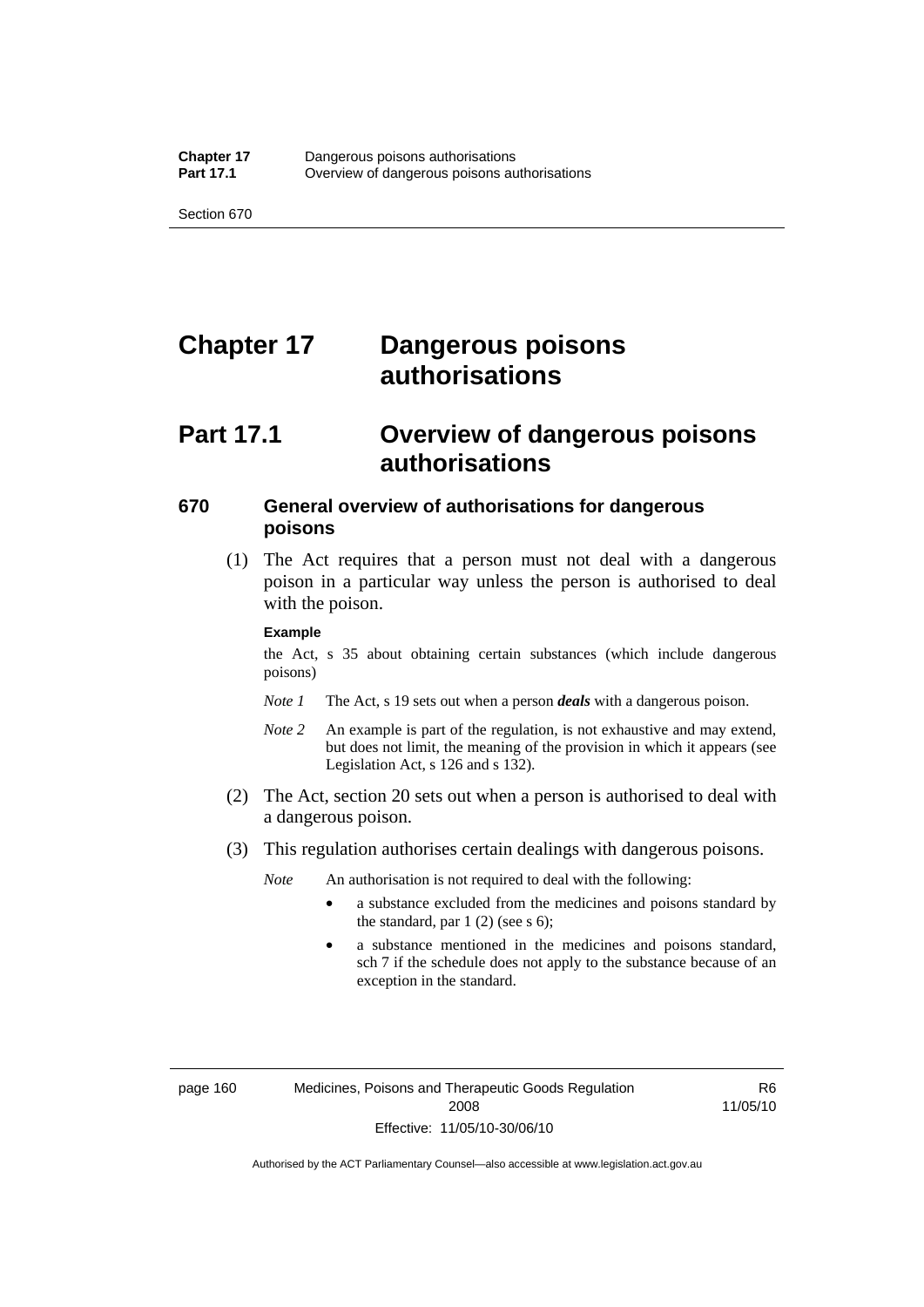# **Chapter 17 Dangerous poisons authorisations**

## **Part 17.1 Overview of dangerous poisons authorisations**

#### **670 General overview of authorisations for dangerous poisons**

 (1) The Act requires that a person must not deal with a dangerous poison in a particular way unless the person is authorised to deal with the poison.

#### **Example**

the Act, s 35 about obtaining certain substances (which include dangerous poisons)

- *Note 1* The Act, s 19 sets out when a person *deals* with a dangerous poison.
- *Note 2* An example is part of the regulation, is not exhaustive and may extend, but does not limit, the meaning of the provision in which it appears (see Legislation Act, s 126 and s 132).
- (2) The Act, section 20 sets out when a person is authorised to deal with a dangerous poison.
- (3) This regulation authorises certain dealings with dangerous poisons.

*Note* An authorisation is not required to deal with the following:

- a substance excluded from the medicines and poisons standard by the standard, par  $1(2)$  (see s 6);
- a substance mentioned in the medicines and poisons standard, sch 7 if the schedule does not apply to the substance because of an exception in the standard.

R6 11/05/10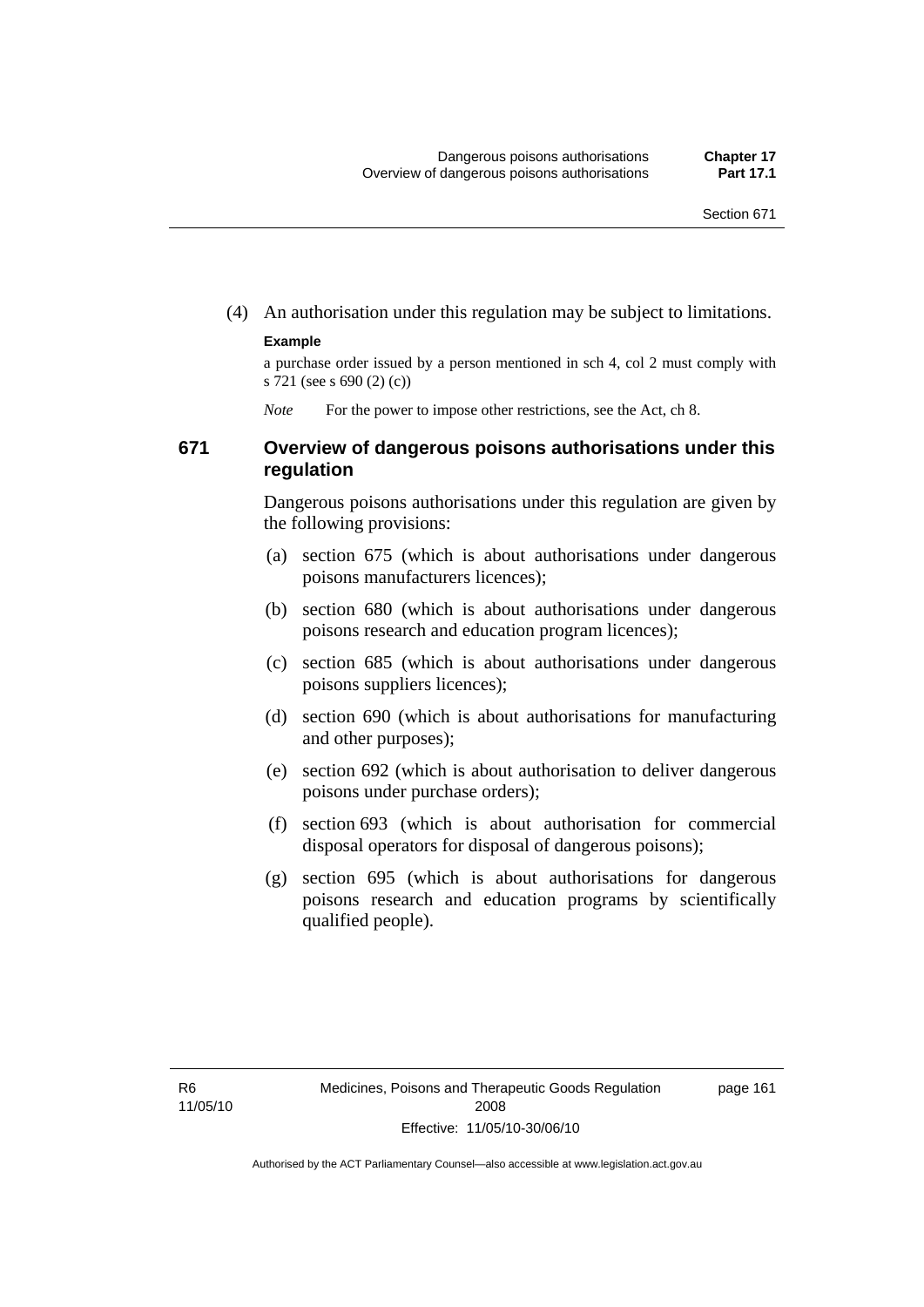(4) An authorisation under this regulation may be subject to limitations.

#### **Example**

a purchase order issued by a person mentioned in sch 4, col 2 must comply with s 721 (see s 690 (2) (c))

*Note* For the power to impose other restrictions, see the Act, ch 8.

#### **671 Overview of dangerous poisons authorisations under this regulation**

Dangerous poisons authorisations under this regulation are given by the following provisions:

- (a) section 675 (which is about authorisations under dangerous poisons manufacturers licences);
- (b) section 680 (which is about authorisations under dangerous poisons research and education program licences);
- (c) section 685 (which is about authorisations under dangerous poisons suppliers licences);
- (d) section 690 (which is about authorisations for manufacturing and other purposes);
- (e) section 692 (which is about authorisation to deliver dangerous poisons under purchase orders);
- (f) section 693 (which is about authorisation for commercial disposal operators for disposal of dangerous poisons);
- (g) section 695 (which is about authorisations for dangerous poisons research and education programs by scientifically qualified people).

page 161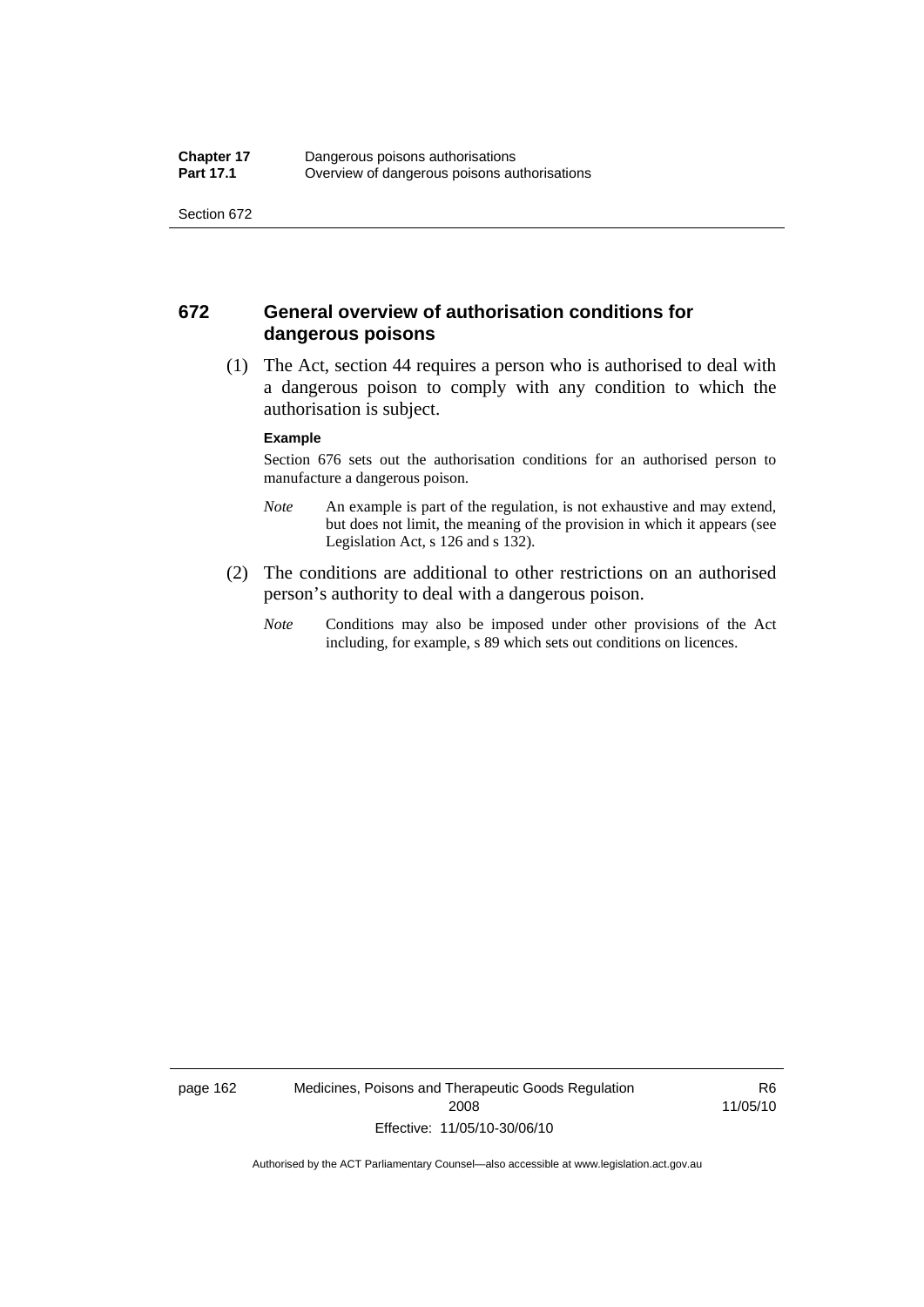#### **672 General overview of authorisation conditions for dangerous poisons**

 (1) The Act, section 44 requires a person who is authorised to deal with a dangerous poison to comply with any condition to which the authorisation is subject.

#### **Example**

Section 676 sets out the authorisation conditions for an authorised person to manufacture a dangerous poison.

- *Note* An example is part of the regulation, is not exhaustive and may extend, but does not limit, the meaning of the provision in which it appears (see Legislation Act, s 126 and s 132).
- (2) The conditions are additional to other restrictions on an authorised person's authority to deal with a dangerous poison.
	- *Note* Conditions may also be imposed under other provisions of the Act including, for example, s 89 which sets out conditions on licences.

page 162 Medicines, Poisons and Therapeutic Goods Regulation 2008 Effective: 11/05/10-30/06/10

R6 11/05/10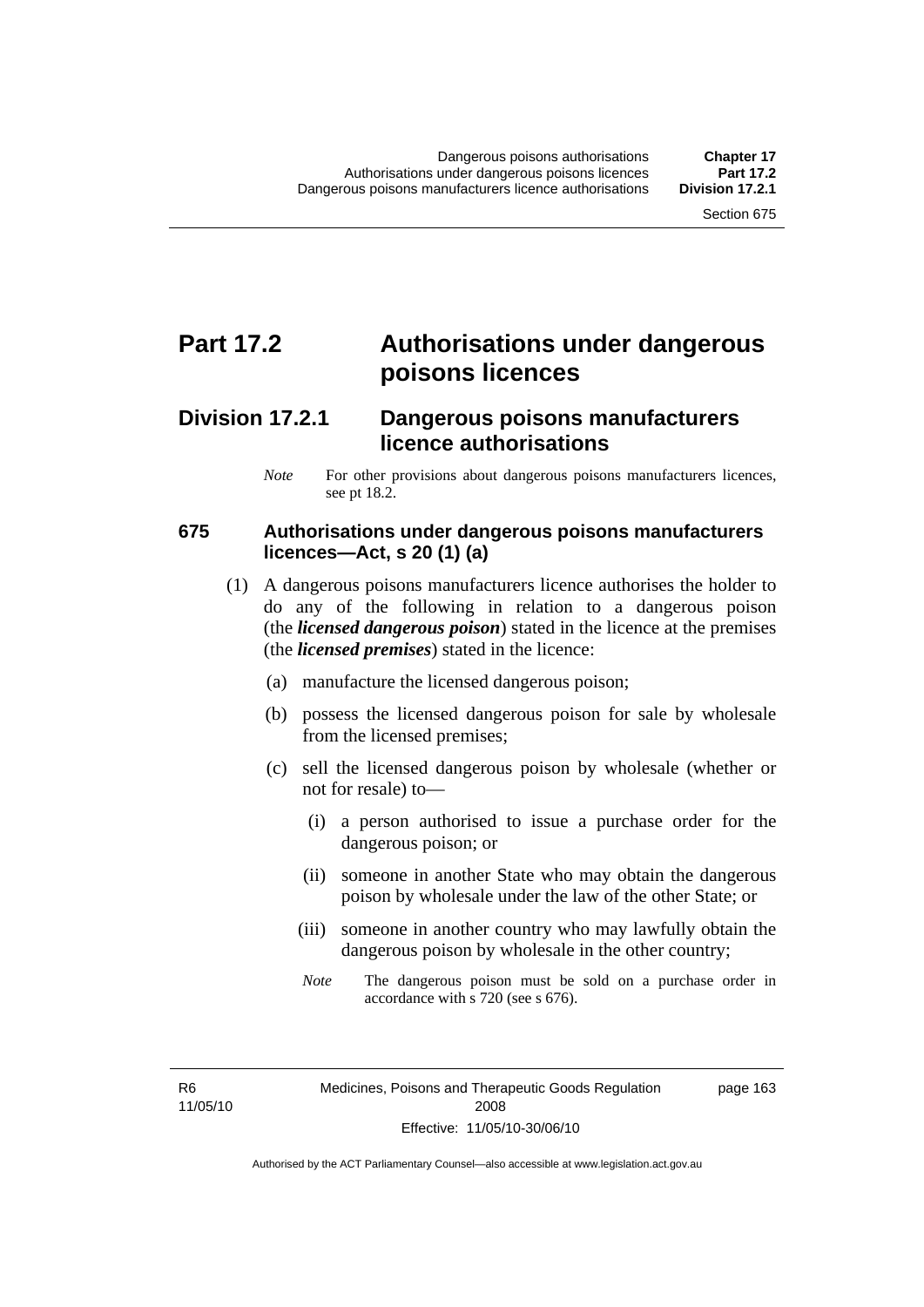# **Part 17.2 Authorisations under dangerous poisons licences**

### **Division 17.2.1 Dangerous poisons manufacturers licence authorisations**

*Note* For other provisions about dangerous poisons manufacturers licences, see pt 18.2.

### **675 Authorisations under dangerous poisons manufacturers licences—Act, s 20 (1) (a)**

- (1) A dangerous poisons manufacturers licence authorises the holder to do any of the following in relation to a dangerous poison (the *licensed dangerous poison*) stated in the licence at the premises (the *licensed premises*) stated in the licence:
	- (a) manufacture the licensed dangerous poison;
	- (b) possess the licensed dangerous poison for sale by wholesale from the licensed premises;
	- (c) sell the licensed dangerous poison by wholesale (whether or not for resale) to—
		- (i) a person authorised to issue a purchase order for the dangerous poison; or
		- (ii) someone in another State who may obtain the dangerous poison by wholesale under the law of the other State; or
		- (iii) someone in another country who may lawfully obtain the dangerous poison by wholesale in the other country;
		- *Note* The dangerous poison must be sold on a purchase order in accordance with s 720 (see s 676).

R6 11/05/10 page 163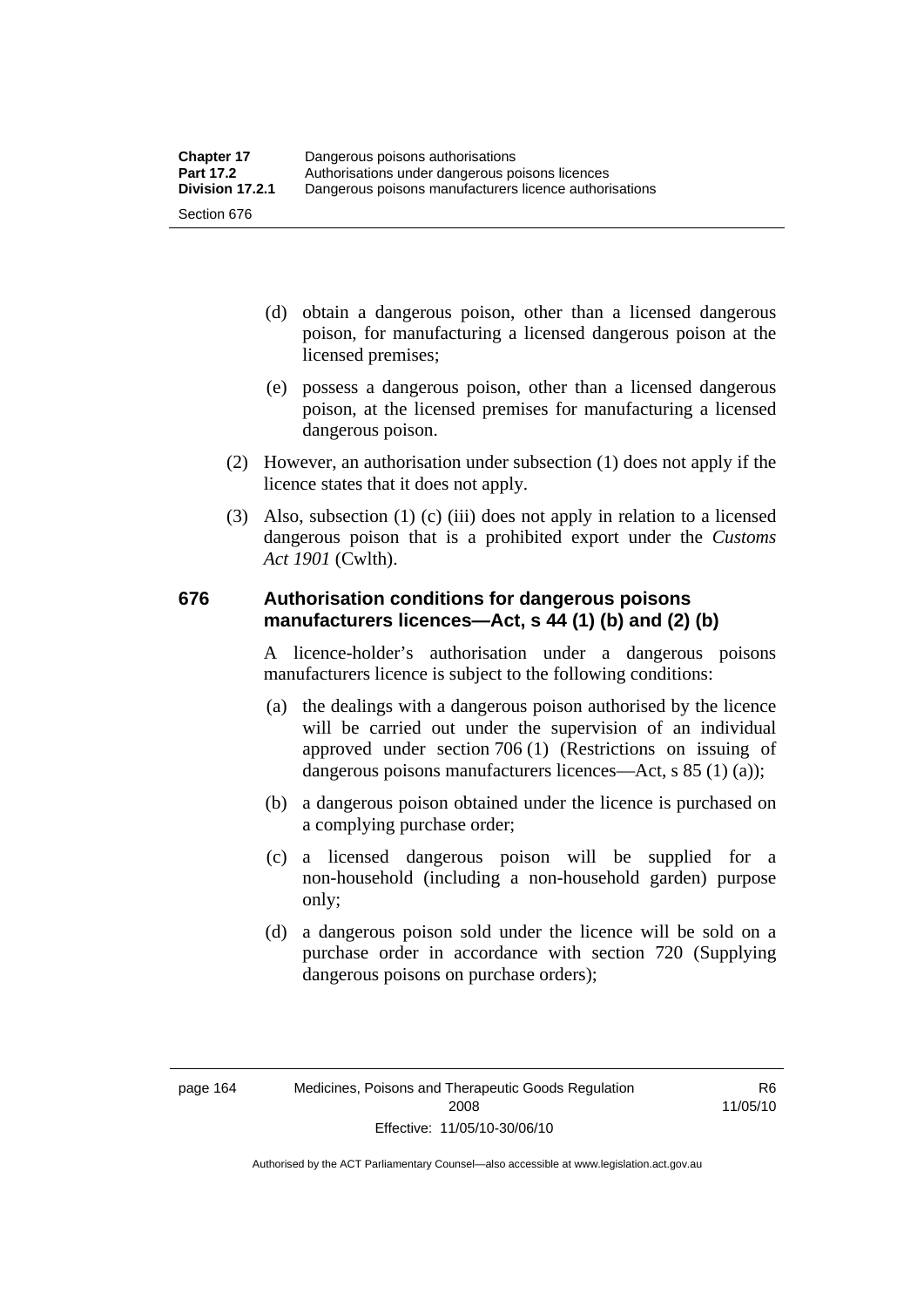- (d) obtain a dangerous poison, other than a licensed dangerous poison, for manufacturing a licensed dangerous poison at the licensed premises;
- (e) possess a dangerous poison, other than a licensed dangerous poison, at the licensed premises for manufacturing a licensed dangerous poison.
- (2) However, an authorisation under subsection (1) does not apply if the licence states that it does not apply.
- (3) Also, subsection (1) (c) (iii) does not apply in relation to a licensed dangerous poison that is a prohibited export under the *Customs Act 1901* (Cwlth).

#### **676 Authorisation conditions for dangerous poisons manufacturers licences—Act, s 44 (1) (b) and (2) (b)**

A licence-holder's authorisation under a dangerous poisons manufacturers licence is subject to the following conditions:

- (a) the dealings with a dangerous poison authorised by the licence will be carried out under the supervision of an individual approved under section 706 (1) (Restrictions on issuing of dangerous poisons manufacturers licences—Act, s 85 (1) (a));
- (b) a dangerous poison obtained under the licence is purchased on a complying purchase order;
- (c) a licensed dangerous poison will be supplied for a non-household (including a non-household garden) purpose only;
- (d) a dangerous poison sold under the licence will be sold on a purchase order in accordance with section 720 (Supplying dangerous poisons on purchase orders);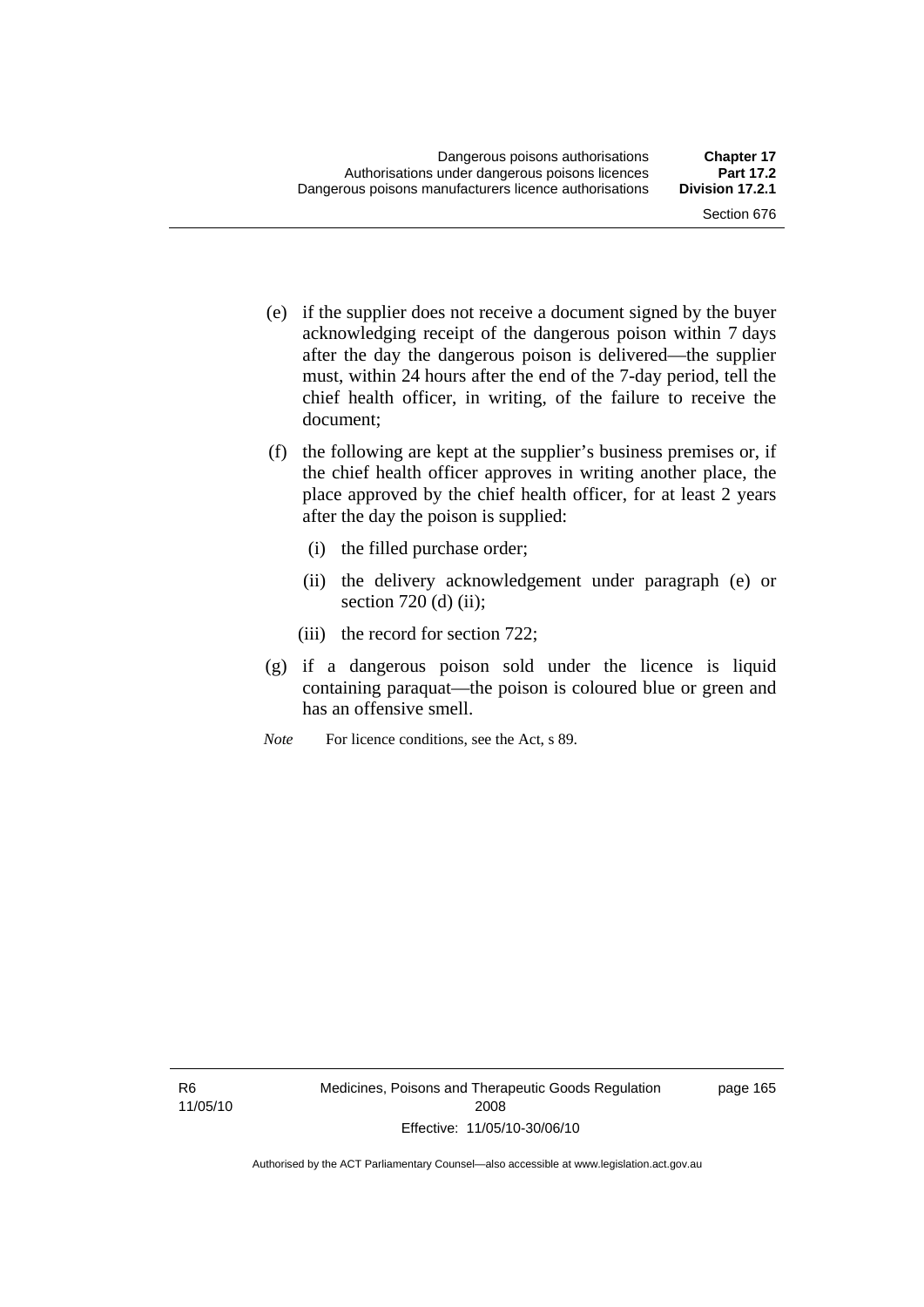- (e) if the supplier does not receive a document signed by the buyer acknowledging receipt of the dangerous poison within 7 days after the day the dangerous poison is delivered—the supplier must, within 24 hours after the end of the 7-day period, tell the chief health officer, in writing, of the failure to receive the document;
- (f) the following are kept at the supplier's business premises or, if the chief health officer approves in writing another place, the place approved by the chief health officer, for at least 2 years after the day the poison is supplied:
	- (i) the filled purchase order;
	- (ii) the delivery acknowledgement under paragraph (e) or section  $720$  (d) (ii);
	- (iii) the record for section 722;
- (g) if a dangerous poison sold under the licence is liquid containing paraquat—the poison is coloured blue or green and has an offensive smell.
- *Note* For licence conditions, see the Act, s 89.

page 165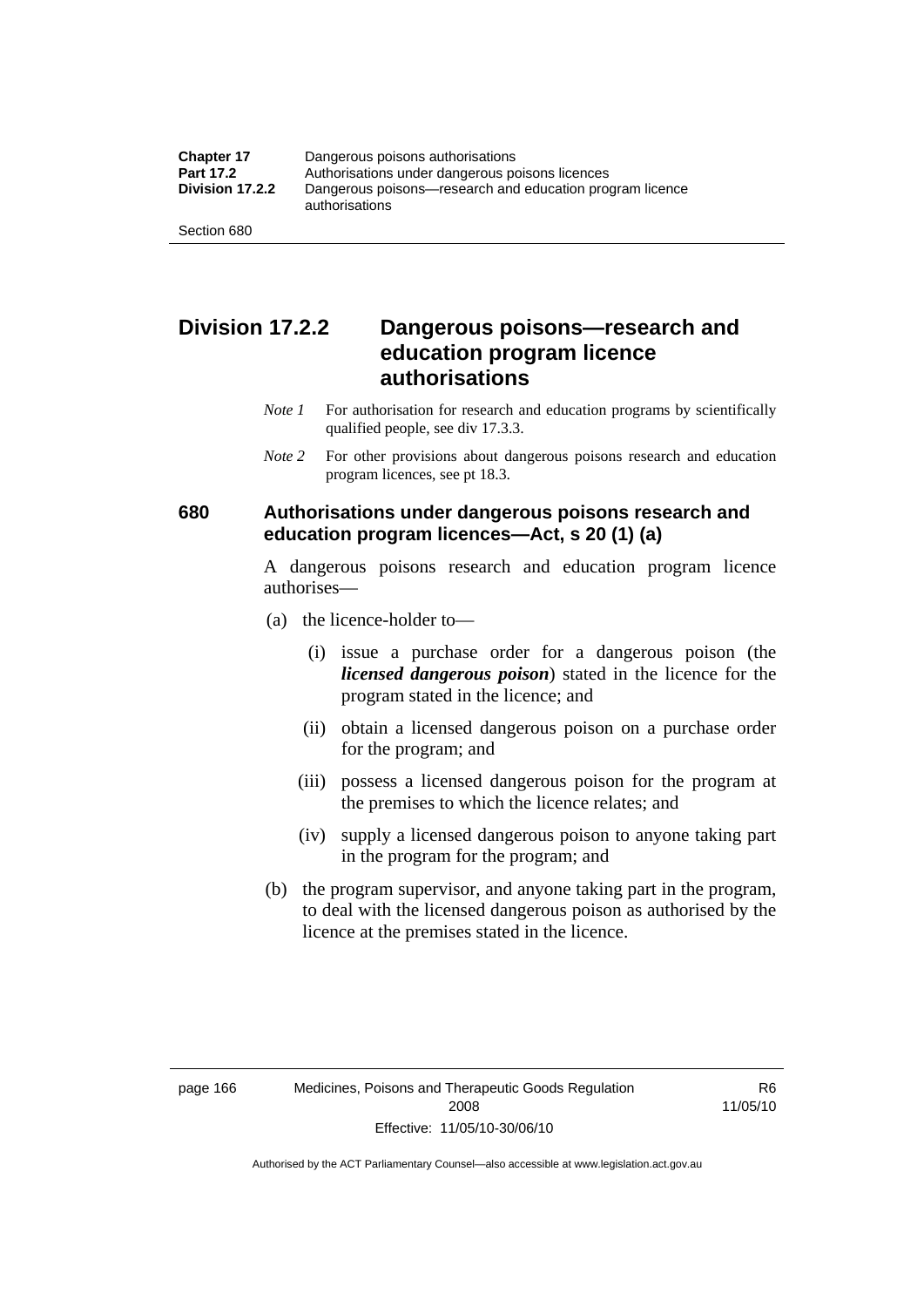### **Division 17.2.2 Dangerous poisons—research and education program licence authorisations**

- *Note 1* For authorisation for research and education programs by scientifically qualified people, see div 17.3.3.
- *Note 2* For other provisions about dangerous poisons research and education program licences, see pt 18.3.

### **680 Authorisations under dangerous poisons research and education program licences—Act, s 20 (1) (a)**

A dangerous poisons research and education program licence authorises—

- (a) the licence-holder to—
	- (i) issue a purchase order for a dangerous poison (the *licensed dangerous poison*) stated in the licence for the program stated in the licence; and
	- (ii) obtain a licensed dangerous poison on a purchase order for the program; and
	- (iii) possess a licensed dangerous poison for the program at the premises to which the licence relates; and
	- (iv) supply a licensed dangerous poison to anyone taking part in the program for the program; and
- (b) the program supervisor, and anyone taking part in the program, to deal with the licensed dangerous poison as authorised by the licence at the premises stated in the licence.

R6 11/05/10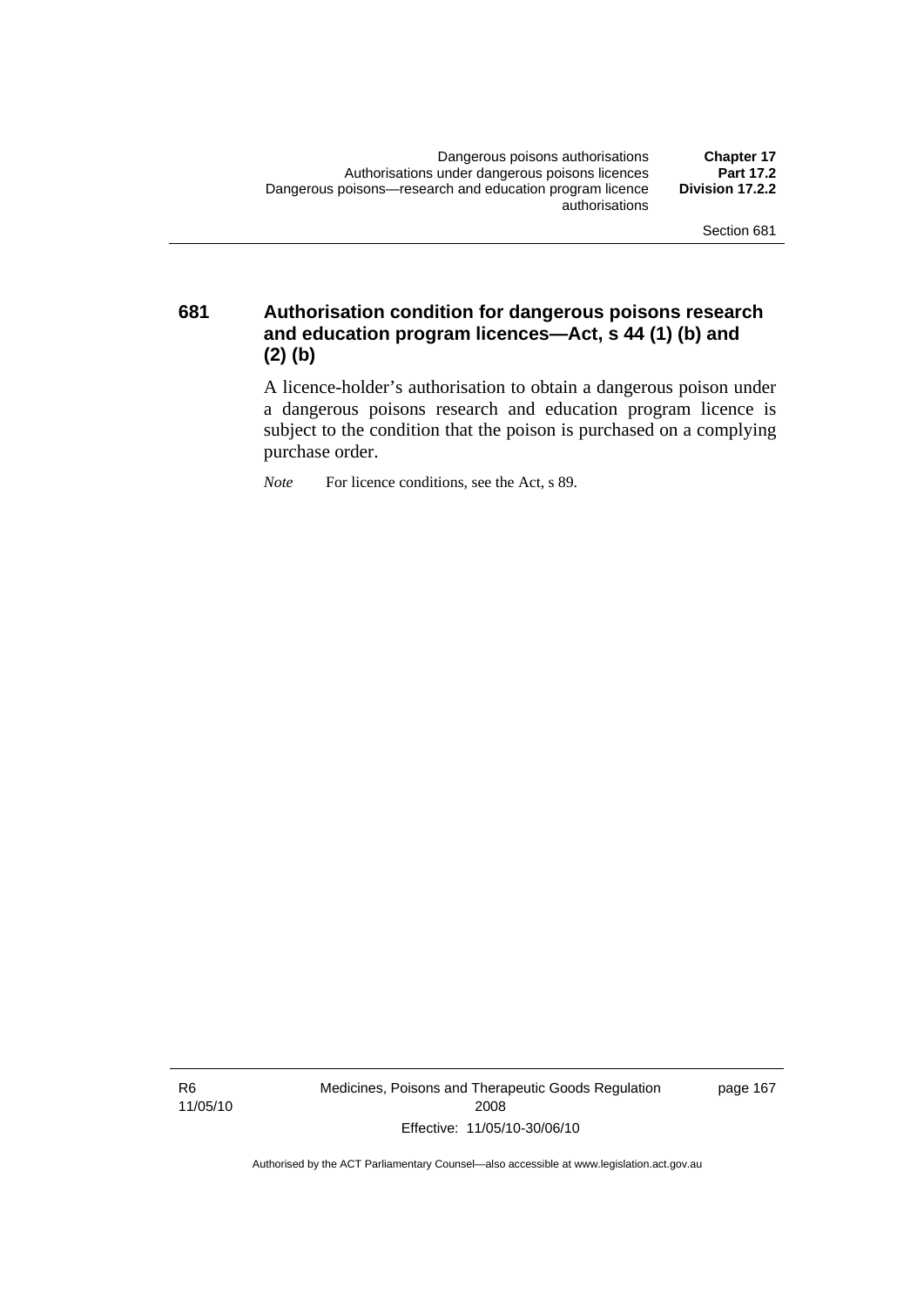**681 Authorisation condition for dangerous poisons research and education program licences—Act, s 44 (1) (b) and (2) (b)** 

> A licence-holder's authorisation to obtain a dangerous poison under a dangerous poisons research and education program licence is subject to the condition that the poison is purchased on a complying purchase order.

*Note* For licence conditions, see the Act, s 89.

R6 11/05/10 Medicines, Poisons and Therapeutic Goods Regulation 2008 Effective: 11/05/10-30/06/10

page 167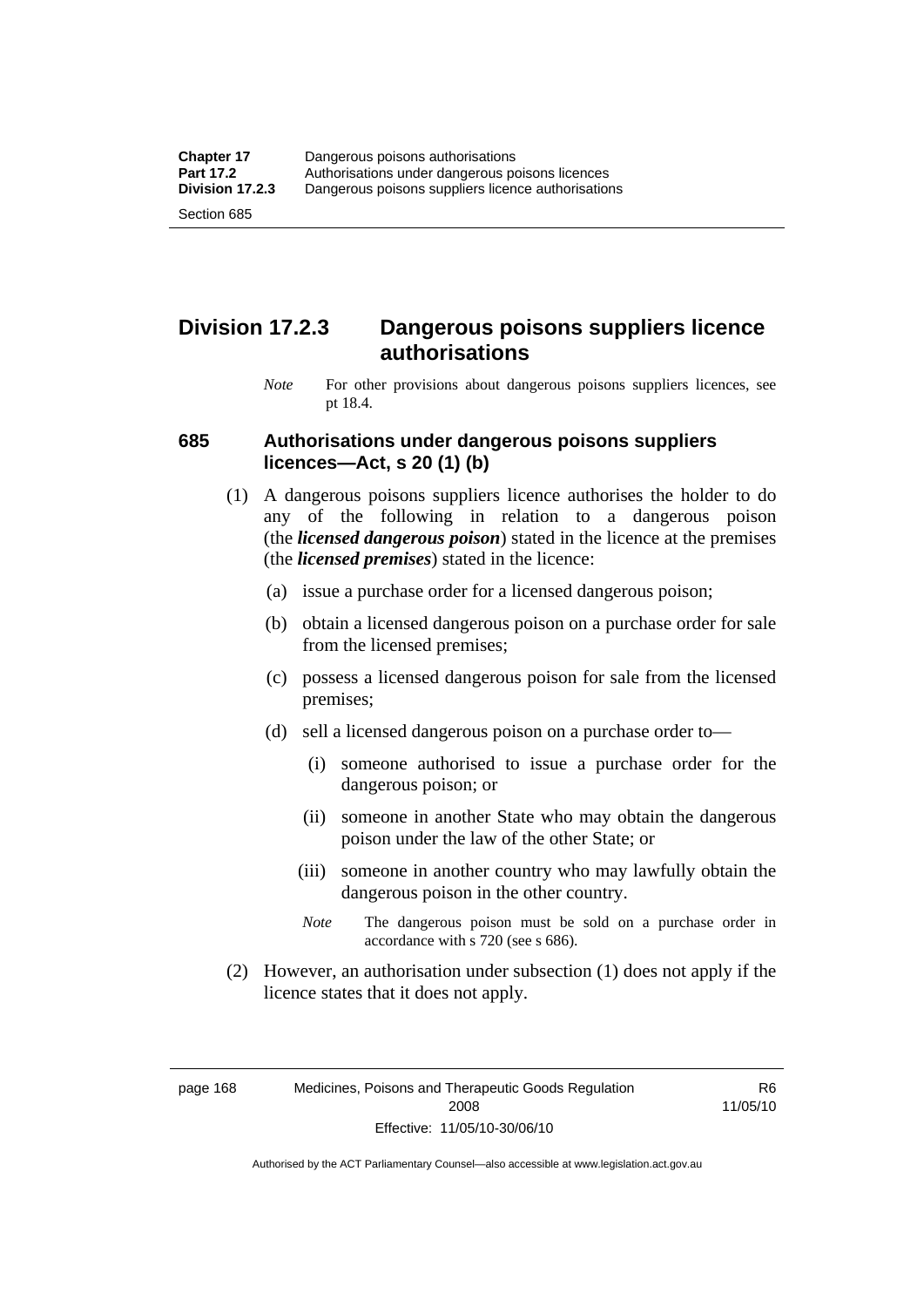### **Division 17.2.3 Dangerous poisons suppliers licence authorisations**

*Note* For other provisions about dangerous poisons suppliers licences, see pt 18.4.

#### **685 Authorisations under dangerous poisons suppliers licences—Act, s 20 (1) (b)**

- (1) A dangerous poisons suppliers licence authorises the holder to do any of the following in relation to a dangerous poison (the *licensed dangerous poison*) stated in the licence at the premises (the *licensed premises*) stated in the licence:
	- (a) issue a purchase order for a licensed dangerous poison;
	- (b) obtain a licensed dangerous poison on a purchase order for sale from the licensed premises;
	- (c) possess a licensed dangerous poison for sale from the licensed premises;
	- (d) sell a licensed dangerous poison on a purchase order to—
		- (i) someone authorised to issue a purchase order for the dangerous poison; or
		- (ii) someone in another State who may obtain the dangerous poison under the law of the other State; or
		- (iii) someone in another country who may lawfully obtain the dangerous poison in the other country.
		- *Note* The dangerous poison must be sold on a purchase order in accordance with s 720 (see s 686).
- (2) However, an authorisation under subsection (1) does not apply if the licence states that it does not apply.

page 168 Medicines, Poisons and Therapeutic Goods Regulation 2008 Effective: 11/05/10-30/06/10

R6 11/05/10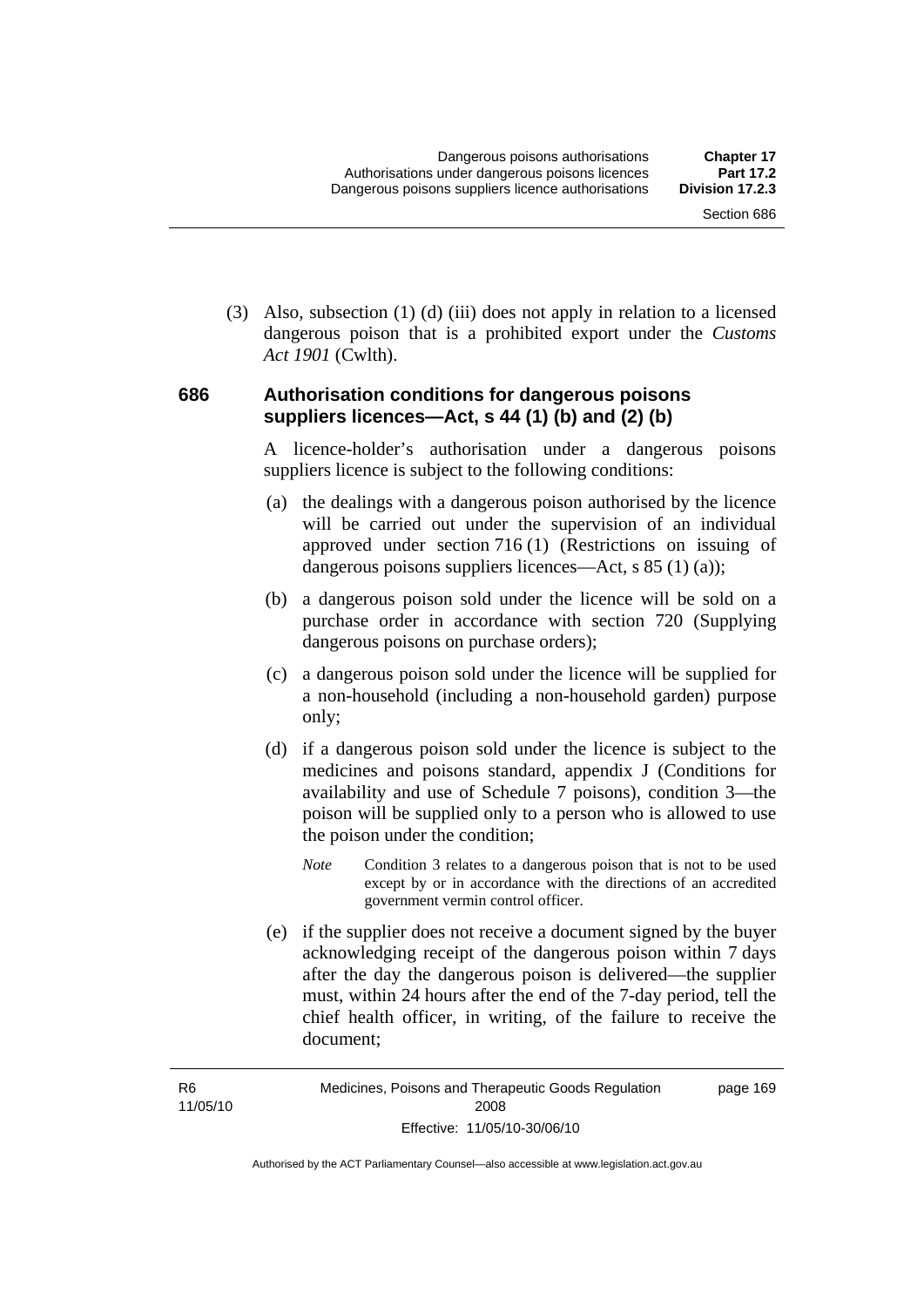(3) Also, subsection (1) (d) (iii) does not apply in relation to a licensed dangerous poison that is a prohibited export under the *Customs Act 1901* (Cwlth).

#### **686 Authorisation conditions for dangerous poisons suppliers licences—Act, s 44 (1) (b) and (2) (b)**

A licence-holder's authorisation under a dangerous poisons suppliers licence is subject to the following conditions:

- (a) the dealings with a dangerous poison authorised by the licence will be carried out under the supervision of an individual approved under section 716 (1) (Restrictions on issuing of dangerous poisons suppliers licences—Act, s 85 (1) (a));
- (b) a dangerous poison sold under the licence will be sold on a purchase order in accordance with section 720 (Supplying dangerous poisons on purchase orders);
- (c) a dangerous poison sold under the licence will be supplied for a non-household (including a non-household garden) purpose only;
- (d) if a dangerous poison sold under the licence is subject to the medicines and poisons standard, appendix J (Conditions for availability and use of Schedule 7 poisons), condition 3—the poison will be supplied only to a person who is allowed to use the poison under the condition;
	- *Note* Condition 3 relates to a dangerous poison that is not to be used except by or in accordance with the directions of an accredited government vermin control officer.
- (e) if the supplier does not receive a document signed by the buyer acknowledging receipt of the dangerous poison within 7 days after the day the dangerous poison is delivered—the supplier must, within 24 hours after the end of the 7-day period, tell the chief health officer, in writing, of the failure to receive the document;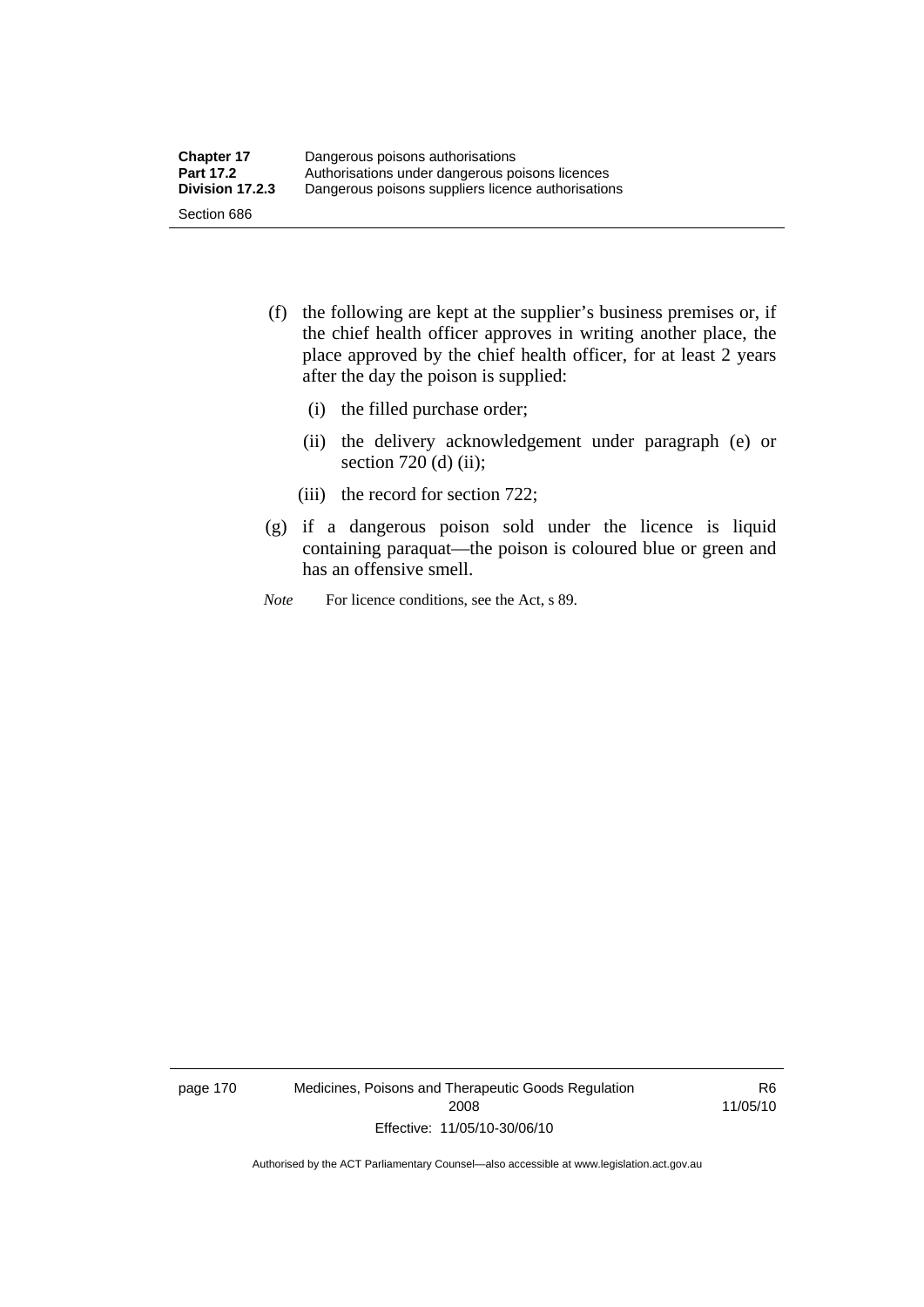- (f) the following are kept at the supplier's business premises or, if the chief health officer approves in writing another place, the place approved by the chief health officer, for at least 2 years after the day the poison is supplied:
	- (i) the filled purchase order;
	- (ii) the delivery acknowledgement under paragraph (e) or section 720 (d) (ii);
	- (iii) the record for section 722;
- (g) if a dangerous poison sold under the licence is liquid containing paraquat—the poison is coloured blue or green and has an offensive smell.
- *Note* For licence conditions, see the Act, s 89.

page 170 Medicines, Poisons and Therapeutic Goods Regulation 2008 Effective: 11/05/10-30/06/10

R6 11/05/10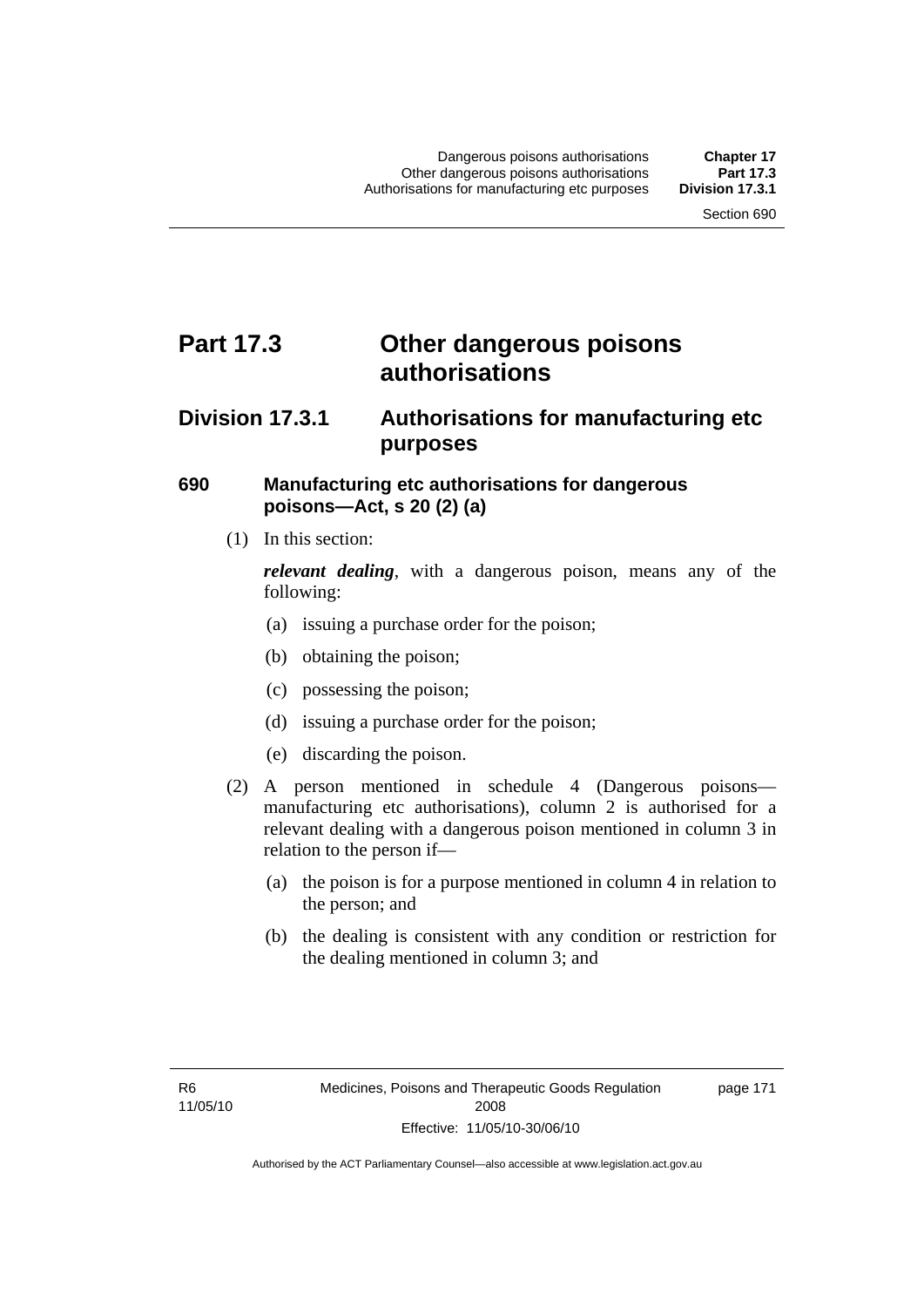## **Part 17.3 Other dangerous poisons authorisations**

### **Division 17.3.1 Authorisations for manufacturing etc purposes**

#### **690 Manufacturing etc authorisations for dangerous poisons—Act, s 20 (2) (a)**

(1) In this section:

*relevant dealing*, with a dangerous poison, means any of the following:

- (a) issuing a purchase order for the poison;
- (b) obtaining the poison;
- (c) possessing the poison;
- (d) issuing a purchase order for the poison;
- (e) discarding the poison.
- (2) A person mentioned in schedule 4 (Dangerous poisons manufacturing etc authorisations), column 2 is authorised for a relevant dealing with a dangerous poison mentioned in column 3 in relation to the person if—
	- (a) the poison is for a purpose mentioned in column 4 in relation to the person; and
	- (b) the dealing is consistent with any condition or restriction for the dealing mentioned in column 3; and

page 171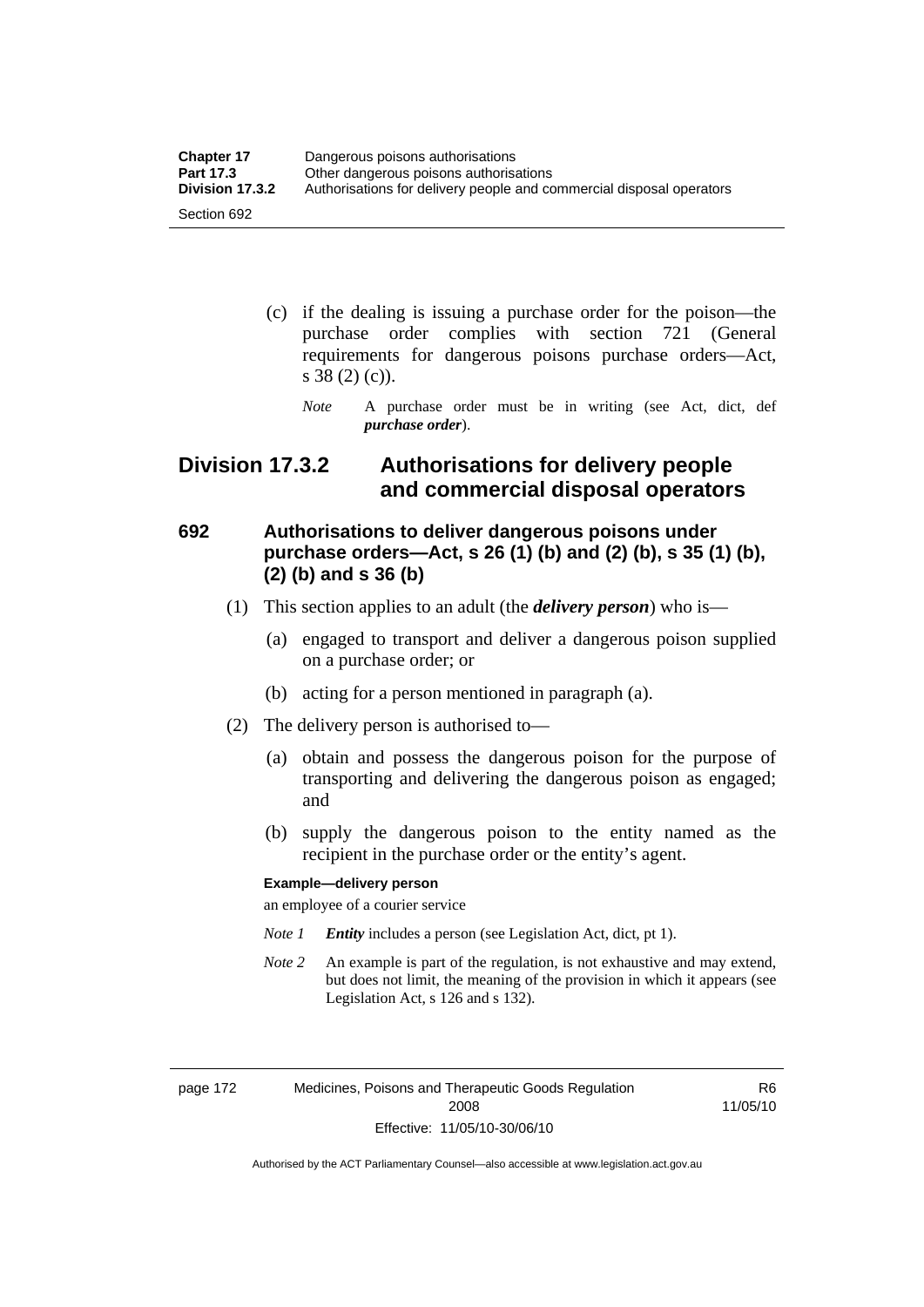| <b>Chapter 17</b> | Dangerous poisons authorisations                                     |  |
|-------------------|----------------------------------------------------------------------|--|
| <b>Part 17.3</b>  | Other dangerous poisons authorisations                               |  |
| Division 17.3.2   | Authorisations for delivery people and commercial disposal operators |  |
| Section 692       |                                                                      |  |

- (c) if the dealing is issuing a purchase order for the poison—the purchase order complies with section 721 (General requirements for dangerous poisons purchase orders—Act, s 38 (2) (c)).
	- *Note* A purchase order must be in writing (see Act, dict, def *purchase order*).

### **Division 17.3.2 Authorisations for delivery people and commercial disposal operators**

### **692 Authorisations to deliver dangerous poisons under purchase orders—Act, s 26 (1) (b) and (2) (b), s 35 (1) (b), (2) (b) and s 36 (b)**

- (1) This section applies to an adult (the *delivery person*) who is—
	- (a) engaged to transport and deliver a dangerous poison supplied on a purchase order; or
	- (b) acting for a person mentioned in paragraph (a).
- (2) The delivery person is authorised to—
	- (a) obtain and possess the dangerous poison for the purpose of transporting and delivering the dangerous poison as engaged; and
	- (b) supply the dangerous poison to the entity named as the recipient in the purchase order or the entity's agent.

#### **Example—delivery person**

an employee of a courier service

- *Note 1 Entity* includes a person (see Legislation Act, dict, pt 1).
- *Note 2* An example is part of the regulation, is not exhaustive and may extend, but does not limit, the meaning of the provision in which it appears (see Legislation Act, s 126 and s 132).

page 172 Medicines, Poisons and Therapeutic Goods Regulation 2008 Effective: 11/05/10-30/06/10

R6 11/05/10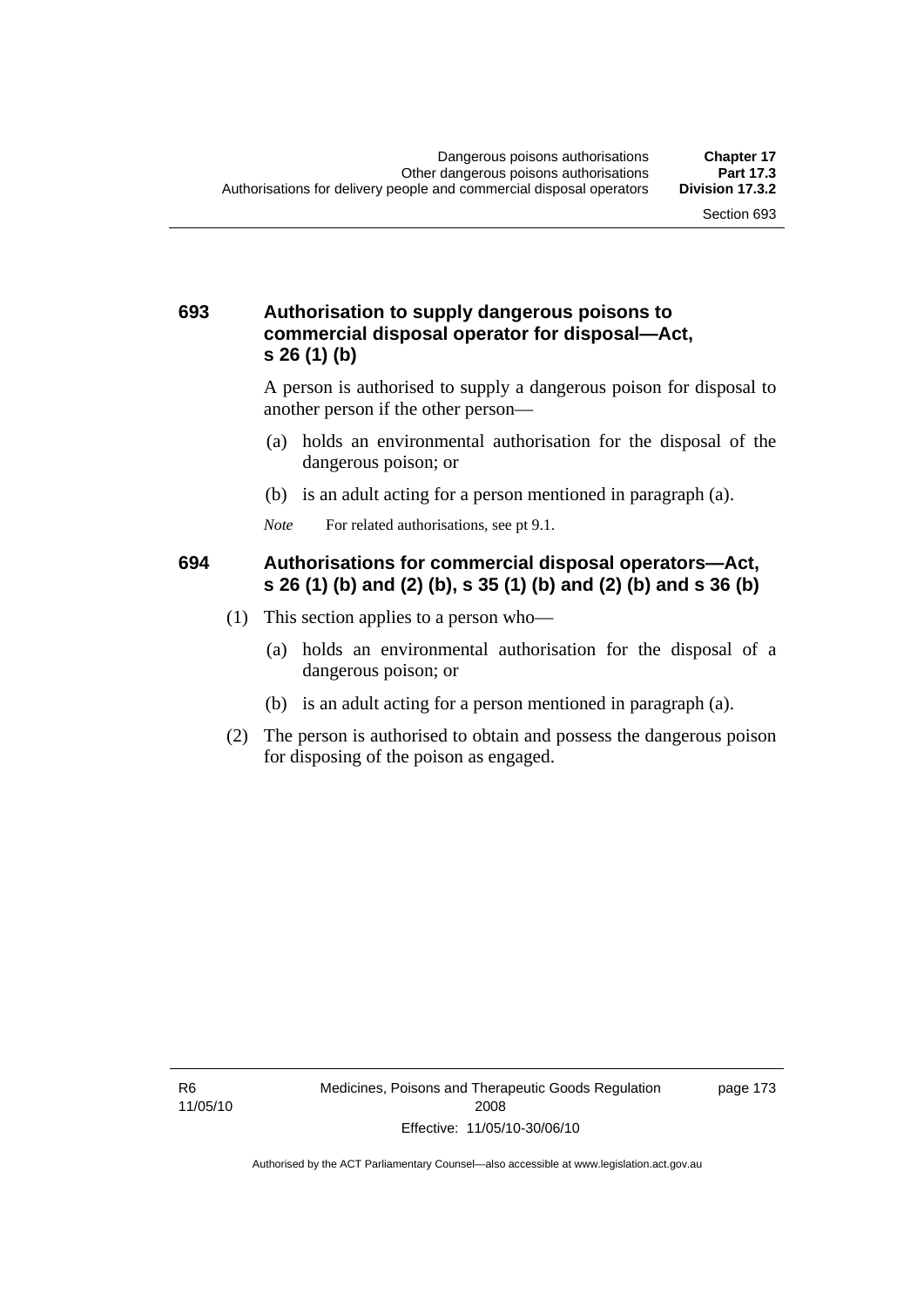#### **693 Authorisation to supply dangerous poisons to commercial disposal operator for disposal—Act, s 26 (1) (b)**

A person is authorised to supply a dangerous poison for disposal to another person if the other person—

- (a) holds an environmental authorisation for the disposal of the dangerous poison; or
- (b) is an adult acting for a person mentioned in paragraph (a).
- *Note* For related authorisations, see pt 9.1.

#### **694 Authorisations for commercial disposal operators—Act, s 26 (1) (b) and (2) (b), s 35 (1) (b) and (2) (b) and s 36 (b)**

- (1) This section applies to a person who—
	- (a) holds an environmental authorisation for the disposal of a dangerous poison; or
	- (b) is an adult acting for a person mentioned in paragraph (a).
- (2) The person is authorised to obtain and possess the dangerous poison for disposing of the poison as engaged.

page 173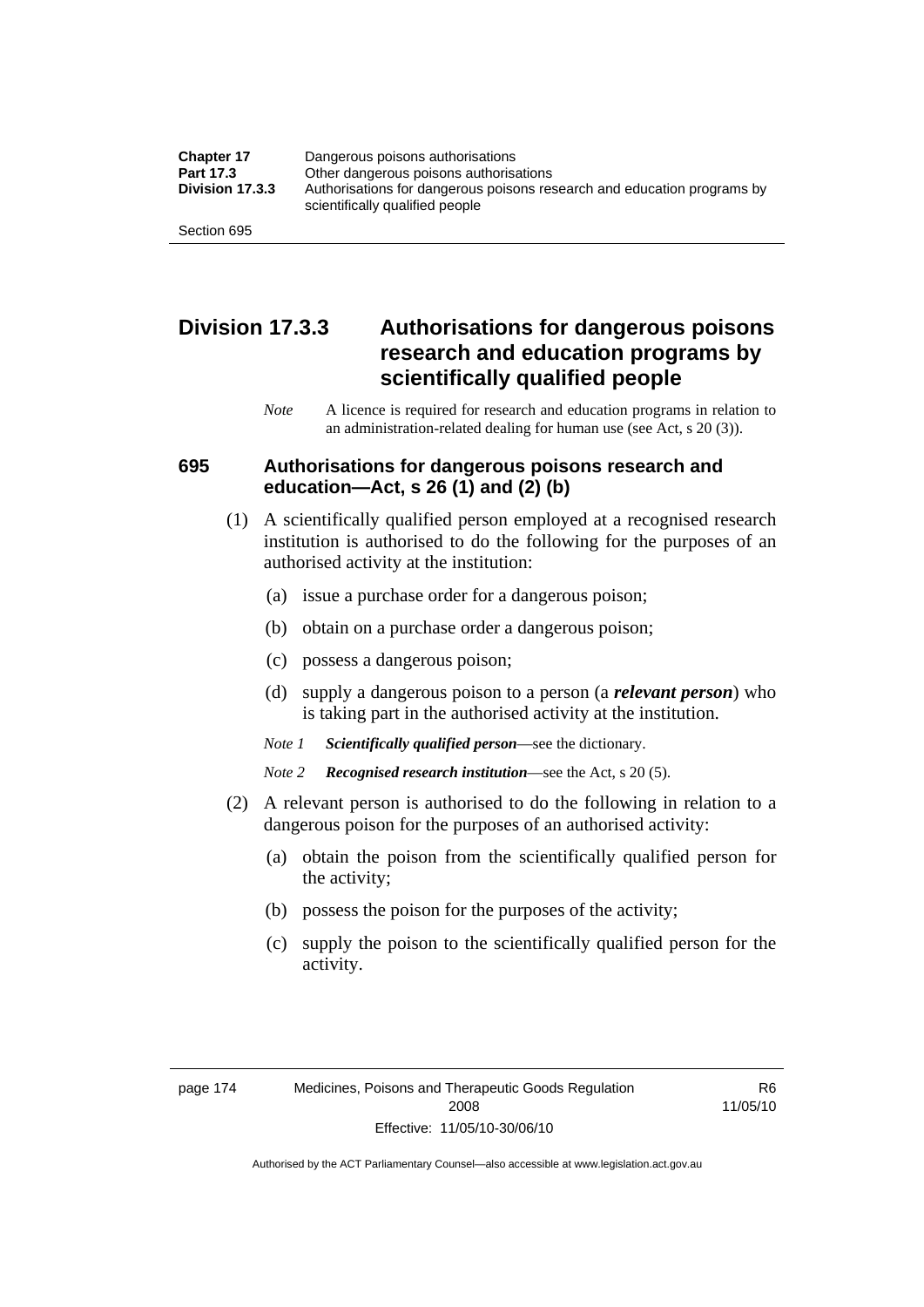| <b>Chapter 17</b> | Dangerous poisons authorisations                                                                           |  |
|-------------------|------------------------------------------------------------------------------------------------------------|--|
| Part 17.3         | Other dangerous poisons authorisations                                                                     |  |
| Division 17.3.3   | Authorisations for dangerous poisons research and education programs by<br>scientifically qualified people |  |
| Section 695       |                                                                                                            |  |

## **Division 17.3.3 Authorisations for dangerous poisons research and education programs by scientifically qualified people**

*Note* A licence is required for research and education programs in relation to an administration-related dealing for human use (see Act, s 20 (3)).

#### **695 Authorisations for dangerous poisons research and education—Act, s 26 (1) and (2) (b)**

- (1) A scientifically qualified person employed at a recognised research institution is authorised to do the following for the purposes of an authorised activity at the institution:
	- (a) issue a purchase order for a dangerous poison;
	- (b) obtain on a purchase order a dangerous poison;
	- (c) possess a dangerous poison;
	- (d) supply a dangerous poison to a person (a *relevant person*) who is taking part in the authorised activity at the institution.
	- *Note 1 Scientifically qualified person*—see the dictionary.
	- *Note 2 Recognised research institution*—see the Act, s 20 (5).
- (2) A relevant person is authorised to do the following in relation to a dangerous poison for the purposes of an authorised activity:
	- (a) obtain the poison from the scientifically qualified person for the activity;
	- (b) possess the poison for the purposes of the activity;
	- (c) supply the poison to the scientifically qualified person for the activity.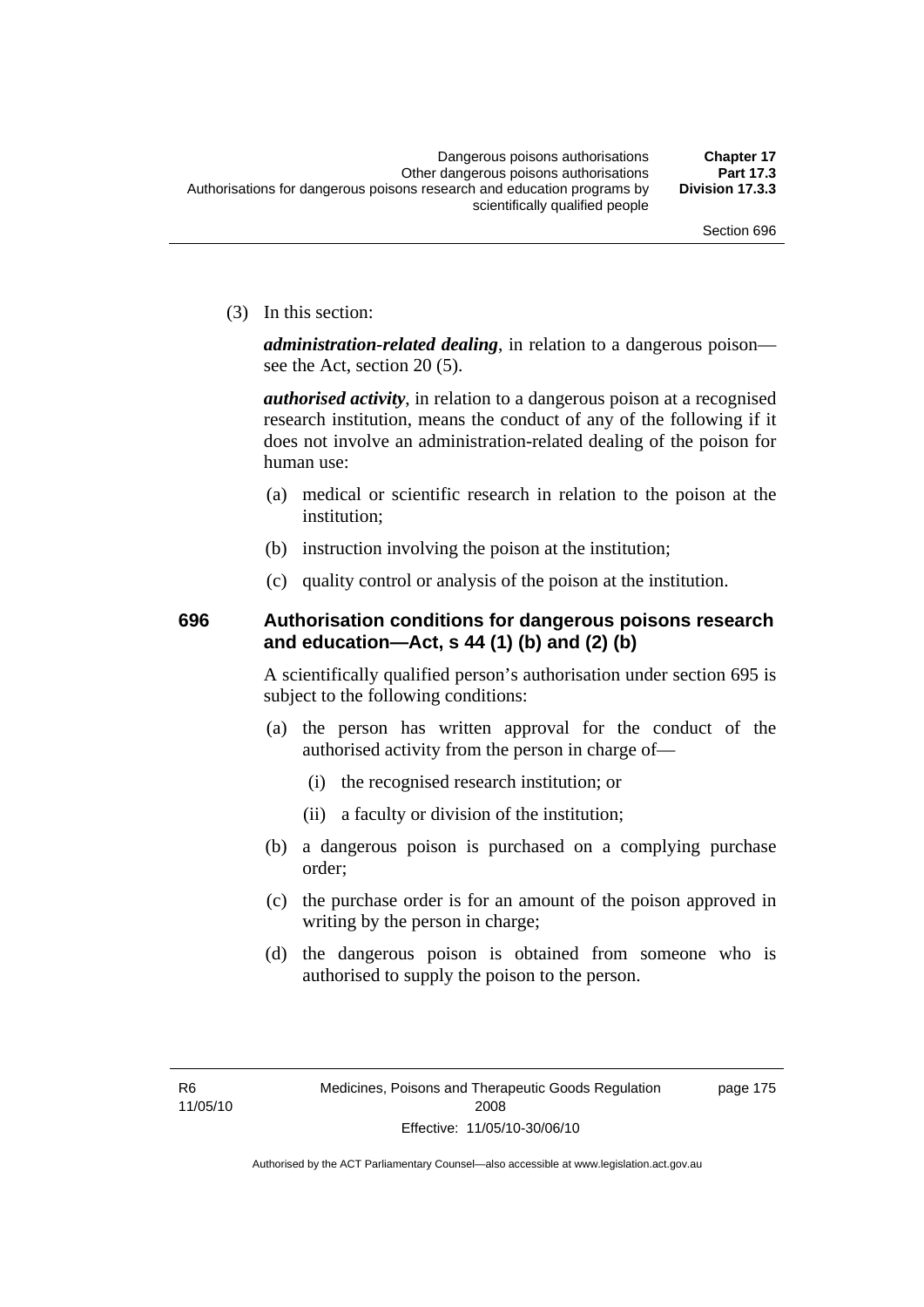page 175

(3) In this section:

*administration-related dealing*, in relation to a dangerous poison see the Act, section 20 (5).

*authorised activity*, in relation to a dangerous poison at a recognised research institution, means the conduct of any of the following if it does not involve an administration-related dealing of the poison for human use:

- (a) medical or scientific research in relation to the poison at the institution;
- (b) instruction involving the poison at the institution;
- (c) quality control or analysis of the poison at the institution.

### **696 Authorisation conditions for dangerous poisons research and education—Act, s 44 (1) (b) and (2) (b)**

A scientifically qualified person's authorisation under section 695 is subject to the following conditions:

- (a) the person has written approval for the conduct of the authorised activity from the person in charge of—
	- (i) the recognised research institution; or
	- (ii) a faculty or division of the institution;
- (b) a dangerous poison is purchased on a complying purchase order;
- (c) the purchase order is for an amount of the poison approved in writing by the person in charge;
- (d) the dangerous poison is obtained from someone who is authorised to supply the poison to the person.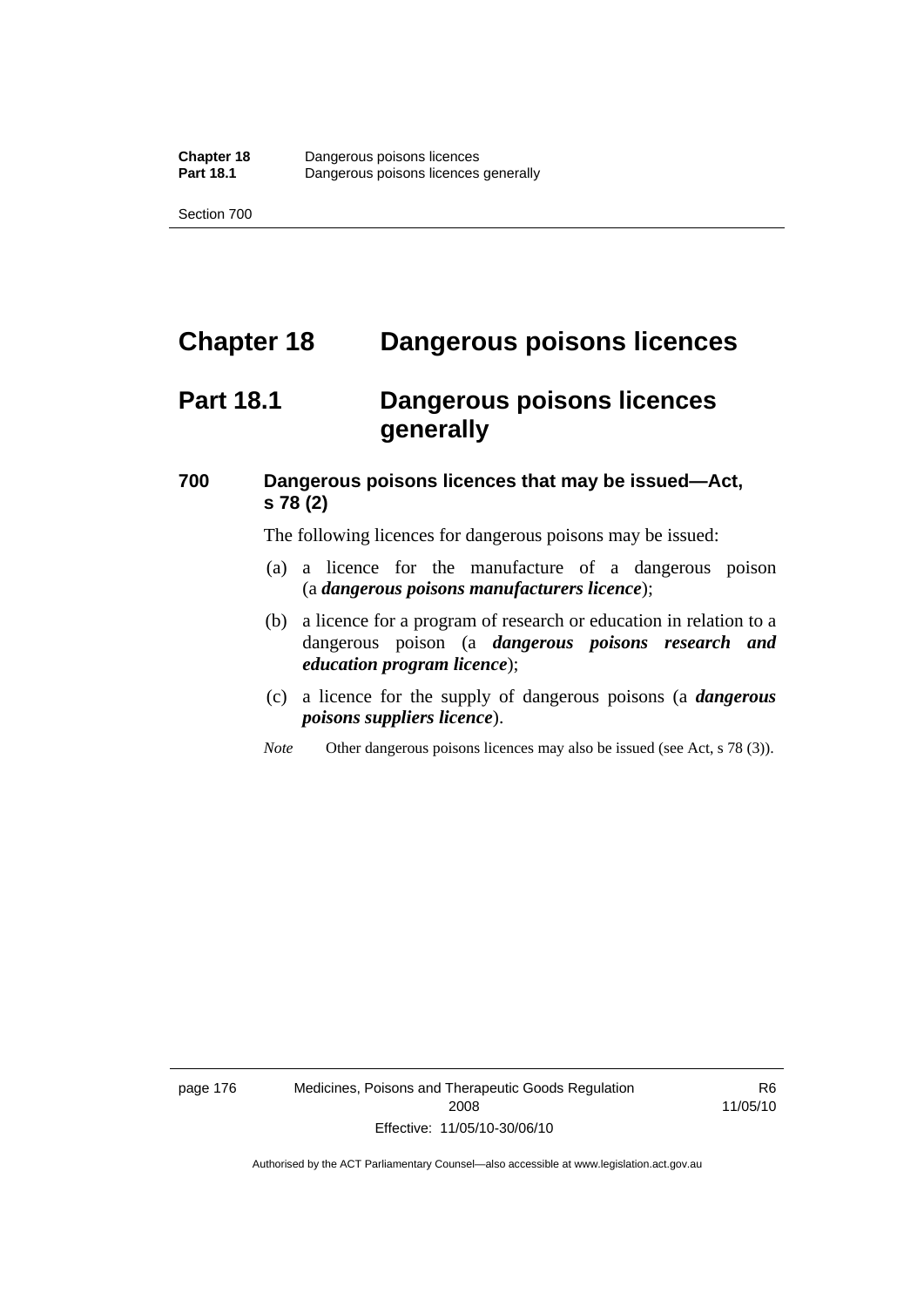## **Chapter 18 Dangerous poisons licences**

## **Part 18.1 Dangerous poisons licences generally**

### **700 Dangerous poisons licences that may be issued—Act, s 78 (2)**

The following licences for dangerous poisons may be issued:

- (a) a licence for the manufacture of a dangerous poison (a *dangerous poisons manufacturers licence*);
- (b) a licence for a program of research or education in relation to a dangerous poison (a *dangerous poisons research and education program licence*);
- (c) a licence for the supply of dangerous poisons (a *dangerous poisons suppliers licence*).
- *Note* Other dangerous poisons licences may also be issued (see Act, s 78 (3)).

page 176 Medicines, Poisons and Therapeutic Goods Regulation 2008 Effective: 11/05/10-30/06/10

R6 11/05/10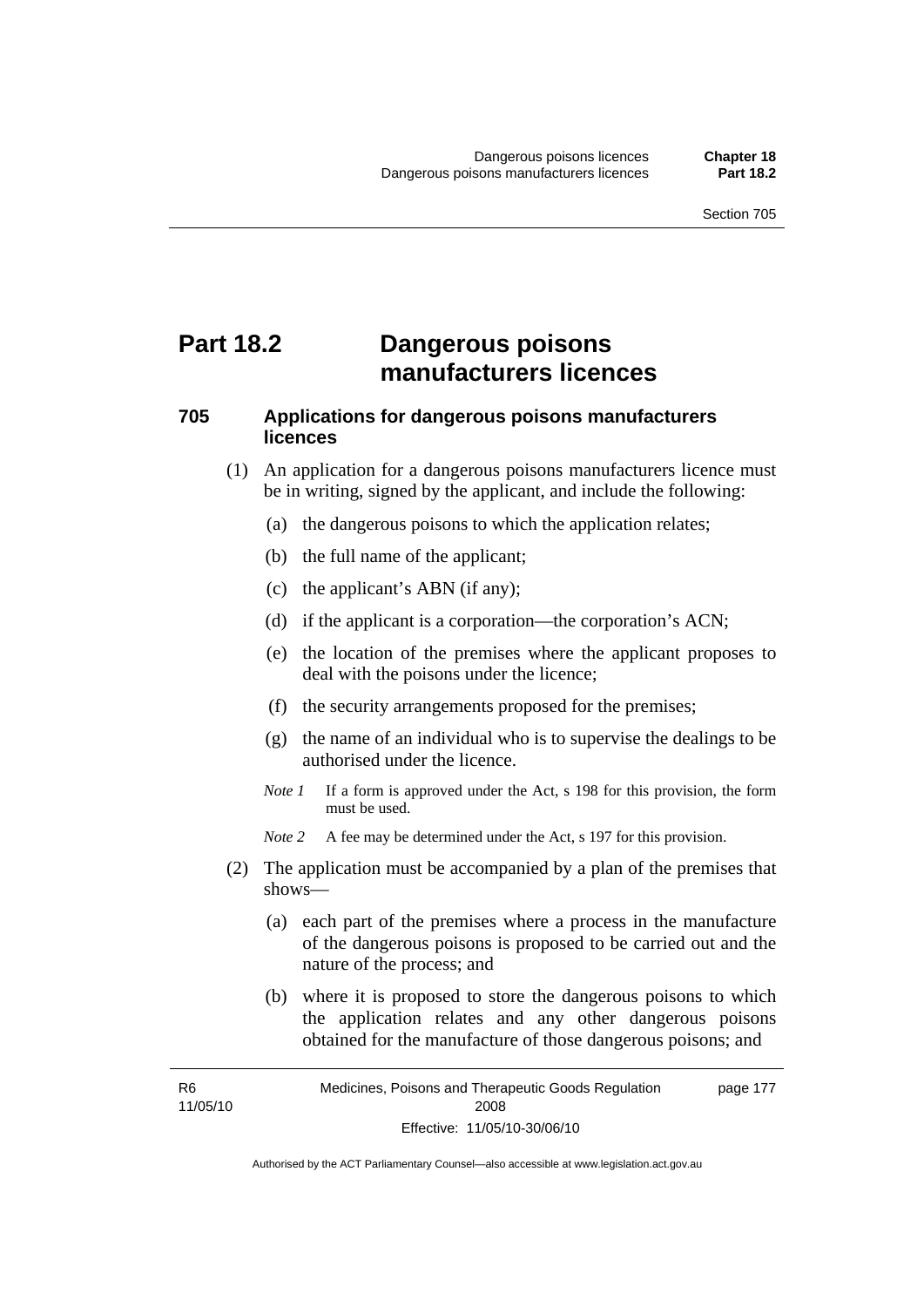## **Part 18.2 Dangerous poisons manufacturers licences**

### **705 Applications for dangerous poisons manufacturers licences**

- (1) An application for a dangerous poisons manufacturers licence must be in writing, signed by the applicant, and include the following:
	- (a) the dangerous poisons to which the application relates;
	- (b) the full name of the applicant;
	- (c) the applicant's ABN (if any);
	- (d) if the applicant is a corporation—the corporation's ACN;
	- (e) the location of the premises where the applicant proposes to deal with the poisons under the licence;
	- (f) the security arrangements proposed for the premises;
	- (g) the name of an individual who is to supervise the dealings to be authorised under the licence.
	- *Note 1* If a form is approved under the Act, s 198 for this provision, the form must be used.
	- *Note 2* A fee may be determined under the Act, s 197 for this provision.
- (2) The application must be accompanied by a plan of the premises that shows—
	- (a) each part of the premises where a process in the manufacture of the dangerous poisons is proposed to be carried out and the nature of the process; and
	- (b) where it is proposed to store the dangerous poisons to which the application relates and any other dangerous poisons obtained for the manufacture of those dangerous poisons; and

R6 11/05/10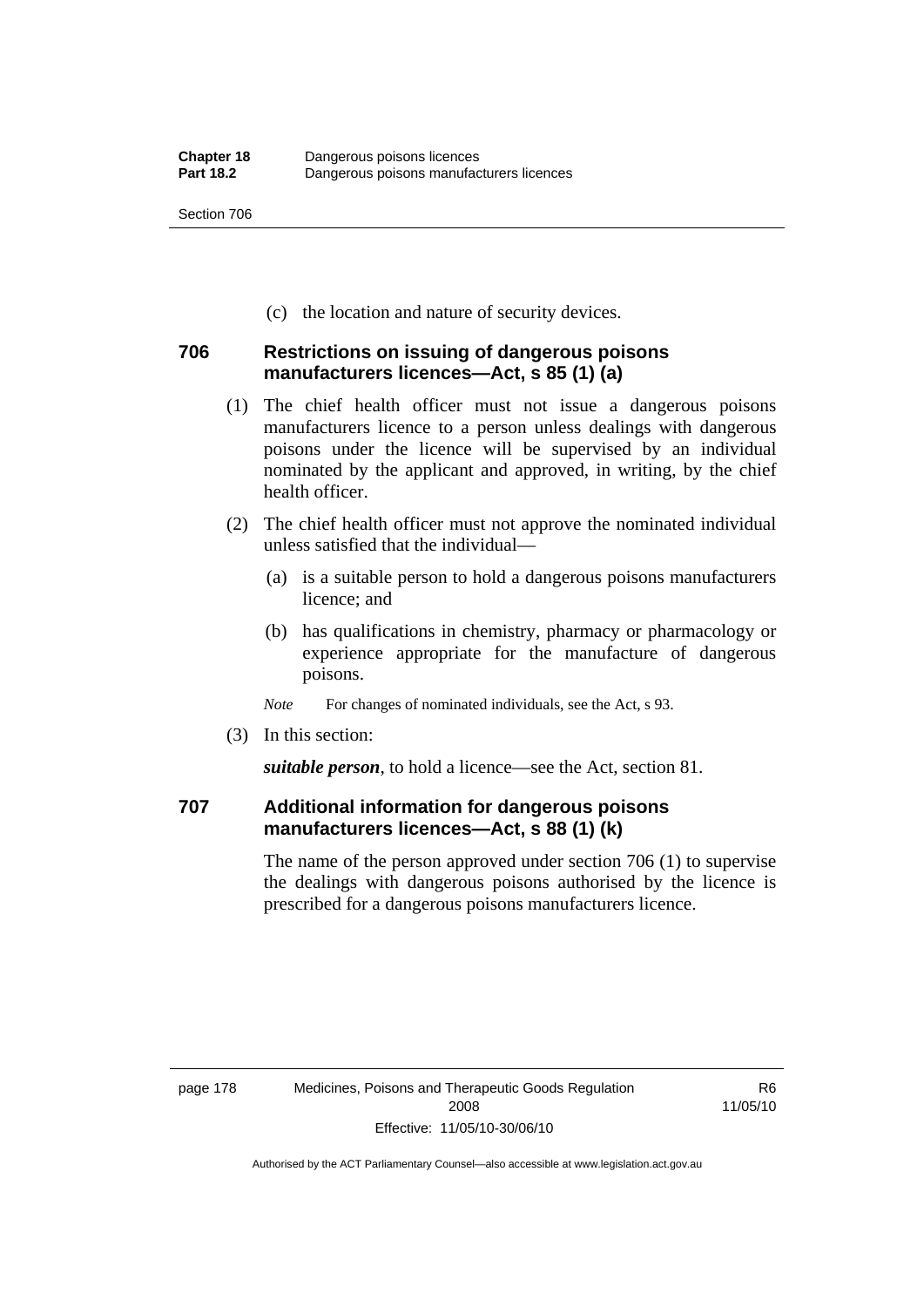(c) the location and nature of security devices.

### **706 Restrictions on issuing of dangerous poisons manufacturers licences—Act, s 85 (1) (a)**

- (1) The chief health officer must not issue a dangerous poisons manufacturers licence to a person unless dealings with dangerous poisons under the licence will be supervised by an individual nominated by the applicant and approved, in writing, by the chief health officer.
- (2) The chief health officer must not approve the nominated individual unless satisfied that the individual—
	- (a) is a suitable person to hold a dangerous poisons manufacturers licence; and
	- (b) has qualifications in chemistry, pharmacy or pharmacology or experience appropriate for the manufacture of dangerous poisons.
	- *Note* For changes of nominated individuals, see the Act, s 93.
- (3) In this section:

*suitable person*, to hold a licence—see the Act, section 81.

### **707 Additional information for dangerous poisons manufacturers licences—Act, s 88 (1) (k)**

The name of the person approved under section 706 (1) to supervise the dealings with dangerous poisons authorised by the licence is prescribed for a dangerous poisons manufacturers licence.

R6 11/05/10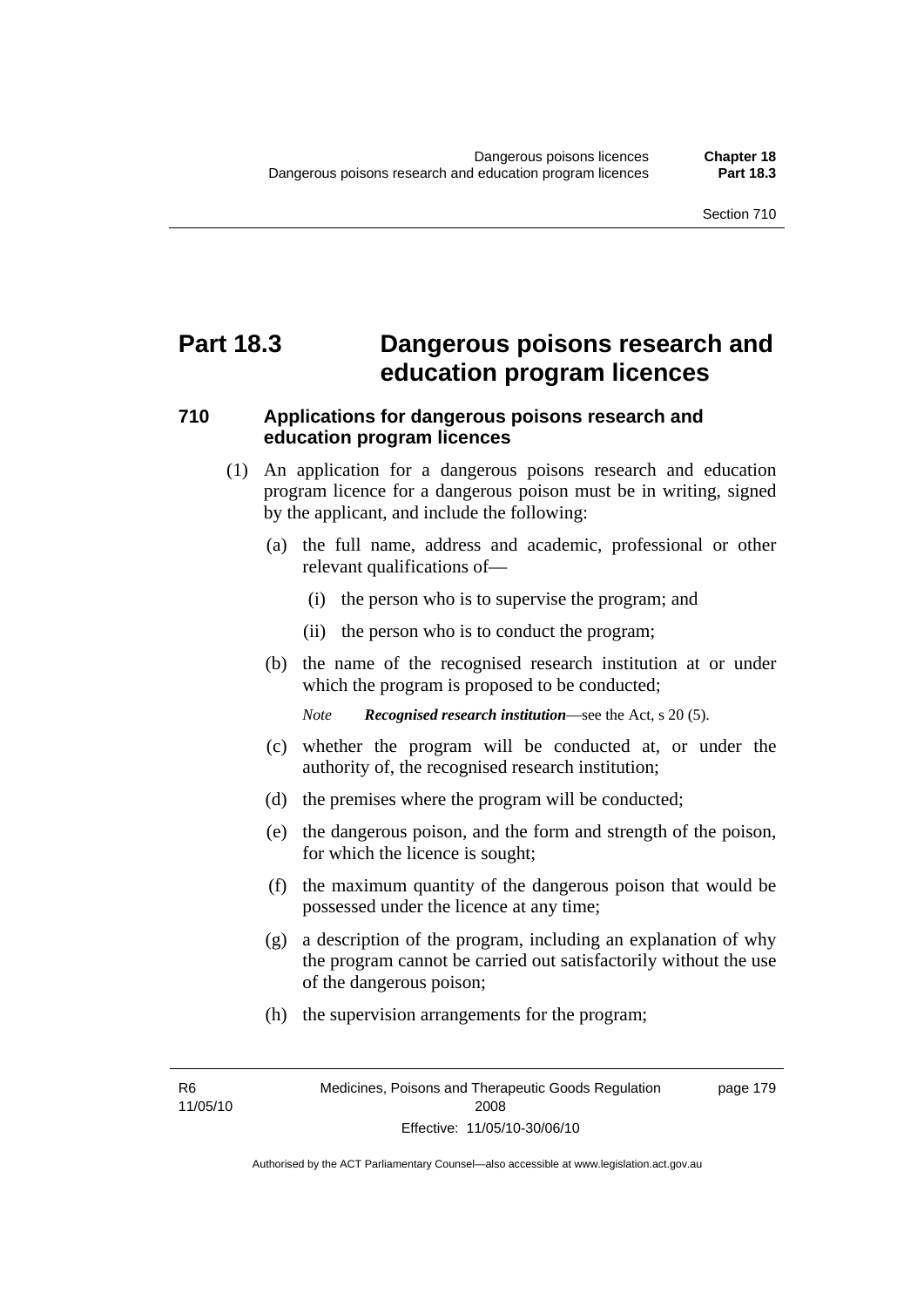## **Part 18.3 Dangerous poisons research and education program licences**

### **710 Applications for dangerous poisons research and education program licences**

- (1) An application for a dangerous poisons research and education program licence for a dangerous poison must be in writing, signed by the applicant, and include the following:
	- (a) the full name, address and academic, professional or other relevant qualifications of—
		- (i) the person who is to supervise the program; and
		- (ii) the person who is to conduct the program;
	- (b) the name of the recognised research institution at or under which the program is proposed to be conducted;

*Note Recognised research institution*—see the Act, s 20 (5).

- (c) whether the program will be conducted at, or under the authority of, the recognised research institution;
- (d) the premises where the program will be conducted;
- (e) the dangerous poison, and the form and strength of the poison, for which the licence is sought;
- (f) the maximum quantity of the dangerous poison that would be possessed under the licence at any time;
- (g) a description of the program, including an explanation of why the program cannot be carried out satisfactorily without the use of the dangerous poison;
- (h) the supervision arrangements for the program;

R6 11/05/10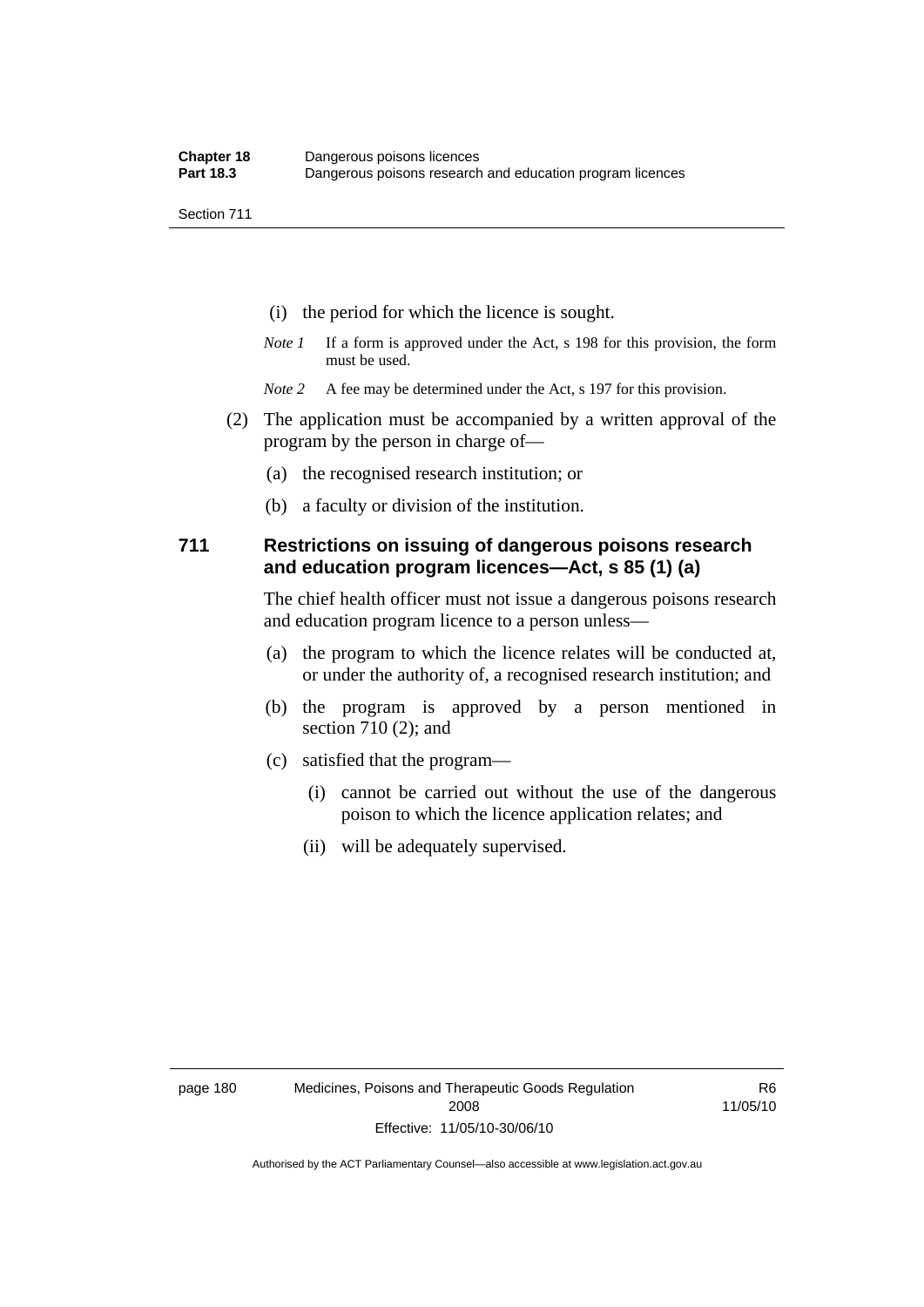- (i) the period for which the licence is sought.
- *Note 1* If a form is approved under the Act, s 198 for this provision, the form must be used.
- *Note* 2 A fee may be determined under the Act, s 197 for this provision.
- (2) The application must be accompanied by a written approval of the program by the person in charge of—
	- (a) the recognised research institution; or
	- (b) a faculty or division of the institution.

#### **711 Restrictions on issuing of dangerous poisons research and education program licences—Act, s 85 (1) (a)**

The chief health officer must not issue a dangerous poisons research and education program licence to a person unless—

- (a) the program to which the licence relates will be conducted at, or under the authority of, a recognised research institution; and
- (b) the program is approved by a person mentioned in section 710 (2); and
- (c) satisfied that the program—
	- (i) cannot be carried out without the use of the dangerous poison to which the licence application relates; and
	- (ii) will be adequately supervised.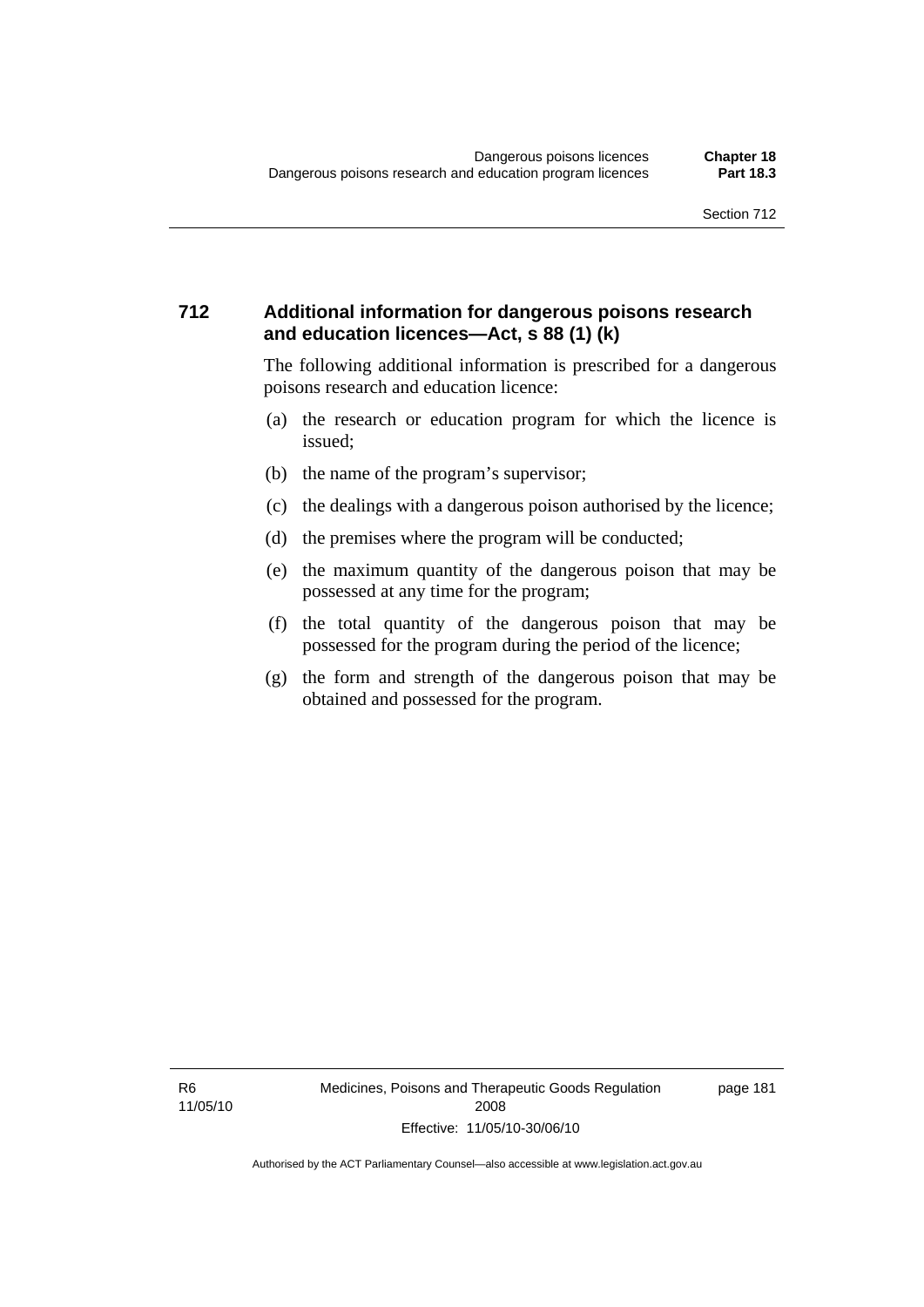#### **712 Additional information for dangerous poisons research and education licences—Act, s 88 (1) (k)**

The following additional information is prescribed for a dangerous poisons research and education licence:

- (a) the research or education program for which the licence is issued;
- (b) the name of the program's supervisor;
- (c) the dealings with a dangerous poison authorised by the licence;
- (d) the premises where the program will be conducted;
- (e) the maximum quantity of the dangerous poison that may be possessed at any time for the program;
- (f) the total quantity of the dangerous poison that may be possessed for the program during the period of the licence;
- (g) the form and strength of the dangerous poison that may be obtained and possessed for the program.

R6 11/05/10 page 181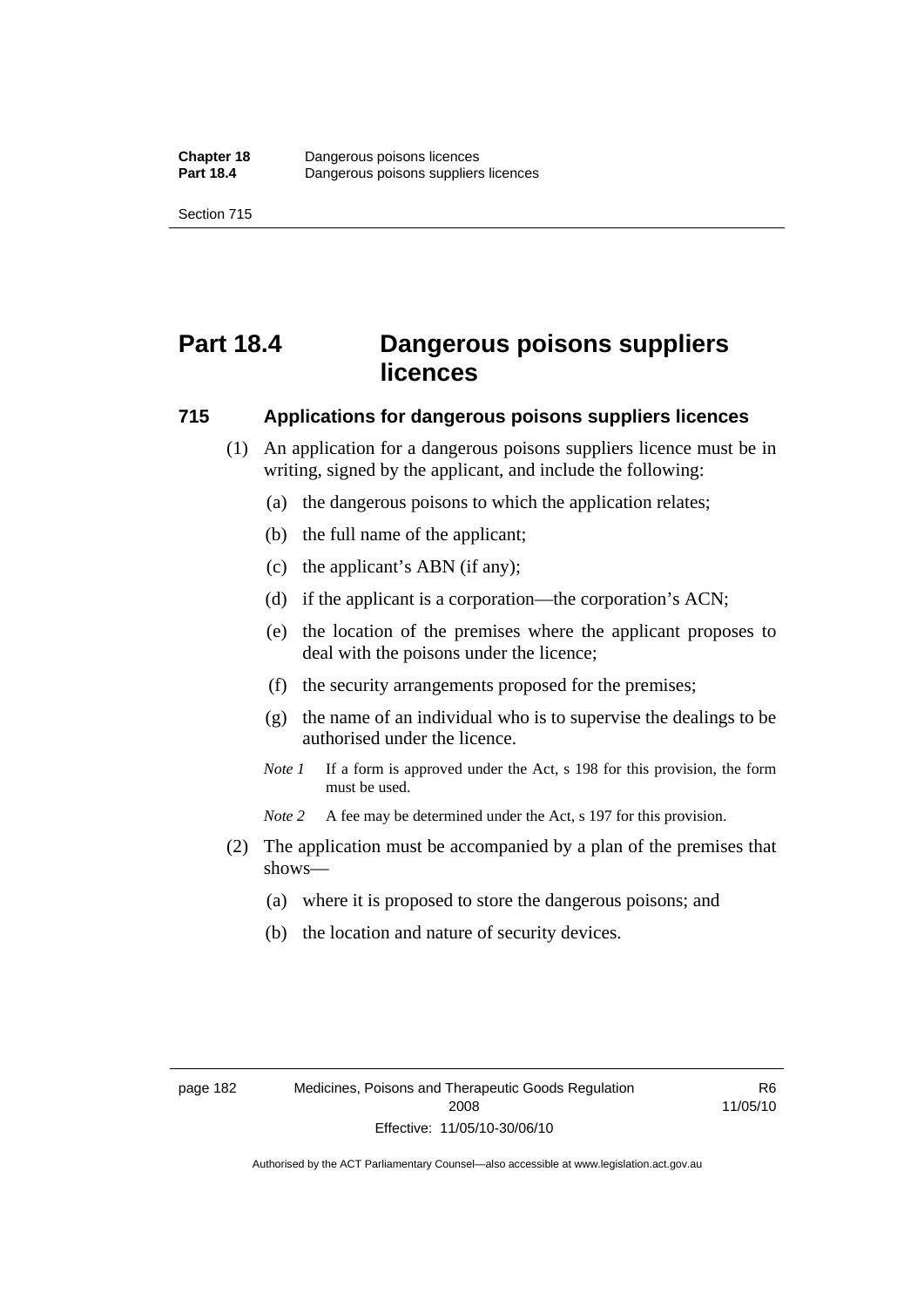# **Part 18.4 Dangerous poisons suppliers licences**

#### **715 Applications for dangerous poisons suppliers licences**

- (1) An application for a dangerous poisons suppliers licence must be in writing, signed by the applicant, and include the following:
	- (a) the dangerous poisons to which the application relates;
	- (b) the full name of the applicant;
	- (c) the applicant's ABN (if any);
	- (d) if the applicant is a corporation—the corporation's ACN;
	- (e) the location of the premises where the applicant proposes to deal with the poisons under the licence;
	- (f) the security arrangements proposed for the premises;
	- (g) the name of an individual who is to supervise the dealings to be authorised under the licence.
	- *Note 1* If a form is approved under the Act, s 198 for this provision, the form must be used.
	- *Note 2* A fee may be determined under the Act, s 197 for this provision.
- (2) The application must be accompanied by a plan of the premises that shows—
	- (a) where it is proposed to store the dangerous poisons; and
	- (b) the location and nature of security devices.

R6 11/05/10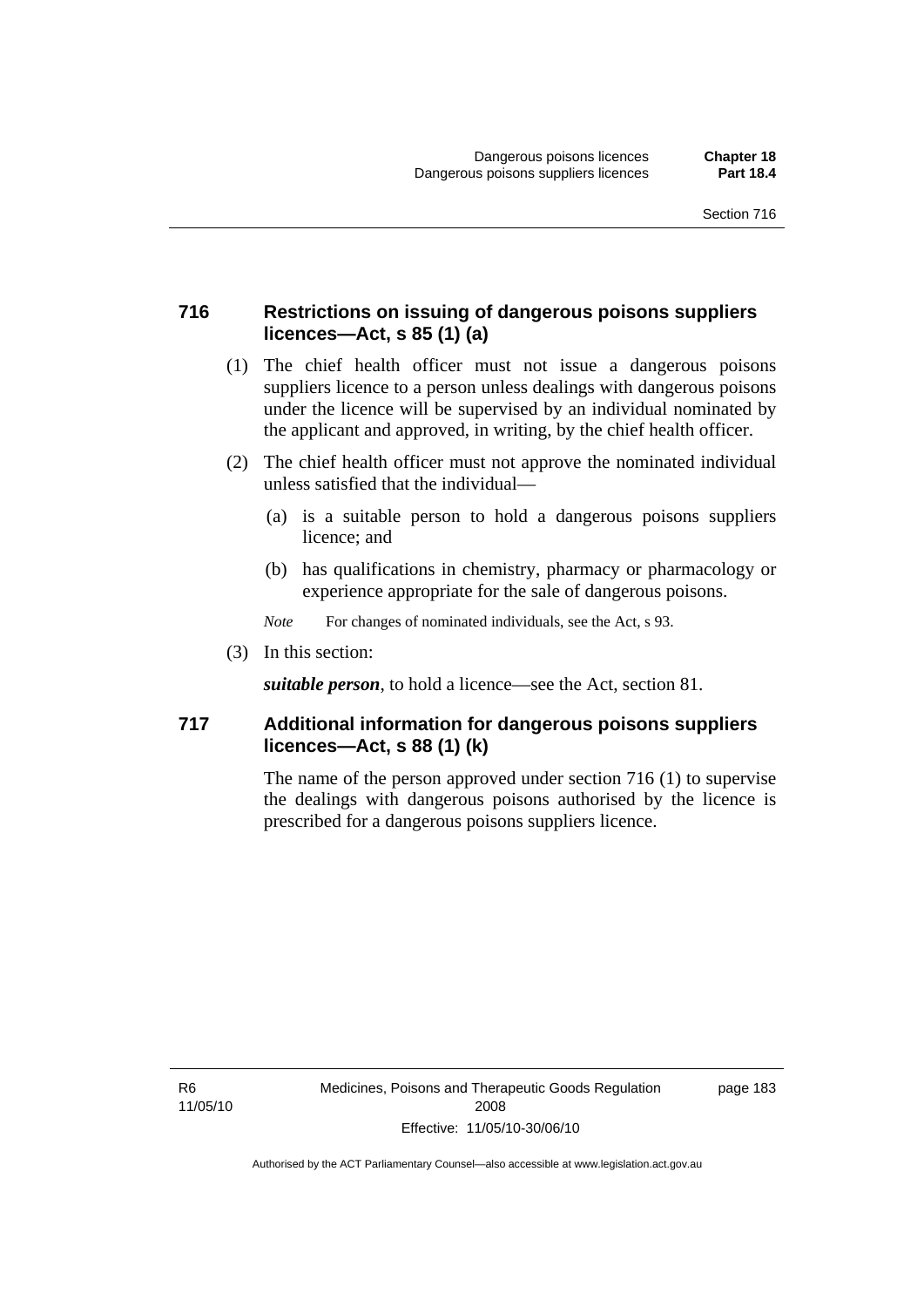#### **716 Restrictions on issuing of dangerous poisons suppliers licences—Act, s 85 (1) (a)**

- (1) The chief health officer must not issue a dangerous poisons suppliers licence to a person unless dealings with dangerous poisons under the licence will be supervised by an individual nominated by the applicant and approved, in writing, by the chief health officer.
- (2) The chief health officer must not approve the nominated individual unless satisfied that the individual—
	- (a) is a suitable person to hold a dangerous poisons suppliers licence; and
	- (b) has qualifications in chemistry, pharmacy or pharmacology or experience appropriate for the sale of dangerous poisons.
	- *Note* For changes of nominated individuals, see the Act, s 93.
- (3) In this section:

*suitable person*, to hold a licence—see the Act, section 81.

#### **717 Additional information for dangerous poisons suppliers licences—Act, s 88 (1) (k)**

The name of the person approved under section 716 (1) to supervise the dealings with dangerous poisons authorised by the licence is prescribed for a dangerous poisons suppliers licence.

R6 11/05/10 page 183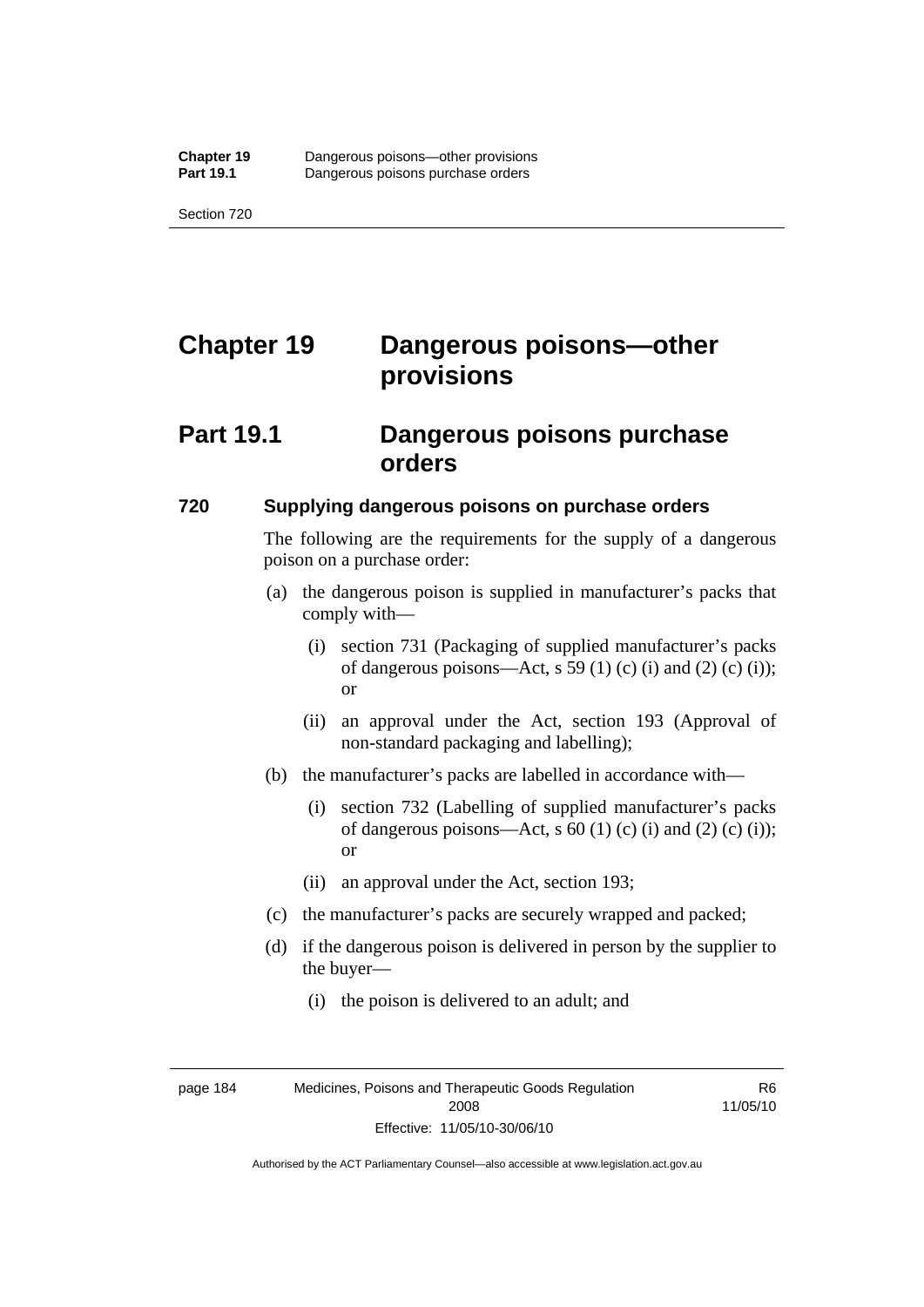# **Chapter 19 Dangerous poisons—other provisions**

## **Part 19.1 Dangerous poisons purchase orders**

#### **720 Supplying dangerous poisons on purchase orders**

The following are the requirements for the supply of a dangerous poison on a purchase order:

- (a) the dangerous poison is supplied in manufacturer's packs that comply with—
	- (i) section 731 (Packaging of supplied manufacturer's packs of dangerous poisons—Act, s 59 (1) (c) (i) and (2) (c) (i)); or
	- (ii) an approval under the Act, section 193 (Approval of non-standard packaging and labelling);
- (b) the manufacturer's packs are labelled in accordance with—
	- (i) section 732 (Labelling of supplied manufacturer's packs of dangerous poisons—Act, s  $60$  (1) (c) (i) and (2) (c) (i)); or
	- (ii) an approval under the Act, section 193;
- (c) the manufacturer's packs are securely wrapped and packed;
- (d) if the dangerous poison is delivered in person by the supplier to the buyer—
	- (i) the poison is delivered to an adult; and

R6 11/05/10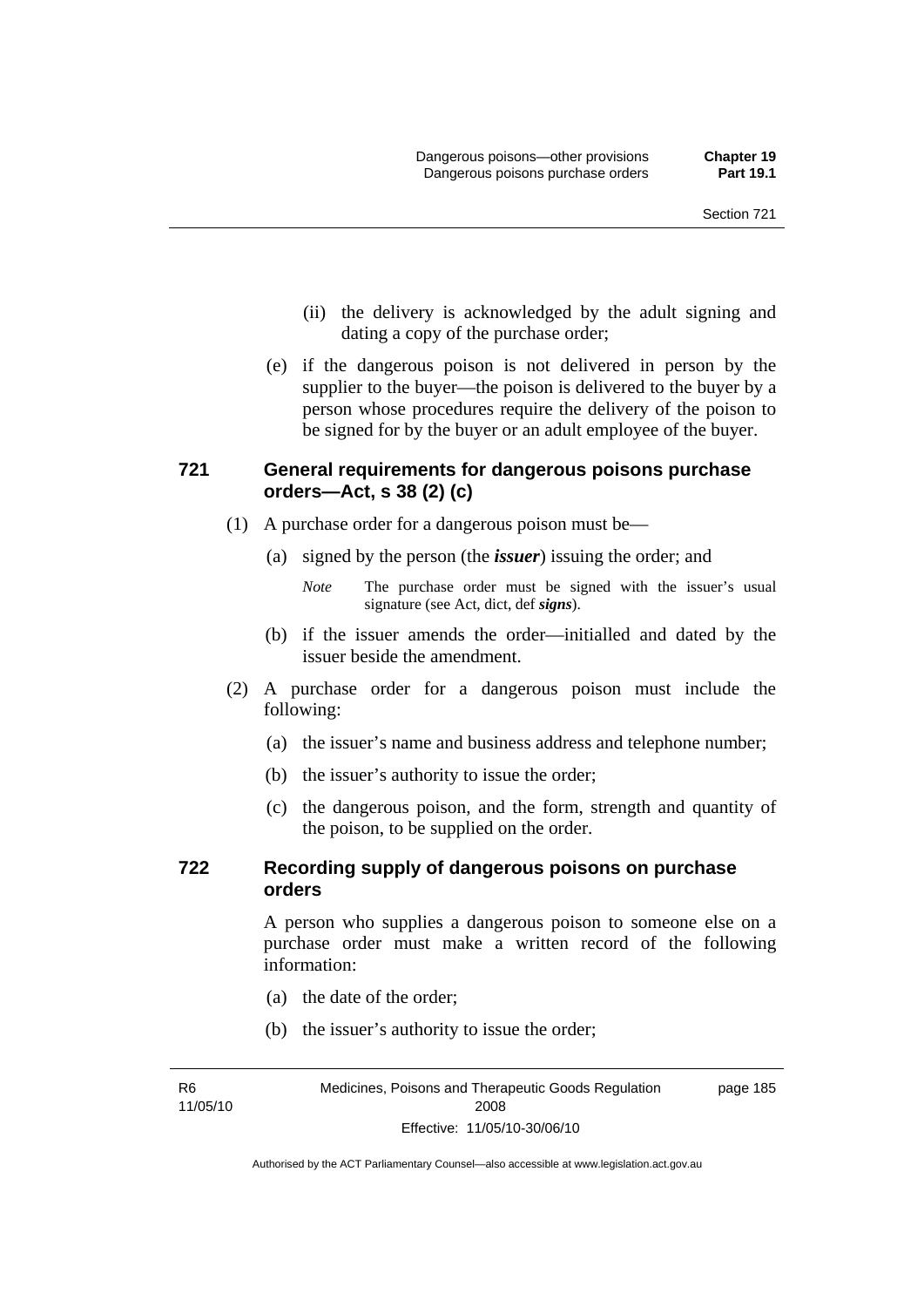- (ii) the delivery is acknowledged by the adult signing and dating a copy of the purchase order;
- (e) if the dangerous poison is not delivered in person by the supplier to the buyer—the poison is delivered to the buyer by a person whose procedures require the delivery of the poison to be signed for by the buyer or an adult employee of the buyer.

### **721 General requirements for dangerous poisons purchase orders—Act, s 38 (2) (c)**

- (1) A purchase order for a dangerous poison must be—
	- (a) signed by the person (the *issuer*) issuing the order; and

- (b) if the issuer amends the order—initialled and dated by the issuer beside the amendment.
- (2) A purchase order for a dangerous poison must include the following:
	- (a) the issuer's name and business address and telephone number;
	- (b) the issuer's authority to issue the order;
	- (c) the dangerous poison, and the form, strength and quantity of the poison, to be supplied on the order.

#### **722 Recording supply of dangerous poisons on purchase orders**

A person who supplies a dangerous poison to someone else on a purchase order must make a written record of the following information:

- (a) the date of the order;
- (b) the issuer's authority to issue the order;

R6 11/05/10

*Note* The purchase order must be signed with the issuer's usual signature (see Act, dict, def *signs*).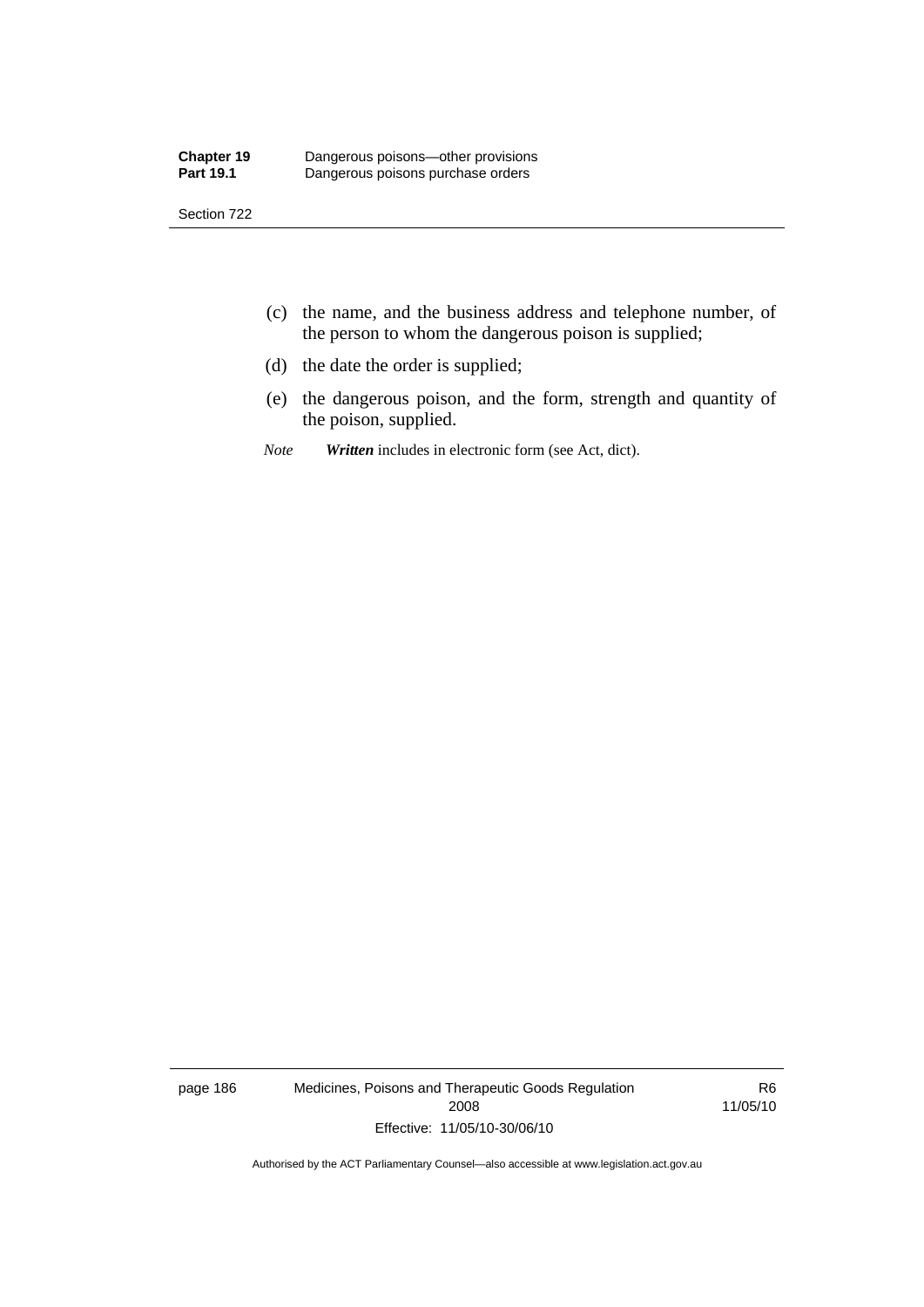- (c) the name, and the business address and telephone number, of the person to whom the dangerous poison is supplied;
- (d) the date the order is supplied;
- (e) the dangerous poison, and the form, strength and quantity of the poison, supplied.
- *Note Written* includes in electronic form (see Act, dict).

page 186 Medicines, Poisons and Therapeutic Goods Regulation 2008 Effective: 11/05/10-30/06/10

R6 11/05/10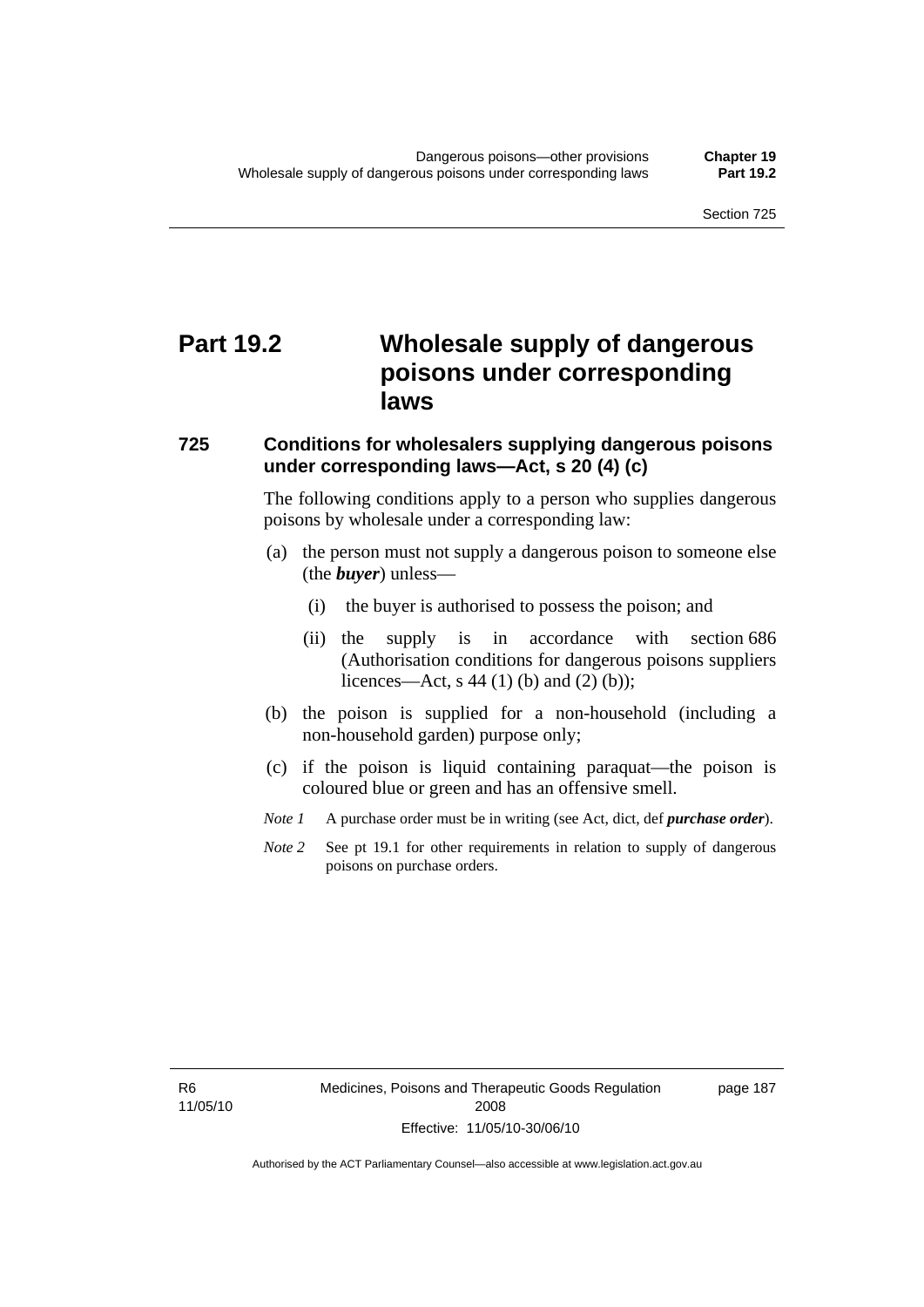# **Part 19.2 Wholesale supply of dangerous poisons under corresponding laws**

#### **725 Conditions for wholesalers supplying dangerous poisons under corresponding laws—Act, s 20 (4) (c)**

The following conditions apply to a person who supplies dangerous poisons by wholesale under a corresponding law:

- (a) the person must not supply a dangerous poison to someone else (the *buyer*) unless—
	- (i) the buyer is authorised to possess the poison; and
	- (ii) the supply is in accordance with section 686 (Authorisation conditions for dangerous poisons suppliers licences—Act, s 44 (1) (b) and (2) (b));
- (b) the poison is supplied for a non-household (including a non-household garden) purpose only;
- (c) if the poison is liquid containing paraquat—the poison is coloured blue or green and has an offensive smell.
- *Note 1* A purchase order must be in writing (see Act, dict, def *purchase order*).
- *Note* 2 See pt 19.1 for other requirements in relation to supply of dangerous poisons on purchase orders.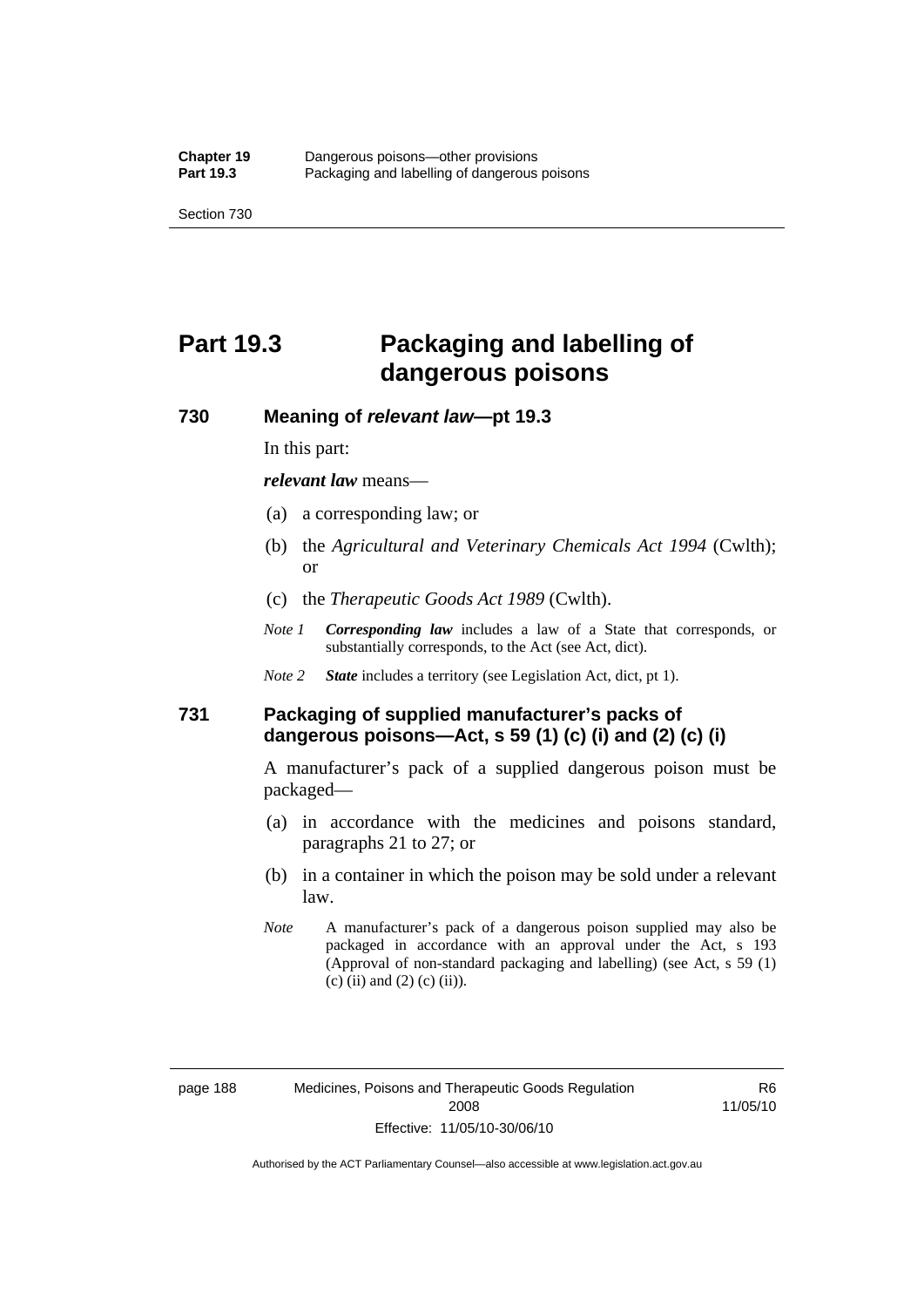# **Part 19.3 Packaging and labelling of dangerous poisons**

#### **730 Meaning of** *relevant law***—pt 19.3**

In this part:

*relevant law* means—

- (a) a corresponding law; or
- (b) the *Agricultural and Veterinary Chemicals Act 1994* (Cwlth); or
- (c) the *Therapeutic Goods Act 1989* (Cwlth).
- *Note 1 Corresponding law* includes a law of a State that corresponds, or substantially corresponds, to the Act (see Act, dict).
- *Note 2 State* includes a territory (see Legislation Act, dict, pt 1).

### **731 Packaging of supplied manufacturer's packs of dangerous poisons—Act, s 59 (1) (c) (i) and (2) (c) (i)**

A manufacturer's pack of a supplied dangerous poison must be packaged—

- (a) in accordance with the medicines and poisons standard, paragraphs 21 to 27; or
- (b) in a container in which the poison may be sold under a relevant law.
- *Note* A manufacturer's pack of a dangerous poison supplied may also be packaged in accordance with an approval under the Act, s 193 (Approval of non-standard packaging and labelling) (see Act, s 59 (1)  $(c)$  (ii) and (2) (c) (ii)).

R6 11/05/10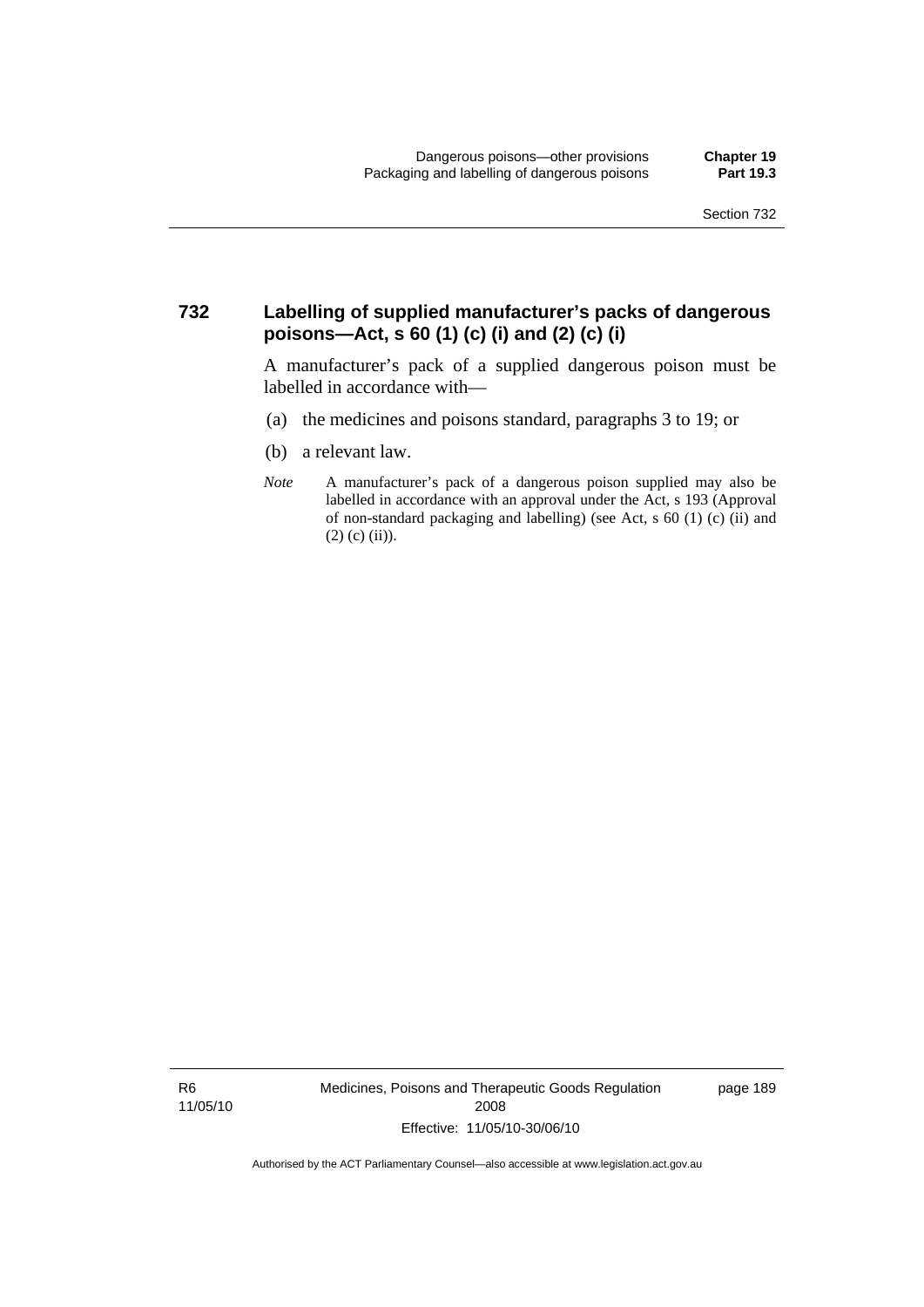#### **732 Labelling of supplied manufacturer's packs of dangerous poisons—Act, s 60 (1) (c) (i) and (2) (c) (i)**

A manufacturer's pack of a supplied dangerous poison must be labelled in accordance with—

- (a) the medicines and poisons standard, paragraphs 3 to 19; or
- (b) a relevant law.
- *Note* A manufacturer's pack of a dangerous poison supplied may also be labelled in accordance with an approval under the Act, s 193 (Approval of non-standard packaging and labelling) (see Act, s 60 (1) (c) (ii) and  $(2)$  (c) (ii)).

R6 11/05/10 Medicines, Poisons and Therapeutic Goods Regulation 2008 Effective: 11/05/10-30/06/10

page 189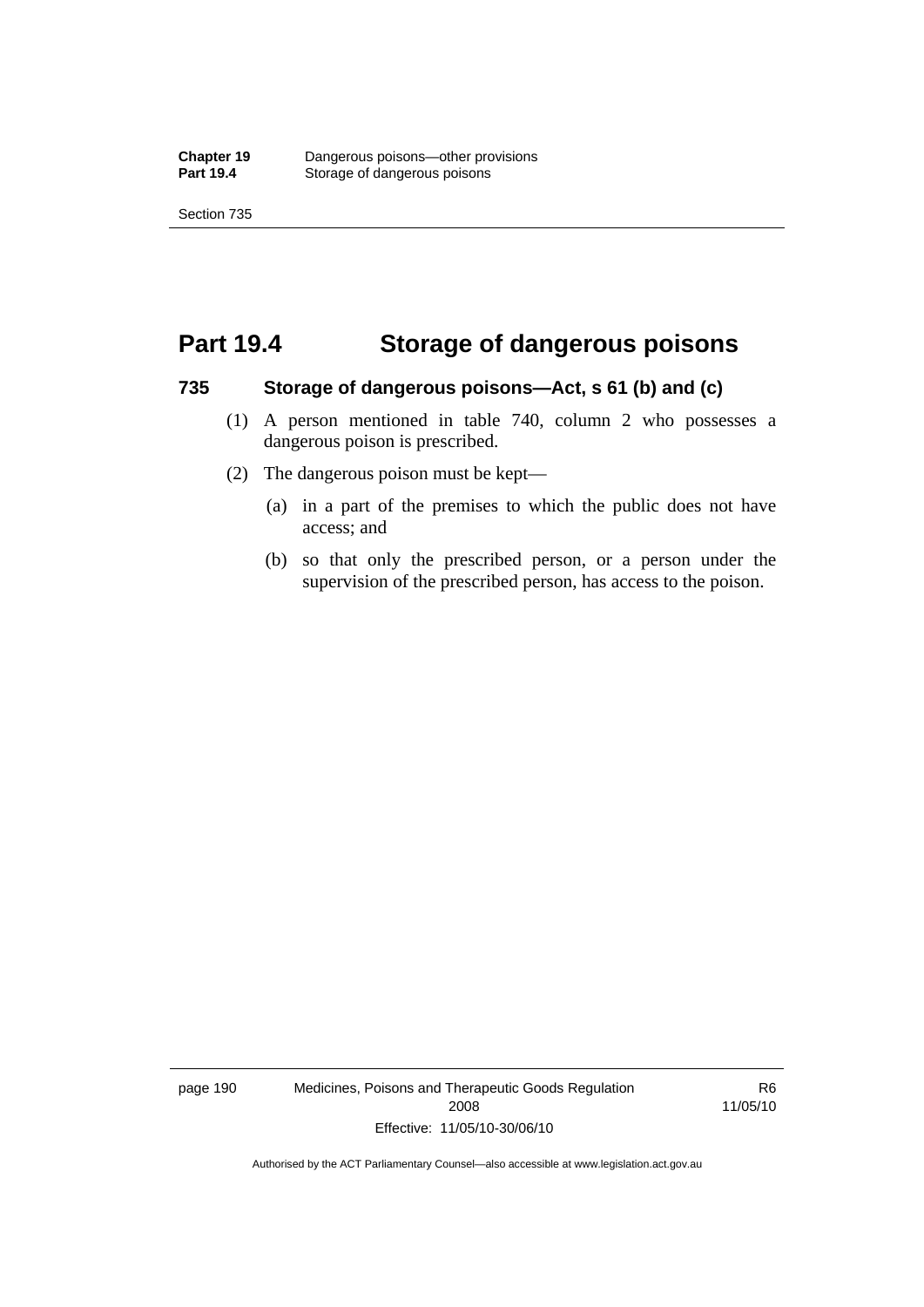## **Part 19.4 Storage of dangerous poisons**

#### **735 Storage of dangerous poisons—Act, s 61 (b) and (c)**

- (1) A person mentioned in table 740, column 2 who possesses a dangerous poison is prescribed.
- (2) The dangerous poison must be kept—
	- (a) in a part of the premises to which the public does not have access; and
	- (b) so that only the prescribed person, or a person under the supervision of the prescribed person, has access to the poison.

page 190 Medicines, Poisons and Therapeutic Goods Regulation 2008 Effective: 11/05/10-30/06/10

R6 11/05/10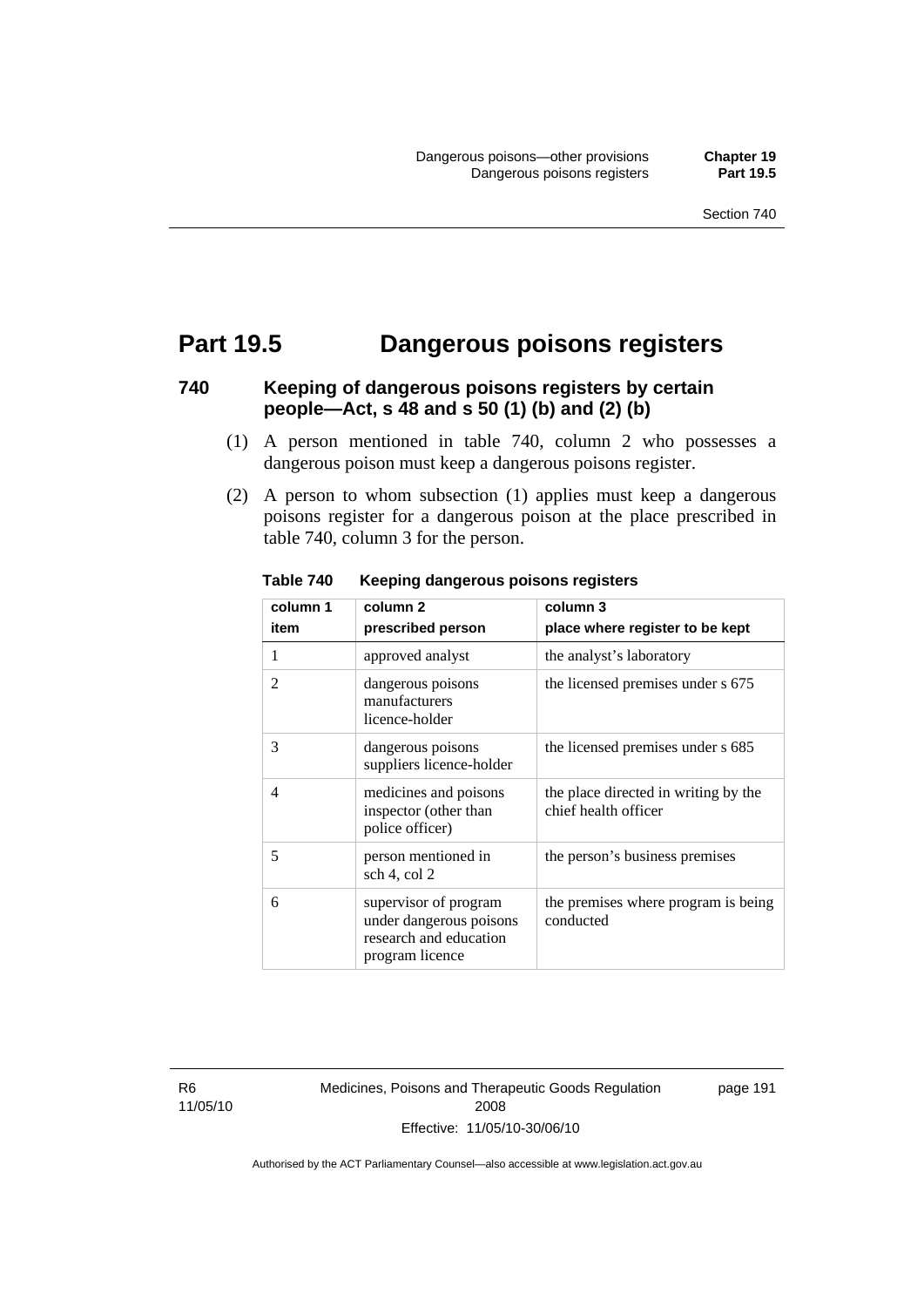## **Part 19.5 Dangerous poisons registers**

### **740 Keeping of dangerous poisons registers by certain people—Act, s 48 and s 50 (1) (b) and (2) (b)**

- (1) A person mentioned in table 740, column 2 who possesses a dangerous poison must keep a dangerous poisons register.
- (2) A person to whom subsection (1) applies must keep a dangerous poisons register for a dangerous poison at the place prescribed in table 740, column 3 for the person.

| column 1       | column 2                                                                                      | column 3                                                     |
|----------------|-----------------------------------------------------------------------------------------------|--------------------------------------------------------------|
| item           | prescribed person                                                                             | place where register to be kept                              |
| 1              | approved analyst                                                                              | the analyst's laboratory                                     |
| 2              | dangerous poisons<br>manufacturers<br>licence-holder                                          | the licensed premises under s 675                            |
| 3              | dangerous poisons<br>suppliers licence-holder                                                 | the licensed premises under s 685                            |
| $\overline{4}$ | medicines and poisons<br>inspector (other than<br>police officer)                             | the place directed in writing by the<br>chief health officer |
| 5              | person mentioned in<br>sch 4, col 2                                                           | the person's business premises                               |
| 6              | supervisor of program<br>under dangerous poisons<br>research and education<br>program licence | the premises where program is being<br>conducted             |

**Table 740 Keeping dangerous poisons registers** 

R6 11/05/10 Medicines, Poisons and Therapeutic Goods Regulation 2008 Effective: 11/05/10-30/06/10

page 191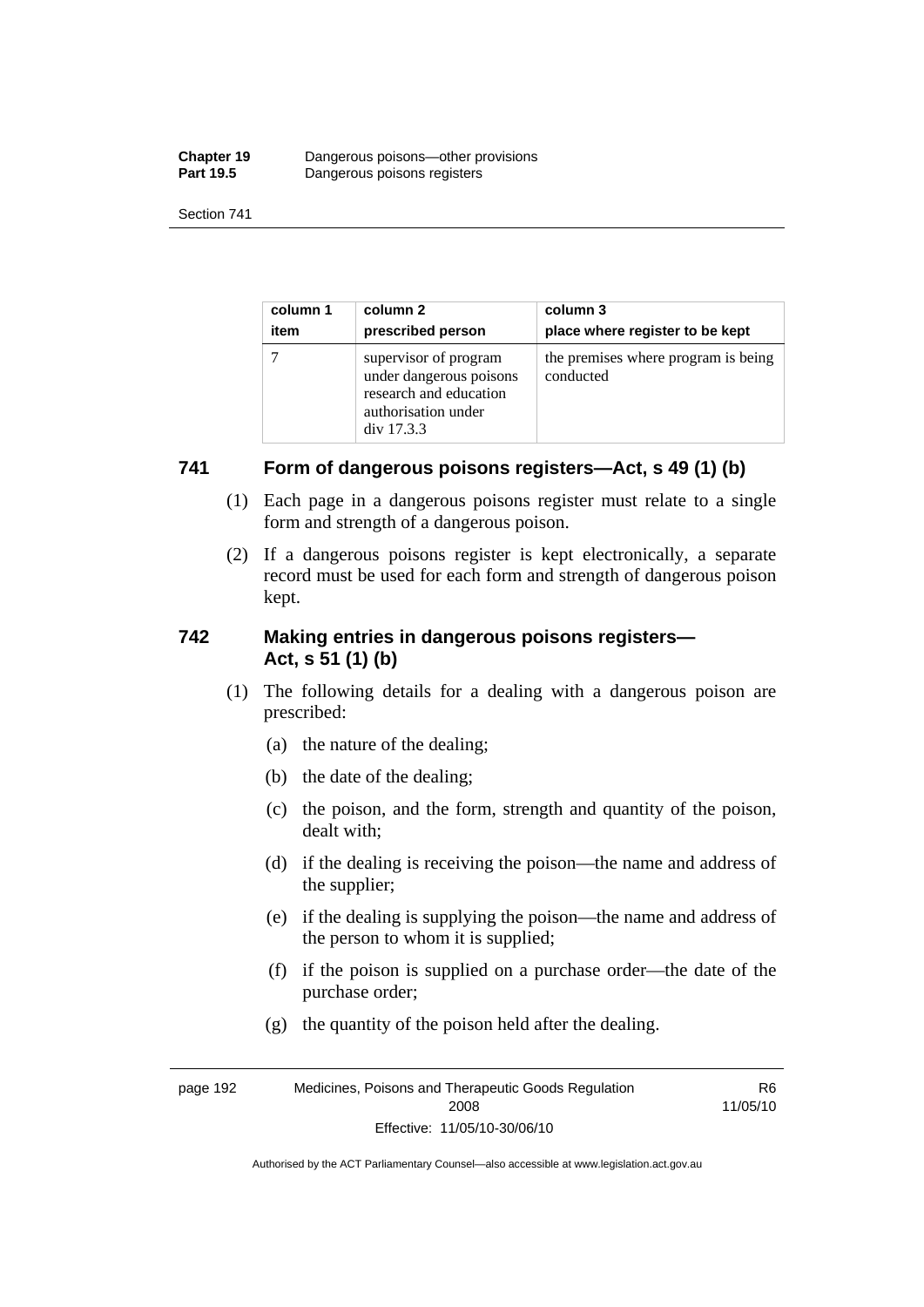| <b>Chapter 19</b> | Dangerous poisons—other provisions |
|-------------------|------------------------------------|
| <b>Part 19.5</b>  | Dangerous poisons registers        |

| column 1 | column 2                                                                                                        | column 3                                         |
|----------|-----------------------------------------------------------------------------------------------------------------|--------------------------------------------------|
| item     | prescribed person                                                                                               | place where register to be kept                  |
|          | supervisor of program<br>under dangerous poisons<br>research and education<br>authorisation under<br>div 17.3.3 | the premises where program is being<br>conducted |

### **741 Form of dangerous poisons registers—Act, s 49 (1) (b)**

- (1) Each page in a dangerous poisons register must relate to a single form and strength of a dangerous poison.
- (2) If a dangerous poisons register is kept electronically, a separate record must be used for each form and strength of dangerous poison kept.

### **742 Making entries in dangerous poisons registers— Act, s 51 (1) (b)**

- (1) The following details for a dealing with a dangerous poison are prescribed:
	- (a) the nature of the dealing;
	- (b) the date of the dealing;
	- (c) the poison, and the form, strength and quantity of the poison, dealt with;
	- (d) if the dealing is receiving the poison—the name and address of the supplier;
	- (e) if the dealing is supplying the poison—the name and address of the person to whom it is supplied;
	- (f) if the poison is supplied on a purchase order—the date of the purchase order;

R6

(g) the quantity of the poison held after the dealing.

page 192 Medicines, Poisons and Therapeutic Goods Regulation 2008 Effective: 11/05/10-30/06/10 11/05/10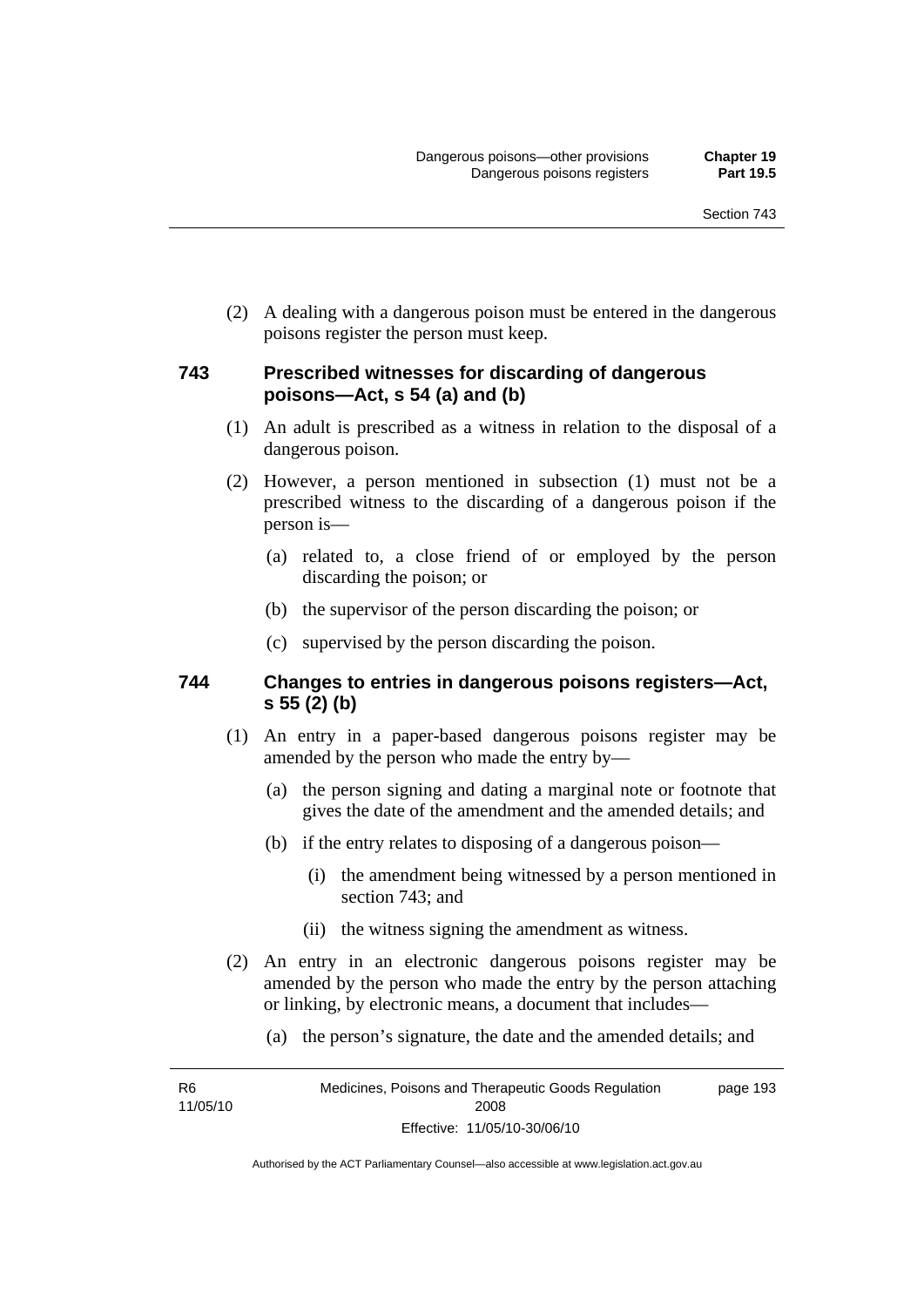(2) A dealing with a dangerous poison must be entered in the dangerous poisons register the person must keep.

#### **743 Prescribed witnesses for discarding of dangerous poisons—Act, s 54 (a) and (b)**

- (1) An adult is prescribed as a witness in relation to the disposal of a dangerous poison.
- (2) However, a person mentioned in subsection (1) must not be a prescribed witness to the discarding of a dangerous poison if the person is—
	- (a) related to, a close friend of or employed by the person discarding the poison; or
	- (b) the supervisor of the person discarding the poison; or
	- (c) supervised by the person discarding the poison.

#### **744 Changes to entries in dangerous poisons registers—Act, s 55 (2) (b)**

- (1) An entry in a paper-based dangerous poisons register may be amended by the person who made the entry by—
	- (a) the person signing and dating a marginal note or footnote that gives the date of the amendment and the amended details; and
	- (b) if the entry relates to disposing of a dangerous poison—
		- (i) the amendment being witnessed by a person mentioned in section 743; and
		- (ii) the witness signing the amendment as witness.
- (2) An entry in an electronic dangerous poisons register may be amended by the person who made the entry by the person attaching or linking, by electronic means, a document that includes—
	- (a) the person's signature, the date and the amended details; and

R6 11/05/10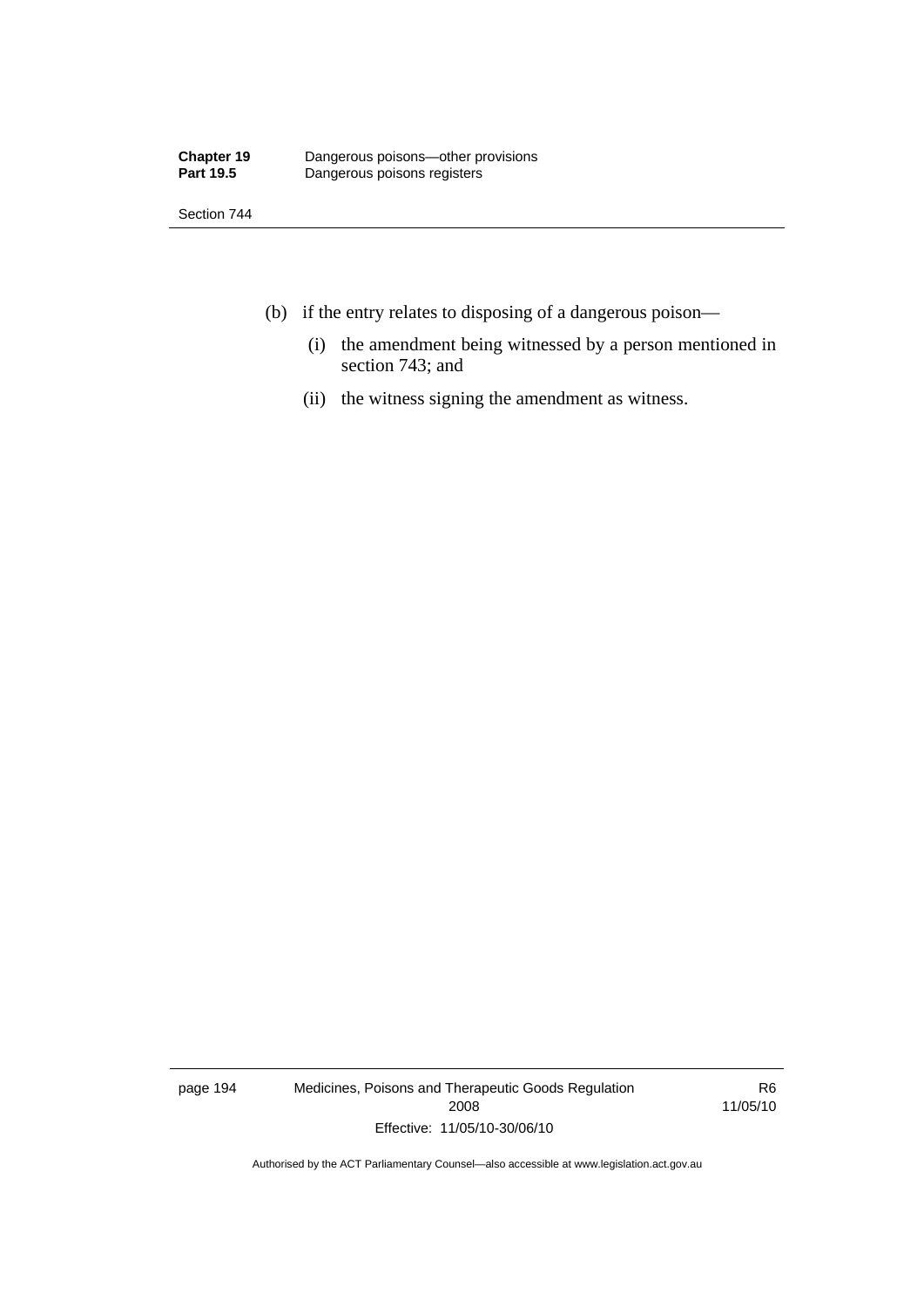Section 744

- (b) if the entry relates to disposing of a dangerous poison—
	- (i) the amendment being witnessed by a person mentioned in section 743; and
	- (ii) the witness signing the amendment as witness.

page 194 Medicines, Poisons and Therapeutic Goods Regulation 2008 Effective: 11/05/10-30/06/10

R6 11/05/10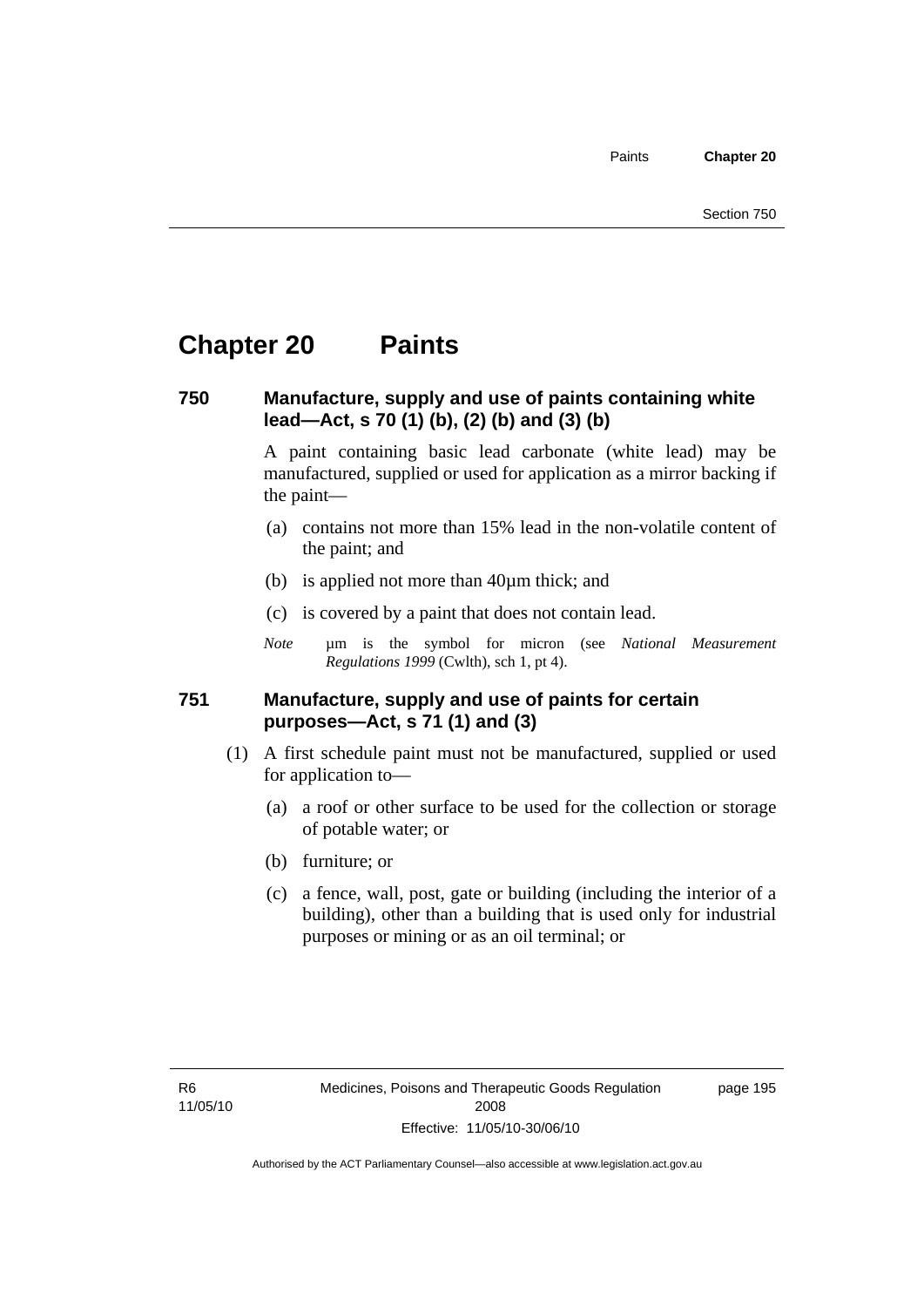Paints **Chapter 20** 

### **Chapter 20 Paints**

#### **750 Manufacture, supply and use of paints containing white lead—Act, s 70 (1) (b), (2) (b) and (3) (b)**

A paint containing basic lead carbonate (white lead) may be manufactured, supplied or used for application as a mirror backing if the paint—

- (a) contains not more than 15% lead in the non-volatile content of the paint; and
- (b) is applied not more than 40µm thick; and
- (c) is covered by a paint that does not contain lead.
- *Note* um is the symbol for micron (see *National Measurement Regulations 1999* (Cwlth), sch 1, pt 4).

#### **751 Manufacture, supply and use of paints for certain purposes—Act, s 71 (1) and (3)**

- (1) A first schedule paint must not be manufactured, supplied or used for application to—
	- (a) a roof or other surface to be used for the collection or storage of potable water; or
	- (b) furniture; or
	- (c) a fence, wall, post, gate or building (including the interior of a building), other than a building that is used only for industrial purposes or mining or as an oil terminal; or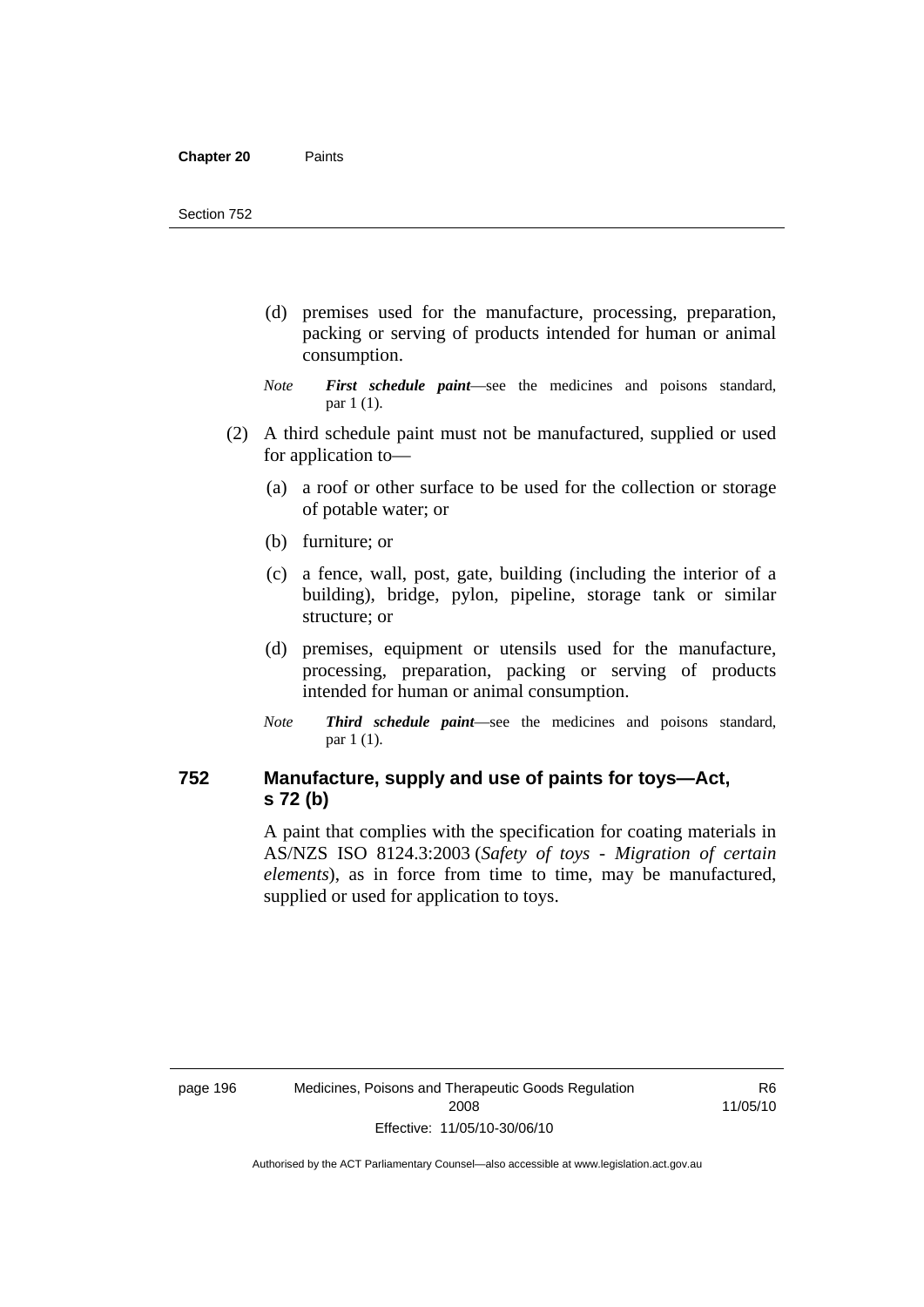- (d) premises used for the manufacture, processing, preparation, packing or serving of products intended for human or animal consumption.
- *Note First schedule paint*—see the medicines and poisons standard, par 1 (1).
- (2) A third schedule paint must not be manufactured, supplied or used for application to—
	- (a) a roof or other surface to be used for the collection or storage of potable water; or
	- (b) furniture; or
	- (c) a fence, wall, post, gate, building (including the interior of a building), bridge, pylon, pipeline, storage tank or similar structure; or
	- (d) premises, equipment or utensils used for the manufacture, processing, preparation, packing or serving of products intended for human or animal consumption.
	- *Note Third schedule paint*—see the medicines and poisons standard, par 1 (1).

### **752 Manufacture, supply and use of paints for toys—Act, s 72 (b)**

A paint that complies with the specification for coating materials in AS/NZS ISO 8124.3:2003 (*Safety of toys - Migration of certain elements*), as in force from time to time, may be manufactured, supplied or used for application to toys.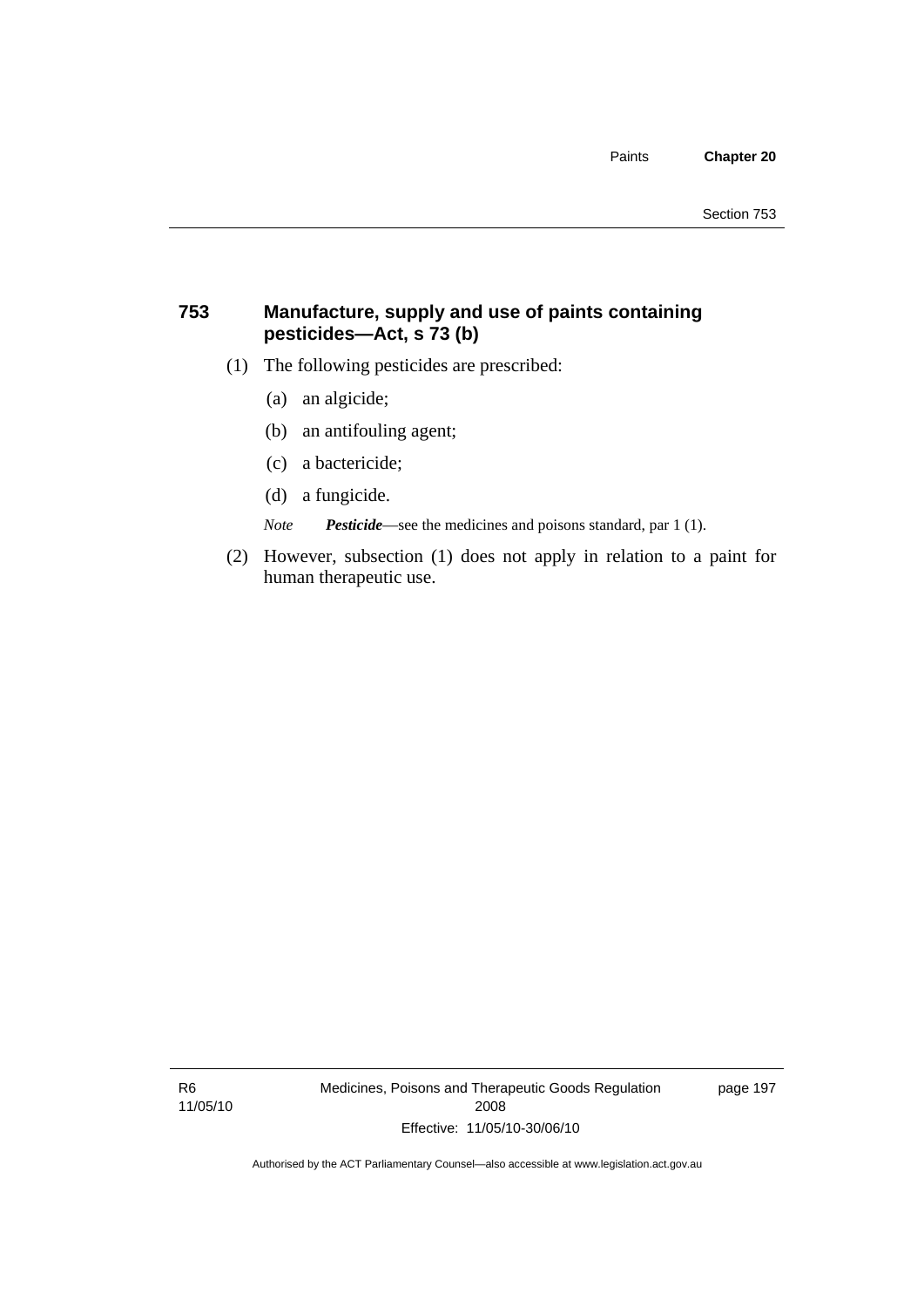#### **753 Manufacture, supply and use of paints containing pesticides—Act, s 73 (b)**

- (1) The following pesticides are prescribed:
	- (a) an algicide;
	- (b) an antifouling agent;
	- (c) a bactericide;
	- (d) a fungicide.

*Note Pesticide*—see the medicines and poisons standard, par 1 (1).

 (2) However, subsection (1) does not apply in relation to a paint for human therapeutic use.

R6 11/05/10 Medicines, Poisons and Therapeutic Goods Regulation 2008 Effective: 11/05/10-30/06/10

page 197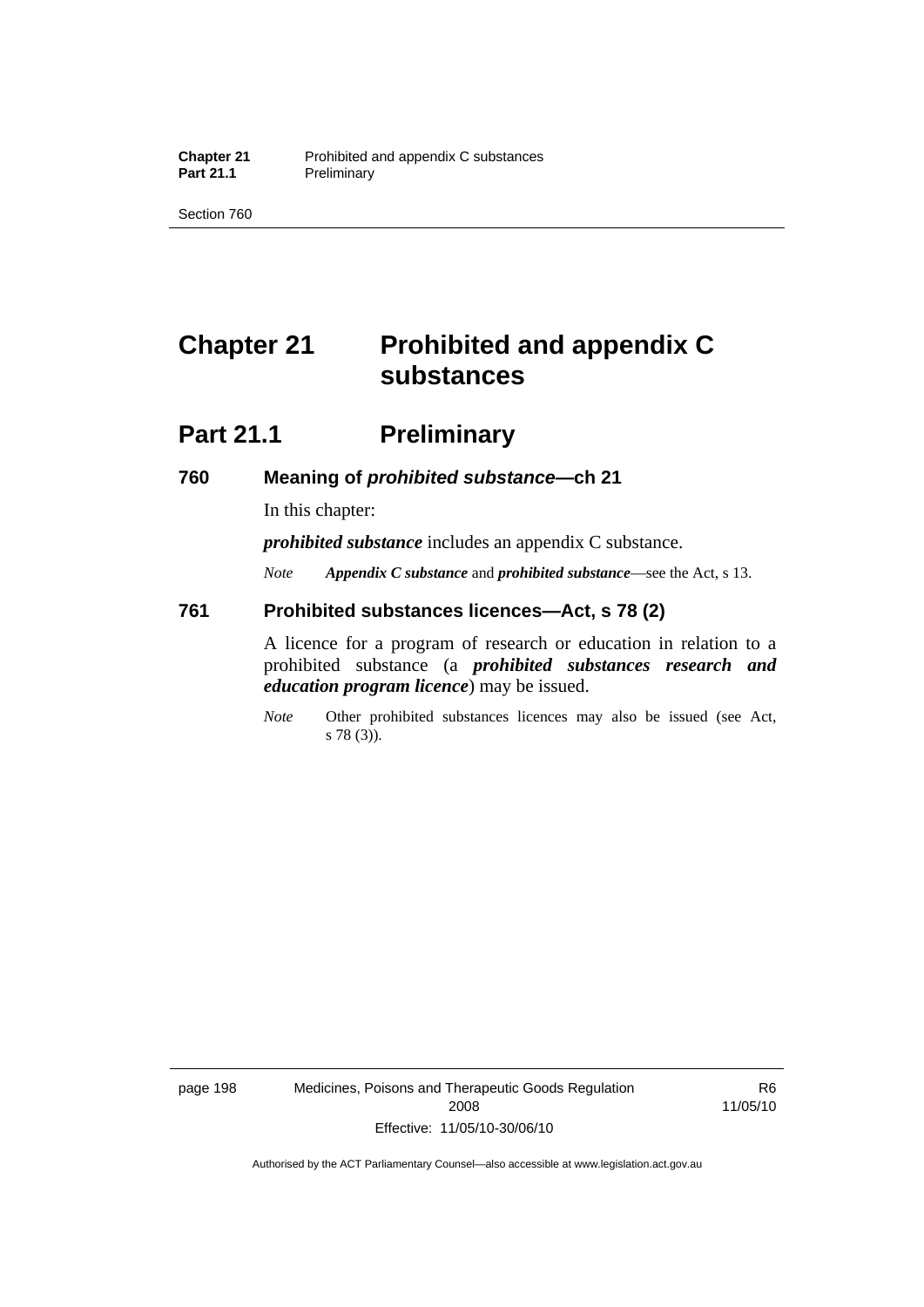Section 760

# **Chapter 21 Prohibited and appendix C substances**

### **Part 21.1** Preliminary

#### **760 Meaning of** *prohibited substance***—ch 21**

In this chapter:

*prohibited substance* includes an appendix C substance.

*Note Appendix C substance* and *prohibited substance*—see the Act, s 13.

#### **761 Prohibited substances licences—Act, s 78 (2)**

A licence for a program of research or education in relation to a prohibited substance (a *prohibited substances research and education program licence*) may be issued.

*Note* Other prohibited substances licences may also be issued (see Act, s 78 (3)).

page 198 Medicines, Poisons and Therapeutic Goods Regulation 2008 Effective: 11/05/10-30/06/10

R6 11/05/10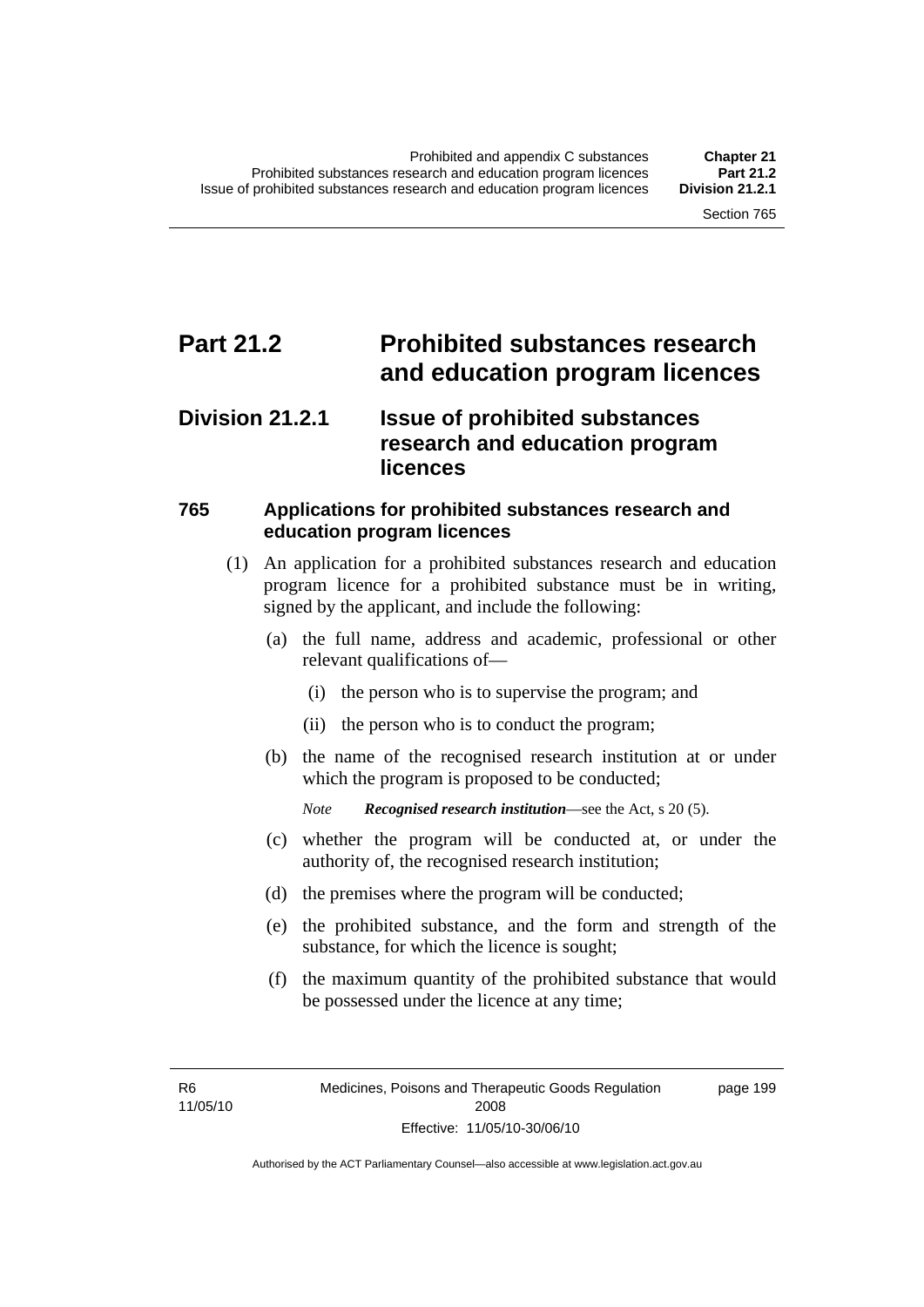### **Part 21.2 Prohibited substances research and education program licences**

### **Division 21.2.1 Issue of prohibited substances research and education program licences**

#### **765 Applications for prohibited substances research and education program licences**

- (1) An application for a prohibited substances research and education program licence for a prohibited substance must be in writing, signed by the applicant, and include the following:
	- (a) the full name, address and academic, professional or other relevant qualifications of—
		- (i) the person who is to supervise the program; and
		- (ii) the person who is to conduct the program;
	- (b) the name of the recognised research institution at or under which the program is proposed to be conducted;

*Note Recognised research institution*—see the Act, s 20 (5).

- (c) whether the program will be conducted at, or under the authority of, the recognised research institution;
- (d) the premises where the program will be conducted;
- (e) the prohibited substance, and the form and strength of the substance, for which the licence is sought;
- (f) the maximum quantity of the prohibited substance that would be possessed under the licence at any time;

R6 11/05/10 page 199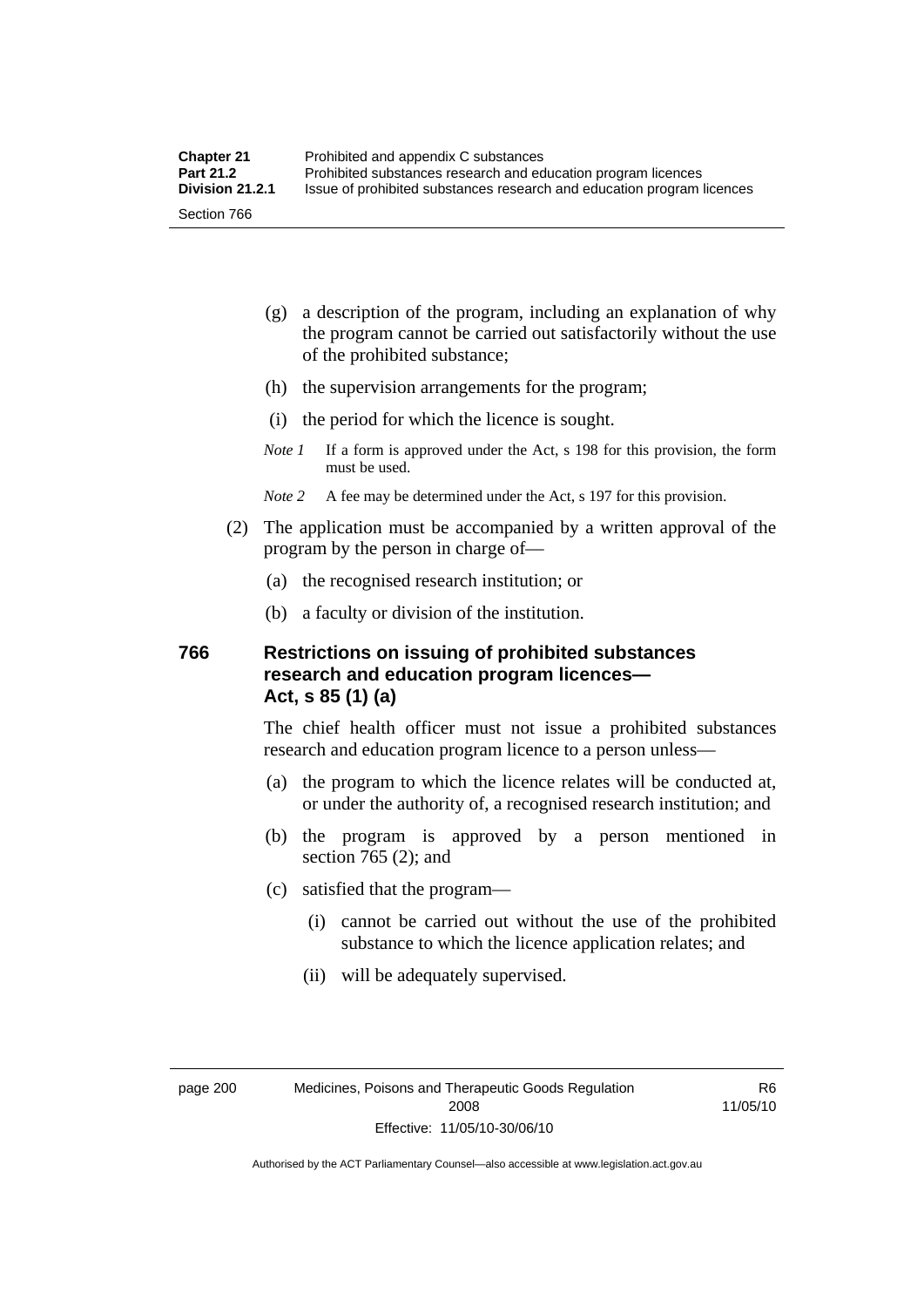- (g) a description of the program, including an explanation of why the program cannot be carried out satisfactorily without the use of the prohibited substance;
- (h) the supervision arrangements for the program;
- (i) the period for which the licence is sought.
- *Note 1* If a form is approved under the Act, s 198 for this provision, the form must be used.
- *Note 2* A fee may be determined under the Act, s 197 for this provision.
- (2) The application must be accompanied by a written approval of the program by the person in charge of—
	- (a) the recognised research institution; or
	- (b) a faculty or division of the institution.

#### **766 Restrictions on issuing of prohibited substances research and education program licences— Act, s 85 (1) (a)**

The chief health officer must not issue a prohibited substances research and education program licence to a person unless—

- (a) the program to which the licence relates will be conducted at, or under the authority of, a recognised research institution; and
- (b) the program is approved by a person mentioned in section 765 (2); and
- (c) satisfied that the program—
	- (i) cannot be carried out without the use of the prohibited substance to which the licence application relates; and
	- (ii) will be adequately supervised.

R6 11/05/10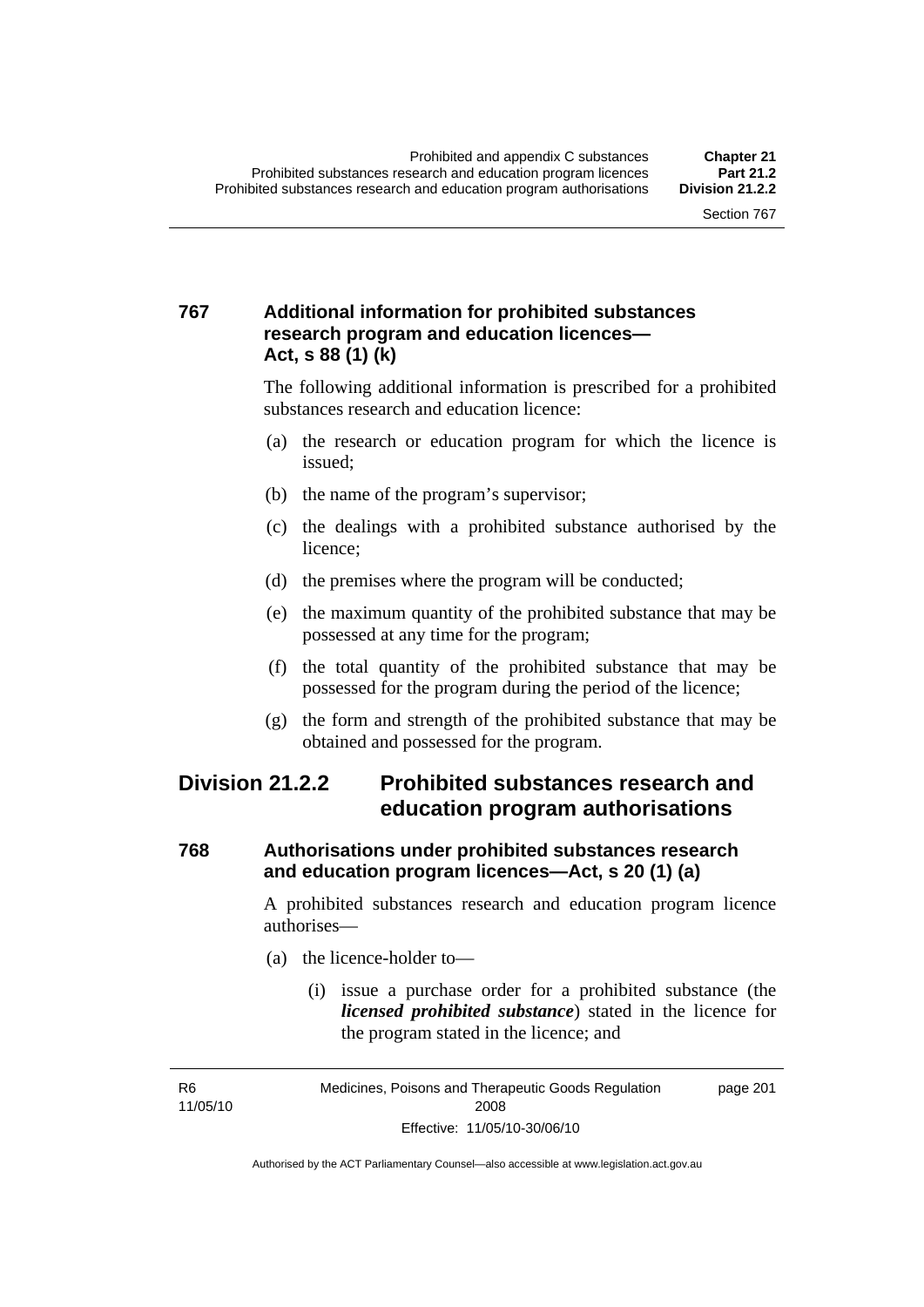### **767 Additional information for prohibited substances research program and education licences— Act, s 88 (1) (k)**

The following additional information is prescribed for a prohibited substances research and education licence:

- (a) the research or education program for which the licence is issued;
- (b) the name of the program's supervisor;
- (c) the dealings with a prohibited substance authorised by the licence;
- (d) the premises where the program will be conducted;
- (e) the maximum quantity of the prohibited substance that may be possessed at any time for the program;
- (f) the total quantity of the prohibited substance that may be possessed for the program during the period of the licence;
- (g) the form and strength of the prohibited substance that may be obtained and possessed for the program.

### **Division 21.2.2 Prohibited substances research and education program authorisations**

#### **768 Authorisations under prohibited substances research and education program licences—Act, s 20 (1) (a)**

A prohibited substances research and education program licence authorises—

- (a) the licence-holder to—
	- (i) issue a purchase order for a prohibited substance (the *licensed prohibited substance*) stated in the licence for the program stated in the licence; and

R6 11/05/10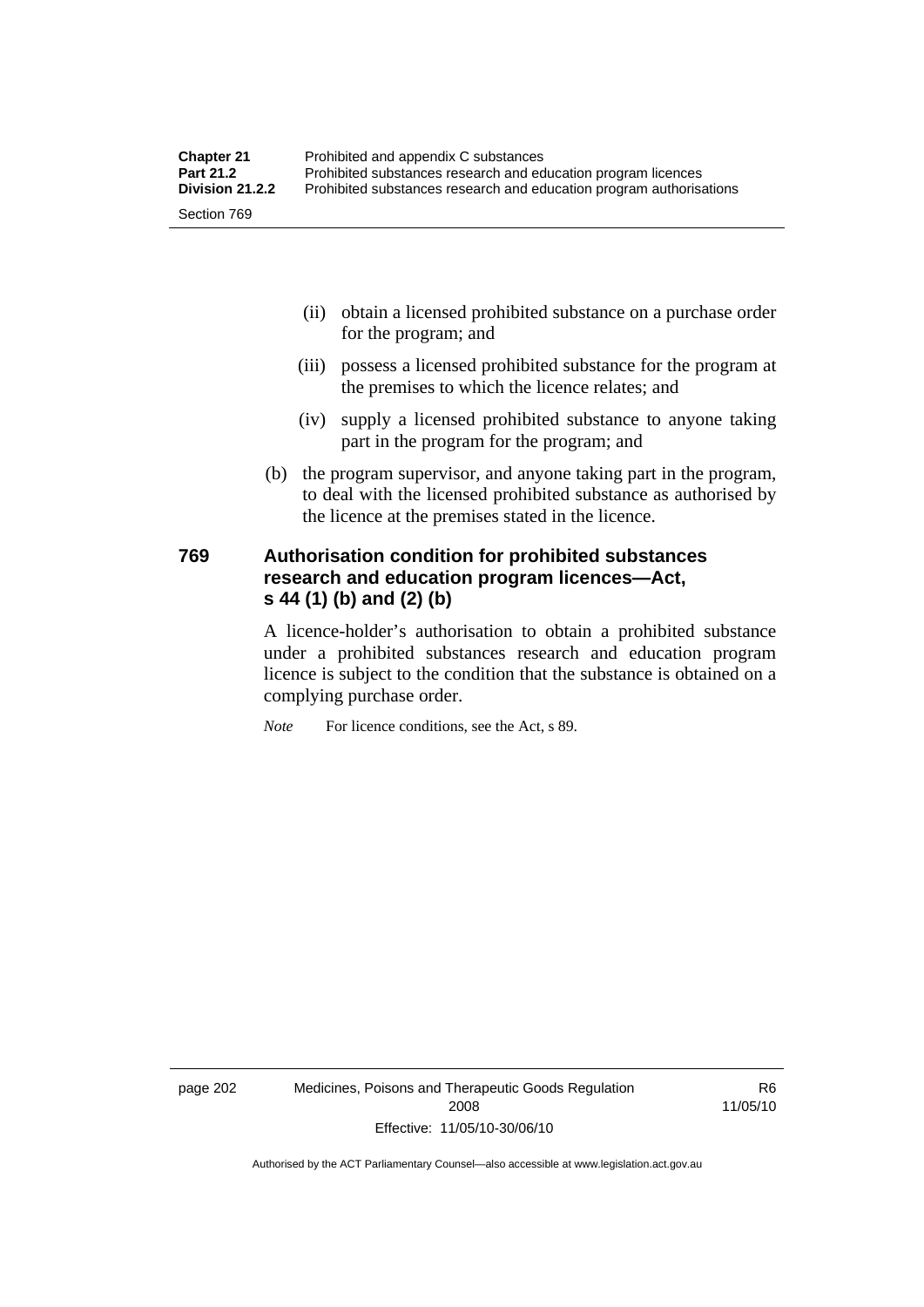| <b>Chapter 21</b> | Prohibited and appendix C substances                                |
|-------------------|---------------------------------------------------------------------|
| <b>Part 21.2</b>  | Prohibited substances research and education program licences       |
| Division 21.2.2   | Prohibited substances research and education program authorisations |
| Section 769       |                                                                     |

- (ii) obtain a licensed prohibited substance on a purchase order for the program; and
- (iii) possess a licensed prohibited substance for the program at the premises to which the licence relates; and
- (iv) supply a licensed prohibited substance to anyone taking part in the program for the program; and
- (b) the program supervisor, and anyone taking part in the program, to deal with the licensed prohibited substance as authorised by the licence at the premises stated in the licence.

#### **769 Authorisation condition for prohibited substances research and education program licences—Act, s 44 (1) (b) and (2) (b)**

A licence-holder's authorisation to obtain a prohibited substance under a prohibited substances research and education program licence is subject to the condition that the substance is obtained on a complying purchase order.

*Note* For licence conditions, see the Act, s 89.

page 202 Medicines, Poisons and Therapeutic Goods Regulation 2008 Effective: 11/05/10-30/06/10

R6 11/05/10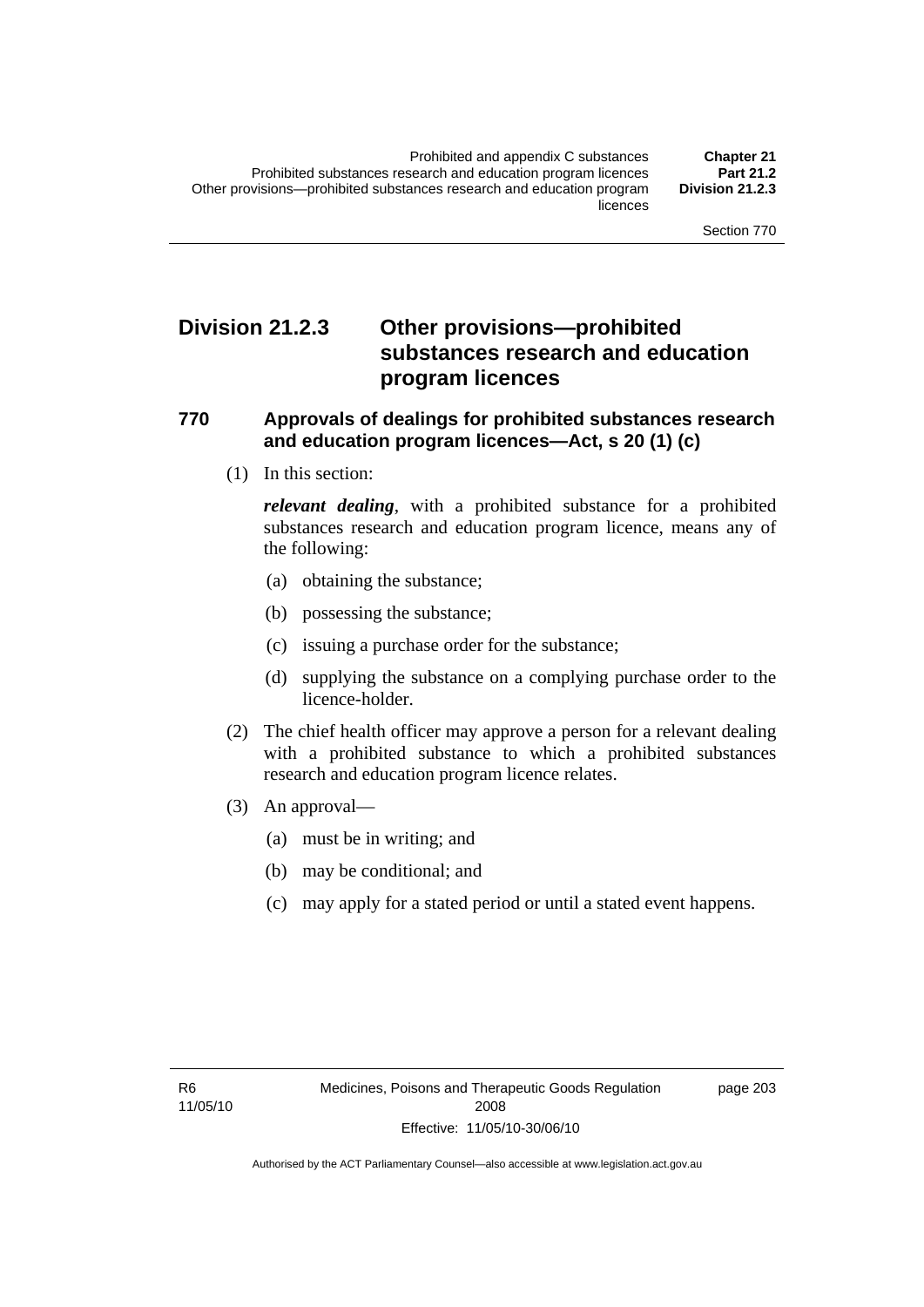### **Division 21.2.3 Other provisions—prohibited substances research and education program licences**

#### **770 Approvals of dealings for prohibited substances research and education program licences—Act, s 20 (1) (c)**

(1) In this section:

*relevant dealing*, with a prohibited substance for a prohibited substances research and education program licence, means any of the following:

- (a) obtaining the substance;
- (b) possessing the substance;
- (c) issuing a purchase order for the substance;
- (d) supplying the substance on a complying purchase order to the licence-holder.
- (2) The chief health officer may approve a person for a relevant dealing with a prohibited substance to which a prohibited substances research and education program licence relates.
- (3) An approval—
	- (a) must be in writing; and
	- (b) may be conditional; and
	- (c) may apply for a stated period or until a stated event happens.

page 203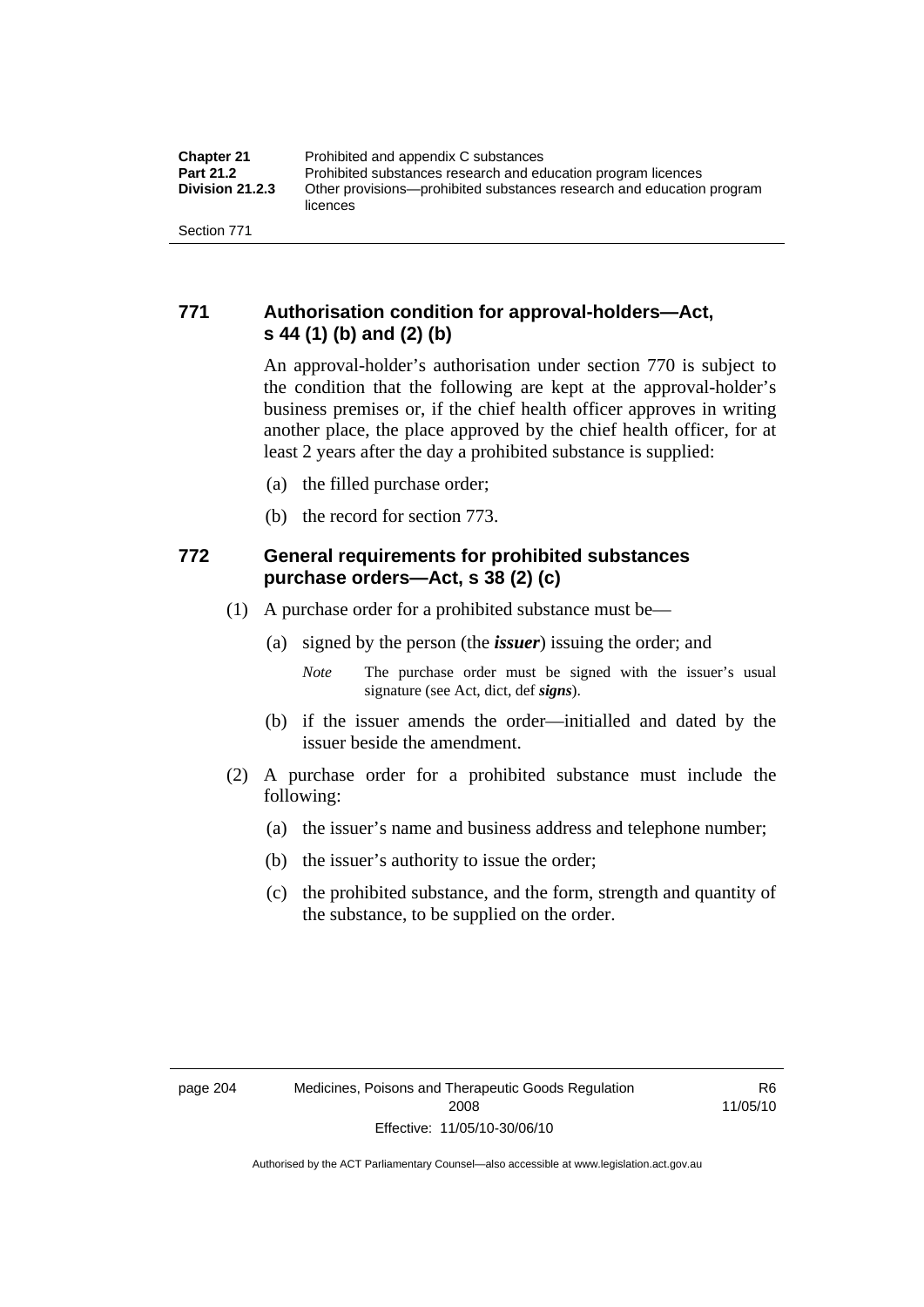### **771 Authorisation condition for approval-holders—Act, s 44 (1) (b) and (2) (b)**

An approval-holder's authorisation under section 770 is subject to the condition that the following are kept at the approval-holder's business premises or, if the chief health officer approves in writing another place, the place approved by the chief health officer, for at least 2 years after the day a prohibited substance is supplied:

- (a) the filled purchase order;
- (b) the record for section 773.

### **772 General requirements for prohibited substances purchase orders—Act, s 38 (2) (c)**

- (1) A purchase order for a prohibited substance must be—
	- (a) signed by the person (the *issuer*) issuing the order; and
		- *Note* The purchase order must be signed with the issuer's usual signature (see Act, dict, def *signs*).
	- (b) if the issuer amends the order—initialled and dated by the issuer beside the amendment.
- (2) A purchase order for a prohibited substance must include the following:
	- (a) the issuer's name and business address and telephone number;
	- (b) the issuer's authority to issue the order;
	- (c) the prohibited substance, and the form, strength and quantity of the substance, to be supplied on the order.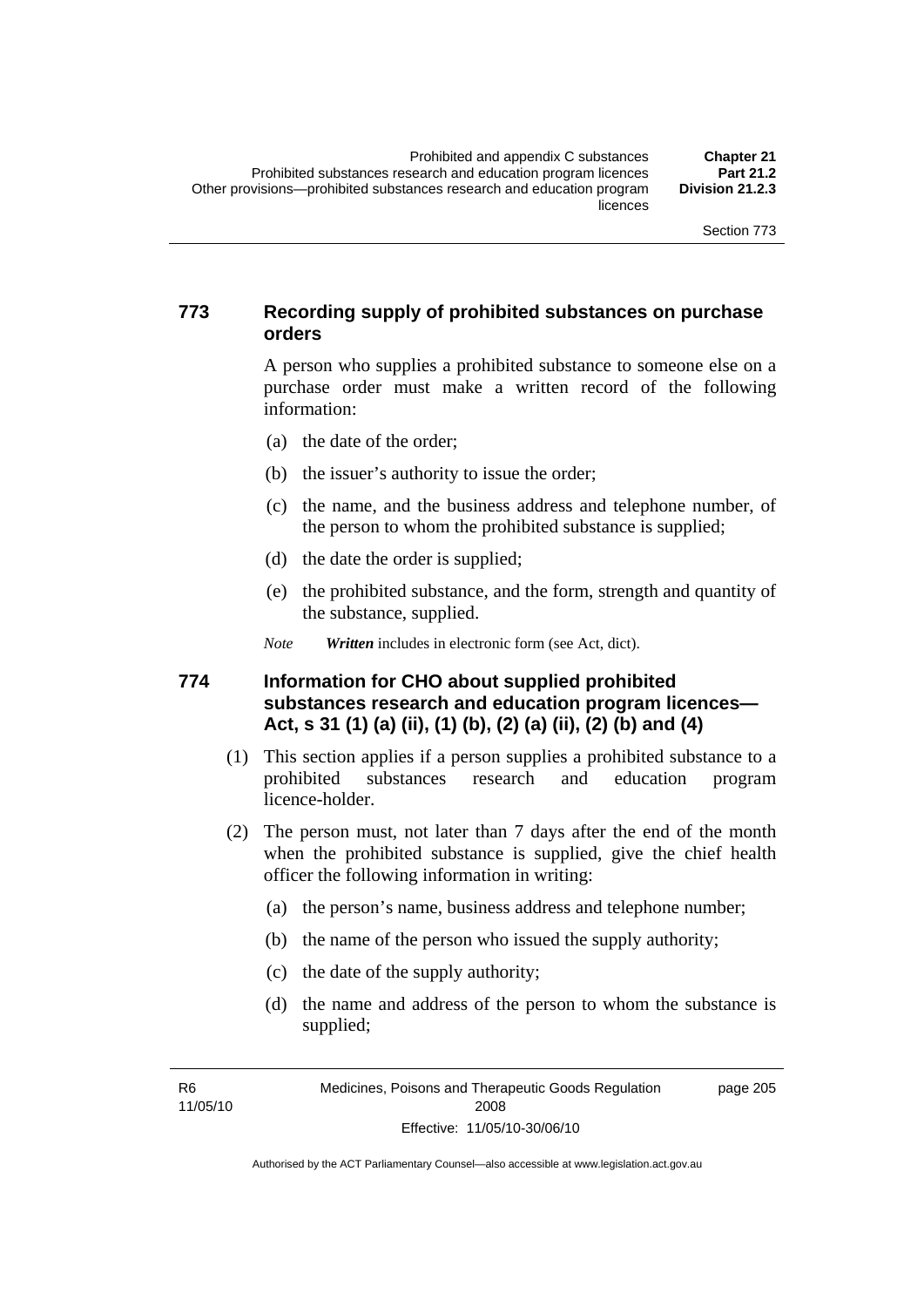### **773 Recording supply of prohibited substances on purchase orders**

A person who supplies a prohibited substance to someone else on a purchase order must make a written record of the following information:

- (a) the date of the order;
- (b) the issuer's authority to issue the order;
- (c) the name, and the business address and telephone number, of the person to whom the prohibited substance is supplied;
- (d) the date the order is supplied;
- (e) the prohibited substance, and the form, strength and quantity of the substance, supplied.

*Note Written* includes in electronic form (see Act, dict).

#### **774 Information for CHO about supplied prohibited substances research and education program licences— Act, s 31 (1) (a) (ii), (1) (b), (2) (a) (ii), (2) (b) and (4)**

- (1) This section applies if a person supplies a prohibited substance to a prohibited substances research and education program licence-holder.
- (2) The person must, not later than 7 days after the end of the month when the prohibited substance is supplied, give the chief health officer the following information in writing:
	- (a) the person's name, business address and telephone number;
	- (b) the name of the person who issued the supply authority;
	- (c) the date of the supply authority;
	- (d) the name and address of the person to whom the substance is supplied;

R6 11/05/10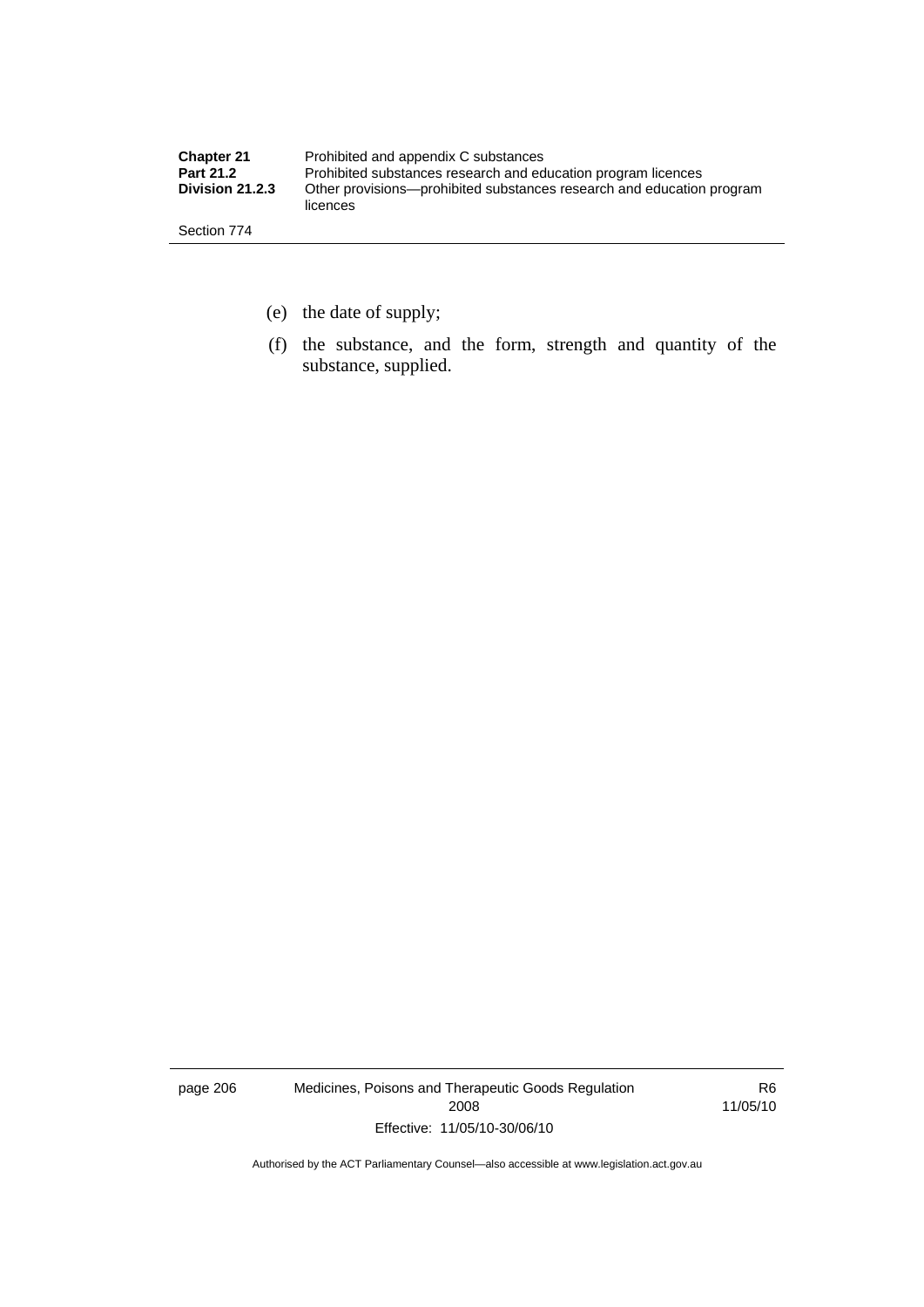| <b>Chapter 21</b> | Prohibited and appendix C substances                                              |
|-------------------|-----------------------------------------------------------------------------------|
| <b>Part 21.2</b>  | Prohibited substances research and education program licences                     |
| Division 21.2.3   | Other provisions—prohibited substances research and education program<br>licences |
| Section 774       |                                                                                   |

- (e) the date of supply;
- (f) the substance, and the form, strength and quantity of the substance, supplied.

page 206 Medicines, Poisons and Therapeutic Goods Regulation 2008 Effective: 11/05/10-30/06/10

R6 11/05/10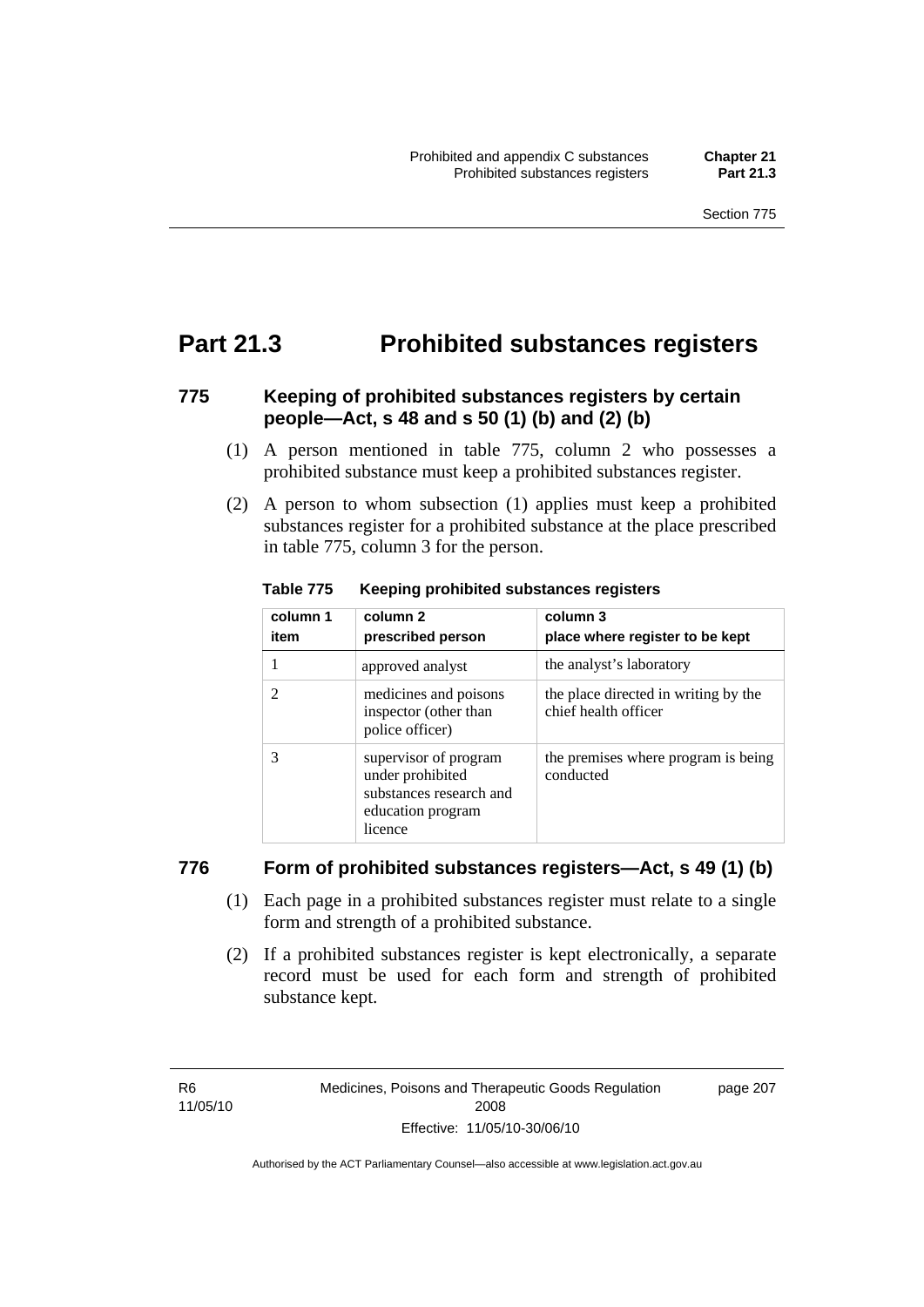### **Part 21.3 Prohibited substances registers**

### **775 Keeping of prohibited substances registers by certain people—Act, s 48 and s 50 (1) (b) and (2) (b)**

- (1) A person mentioned in table 775, column 2 who possesses a prohibited substance must keep a prohibited substances register.
- (2) A person to whom subsection (1) applies must keep a prohibited substances register for a prohibited substance at the place prescribed in table 775, column 3 for the person.

| column 1<br>item | column <sub>2</sub><br>prescribed person                                                             | column 3<br>place where register to be kept                  |
|------------------|------------------------------------------------------------------------------------------------------|--------------------------------------------------------------|
|                  | approved analyst                                                                                     | the analyst's laboratory                                     |
| 2                | medicines and poisons<br>inspector (other than<br>police officer)                                    | the place directed in writing by the<br>chief health officer |
| 3                | supervisor of program<br>under prohibited<br>substances research and<br>education program<br>licence | the premises where program is being<br>conducted             |

**Table 775 Keeping prohibited substances registers** 

#### **776 Form of prohibited substances registers—Act, s 49 (1) (b)**

- (1) Each page in a prohibited substances register must relate to a single form and strength of a prohibited substance.
- (2) If a prohibited substances register is kept electronically, a separate record must be used for each form and strength of prohibited substance kept.

R6 11/05/10 page 207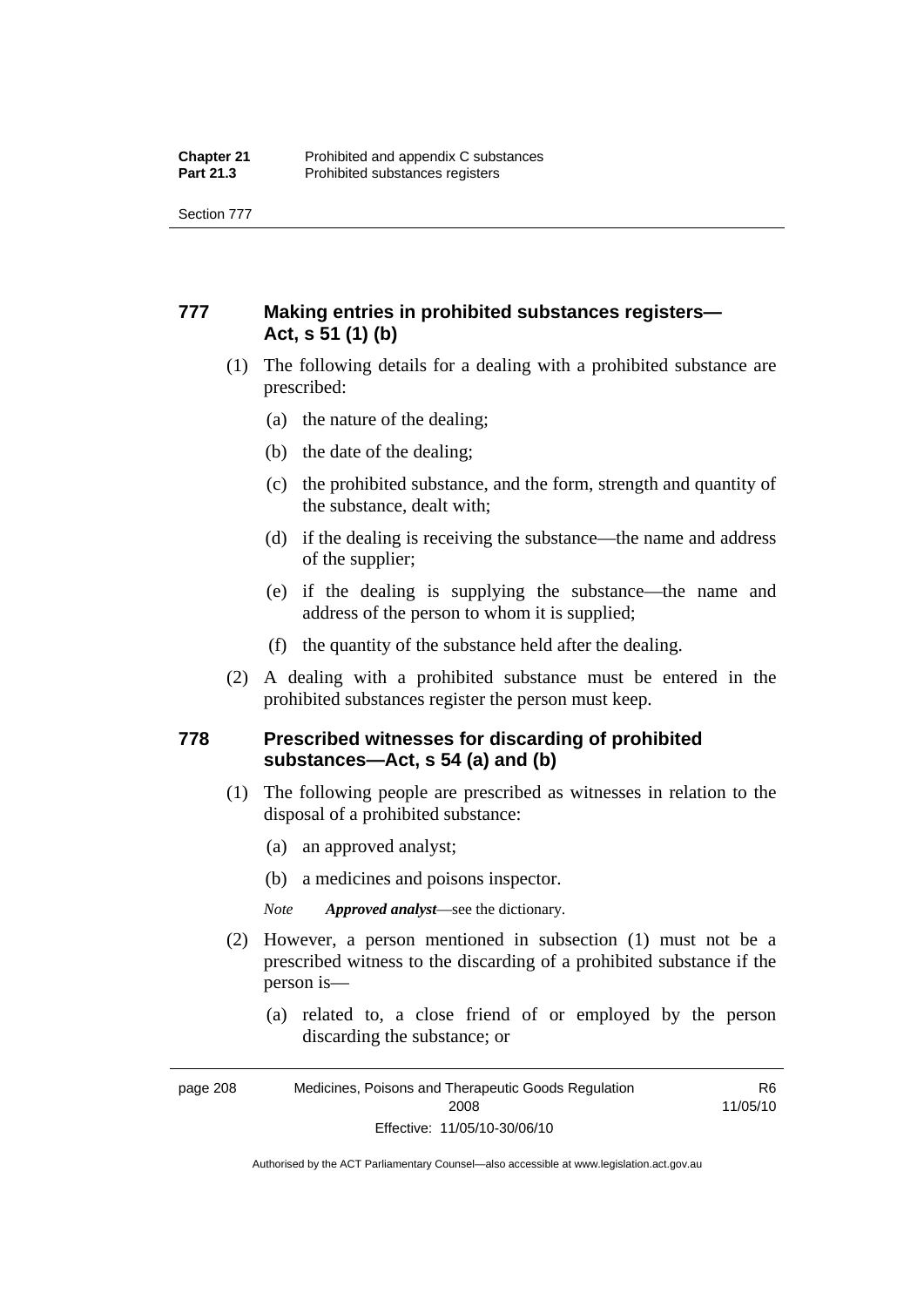Section 777

### **777 Making entries in prohibited substances registers— Act, s 51 (1) (b)**

- (1) The following details for a dealing with a prohibited substance are prescribed:
	- (a) the nature of the dealing;
	- (b) the date of the dealing;
	- (c) the prohibited substance, and the form, strength and quantity of the substance, dealt with;
	- (d) if the dealing is receiving the substance—the name and address of the supplier;
	- (e) if the dealing is supplying the substance—the name and address of the person to whom it is supplied;
	- (f) the quantity of the substance held after the dealing.
- (2) A dealing with a prohibited substance must be entered in the prohibited substances register the person must keep.

#### **778 Prescribed witnesses for discarding of prohibited substances—Act, s 54 (a) and (b)**

- (1) The following people are prescribed as witnesses in relation to the disposal of a prohibited substance:
	- (a) an approved analyst;
	- (b) a medicines and poisons inspector.

*Note Approved analyst*—see the dictionary.

- (2) However, a person mentioned in subsection (1) must not be a prescribed witness to the discarding of a prohibited substance if the person is—
	- (a) related to, a close friend of or employed by the person discarding the substance; or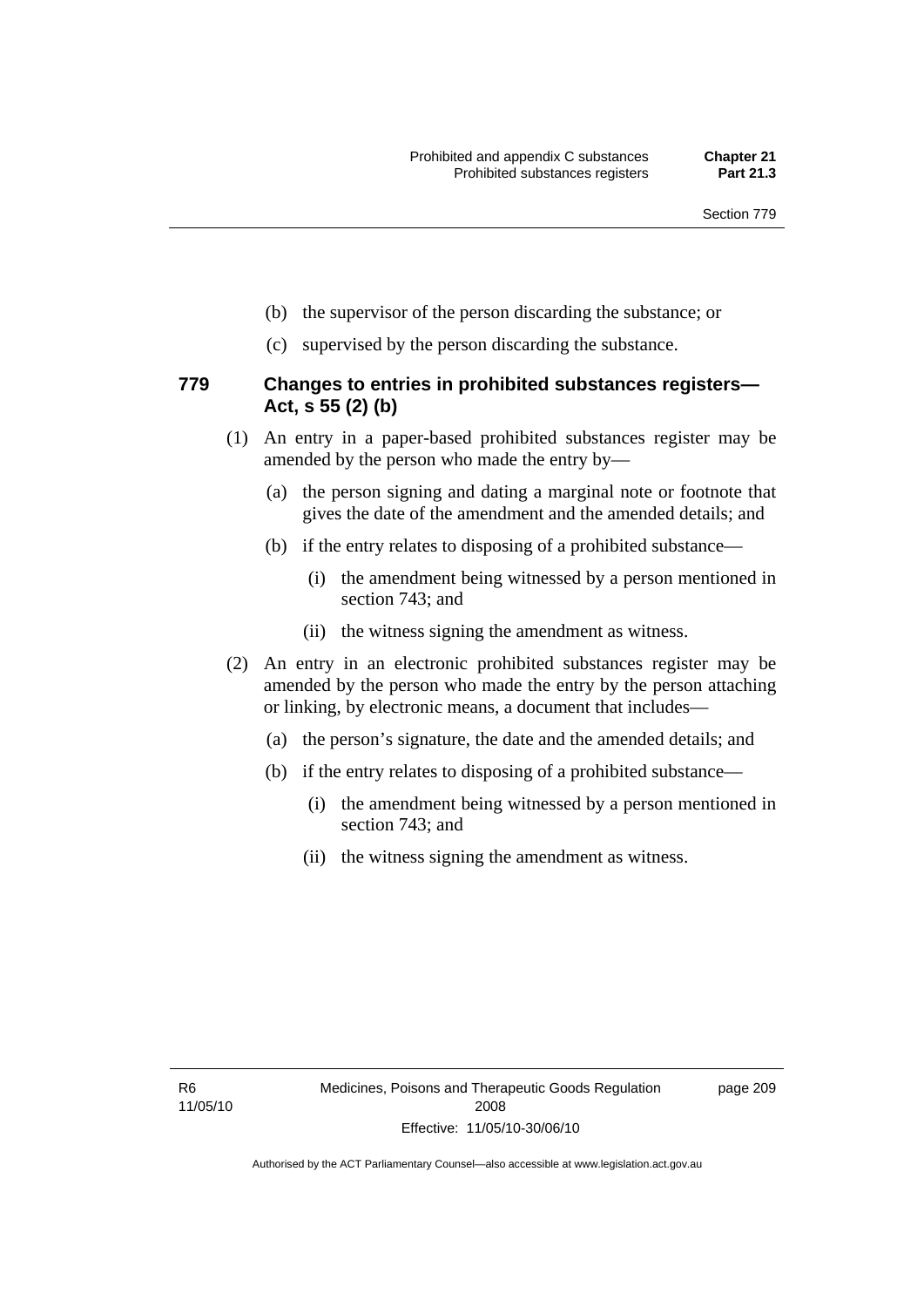- (b) the supervisor of the person discarding the substance; or
- (c) supervised by the person discarding the substance.

#### **779 Changes to entries in prohibited substances registers— Act, s 55 (2) (b)**

- (1) An entry in a paper-based prohibited substances register may be amended by the person who made the entry by—
	- (a) the person signing and dating a marginal note or footnote that gives the date of the amendment and the amended details; and
	- (b) if the entry relates to disposing of a prohibited substance—
		- (i) the amendment being witnessed by a person mentioned in section 743; and
		- (ii) the witness signing the amendment as witness.
- (2) An entry in an electronic prohibited substances register may be amended by the person who made the entry by the person attaching or linking, by electronic means, a document that includes—
	- (a) the person's signature, the date and the amended details; and
	- (b) if the entry relates to disposing of a prohibited substance—
		- (i) the amendment being witnessed by a person mentioned in section 743; and
		- (ii) the witness signing the amendment as witness.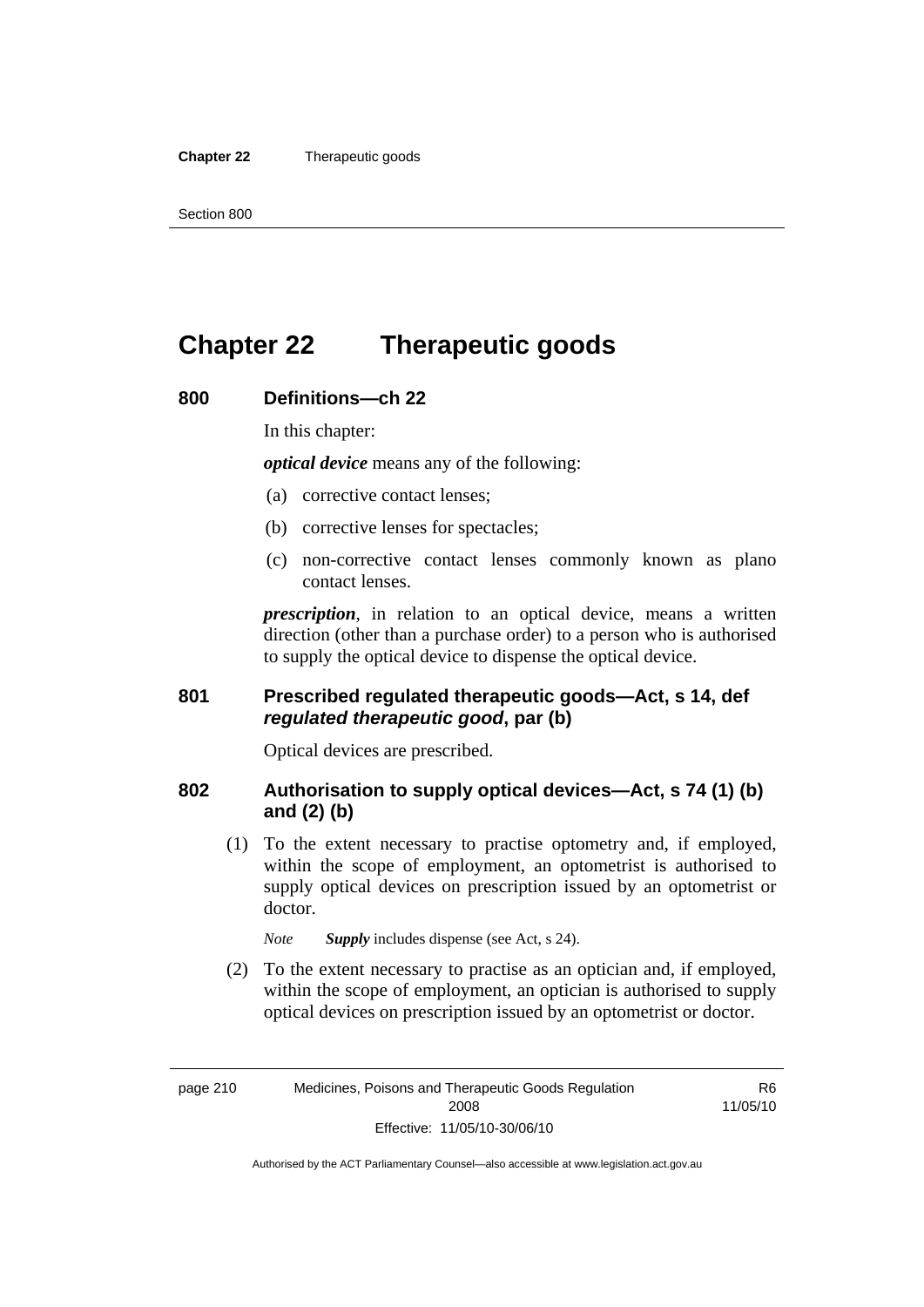#### **Chapter 22** Therapeutic goods

### **Chapter 22 Therapeutic goods**

#### **800 Definitions—ch 22**

In this chapter:

*optical device* means any of the following:

- (a) corrective contact lenses;
- (b) corrective lenses for spectacles;
- (c) non-corrective contact lenses commonly known as plano contact lenses.

*prescription*, in relation to an optical device, means a written direction (other than a purchase order) to a person who is authorised to supply the optical device to dispense the optical device.

#### **801 Prescribed regulated therapeutic goods—Act, s 14, def**  *regulated therapeutic good***, par (b)**

Optical devices are prescribed.

#### **802 Authorisation to supply optical devices—Act, s 74 (1) (b) and (2) (b)**

 (1) To the extent necessary to practise optometry and, if employed, within the scope of employment, an optometrist is authorised to supply optical devices on prescription issued by an optometrist or doctor.

*Note Supply* includes dispense (see Act, s 24).

 (2) To the extent necessary to practise as an optician and, if employed, within the scope of employment, an optician is authorised to supply optical devices on prescription issued by an optometrist or doctor.

R6 11/05/10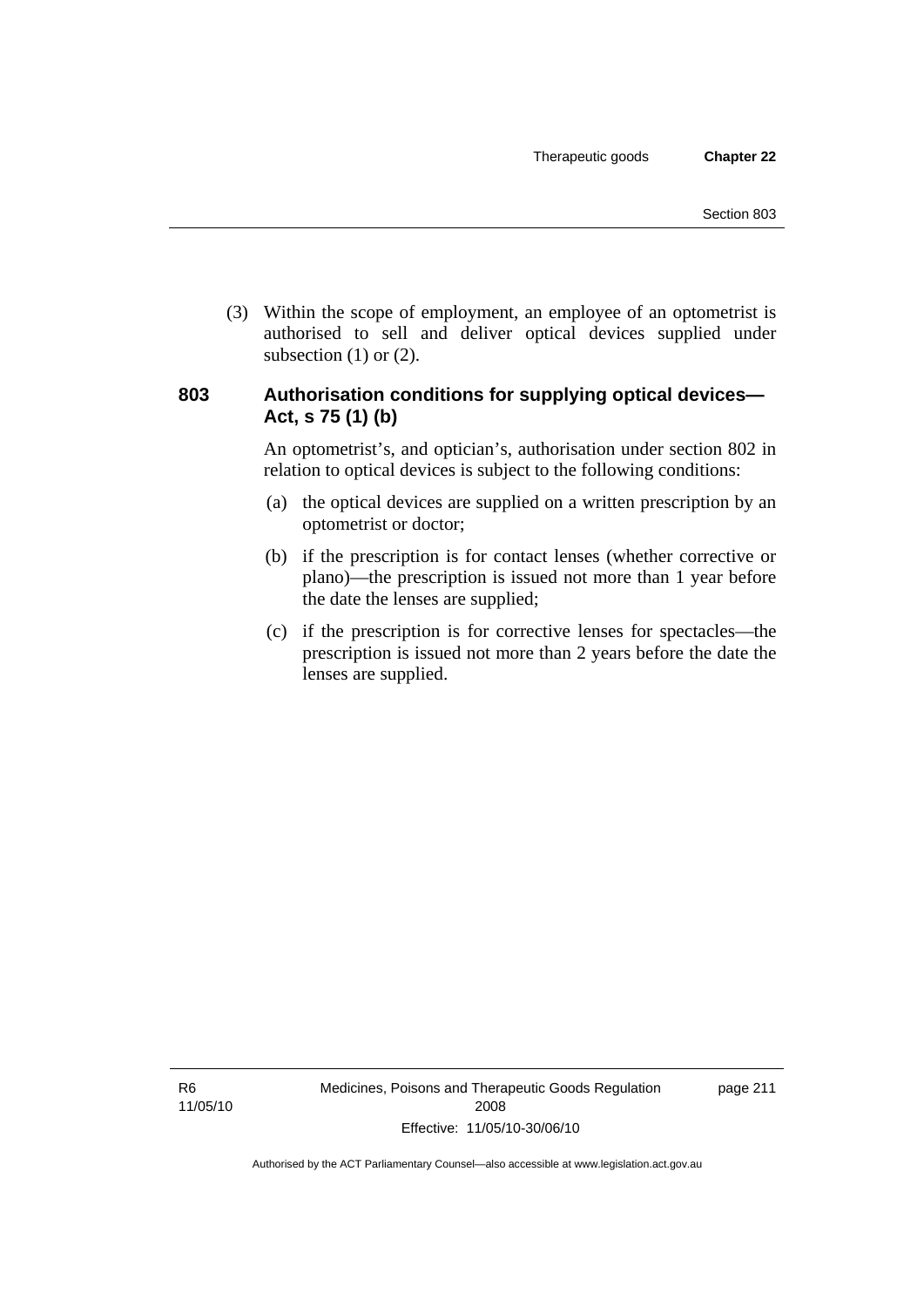(3) Within the scope of employment, an employee of an optometrist is authorised to sell and deliver optical devices supplied under subsection  $(1)$  or  $(2)$ .

#### **803 Authorisation conditions for supplying optical devices— Act, s 75 (1) (b)**

An optometrist's, and optician's, authorisation under section 802 in relation to optical devices is subject to the following conditions:

- (a) the optical devices are supplied on a written prescription by an optometrist or doctor;
- (b) if the prescription is for contact lenses (whether corrective or plano)—the prescription is issued not more than 1 year before the date the lenses are supplied;
- (c) if the prescription is for corrective lenses for spectacles—the prescription is issued not more than 2 years before the date the lenses are supplied.

page 211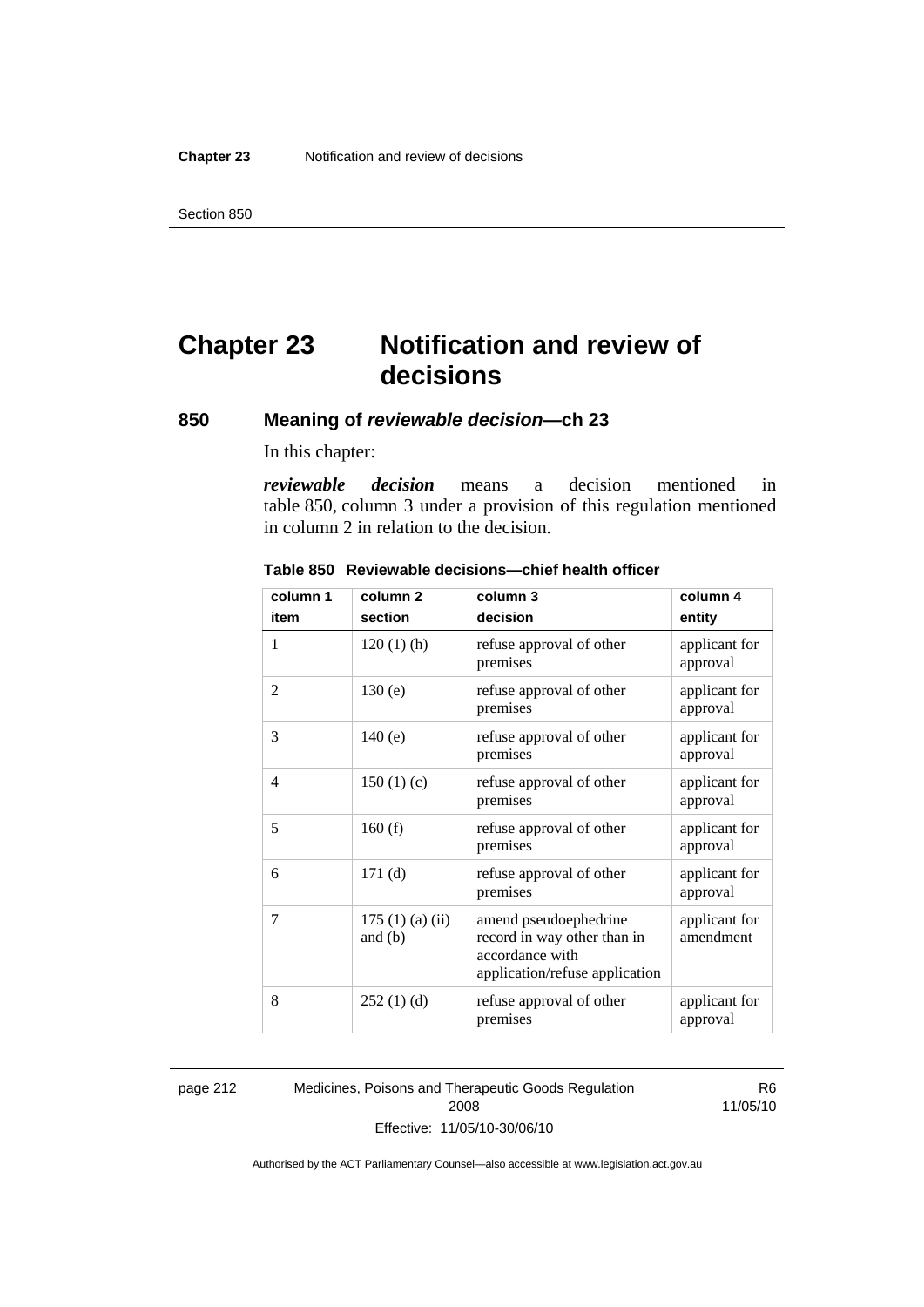# **Chapter 23 Notification and review of decisions**

### **850 Meaning of** *reviewable decision—***ch 23**

In this chapter:

*reviewable decision* means a decision mentioned in table 850, column 3 under a provision of this regulation mentioned in column 2 in relation to the decision.

| column 1 | column <sub>2</sub>        | column 3                                                                                                  | column 4                   |
|----------|----------------------------|-----------------------------------------------------------------------------------------------------------|----------------------------|
| item     | section                    | decision                                                                                                  | entity                     |
| 1        | $120(1)$ (h)               | refuse approval of other<br>premises                                                                      | applicant for<br>approval  |
| 2        | 130(e)                     | refuse approval of other<br>premises                                                                      | applicant for<br>approval  |
| 3        | 140(e)                     | refuse approval of other<br>premises                                                                      | applicant for<br>approval  |
| 4        | 150(1)(c)                  | refuse approval of other<br>premises                                                                      | applicant for<br>approval  |
| 5        | 160(f)                     | refuse approval of other<br>premises                                                                      | applicant for<br>approval  |
| 6        | 171(d)                     | refuse approval of other<br>premises                                                                      | applicant for<br>approval  |
| 7        | 175(1)(a)(ii)<br>and $(b)$ | amend pseudoephedrine<br>record in way other than in<br>accordance with<br>application/refuse application | applicant for<br>amendment |
| 8        | 252(1)(d)                  | refuse approval of other<br>premises                                                                      | applicant for<br>approval  |

#### **Table 850 Reviewable decisions—chief health officer**

page 212 Medicines, Poisons and Therapeutic Goods Regulation 2008 Effective: 11/05/10-30/06/10

R6 11/05/10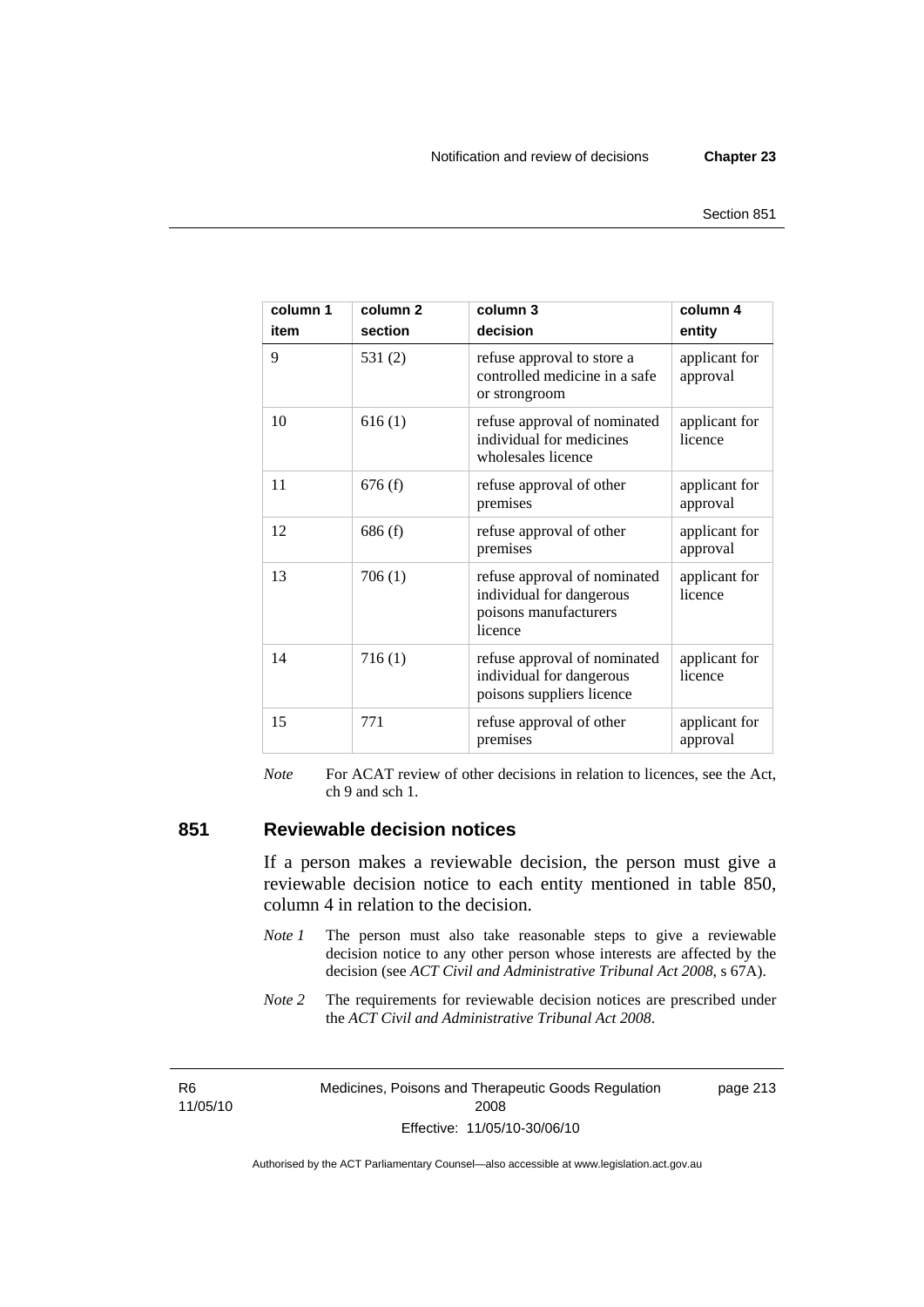page 213

| column 1<br>item | column <sub>2</sub><br>section | column <sub>3</sub><br>decision                                                              | column 4<br>entity        |
|------------------|--------------------------------|----------------------------------------------------------------------------------------------|---------------------------|
| 9                | 531(2)                         | refuse approval to store a<br>controlled medicine in a safe<br>or strongroom                 | applicant for<br>approval |
| 10               | 616(1)                         | refuse approval of nominated<br>individual for medicines<br>wholesales licence               | applicant for<br>licence  |
| 11               | 676(f)                         | refuse approval of other<br>premises                                                         | applicant for<br>approval |
| 12               | 686(f)                         | refuse approval of other<br>premises                                                         | applicant for<br>approval |
| 13               | 706 (1)                        | refuse approval of nominated<br>individual for dangerous<br>poisons manufacturers<br>licence | applicant for<br>licence  |
| 14               | 716(1)                         | refuse approval of nominated<br>individual for dangerous<br>poisons suppliers licence        | applicant for<br>licence  |
| 15               | 771                            | refuse approval of other<br>premises                                                         | applicant for<br>approval |

*Note* For ACAT review of other decisions in relation to licences, see the Act, ch 9 and sch 1.

#### **851 Reviewable decision notices**

If a person makes a reviewable decision, the person must give a reviewable decision notice to each entity mentioned in table 850, column 4 in relation to the decision.

- *Note 1* The person must also take reasonable steps to give a reviewable decision notice to any other person whose interests are affected by the decision (see *ACT Civil and Administrative Tribunal Act 2008*, s 67A).
- *Note* 2 The requirements for reviewable decision notices are prescribed under the *ACT Civil and Administrative Tribunal Act 2008*.

R6 11/05/10 Medicines, Poisons and Therapeutic Goods Regulation 2008 Effective: 11/05/10-30/06/10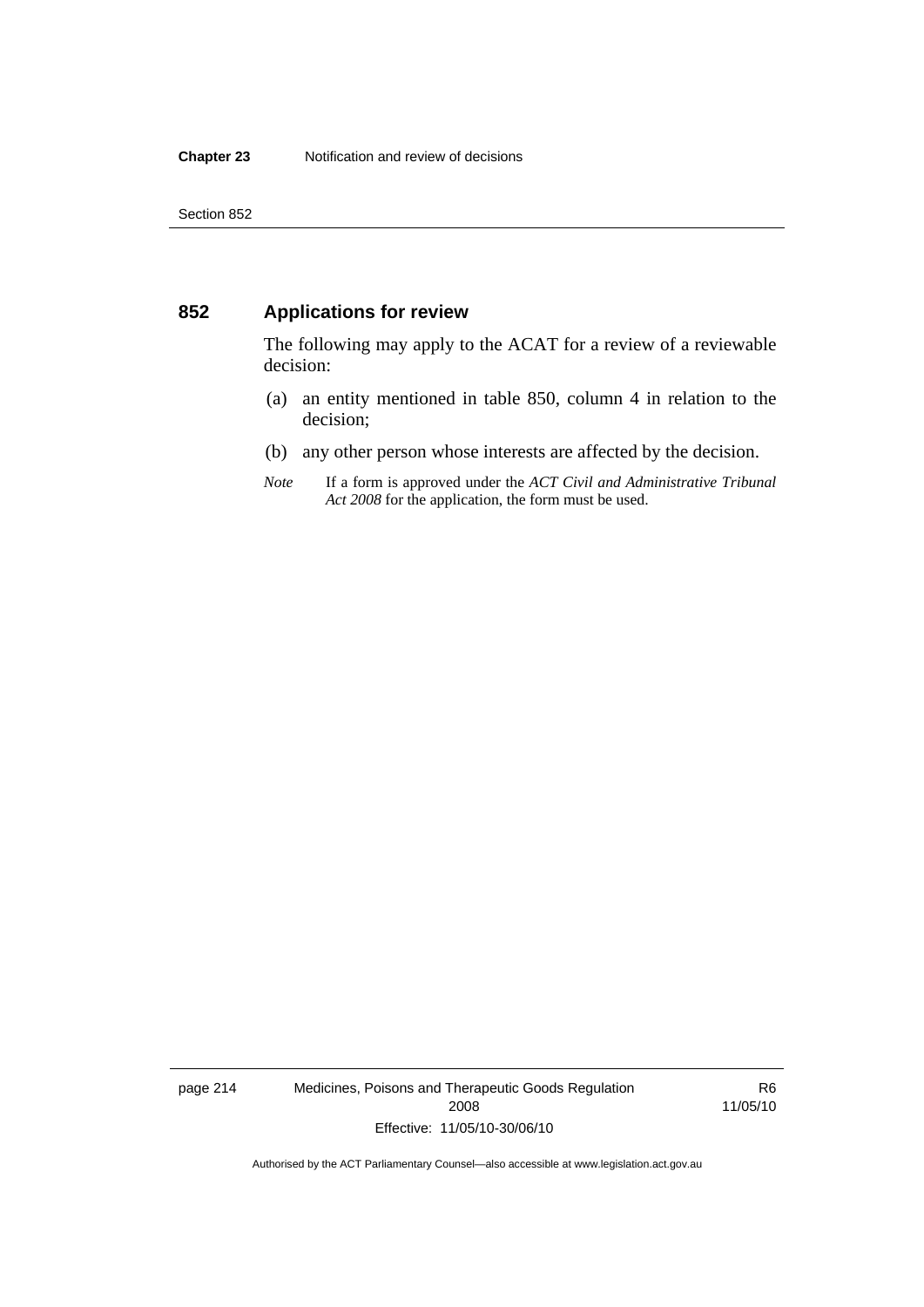#### **852 Applications for review**

The following may apply to the ACAT for a review of a reviewable decision:

- (a) an entity mentioned in table 850, column 4 in relation to the decision;
- (b) any other person whose interests are affected by the decision.
- *Note* If a form is approved under the *ACT Civil and Administrative Tribunal Act 2008* for the application, the form must be used.

page 214 Medicines, Poisons and Therapeutic Goods Regulation 2008 Effective: 11/05/10-30/06/10

R6 11/05/10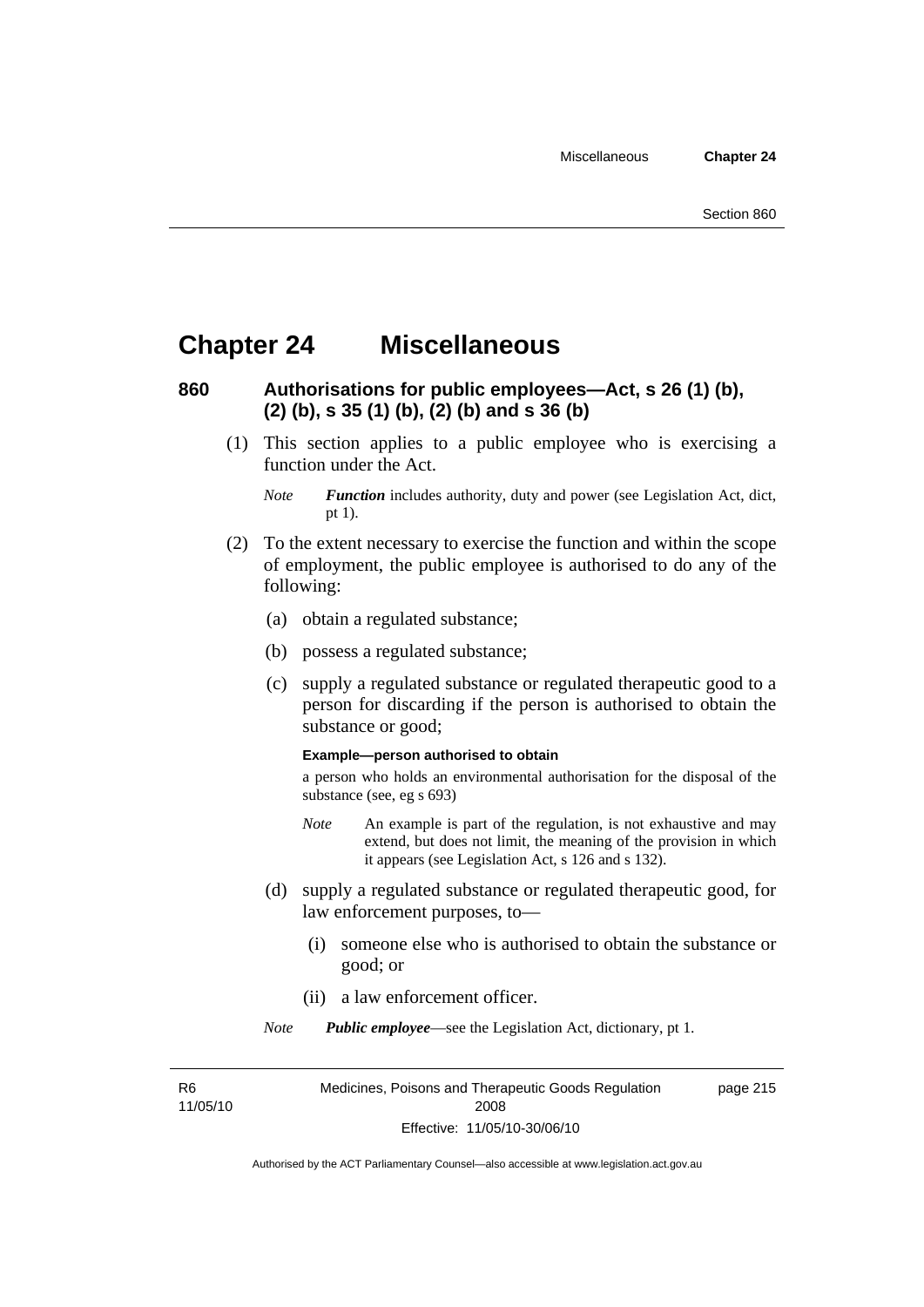### **Chapter 24 Miscellaneous**

### **860 Authorisations for public employees—Act, s 26 (1) (b), (2) (b), s 35 (1) (b), (2) (b) and s 36 (b)**

 (1) This section applies to a public employee who is exercising a function under the Act.

- (2) To the extent necessary to exercise the function and within the scope of employment, the public employee is authorised to do any of the following:
	- (a) obtain a regulated substance;
	- (b) possess a regulated substance;
	- (c) supply a regulated substance or regulated therapeutic good to a person for discarding if the person is authorised to obtain the substance or good;

#### **Example—person authorised to obtain**

a person who holds an environmental authorisation for the disposal of the substance (see, eg s 693)

- *Note* An example is part of the regulation, is not exhaustive and may extend, but does not limit, the meaning of the provision in which it appears (see Legislation Act, s 126 and s 132).
- (d) supply a regulated substance or regulated therapeutic good, for law enforcement purposes, to—
	- (i) someone else who is authorised to obtain the substance or good; or
	- (ii) a law enforcement officer.

*Note Public employee*—see the Legislation Act, dictionary, pt 1.

R6 11/05/10

*Note Function* includes authority, duty and power (see Legislation Act, dict, pt 1).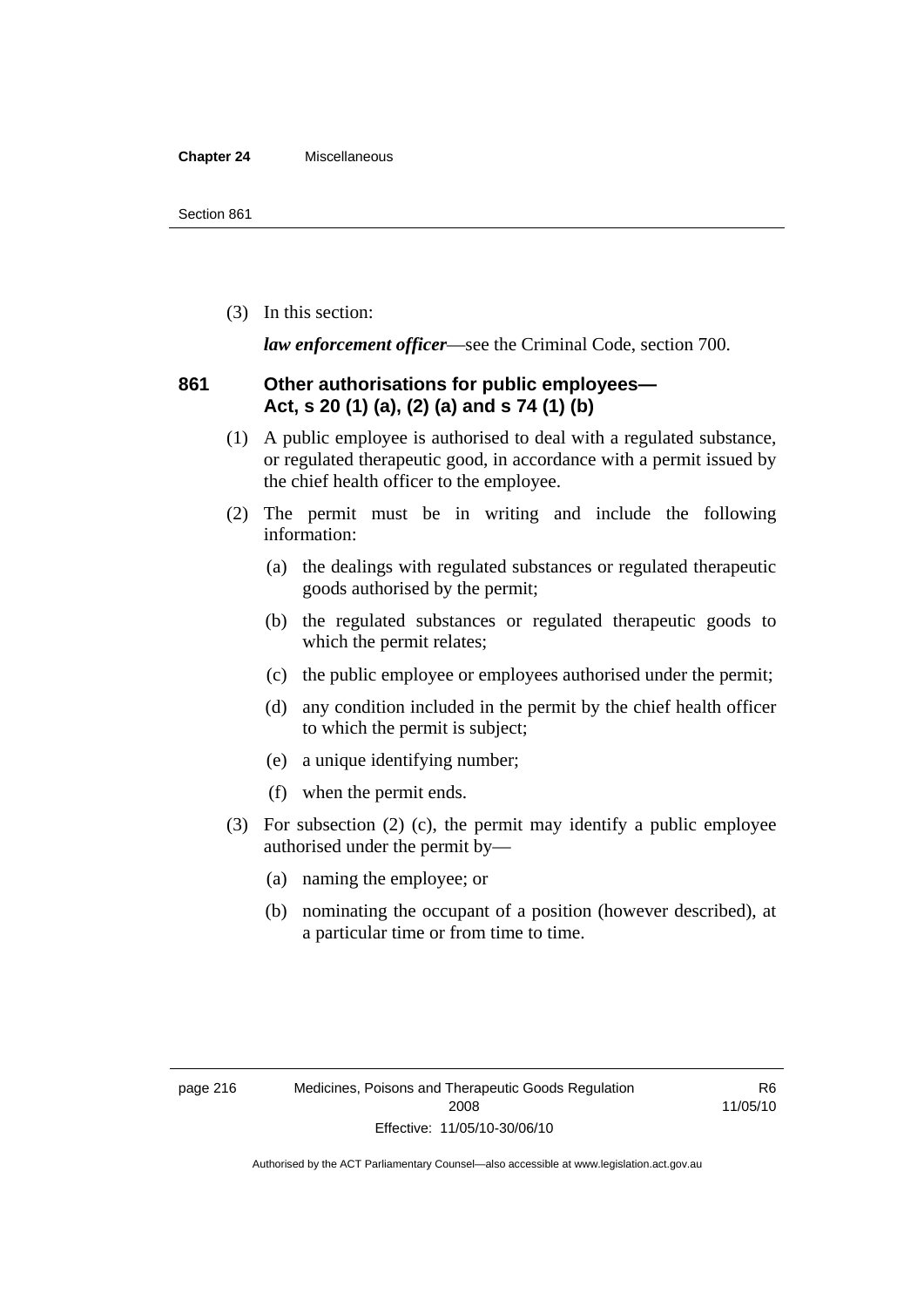#### **Chapter 24** Miscellaneous

(3) In this section:

*law enforcement officer*—see the Criminal Code, section 700.

#### **861 Other authorisations for public employees— Act, s 20 (1) (a), (2) (a) and s 74 (1) (b)**

- (1) A public employee is authorised to deal with a regulated substance, or regulated therapeutic good, in accordance with a permit issued by the chief health officer to the employee.
- (2) The permit must be in writing and include the following information:
	- (a) the dealings with regulated substances or regulated therapeutic goods authorised by the permit;
	- (b) the regulated substances or regulated therapeutic goods to which the permit relates;
	- (c) the public employee or employees authorised under the permit;
	- (d) any condition included in the permit by the chief health officer to which the permit is subject;
	- (e) a unique identifying number;
	- (f) when the permit ends.
- (3) For subsection (2) (c), the permit may identify a public employee authorised under the permit by—
	- (a) naming the employee; or
	- (b) nominating the occupant of a position (however described), at a particular time or from time to time.

R6 11/05/10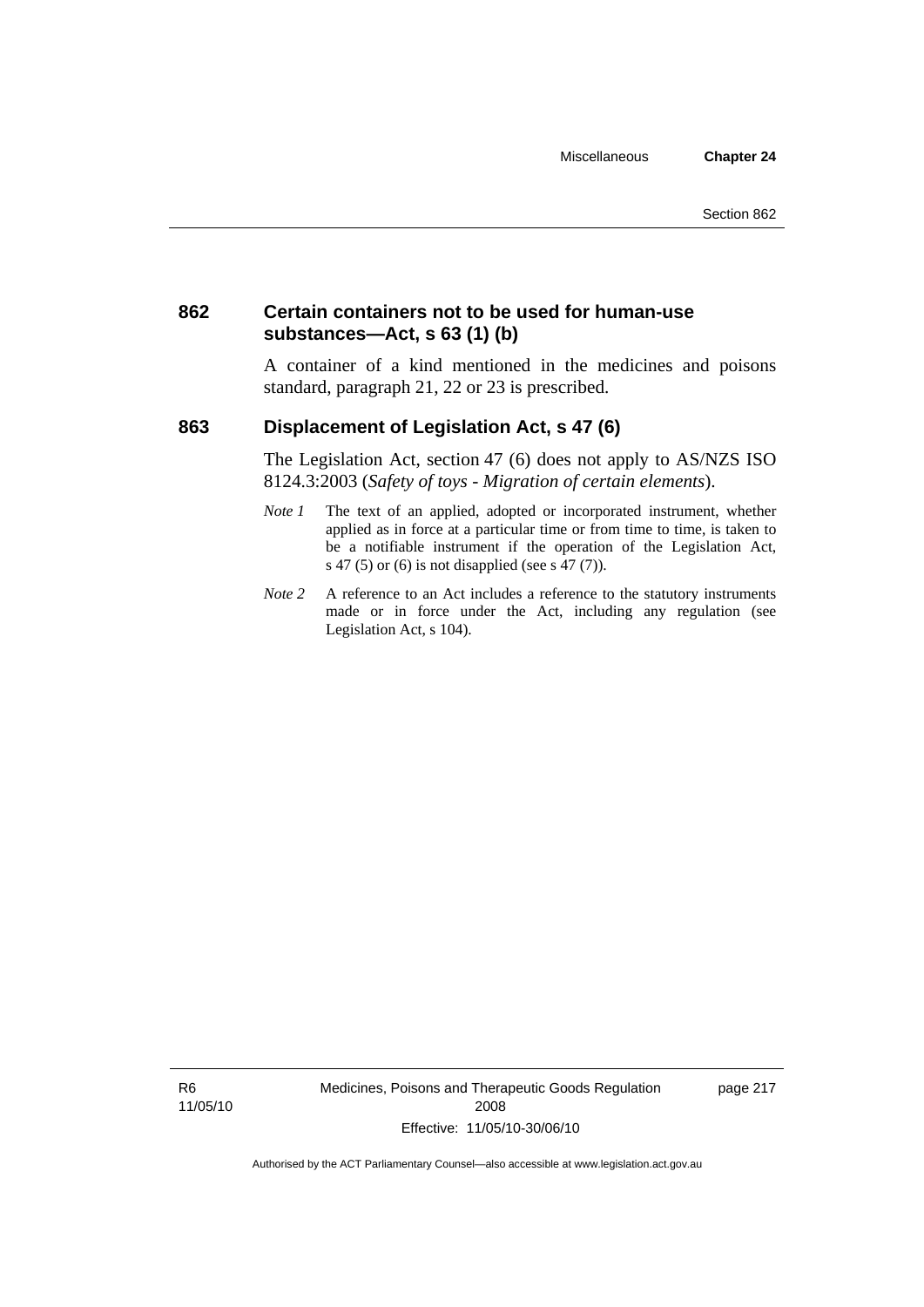### **862 Certain containers not to be used for human-use substances—Act, s 63 (1) (b)**

A container of a kind mentioned in the medicines and poisons standard, paragraph 21, 22 or 23 is prescribed.

### **863 Displacement of Legislation Act, s 47 (6)**

The Legislation Act, section 47 (6) does not apply to AS/NZS ISO 8124.3:2003 (*Safety of toys - Migration of certain elements*).

- *Note 1* The text of an applied, adopted or incorporated instrument, whether applied as in force at a particular time or from time to time, is taken to be a notifiable instrument if the operation of the Legislation Act, s 47 (5) or (6) is not disapplied (see s 47 (7)).
- *Note 2* A reference to an Act includes a reference to the statutory instruments made or in force under the Act, including any regulation (see Legislation Act, s 104).

R6 11/05/10 Medicines, Poisons and Therapeutic Goods Regulation 2008 Effective: 11/05/10-30/06/10

page 217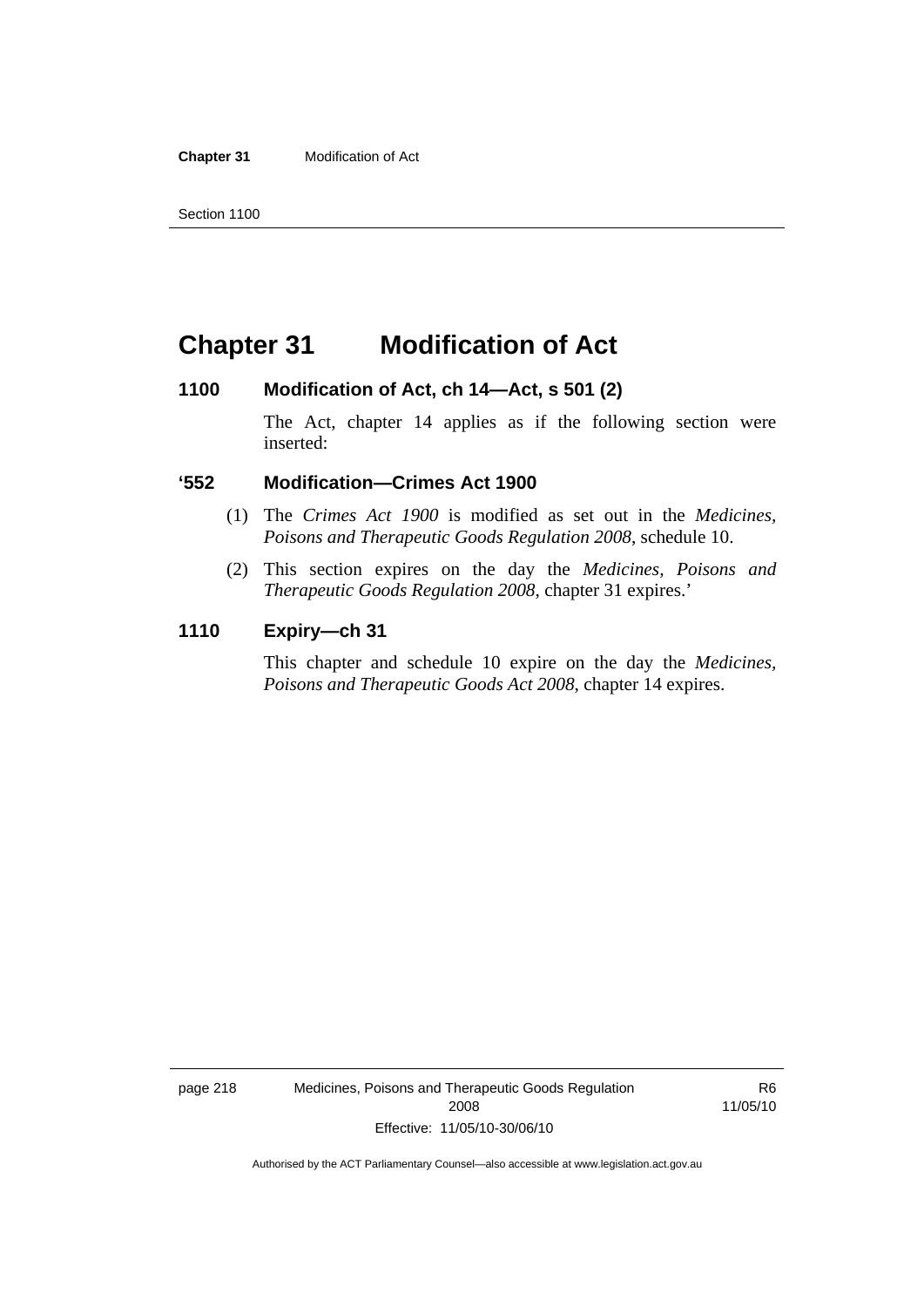**Chapter 31** Modification of Act

### **Chapter 31 Modification of Act**

#### **1100 Modification of Act, ch 14—Act, s 501 (2)**

The Act, chapter 14 applies as if the following section were inserted:

#### **'552 Modification—Crimes Act 1900**

- (1) The *Crimes Act 1900* is modified as set out in the *Medicines, Poisons and Therapeutic Goods Regulation 2008*, schedule 10.
- (2) This section expires on the day the *Medicines, Poisons and Therapeutic Goods Regulation 2008*, chapter 31 expires.'

#### **1110 Expiry—ch 31**

This chapter and schedule 10 expire on the day the *Medicines, Poisons and Therapeutic Goods Act 2008*, chapter 14 expires.

page 218 Medicines, Poisons and Therapeutic Goods Regulation 2008 Effective: 11/05/10-30/06/10

R6 11/05/10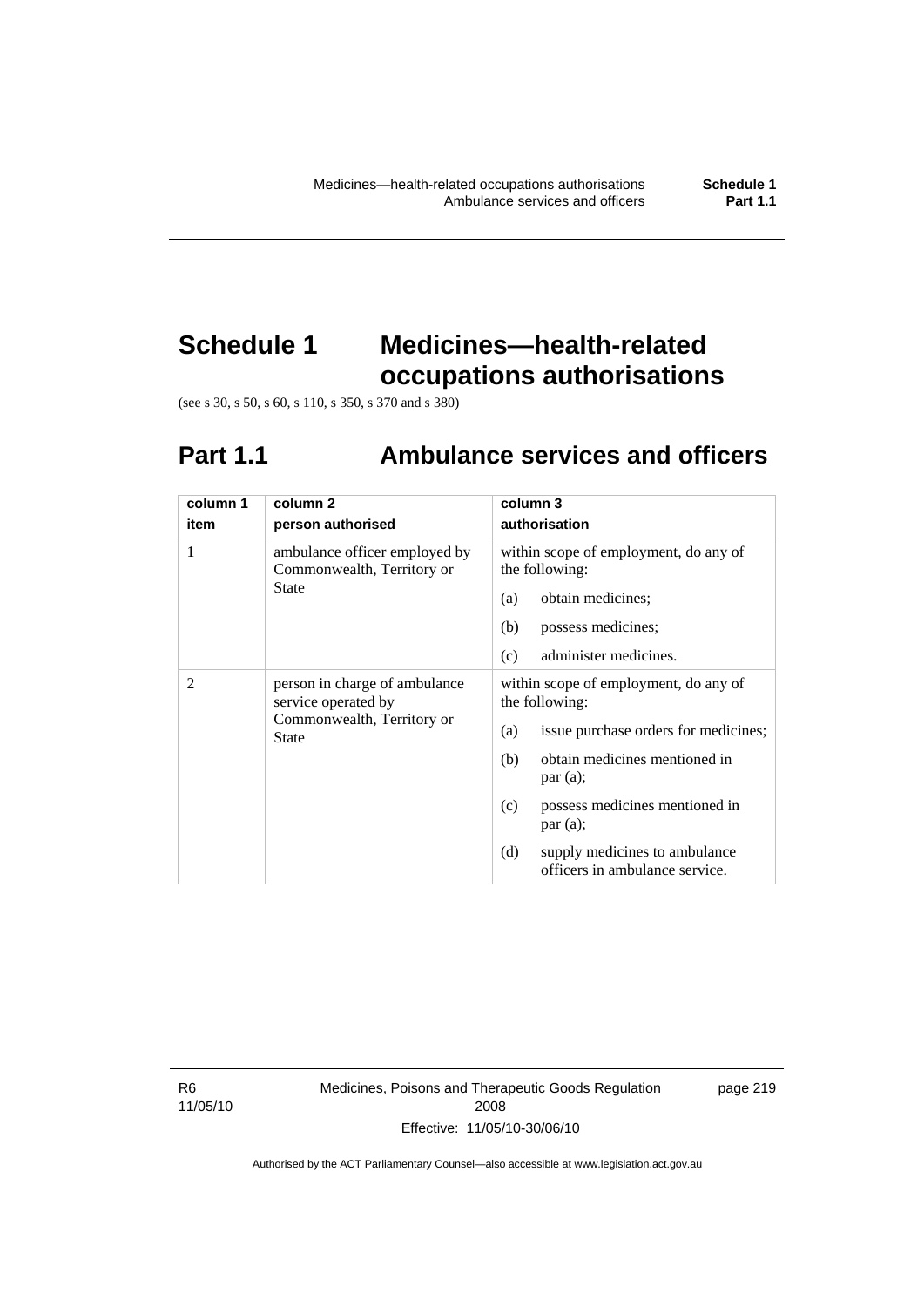# **Schedule 1 Medicines—health-related occupations authorisations**

(see s 30, s 50, s 60, s 110, s 350, s 370 and s 380)

# **Part 1.1 Ambulance services and officers**

| column 1 | column 2                                                                                    | column 3                                                               |
|----------|---------------------------------------------------------------------------------------------|------------------------------------------------------------------------|
| item     | person authorised                                                                           | authorisation                                                          |
| 1        | ambulance officer employed by<br>Commonwealth, Territory or                                 | within scope of employment, do any of<br>the following:                |
|          | State                                                                                       | obtain medicines;<br>(a)                                               |
|          |                                                                                             | (b)<br>possess medicines;                                              |
|          |                                                                                             | (c)<br>administer medicines.                                           |
| 2        | person in charge of ambulance<br>service operated by<br>Commonwealth, Territory or<br>State | within scope of employment, do any of<br>the following:                |
|          |                                                                                             | issue purchase orders for medicines;<br>(a)                            |
|          |                                                                                             | obtain medicines mentioned in<br>(b)<br>par(a);                        |
|          |                                                                                             | possess medicines mentioned in<br>(c)<br>par(a);                       |
|          |                                                                                             | (d)<br>supply medicines to ambulance<br>officers in ambulance service. |

R6 11/05/10 Medicines, Poisons and Therapeutic Goods Regulation 2008 Effective: 11/05/10-30/06/10

page 219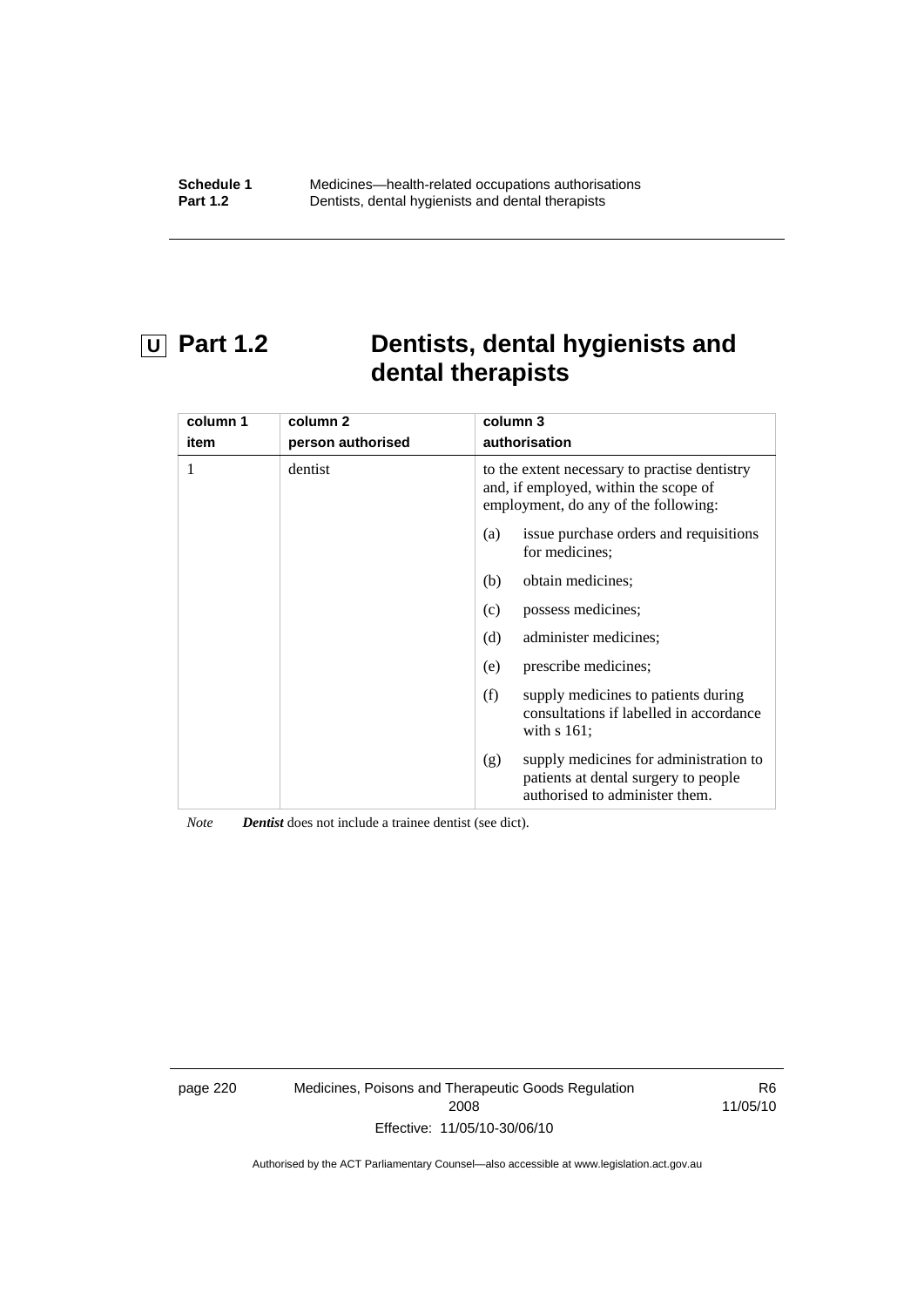## **U Part 1.2 Dentists, dental hygienists and dental therapists**

| column 1 | column 2          | column 3                                                                                                                       |
|----------|-------------------|--------------------------------------------------------------------------------------------------------------------------------|
| item     | person authorised | authorisation                                                                                                                  |
|          | dentist           | to the extent necessary to practise dentistry<br>and, if employed, within the scope of<br>employment, do any of the following: |
|          |                   | is sue purchase orders and requisitions<br>(a)<br>for medicines:                                                               |
|          |                   | obtain medicines;<br>(b)                                                                                                       |
|          |                   | possess medicines;<br>(c)                                                                                                      |
|          |                   | (d)<br>administer medicines;                                                                                                   |
|          |                   | prescribe medicines;<br>(e)                                                                                                    |
|          |                   | (f)<br>supply medicines to patients during<br>consultations if labelled in accordance<br>with $s$ 161;                         |
|          |                   | supply medicines for administration to<br>(g)<br>patients at dental surgery to people<br>authorised to administer them.        |

*Note Dentist* does not include a trainee dentist (see dict).

page 220 Medicines, Poisons and Therapeutic Goods Regulation 2008 Effective: 11/05/10-30/06/10

R6 11/05/10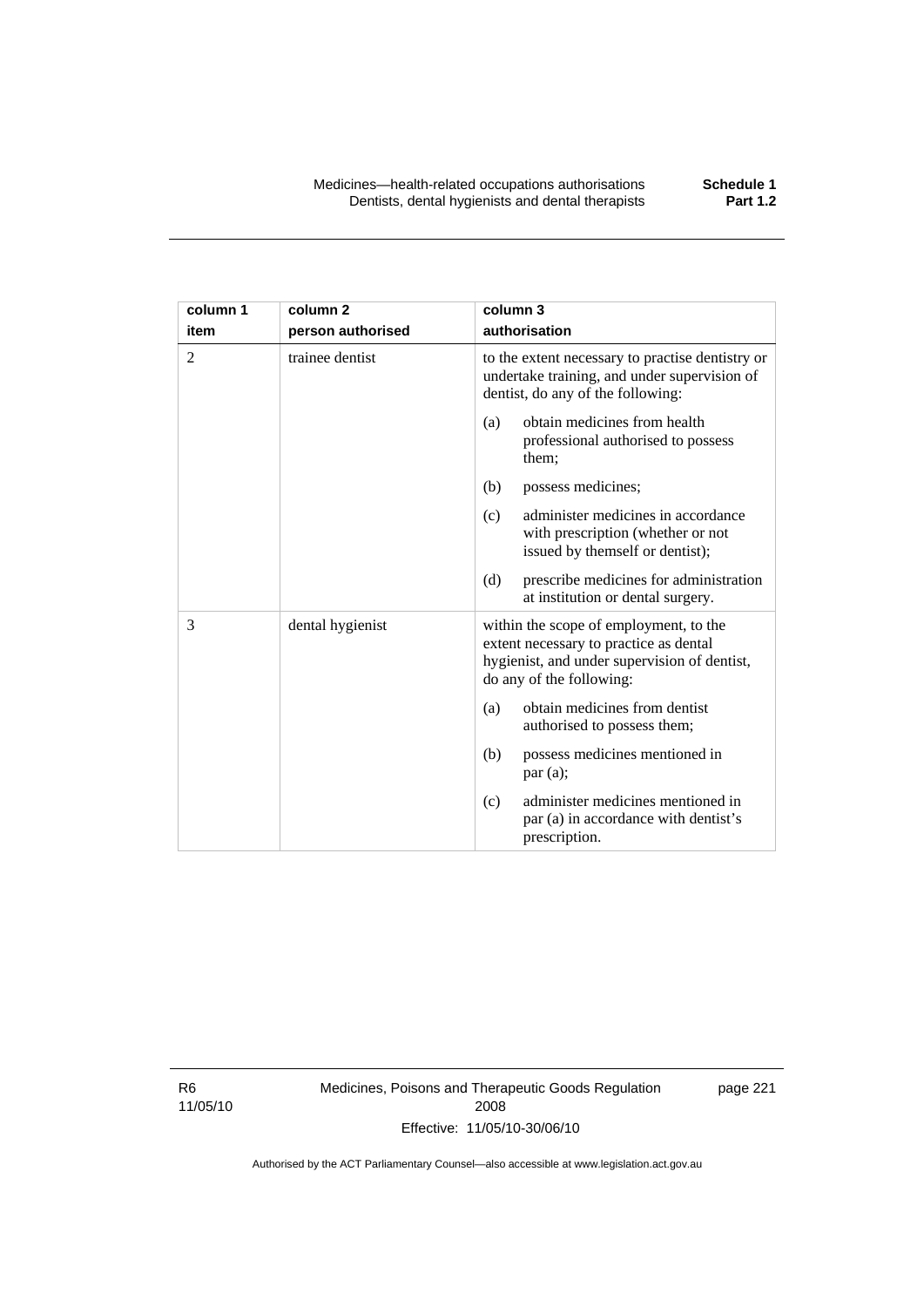| column 1       | column <sub>2</sub> | column 3                                                                                                                                                     |
|----------------|---------------------|--------------------------------------------------------------------------------------------------------------------------------------------------------------|
| item           | person authorised   | authorisation                                                                                                                                                |
| $\overline{2}$ | trainee dentist     | to the extent necessary to practise dentistry or<br>undertake training, and under supervision of<br>dentist, do any of the following:                        |
|                |                     | obtain medicines from health<br>(a)<br>professional authorised to possess<br>them;                                                                           |
|                |                     | (b)<br>possess medicines;                                                                                                                                    |
|                |                     | administer medicines in accordance<br>(c)<br>with prescription (whether or not<br>issued by themself or dentist);                                            |
|                |                     | (d)<br>prescribe medicines for administration<br>at institution or dental surgery.                                                                           |
| 3              | dental hygienist    | within the scope of employment, to the<br>extent necessary to practice as dental<br>hygienist, and under supervision of dentist,<br>do any of the following: |
|                |                     | obtain medicines from dentist<br>(a)<br>authorised to possess them;                                                                                          |
|                |                     | possess medicines mentioned in<br>(b)<br>par(a);                                                                                                             |
|                |                     | administer medicines mentioned in<br>(c)<br>par (a) in accordance with dentist's<br>prescription.                                                            |

R6 11/05/10 Medicines, Poisons and Therapeutic Goods Regulation 2008 Effective: 11/05/10-30/06/10

page 221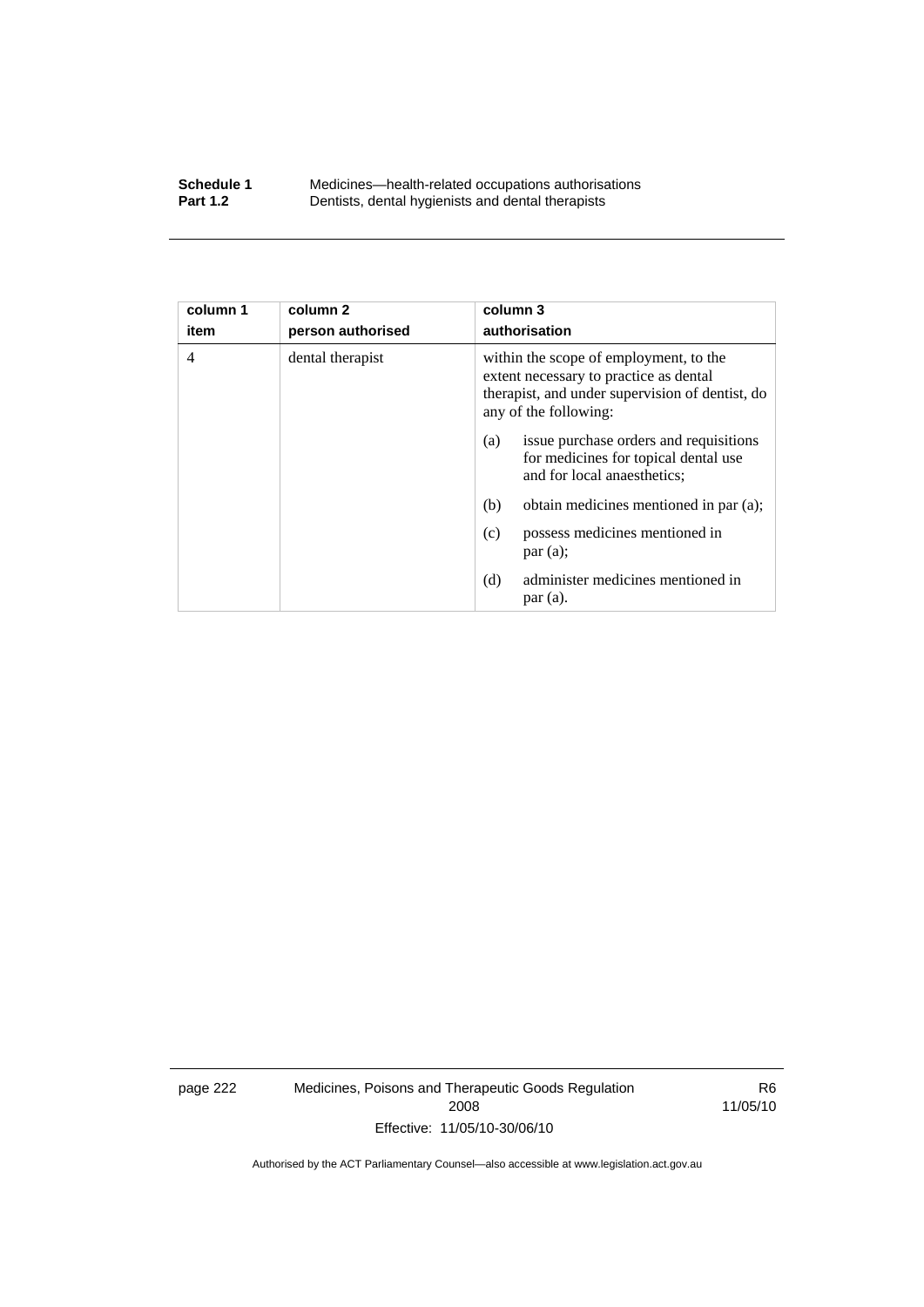#### **Schedule 1** Medicines—health-related occupations authorisations<br>**Part 1.2** Dentists, dental hygienists and dental therapists **Part 1.2** Dentists, dental hygienists and dental therapists

| column 1<br>item | column <sub>2</sub><br>person authorised | column 3<br>authorisation                                                                                                                                    |
|------------------|------------------------------------------|--------------------------------------------------------------------------------------------------------------------------------------------------------------|
| $\overline{4}$   | dental therapist                         | within the scope of employment, to the<br>extent necessary to practice as dental<br>therapist, and under supervision of dentist, do<br>any of the following: |
|                  |                                          | issue purchase orders and requisitions<br>(a)<br>for medicines for topical dental use<br>and for local anaesthetics;                                         |
|                  |                                          | obtain medicines mentioned in par (a);<br>(b)                                                                                                                |
|                  |                                          | possess medicines mentioned in<br>(c)<br>par(a);                                                                                                             |
|                  |                                          | administer medicines mentioned in<br>(d)<br>par(a).                                                                                                          |

page 222 Medicines, Poisons and Therapeutic Goods Regulation 2008 Effective: 11/05/10-30/06/10

R6 11/05/10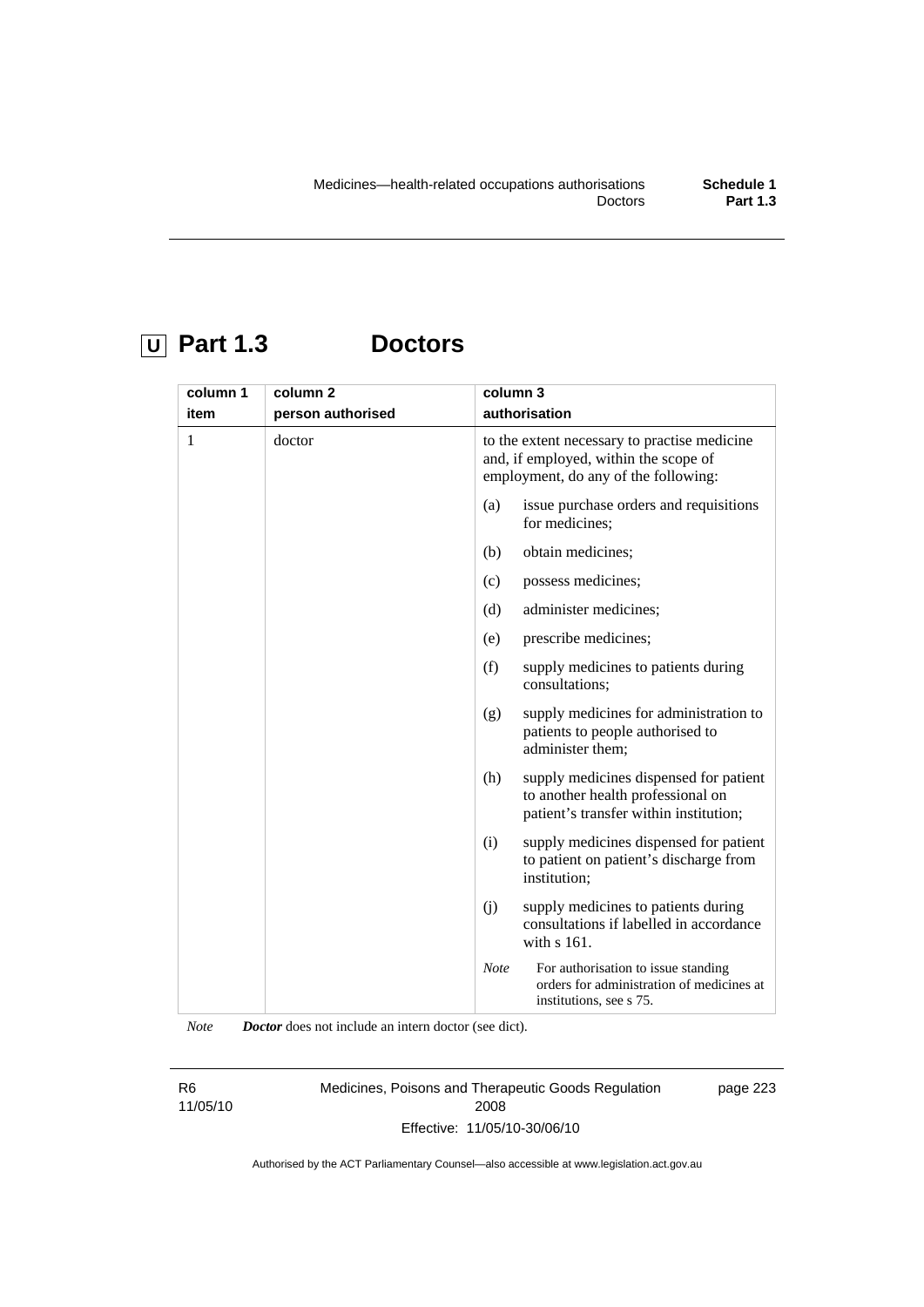# **U Part 1.3 Doctors**

| column 1 | column <sub>2</sub> | column 3                                                                                                                      |
|----------|---------------------|-------------------------------------------------------------------------------------------------------------------------------|
| item     | person authorised   | authorisation                                                                                                                 |
| 1        | doctor              | to the extent necessary to practise medicine<br>and, if employed, within the scope of<br>employment, do any of the following: |
|          |                     | (a)<br>issue purchase orders and requisitions<br>for medicines;                                                               |
|          |                     | obtain medicines;<br>(b)                                                                                                      |
|          |                     | possess medicines;<br>(c)                                                                                                     |
|          |                     | administer medicines;<br>(d)                                                                                                  |
|          |                     | prescribe medicines;<br>(e)                                                                                                   |
|          |                     | (f)<br>supply medicines to patients during<br>consultations;                                                                  |
|          |                     | (g)<br>supply medicines for administration to<br>patients to people authorised to<br>administer them;                         |
|          |                     | (h)<br>supply medicines dispensed for patient<br>to another health professional on<br>patient's transfer within institution;  |
|          |                     | supply medicines dispensed for patient<br>(i)<br>to patient on patient's discharge from<br>institution;                       |
|          |                     | (j)<br>supply medicines to patients during<br>consultations if labelled in accordance<br>with s 161.                          |
|          |                     | <b>Note</b><br>For authorisation to issue standing<br>orders for administration of medicines at<br>institutions, see s 75.    |

*Note Doctor* does not include an intern doctor (see dict).

R6 11/05/10 Medicines, Poisons and Therapeutic Goods Regulation 2008 Effective: 11/05/10-30/06/10 page 223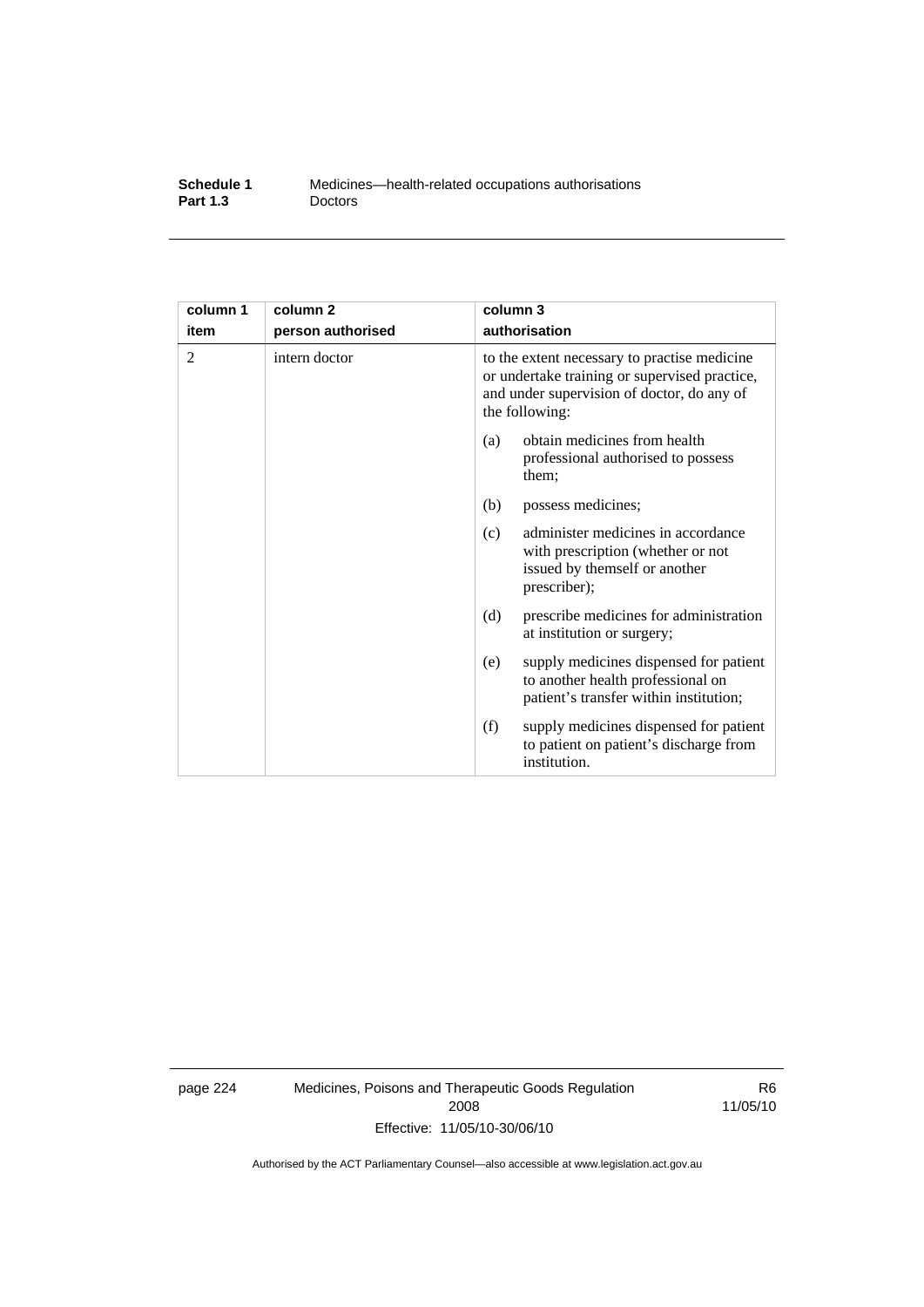| Schedule 1      | Medicines—health-related occupations authorisations |
|-----------------|-----------------------------------------------------|
| <b>Part 1.3</b> | <b>Doctors</b>                                      |

| column 1 | column 2          | column 3                                                                                                                                                      |
|----------|-------------------|---------------------------------------------------------------------------------------------------------------------------------------------------------------|
| item     | person authorised | authorisation                                                                                                                                                 |
| 2        | intern doctor     | to the extent necessary to practise medicine<br>or undertake training or supervised practice,<br>and under supervision of doctor, do any of<br>the following: |
|          |                   | obtain medicines from health<br>(a)<br>professional authorised to possess<br>them;                                                                            |
|          |                   | (b)<br>possess medicines;                                                                                                                                     |
|          |                   | administer medicines in accordance<br>(c)<br>with prescription (whether or not<br>issued by themself or another<br>prescriber);                               |
|          |                   | prescribe medicines for administration<br>(d)<br>at institution or surgery;                                                                                   |
|          |                   | supply medicines dispensed for patient<br>(e)<br>to another health professional on<br>patient's transfer within institution;                                  |
|          |                   | (f)<br>supply medicines dispensed for patient<br>to patient on patient's discharge from<br>institution.                                                       |

page 224 Medicines, Poisons and Therapeutic Goods Regulation 2008 Effective: 11/05/10-30/06/10

R6 11/05/10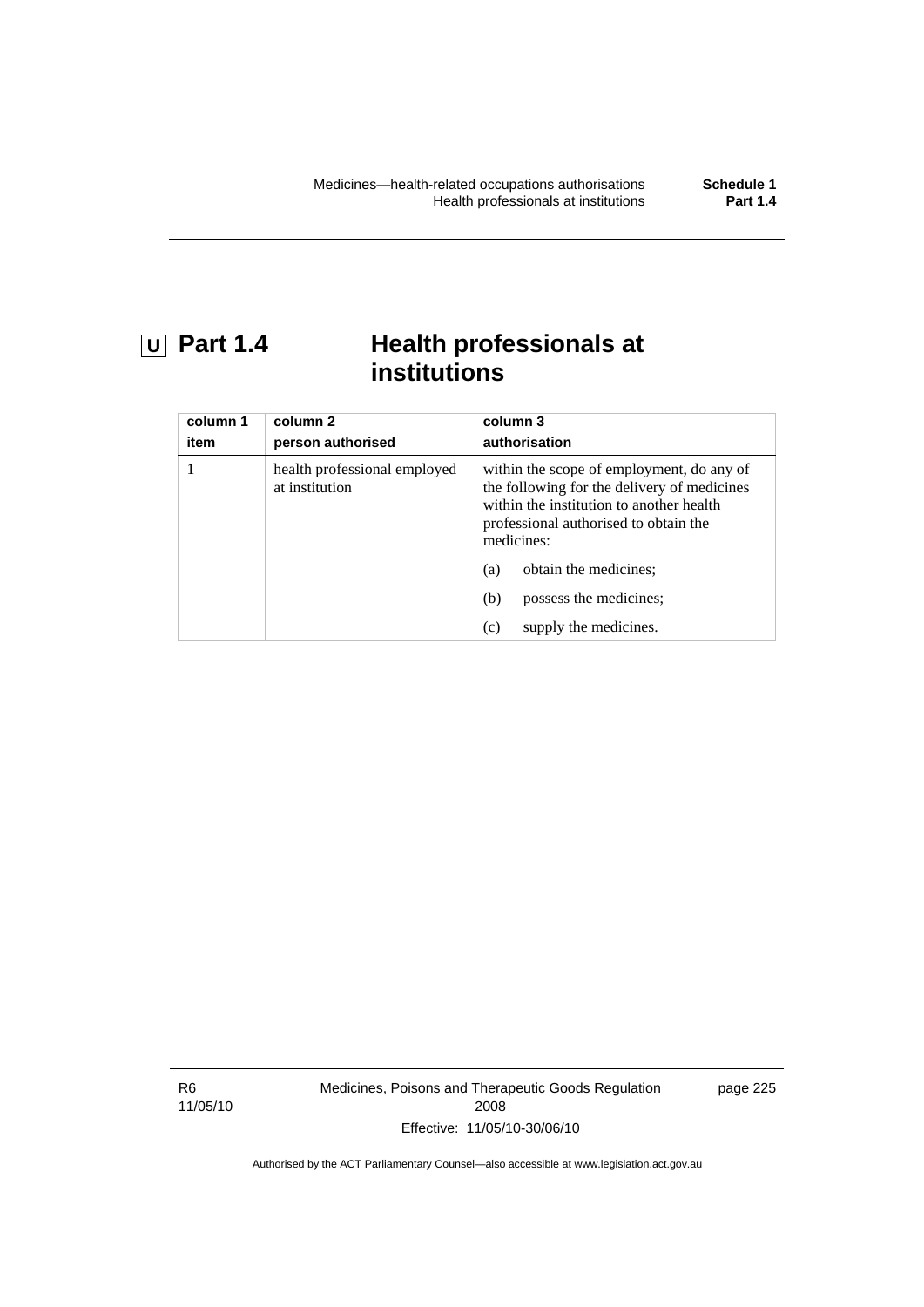## **U Part 1.4 Health professionals at institutions**

| column 1<br>item | column 2<br>person authorised                  | column 3<br>authorisation                                                                                                                                                                   |
|------------------|------------------------------------------------|---------------------------------------------------------------------------------------------------------------------------------------------------------------------------------------------|
|                  | health professional employed<br>at institution | within the scope of employment, do any of<br>the following for the delivery of medicines<br>within the institution to another health<br>professional authorised to obtain the<br>medicines: |
|                  |                                                | obtain the medicines;<br>(a)                                                                                                                                                                |
|                  |                                                | possess the medicines;<br>(b)                                                                                                                                                               |
|                  |                                                | supply the medicines.<br>(c)                                                                                                                                                                |

R6 11/05/10 Medicines, Poisons and Therapeutic Goods Regulation 2008 Effective: 11/05/10-30/06/10

page 225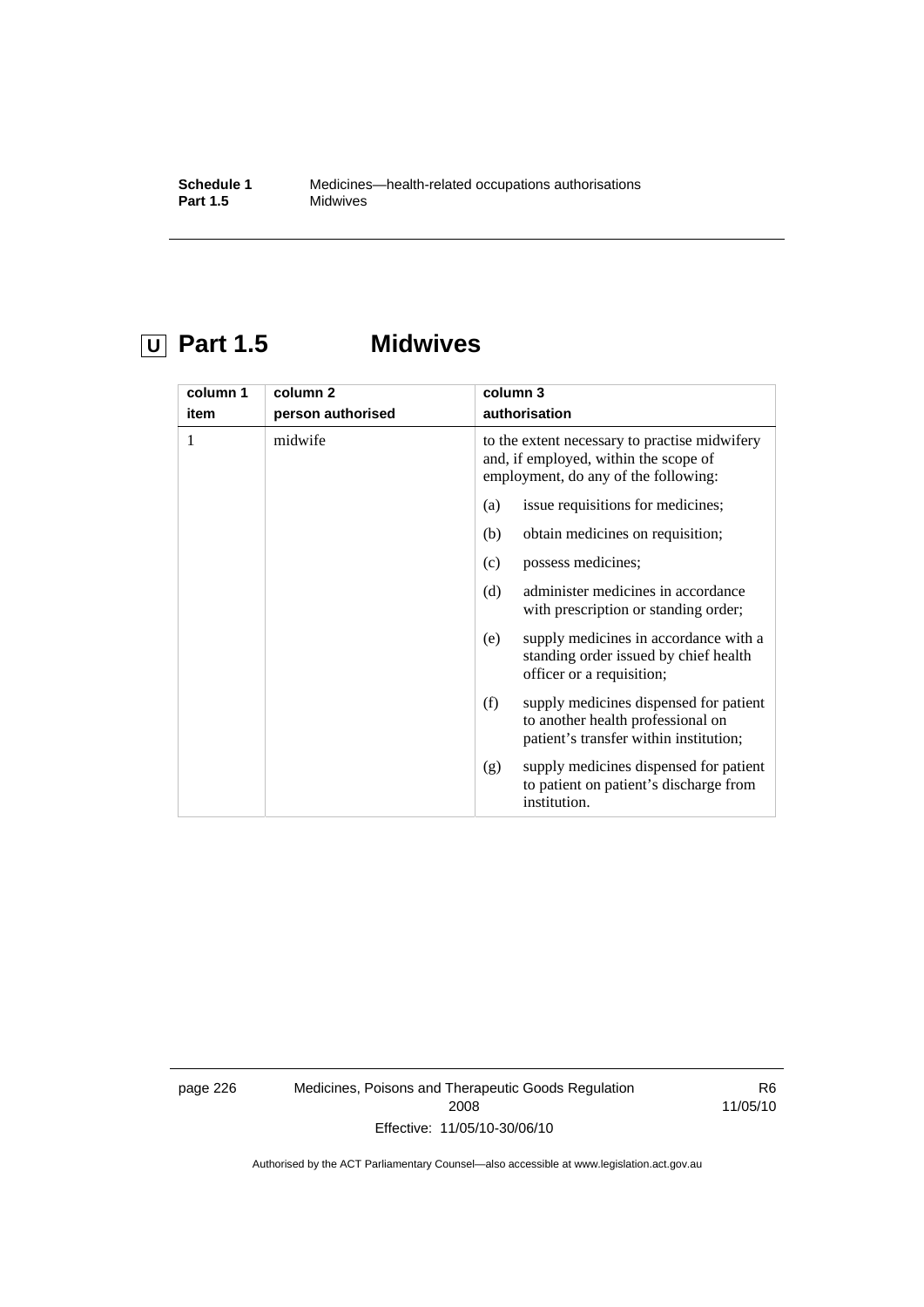# **U Part 1.5 Midwives**

| column 1 | column <sub>2</sub> | column 3                                                                                                                       |
|----------|---------------------|--------------------------------------------------------------------------------------------------------------------------------|
| item     | person authorised   | authorisation                                                                                                                  |
| 1        | midwife             | to the extent necessary to practise midwifery<br>and, if employed, within the scope of<br>employment, do any of the following: |
|          |                     | issue requisitions for medicines;<br>(a)                                                                                       |
|          |                     | obtain medicines on requisition;<br>(b)                                                                                        |
|          |                     | possess medicines;<br>(c)                                                                                                      |
|          |                     | administer medicines in accordance<br>(d)<br>with prescription or standing order;                                              |
|          |                     | supply medicines in accordance with a<br>(e)<br>standing order issued by chief health<br>officer or a requisition;             |
|          |                     | supply medicines dispensed for patient<br>(f)<br>to another health professional on<br>patient's transfer within institution;   |
|          |                     | supply medicines dispensed for patient<br>(g)<br>to patient on patient's discharge from<br>institution.                        |

page 226 Medicines, Poisons and Therapeutic Goods Regulation 2008 Effective: 11/05/10-30/06/10

R6 11/05/10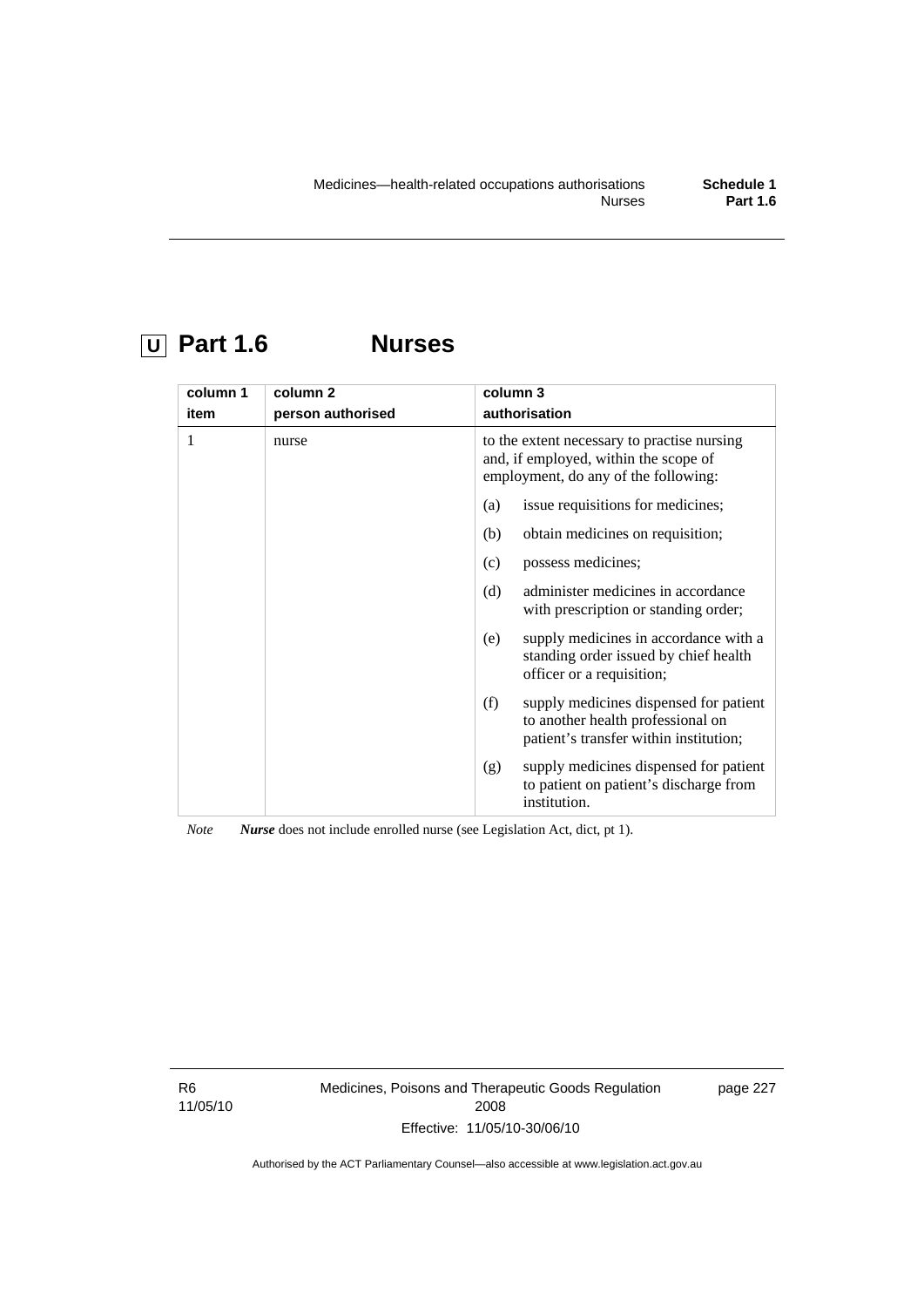# **U Part 1.6 Nurses**

| column 1<br>item | column <sub>2</sub><br>person authorised | column 3<br>authorisation                                                                                                    |
|------------------|------------------------------------------|------------------------------------------------------------------------------------------------------------------------------|
| 1                | nurse                                    | to the extent necessary to practise nursing<br>and, if employed, within the scope of<br>employment, do any of the following: |
|                  |                                          | issue requisitions for medicines;<br>(a)                                                                                     |
|                  |                                          | obtain medicines on requisition;<br>(b)                                                                                      |
|                  |                                          | possess medicines;<br>(c)                                                                                                    |
|                  |                                          | administer medicines in accordance<br>(d)<br>with prescription or standing order;                                            |
|                  |                                          | supply medicines in accordance with a<br>(e)<br>standing order issued by chief health<br>officer or a requisition;           |
|                  |                                          | (f)<br>supply medicines dispensed for patient<br>to another health professional on<br>patient's transfer within institution; |
|                  |                                          | supply medicines dispensed for patient<br>(g)<br>to patient on patient's discharge from<br>institution.                      |

*Note Nurse* does not include enrolled nurse (see Legislation Act, dict, pt 1).

R6 11/05/10 Medicines, Poisons and Therapeutic Goods Regulation 2008 Effective: 11/05/10-30/06/10

page 227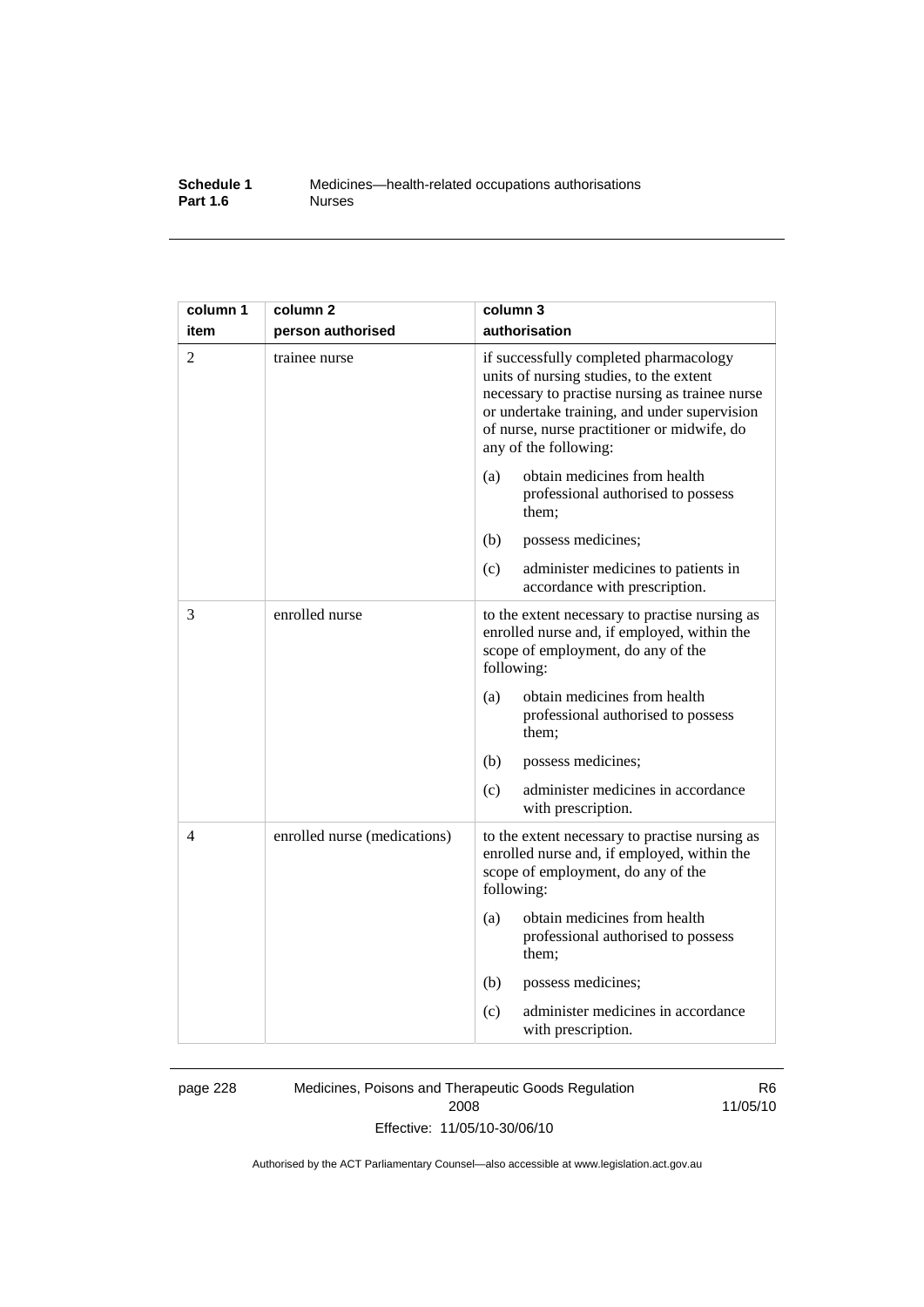#### **Schedule 1** Medicines—health-related occupations authorisations<br>**Part 1.6** Murses **Part 1.6**

| column 1 | column 2                     | column 3                                                                                                                                                                                                                                                    |
|----------|------------------------------|-------------------------------------------------------------------------------------------------------------------------------------------------------------------------------------------------------------------------------------------------------------|
| item     | person authorised            | authorisation                                                                                                                                                                                                                                               |
| 2        | trainee nurse                | if successfully completed pharmacology<br>units of nursing studies, to the extent<br>necessary to practise nursing as trainee nurse<br>or undertake training, and under supervision<br>of nurse, nurse practitioner or midwife, do<br>any of the following: |
|          |                              | obtain medicines from health<br>(a)<br>professional authorised to possess<br>them;                                                                                                                                                                          |
|          |                              | (b)<br>possess medicines;                                                                                                                                                                                                                                   |
|          |                              | (c)<br>administer medicines to patients in<br>accordance with prescription.                                                                                                                                                                                 |
| 3        | enrolled nurse               | to the extent necessary to practise nursing as<br>enrolled nurse and, if employed, within the<br>scope of employment, do any of the<br>following:                                                                                                           |
|          |                              | obtain medicines from health<br>(a)<br>professional authorised to possess<br>them;                                                                                                                                                                          |
|          |                              | (b)<br>possess medicines;                                                                                                                                                                                                                                   |
|          |                              | administer medicines in accordance<br>(c)<br>with prescription.                                                                                                                                                                                             |
| 4        | enrolled nurse (medications) | to the extent necessary to practise nursing as<br>enrolled nurse and, if employed, within the<br>scope of employment, do any of the<br>following:                                                                                                           |
|          |                              | obtain medicines from health<br>(a)<br>professional authorised to possess<br>them;                                                                                                                                                                          |
|          |                              | (b)<br>possess medicines;                                                                                                                                                                                                                                   |
|          |                              | administer medicines in accordance<br>(c)<br>with prescription.                                                                                                                                                                                             |

page 228 Medicines, Poisons and Therapeutic Goods Regulation 2008 Effective: 11/05/10-30/06/10

R6 11/05/10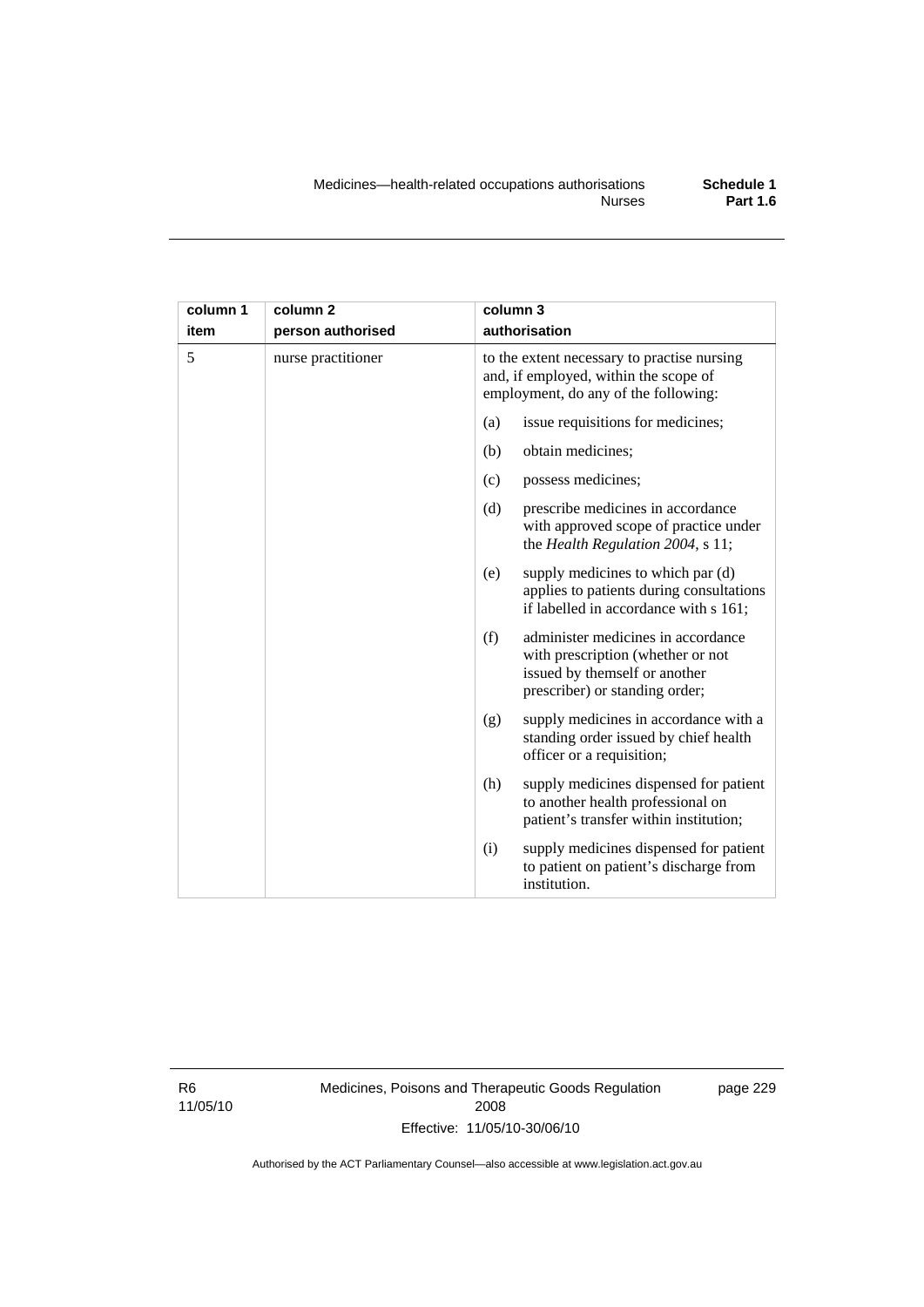| column 1 | column <sub>2</sub> | column 3                                                                                                                                          |
|----------|---------------------|---------------------------------------------------------------------------------------------------------------------------------------------------|
| item     | person authorised   | authorisation                                                                                                                                     |
| 5        | nurse practitioner  | to the extent necessary to practise nursing<br>and, if employed, within the scope of<br>employment, do any of the following:                      |
|          |                     | issue requisitions for medicines;<br>(a)                                                                                                          |
|          |                     | (b)<br>obtain medicines;                                                                                                                          |
|          |                     | possess medicines;<br>(c)                                                                                                                         |
|          |                     | (d)<br>prescribe medicines in accordance<br>with approved scope of practice under<br>the Health Regulation 2004, s 11;                            |
|          |                     | supply medicines to which par (d)<br>(e)<br>applies to patients during consultations<br>if labelled in accordance with s 161;                     |
|          |                     | (f)<br>administer medicines in accordance<br>with prescription (whether or not<br>issued by themself or another<br>prescriber) or standing order; |
|          |                     | supply medicines in accordance with a<br>(g)<br>standing order issued by chief health<br>officer or a requisition;                                |
|          |                     | (h)<br>supply medicines dispensed for patient<br>to another health professional on<br>patient's transfer within institution;                      |
|          |                     | supply medicines dispensed for patient<br>(i)<br>to patient on patient's discharge from<br>institution.                                           |

R6 11/05/10 Medicines, Poisons and Therapeutic Goods Regulation 2008 Effective: 11/05/10-30/06/10

page 229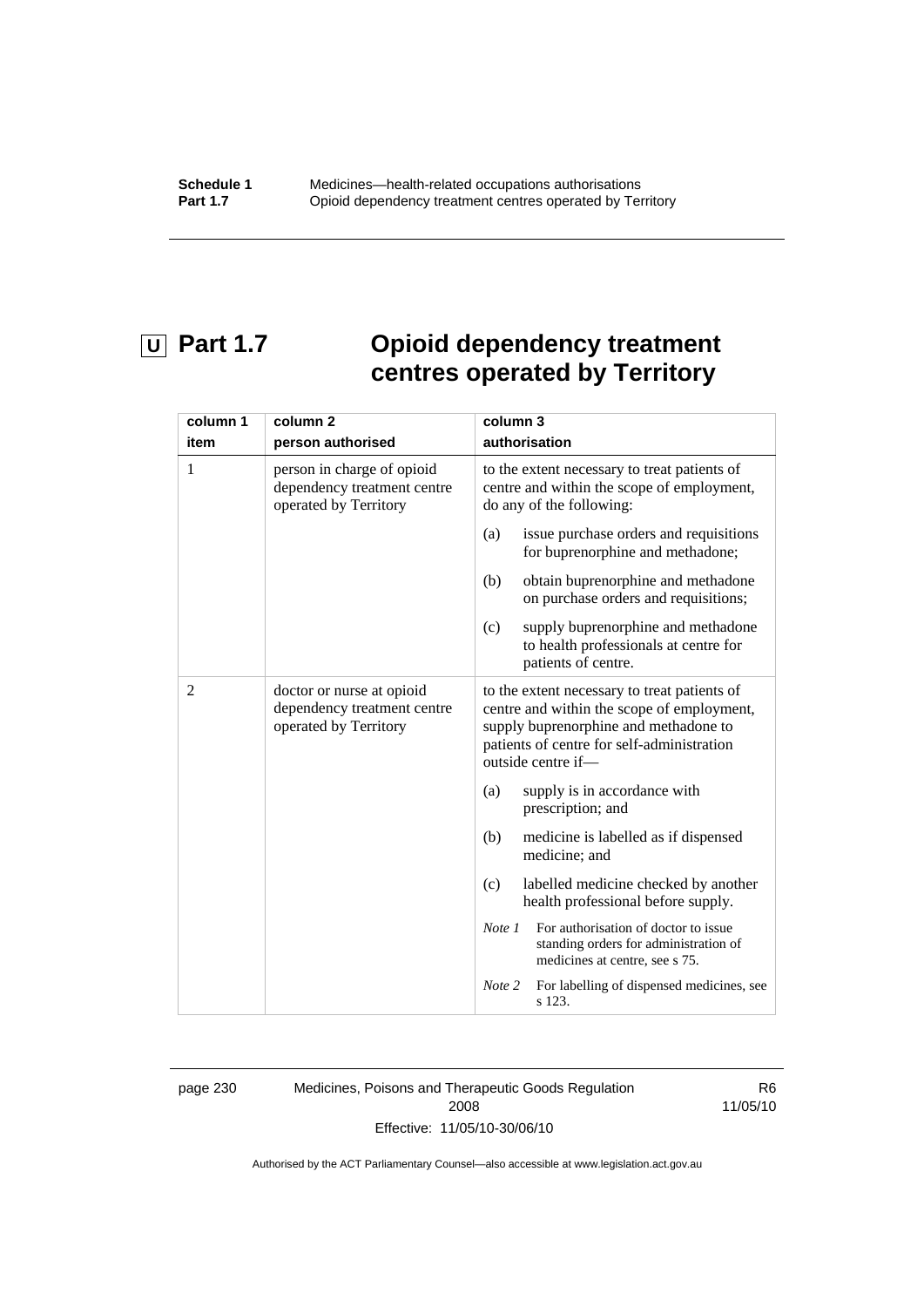# **U** Part 1.7 **Opioid dependency treatment centres operated by Territory**

| column 1<br>item | column <sub>2</sub><br>person authorised                                           | column 3<br>authorisation                                                                                                                                                                               |
|------------------|------------------------------------------------------------------------------------|---------------------------------------------------------------------------------------------------------------------------------------------------------------------------------------------------------|
| 1                | person in charge of opioid<br>dependency treatment centre<br>operated by Territory | to the extent necessary to treat patients of<br>centre and within the scope of employment,<br>do any of the following:                                                                                  |
|                  |                                                                                    | issue purchase orders and requisitions<br>(a)<br>for buprenorphine and methadone;                                                                                                                       |
|                  |                                                                                    | obtain buprenorphine and methadone<br>(b)<br>on purchase orders and requisitions;                                                                                                                       |
|                  |                                                                                    | supply buprenorphine and methadone<br>(c)<br>to health professionals at centre for<br>patients of centre.                                                                                               |
| $\overline{2}$   | doctor or nurse at opioid<br>dependency treatment centre<br>operated by Territory  | to the extent necessary to treat patients of<br>centre and within the scope of employment,<br>supply buprenorphine and methadone to<br>patients of centre for self-administration<br>outside centre if- |
|                  |                                                                                    | supply is in accordance with<br>(a)<br>prescription; and                                                                                                                                                |
|                  |                                                                                    | (b)<br>medicine is labelled as if dispensed<br>medicine; and                                                                                                                                            |
|                  |                                                                                    | (c)<br>labelled medicine checked by another<br>health professional before supply.                                                                                                                       |
|                  |                                                                                    | For authorisation of doctor to issue<br>Note 1<br>standing orders for administration of<br>medicines at centre, see s 75.                                                                               |
|                  |                                                                                    | For labelling of dispensed medicines, see<br>Note 2<br>s 123.                                                                                                                                           |

page 230 Medicines, Poisons and Therapeutic Goods Regulation 2008 Effective: 11/05/10-30/06/10

R6 11/05/10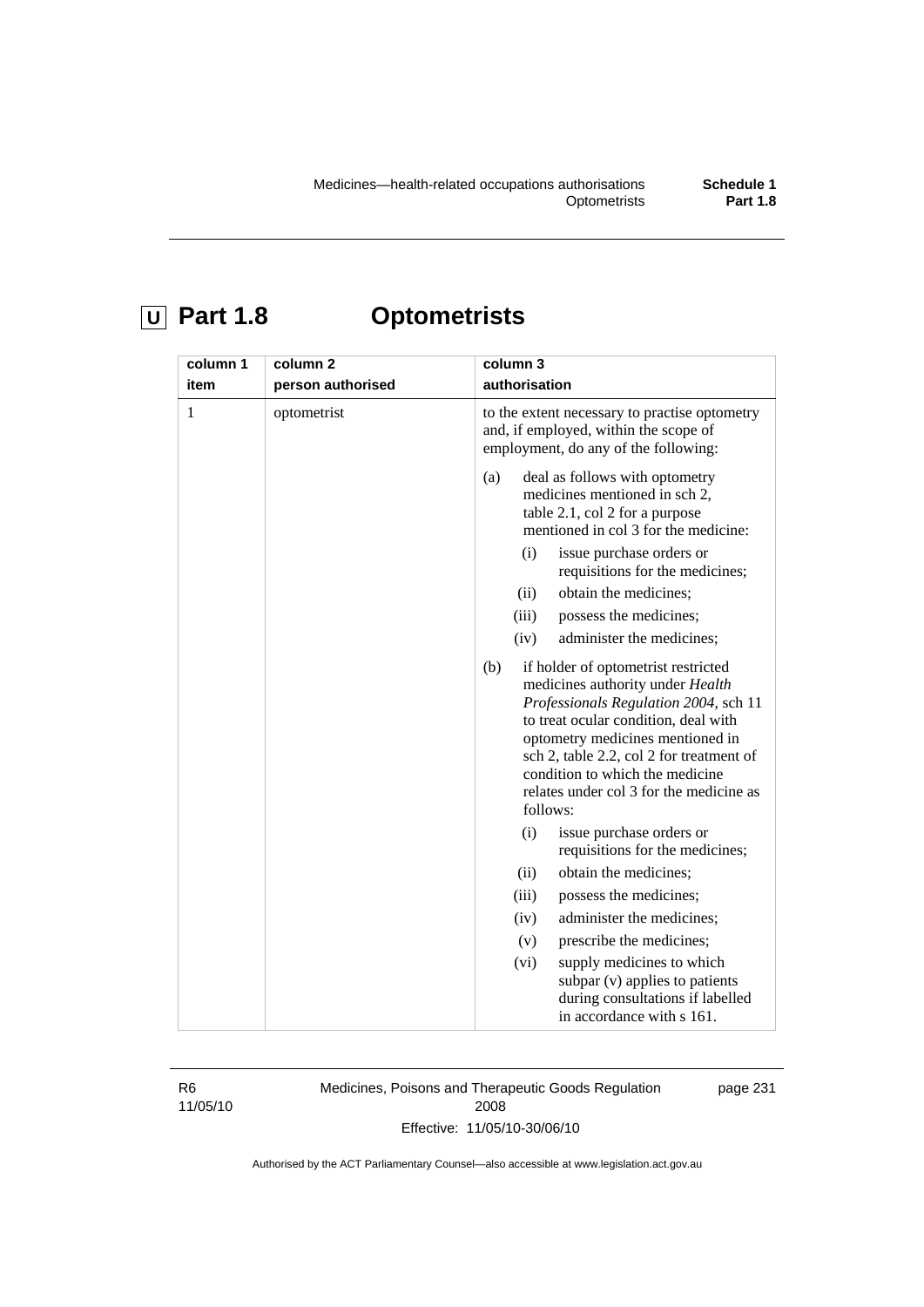# **U Part 1.8 Optometrists**

| column 1<br>item | column <sub>2</sub><br>person authorised | column 3<br>authorisation                                                                                                                                                                                                                                                                                                                 |
|------------------|------------------------------------------|-------------------------------------------------------------------------------------------------------------------------------------------------------------------------------------------------------------------------------------------------------------------------------------------------------------------------------------------|
| $\mathbf{1}$     | optometrist                              | to the extent necessary to practise optometry<br>and, if employed, within the scope of<br>employment, do any of the following:                                                                                                                                                                                                            |
|                  |                                          | deal as follows with optometry<br>(a)<br>medicines mentioned in sch 2,<br>table 2.1, col 2 for a purpose<br>mentioned in col 3 for the medicine:                                                                                                                                                                                          |
|                  |                                          | issue purchase orders or<br>(i)<br>requisitions for the medicines;                                                                                                                                                                                                                                                                        |
|                  |                                          | obtain the medicines;<br>(ii)                                                                                                                                                                                                                                                                                                             |
|                  |                                          | (iii)<br>possess the medicines;                                                                                                                                                                                                                                                                                                           |
|                  |                                          | administer the medicines;<br>(iv)                                                                                                                                                                                                                                                                                                         |
|                  |                                          | if holder of optometrist restricted<br>(b)<br>medicines authority under Health<br>Professionals Regulation 2004, sch 11<br>to treat ocular condition, deal with<br>optometry medicines mentioned in<br>sch 2, table 2.2, col 2 for treatment of<br>condition to which the medicine<br>relates under col 3 for the medicine as<br>follows: |
|                  |                                          | (i)<br>issue purchase orders or<br>requisitions for the medicines;                                                                                                                                                                                                                                                                        |
|                  |                                          | obtain the medicines;<br>(ii)                                                                                                                                                                                                                                                                                                             |
|                  |                                          | (iii)<br>possess the medicines;                                                                                                                                                                                                                                                                                                           |
|                  |                                          | administer the medicines;<br>(iv)                                                                                                                                                                                                                                                                                                         |
|                  |                                          | prescribe the medicines;<br>(v)                                                                                                                                                                                                                                                                                                           |
|                  |                                          | supply medicines to which<br>(vi)<br>subpar (v) applies to patients<br>during consultations if labelled<br>in accordance with s 161.                                                                                                                                                                                                      |

R6 11/05/10 Medicines, Poisons and Therapeutic Goods Regulation 2008 Effective: 11/05/10-30/06/10

page 231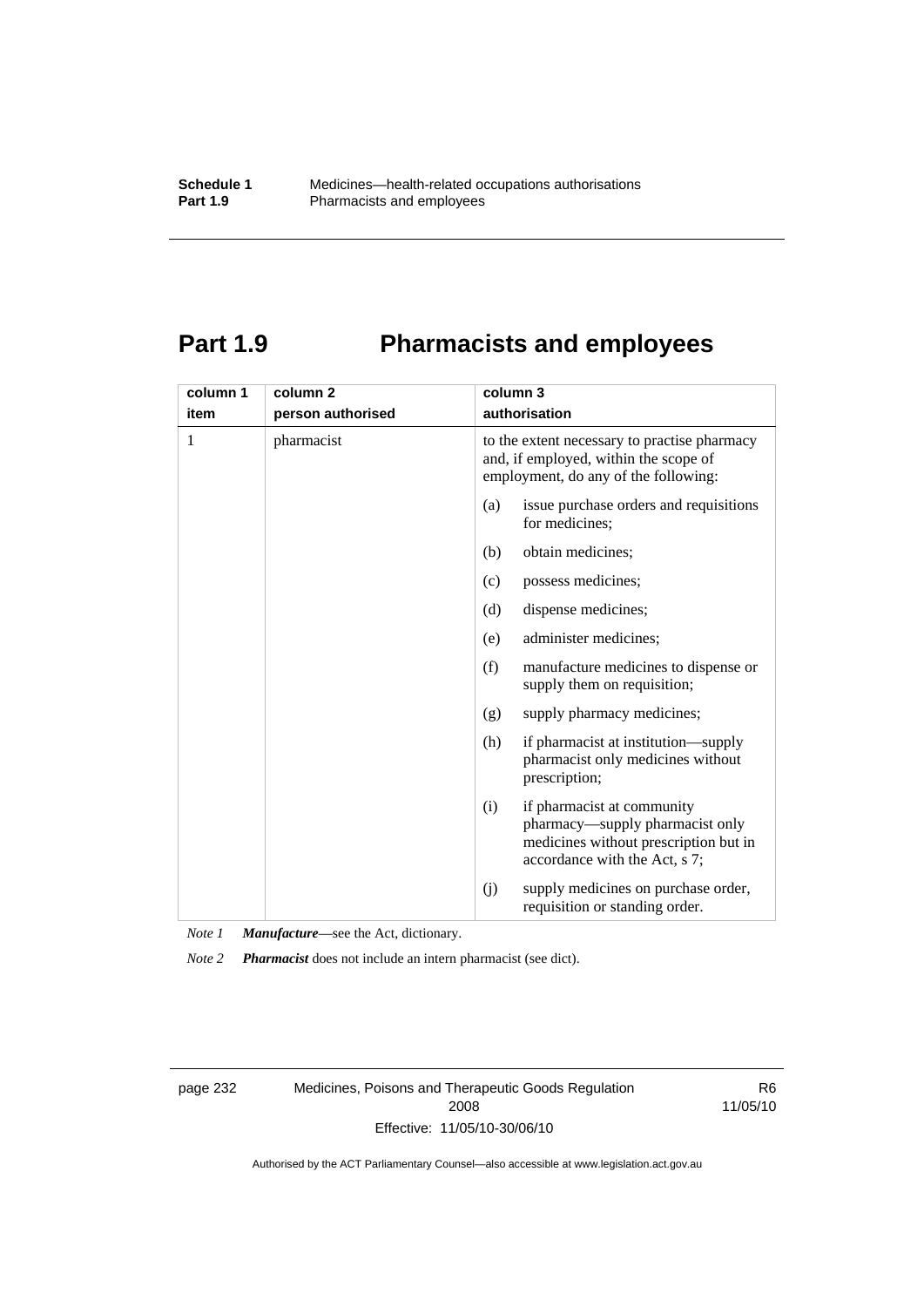## **Part 1.9 Pharmacists and employees**

| column 1 | column <sub>2</sub> | column 3                                                                                                                                       |  |
|----------|---------------------|------------------------------------------------------------------------------------------------------------------------------------------------|--|
| item     | person authorised   | authorisation                                                                                                                                  |  |
| 1        | pharmacist          | to the extent necessary to practise pharmacy<br>and, if employed, within the scope of<br>employment, do any of the following:                  |  |
|          |                     | issue purchase orders and requisitions<br>(a)<br>for medicines;                                                                                |  |
|          |                     | obtain medicines;<br>(b)                                                                                                                       |  |
|          |                     | possess medicines;<br>(c)                                                                                                                      |  |
|          |                     | dispense medicines;<br>(d)                                                                                                                     |  |
|          |                     | administer medicines;<br>(e)                                                                                                                   |  |
|          |                     | (f)<br>manufacture medicines to dispense or<br>supply them on requisition;                                                                     |  |
|          |                     | supply pharmacy medicines;<br>(g)                                                                                                              |  |
|          |                     | (h)<br>if pharmacist at institution—supply<br>pharmacist only medicines without<br>prescription;                                               |  |
|          |                     | if pharmacist at community<br>(i)<br>pharmacy—supply pharmacist only<br>medicines without prescription but in<br>accordance with the Act, s 7; |  |
|          |                     | supply medicines on purchase order,<br>(j)<br>requisition or standing order.                                                                   |  |

*Note 1 Manufacture*—see the Act, dictionary.

*Note 2 Pharmacist* does not include an intern pharmacist (see dict).

page 232 Medicines, Poisons and Therapeutic Goods Regulation 2008 Effective: 11/05/10-30/06/10

R6 11/05/10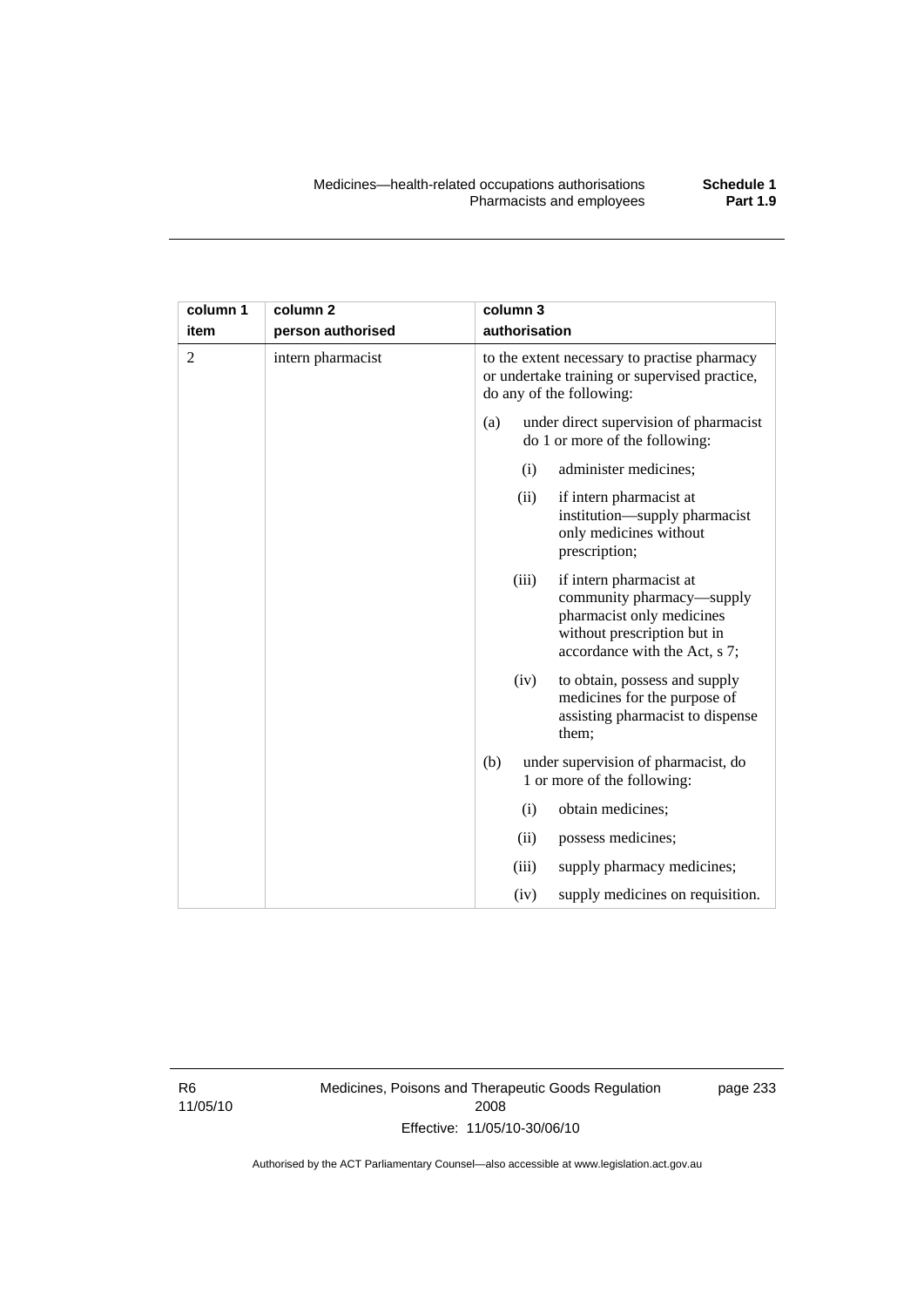| column 1       | column <sub>2</sub> |     | column 3      |                                                                                                                                                   |
|----------------|---------------------|-----|---------------|---------------------------------------------------------------------------------------------------------------------------------------------------|
| item           | person authorised   |     | authorisation |                                                                                                                                                   |
| $\overline{2}$ | intern pharmacist   |     |               | to the extent necessary to practise pharmacy<br>or undertake training or supervised practice,<br>do any of the following:                         |
|                |                     | (a) |               | under direct supervision of pharmacist<br>do 1 or more of the following:                                                                          |
|                |                     |     | (i)           | administer medicines;                                                                                                                             |
|                |                     |     | (ii)          | if intern pharmacist at<br>institution-supply pharmacist<br>only medicines without<br>prescription;                                               |
|                |                     |     | (iii)         | if intern pharmacist at<br>community pharmacy—supply<br>pharmacist only medicines<br>without prescription but in<br>accordance with the Act, s 7; |
|                |                     |     | (iv)          | to obtain, possess and supply<br>medicines for the purpose of<br>assisting pharmacist to dispense<br>them;                                        |
|                |                     | (b) |               | under supervision of pharmacist, do<br>1 or more of the following:                                                                                |
|                |                     |     | (i)           | obtain medicines;                                                                                                                                 |
|                |                     |     | (ii)          | possess medicines;                                                                                                                                |
|                |                     |     | (iii)         | supply pharmacy medicines;                                                                                                                        |
|                |                     |     | (iv)          | supply medicines on requisition.                                                                                                                  |

R6 11/05/10 Medicines, Poisons and Therapeutic Goods Regulation 2008 Effective: 11/05/10-30/06/10

page 233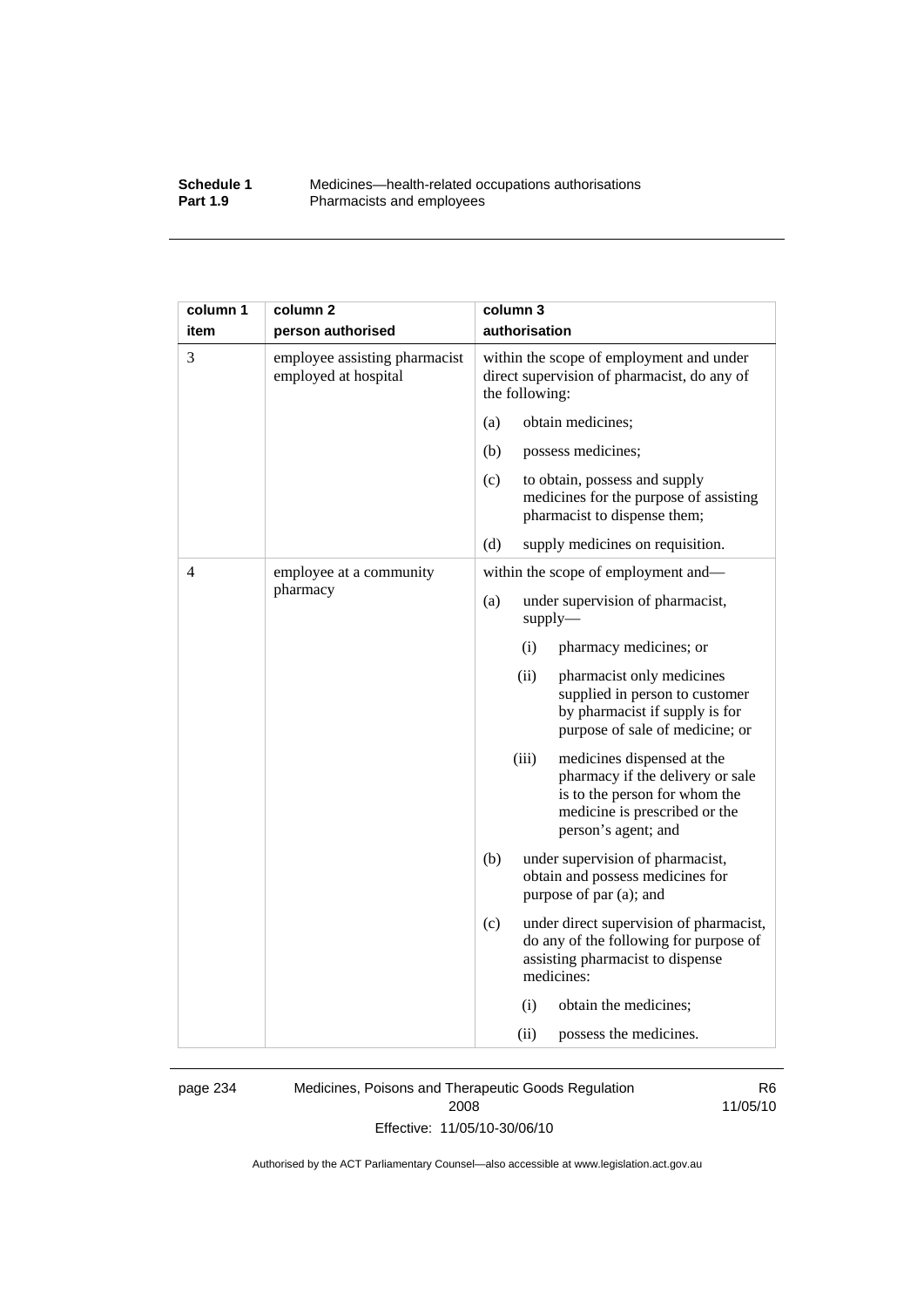#### **Schedule 1** Medicines—health-related occupations authorisations<br>**Part 1.9** Pharmacists and employees Pharmacists and employees

| column 1 | column <sub>2</sub>                                   | column 3                                                                                                                                                         |
|----------|-------------------------------------------------------|------------------------------------------------------------------------------------------------------------------------------------------------------------------|
| item     | person authorised                                     | authorisation                                                                                                                                                    |
| 3        | employee assisting pharmacist<br>employed at hospital | within the scope of employment and under<br>direct supervision of pharmacist, do any of<br>the following:                                                        |
|          |                                                       | obtain medicines;<br>(a)                                                                                                                                         |
|          |                                                       | (b)<br>possess medicines;                                                                                                                                        |
|          |                                                       | (c)<br>to obtain, possess and supply<br>medicines for the purpose of assisting<br>pharmacist to dispense them;                                                   |
|          |                                                       | (d)<br>supply medicines on requisition.                                                                                                                          |
| 4        | employee at a community                               | within the scope of employment and—                                                                                                                              |
|          | pharmacy                                              | under supervision of pharmacist,<br>(a)<br>$supply$ —                                                                                                            |
|          |                                                       | (i)<br>pharmacy medicines; or                                                                                                                                    |
|          |                                                       | (ii)<br>pharmacist only medicines<br>supplied in person to customer<br>by pharmacist if supply is for<br>purpose of sale of medicine; or                         |
|          |                                                       | (iii)<br>medicines dispensed at the<br>pharmacy if the delivery or sale<br>is to the person for whom the<br>medicine is prescribed or the<br>person's agent; and |
|          |                                                       | (b)<br>under supervision of pharmacist,<br>obtain and possess medicines for<br>purpose of par (a); and                                                           |
|          |                                                       | (c)<br>under direct supervision of pharmacist,<br>do any of the following for purpose of<br>assisting pharmacist to dispense<br>medicines:                       |
|          |                                                       | (i)<br>obtain the medicines;                                                                                                                                     |
|          |                                                       | possess the medicines.<br>(ii)                                                                                                                                   |

page 234 Medicines, Poisons and Therapeutic Goods Regulation 2008 Effective: 11/05/10-30/06/10

R6 11/05/10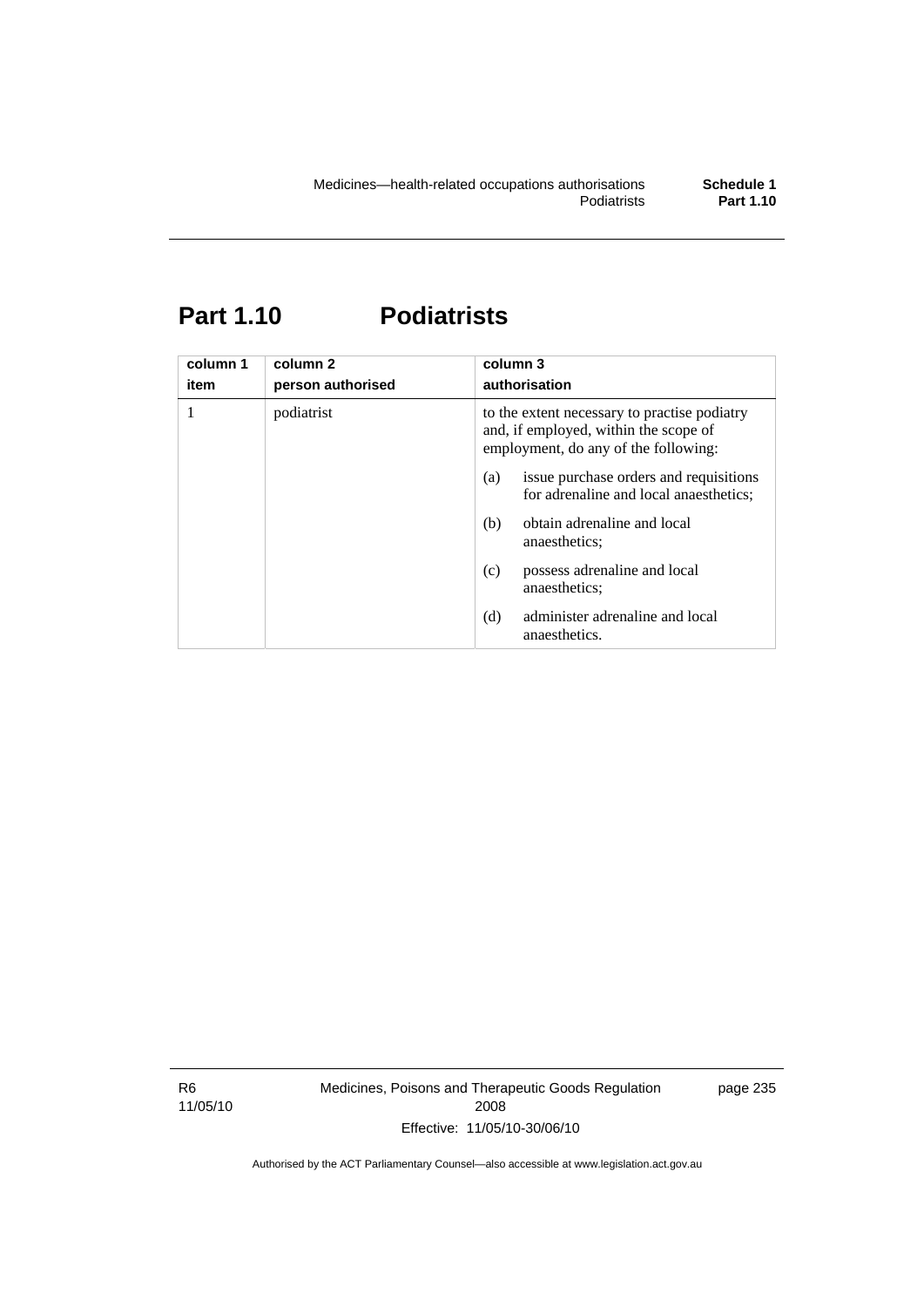# **Part 1.10 Podiatrists**

| column 1<br>item | column <sub>2</sub><br>person authorised | column 3<br>authorisation                                                                                                     |
|------------------|------------------------------------------|-------------------------------------------------------------------------------------------------------------------------------|
|                  | podiatrist                               | to the extent necessary to practise podiatry<br>and, if employed, within the scope of<br>employment, do any of the following: |
|                  |                                          | issue purchase orders and requisitions<br>(a)<br>for adrenaline and local anaesthetics;                                       |
|                  |                                          | obtain adrenaline and local<br>(b)<br>anaesthetics:                                                                           |
|                  |                                          | possess adrenaline and local<br>(c)<br>anaesthetics:                                                                          |
|                  |                                          | administer adrenaline and local<br>(d)<br>anaesthetics.                                                                       |

R6 11/05/10 Medicines, Poisons and Therapeutic Goods Regulation 2008 Effective: 11/05/10-30/06/10

page 235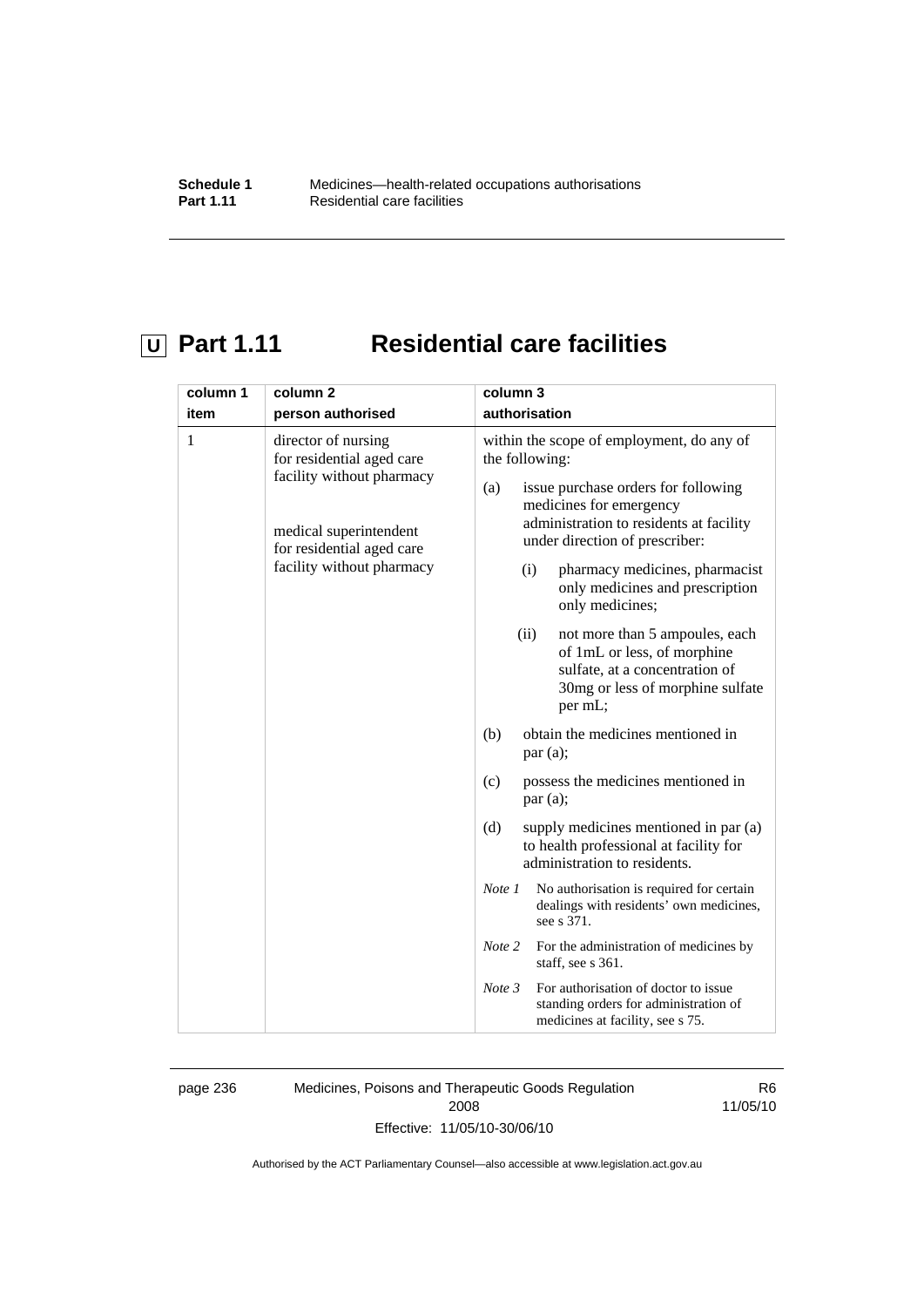# **U** Part 1.11 Residential care facilities

| column 1 | column <sub>2</sub>                                                                                                                                               | column 3                                                                                                                                                                                                                                                                                                                                                                                                                                                                                                                                                                                                                                                                                                                                                                                                                                                                                                                                                                                                                                   |
|----------|-------------------------------------------------------------------------------------------------------------------------------------------------------------------|--------------------------------------------------------------------------------------------------------------------------------------------------------------------------------------------------------------------------------------------------------------------------------------------------------------------------------------------------------------------------------------------------------------------------------------------------------------------------------------------------------------------------------------------------------------------------------------------------------------------------------------------------------------------------------------------------------------------------------------------------------------------------------------------------------------------------------------------------------------------------------------------------------------------------------------------------------------------------------------------------------------------------------------------|
| item     | person authorised                                                                                                                                                 | authorisation                                                                                                                                                                                                                                                                                                                                                                                                                                                                                                                                                                                                                                                                                                                                                                                                                                                                                                                                                                                                                              |
| 1        | director of nursing<br>for residential aged care<br>facility without pharmacy<br>medical superintendent<br>for residential aged care<br>facility without pharmacy | within the scope of employment, do any of<br>the following:<br>issue purchase orders for following<br>(a)<br>medicines for emergency<br>administration to residents at facility<br>under direction of prescriber:<br>pharmacy medicines, pharmacist<br>(i)<br>only medicines and prescription<br>only medicines;<br>(ii)<br>not more than 5 ampoules, each<br>of 1mL or less, of morphine<br>sulfate, at a concentration of<br>30mg or less of morphine sulfate<br>per mL;<br>(b)<br>obtain the medicines mentioned in<br>par(a);<br>possess the medicines mentioned in<br>(c)<br>par(a);<br>(d)<br>supply medicines mentioned in par (a)<br>to health professional at facility for<br>administration to residents.<br>No authorisation is required for certain<br>Note 1<br>dealings with residents' own medicines,<br>see s 371.<br>Note 2<br>For the administration of medicines by<br>staff, see s 361.<br>For authorisation of doctor to issue<br>Note 3<br>standing orders for administration of<br>medicines at facility, see s 75. |

page 236 Medicines, Poisons and Therapeutic Goods Regulation 2008 Effective: 11/05/10-30/06/10

R6 11/05/10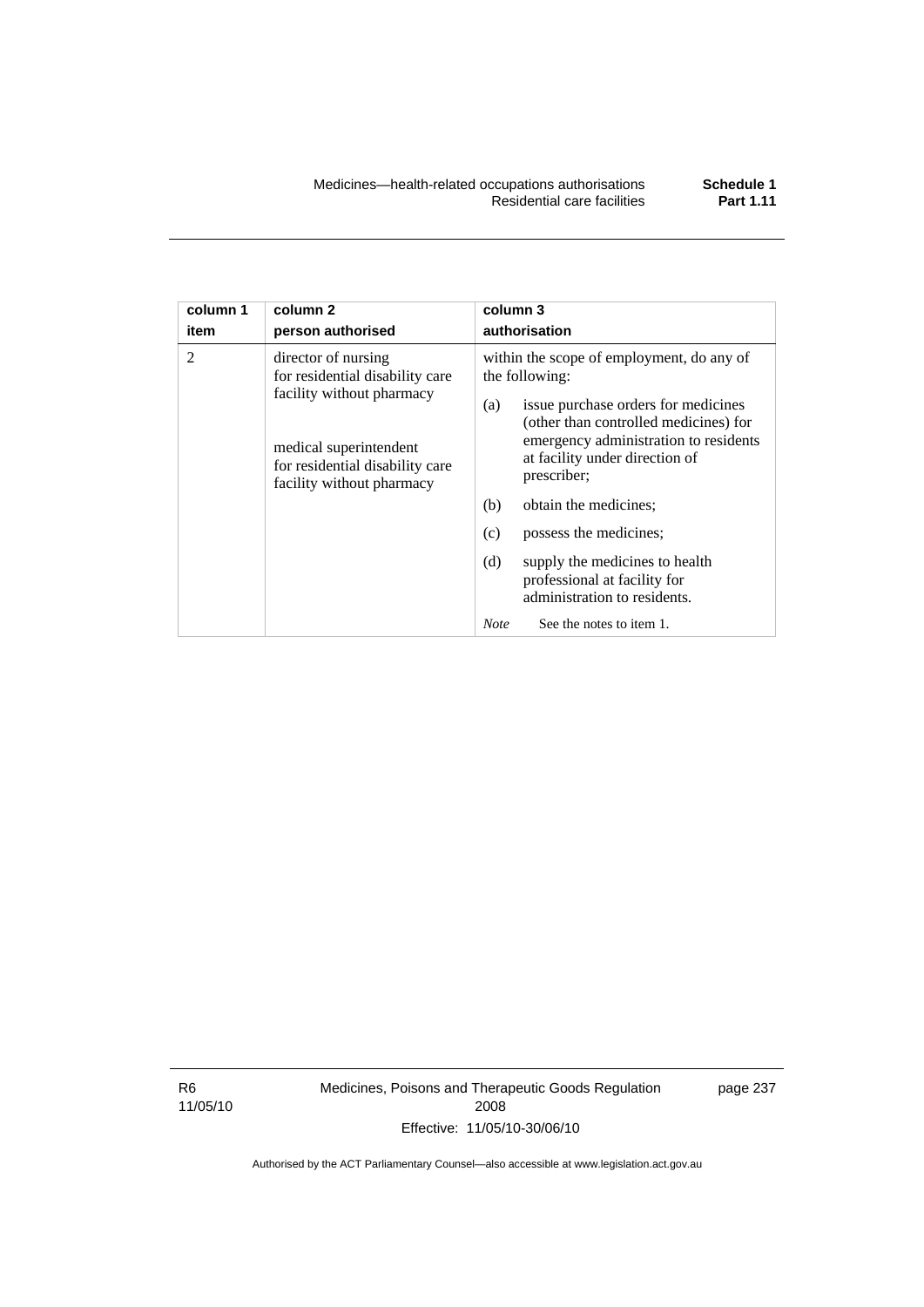| column 1       | column <sub>2</sub>                                                                                                                                                           | column 3                                                                                                                                                                                                                                                                                                                                                                                                                                                          |
|----------------|-------------------------------------------------------------------------------------------------------------------------------------------------------------------------------|-------------------------------------------------------------------------------------------------------------------------------------------------------------------------------------------------------------------------------------------------------------------------------------------------------------------------------------------------------------------------------------------------------------------------------------------------------------------|
| item           | person authorised                                                                                                                                                             | authorisation                                                                                                                                                                                                                                                                                                                                                                                                                                                     |
| $\mathfrak{D}$ | director of nursing<br>for residential disability care<br>facility without pharmacy<br>medical superintendent<br>for residential disability care<br>facility without pharmacy | within the scope of employment, do any of<br>the following:<br>issue purchase orders for medicines<br>(a)<br>(other than controlled medicines) for<br>emergency administration to residents<br>at facility under direction of<br>prescriber;<br>(b)<br>obtain the medicines;<br>(c)<br>possess the medicines;<br>(d)<br>supply the medicines to health<br>professional at facility for<br>administration to residents.<br>See the notes to item 1.<br><b>Note</b> |

R6 11/05/10 Medicines, Poisons and Therapeutic Goods Regulation 2008 Effective: 11/05/10-30/06/10

page 237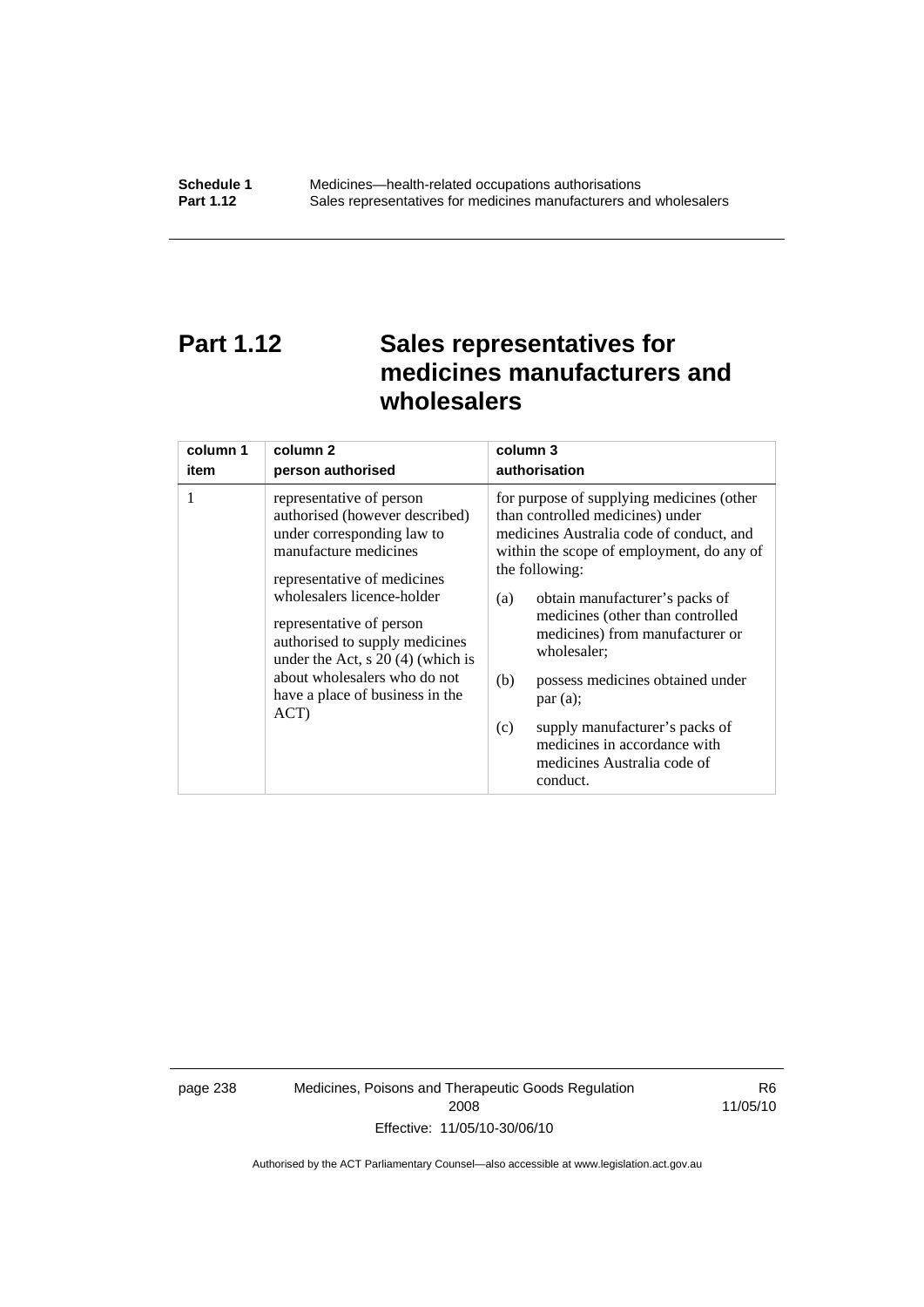# **Part 1.12 Sales representatives for medicines manufacturers and wholesalers**

| column 1 | column 2                                                                                                                                                                                                                                                                                                                                                       | column 3                                                                                                                                                                                                                                                                                                                                                                                                                                                                                          |
|----------|----------------------------------------------------------------------------------------------------------------------------------------------------------------------------------------------------------------------------------------------------------------------------------------------------------------------------------------------------------------|---------------------------------------------------------------------------------------------------------------------------------------------------------------------------------------------------------------------------------------------------------------------------------------------------------------------------------------------------------------------------------------------------------------------------------------------------------------------------------------------------|
| item     | person authorised                                                                                                                                                                                                                                                                                                                                              | authorisation                                                                                                                                                                                                                                                                                                                                                                                                                                                                                     |
| 1        | representative of person<br>authorised (however described)<br>under corresponding law to<br>manufacture medicines<br>representative of medicines<br>wholesalers licence-holder<br>representative of person<br>authorised to supply medicines<br>under the Act, $s$ 20 (4) (which is<br>about wholesalers who do not<br>have a place of business in the<br>ACT) | for purpose of supplying medicines (other<br>than controlled medicines) under<br>medicines Australia code of conduct, and<br>within the scope of employment, do any of<br>the following:<br>obtain manufacturer's packs of<br>(a)<br>medicines (other than controlled<br>medicines) from manufacturer or<br>wholesaler;<br>(b)<br>possess medicines obtained under<br>par(a);<br>supply manufacturer's packs of<br>(c)<br>medicines in accordance with<br>medicines Australia code of<br>conduct. |

page 238 Medicines, Poisons and Therapeutic Goods Regulation 2008 Effective: 11/05/10-30/06/10

R6 11/05/10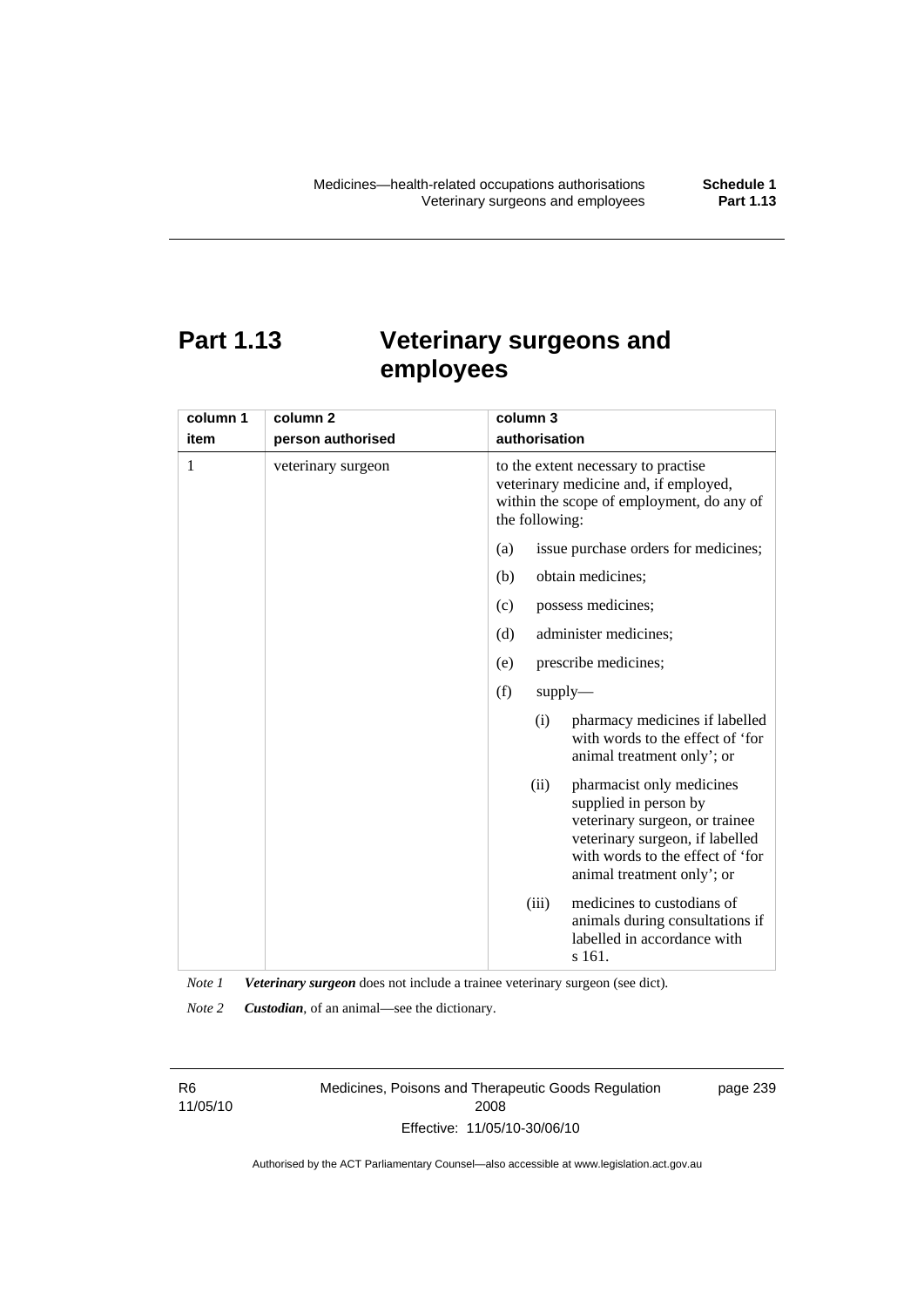# **Part 1.13 Veterinary surgeons and employees**

| column 1 | column 2           | column 3                                                                                                                                                                                          |
|----------|--------------------|---------------------------------------------------------------------------------------------------------------------------------------------------------------------------------------------------|
| item     | person authorised  | authorisation                                                                                                                                                                                     |
| 1        | veterinary surgeon | to the extent necessary to practise<br>veterinary medicine and, if employed,<br>within the scope of employment, do any of<br>the following:                                                       |
|          |                    | (a)<br>issue purchase orders for medicines;                                                                                                                                                       |
|          |                    | (b)<br>obtain medicines;                                                                                                                                                                          |
|          |                    | possess medicines;<br>(c)                                                                                                                                                                         |
|          |                    | administer medicines;<br>(d)                                                                                                                                                                      |
|          |                    | prescribe medicines;<br>(e)                                                                                                                                                                       |
|          |                    | (f)<br>$supply$ —                                                                                                                                                                                 |
|          |                    | pharmacy medicines if labelled<br>(i)<br>with words to the effect of 'for<br>animal treatment only'; or                                                                                           |
|          |                    | (ii)<br>pharmacist only medicines<br>supplied in person by<br>veterinary surgeon, or trainee<br>veterinary surgeon, if labelled<br>with words to the effect of 'for<br>animal treatment only'; or |
|          |                    | medicines to custodians of<br>(iii)<br>animals during consultations if<br>labelled in accordance with<br>s 161.                                                                                   |

*Note 1 Veterinary surgeon* does not include a trainee veterinary surgeon (see dict).

*Note 2 Custodian*, of an animal—see the dictionary.

R6 11/05/10 Medicines, Poisons and Therapeutic Goods Regulation 2008 Effective: 11/05/10-30/06/10

page 239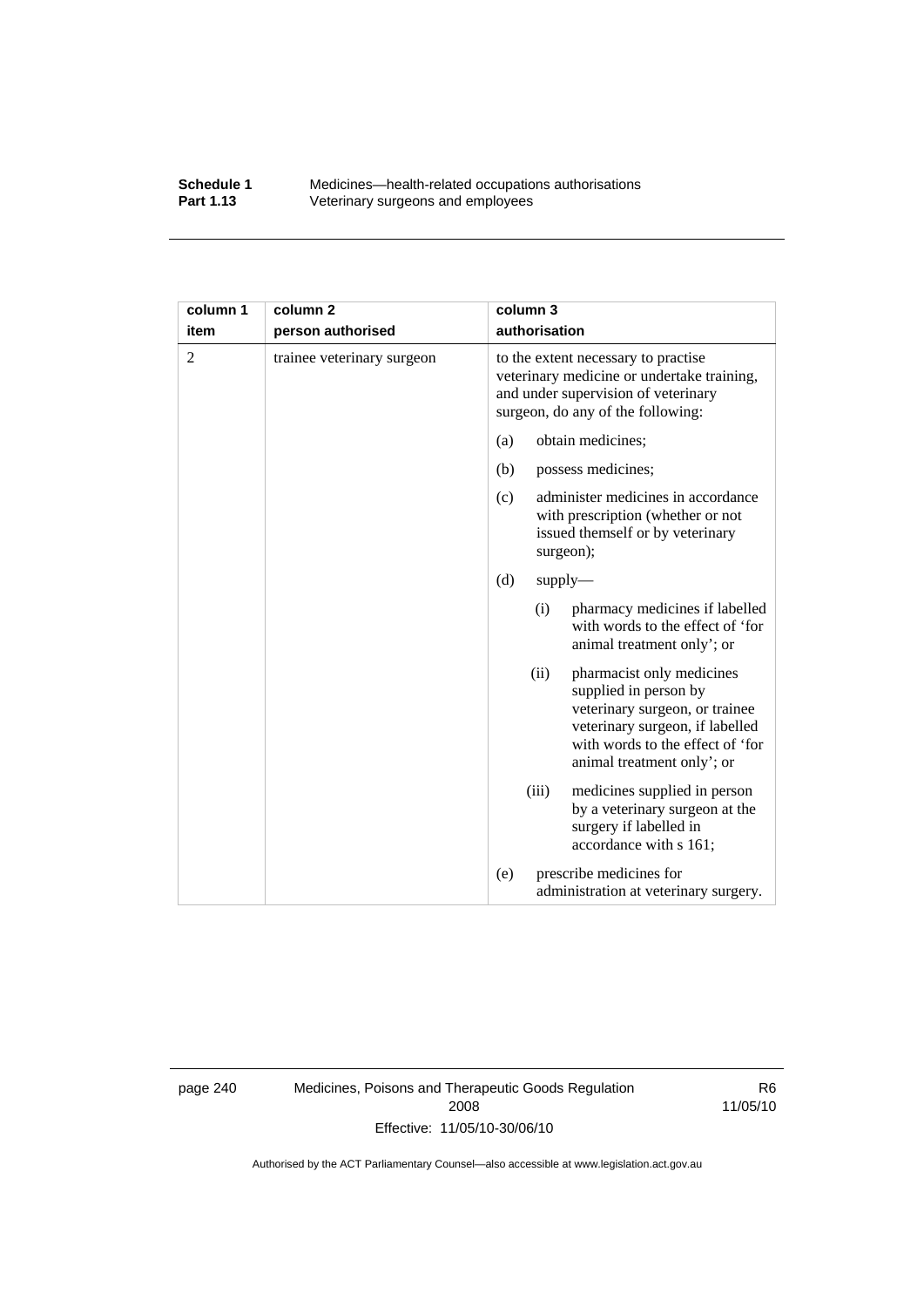#### **Schedule 1** Medicines—health-related occupations authorisations<br>**Part 1.13** Veterinary surgeons and employees Veterinary surgeons and employees

| column 1       | column <sub>2</sub>        | column 3                                                                                                                                                                                          |
|----------------|----------------------------|---------------------------------------------------------------------------------------------------------------------------------------------------------------------------------------------------|
| item           | person authorised          | authorisation                                                                                                                                                                                     |
| $\overline{2}$ | trainee veterinary surgeon | to the extent necessary to practise<br>veterinary medicine or undertake training,<br>and under supervision of veterinary<br>surgeon, do any of the following:                                     |
|                |                            | obtain medicines;<br>(a)                                                                                                                                                                          |
|                |                            | (b)<br>possess medicines;                                                                                                                                                                         |
|                |                            | administer medicines in accordance<br>(c)<br>with prescription (whether or not<br>issued themself or by veterinary<br>surgeon);                                                                   |
|                |                            | (d)<br>$supply$ —                                                                                                                                                                                 |
|                |                            | pharmacy medicines if labelled<br>(i)<br>with words to the effect of 'for<br>animal treatment only'; or                                                                                           |
|                |                            | (ii)<br>pharmacist only medicines<br>supplied in person by<br>veterinary surgeon, or trainee<br>veterinary surgeon, if labelled<br>with words to the effect of 'for<br>animal treatment only'; or |
|                |                            | medicines supplied in person<br>(iii)<br>by a veterinary surgeon at the<br>surgery if labelled in<br>accordance with s 161;                                                                       |
|                |                            | prescribe medicines for<br>(e)<br>administration at veterinary surgery.                                                                                                                           |

page 240 Medicines, Poisons and Therapeutic Goods Regulation 2008 Effective: 11/05/10-30/06/10

R6 11/05/10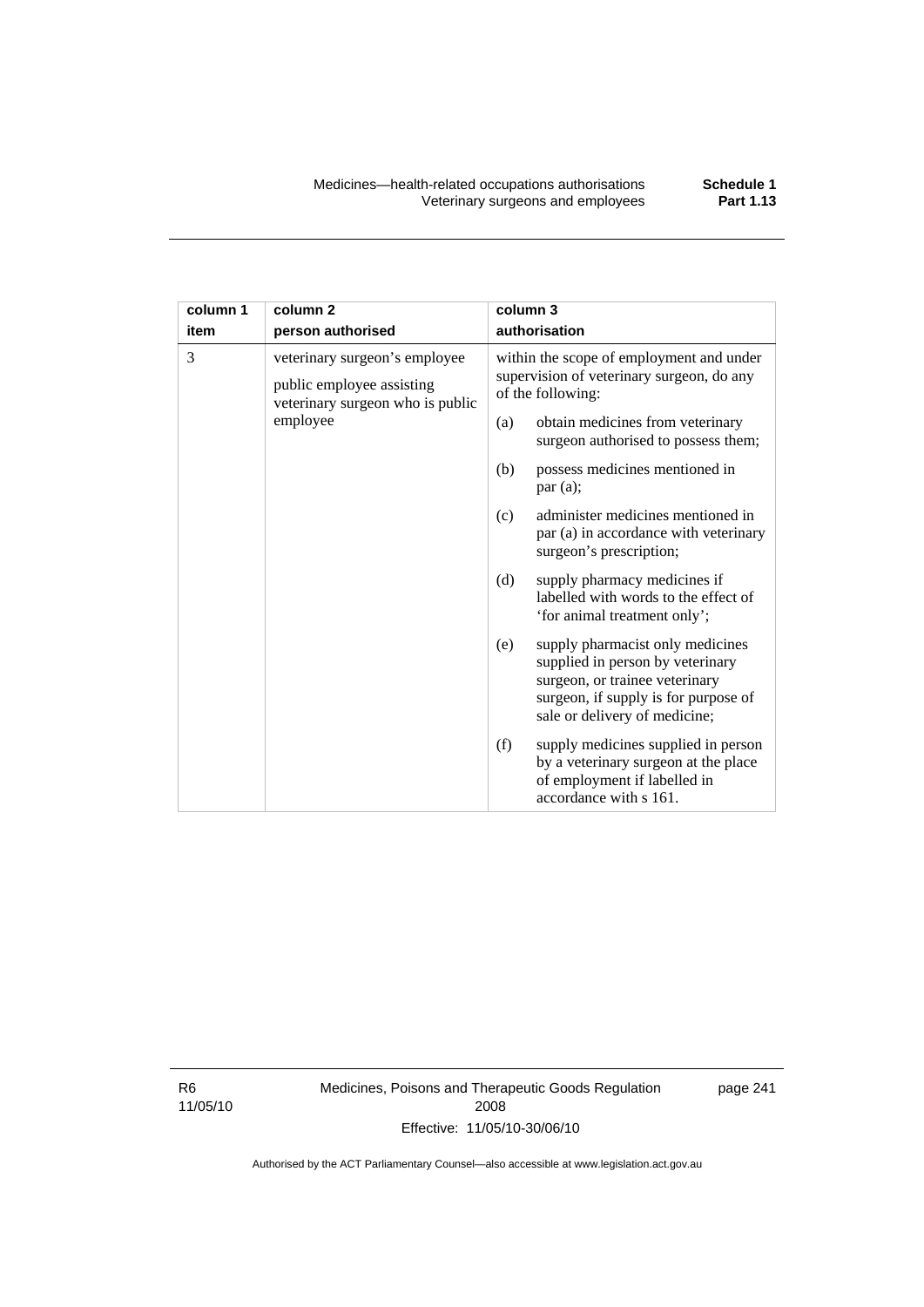| column 1 | column <sub>2</sub>                                                                            | column 3                                                                |                                                                                                                                                                                 |
|----------|------------------------------------------------------------------------------------------------|-------------------------------------------------------------------------|---------------------------------------------------------------------------------------------------------------------------------------------------------------------------------|
| item     | person authorised                                                                              | authorisation                                                           |                                                                                                                                                                                 |
| 3        | veterinary surgeon's employee<br>public employee assisting<br>veterinary surgeon who is public |                                                                         | within the scope of employment and under<br>supervision of veterinary surgeon, do any<br>of the following:                                                                      |
| employee | (a)                                                                                            | obtain medicines from veterinary<br>surgeon authorised to possess them; |                                                                                                                                                                                 |
|          |                                                                                                | (b)                                                                     | possess medicines mentioned in<br>par(a);                                                                                                                                       |
|          |                                                                                                | (c)                                                                     | administer medicines mentioned in<br>par (a) in accordance with veterinary<br>surgeon's prescription;                                                                           |
|          |                                                                                                | (d)                                                                     | supply pharmacy medicines if<br>labelled with words to the effect of<br>'for animal treatment only';                                                                            |
|          |                                                                                                | (e)                                                                     | supply pharmacist only medicines<br>supplied in person by veterinary<br>surgeon, or trainee veterinary<br>surgeon, if supply is for purpose of<br>sale or delivery of medicine; |
|          |                                                                                                | (f)                                                                     | supply medicines supplied in person<br>by a veterinary surgeon at the place<br>of employment if labelled in<br>accordance with s 161.                                           |

R6 11/05/10 Medicines, Poisons and Therapeutic Goods Regulation 2008 Effective: 11/05/10-30/06/10

page 241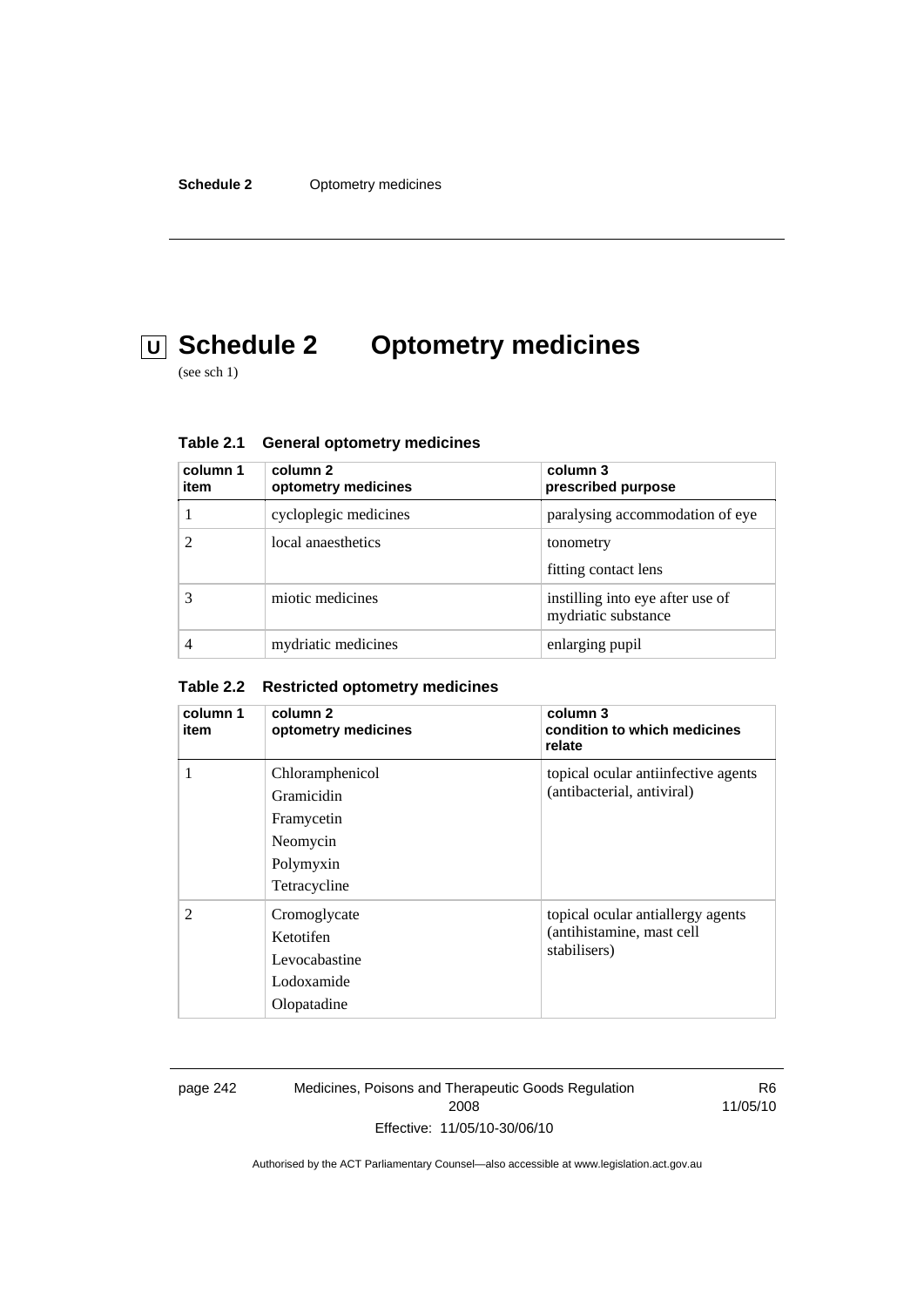# **U Schedule 2 Optometry medicines**

(see sch 1)

| column 1<br>item | column 2<br>optometry medicines | column 3<br>prescribed purpose                          |
|------------------|---------------------------------|---------------------------------------------------------|
|                  | cycloplegic medicines           | paralysing accommodation of eye                         |
|                  | local anaesthetics              | tonometry<br>fitting contact lens                       |
|                  | miotic medicines                | instilling into eye after use of<br>mydriatic substance |
|                  | mydriatic medicines             | enlarging pupil                                         |

| <b>General optometry medicines</b> | Table 2.1 |  |  |  |
|------------------------------------|-----------|--|--|--|
|------------------------------------|-----------|--|--|--|

#### **Table 2.2 Restricted optometry medicines**

| column 1<br>item | column 2<br>optometry medicines                                                      | column 3<br>condition to which medicines<br>relate                             |
|------------------|--------------------------------------------------------------------------------------|--------------------------------------------------------------------------------|
| 1                | Chloramphenicol<br>Gramicidin<br>Framycetin<br>Neomycin<br>Polymyxin<br>Tetracycline | topical ocular antiinfective agents<br>(antibacterial, antiviral)              |
| $\mathfrak{D}$   | Cromoglycate<br>Ketotifen<br>Levocabastine<br>Lodoxamide<br>Olopatadine              | topical ocular antiallergy agents<br>(antihistamine, mast cell<br>stabilisers) |

page 242 Medicines, Poisons and Therapeutic Goods Regulation 2008 Effective: 11/05/10-30/06/10

R6 11/05/10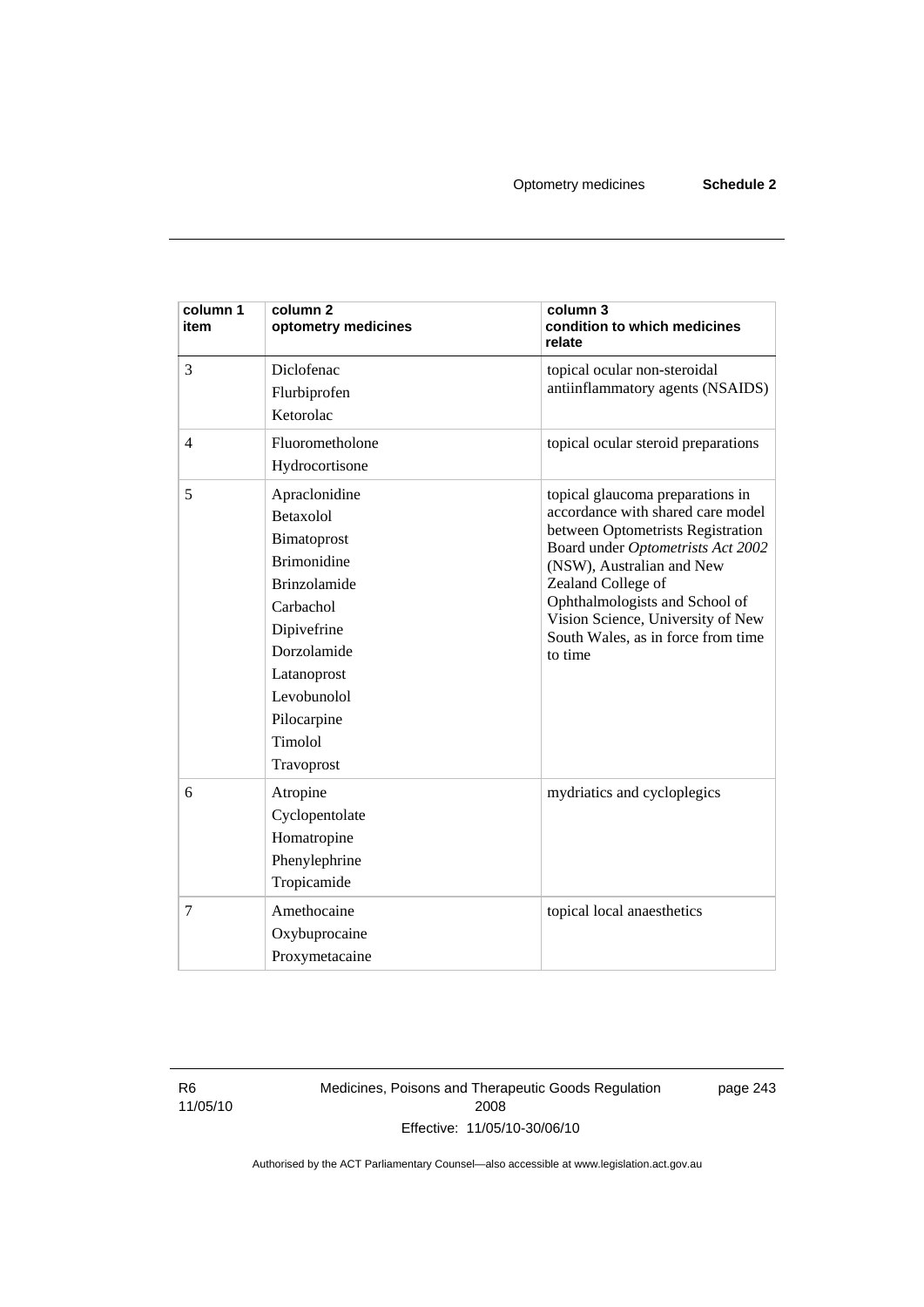| column 1<br>item | column <sub>2</sub><br>optometry medicines                                                                                                                                                              | column 3<br>condition to which medicines<br>relate                                                                                                                                                                                                                                                                         |
|------------------|---------------------------------------------------------------------------------------------------------------------------------------------------------------------------------------------------------|----------------------------------------------------------------------------------------------------------------------------------------------------------------------------------------------------------------------------------------------------------------------------------------------------------------------------|
| 3                | Diclofenac<br>Flurbiprofen<br>Ketorolac                                                                                                                                                                 | topical ocular non-steroidal<br>antiinflammatory agents (NSAIDS)                                                                                                                                                                                                                                                           |
| $\overline{4}$   | Fluorometholone<br>Hydrocortisone                                                                                                                                                                       | topical ocular steroid preparations                                                                                                                                                                                                                                                                                        |
| 5                | Apraclonidine<br>Betaxolol<br>Bimatoprost<br><b>Brimonidine</b><br><b>Brinzolamide</b><br>Carbachol<br>Dipivefrine<br>Dorzolamide<br>Latanoprost<br>Levobunolol<br>Pilocarpine<br>Timolol<br>Travoprost | topical glaucoma preparations in<br>accordance with shared care model<br>between Optometrists Registration<br>Board under Optometrists Act 2002<br>(NSW), Australian and New<br>Zealand College of<br>Ophthalmologists and School of<br>Vision Science, University of New<br>South Wales, as in force from time<br>to time |
| 6                | Atropine<br>Cyclopentolate<br>Homatropine<br>Phenylephrine<br>Tropicamide                                                                                                                               | mydriatics and cycloplegics                                                                                                                                                                                                                                                                                                |
| 7                | Amethocaine<br>Oxybuprocaine<br>Proxymetacaine                                                                                                                                                          | topical local anaesthetics                                                                                                                                                                                                                                                                                                 |

R6 11/05/10 Medicines, Poisons and Therapeutic Goods Regulation 2008 Effective: 11/05/10-30/06/10

page 243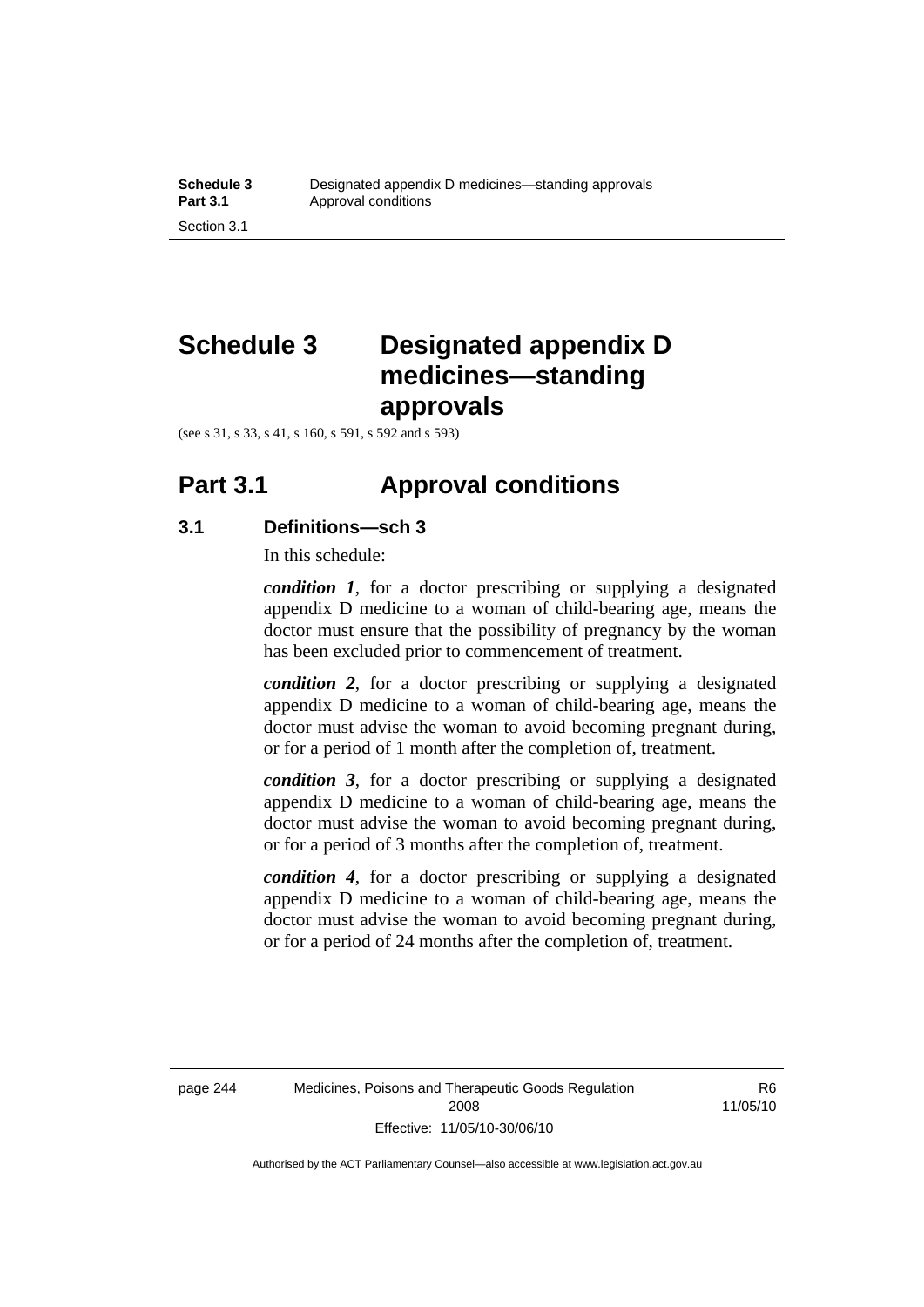# **Schedule 3 Designated appendix D medicines—standing approvals**

(see s 31, s 33, s 41, s 160, s 591, s 592 and s 593)

### **Part 3.1 Approval conditions**

### **3.1 Definitions—sch 3**

In this schedule:

*condition 1*, for a doctor prescribing or supplying a designated appendix D medicine to a woman of child-bearing age, means the doctor must ensure that the possibility of pregnancy by the woman has been excluded prior to commencement of treatment.

*condition 2*, for a doctor prescribing or supplying a designated appendix D medicine to a woman of child-bearing age, means the doctor must advise the woman to avoid becoming pregnant during, or for a period of 1 month after the completion of, treatment.

*condition 3*, for a doctor prescribing or supplying a designated appendix D medicine to a woman of child-bearing age, means the doctor must advise the woman to avoid becoming pregnant during, or for a period of 3 months after the completion of, treatment.

*condition 4*, for a doctor prescribing or supplying a designated appendix D medicine to a woman of child-bearing age, means the doctor must advise the woman to avoid becoming pregnant during, or for a period of 24 months after the completion of, treatment.

R6 11/05/10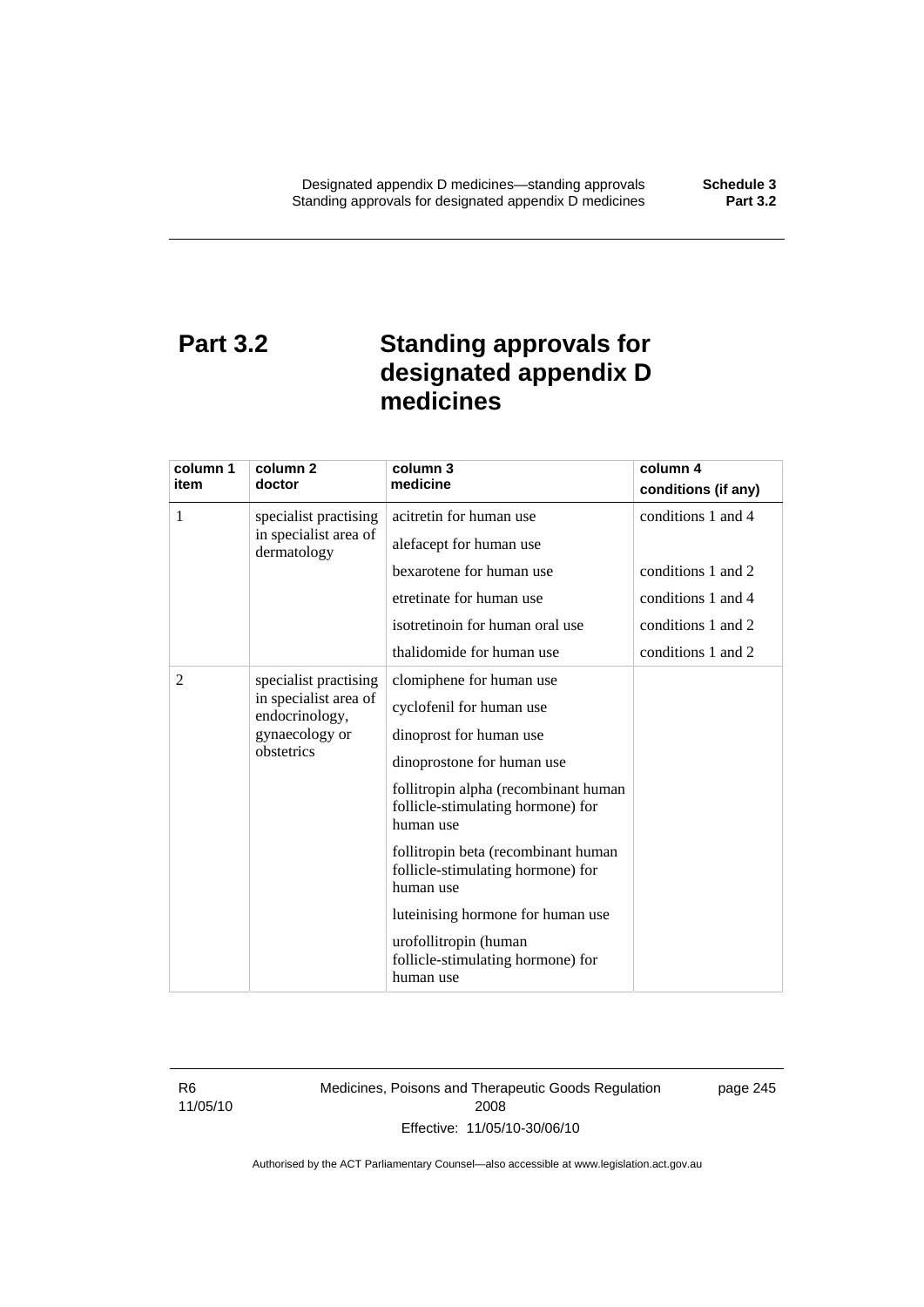# **Part 3.2 Standing approvals for designated appendix D medicines**

| column 1   | column <sub>2</sub>                                           | column 3                                                                               | column 4            |
|------------|---------------------------------------------------------------|----------------------------------------------------------------------------------------|---------------------|
| item       | doctor                                                        | medicine                                                                               | conditions (if any) |
| 1          | specialist practising<br>in specialist area of<br>dermatology | acitretin for human use                                                                | conditions 1 and 4  |
|            |                                                               | alefacept for human use                                                                |                     |
|            |                                                               | bexarotene for human use                                                               | conditions 1 and 2  |
|            |                                                               | etretinate for human use                                                               | conditions 1 and 4  |
|            |                                                               | isotretinoin for human oral use                                                        | conditions 1 and 2  |
|            |                                                               | thalidomide for human use                                                              | conditions 1 and 2  |
| 2          | specialist practising                                         | clomiphene for human use                                                               |                     |
| obstetrics | in specialist area of<br>endocrinology,                       | cyclofenil for human use                                                               |                     |
|            | gynaecology or                                                | dinoprost for human use                                                                |                     |
|            |                                                               | dinoprostone for human use                                                             |                     |
|            |                                                               | follitropin alpha (recombinant human<br>follicle-stimulating hormone) for<br>human use |                     |
|            |                                                               | follitropin beta (recombinant human<br>follicle-stimulating hormone) for<br>human use  |                     |
|            |                                                               | luteinising hormone for human use                                                      |                     |
|            |                                                               | urofollitropin (human<br>follicle-stimulating hormone) for<br>human use                |                     |

R6 11/05/10 Medicines, Poisons and Therapeutic Goods Regulation 2008 Effective: 11/05/10-30/06/10

page 245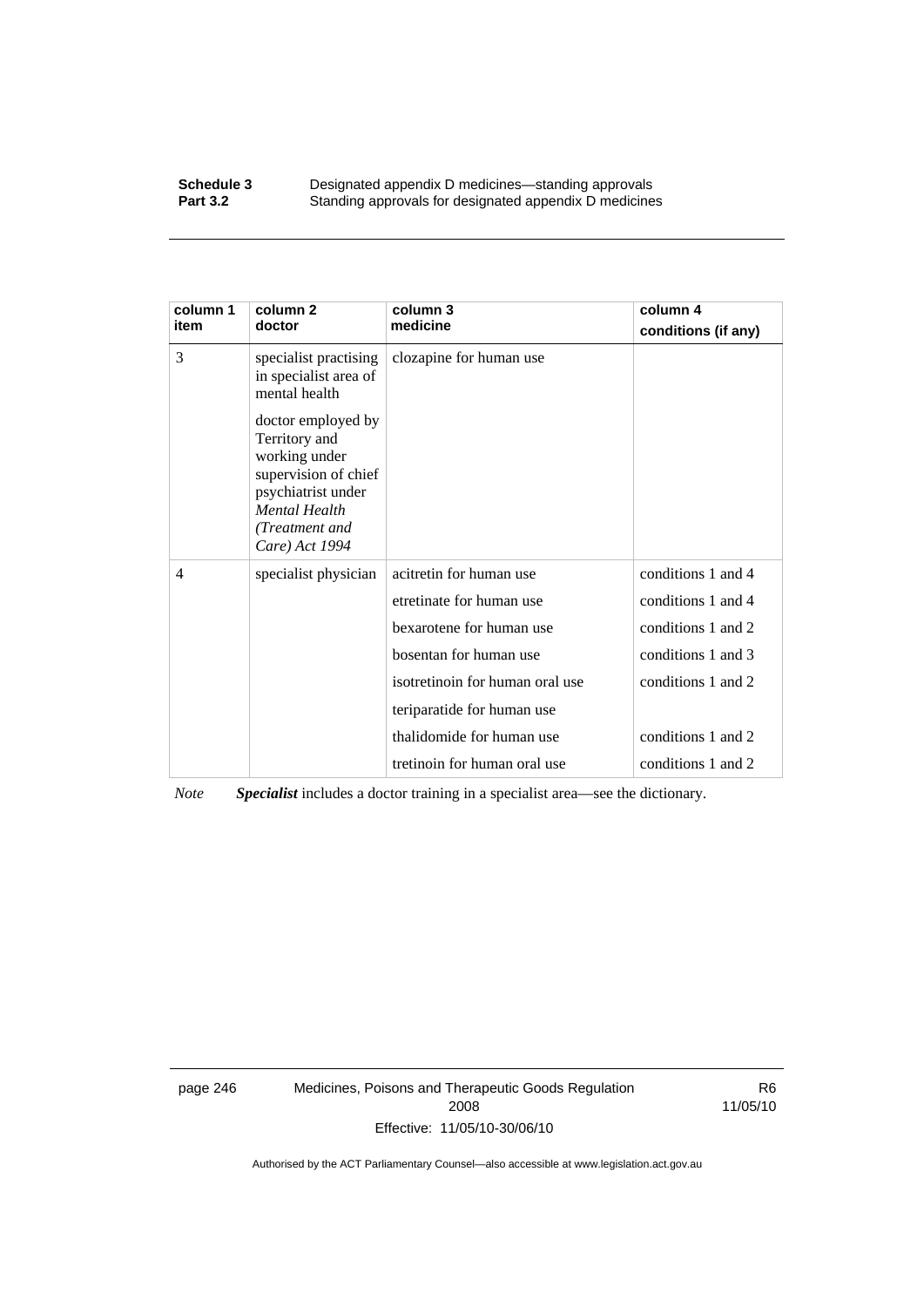#### **Schedule 3 Designated appendix D medicines—standing approvals**<br>**Part 3.2 Standing approvals for designated appendix D medicine** Standing approvals for designated appendix D medicines

| column 1<br>item | column 2<br>doctor                                                                                                                                             | column 3<br>medicine            | column 4<br>conditions (if any) |
|------------------|----------------------------------------------------------------------------------------------------------------------------------------------------------------|---------------------------------|---------------------------------|
| 3                | specialist practising<br>in specialist area of<br>mental health                                                                                                | clozapine for human use         |                                 |
|                  | doctor employed by<br>Territory and<br>working under<br>supervision of chief<br>psychiatrist under<br><b>Mental Health</b><br>(Treatment and<br>Care) Act 1994 |                                 |                                 |
| $\overline{4}$   | specialist physician                                                                                                                                           | acitretin for human use         | conditions 1 and 4              |
|                  |                                                                                                                                                                | etretinate for human use        | conditions 1 and 4              |
|                  |                                                                                                                                                                | bexarotene for human use        | conditions 1 and 2              |
|                  |                                                                                                                                                                | bosentan for human use          | conditions 1 and 3              |
|                  |                                                                                                                                                                | isotretinoin for human oral use | conditions 1 and 2              |
|                  |                                                                                                                                                                | teriparatide for human use      |                                 |
|                  |                                                                                                                                                                | thalidomide for human use       | conditions 1 and 2              |
|                  |                                                                                                                                                                | tretinoin for human oral use    | conditions 1 and 2              |

*Note Specialist* includes a doctor training in a specialist area—see the dictionary.

page 246 Medicines, Poisons and Therapeutic Goods Regulation 2008 Effective: 11/05/10-30/06/10

R6 11/05/10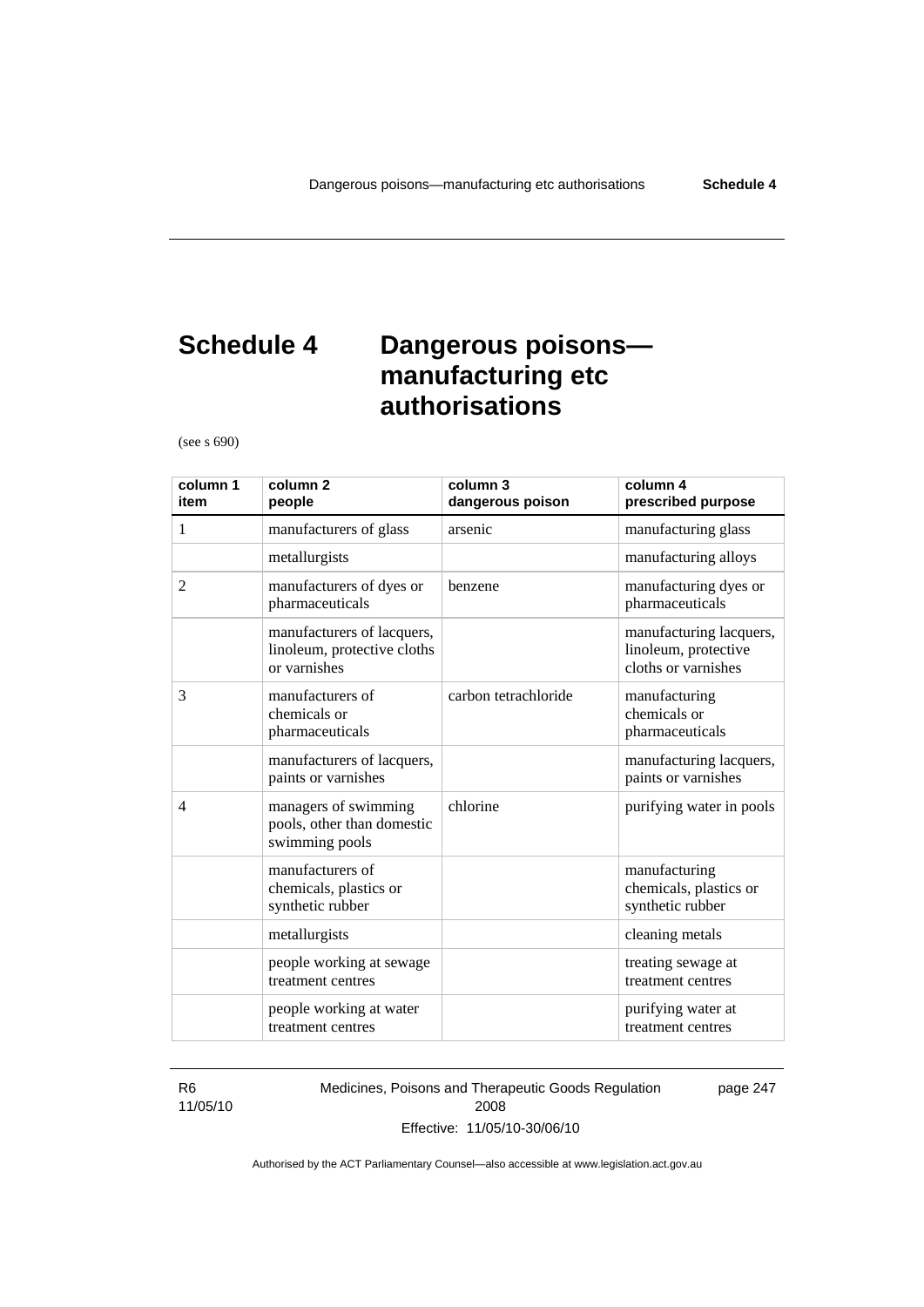# **Schedule 4 Dangerous poisons manufacturing etc authorisations**

(see s 690)

| column 1<br>item | column <sub>2</sub><br>people                                             | column 3<br>dangerous poison | column 4<br>prescribed purpose                                         |
|------------------|---------------------------------------------------------------------------|------------------------------|------------------------------------------------------------------------|
| 1                | manufacturers of glass                                                    | arsenic                      | manufacturing glass                                                    |
|                  | metallurgists                                                             |                              | manufacturing alloys                                                   |
| 2                | manufacturers of dyes or<br>pharmaceuticals                               | benzene                      | manufacturing dyes or<br>pharmaceuticals                               |
|                  | manufacturers of lacquers,<br>linoleum, protective cloths<br>or varnishes |                              | manufacturing lacquers,<br>linoleum, protective<br>cloths or varnishes |
| 3                | manufacturers of<br>chemicals or<br>pharmaceuticals                       | carbon tetrachloride         | manufacturing<br>chemicals or<br>pharmaceuticals                       |
|                  | manufacturers of lacquers,<br>paints or varnishes                         |                              | manufacturing lacquers,<br>paints or varnishes                         |
| $\overline{4}$   | managers of swimming<br>pools, other than domestic<br>swimming pools      | chlorine                     | purifying water in pools                                               |
|                  | manufacturers of<br>chemicals, plastics or<br>synthetic rubber            |                              | manufacturing<br>chemicals, plastics or<br>synthetic rubber            |
|                  | metallurgists                                                             |                              | cleaning metals                                                        |
|                  | people working at sewage<br>treatment centres                             |                              | treating sewage at<br>treatment centres                                |
|                  | people working at water<br>treatment centres                              |                              | purifying water at<br>treatment centres                                |

R6 11/05/10 Medicines, Poisons and Therapeutic Goods Regulation 2008 Effective: 11/05/10-30/06/10

page 247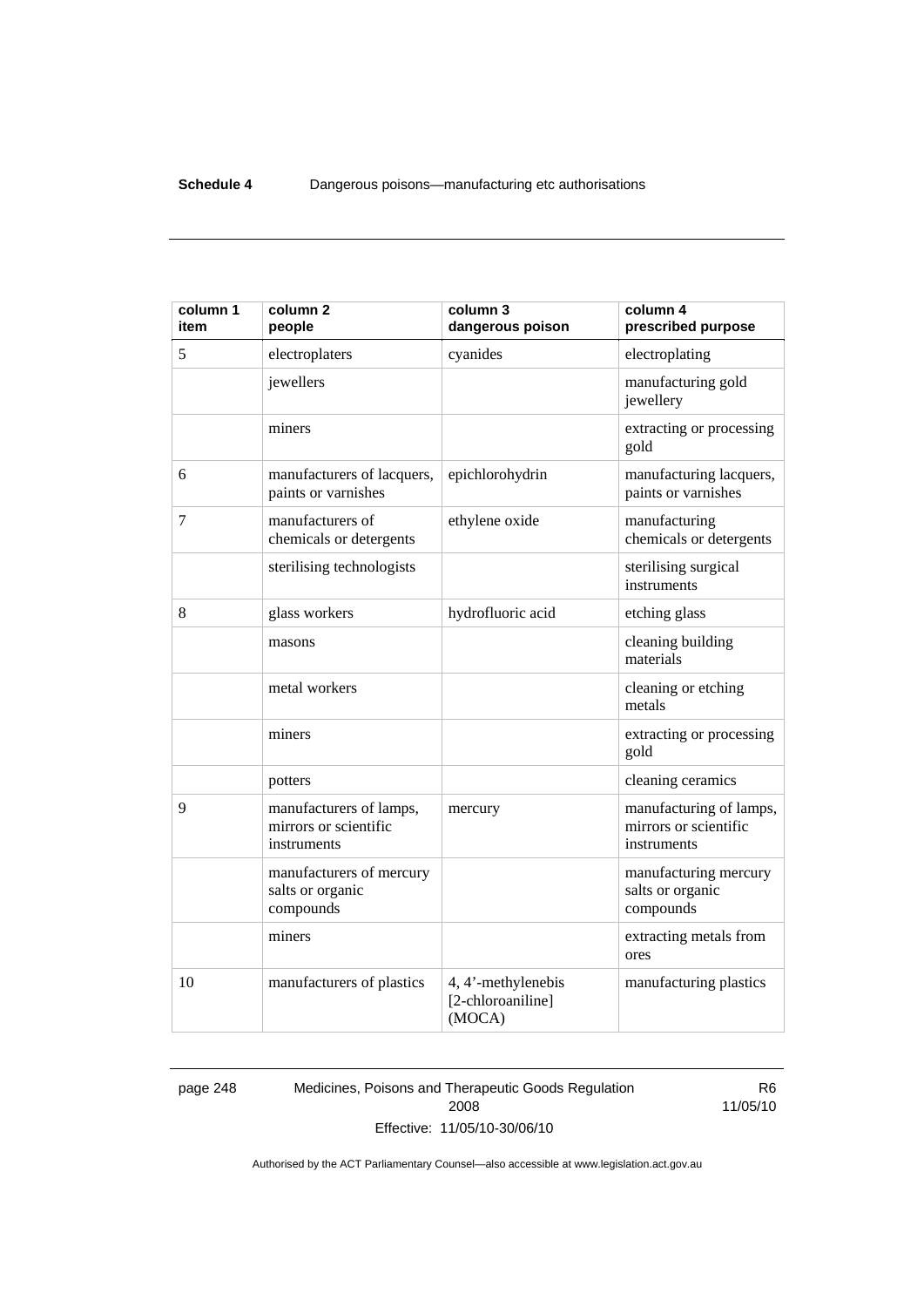| column 1<br>item | column <sub>2</sub><br>people                                   | column 3<br>dangerous poison                      | column 4<br>prescribed purpose                                  |
|------------------|-----------------------------------------------------------------|---------------------------------------------------|-----------------------------------------------------------------|
| 5                | electroplaters                                                  | cyanides                                          | electroplating                                                  |
|                  | jewellers                                                       |                                                   | manufacturing gold<br>jewellery                                 |
|                  | miners                                                          |                                                   | extracting or processing<br>gold                                |
| 6                | manufacturers of lacquers,<br>paints or varnishes               | epichlorohydrin                                   | manufacturing lacquers,<br>paints or varnishes                  |
| 7                | manufacturers of<br>chemicals or detergents                     | ethylene oxide                                    | manufacturing<br>chemicals or detergents                        |
|                  | sterilising technologists                                       |                                                   | sterilising surgical<br>instruments                             |
| 8                | glass workers                                                   | hydrofluoric acid                                 | etching glass                                                   |
|                  | masons                                                          |                                                   | cleaning building<br>materials                                  |
|                  | metal workers                                                   |                                                   | cleaning or etching<br>metals                                   |
|                  | miners                                                          |                                                   | extracting or processing<br>gold                                |
|                  | potters                                                         |                                                   | cleaning ceramics                                               |
| 9                | manufacturers of lamps,<br>mirrors or scientific<br>instruments | mercury                                           | manufacturing of lamps,<br>mirrors or scientific<br>instruments |
|                  | manufacturers of mercury<br>salts or organic<br>compounds       |                                                   | manufacturing mercury<br>salts or organic<br>compounds          |
|                  | miners                                                          |                                                   | extracting metals from<br>ores                                  |
| 10               | manufacturers of plastics                                       | 4, 4'-methylenebis<br>[2-chloroaniline]<br>(MOCA) | manufacturing plastics                                          |

page 248 Medicines, Poisons and Therapeutic Goods Regulation 2008 Effective: 11/05/10-30/06/10

R6 11/05/10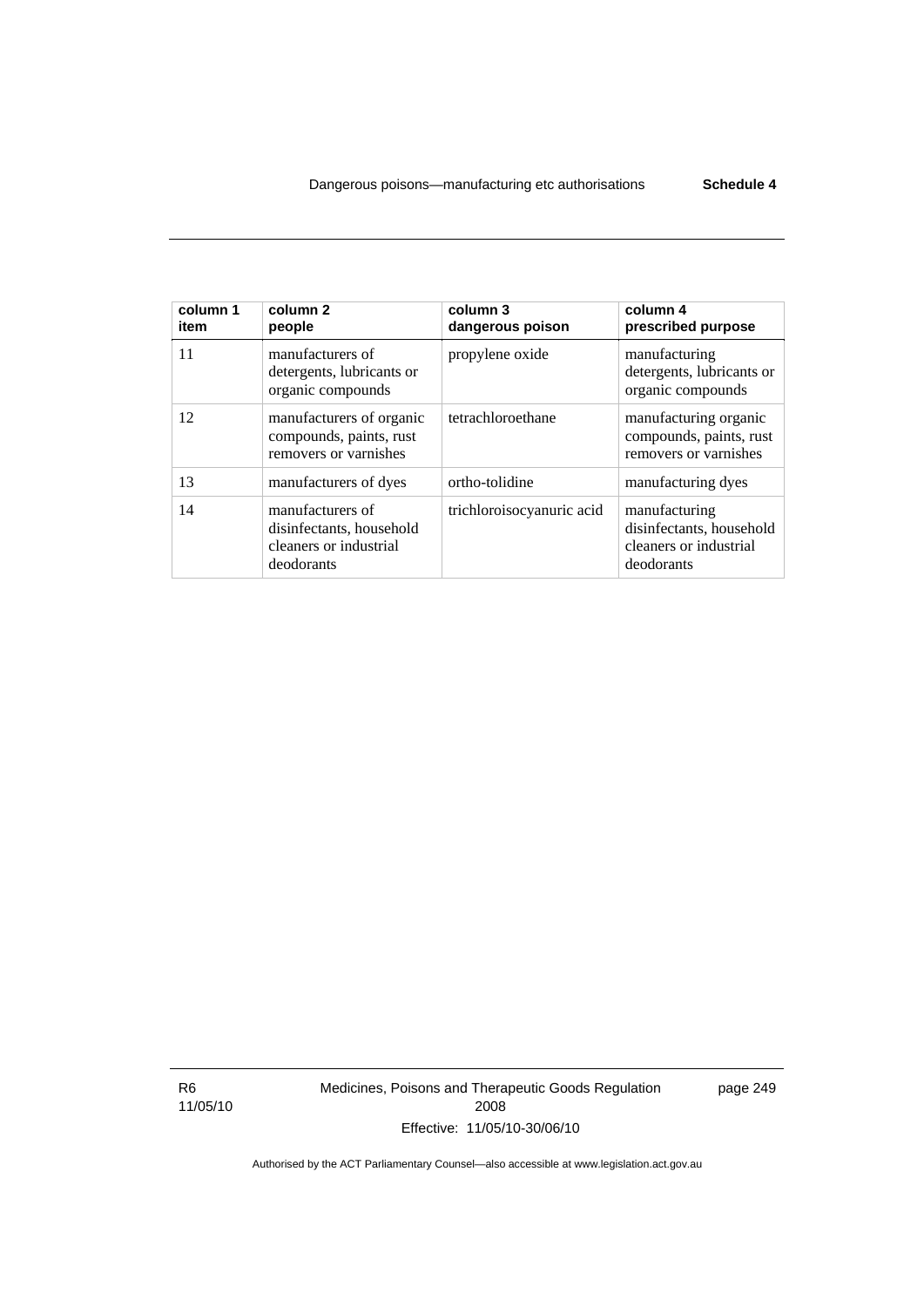| column 1<br>item | column 2<br>people                                                                   | column 3<br>dangerous poison | column 4<br>prescribed purpose                                                    |
|------------------|--------------------------------------------------------------------------------------|------------------------------|-----------------------------------------------------------------------------------|
| 11               | manufacturers of<br>detergents, lubricants or<br>organic compounds                   | propylene oxide              | manufacturing<br>detergents, lubricants or<br>organic compounds                   |
| 12               | manufacturers of organic<br>compounds, paints, rust<br>removers or varnishes         | tetrachloroethane            | manufacturing organic<br>compounds, paints, rust<br>removers or varnishes         |
| 13               | manufacturers of dyes                                                                | ortho-tolidine               | manufacturing dyes                                                                |
| 14               | manufacturers of<br>disinfectants, household<br>cleaners or industrial<br>deodorants | trichloroisocyanuric acid    | manufacturing<br>disinfectants, household<br>cleaners or industrial<br>deodorants |

R6 11/05/10 Medicines, Poisons and Therapeutic Goods Regulation 2008 Effective: 11/05/10-30/06/10

page 249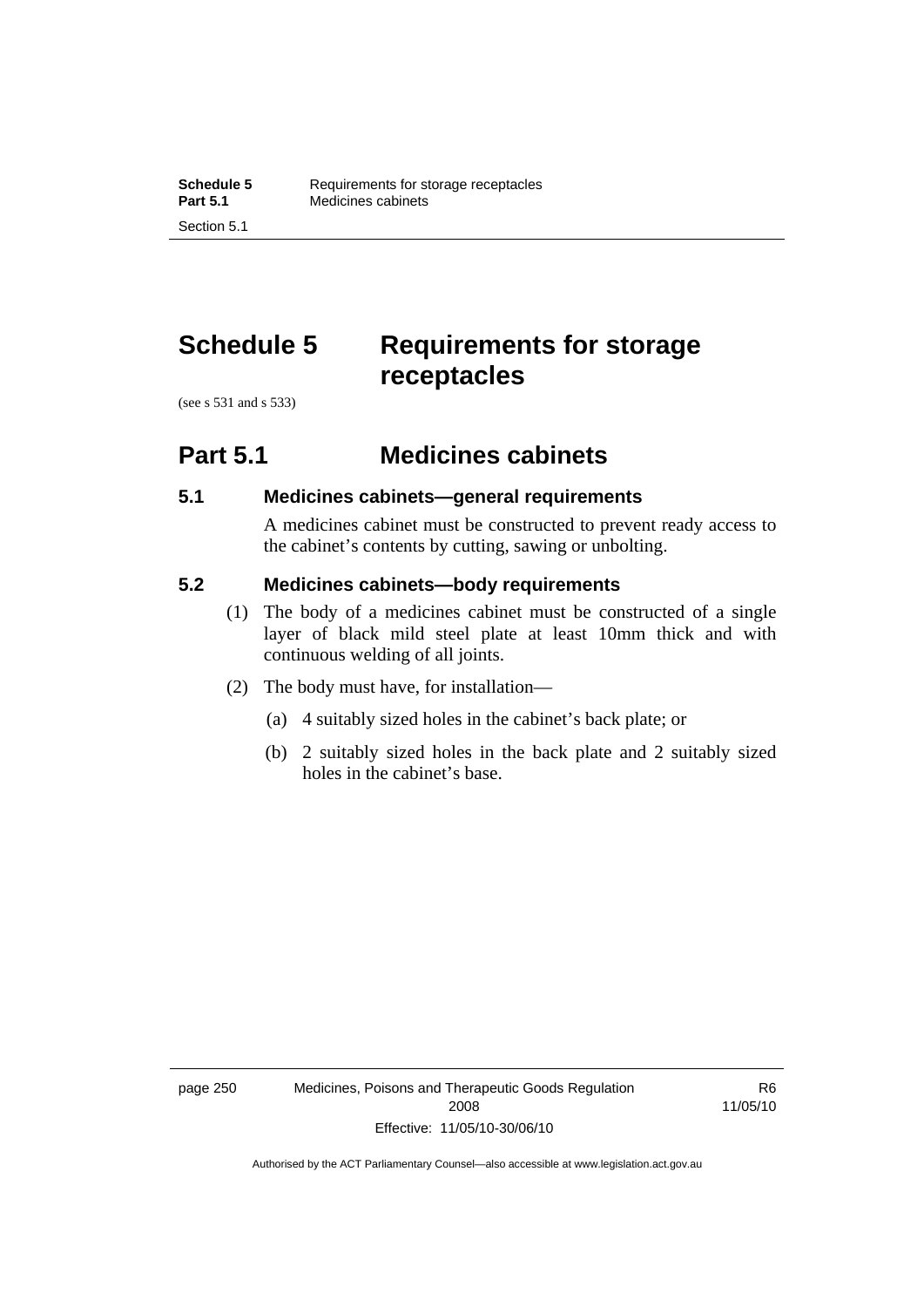# **Schedule 5 Requirements for storage receptacles**

(see s 531 and s 533)

### **Part 5.1 Medicines cabinets**

#### **5.1 Medicines cabinets—general requirements**

A medicines cabinet must be constructed to prevent ready access to the cabinet's contents by cutting, sawing or unbolting.

#### **5.2 Medicines cabinets—body requirements**

- (1) The body of a medicines cabinet must be constructed of a single layer of black mild steel plate at least 10mm thick and with continuous welding of all joints.
- (2) The body must have, for installation—
	- (a) 4 suitably sized holes in the cabinet's back plate; or
	- (b) 2 suitably sized holes in the back plate and 2 suitably sized holes in the cabinet's base.

R6 11/05/10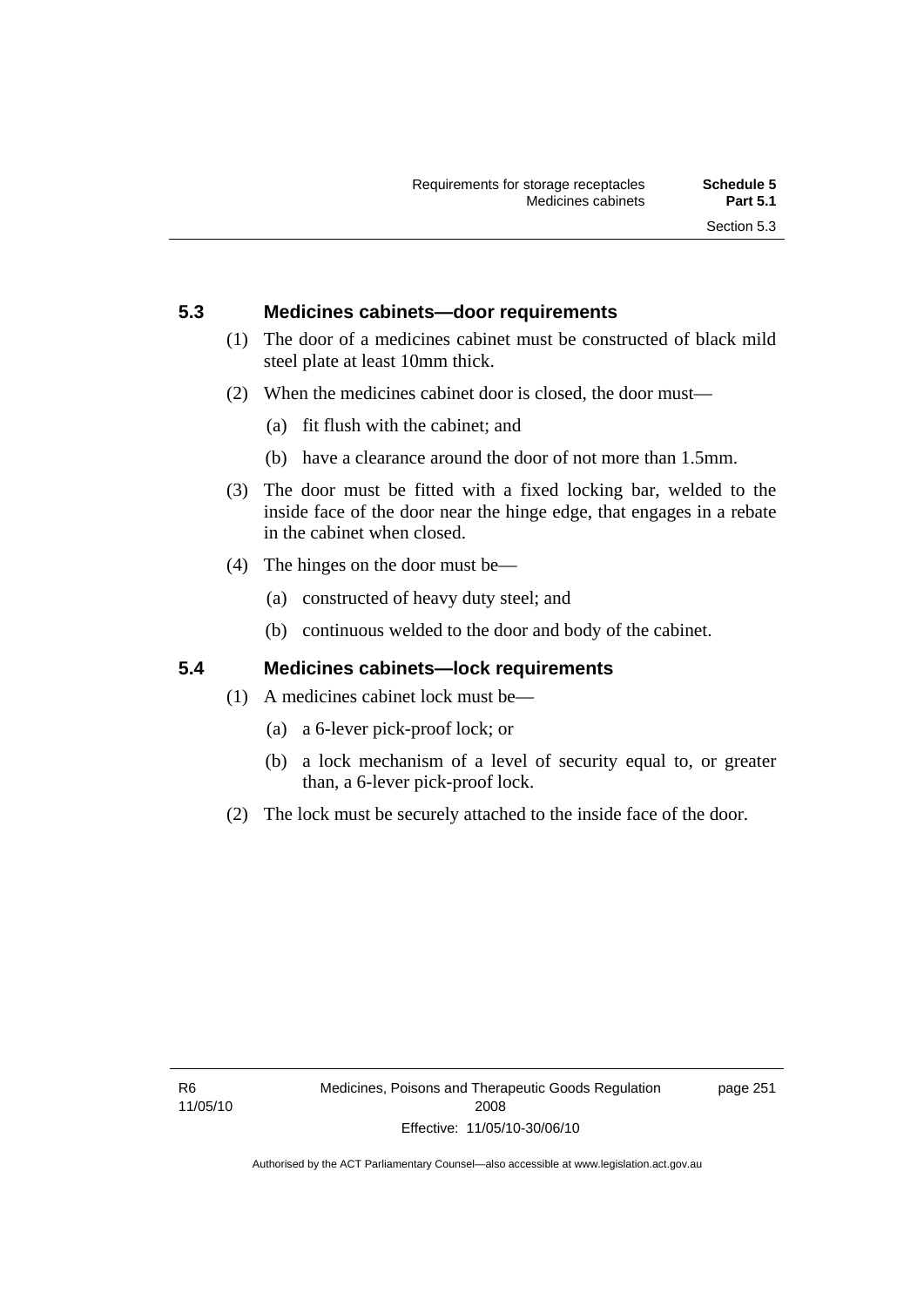#### **5.3 Medicines cabinets—door requirements**

- (1) The door of a medicines cabinet must be constructed of black mild steel plate at least 10mm thick.
- (2) When the medicines cabinet door is closed, the door must—
	- (a) fit flush with the cabinet; and
	- (b) have a clearance around the door of not more than 1.5mm.
- (3) The door must be fitted with a fixed locking bar, welded to the inside face of the door near the hinge edge, that engages in a rebate in the cabinet when closed.
- (4) The hinges on the door must be—
	- (a) constructed of heavy duty steel; and
	- (b) continuous welded to the door and body of the cabinet.

#### **5.4 Medicines cabinets—lock requirements**

- (1) A medicines cabinet lock must be—
	- (a) a 6-lever pick-proof lock; or
	- (b) a lock mechanism of a level of security equal to, or greater than, a 6-lever pick-proof lock.
- (2) The lock must be securely attached to the inside face of the door.

page 251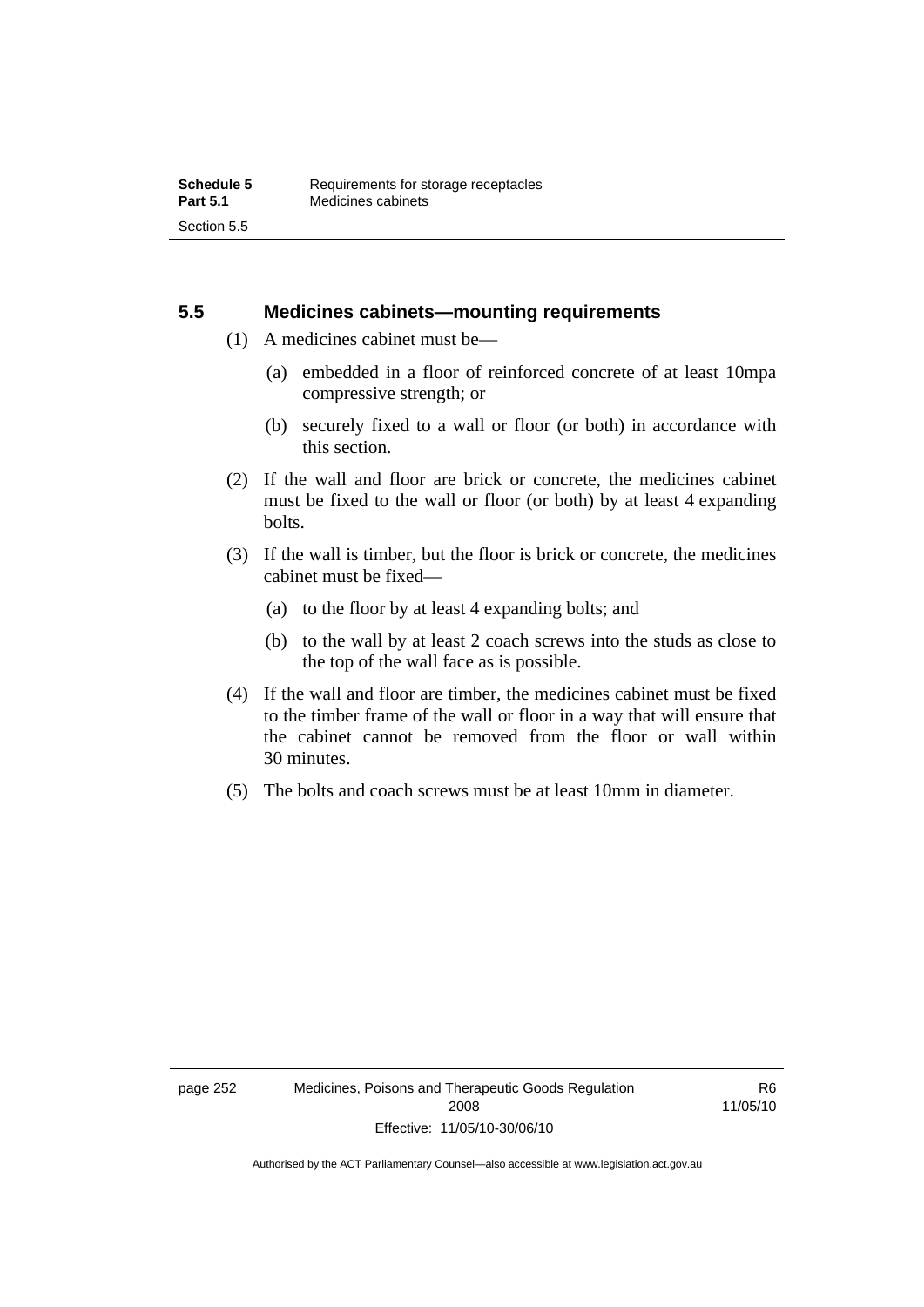#### **5.5 Medicines cabinets—mounting requirements**

- (1) A medicines cabinet must be—
	- (a) embedded in a floor of reinforced concrete of at least 10mpa compressive strength; or
	- (b) securely fixed to a wall or floor (or both) in accordance with this section.
- (2) If the wall and floor are brick or concrete, the medicines cabinet must be fixed to the wall or floor (or both) by at least 4 expanding bolts.
- (3) If the wall is timber, but the floor is brick or concrete, the medicines cabinet must be fixed—
	- (a) to the floor by at least 4 expanding bolts; and
	- (b) to the wall by at least 2 coach screws into the studs as close to the top of the wall face as is possible.
- (4) If the wall and floor are timber, the medicines cabinet must be fixed to the timber frame of the wall or floor in a way that will ensure that the cabinet cannot be removed from the floor or wall within 30 minutes.
- (5) The bolts and coach screws must be at least 10mm in diameter.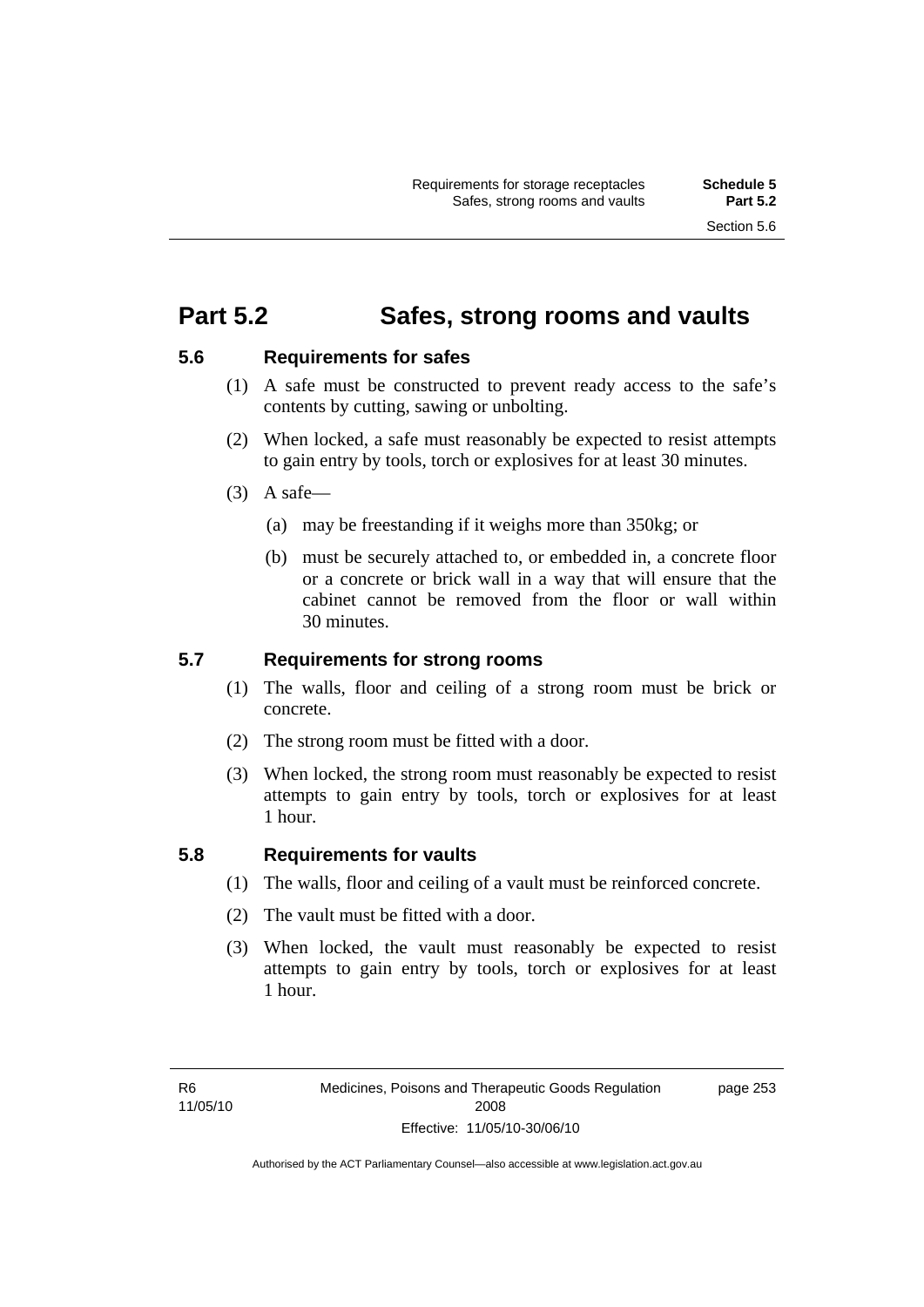### **Part 5.2 Safes, strong rooms and vaults**

#### **5.6 Requirements for safes**

- (1) A safe must be constructed to prevent ready access to the safe's contents by cutting, sawing or unbolting.
- (2) When locked, a safe must reasonably be expected to resist attempts to gain entry by tools, torch or explosives for at least 30 minutes.
- $(3)$  A safe-
	- (a) may be freestanding if it weighs more than 350kg; or
	- (b) must be securely attached to, or embedded in, a concrete floor or a concrete or brick wall in a way that will ensure that the cabinet cannot be removed from the floor or wall within 30 minutes.

#### **5.7 Requirements for strong rooms**

- (1) The walls, floor and ceiling of a strong room must be brick or concrete.
- (2) The strong room must be fitted with a door.
- (3) When locked, the strong room must reasonably be expected to resist attempts to gain entry by tools, torch or explosives for at least 1 hour.

#### **5.8 Requirements for vaults**

- (1) The walls, floor and ceiling of a vault must be reinforced concrete.
- (2) The vault must be fitted with a door.
- (3) When locked, the vault must reasonably be expected to resist attempts to gain entry by tools, torch or explosives for at least 1 hour.

page 253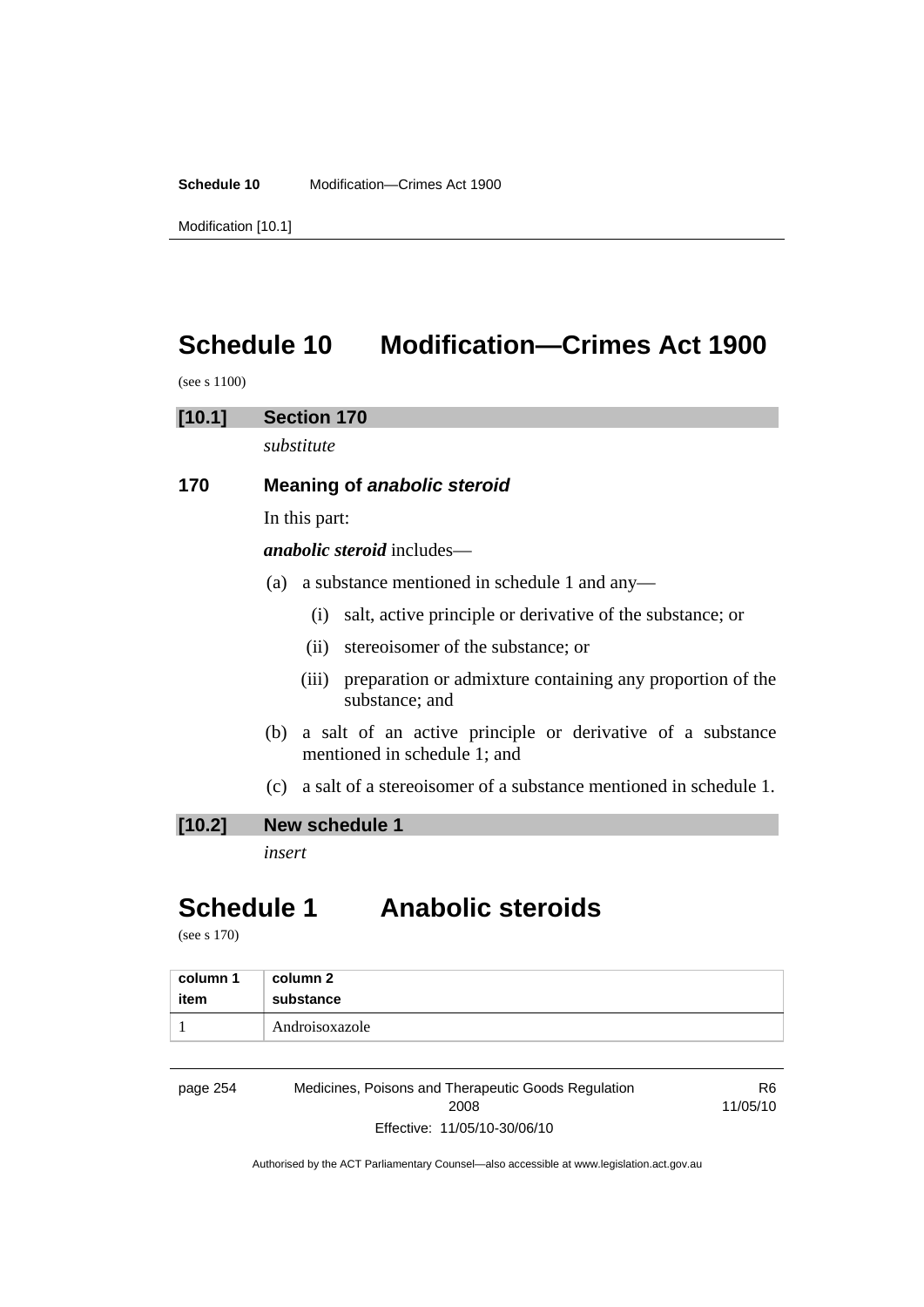**Schedule 10** Modification—Crimes Act 1900

Modification [10.1]

# **Schedule 10 Modification—Crimes Act 1900**

(see s 1100)

#### **[10.1] Section 170**

*substitute* 

#### **170 Meaning of** *anabolic steroid*

In this part:

*anabolic steroid* includes—

- (a) a substance mentioned in schedule 1 and any—
	- (i) salt, active principle or derivative of the substance; or
	- (ii) stereoisomer of the substance; or
	- (iii) preparation or admixture containing any proportion of the substance; and
- (b) a salt of an active principle or derivative of a substance mentioned in schedule 1; and
- (c) a salt of a stereoisomer of a substance mentioned in schedule 1.

#### **[10.2] New schedule 1**

*insert* 

## **Schedule 1 Anabolic steroids**

(see s 170)

| column 1 | column 2       |
|----------|----------------|
| item     | substance      |
|          | Androisoxazole |

page 254 Medicines, Poisons and Therapeutic Goods Regulation 2008 Effective: 11/05/10-30/06/10

R6 11/05/10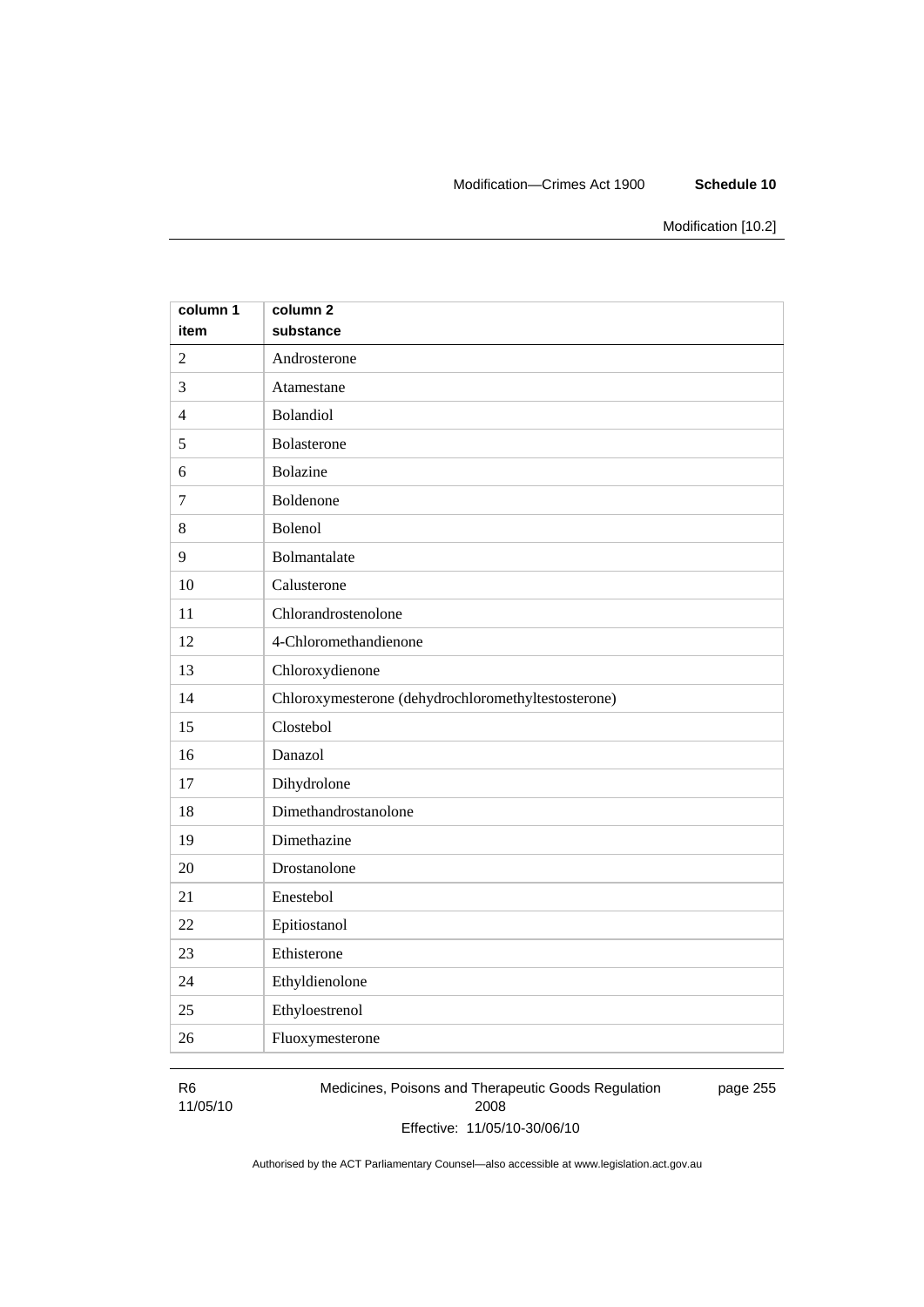#### Modification—Crimes Act 1900 **Schedule 10**

Modification [10.2]

| column 1       | column <sub>2</sub>                                 |
|----------------|-----------------------------------------------------|
| item           | substance                                           |
| $\overline{2}$ | Androsterone                                        |
| 3              | Atamestane                                          |
| $\overline{4}$ | Bolandiol                                           |
| 5              | Bolasterone                                         |
| 6              | <b>Bolazine</b>                                     |
| $\overline{7}$ | Boldenone                                           |
| 8              | Bolenol                                             |
| 9              | Bolmantalate                                        |
| 10             | Calusterone                                         |
| 11             | Chlorandrostenolone                                 |
| 12             | 4-Chloromethandienone                               |
| 13             | Chloroxydienone                                     |
| 14             | Chloroxymesterone (dehydrochloromethyltestosterone) |
| 15             | Clostebol                                           |
| 16             | Danazol                                             |
| 17             | Dihydrolone                                         |
| 18             | Dimethandrostanolone                                |
| 19             | Dimethazine                                         |
| 20             | Drostanolone                                        |
| 21             | Enestebol                                           |
| 22             | Epitiostanol                                        |
| 23             | Ethisterone                                         |
| 24             | Ethyldienolone                                      |
| 25             | Ethyloestrenol                                      |
| 26             | Fluoxymesterone                                     |

### R6

11/05/10

Medicines, Poisons and Therapeutic Goods Regulation 2008 Effective: 11/05/10-30/06/10 page 255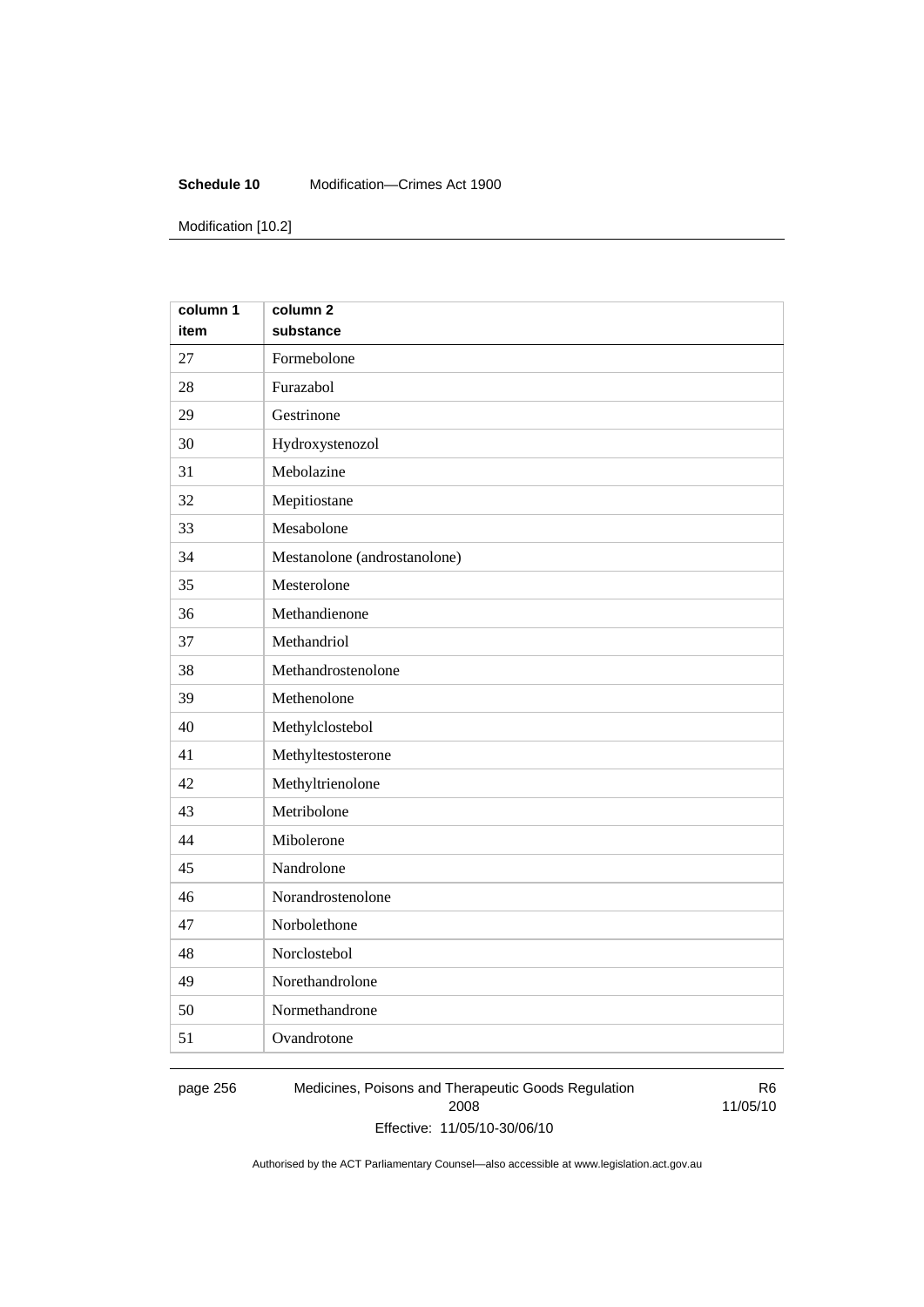#### **Schedule 10** Modification—Crimes Act 1900

Modification [10.2]

| column 1 | column <sub>2</sub>          |
|----------|------------------------------|
| item     | substance                    |
| 27       | Formebolone                  |
| 28       | Furazabol                    |
| 29       | Gestrinone                   |
| 30       | Hydroxystenozol              |
| 31       | Mebolazine                   |
| 32       | Mepitiostane                 |
| 33       | Mesabolone                   |
| 34       | Mestanolone (androstanolone) |
| 35       | Mesterolone                  |
| 36       | Methandienone                |
| 37       | Methandriol                  |
| 38       | Methandrostenolone           |
| 39       | Methenolone                  |
| 40       | Methylclostebol              |
| 41       | Methyltestosterone           |
| 42       | Methyltrienolone             |
| 43       | Metribolone                  |
| 44       | Mibolerone                   |
| 45       | Nandrolone                   |
| 46       | Norandrostenolone            |
| 47       | Norbolethone                 |
| 48       | Norclostebol                 |
| 49       | Norethandrolone              |
| 50       | Normethandrone               |
| 51       | Ovandrotone                  |

page 256 Medicines, Poisons and Therapeutic Goods Regulation 2008 Effective: 11/05/10-30/06/10

R6 11/05/10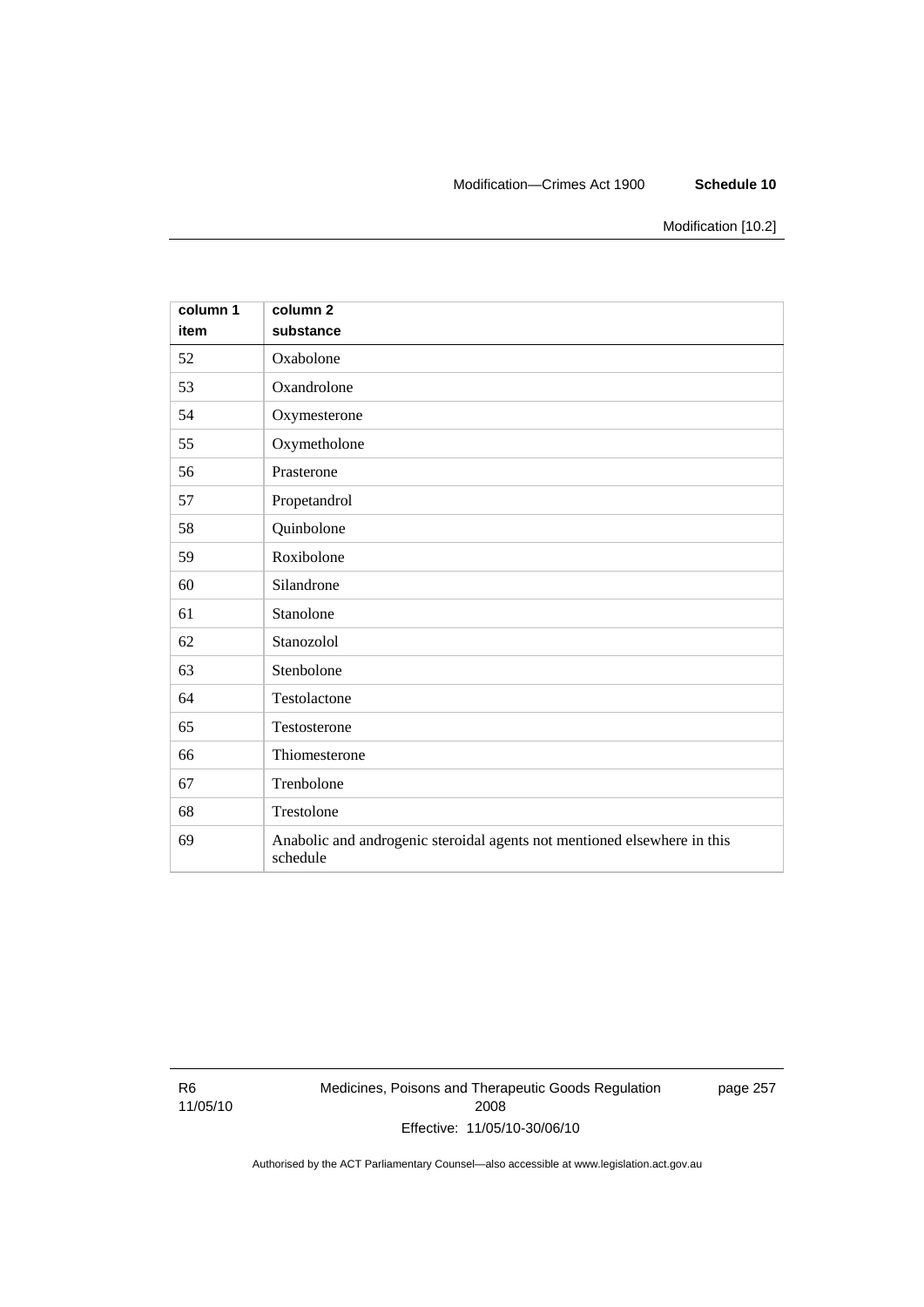#### Modification—Crimes Act 1900 **Schedule 10**

Modification [10.2]

| column 1<br>item | column <sub>2</sub><br>substance                                                     |
|------------------|--------------------------------------------------------------------------------------|
| 52               | Oxabolone                                                                            |
| 53               | Oxandrolone                                                                          |
| 54               | Oxymesterone                                                                         |
| 55               | Oxymetholone                                                                         |
| 56               | Prasterone                                                                           |
| 57               | Propetandrol                                                                         |
| 58               | Quinbolone                                                                           |
| 59               | Roxibolone                                                                           |
| 60               | Silandrone                                                                           |
| 61               | Stanolone                                                                            |
| 62               | Stanozolol                                                                           |
| 63               | Stenbolone                                                                           |
| 64               | Testolactone                                                                         |
| 65               | Testosterone                                                                         |
| 66               | Thiomesterone                                                                        |
| 67               | Trenbolone                                                                           |
| 68               | Trestolone                                                                           |
| 69               | Anabolic and androgenic steroidal agents not mentioned elsewhere in this<br>schedule |

R6 11/05/10 Medicines, Poisons and Therapeutic Goods Regulation 2008 Effective: 11/05/10-30/06/10

page 257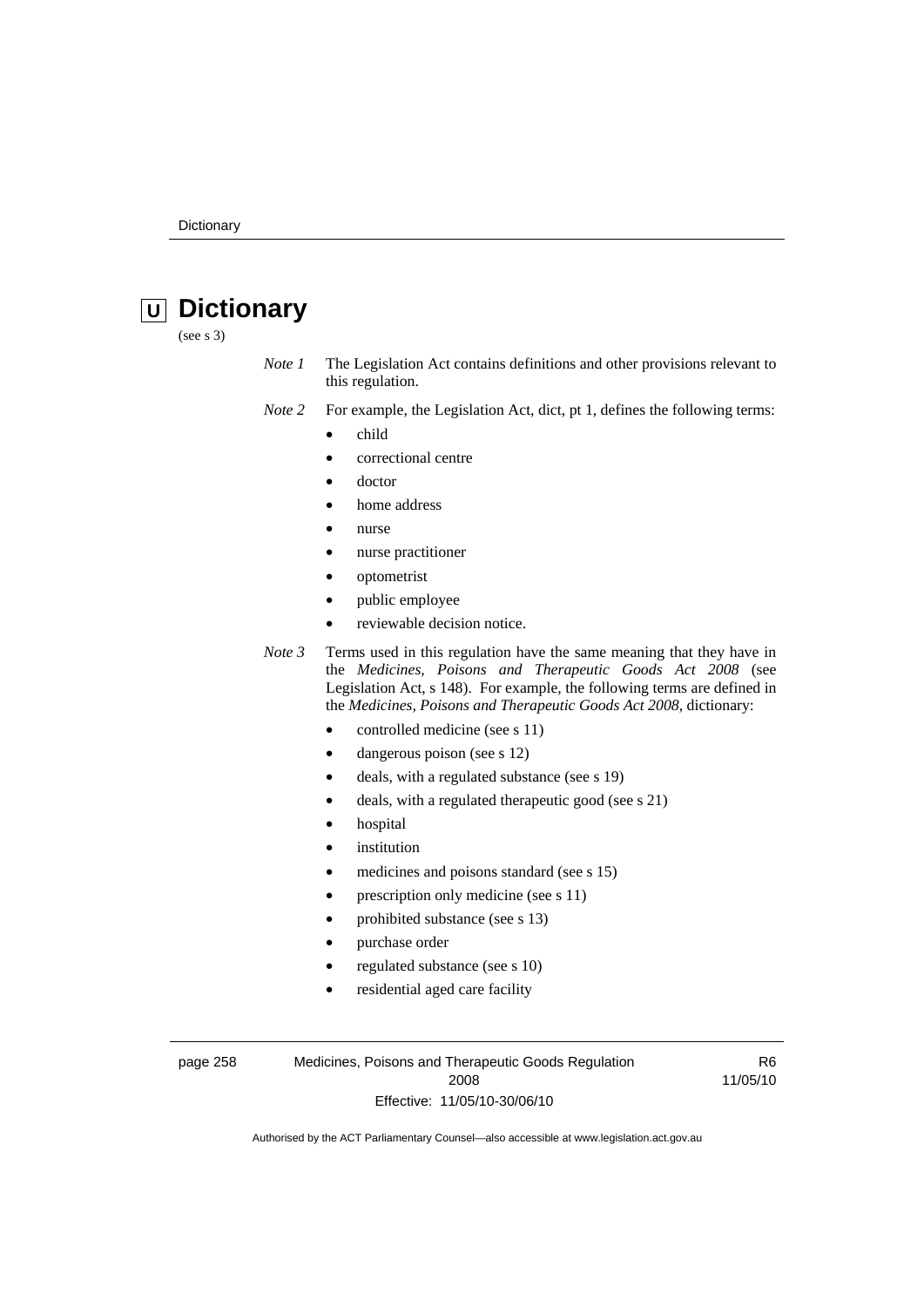# **U Dictionary**

(see s 3)

- *Note 1* The Legislation Act contains definitions and other provisions relevant to this regulation.
- *Note 2* For example, the Legislation Act, dict, pt 1, defines the following terms:
	- child
		- correctional centre
	- doctor
	- home address
	- nurse
	- nurse practitioner
	- optometrist
	- public employee
	- reviewable decision notice.

*Note 3* Terms used in this regulation have the same meaning that they have in the *Medicines, Poisons and Therapeutic Goods Act 2008* (see Legislation Act, s 148). For example, the following terms are defined in the *Medicines, Poisons and Therapeutic Goods Act 2008*, dictionary:

- controlled medicine (see s 11)
- dangerous poison (see s 12)
- deals, with a regulated substance (see s 19)
- deals, with a regulated therapeutic good (see s 21)
- hospital
- *institution*
- medicines and poisons standard (see s 15)
- prescription only medicine (see s 11)
- prohibited substance (see s 13)
- purchase order
- regulated substance (see s 10)
- residential aged care facility

page 258 Medicines, Poisons and Therapeutic Goods Regulation 2008 Effective: 11/05/10-30/06/10

R6 11/05/10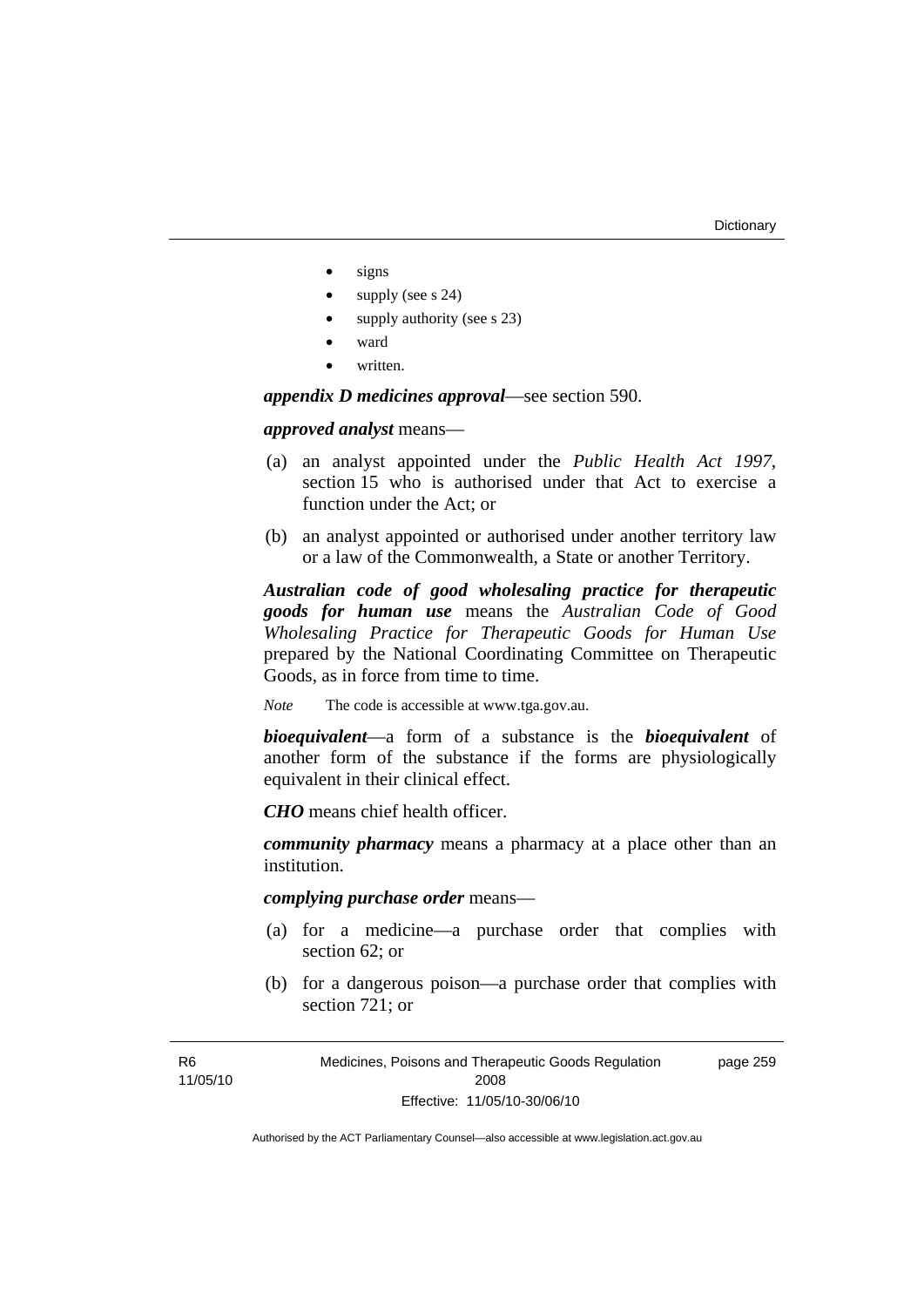- signs
- supply (see s 24)
- supply authority (see s 23)
- ward
- written.

*appendix D medicines approval*—see section 590.

*approved analyst* means—

- (a) an analyst appointed under the *Public Health Act 1997*, section 15 who is authorised under that Act to exercise a function under the Act; or
- (b) an analyst appointed or authorised under another territory law or a law of the Commonwealth, a State or another Territory.

*Australian code of good wholesaling practice for therapeutic goods for human use* means the *Australian Code of Good Wholesaling Practice for Therapeutic Goods for Human Use*  prepared by the National Coordinating Committee on Therapeutic Goods, as in force from time to time.

*Note* The code is accessible at www.tga.gov.au.

*bioequivalent*—a form of a substance is the *bioequivalent* of another form of the substance if the forms are physiologically equivalent in their clinical effect.

*CHO* means chief health officer.

*community pharmacy* means a pharmacy at a place other than an institution.

*complying purchase order* means—

- (a) for a medicine—a purchase order that complies with section 62; or
- (b) for a dangerous poison—a purchase order that complies with section 721; or

Medicines, Poisons and Therapeutic Goods Regulation 2008 Effective: 11/05/10-30/06/10 page 259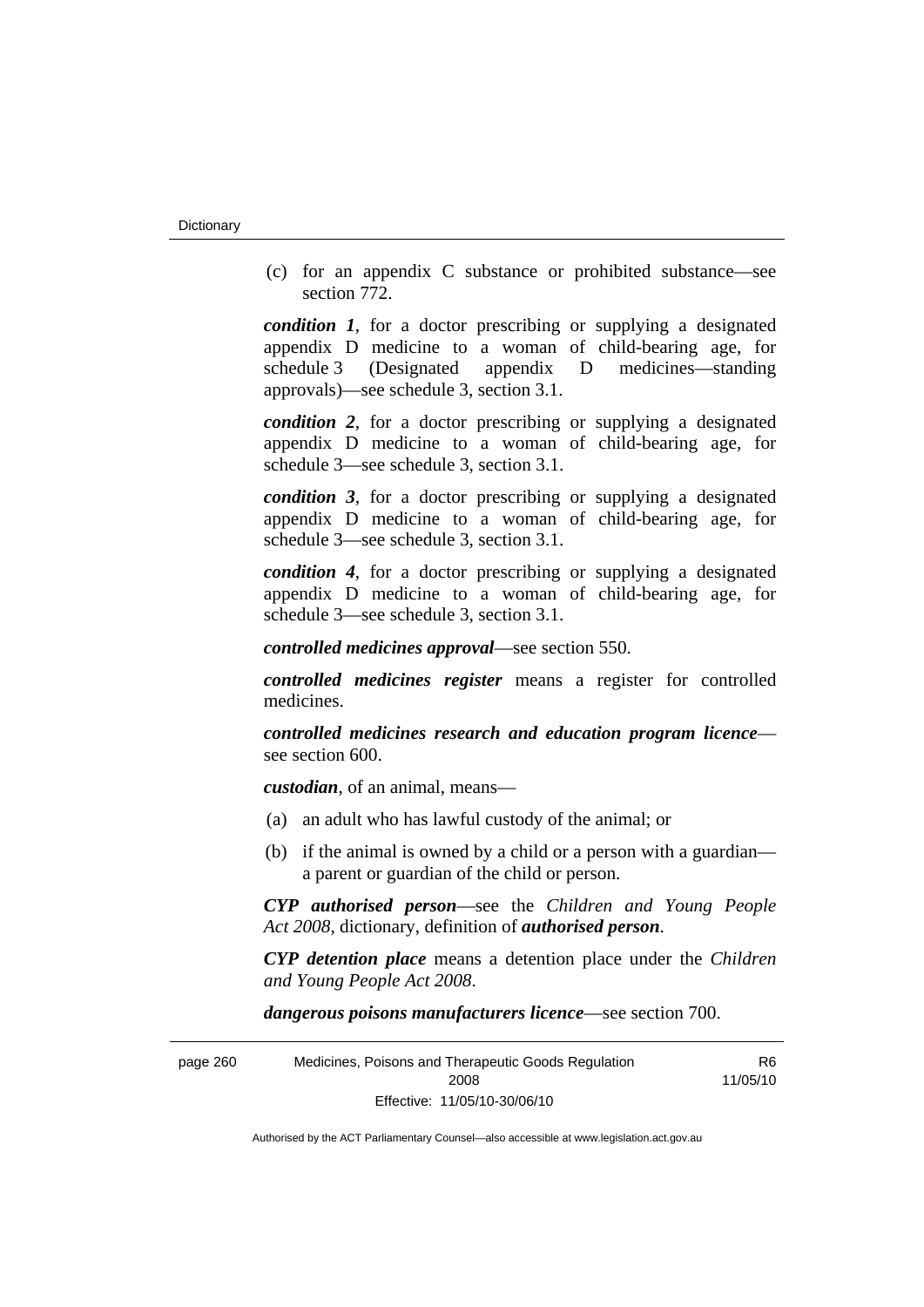(c) for an appendix C substance or prohibited substance—see section 772.

*condition 1*, for a doctor prescribing or supplying a designated appendix D medicine to a woman of child-bearing age, for schedule 3 (Designated appendix D medicines—standing approvals)—see schedule 3, section 3.1.

*condition 2*, for a doctor prescribing or supplying a designated appendix D medicine to a woman of child-bearing age, for schedule 3—see schedule 3, section 3.1.

*condition 3*, for a doctor prescribing or supplying a designated appendix D medicine to a woman of child-bearing age, for schedule 3—see schedule 3, section 3.1.

*condition 4*, for a doctor prescribing or supplying a designated appendix D medicine to a woman of child-bearing age, for schedule 3—see schedule 3, section 3.1.

*controlled medicines approval*—see section 550.

*controlled medicines register* means a register for controlled medicines.

*controlled medicines research and education program licence* see section 600.

*custodian*, of an animal, means—

- (a) an adult who has lawful custody of the animal; or
- (b) if the animal is owned by a child or a person with a guardian a parent or guardian of the child or person.

*CYP authorised person*—see the *Children and Young People Act 2008*, dictionary, definition of *authorised person*.

*CYP detention place* means a detention place under the *Children and Young People Act 2008*.

*dangerous poisons manufacturers licence*—see section 700.

| page 260 | Medicines, Poisons and Therapeutic Goods Regulation | R6       |
|----------|-----------------------------------------------------|----------|
|          | 2008                                                | 11/05/10 |
|          | Effective: 11/05/10-30/06/10                        |          |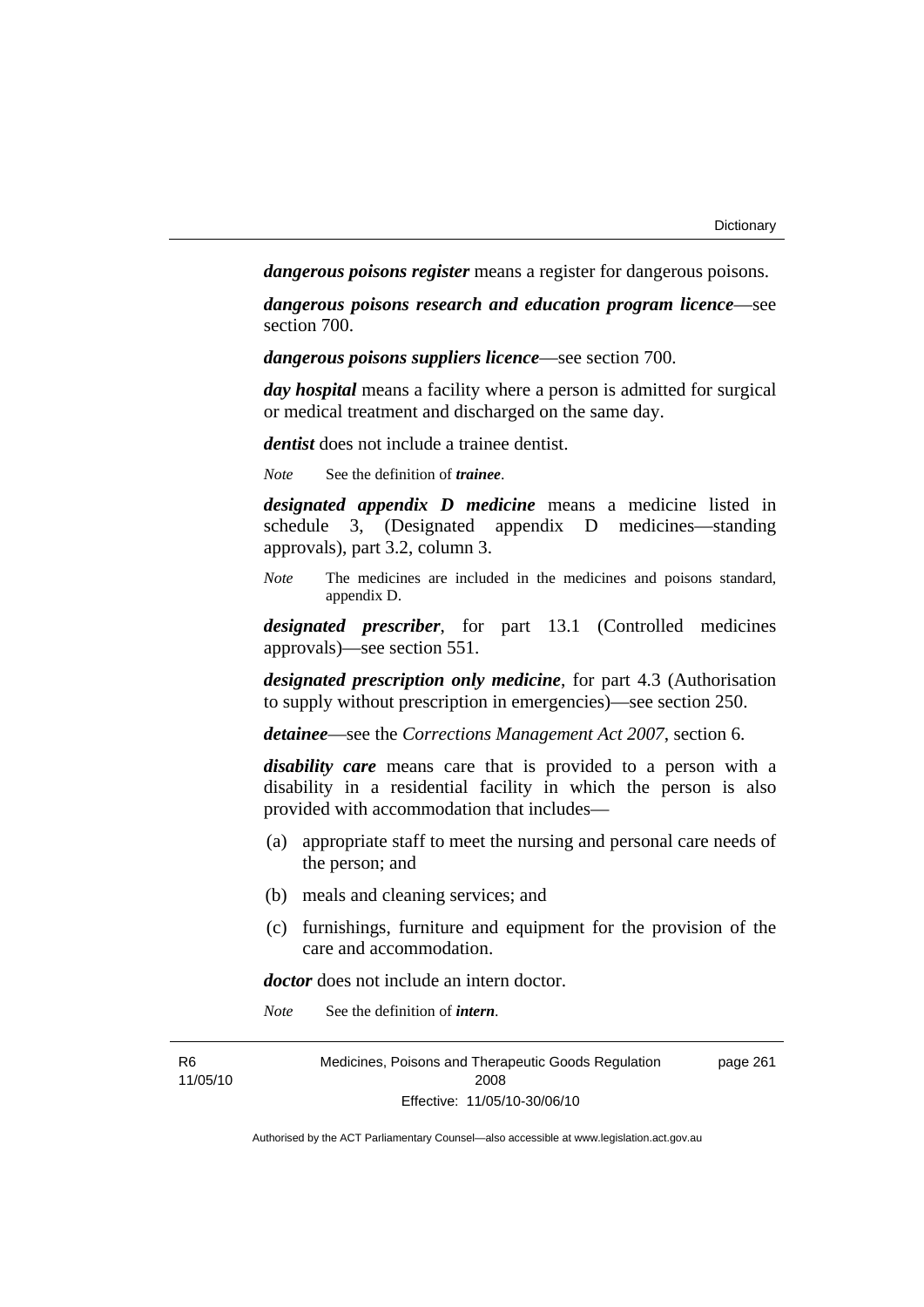*dangerous poisons register* means a register for dangerous poisons.

*dangerous poisons research and education program licence*—see section 700.

*dangerous poisons suppliers licence*—see section 700.

*day hospital* means a facility where a person is admitted for surgical or medical treatment and discharged on the same day.

*dentist* does not include a trainee dentist.

*Note* See the definition of *trainee*.

*designated appendix D medicine* means a medicine listed in schedule 3, (Designated appendix D medicines—standing approvals), part 3.2, column 3.

*Note* The medicines are included in the medicines and poisons standard, appendix D.

*designated prescriber*, for part 13.1 (Controlled medicines approvals)—see section 551.

*designated prescription only medicine*, for part 4.3 (Authorisation to supply without prescription in emergencies)—see section 250.

*detainee*—see the *Corrections Management Act 2007*, section 6.

*disability care* means care that is provided to a person with a disability in a residential facility in which the person is also provided with accommodation that includes—

- (a) appropriate staff to meet the nursing and personal care needs of the person; and
- (b) meals and cleaning services; and
- (c) furnishings, furniture and equipment for the provision of the care and accommodation.

*doctor* does not include an intern doctor.

*Note* See the definition of *intern*.

| R6       | Medicines, Poisons and Therapeutic Goods Regulation | page 261 |
|----------|-----------------------------------------------------|----------|
| 11/05/10 | 2008                                                |          |
|          | Effective: 11/05/10-30/06/10                        |          |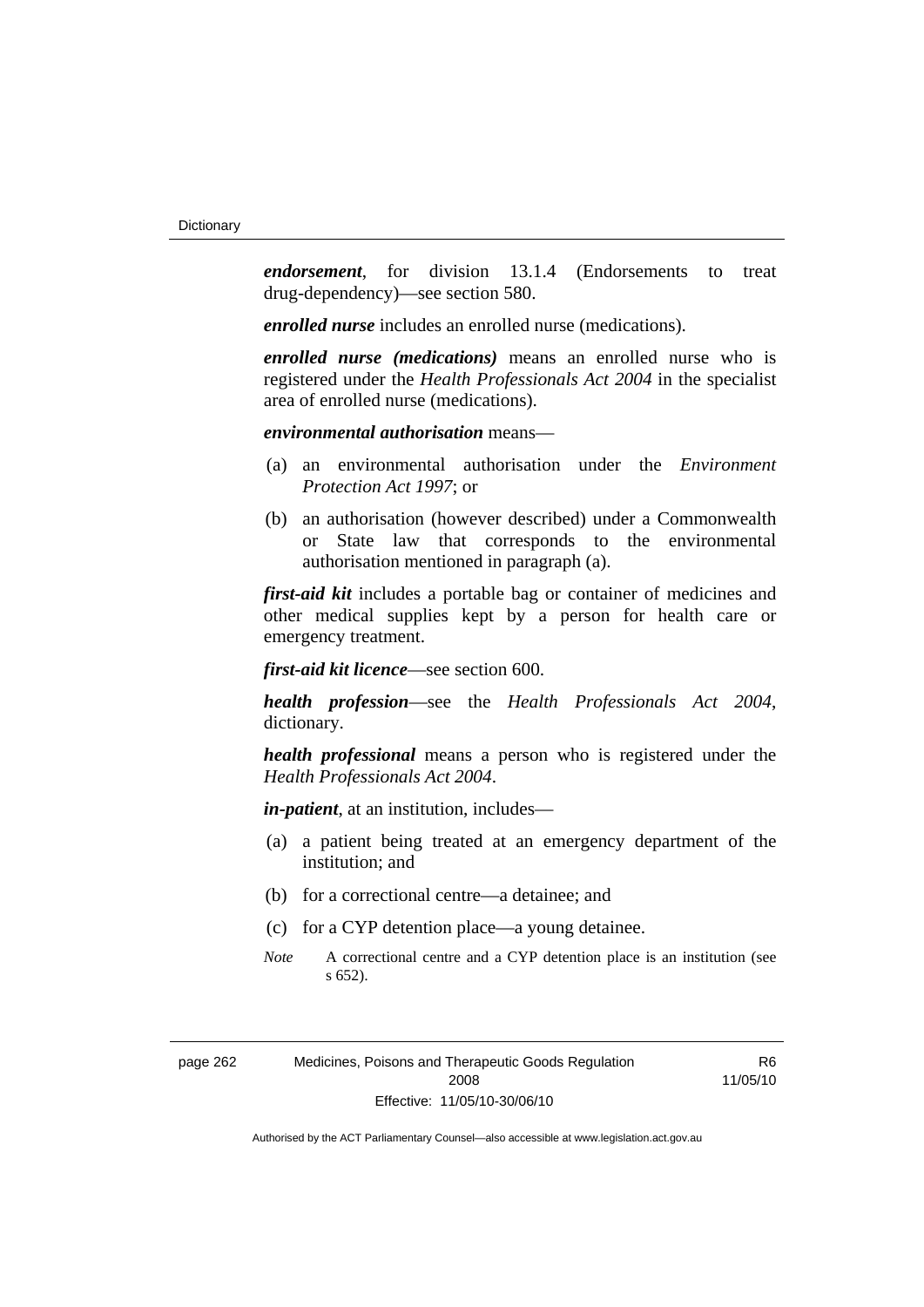*endorsement*, for division 13.1.4 (Endorsements to treat drug-dependency)—see section 580.

*enrolled nurse* includes an enrolled nurse (medications).

*enrolled nurse (medications)* means an enrolled nurse who is registered under the *Health Professionals Act 2004* in the specialist area of enrolled nurse (medications).

#### *environmental authorisation* means—

- (a) an environmental authorisation under the *Environment Protection Act 1997*; or
- (b) an authorisation (however described) under a Commonwealth or State law that corresponds to the environmental authorisation mentioned in paragraph (a).

*first-aid kit* includes a portable bag or container of medicines and other medical supplies kept by a person for health care or emergency treatment.

*first-aid kit licence*—see section 600.

*health profession*—see the *Health Professionals Act 2004*, dictionary.

*health professional* means a person who is registered under the *Health Professionals Act 2004*.

*in-patient*, at an institution, includes—

- (a) a patient being treated at an emergency department of the institution; and
- (b) for a correctional centre—a detainee; and
- (c) for a CYP detention place—a young detainee.
- *Note* A correctional centre and a CYP detention place is an institution (see s 652).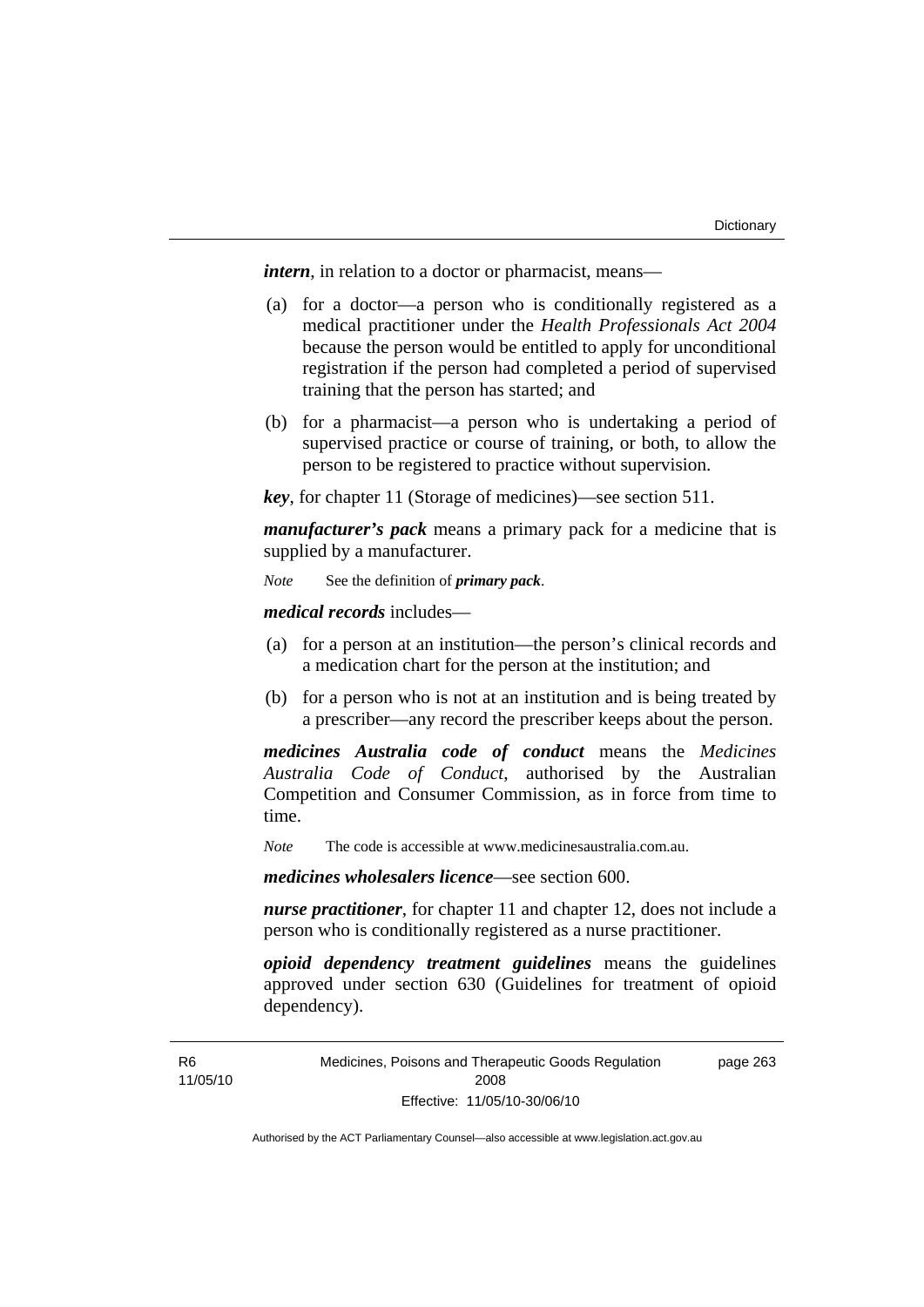*intern*, in relation to a doctor or pharmacist, means—

- (a) for a doctor—a person who is conditionally registered as a medical practitioner under the *Health Professionals Act 2004* because the person would be entitled to apply for unconditional registration if the person had completed a period of supervised training that the person has started; and
- (b) for a pharmacist—a person who is undertaking a period of supervised practice or course of training, or both, to allow the person to be registered to practice without supervision.

*key*, for chapter 11 (Storage of medicines)—see section 511.

*manufacturer's pack* means a primary pack for a medicine that is supplied by a manufacturer.

*Note* See the definition of *primary pack*.

*medical records* includes—

- (a) for a person at an institution—the person's clinical records and a medication chart for the person at the institution; and
- (b) for a person who is not at an institution and is being treated by a prescriber—any record the prescriber keeps about the person.

*medicines Australia code of conduct* means the *Medicines Australia Code of Conduct*, authorised by the Australian Competition and Consumer Commission, as in force from time to time.

*Note* The code is accessible at www.medicinesaustralia.com.au.

*medicines wholesalers licence*—see section 600.

*nurse practitioner*, for chapter 11 and chapter 12, does not include a person who is conditionally registered as a nurse practitioner.

*opioid dependency treatment guidelines* means the guidelines approved under section 630 (Guidelines for treatment of opioid dependency).

Medicines, Poisons and Therapeutic Goods Regulation 2008 Effective: 11/05/10-30/06/10 page 263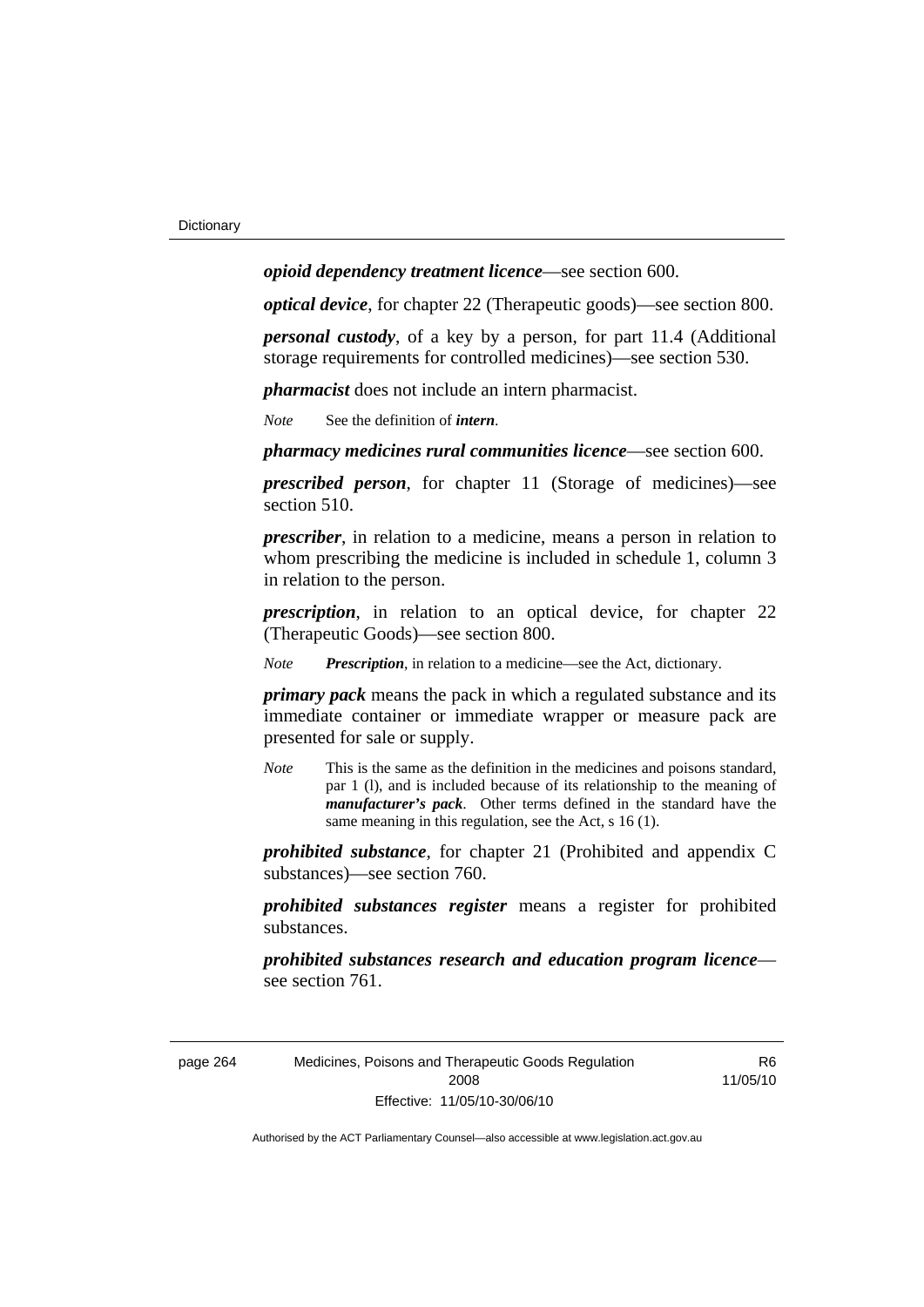*opioid dependency treatment licence*—see section 600.

*optical device*, for chapter 22 (Therapeutic goods)—see section 800.

*personal custody*, of a key by a person, for part 11.4 (Additional storage requirements for controlled medicines)—see section 530.

*pharmacist* does not include an intern pharmacist.

*Note* See the definition of *intern*.

*pharmacy medicines rural communities licence*—see section 600.

*prescribed person*, for chapter 11 (Storage of medicines)—see section 510.

*prescriber*, in relation to a medicine, means a person in relation to whom prescribing the medicine is included in schedule 1, column 3 in relation to the person.

*prescription*, in relation to an optical device, for chapter 22 (Therapeutic Goods)—see section 800.

*Note Prescription*, in relation to a medicine—see the Act, dictionary.

*primary pack* means the pack in which a regulated substance and its immediate container or immediate wrapper or measure pack are presented for sale or supply.

*Note* This is the same as the definition in the medicines and poisons standard, par 1 (l), and is included because of its relationship to the meaning of *manufacturer's pack*. Other terms defined in the standard have the same meaning in this regulation, see the Act, s 16 (1).

*prohibited substance*, for chapter 21 (Prohibited and appendix C substances)—see section 760.

*prohibited substances register* means a register for prohibited substances.

*prohibited substances research and education program licence* see section 761.

page 264 Medicines, Poisons and Therapeutic Goods Regulation 2008 Effective: 11/05/10-30/06/10

R<sub>6</sub> 11/05/10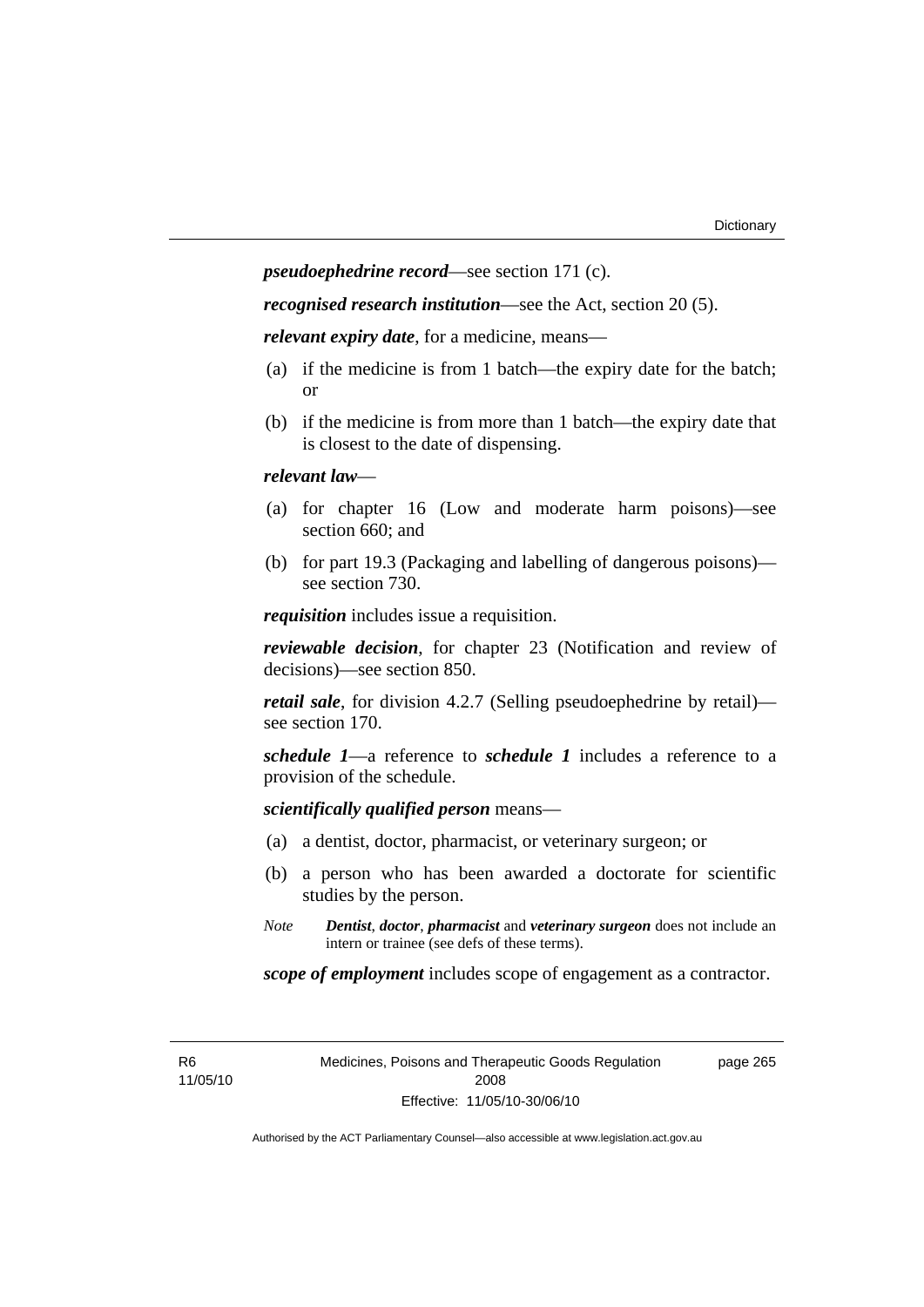*pseudoephedrine record*—see section 171 (c).

*recognised research institution*—see the Act, section 20 (5).

*relevant expiry date*, for a medicine, means—

- (a) if the medicine is from 1 batch—the expiry date for the batch; or
- (b) if the medicine is from more than 1 batch—the expiry date that is closest to the date of dispensing.

#### *relevant law*—

- (a) for chapter 16 (Low and moderate harm poisons)—see section 660; and
- (b) for part 19.3 (Packaging and labelling of dangerous poisons) see section 730.

*requisition* includes issue a requisition.

*reviewable decision*, for chapter 23 (Notification and review of decisions)—see section 850.

*retail sale*, for division 4.2.7 (Selling pseudoephedrine by retail) see section 170.

*schedule 1*—a reference to *schedule 1* includes a reference to a provision of the schedule.

*scientifically qualified person* means—

- (a) a dentist, doctor, pharmacist, or veterinary surgeon; or
- (b) a person who has been awarded a doctorate for scientific studies by the person.
- *Note Dentist*, *doctor*, *pharmacist* and *veterinary surgeon* does not include an intern or trainee (see defs of these terms).

*scope of employment* includes scope of engagement as a contractor.

R6 11/05/10 Medicines, Poisons and Therapeutic Goods Regulation 2008 Effective: 11/05/10-30/06/10

page 265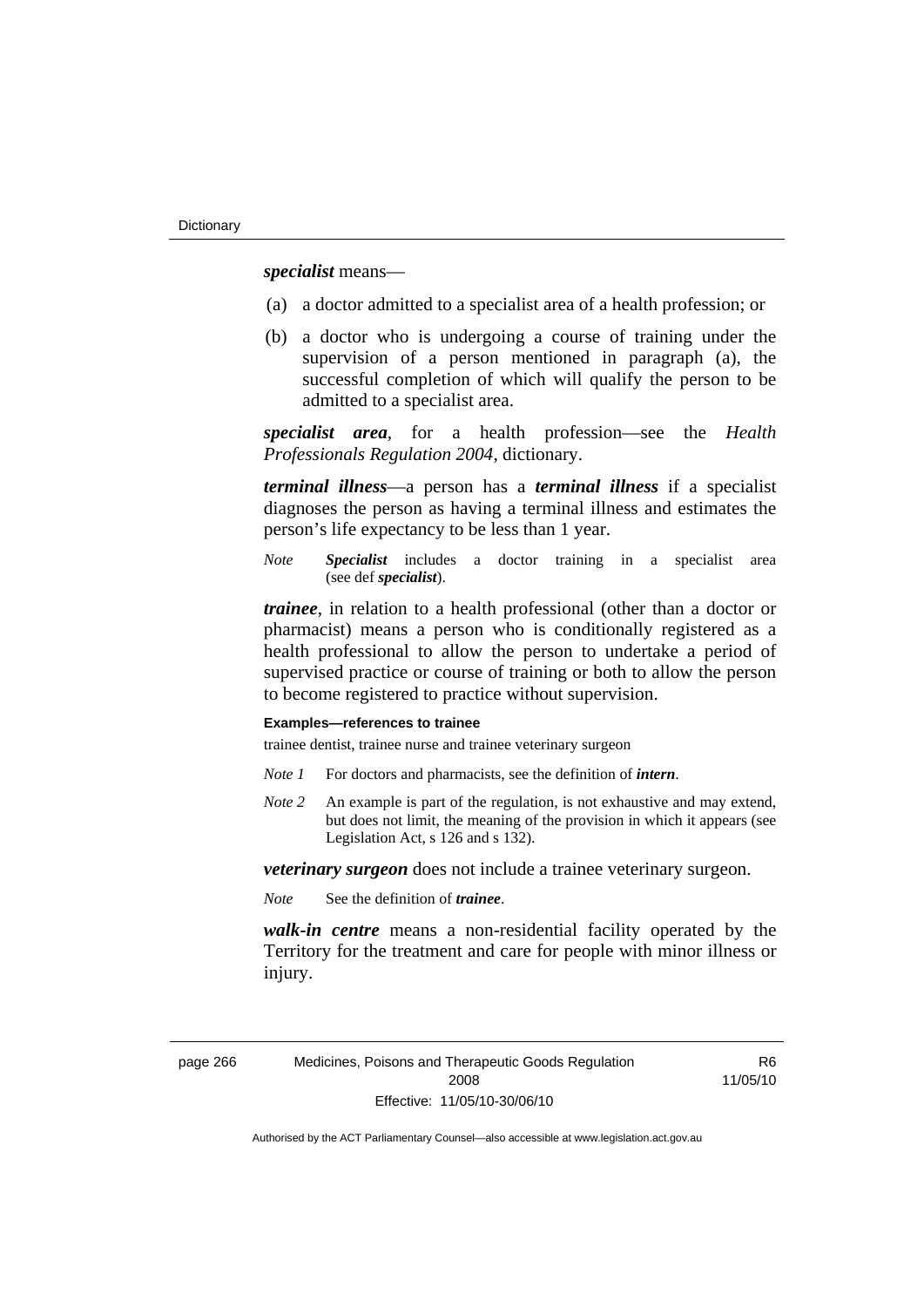*specialist* means—

- (a) a doctor admitted to a specialist area of a health profession; or
- (b) a doctor who is undergoing a course of training under the supervision of a person mentioned in paragraph (a), the successful completion of which will qualify the person to be admitted to a specialist area.

*specialist area*, for a health profession—see the *Health Professionals Regulation 2004*, dictionary.

*terminal illness*—a person has a *terminal illness* if a specialist diagnoses the person as having a terminal illness and estimates the person's life expectancy to be less than 1 year.

*Note Specialist* includes a doctor training in a specialist area (see def *specialist*).

*trainee*, in relation to a health professional (other than a doctor or pharmacist) means a person who is conditionally registered as a health professional to allow the person to undertake a period of supervised practice or course of training or both to allow the person to become registered to practice without supervision.

#### **Examples—references to trainee**

trainee dentist, trainee nurse and trainee veterinary surgeon

- *Note 1* For doctors and pharmacists, see the definition of *intern*.
- *Note 2* An example is part of the regulation, is not exhaustive and may extend, but does not limit, the meaning of the provision in which it appears (see Legislation Act, s 126 and s 132).

*veterinary surgeon* does not include a trainee veterinary surgeon.

*Note* See the definition of *trainee*.

*walk-in centre* means a non-residential facility operated by the Territory for the treatment and care for people with minor illness or injury.

**R<sub>6</sub>** 11/05/10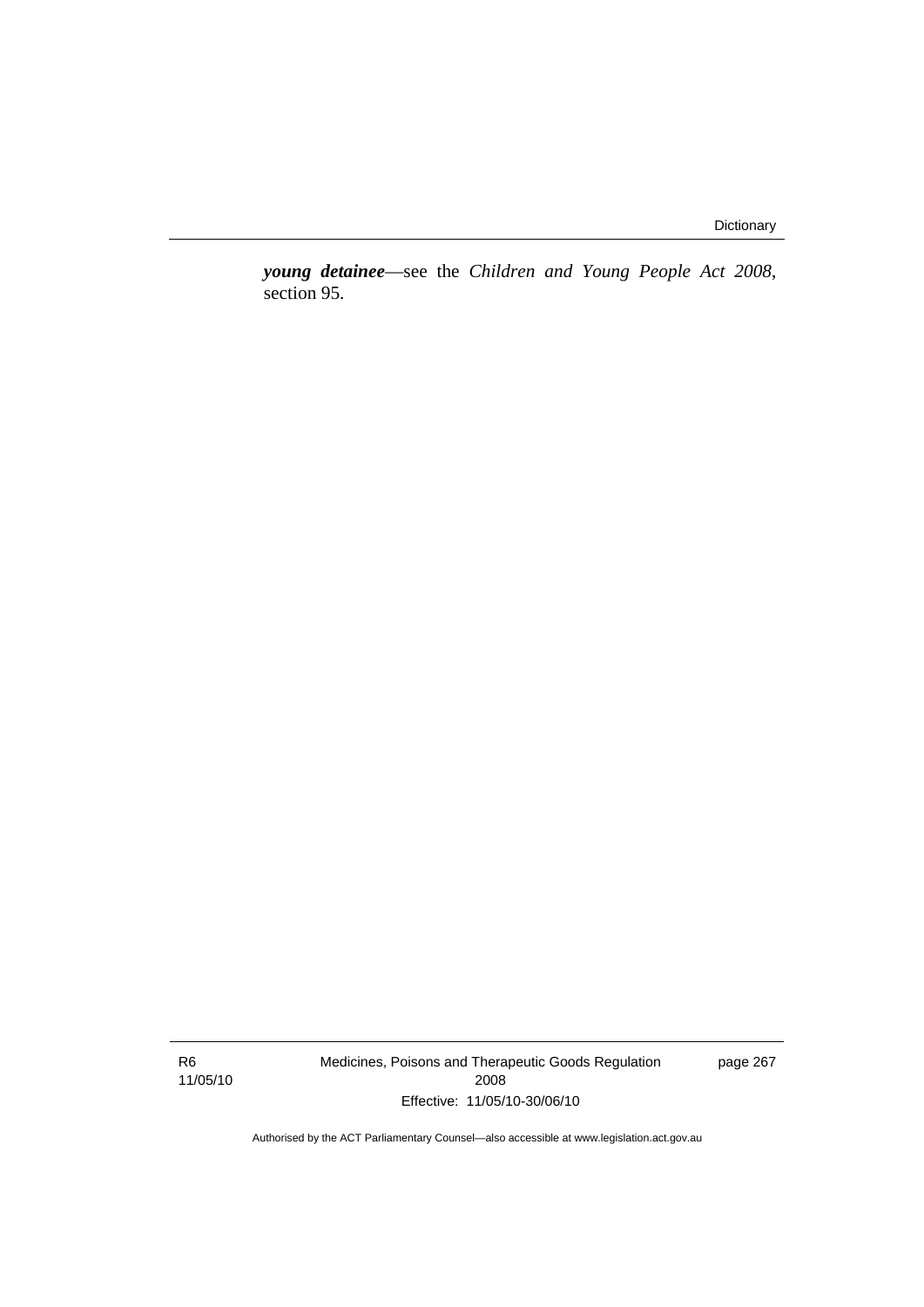*young detainee*—see the *Children and Young People Act 2008*, section 95.

R6 11/05/10 Medicines, Poisons and Therapeutic Goods Regulation 2008 Effective: 11/05/10-30/06/10

page 267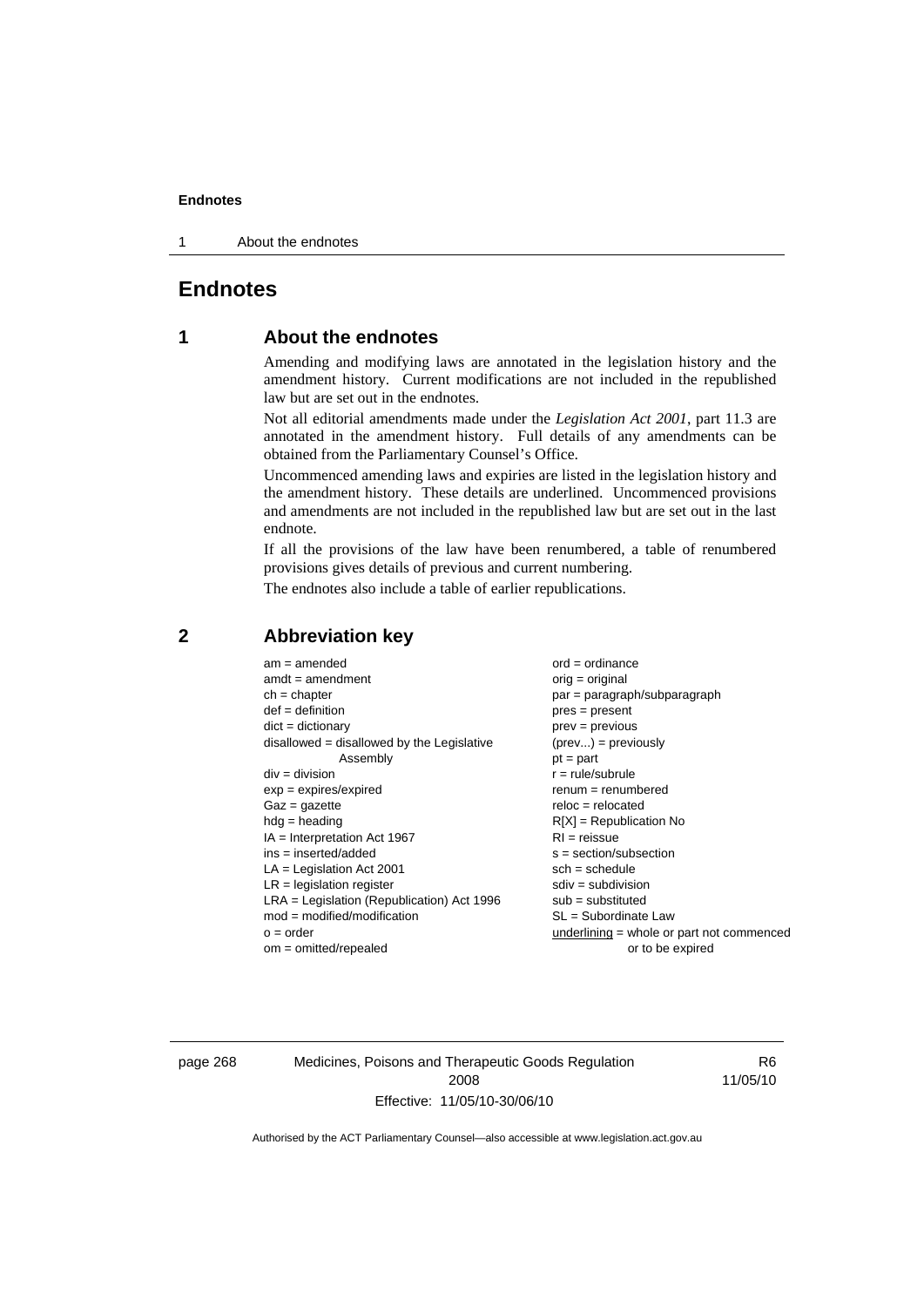1 About the endnotes

# **Endnotes**

# **1 About the endnotes**

Amending and modifying laws are annotated in the legislation history and the amendment history. Current modifications are not included in the republished law but are set out in the endnotes.

Not all editorial amendments made under the *Legislation Act 2001*, part 11.3 are annotated in the amendment history. Full details of any amendments can be obtained from the Parliamentary Counsel's Office.

Uncommenced amending laws and expiries are listed in the legislation history and the amendment history. These details are underlined. Uncommenced provisions and amendments are not included in the republished law but are set out in the last endnote.

If all the provisions of the law have been renumbered, a table of renumbered provisions gives details of previous and current numbering.

The endnotes also include a table of earlier republications.

| $am = amended$                               | $ord = ordinance$                         |
|----------------------------------------------|-------------------------------------------|
| $amdt = amendment$                           | $orig = original$                         |
| $ch = chapter$                               | $par = paragraph/subparagraph$            |
| $def = definition$                           | $pres = present$                          |
| $dict = dictionary$                          | $prev = previous$                         |
| $disallowed = disallowed by the Legislative$ | $(\text{prev}) = \text{previously}$       |
| Assembly                                     | $pt = part$                               |
| $div = division$                             | $r = rule/subrule$                        |
| $exp = expires/expired$                      | $renum = renumbered$                      |
| $Gaz = gazette$                              | $reloc = relocated$                       |
| $hdg =$ heading                              | $R[X]$ = Republication No                 |
| $IA = Interpretation Act 1967$               | $RI = reissue$                            |
| $ins = inserted/added$                       | $s = section/subsection$                  |
| $LA =$ Legislation Act 2001                  | $sch = schedule$                          |
| $LR =$ legislation register                  | $sdiv = subdivision$                      |
| $LRA =$ Legislation (Republication) Act 1996 | $sub =$ substituted                       |
| $mod = modified/modification$                | $SL = Subordinate$ Law                    |
| $o = order$                                  | underlining = whole or part not commenced |
| $om = omitted/report$                        | or to be expired                          |
|                                              |                                           |

# **2 Abbreviation key**

page 268 Medicines, Poisons and Therapeutic Goods Regulation 2008 Effective: 11/05/10-30/06/10

R6 11/05/10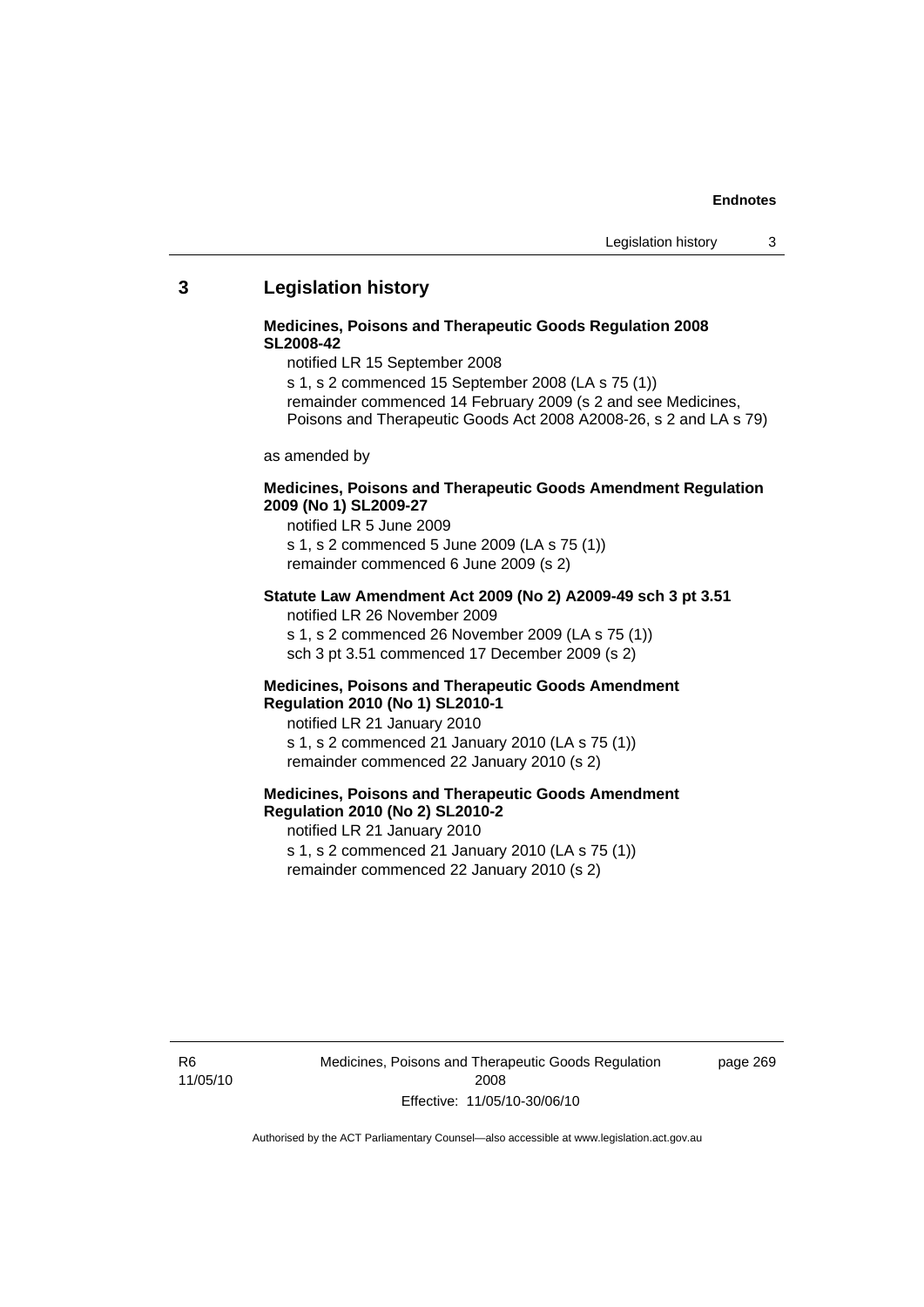### **3 Legislation history**

#### **Medicines, Poisons and Therapeutic Goods Regulation 2008 SL2008-42**

notified LR 15 September 2008

s 1, s 2 commenced 15 September 2008 (LA s 75 (1)) remainder commenced 14 February 2009 (s 2 and see Medicines, Poisons and Therapeutic Goods Act 2008 A2008-26, s 2 and LA s 79)

as amended by

#### **Medicines, Poisons and Therapeutic Goods Amendment Regulation 2009 (No 1) SL2009-27**

notified LR 5 June 2009 s 1, s 2 commenced 5 June 2009 (LA s 75 (1)) remainder commenced 6 June 2009 (s 2)

#### **Statute Law Amendment Act 2009 (No 2) A2009-49 sch 3 pt 3.51**  notified LR 26 November 2009

s 1, s 2 commenced 26 November 2009 (LA s 75 (1)) sch 3 pt 3.51 commenced 17 December 2009 (s 2)

#### **Medicines, Poisons and Therapeutic Goods Amendment Regulation 2010 (No 1) SL2010-1**

notified LR 21 January 2010 s 1, s 2 commenced 21 January 2010 (LA s 75 (1)) remainder commenced 22 January 2010 (s 2)

# **Medicines, Poisons and Therapeutic Goods Amendment Regulation 2010 (No 2) SL2010-2**

notified LR 21 January 2010 s 1, s 2 commenced 21 January 2010 (LA s 75 (1)) remainder commenced 22 January 2010 (s 2)

R6 11/05/10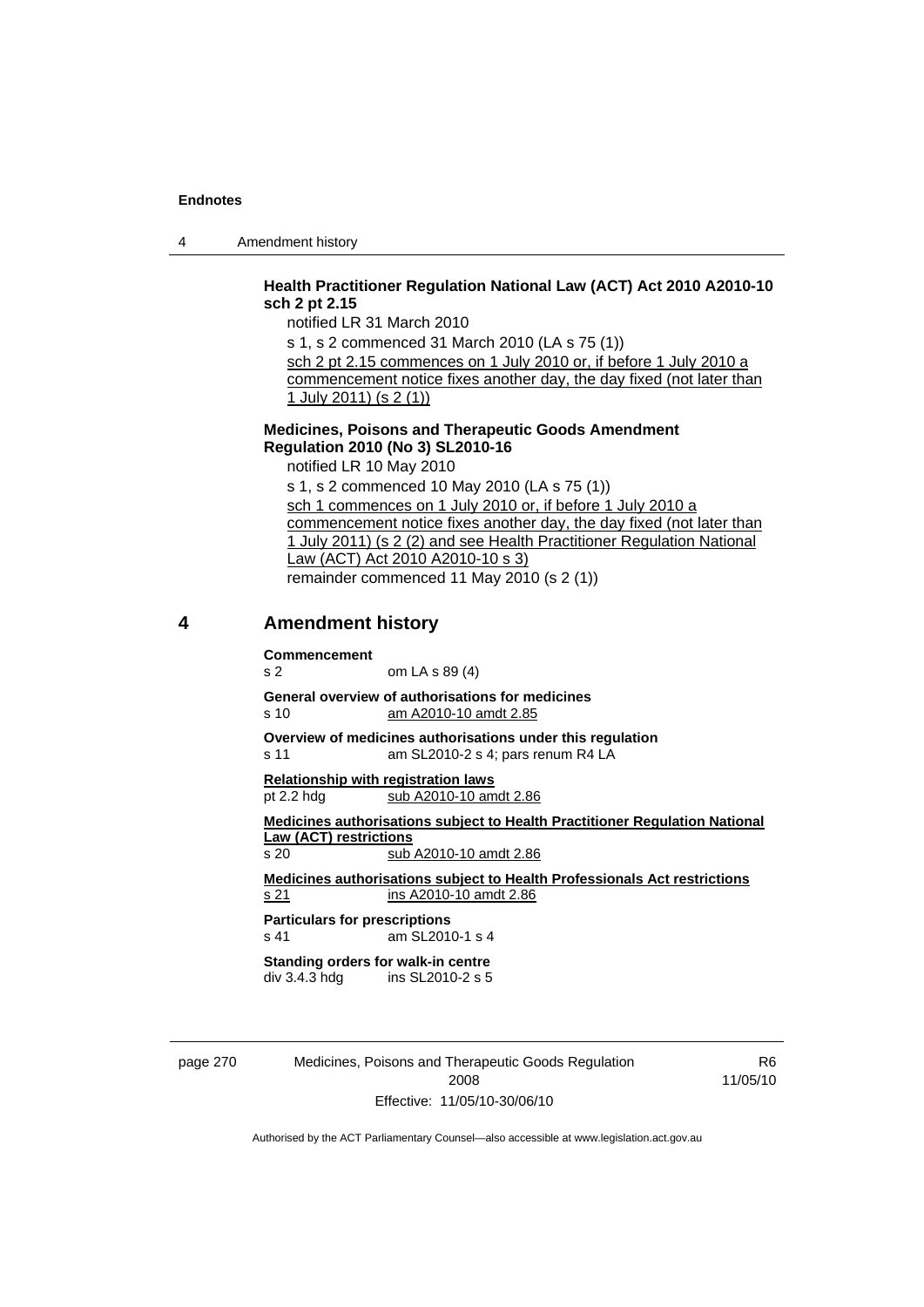4 Amendment history

### **Health Practitioner Regulation National Law (ACT) Act 2010 A2010-10 sch 2 pt 2.15**

notified LR 31 March 2010

s 1, s 2 commenced 31 March 2010 (LA s 75 (1)) sch 2 pt 2.15 commences on 1 July 2010 or, if before 1 July 2010 a

commencement notice fixes another day, the day fixed (not later than 1 July 2011) (s 2 (1))

#### **Medicines, Poisons and Therapeutic Goods Amendment Regulation 2010 (No 3) SL2010-16**

notified LR 10 May 2010 s 1, s 2 commenced 10 May 2010 (LA s 75 (1)) sch 1 commences on 1 July 2010 or, if before 1 July 2010 a commencement notice fixes another day, the day fixed (not later than 1 July 2011) (s 2 (2) and see Health Practitioner Regulation National Law (ACT) Act 2010 A2010-10 s 3) remainder commenced 11 May 2010 (s 2 (1))

#### **4 Amendment history**

#### **Commencement**

s 2 om LA s 89 (4)

**General overview of authorisations for medicines**  s 10 am A2010-10 amdt 2.85

**Overview of medicines authorisations under this regulation** 

s 11 am SL2010-2 s 4; pars renum R4 LA

**Relationship with registration laws** pt 2.2 hdg sub A2010-10 amdt 2.86

**Medicines authorisations subject to Health Practitioner Regulation National Law (ACT) restrictions** s 20 sub A2010-10 amdt 2.86

**Medicines authorisations subject to Health Professionals Act restrictions** s 21 ins A2010-10 amdt 2.86

**Particulars for prescriptions**  s 41 am SL2010-1 s 4

**Standing orders for walk-in centre div 3.4.3 hdd** ins SL2010-2 s 5 ins SL2010-2 s 5

page 270 Medicines, Poisons and Therapeutic Goods Regulation 2008 Effective: 11/05/10-30/06/10

R6 11/05/10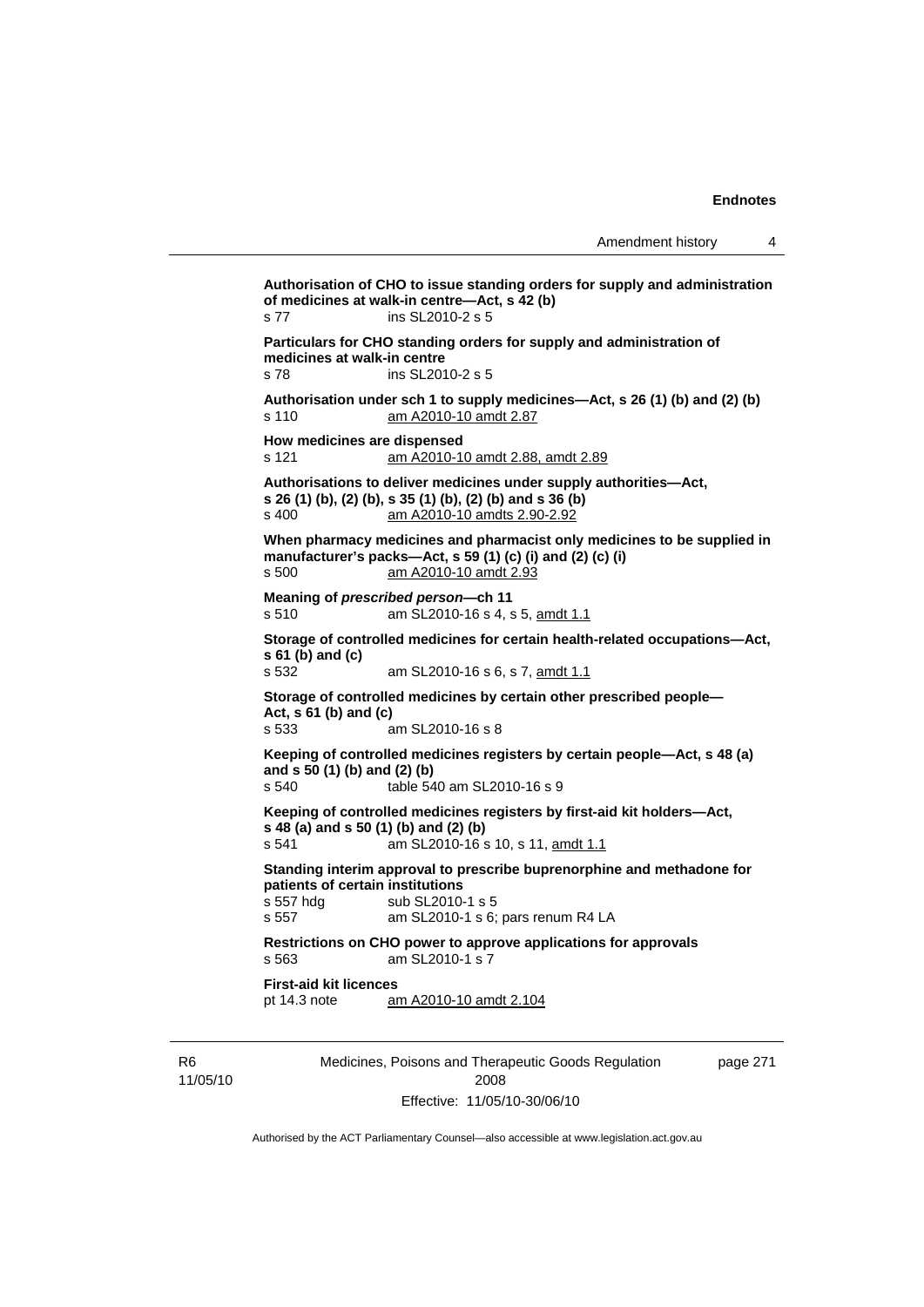**Authorisation of CHO to issue standing orders for supply and administration of medicines at walk-in centre—Act, s 42 (b)**  s 77 ins SL2010-2 s 5 **Particulars for CHO standing orders for supply and administration of medicines at walk-in centre**  s 78 ins SL2010-2 s 5 **Authorisation under sch 1 to supply medicines—Act, s 26 (1) (b) and (2) (b)**  s 110 am A2010-10 amdt 2.87 **How medicines are dispensed**  s 121 am A2010-10 amdt 2.88, amdt 2.89 **Authorisations to deliver medicines under supply authorities—Act, s 26 (1) (b), (2) (b), s 35 (1) (b), (2) (b) and s 36 (b)**  s 400 am A2010-10 amdts 2.90-2.92 **When pharmacy medicines and pharmacist only medicines to be supplied in manufacturer's packs—Act, s 59 (1) (c) (i) and (2) (c) (i)**  s 500 am A2010-10 amdt 2.93 **Meaning of** *prescribed person***—ch 11**  s 510 am SL2010-16 s 4, s 5, amdt 1.1 **Storage of controlled medicines for certain health-related occupations—Act, s 61 (b) and (c)** <br>**s** 532 am SL2010-16 s 6, s 7, amdt 1.1 **Storage of controlled medicines by certain other prescribed people— Act, s 61 (b) and (c)**  s 533 am SL2010-16 s 8 **Keeping of controlled medicines registers by certain people—Act, s 48 (a) and s 50 (1) (b) and (2) (b)**  s 540 table 540 am SL2010-16 s 9 **Keeping of controlled medicines registers by first-aid kit holders—Act, s 48 (a) and s 50 (1) (b) and (2) (b)**  s 541 am SL2010-16 s 10, s 11, amdt 1.1 **Standing interim approval to prescribe buprenorphine and methadone for patients of certain institutions**  s 557 hdg sub SL2010-1 s 5 s 557 am SL2010-1 s 6; pars renum R4 LA **Restrictions on CHO power to approve applications for approvals**  s 563 am SL2010-1 s 7 **First-aid kit licences**  pt 14.3 note am A2010-10 amdt 2.104

R6 11/05/10 Medicines, Poisons and Therapeutic Goods Regulation 2008 Effective: 11/05/10-30/06/10

page 271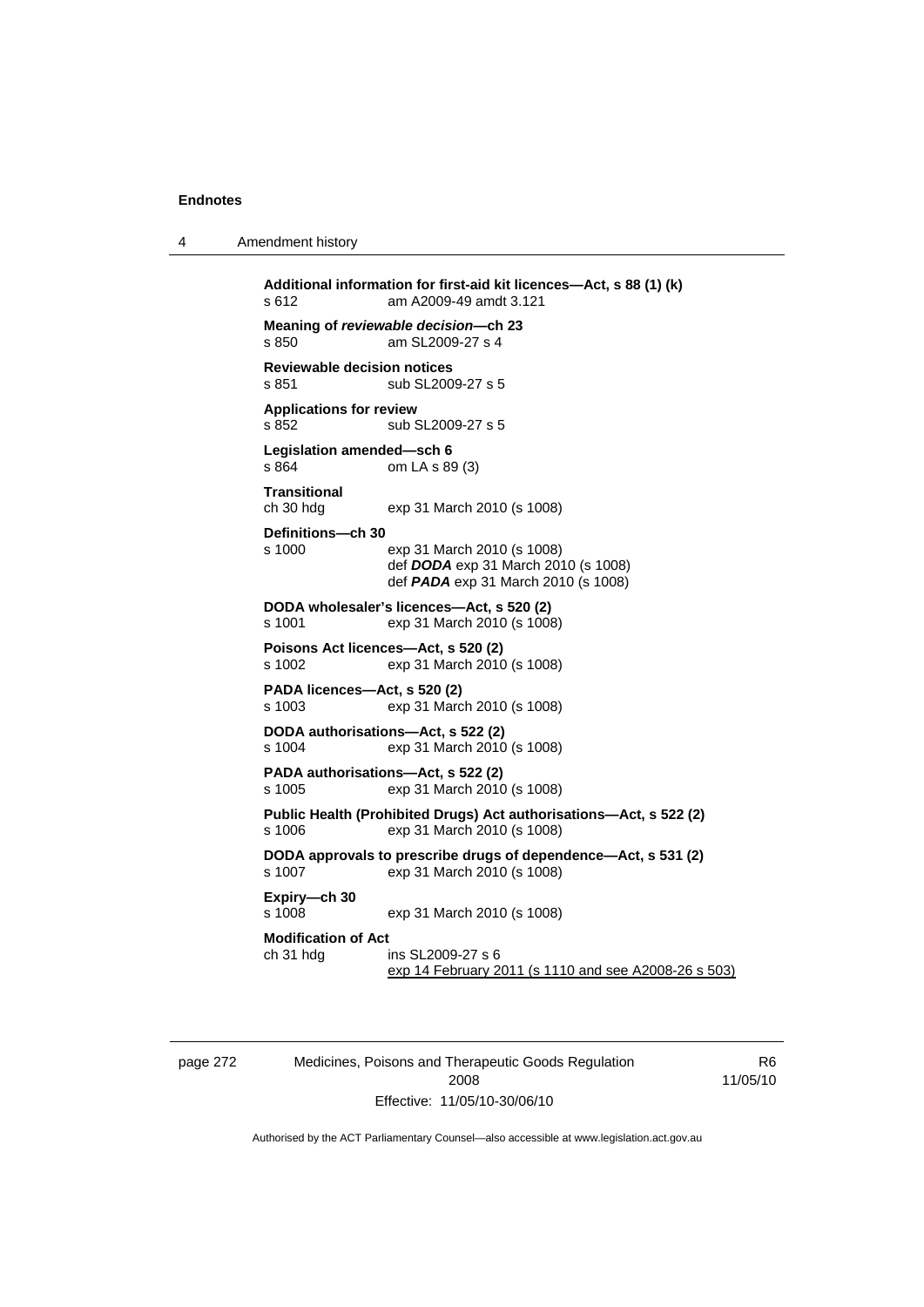4 Amendment history

**Additional information for first-aid kit licences—Act, s 88 (1) (k)**  s 612 am A2009-49 amdt 3.121 **Meaning of** *reviewable decision—***ch 23**  s 850 am SL2009-27 s 4 **Reviewable decision notices**  s 851 sub SL2009-27 s 5 **Applications for review**  s 852 sub SL2009-27 s 5 **Legislation amended—sch 6**  om LA s 89 (3) **Transitional**  ch 30 hdg exp 31 March 2010 (s 1008) **Definitions—ch 30**  s 1000 exp 31 March 2010 (s 1008) def *DODA* exp 31 March 2010 (s 1008) def *PADA* exp 31 March 2010 (s 1008) **DODA wholesaler's licences—Act, s 520 (2)**  s 1001 exp 31 March 2010 (s 1008) **Poisons Act licences—Act, s 520 (2)**  s 1002 exp 31 March 2010 (s 1008) **PADA licences—Act, s 520 (2)**  exp 31 March 2010 (s 1008) **DODA authorisations—Act, s 522 (2)**  s 1004 exp 31 March 2010 (s 1008) **PADA authorisations—Act, s 522 (2)**  s 1005 exp 31 March 2010 (s 1008) **Public Health (Prohibited Drugs) Act authorisations—Act, s 522 (2)**  s 1006 exp 31 March 2010 (s 1008) **DODA approvals to prescribe drugs of dependence—Act, s 531 (2)**  s 1007 exp 31 March 2010 (s 1008) **Expiry—ch 30**  s 1008 exp 31 March 2010 (s 1008) **Modification of Act**  ch 31 hdg ins SL2009-27 s 6 exp 14 February 2011 (s 1110 and see A2008-26 s 503)

page 272 Medicines, Poisons and Therapeutic Goods Regulation 2008 Effective: 11/05/10-30/06/10

R6 11/05/10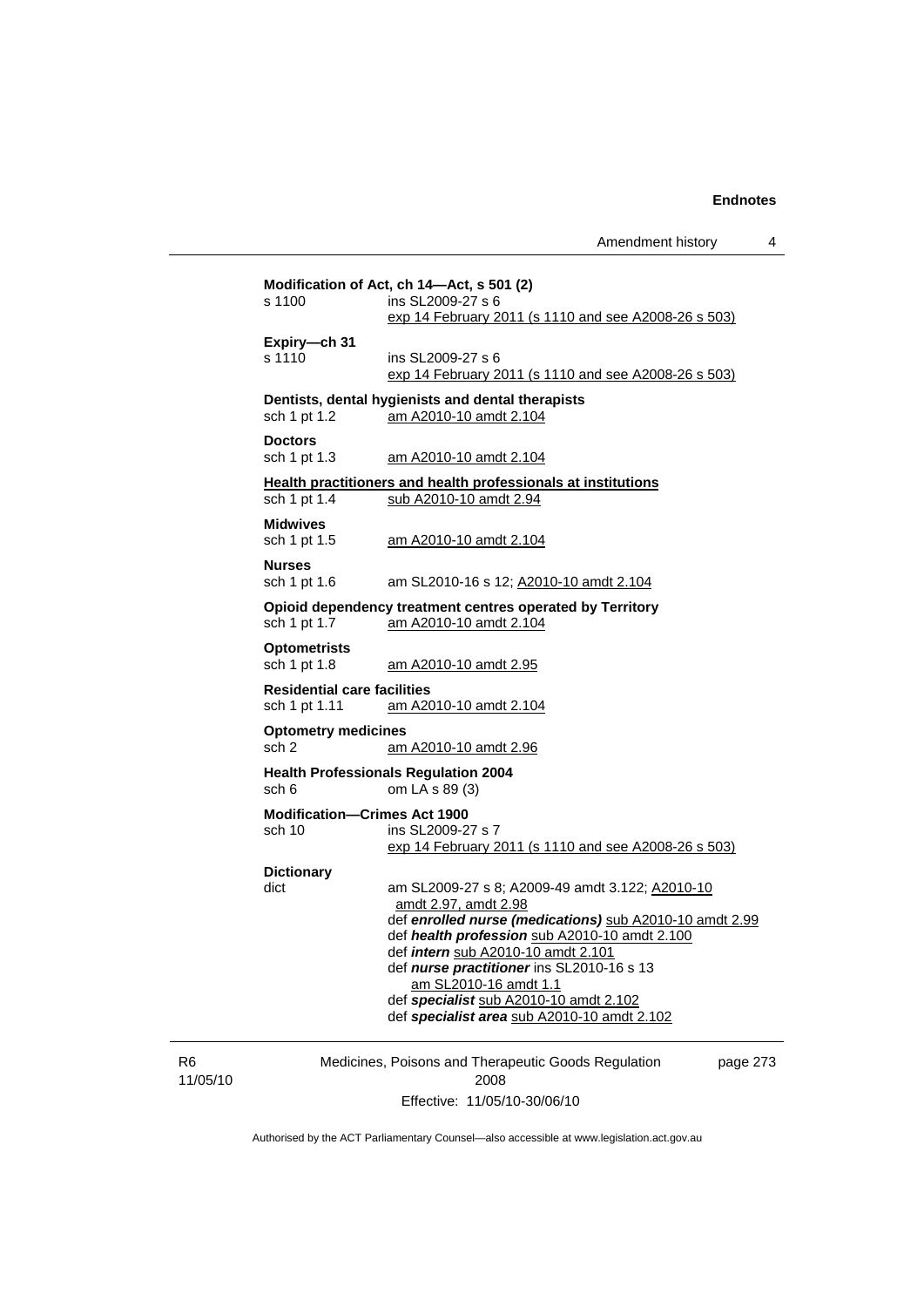Amendment history 4

Medicines, Poisons and Therapeutic Goods Regulation page 273 **Modification of Act, ch 14—Act, s 501 (2)**  s 1100 ins SL2009-27 s 6 exp 14 February 2011 (s 1110 and see A2008-26 s 503) **Expiry—ch 31**  s 1110 ins SL2009-27 s 6 exp 14 February 2011 (s 1110 and see A2008-26 s 503) **Dentists, dental hygienists and dental therapists**  sch 1 pt 1.2 am A2010-10 amdt 2.104 **Doctors**  sch 1 pt 1.3 am A2010-10 amdt 2.104 **Health practitioners and health professionals at institutions** sch 1 pt 1.4 sub A2010-10 amdt 2.94 **Midwives**  sch 1 pt 1.5 am A2010-10 amdt 2.104 **Nurses**  sch 1 pt 1.6 am SL2010-16 s 12; A2010-10 amdt 2.104 **Opioid dependency treatment centres operated by Territory** sch 1 pt 1.7 am A2010-10 amdt 2.104 am A2010-10 amdt 2.104 **Optometrists**  sch 1 pt 1.8 am A2010-10 amdt 2.95 **Residential care facilities**  am A2010-10 amdt 2.104 **Optometry medicines**  sch 2 am A2010-10 amdt 2.96 **Health Professionals Regulation 2004**  sch 6 om LA s 89 (3) **Modification—Crimes Act 1900**  ins SL2009-27 s 7 exp 14 February 2011 (s 1110 and see A2008-26 s 503) **Dictionary**  dict am SL2009-27 s 8; A2009-49 amdt 3.122; A2010-10 amdt 2.97, amdt 2.98 def *enrolled nurse (medications)* sub A2010-10 amdt 2.99 def *health profession* sub A2010-10 amdt 2.100 def *intern* sub A2010-10 amdt 2.101 def *nurse practitioner* ins SL2010-16 s 13 am SL2010-16 amdt 1.1 def *specialist* sub A2010-10 amdt 2.102 def *specialist area* sub A2010-10 amdt 2.102

R6 11/05/10

2008 Effective: 11/05/10-30/06/10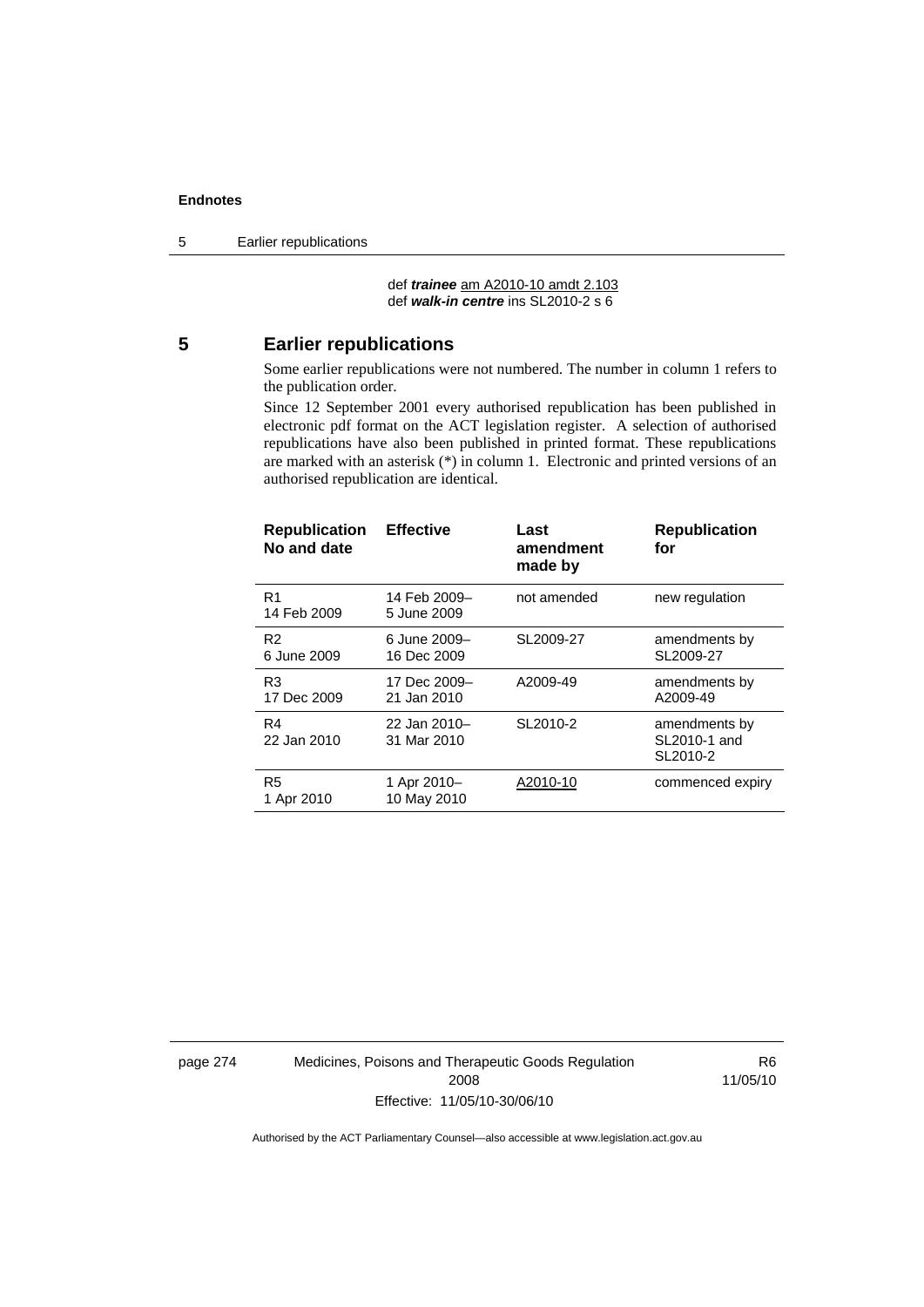5 Earlier republications

 def *trainee* am A2010-10 amdt 2.103 def *walk-in centre* ins SL2010-2 s 6

# **5 Earlier republications**

Some earlier republications were not numbered. The number in column 1 refers to the publication order.

Since 12 September 2001 every authorised republication has been published in electronic pdf format on the ACT legislation register. A selection of authorised republications have also been published in printed format. These republications are marked with an asterisk (\*) in column 1. Electronic and printed versions of an authorised republication are identical.

| <b>Republication</b><br>No and date | <b>Effective</b>            | Last<br>amendment<br>made by | <b>Republication</b><br>for               |
|-------------------------------------|-----------------------------|------------------------------|-------------------------------------------|
| R1<br>14 Feb 2009                   | 14 Feb 2009-<br>5 June 2009 | not amended                  | new regulation                            |
| R <sub>2</sub><br>6 June 2009       | 6 June 2009-<br>16 Dec 2009 | SL2009-27                    | amendments by<br>SL2009-27                |
| R3<br>17 Dec 2009                   | 17 Dec 2009-<br>21 Jan 2010 | A2009-49                     | amendments by<br>A2009-49                 |
| R4<br>22 Jan 2010                   | 22 Jan 2010-<br>31 Mar 2010 | SL2010-2                     | amendments by<br>SL2010-1 and<br>SL2010-2 |
| R <sub>5</sub><br>1 Apr 2010        | 1 Apr 2010-<br>10 May 2010  | A2010-10                     | commenced expiry                          |

page 274 Medicines, Poisons and Therapeutic Goods Regulation 2008 Effective: 11/05/10-30/06/10

R6 11/05/10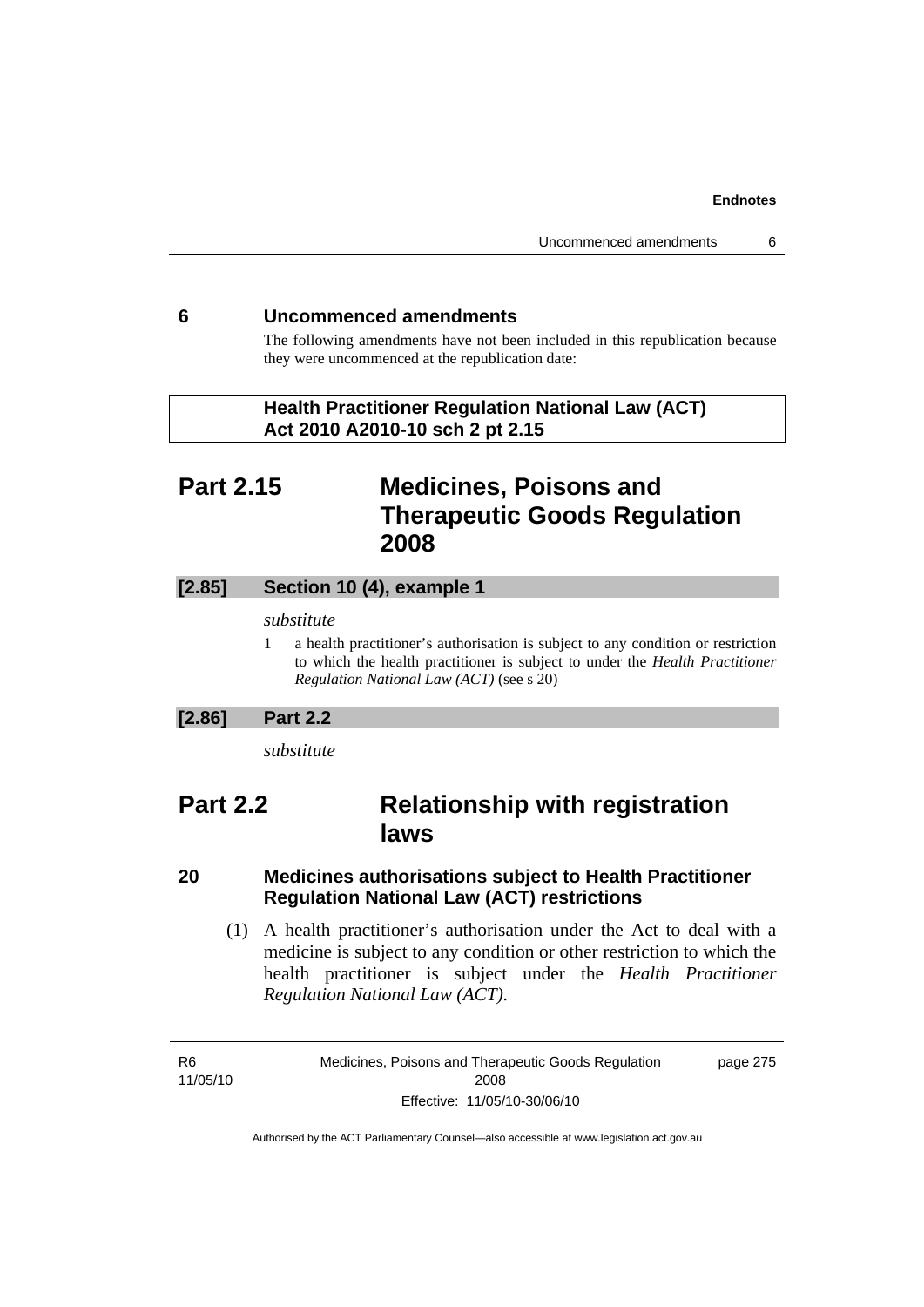# **6 Uncommenced amendments**

The following amendments have not been included in this republication because they were uncommenced at the republication date:

 **Health Practitioner Regulation National Law (ACT) Act 2010 A2010-10 sch 2 pt 2.15** 

# **Part 2.15 Medicines, Poisons and Therapeutic Goods Regulation 2008**

# **[2.85] Section 10 (4), example 1**

#### *substitute*

1 a health practitioner's authorisation is subject to any condition or restriction to which the health practitioner is subject to under the *Health Practitioner Regulation National Law (ACT)* (see s 20)

# **[2.86] Part 2.2**

*substitute* 

# **Part 2.2 Relationship with registration laws**

# **20 Medicines authorisations subject to Health Practitioner Regulation National Law (ACT) restrictions**

 (1) A health practitioner's authorisation under the Act to deal with a medicine is subject to any condition or other restriction to which the health practitioner is subject under the *Health Practitioner Regulation National Law (ACT)*.

R6 11/05/10 Medicines, Poisons and Therapeutic Goods Regulation 2008 Effective: 11/05/10-30/06/10

page 275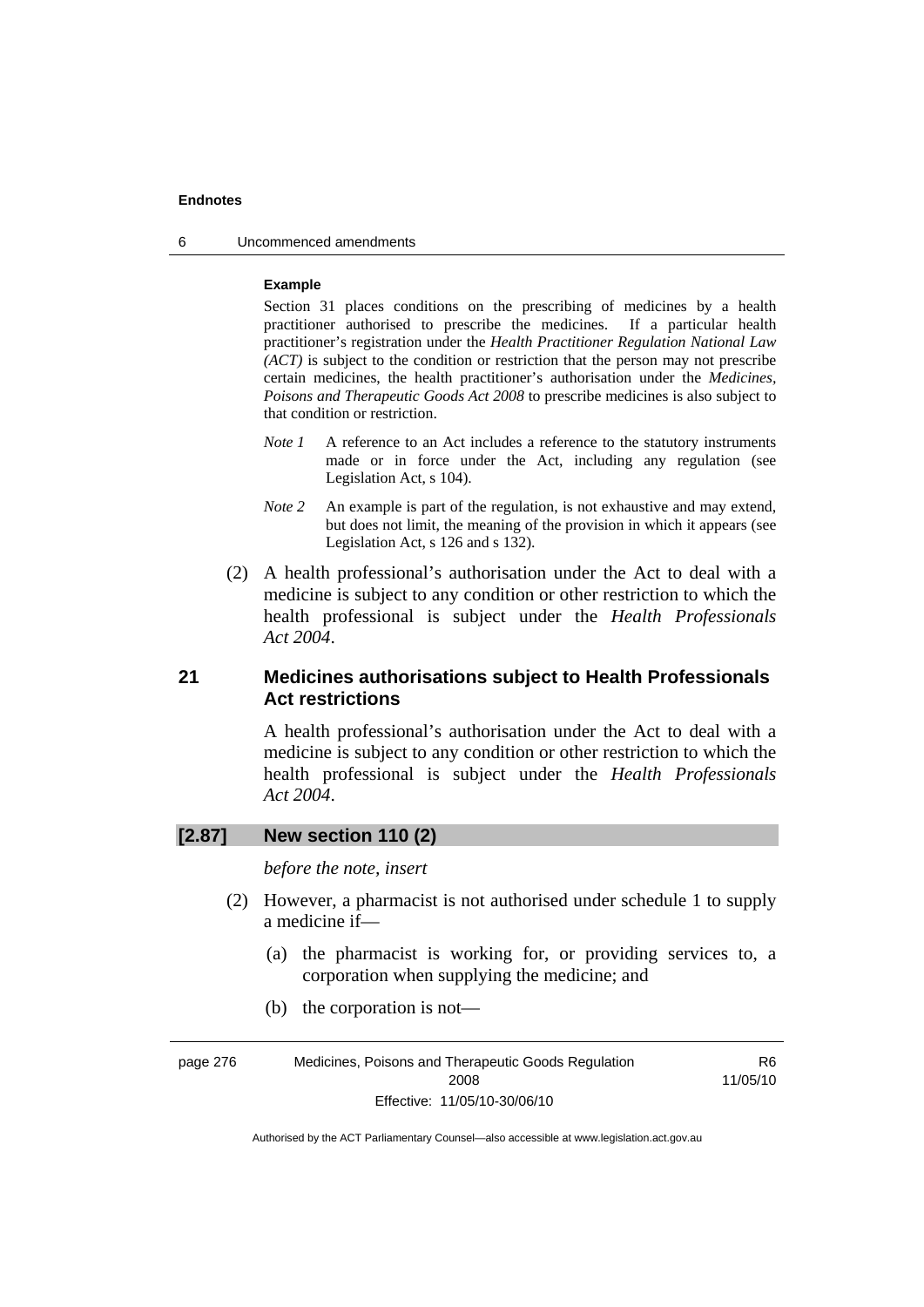6 Uncommenced amendments

#### **Example**

Section 31 places conditions on the prescribing of medicines by a health practitioner authorised to prescribe the medicines. If a particular health practitioner's registration under the *Health Practitioner Regulation National Law (ACT)* is subject to the condition or restriction that the person may not prescribe certain medicines, the health practitioner's authorisation under the *Medicines, Poisons and Therapeutic Goods Act 2008* to prescribe medicines is also subject to that condition or restriction.

- *Note 1* A reference to an Act includes a reference to the statutory instruments made or in force under the Act, including any regulation (see Legislation Act, s 104).
- *Note 2* An example is part of the regulation, is not exhaustive and may extend, but does not limit, the meaning of the provision in which it appears (see Legislation Act, s 126 and s 132).
- (2) A health professional's authorisation under the Act to deal with a medicine is subject to any condition or other restriction to which the health professional is subject under the *Health Professionals Act 2004*.

# **21 Medicines authorisations subject to Health Professionals Act restrictions**

A health professional's authorisation under the Act to deal with a medicine is subject to any condition or other restriction to which the health professional is subject under the *Health Professionals Act 2004*.

# **[2.87] New section 110 (2)**

*before the note, insert* 

- (2) However, a pharmacist is not authorised under schedule 1 to supply a medicine if—
	- (a) the pharmacist is working for, or providing services to, a corporation when supplying the medicine; and
	- (b) the corporation is not—

| page 276 | Medicines, Poisons and Therapeutic Goods Regulation | R6       |
|----------|-----------------------------------------------------|----------|
|          | 2008                                                | 11/05/10 |
|          | Effective: 11/05/10-30/06/10                        |          |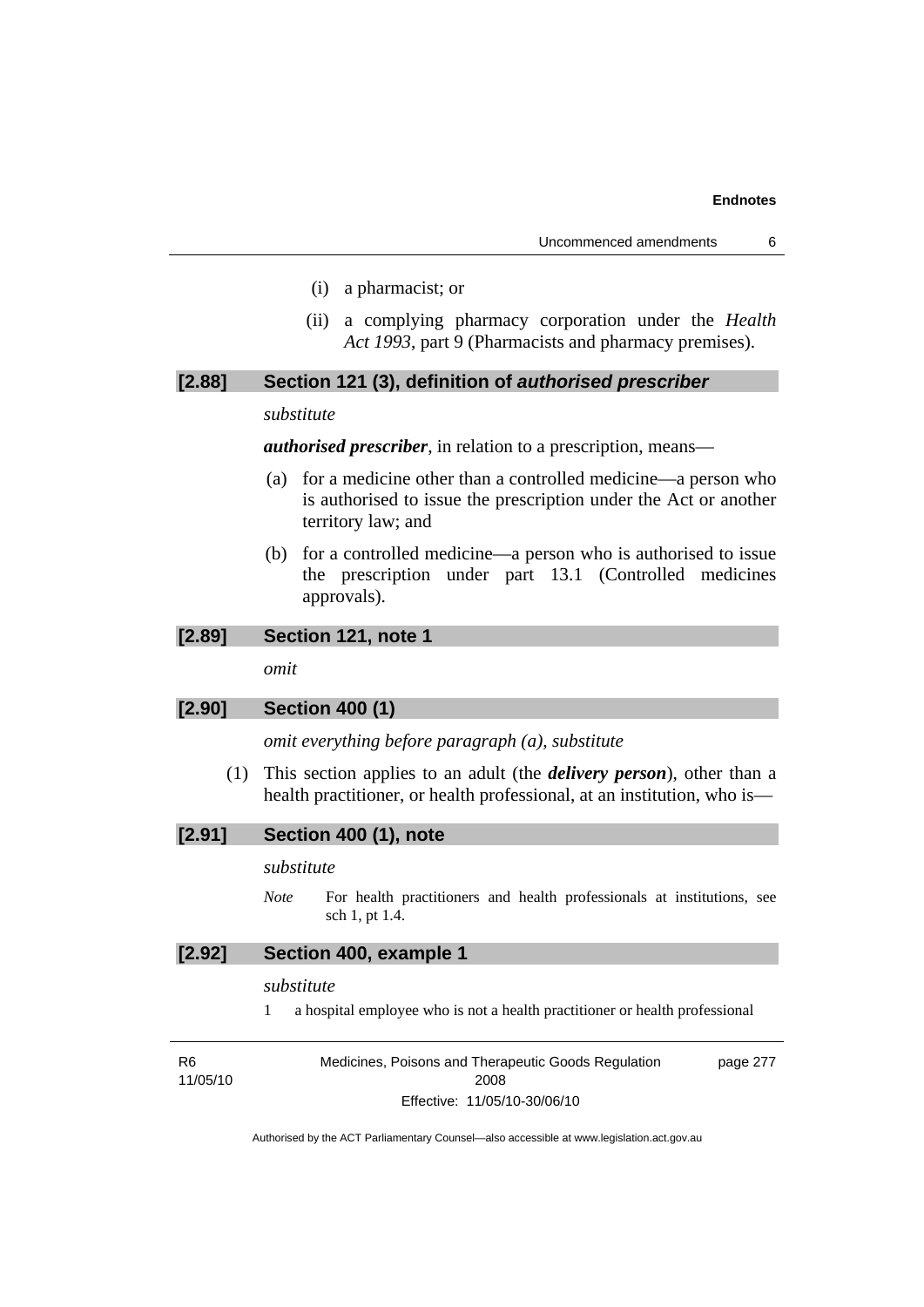- (i) a pharmacist; or
- (ii) a complying pharmacy corporation under the *Health Act 1993*, part 9 (Pharmacists and pharmacy premises).

# **[2.88] Section 121 (3), definition of** *authorised prescriber*

#### *substitute*

*authorised prescriber*, in relation to a prescription, means—

- (a) for a medicine other than a controlled medicine—a person who is authorised to issue the prescription under the Act or another territory law; and
- (b) for a controlled medicine—a person who is authorised to issue the prescription under part 13.1 (Controlled medicines approvals).

# **[2.89] Section 121, note 1**

*omit* 

# **[2.90] Section 400 (1)**

*omit everything before paragraph (a), substitute* 

 (1) This section applies to an adult (the *delivery person*), other than a health practitioner, or health professional, at an institution, who is—

#### *substitute*

*Note* For health practitioners and health professionals at institutions, see sch 1, pt 1.4.

### **[2.92] Section 400, example 1**

#### *substitute*

1 a hospital employee who is not a health practitioner or health professional

| R6       | Medicines, Poisons and Therapeutic Goods Regulation | page 277 |
|----------|-----------------------------------------------------|----------|
| 11/05/10 | 2008                                                |          |
|          | Effective: 11/05/10-30/06/10                        |          |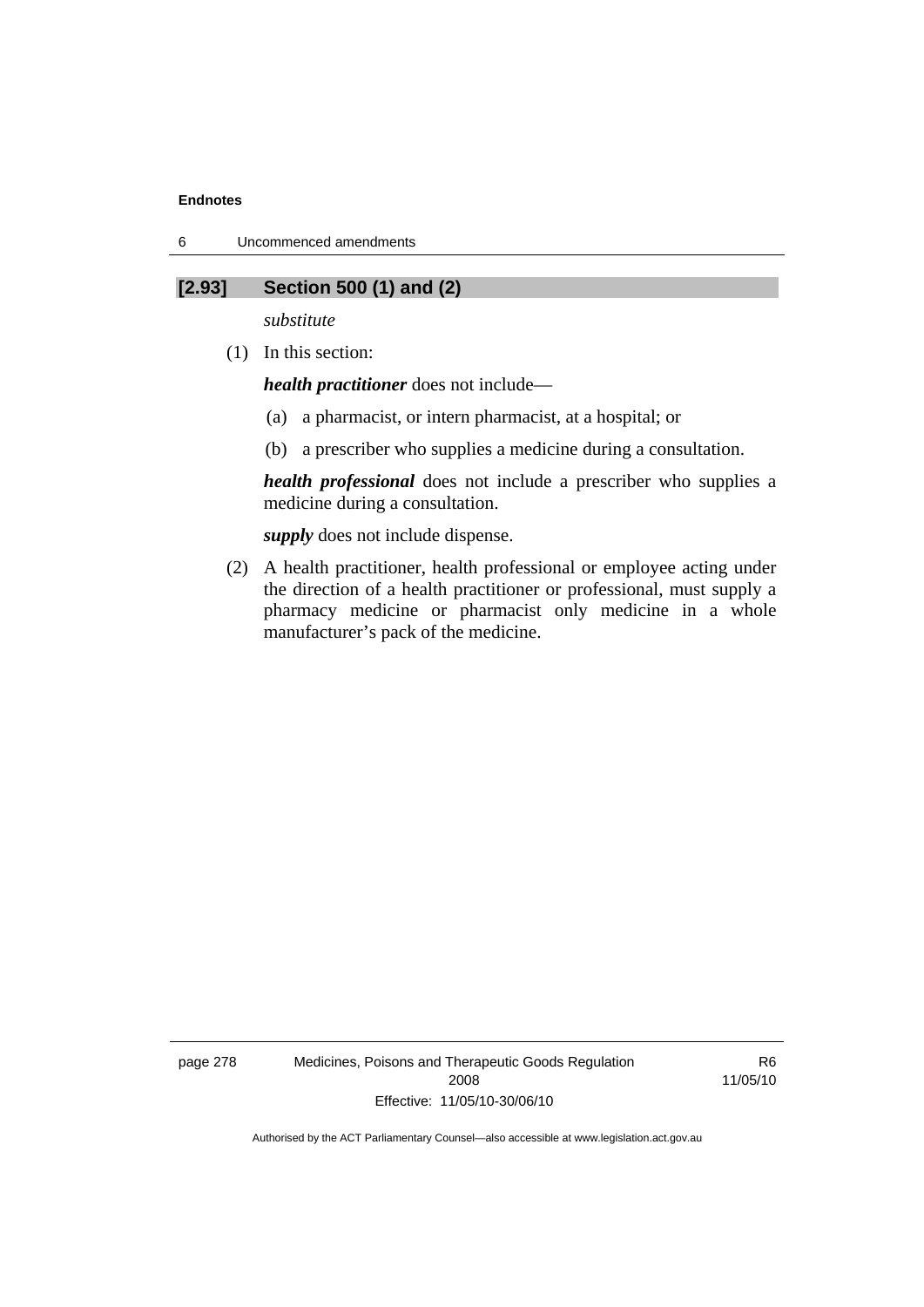6 Uncommenced amendments

# **[2.93] Section 500 (1) and (2)**

*substitute* 

(1) In this section:

*health practitioner* does not include—

- (a) a pharmacist, or intern pharmacist, at a hospital; or
- (b) a prescriber who supplies a medicine during a consultation.

*health professional* does not include a prescriber who supplies a medicine during a consultation.

*supply* does not include dispense.

 (2) A health practitioner, health professional or employee acting under the direction of a health practitioner or professional, must supply a pharmacy medicine or pharmacist only medicine in a whole manufacturer's pack of the medicine.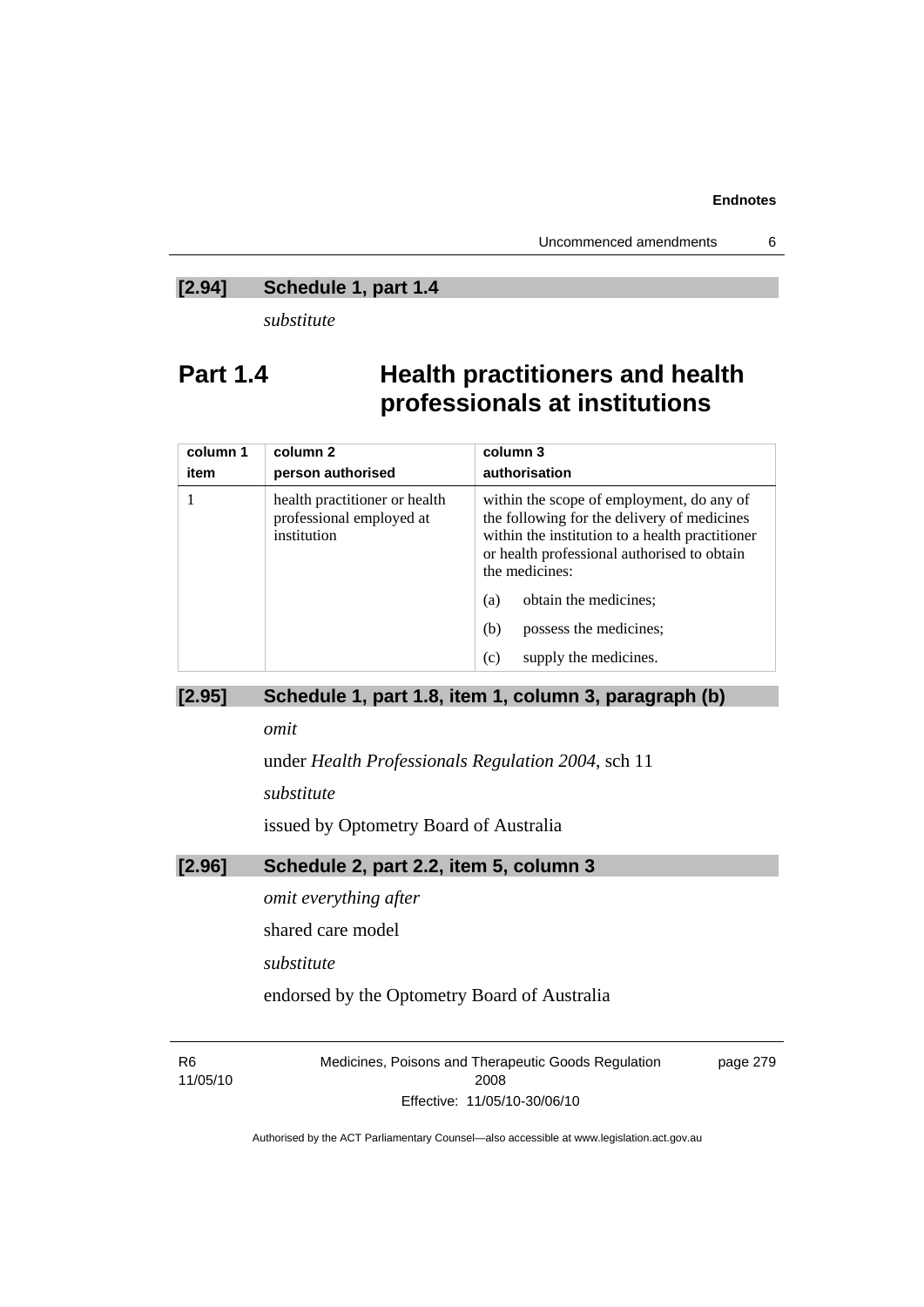# **[2.94] Schedule 1, part 1.4**

*substitute* 

# **Part 1.4 Health practitioners and health professionals at institutions**

| column 1<br>item | column 2<br>person authorised                                            | column 3<br>authorisation                                                                                                                                                                                    |  |
|------------------|--------------------------------------------------------------------------|--------------------------------------------------------------------------------------------------------------------------------------------------------------------------------------------------------------|--|
|                  | health practitioner or health<br>professional employed at<br>institution | within the scope of employment, do any of<br>the following for the delivery of medicines<br>within the institution to a health practitioner<br>or health professional authorised to obtain<br>the medicines: |  |
|                  |                                                                          | obtain the medicines;<br>(a)                                                                                                                                                                                 |  |
|                  |                                                                          | possess the medicines;<br>(b)                                                                                                                                                                                |  |
|                  |                                                                          | supply the medicines.<br>(c)                                                                                                                                                                                 |  |

# **[2.95] Schedule 1, part 1.8, item 1, column 3, paragraph (b)**

*omit* 

under *Health Professionals Regulation 2004*, sch 11

*substitute* 

issued by Optometry Board of Australia

# **[2.96] Schedule 2, part 2.2, item 5, column 3**

*omit everything after* 

shared care model

*substitute* 

endorsed by the Optometry Board of Australia

R6 11/05/10 Medicines, Poisons and Therapeutic Goods Regulation 2008 Effective: 11/05/10-30/06/10

page 279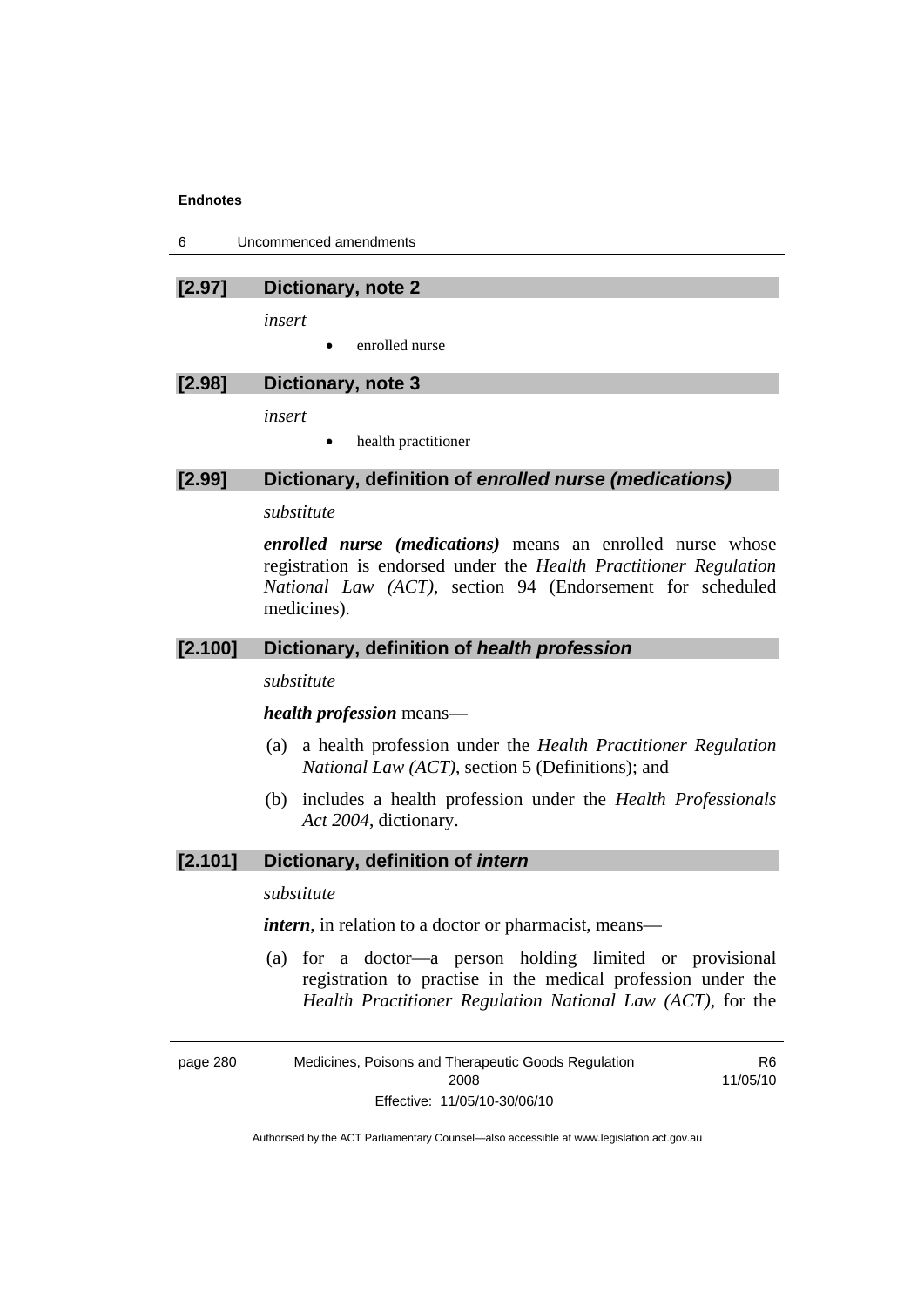6 Uncommenced amendments

#### **[2.97] Dictionary, note 2**

*insert* 

• enrolled nurse

#### **[2.98] Dictionary, note 3**

*insert* 

• health practitioner

#### **[2.99] Dictionary, definition of** *enrolled nurse (medications)*

#### *substitute*

*enrolled nurse (medications)* means an enrolled nurse whose registration is endorsed under the *Health Practitioner Regulation National Law (ACT)*, section 94 (Endorsement for scheduled medicines).

# **[2.100] Dictionary, definition of** *health profession*

*substitute* 

#### *health profession* means—

- (a) a health profession under the *Health Practitioner Regulation National Law (ACT)*, section 5 (Definitions); and
- (b) includes a health profession under the *Health Professionals Act 2004*, dictionary.

# **[2.101] Dictionary, definition of** *intern*

# *substitute*

*intern*, in relation to a doctor or pharmacist, means—

 (a) for a doctor—a person holding limited or provisional registration to practise in the medical profession under the *Health Practitioner Regulation National Law (ACT)*, for the

page 280 Medicines, Poisons and Therapeutic Goods Regulation 2008 Effective: 11/05/10-30/06/10

R6 11/05/10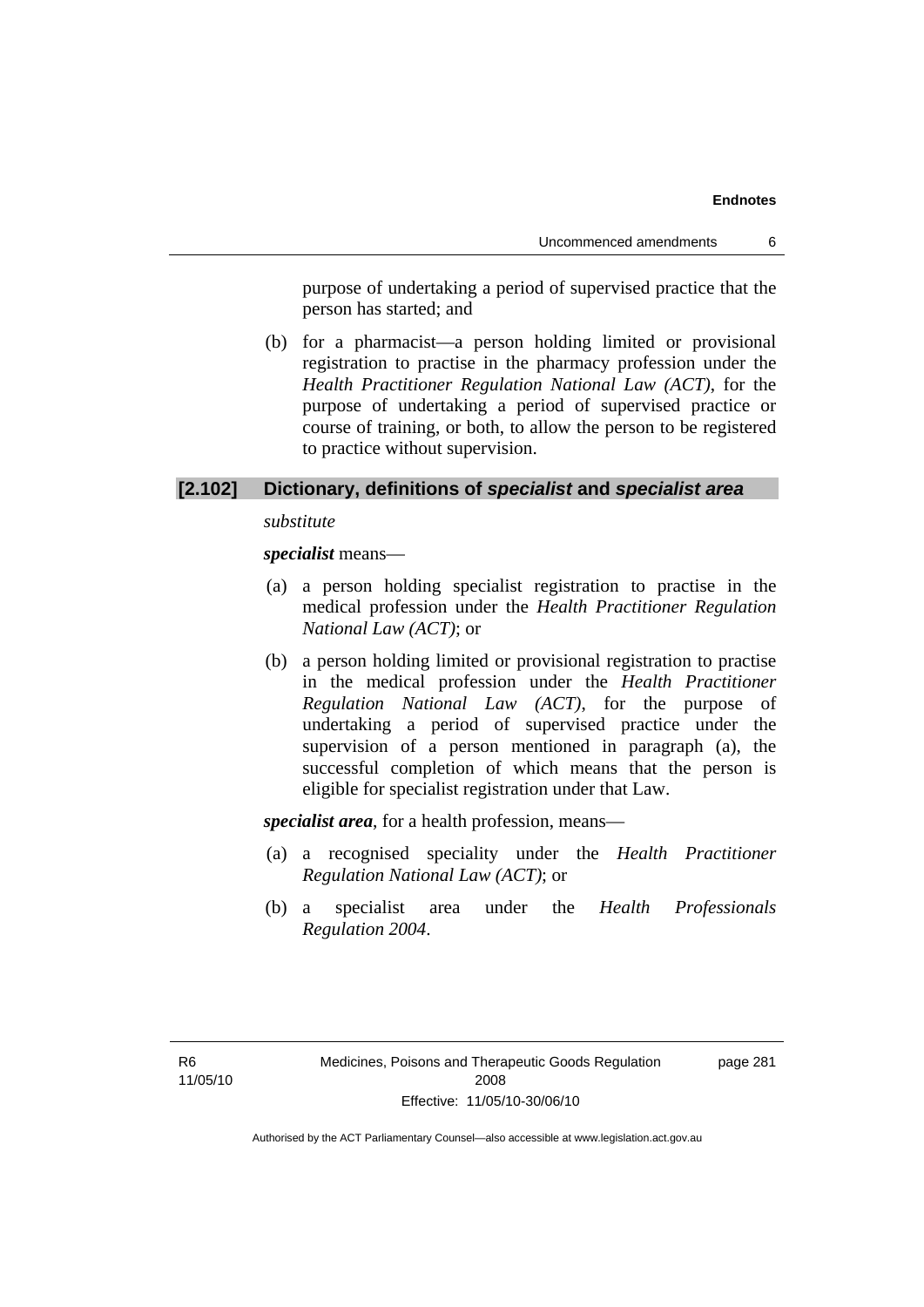purpose of undertaking a period of supervised practice that the person has started; and

 (b) for a pharmacist—a person holding limited or provisional registration to practise in the pharmacy profession under the *Health Practitioner Regulation National Law (ACT)*, for the purpose of undertaking a period of supervised practice or course of training, or both, to allow the person to be registered to practice without supervision.

# **[2.102] Dictionary, definitions of** *specialist* **and** *specialist area*

*substitute* 

*specialist* means—

- (a) a person holding specialist registration to practise in the medical profession under the *Health Practitioner Regulation National Law (ACT)*; or
- (b) a person holding limited or provisional registration to practise in the medical profession under the *Health Practitioner Regulation National Law (ACT)*, for the purpose of undertaking a period of supervised practice under the supervision of a person mentioned in paragraph (a), the successful completion of which means that the person is eligible for specialist registration under that Law.

*specialist area*, for a health profession, means—

- (a) a recognised speciality under the *Health Practitioner Regulation National Law (ACT)*; or
- (b) a specialist area under the *Health Professionals Regulation 2004*.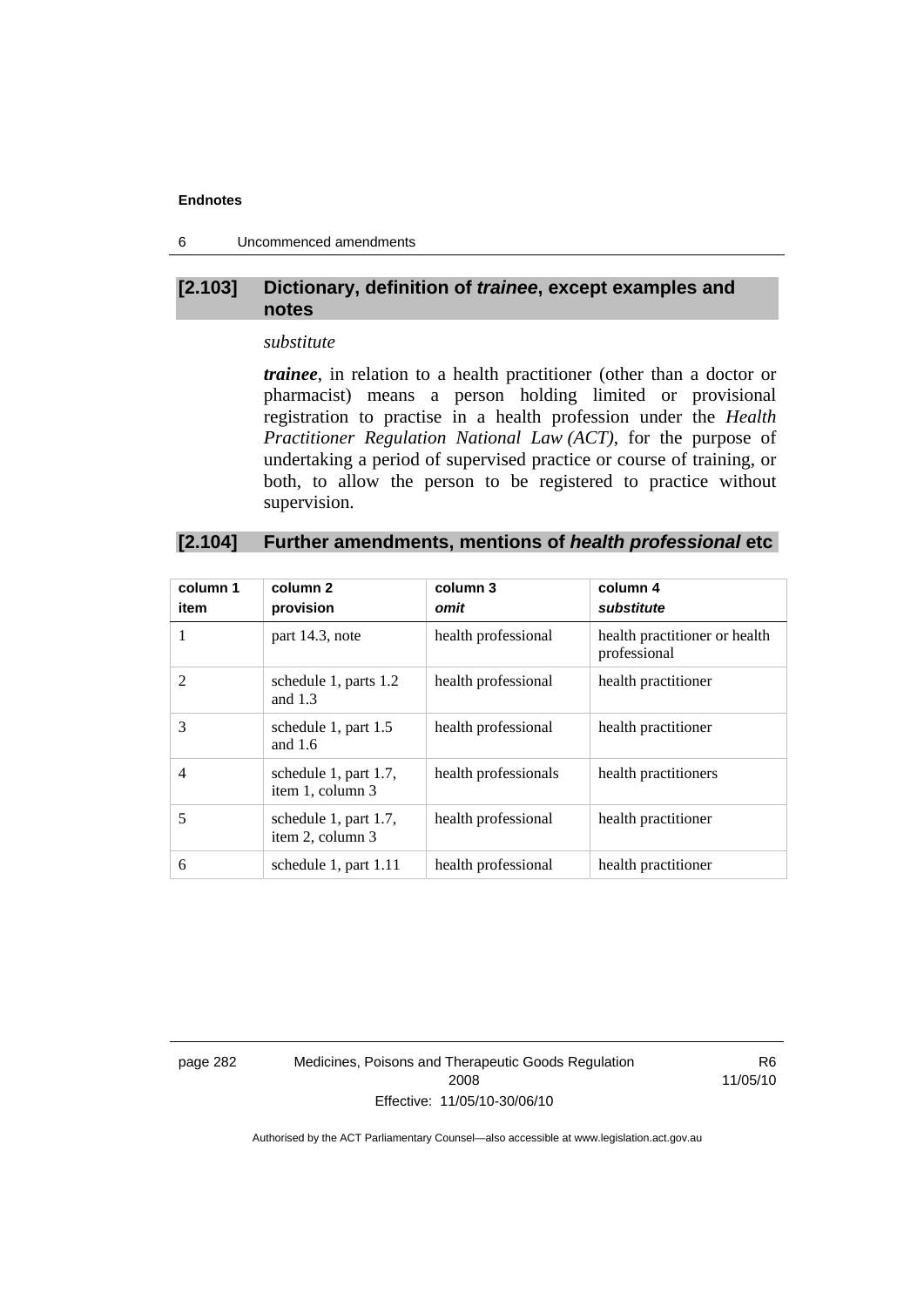6 Uncommenced amendments

# **[2.103] Dictionary, definition of** *trainee***, except examples and notes**

### *substitute*

*trainee*, in relation to a health practitioner (other than a doctor or pharmacist) means a person holding limited or provisional registration to practise in a health profession under the *Health Practitioner Regulation National Law (ACT)*, for the purpose of undertaking a period of supervised practice or course of training, or both, to allow the person to be registered to practice without supervision.

# **[2.104] Further amendments, mentions of** *health professional* **etc**

| column 1<br>item | column 2<br>provision                     | column 3<br>omit     | column 4<br>substitute                        |
|------------------|-------------------------------------------|----------------------|-----------------------------------------------|
| 1                | part 14.3, note                           | health professional  | health practitioner or health<br>professional |
| $\mathfrak{D}$   | schedule 1, parts 1.2<br>and $1.3$        | health professional  | health practitioner                           |
| 3                | schedule 1, part 1.5<br>and $1.6$         | health professional  | health practitioner                           |
| $\overline{4}$   | schedule 1, part 1.7,<br>item 1, column 3 | health professionals | health practitioners                          |
| 5                | schedule 1, part 1.7,<br>item 2, column 3 | health professional  | health practitioner                           |
| 6                | schedule 1, part 1.11                     | health professional  | health practitioner                           |

page 282 Medicines, Poisons and Therapeutic Goods Regulation 2008 Effective: 11/05/10-30/06/10

R6 11/05/10